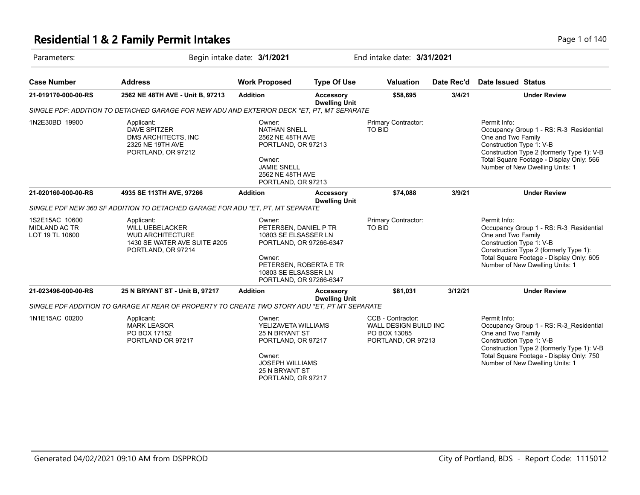#### **Residential 1 & 2 Family Permit Intakes Page 1 of 140** Page 1 of 140

| Parameters:                                        |                                                                                                                       | Begin intake date: 3/1/2021                                                                                                                                               |                                          | End intake date: 3/31/2021                                                       |            |                                                                                                   |                                                                                                                                   |
|----------------------------------------------------|-----------------------------------------------------------------------------------------------------------------------|---------------------------------------------------------------------------------------------------------------------------------------------------------------------------|------------------------------------------|----------------------------------------------------------------------------------|------------|---------------------------------------------------------------------------------------------------|-----------------------------------------------------------------------------------------------------------------------------------|
| <b>Case Number</b>                                 | <b>Address</b>                                                                                                        | <b>Work Proposed</b>                                                                                                                                                      | <b>Type Of Use</b>                       | <b>Valuation</b>                                                                 | Date Rec'd | Date Issued Status                                                                                |                                                                                                                                   |
| 21-019170-000-00-RS                                | 2562 NE 48TH AVE - Unit B, 97213                                                                                      | <b>Addition</b>                                                                                                                                                           | <b>Accessory</b><br><b>Dwelling Unit</b> | \$58,695                                                                         | 3/4/21     |                                                                                                   | <b>Under Review</b>                                                                                                               |
|                                                    | SINGLE PDF: ADDITION TO DETACHED GARAGE FOR NEW ADU AND EXTERIOR DECK *ET. PT. MT SEPARATE                            |                                                                                                                                                                           |                                          |                                                                                  |            |                                                                                                   |                                                                                                                                   |
| 1N2E30BD 19900                                     | Applicant:<br>DAVE SPITZER<br>DMS ARCHITECTS, INC<br>2325 NE 19TH AVE<br>PORTLAND, OR 97212                           | Owner:<br><b>NATHAN SNELL</b><br>2562 NE 48TH AVE<br>PORTLAND, OR 97213<br>Owner:<br><b>JAMIE SNELL</b><br>2562 NE 48TH AVE<br>PORTLAND, OR 97213                         |                                          | Primary Contractor:<br>TO BID                                                    |            | Permit Info:<br>One and Two Family<br>Construction Type 1: V-B<br>Number of New Dwelling Units: 1 | Occupancy Group 1 - RS: R-3_Residential<br>Construction Type 2 (formerly Type 1): V-B<br>Total Square Footage - Display Only: 566 |
| 21-020160-000-00-RS                                | 4935 SE 113TH AVE, 97266                                                                                              | <b>Addition</b>                                                                                                                                                           | <b>Accessory</b><br><b>Dwelling Unit</b> | \$74,088                                                                         | 3/9/21     |                                                                                                   | <b>Under Review</b>                                                                                                               |
|                                                    | SINGLE PDF NEW 360 SF ADDITION TO DETACHED GARAGE FOR ADU *ET. PT. MT SEPARATE                                        |                                                                                                                                                                           |                                          |                                                                                  |            |                                                                                                   |                                                                                                                                   |
| 1S2E15AC 10600<br>MIDLAND AC TR<br>LOT 19 TL 10600 | Applicant:<br><b>WILL UEBELACKER</b><br><b>WUD ARCHITECTURE</b><br>1430 SE WATER AVE SUITE #205<br>PORTLAND, OR 97214 | Owner:<br>PETERSEN, DANIEL P TR<br>10803 SE ELSASSER LN<br>PORTLAND, OR 97266-6347<br>Owner:<br>PETERSEN, ROBERTA E TR<br>10803 SE ELSASSER LN<br>PORTLAND, OR 97266-6347 |                                          | Primary Contractor:<br><b>TO BID</b>                                             |            | Permit Info:<br>One and Two Family<br>Construction Type 1: V-B<br>Number of New Dwelling Units: 1 | Occupancy Group 1 - RS: R-3_Residential<br>Construction Type 2 (formerly Type 1):<br>Total Square Footage - Display Only: 605     |
| 21-023496-000-00-RS                                | 25 N BRYANT ST - Unit B, 97217                                                                                        | <b>Addition</b>                                                                                                                                                           | <b>Accessory</b><br><b>Dwelling Unit</b> | \$81,031                                                                         | 3/12/21    |                                                                                                   | <b>Under Review</b>                                                                                                               |
|                                                    | SINGLE PDF ADDITION TO GARAGE AT REAR OF PROPERTY TO CREATE TWO STORY ADU *ET. PT MT SEPARATE                         |                                                                                                                                                                           |                                          |                                                                                  |            |                                                                                                   |                                                                                                                                   |
| 1N1E15AC 00200                                     | Applicant:<br><b>MARK LEASOR</b><br>PO BOX 17152<br>PORTLAND OR 97217                                                 | Owner:<br>YELIZAVETA WILLIAMS<br>25 N BRYANT ST<br>PORTLAND, OR 97217<br>Owner:<br><b>JOSEPH WILLIAMS</b><br>25 N BRYANT ST<br>PORTLAND, OR 97217                         |                                          | CCB - Contractor:<br>WALL DESIGN BUILD INC<br>PO BOX 13085<br>PORTLAND, OR 97213 |            | Permit Info:<br>One and Two Family<br>Construction Type 1: V-B<br>Number of New Dwelling Units: 1 | Occupancy Group 1 - RS: R-3_Residential<br>Construction Type 2 (formerly Type 1): V-B<br>Total Square Footage - Display Only: 750 |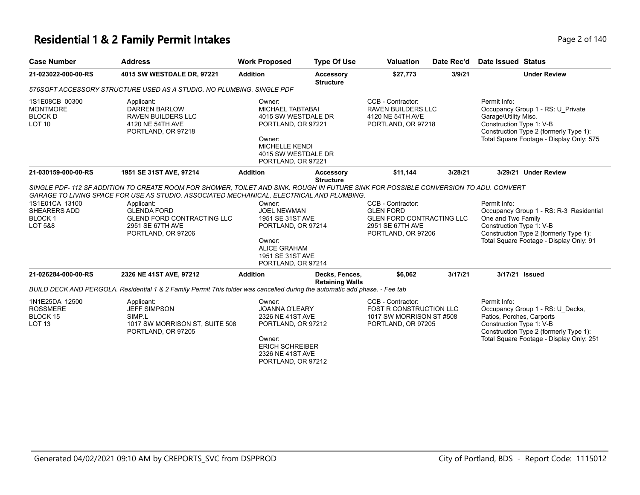#### **Residential 1 & 2 Family Permit Intakes Page 140** Page 2 of 140

| <b>Case Number</b>                                                           | <b>Address</b>                                                                                                                                                                                                                                                                                                                                      | <b>Work Proposed</b>                                                                                                                                           | <b>Type Of Use</b>                       | <b>Valuation</b>                                                                                                    | Date Rec'd | Date Issued Status                                                    |                                                                                                                              |
|------------------------------------------------------------------------------|-----------------------------------------------------------------------------------------------------------------------------------------------------------------------------------------------------------------------------------------------------------------------------------------------------------------------------------------------------|----------------------------------------------------------------------------------------------------------------------------------------------------------------|------------------------------------------|---------------------------------------------------------------------------------------------------------------------|------------|-----------------------------------------------------------------------|------------------------------------------------------------------------------------------------------------------------------|
| 21-023022-000-00-RS                                                          | 4015 SW WESTDALE DR, 97221                                                                                                                                                                                                                                                                                                                          | <b>Addition</b>                                                                                                                                                | <b>Accessory</b><br><b>Structure</b>     | \$27,773                                                                                                            | 3/9/21     |                                                                       | <b>Under Review</b>                                                                                                          |
|                                                                              | 576SQFT ACCESSORY STRUCTURE USED AS A STUDIO. NO PLUMBING. SINGLE PDF                                                                                                                                                                                                                                                                               |                                                                                                                                                                |                                          |                                                                                                                     |            |                                                                       |                                                                                                                              |
| 1S1E08CB 00300<br><b>MONTMORE</b><br><b>BLOCK D</b><br>LOT <sub>10</sub>     | Applicant:<br><b>DARREN BARLOW</b><br><b>RAVEN BUILDERS LLC</b><br>4120 NE 54TH AVE<br>PORTLAND, OR 97218                                                                                                                                                                                                                                           | Owner:<br><b>MICHAEL TABTABAI</b><br>4015 SW WESTDALE DR<br>PORTLAND, OR 97221<br>Owner:<br><b>MICHELLE KENDI</b><br>4015 SW WESTDALE DR<br>PORTLAND, OR 97221 |                                          | CCB - Contractor:<br><b>RAVEN BUILDERS LLC</b><br>4120 NE 54TH AVE<br>PORTLAND, OR 97218                            |            | Permit Info:<br>Garage\Utility Misc.<br>Construction Type 1: V-B      | Occupancy Group 1 - RS: U Private<br>Construction Type 2 (formerly Type 1):<br>Total Square Footage - Display Only: 575      |
| 21-030159-000-00-RS                                                          | 1951 SE 31ST AVE, 97214                                                                                                                                                                                                                                                                                                                             | <b>Addition</b>                                                                                                                                                | <b>Accessory</b><br><b>Structure</b>     | \$11.144                                                                                                            | 3/28/21    |                                                                       | 3/29/21 Under Review                                                                                                         |
| 1S1E01CA 13100<br><b>SHEARERS ADD</b><br><b>BLOCK1</b><br><b>LOT 5&amp;8</b> | SINGLE PDF-112 SF ADDITION TO CREATE ROOM FOR SHOWER, TOILET AND SINK. ROUGH IN FUTURE SINK FOR POSSIBLE CONVERSION TO ADU. CONVERT<br>GARAGE TO LIVING SPACE FOR USE AS STUDIO. ASSOCIATED MECHANICAL, ELECTRICAL AND PLUMBING.<br>Applicant:<br><b>GLENDA FORD</b><br><b>GLEND FORD CONTRACTING LLC</b><br>2951 SE 67TH AVE<br>PORTLAND, OR 97206 | Owner:<br><b>JOEL NEWMAN</b><br>1951 SE 31ST AVE<br>PORTLAND, OR 97214<br>Owner:<br><b>ALICE GRAHAM</b><br>1951 SE 31ST AVE<br>PORTLAND, OR 97214              |                                          | CCB - Contractor:<br><b>GLEN FORD</b><br><b>GLEN FORD CONTRACTING LLC</b><br>2951 SE 67TH AVE<br>PORTLAND, OR 97206 |            | Permit Info:<br>One and Two Family<br>Construction Type 1: V-B        | Occupancy Group 1 - RS: R-3_Residential<br>Construction Type 2 (formerly Type 1):<br>Total Square Footage - Display Only: 91 |
| 21-026284-000-00-RS                                                          | 2326 NE 41ST AVE, 97212                                                                                                                                                                                                                                                                                                                             | <b>Addition</b>                                                                                                                                                | Decks, Fences,<br><b>Retaining Walls</b> | \$6,062                                                                                                             | 3/17/21    | 3/17/21 Issued                                                        |                                                                                                                              |
|                                                                              | BUILD DECK AND PERGOLA. Residential 1 & 2 Family Permit This folder was cancelled during the automatic add phase. - Fee tab                                                                                                                                                                                                                         |                                                                                                                                                                |                                          |                                                                                                                     |            |                                                                       |                                                                                                                              |
| 1N1E25DA 12500<br><b>ROSSMERE</b><br>BLOCK 15<br>LOT <sub>13</sub>           | Applicant:<br><b>JEFF SIMPSON</b><br>SIMP.L<br>1017 SW MORRISON ST, SUITE 508<br>PORTLAND, OR 97205                                                                                                                                                                                                                                                 | Owner:<br><b>JOANNA O'LEARY</b><br>2326 NE 41ST AVE<br>PORTLAND, OR 97212<br>Owner:<br><b>ERICH SCHREIBER</b><br>2326 NE 41ST AVE<br>PORTLAND, OR 97212        |                                          | CCB - Contractor:<br><b>FOST R CONSTRUCTION LLC</b><br>1017 SW MORRISON ST #508<br>PORTLAND, OR 97205               |            | Permit Info:<br>Patios, Porches, Carports<br>Construction Type 1: V-B | Occupancy Group 1 - RS: U Decks,<br>Construction Type 2 (formerly Type 1):<br>Total Square Footage - Display Only: 251       |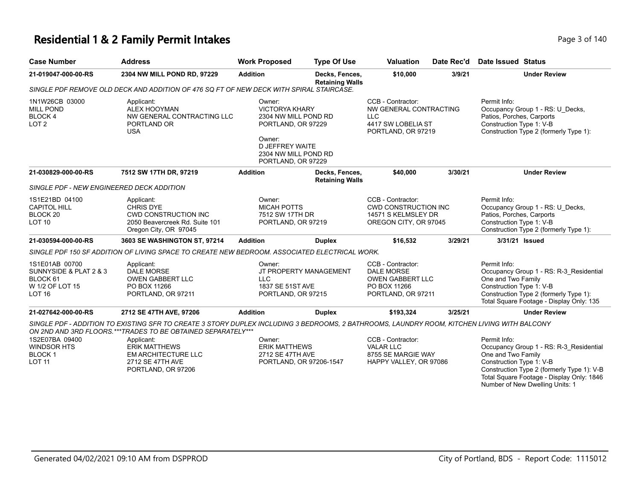# **Residential 1 & 2 Family Permit Intakes Page 140** Page 3 of 140

| <b>Case Number</b>                                                                       | <b>Address</b>                                                                                                                                                                                                                                                                                                            | <b>Work Proposed</b>                                                                                                                                            | <b>Type Of Use</b>                       | <b>Valuation</b>                                                                                        | Date Rec'd | Date Issued Status                                                                                                                                                                                                                      |
|------------------------------------------------------------------------------------------|---------------------------------------------------------------------------------------------------------------------------------------------------------------------------------------------------------------------------------------------------------------------------------------------------------------------------|-----------------------------------------------------------------------------------------------------------------------------------------------------------------|------------------------------------------|---------------------------------------------------------------------------------------------------------|------------|-----------------------------------------------------------------------------------------------------------------------------------------------------------------------------------------------------------------------------------------|
| 21-019047-000-00-RS                                                                      | 2304 NW MILL POND RD, 97229                                                                                                                                                                                                                                                                                               | <b>Addition</b>                                                                                                                                                 | Decks, Fences,<br><b>Retaining Walls</b> | \$10,000                                                                                                | 3/9/21     | <b>Under Review</b>                                                                                                                                                                                                                     |
|                                                                                          | SINGLE PDF REMOVE OLD DECK AND ADDITION OF 476 SQ FT OF NEW DECK WITH SPIRAL STAIRCASE.                                                                                                                                                                                                                                   |                                                                                                                                                                 |                                          |                                                                                                         |            |                                                                                                                                                                                                                                         |
| 1N1W26CB 03000<br><b>MILL POND</b><br><b>BLOCK4</b><br>LOT <sub>2</sub>                  | Applicant:<br>ALEX HOOYMAN<br>NW GENERAL CONTRACTING LLC<br>PORTLAND OR<br><b>USA</b>                                                                                                                                                                                                                                     | Owner:<br><b>VICTORYA KHARY</b><br>2304 NW MILL POND RD<br>PORTLAND, OR 97229<br>Owner:<br><b>D JEFFREY WAITE</b><br>2304 NW MILL POND RD<br>PORTLAND, OR 97229 |                                          | CCB - Contractor:<br>NW GENERAL CONTRACTING<br><b>LLC</b><br>4417 SW LOBELIA ST<br>PORTLAND, OR 97219   |            | Permit Info:<br>Occupancy Group 1 - RS: U_Decks,<br>Patios, Porches, Carports<br>Construction Type 1: V-B<br>Construction Type 2 (formerly Type 1):                                                                                     |
| 21-030829-000-00-RS                                                                      | 7512 SW 17TH DR, 97219                                                                                                                                                                                                                                                                                                    | <b>Addition</b>                                                                                                                                                 | Decks, Fences,<br><b>Retaining Walls</b> | \$40,000                                                                                                | 3/30/21    | <b>Under Review</b>                                                                                                                                                                                                                     |
| SINGLE PDF - NEW ENGINEERED DECK ADDITION                                                |                                                                                                                                                                                                                                                                                                                           |                                                                                                                                                                 |                                          |                                                                                                         |            |                                                                                                                                                                                                                                         |
| 1S1E21BD 04100<br><b>CAPITOL HILL</b><br>BLOCK <sub>20</sub><br><b>LOT 10</b>            | Applicant:<br><b>CHRIS DYE</b><br><b>CWD CONSTRUCTION INC</b><br>2050 Beavercreek Rd. Suite 101<br>Oregon City, OR 97045                                                                                                                                                                                                  | Owner:<br><b>MICAH POTTS</b><br>7512 SW 17TH DR<br>PORTLAND, OR 97219                                                                                           |                                          | CCB - Contractor:<br><b>CWD CONSTRUCTION INC</b><br>14571 S KELMSLEY DR<br>OREGON CITY, OR 97045        |            | Permit Info:<br>Occupancy Group 1 - RS: U_Decks,<br>Patios, Porches, Carports<br>Construction Type 1: V-B<br>Construction Type 2 (formerly Type 1):                                                                                     |
| 21-030594-000-00-RS                                                                      | 3603 SE WASHINGTON ST, 97214                                                                                                                                                                                                                                                                                              | <b>Addition</b>                                                                                                                                                 | <b>Duplex</b>                            | \$16,532                                                                                                | 3/29/21    | 3/31/21 Issued                                                                                                                                                                                                                          |
|                                                                                          | SINGLE PDF 150 SF ADDITION OF LIVING SPACE TO CREATE NEW BEDROOM. ASSOCIATED ELECTRICAL WORK.                                                                                                                                                                                                                             |                                                                                                                                                                 |                                          |                                                                                                         |            |                                                                                                                                                                                                                                         |
| 1S1E01AB 00700<br>SUNNYSIDE & PLAT 2 & 3<br>BLOCK 61<br>W 1/2 OF LOT 15<br><b>LOT 16</b> | Applicant:<br><b>DALE MORSE</b><br><b>OWEN GABBERT LLC</b><br>PO BOX 11266<br>PORTLAND, OR 97211                                                                                                                                                                                                                          | Owner:<br><b>LLC</b><br>1837 SE 51ST AVE<br>PORTLAND, OR 97215                                                                                                  | JT PROPERTY MANAGEMENT                   | CCB - Contractor:<br><b>DALE MORSE</b><br><b>OWEN GABBERT LLC</b><br>PO BOX 11266<br>PORTLAND, OR 97211 |            | Permit Info:<br>Occupancy Group 1 - RS: R-3 Residential<br>One and Two Family<br>Construction Type 1: V-B<br>Construction Type 2 (formerly Type 1):<br>Total Square Footage - Display Only: 135                                         |
| 21-027642-000-00-RS                                                                      | 2712 SE 47TH AVE, 97206                                                                                                                                                                                                                                                                                                   | <b>Addition</b>                                                                                                                                                 | <b>Duplex</b>                            | \$193,324                                                                                               | 3/25/21    | <b>Under Review</b>                                                                                                                                                                                                                     |
| 1S2E07BA 09400<br><b>WINDSOR HTS</b><br><b>BLOCK1</b><br><b>LOT 11</b>                   | SINGLE PDF - ADDITION TO EXISTING SFR TO CREATE 3 STORY DUPLEX INCLUDING 3 BEDROOMS, 2 BATHROOMS, LAUNDRY ROOM, KITCHEN LIVING WITH BALCONY<br>ON 2ND AND 3RD FLOORS.***TRADES TO BE OBTAINED SEPARATELY***<br>Applicant:<br><b>ERIK MATTHEWS</b><br><b>EM ARCHITECTURE LLC</b><br>2712 SE 47TH AVE<br>PORTLAND, OR 97206 | Owner:<br><b>ERIK MATTHEWS</b><br>2712 SE 47TH AVE<br>PORTLAND, OR 97206-1547                                                                                   |                                          | CCB - Contractor:<br><b>VALAR LLC</b><br>8755 SE MARGIE WAY<br>HAPPY VALLEY, OR 97086                   |            | Permit Info:<br>Occupancy Group 1 - RS: R-3_Residential<br>One and Two Family<br>Construction Type 1: V-B<br>Construction Type 2 (formerly Type 1): V-B<br>Total Square Footage - Display Only: 1846<br>Number of New Dwelling Units: 1 |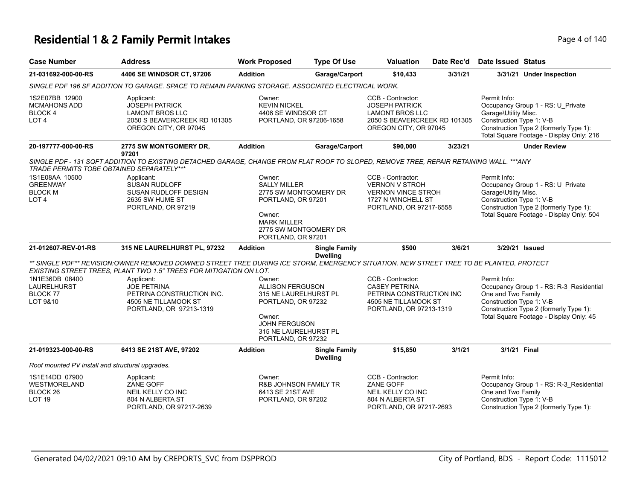### **Residential 1 & 2 Family Permit Intakes Page 1 and 2 and 2 and 2 and 2 and 2 and 2 and 2 and 2 and 2 and 2 and 2 and 2 and 2 and 2 and 2 and 2 and 2 and 2 and 2 and 2 and 2 and 2 and 2 and 2 and 2 and 2 and 2 and 2 and**

| <b>Case Number</b>                                                                                                   | <b>Address</b>                                                                                                                                                                                                                                        | <b>Work Proposed</b>                                                                                                                                              | <b>Type Of Use</b>                      | <b>Valuation</b>                                                                                                              | Date Rec'd | <b>Date Issued Status</b>                                        |                                                                                                                              |
|----------------------------------------------------------------------------------------------------------------------|-------------------------------------------------------------------------------------------------------------------------------------------------------------------------------------------------------------------------------------------------------|-------------------------------------------------------------------------------------------------------------------------------------------------------------------|-----------------------------------------|-------------------------------------------------------------------------------------------------------------------------------|------------|------------------------------------------------------------------|------------------------------------------------------------------------------------------------------------------------------|
| 21-031692-000-00-RS                                                                                                  | 4406 SE WINDSOR CT, 97206                                                                                                                                                                                                                             | <b>Addition</b>                                                                                                                                                   | Garage/Carport                          | \$10,433                                                                                                                      | 3/31/21    |                                                                  | 3/31/21 Under Inspection                                                                                                     |
|                                                                                                                      | SINGLE PDF 196 SF ADDITION TO GARAGE. SPACE TO REMAIN PARKING STORAGE. ASSOCIATED ELECTRICAL WORK.                                                                                                                                                    |                                                                                                                                                                   |                                         |                                                                                                                               |            |                                                                  |                                                                                                                              |
| 1S2E07BB 12900<br><b>MCMAHONS ADD</b><br><b>BLOCK4</b><br>LOT <sub>4</sub>                                           | Applicant:<br><b>JOSEPH PATRICK</b><br><b>LAMONT BROS LLC</b><br>2050 S BEAVERCREEK RD 101305<br>OREGON CITY, OR 97045                                                                                                                                | Owner:<br><b>KEVIN NICKEL</b><br>4406 SE WINDSOR CT<br>PORTLAND, OR 97206-1658                                                                                    |                                         | CCB - Contractor:<br><b>JOSEPH PATRICK</b><br><b>LAMONT BROS LLC</b><br>2050 S BEAVERCREEK RD 101305<br>OREGON CITY, OR 97045 |            | Permit Info:<br>Garage\Utility Misc.<br>Construction Type 1: V-B | Occupancy Group 1 - RS: U Private<br>Construction Type 2 (formerly Type 1):<br>Total Square Footage - Display Only: 216      |
| 20-197777-000-00-RS                                                                                                  | 2775 SW MONTGOMERY DR,<br>97201                                                                                                                                                                                                                       | <b>Addition</b>                                                                                                                                                   | Garage/Carport                          | \$90,000                                                                                                                      | 3/23/21    |                                                                  | <b>Under Review</b>                                                                                                          |
| TRADE PERMITS TOBE OBTAINED SEPARATELY***<br>1S1E08AA 10500<br><b>GREENWAY</b><br><b>BLOCK M</b><br>LOT <sub>4</sub> | SINGLE PDF - 131 SQFT ADDITION TO EXISTING DETACHED GARAGE, CHANGE FROM FLAT ROOF TO SLOPED, REMOVE TREE, REPAIR RETAINING WALL. ***ANY<br>Applicant:<br><b>SUSAN RUDLOFF</b><br><b>SUSAN RUDLOFF DESIGN</b><br>2635 SW HUME ST<br>PORTLAND, OR 97219 | Owner:<br><b>SALLY MILLER</b><br>2775 SW MONTGOMERY DR<br>PORTLAND, OR 97201<br>Owner:<br><b>MARK MILLER</b><br>2775 SW MONTGOMERY DR<br>PORTLAND, OR 97201       |                                         | CCB - Contractor:<br><b>VERNON V STROH</b><br><b>VERNON VINCE STROH</b><br>1727 N WINCHELL ST<br>PORTLAND, OR 97217-6558      |            | Permit Info:<br>Garage\Utility Misc.<br>Construction Type 1: V-B | Occupancy Group 1 - RS: U Private<br>Construction Type 2 (formerly Type 1):<br>Total Square Footage - Display Only: 504      |
| 21-012607-REV-01-RS                                                                                                  | 315 NE LAURELHURST PL, 97232                                                                                                                                                                                                                          | <b>Addition</b>                                                                                                                                                   | <b>Single Family</b>                    | \$500                                                                                                                         | 3/6/21     |                                                                  | 3/29/21 Issued                                                                                                               |
|                                                                                                                      | ** SINGLE PDF** REVISION:OWNER REMOVED DOWNED STREET TREE DURING ICE STORM, EMERGENCY SITUATION. NEW STREET TREE TO BE PLANTED, PROTECT<br>EXISTING STREET TREES, PLANT TWO 1.5" TREES FOR MITIGATION ON LOT.                                         |                                                                                                                                                                   | <b>Dwelling</b>                         |                                                                                                                               |            |                                                                  |                                                                                                                              |
| 1N1E36DB 08400<br><b>LAURELHURST</b><br>BLOCK 77<br>LOT 9&10                                                         | Applicant:<br><b>JOE PETRINA</b><br>PETRINA CONSTRUCTION INC.<br>4505 NE TILLAMOOK ST<br>PORTLAND, OR 97213-1319                                                                                                                                      | Owner:<br><b>ALLISON FERGUSON</b><br>315 NE LAURELHURST PL<br>PORTLAND, OR 97232<br>Owner:<br><b>JOHN FERGUSON</b><br>315 NE LAURELHURST PL<br>PORTLAND, OR 97232 |                                         | CCB - Contractor:<br><b>CASEY PETRINA</b><br>PETRINA CONSTRUCTION INC<br>4505 NE TILLAMOOK ST<br>PORTLAND, OR 97213-1319      |            | Permit Info:<br>One and Two Family<br>Construction Type 1: V-B   | Occupancy Group 1 - RS: R-3_Residential<br>Construction Type 2 (formerly Type 1):<br>Total Square Footage - Display Only: 45 |
| 21-019323-000-00-RS                                                                                                  | 6413 SE 21ST AVE, 97202                                                                                                                                                                                                                               | <b>Addition</b>                                                                                                                                                   | <b>Single Family</b><br><b>Dwelling</b> | \$15,850                                                                                                                      | 3/1/21     | 3/1/21 Final                                                     |                                                                                                                              |
| Roof mounted PV install and structural upgrades.                                                                     |                                                                                                                                                                                                                                                       |                                                                                                                                                                   |                                         |                                                                                                                               |            |                                                                  |                                                                                                                              |
| 1S1E14DD 07900<br><b>WESTMORELAND</b><br>BLOCK <sub>26</sub><br>LOT <sub>19</sub>                                    | Applicant:<br>ZANE GOFF<br>NEIL KELLY CO INC<br>804 N ALBERTA ST<br>PORTLAND, OR 97217-2639                                                                                                                                                           | Owner:<br><b>R&amp;B JOHNSON FAMILY TR</b><br>6413 SE 21ST AVE<br>PORTLAND, OR 97202                                                                              |                                         | CCB - Contractor:<br>ZANE GOFF<br>NEIL KELLY CO INC<br>804 N ALBERTA ST<br>PORTLAND, OR 97217-2693                            |            | Permit Info:<br>One and Two Family<br>Construction Type 1: V-B   | Occupancy Group 1 - RS: R-3_Residential<br>Construction Type 2 (formerly Type 1):                                            |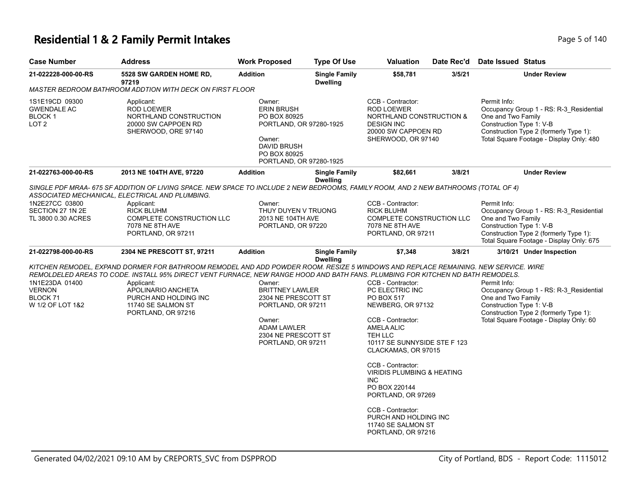### **Residential 1 & 2 Family Permit Intakes Page 140** Page 1 40

| <b>Case Number</b>                                                  | <b>Address</b>                                                                                                                                                                                                                                                                                                                                                                 | <b>Work Proposed</b>                                                                                                                                       | <b>Type Of Use</b>                      | <b>Valuation</b>                                                                                                                                                                                                                                                                                                                                                                                 | Date Rec'd | <b>Date Issued Status</b>                                                                                                                                                                       |  |
|---------------------------------------------------------------------|--------------------------------------------------------------------------------------------------------------------------------------------------------------------------------------------------------------------------------------------------------------------------------------------------------------------------------------------------------------------------------|------------------------------------------------------------------------------------------------------------------------------------------------------------|-----------------------------------------|--------------------------------------------------------------------------------------------------------------------------------------------------------------------------------------------------------------------------------------------------------------------------------------------------------------------------------------------------------------------------------------------------|------------|-------------------------------------------------------------------------------------------------------------------------------------------------------------------------------------------------|--|
| 21-022228-000-00-RS                                                 | <b>5528 SW GARDEN HOME RD,</b><br>97219                                                                                                                                                                                                                                                                                                                                        | <b>Addition</b>                                                                                                                                            | <b>Single Family</b><br><b>Dwelling</b> | \$58,781                                                                                                                                                                                                                                                                                                                                                                                         | 3/5/21     | <b>Under Review</b>                                                                                                                                                                             |  |
|                                                                     | MASTER BEDROOM BATHROOM ADDTION WITH DECK ON FIRST FLOOR                                                                                                                                                                                                                                                                                                                       |                                                                                                                                                            |                                         |                                                                                                                                                                                                                                                                                                                                                                                                  |            |                                                                                                                                                                                                 |  |
| 1S1E19CD 09300<br><b>GWENDALE AC</b><br>BLOCK 1<br>LOT <sub>2</sub> | Applicant:<br><b>ROD LOEWER</b><br>NORTHLAND CONSTRUCTION<br>20000 SW CAPPOEN RD<br>SHERWOOD, ORE 97140                                                                                                                                                                                                                                                                        | Owner:<br><b>ERIN BRUSH</b><br>PO BOX 80925<br>PORTLAND, OR 97280-1925<br>Owner:<br>DAVID BRUSH<br>PO BOX 80925<br>PORTLAND, OR 97280-1925                 |                                         | CCB - Contractor:<br><b>ROD LOEWER</b><br><b>NORTHLAND CONSTRUCTION &amp;</b><br><b>DESIGN INC</b><br>20000 SW CAPPOEN RD<br>SHERWOOD, OR 97140                                                                                                                                                                                                                                                  |            | Permit Info:<br>Occupancy Group 1 - RS: R-3_Residential<br>One and Two Family<br>Construction Type 1: V-B<br>Construction Type 2 (formerly Type 1):<br>Total Square Footage - Display Only: 480 |  |
| 21-022763-000-00-RS                                                 | 2013 NE 104TH AVE, 97220                                                                                                                                                                                                                                                                                                                                                       | <b>Addition</b>                                                                                                                                            | <b>Single Family</b>                    | \$82,661                                                                                                                                                                                                                                                                                                                                                                                         | 3/8/21     | <b>Under Review</b>                                                                                                                                                                             |  |
| 1N2E27CC 03800<br>SECTION 27 1N 2E<br>TL 3800 0.30 ACRES            | SINGLE PDF MRAA- 675 SF ADDITION OF LIVING SPACE. NEW SPACE TO INCLUDE 2 NEW BEDROOMS, FAMILY ROOM, AND 2 NEW BATHROOMS (TOTAL OF 4)<br>ASSOCIATED MECHANICAL, ELECTRICAL AND PLUMBING.<br>Applicant:<br><b>RICK BLUHM</b><br>COMPLETE CONSTRUCTION LLC<br>7078 NE 8TH AVE<br>PORTLAND, OR 97211                                                                               | Owner:<br>THUY DUYEN V TRUONG<br>2013 NE 104TH AVE<br>PORTLAND, OR 97220                                                                                   | <b>Dwelling</b>                         | CCB - Contractor:<br><b>RICK BLUHM</b><br>COMPLETE CONSTRUCTION LLC<br>7078 NE 8TH AVE<br>PORTLAND, OR 97211                                                                                                                                                                                                                                                                                     |            | Permit Info:<br>Occupancy Group 1 - RS: R-3_Residential<br>One and Two Family<br>Construction Type 1: V-B<br>Construction Type 2 (formerly Type 1):<br>Total Square Footage - Display Only: 675 |  |
| 21-022798-000-00-RS                                                 | 2304 NE PRESCOTT ST, 97211                                                                                                                                                                                                                                                                                                                                                     | <b>Addition</b>                                                                                                                                            | <b>Single Family</b>                    | \$7,348                                                                                                                                                                                                                                                                                                                                                                                          | 3/8/21     | 3/10/21 Under Inspection                                                                                                                                                                        |  |
| 1N1E23DA 01400<br><b>VERNON</b><br>BLOCK 71<br>W 1/2 OF LOT 1&2     | KITCHEN REMODEL. EXPAND DORMER FOR BATHROOM REMODEL AND ADD POWDER ROOM. RESIZE 5 WINDOWS AND REPLACE REMAINING. NEW SERVICE. WIRE<br>REMOLDELED AREAS TO CODE. INSTALL 95% DIRECT VENT FURNACE, NEW RANGE HOOD AND BATH FANS. PLUMBING FOR KITCHEN ND BATH REMODELS.<br>Applicant:<br>APOLINARIO ANCHETA<br>PURCH AND HOLDING INC<br>11740 SE SALMON ST<br>PORTLAND, OR 97216 | Owner:<br><b>BRITTNEY LAWLER</b><br>2304 NE PRESCOTT ST<br>PORTLAND, OR 97211<br>Owner:<br><b>ADAM LAWLER</b><br>2304 NE PRESCOTT ST<br>PORTLAND, OR 97211 | <b>Dwelling</b>                         | CCB - Contractor:<br>PC ELECTRIC INC<br>PO BOX 517<br>NEWBERG, OR 97132<br>CCB - Contractor:<br><b>AMELA ALIC</b><br>TEH LLC<br>10117 SE SUNNYSIDE STE F 123<br>CLACKAMAS, OR 97015<br>CCB - Contractor:<br><b>VIRIDIS PLUMBING &amp; HEATING</b><br><b>INC</b><br>PO BOX 220144<br>PORTLAND, OR 97269<br>CCB - Contractor:<br>PURCH AND HOLDING INC<br>11740 SE SALMON ST<br>PORTLAND, OR 97216 |            | Permit Info:<br>Occupancy Group 1 - RS: R-3 Residential<br>One and Two Family<br>Construction Type 1: V-B<br>Construction Type 2 (formerly Type 1):<br>Total Square Footage - Display Only: 60  |  |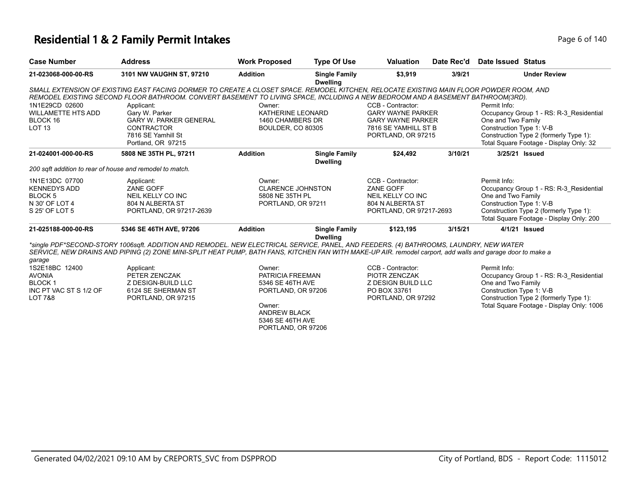### **Residential 1 & 2 Family Permit Intakes Page 140 Residential 1 & 2 Family Permit Intakes**

| <b>Case Number</b>                                                                              | <b>Address</b>                                                                                                                                                                                                                                                                                                                                                                                               | <b>Work Proposed</b>                                                                                                                            | <b>Type Of Use</b>                      | <b>Valuation</b>                                                                                                        | Date Rec'd | Date Issued Status                                             |                                                                                                                                |
|-------------------------------------------------------------------------------------------------|--------------------------------------------------------------------------------------------------------------------------------------------------------------------------------------------------------------------------------------------------------------------------------------------------------------------------------------------------------------------------------------------------------------|-------------------------------------------------------------------------------------------------------------------------------------------------|-----------------------------------------|-------------------------------------------------------------------------------------------------------------------------|------------|----------------------------------------------------------------|--------------------------------------------------------------------------------------------------------------------------------|
| 21-023068-000-00-RS                                                                             | 3101 NW VAUGHN ST, 97210                                                                                                                                                                                                                                                                                                                                                                                     | <b>Addition</b>                                                                                                                                 | <b>Single Family</b><br><b>Dwelling</b> | \$3,919                                                                                                                 | 3/9/21     |                                                                | <b>Under Review</b>                                                                                                            |
| 1N1E29CD 02600<br>WILLAMETTE HTS ADD<br>BLOCK 16<br>LOT 13                                      | SMALL EXTENSION OF EXISTING EAST FACING DORMER TO CREATE A CLOSET SPACE. REMODEL KITCHEN, RELOCATE EXISTING MAIN FLOOR POWDER ROOM, AND<br>REMODEL EXISTING SECOND FLOOR BATHROOM. CONVERT BASEMENT TO LIVING SPACE, INCLUDING A NEW BEDROOM AND A BASEMENT BATHROOM(3RD).<br>Applicant:<br>Gary W. Parker<br><b>GARY W. PARKER GENERAL</b><br><b>CONTRACTOR</b><br>7816 SE Yamhill St<br>Portland, OR 97215 | Owner:<br>KATHERINE LEONARD<br>1460 CHAMBERS DR<br><b>BOULDER, CO 80305</b>                                                                     |                                         | CCB - Contractor:<br><b>GARY WAYNE PARKER</b><br><b>GARY WAYNE PARKER</b><br>7816 SE YAMHILL ST B<br>PORTLAND, OR 97215 |            | Permit Info:<br>One and Two Family<br>Construction Type 1: V-B | Occupancy Group 1 - RS: R-3 Residential<br>Construction Type 2 (formerly Type 1):<br>Total Square Footage - Display Only: 32   |
| 21-024001-000-00-RS                                                                             | 5808 NE 35TH PL. 97211                                                                                                                                                                                                                                                                                                                                                                                       | <b>Addition</b>                                                                                                                                 | <b>Single Family</b><br><b>Dwelling</b> | \$24.492                                                                                                                | 3/10/21    | 3/25/21 Issued                                                 |                                                                                                                                |
| 200 sqft addition to rear of house and remodel to match.                                        |                                                                                                                                                                                                                                                                                                                                                                                                              |                                                                                                                                                 |                                         |                                                                                                                         |            |                                                                |                                                                                                                                |
| 1N1E13DC 07700<br><b>KENNEDYS ADD</b><br>BLOCK 5<br>N 30' OF LOT 4<br>S 25' OF LOT 5            | Applicant:<br><b>ZANE GOFF</b><br>NEIL KELLY CO INC<br>804 N ALBERTA ST<br>PORTLAND, OR 97217-2639                                                                                                                                                                                                                                                                                                           | Owner:<br><b>CLARENCE JOHNSTON</b><br>5808 NE 35TH PL<br>PORTLAND, OR 97211                                                                     |                                         | CCB - Contractor:<br>ZANE GOFF<br>NEIL KELLY CO INC<br>804 N ALBERTA ST<br>PORTLAND, OR 97217-2693                      |            | Permit Info:<br>One and Two Family<br>Construction Type 1: V-B | Occupancy Group 1 - RS: R-3 Residential<br>Construction Type 2 (formerly Type 1):<br>Total Square Footage - Display Only: 200  |
| 21-025188-000-00-RS                                                                             | 5346 SE 46TH AVE, 97206                                                                                                                                                                                                                                                                                                                                                                                      | <b>Addition</b>                                                                                                                                 | <b>Single Family</b><br><b>Dwelling</b> | \$123,195                                                                                                               | 3/15/21    |                                                                | 4/1/21 Issued                                                                                                                  |
| garage<br>1S2E18BC 12400<br><b>AVONIA</b><br><b>BLOCK1</b><br>INC PT VAC ST S 1/2 OF<br>LOT 7&8 | *single PDF*SECOND-STORY 1006sqft. ADDITION AND REMODEL. NEW ELECTRICAL SERVICE, PANEL, AND FEEDERS. (4) BATHROOMS, LAUNDRY, NEW WATER<br>SERVICE, NEW DRAINS AND PIPING (2) ZONE MINI-SPLIT HEAT PUMP, BATH FANS, KITCHEN FAN WITH MAKE-UP AIR, remodel carport, add walls and garage door to make a<br>Applicant:<br>PETER ZENCZAK<br>Z DESIGN-BUILD LLC<br>6124 SE SHERMAN ST<br>PORTLAND, OR 97215       | Owner:<br>PATRICIA FREEMAN<br>5346 SE 46TH AVE<br>PORTLAND, OR 97206<br>Owner:<br><b>ANDREW BLACK</b><br>5346 SE 46TH AVE<br>PORTLAND, OR 97206 |                                         | CCB - Contractor:<br>PIOTR ZENCZAK<br><b>Z DESIGN BUILD LLC</b><br>PO BOX 33761<br>PORTLAND, OR 97292                   |            | Permit Info:<br>One and Two Family<br>Construction Type 1: V-B | Occupancy Group 1 - RS: R-3 Residential<br>Construction Type 2 (formerly Type 1):<br>Total Square Footage - Display Only: 1006 |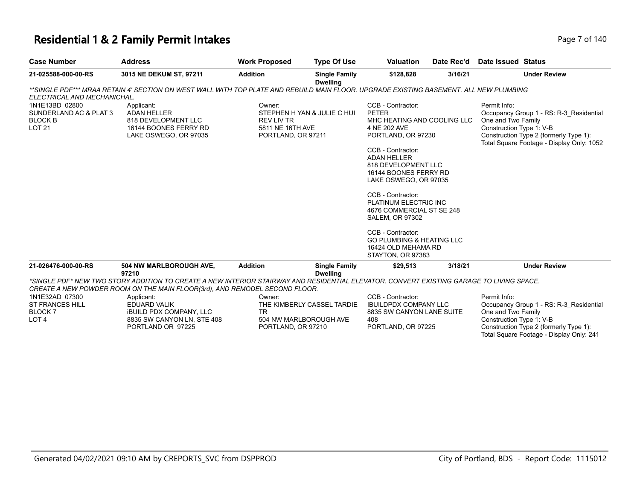#### **Residential 1 & 2 Family Permit Intakes Page 7 of 140** Page 7 of 140

| <b>Case Number</b>                                                                 | <b>Address</b>                                                                                                                                                                                                         | <b>Work Proposed</b>                                           | <b>Type Of Use</b>                                   | <b>Valuation</b>                                                                                                                                                                                                                                                                                                                                                                                                                         | Date Rec'd | <b>Date Issued Status</b>                                                                                                                                                                        |
|------------------------------------------------------------------------------------|------------------------------------------------------------------------------------------------------------------------------------------------------------------------------------------------------------------------|----------------------------------------------------------------|------------------------------------------------------|------------------------------------------------------------------------------------------------------------------------------------------------------------------------------------------------------------------------------------------------------------------------------------------------------------------------------------------------------------------------------------------------------------------------------------------|------------|--------------------------------------------------------------------------------------------------------------------------------------------------------------------------------------------------|
| 21-025588-000-00-RS                                                                | 3015 NE DEKUM ST, 97211                                                                                                                                                                                                | <b>Addition</b>                                                | <b>Single Family</b><br><b>Dwelling</b>              | \$128,828                                                                                                                                                                                                                                                                                                                                                                                                                                | 3/16/21    | <b>Under Review</b>                                                                                                                                                                              |
| ELECTRICAL AND MECHANICHAL.                                                        | **SINGLE PDF*** MRAA RETAIN 4' SECTION ON WEST WALL WITH TOP PLATE AND REBUILD MAIN FLOOR. UPGRADE EXISTING BASEMENT. ALL NEW PLUMBING                                                                                 |                                                                |                                                      |                                                                                                                                                                                                                                                                                                                                                                                                                                          |            |                                                                                                                                                                                                  |
| 1N1E13BD 02800<br>SUNDERLAND AC & PLAT 3<br><b>BLOCK B</b><br><b>LOT 21</b>        | Applicant:<br>ADAN HELLER<br>818 DEVELOPMENT LLC<br>16144 BOONES FERRY RD<br>LAKE OSWEGO, OR 97035                                                                                                                     | Owner:<br>REV LIV TR<br>5811 NE 16TH AVE<br>PORTLAND, OR 97211 | STEPHEN H YAN & JULIE C HUI                          | CCB - Contractor:<br><b>PETER</b><br>MHC HEATING AND COOLING LLC<br>4 NE 202 AVE<br>PORTLAND, OR 97230<br>CCB - Contractor:<br><b>ADAN HELLER</b><br>818 DEVELOPMENT LLC<br>16144 BOONES FERRY RD<br>LAKE OSWEGO, OR 97035<br>CCB - Contractor:<br>PLATINUM ELECTRIC INC<br>4676 COMMERCIAL ST SE 248<br><b>SALEM, OR 97302</b><br>CCB - Contractor:<br><b>GO PLUMBING &amp; HEATING LLC</b><br>16424 OLD MEHAMA RD<br>STAYTON, OR 97383 |            | Permit Info:<br>Occupancy Group 1 - RS: R-3_Residential<br>One and Two Family<br>Construction Type 1: V-B<br>Construction Type 2 (formerly Type 1):<br>Total Square Footage - Display Only: 1052 |
| 21-026476-000-00-RS                                                                | 504 NW MARLBOROUGH AVE,<br>97210                                                                                                                                                                                       | <b>Addition</b>                                                | <b>Single Family</b><br><b>Dwelling</b>              | \$29.513                                                                                                                                                                                                                                                                                                                                                                                                                                 | 3/18/21    | <b>Under Review</b>                                                                                                                                                                              |
|                                                                                    | *SINGLE PDF* NEW TWO STORY ADDITION TO CREATE A NEW INTERIOR STAIRWAY AND RESIDENTIAL ELEVATOR. CONVERT EXISTING GARAGE TO LIVING SPACE.<br>CREATE A NEW POWDER ROOM ON THE MAIN FLOOR(3rd), AND REMODEL SECOND FLOOR. |                                                                |                                                      |                                                                                                                                                                                                                                                                                                                                                                                                                                          |            |                                                                                                                                                                                                  |
| 1N1E32AD 07300<br><b>ST FRANCES HILL</b><br>BLOCK <sub>7</sub><br>LOT <sub>4</sub> | Applicant:<br>EDUARD VALIK<br><b>IBUILD PDX COMPANY, LLC</b><br>8835 SW CANYON LN, STE 408<br>PORTLAND OR 97225                                                                                                        | Owner:<br><b>TR</b><br>PORTLAND, OR 97210                      | THE KIMBERLY CASSEL TARDIE<br>504 NW MARLBOROUGH AVE | CCB - Contractor:<br><b>IBUILDPDX COMPANY LLC</b><br>8835 SW CANYON LANE SUITE<br>408<br>PORTLAND, OR 97225                                                                                                                                                                                                                                                                                                                              |            | Permit Info:<br>Occupancy Group 1 - RS: R-3 Residential<br>One and Two Family<br>Construction Type 1: V-B<br>Construction Type 2 (formerly Type 1):                                              |

Total Square Footage - Display Only: 241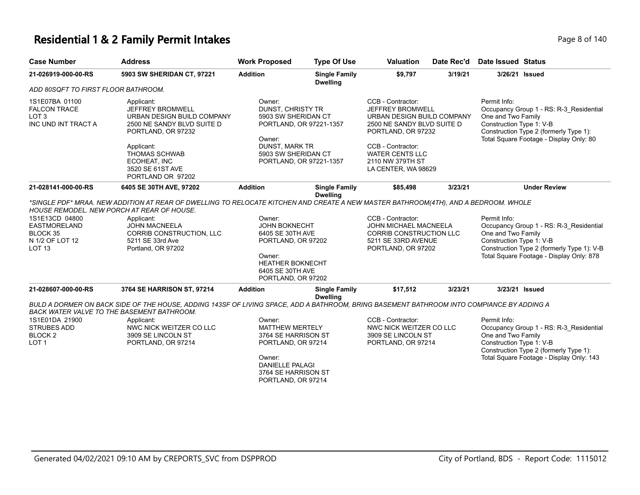### **Residential 1 & 2 Family Permit Intakes Page 140** and **Page 8 of 140** and **Page 8 of 140**

| <b>Case Number</b>                                                                    | <b>Address</b>                                                                                                                                                                                                                                                               | <b>Work Proposed</b>                                                                                                                                                                                                                                                                                              | <b>Type Of Use</b>                      | <b>Valuation</b>                                                                                                                                                                                                  | Date Rec'd | <b>Date Issued Status</b>                                                                                                                                                                           |
|---------------------------------------------------------------------------------------|------------------------------------------------------------------------------------------------------------------------------------------------------------------------------------------------------------------------------------------------------------------------------|-------------------------------------------------------------------------------------------------------------------------------------------------------------------------------------------------------------------------------------------------------------------------------------------------------------------|-----------------------------------------|-------------------------------------------------------------------------------------------------------------------------------------------------------------------------------------------------------------------|------------|-----------------------------------------------------------------------------------------------------------------------------------------------------------------------------------------------------|
| 21-026919-000-00-RS                                                                   | 5903 SW SHERIDAN CT, 97221                                                                                                                                                                                                                                                   | <b>Addition</b>                                                                                                                                                                                                                                                                                                   | <b>Single Family</b><br><b>Dwelling</b> | \$9,797                                                                                                                                                                                                           | 3/19/21    | 3/26/21 Issued                                                                                                                                                                                      |
| ADD 80SQFT TO FIRST FLOOR BATHROOM.                                                   |                                                                                                                                                                                                                                                                              |                                                                                                                                                                                                                                                                                                                   |                                         |                                                                                                                                                                                                                   |            |                                                                                                                                                                                                     |
| 1S1E07BA 01100<br><b>FALCON TRACE</b><br>LOT <sub>3</sub><br>INC UND INT TRACT A      | Applicant:<br>JEFFREY BROMWELL<br>URBAN DESIGN BUILD COMPANY<br>2500 NE SANDY BLVD SUITE D<br>PORTLAND, OR 97232<br>Applicant:<br><b>THOMAS SCHWAB</b><br>ECOHEAT, INC<br>3520 SE 61ST AVE<br>PORTLAND OR 97202                                                              | Owner:<br>DUNST, CHRISTY TR<br>5903 SW SHERIDAN CT<br>PORTLAND, OR 97221-1357<br>Owner:<br><b>DUNST, MARK TR</b><br>5903 SW SHERIDAN CT<br>PORTLAND, OR 97221-1357                                                                                                                                                |                                         | CCB - Contractor:<br>JEFFREY BROMWELL<br>URBAN DESIGN BUILD COMPANY<br>2500 NE SANDY BLVD SUITE D<br>PORTLAND, OR 97232<br>CCB - Contractor:<br><b>WATER CENTS LLC</b><br>2110 NW 379TH ST<br>LA CENTER, WA 98629 |            | Permit Info:<br>Occupancy Group 1 - RS: R-3_Residential<br>One and Two Family<br>Construction Type 1: V-B<br>Construction Type 2 (formerly Type 1):<br>Total Square Footage - Display Only: 80      |
| 21-028141-000-00-RS                                                                   | 6405 SE 30TH AVE, 97202                                                                                                                                                                                                                                                      | <b>Addition</b>                                                                                                                                                                                                                                                                                                   | <b>Single Family</b>                    | \$85,498                                                                                                                                                                                                          | 3/23/21    | <b>Under Review</b>                                                                                                                                                                                 |
| 1S1E13CD 04800<br><b>EASTMORELAND</b><br>BLOCK 35<br>N 1/2 OF LOT 12<br><b>LOT 13</b> | HOUSE REMODEL. NEW PORCH AT REAR OF HOUSE.<br>Applicant:<br><b>JOHN MACNEELA</b><br>CORRIB CONSTRUCTION, LLC<br>5211 SE 33rd Ave<br>Portland, OR 97202                                                                                                                       | <b>Dwelling</b><br>*SINGLE PDF* MRAA. NEW ADDITION AT REAR OF DWELLING TO RELOCATE KITCHEN AND CREATE A NEW MASTER BATHROOM(4TH), AND A BEDROOM. WHOLE<br>Owner:<br><b>JOHN BOKNECHT</b><br>6405 SE 30TH AVE<br>PORTLAND, OR 97202<br>Owner:<br><b>HEATHER BOKNECHT</b><br>6405 SE 30TH AVE<br>PORTLAND, OR 97202 |                                         | CCB - Contractor:<br><b>JOHN MICHAEL MACNEELA</b><br>CORRIB CONSTRUCTION LLC<br>5211 SE 33RD AVENUE<br>PORTLAND, OR 97202                                                                                         |            | Permit Info:<br>Occupancy Group 1 - RS: R-3 Residential<br>One and Two Family<br>Construction Type 1: V-B<br>Construction Type 2 (formerly Type 1): V-B<br>Total Square Footage - Display Only: 878 |
| 21-028607-000-00-RS                                                                   | 3764 SE HARRISON ST, 97214                                                                                                                                                                                                                                                   | <b>Addition</b>                                                                                                                                                                                                                                                                                                   | <b>Single Family</b><br><b>Dwelling</b> | \$17,512                                                                                                                                                                                                          | 3/23/21    | 3/23/21 Issued                                                                                                                                                                                      |
| 1S1E01DA 21900<br><b>STRUBES ADD</b><br><b>BLOCK 2</b><br>LOT <sub>1</sub>            | BULD A DORMER ON BACK SIDE OF THE HOUSE, ADDING 143SF OF LIVING SPACE, ADD A BATHROOM, BRING BASEMENT BATHROOM INTO COMPIANCE BY ADDING A<br>BACK WATER VALVE TO THE BASEMENT BATHROOM.<br>Applicant:<br>NWC NICK WEITZER CO LLC<br>3909 SE LINCOLN ST<br>PORTLAND, OR 97214 | Owner:<br><b>MATTHEW MERTELY</b><br>3764 SE HARRISON ST<br>PORTLAND, OR 97214<br>Owner:<br><b>DANIELLE PALAGI</b><br>3764 SE HARRISON ST<br>PORTLAND, OR 97214                                                                                                                                                    |                                         | CCB - Contractor:<br>NWC NICK WEITZER CO LLC<br>3909 SE LINCOLN ST<br>PORTLAND, OR 97214                                                                                                                          |            | Permit Info:<br>Occupancy Group 1 - RS: R-3_Residential<br>One and Two Family<br>Construction Type 1: V-B<br>Construction Type 2 (formerly Type 1):<br>Total Square Footage - Display Only: 143     |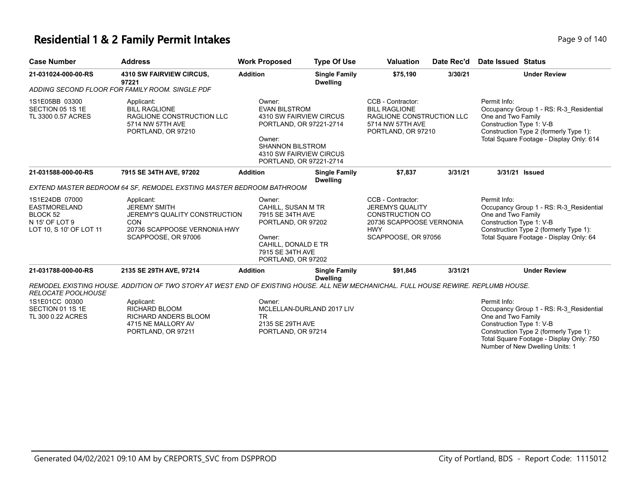#### **Residential 1 & 2 Family Permit Intakes Page 140** Page 9 of 140

| <b>Case Number</b>                                                                                        | <b>Address</b>                                                                                                                          | <b>Work Proposed</b>                                                                                                                                                            | <b>Type Of Use</b>                      | <b>Valuation</b>                                                                                                                       | Date Rec'd | Date Issued Status                                                                                                                                                                                                                 |
|-----------------------------------------------------------------------------------------------------------|-----------------------------------------------------------------------------------------------------------------------------------------|---------------------------------------------------------------------------------------------------------------------------------------------------------------------------------|-----------------------------------------|----------------------------------------------------------------------------------------------------------------------------------------|------------|------------------------------------------------------------------------------------------------------------------------------------------------------------------------------------------------------------------------------------|
| 21-031024-000-00-RS                                                                                       | <b>4310 SW FAIRVIEW CIRCUS,</b><br>97221                                                                                                | <b>Addition</b>                                                                                                                                                                 | <b>Single Family</b><br><b>Dwelling</b> | \$75,190                                                                                                                               | 3/30/21    | <b>Under Review</b>                                                                                                                                                                                                                |
|                                                                                                           | ADDING SECOND FLOOR FOR FAMILY ROOM. SINGLE PDF                                                                                         |                                                                                                                                                                                 |                                         |                                                                                                                                        |            |                                                                                                                                                                                                                                    |
| 1S1E05BB 03300<br>SECTION 05 1S 1E<br>TL 3300 0.57 ACRES                                                  | Applicant:<br><b>BILL RAGLIONE</b><br>RAGLIONE CONSTRUCTION LLC<br>5714 NW 57TH AVE<br>PORTLAND, OR 97210                               | Owner:<br><b>EVAN BILSTROM</b><br>4310 SW FAIRVIEW CIRCUS<br>PORTLAND, OR 97221-2714<br>Owner:<br><b>SHANNON BILSTROM</b><br>4310 SW FAIRVIEW CIRCUS<br>PORTLAND, OR 97221-2714 |                                         | CCB - Contractor:<br><b>BILL RAGLIONE</b><br>RAGLIONE CONSTRUCTION LLC<br>5714 NW 57TH AVE<br>PORTLAND, OR 97210                       |            | Permit Info:<br>Occupancy Group 1 - RS: R-3_Residential<br>One and Two Family<br>Construction Type 1: V-B<br>Construction Type 2 (formerly Type 1):<br>Total Square Footage - Display Only: 614                                    |
| 21-031588-000-00-RS                                                                                       | 7915 SE 34TH AVE, 97202                                                                                                                 | <b>Addition</b>                                                                                                                                                                 | <b>Single Family</b><br><b>Dwelling</b> | \$7,837                                                                                                                                | 3/31/21    | 3/31/21 Issued                                                                                                                                                                                                                     |
|                                                                                                           | EXTEND MASTER BEDROOM 64 SF, REMODEL EXSTING MASTER BEDROOM BATHROOM                                                                    |                                                                                                                                                                                 |                                         |                                                                                                                                        |            |                                                                                                                                                                                                                                    |
| 1S1E24DB 07000<br><b>EASTMORELAND</b><br>BLOCK <sub>52</sub><br>N 15' OF LOT 9<br>LOT 10, S 10' OF LOT 11 | Applicant:<br><b>JEREMY SMITH</b><br>JEREMY'S QUALITY CONSTRUCTION<br><b>CON</b><br>20736 SCAPPOOSE VERNONIA HWY<br>SCAPPOOSE, OR 97006 | Owner:<br><b>CAHILL, SUSAN M TR</b><br>7915 SE 34TH AVE<br>PORTLAND, OR 97202<br>Owner:<br>CAHILL, DONALD E TR<br>7915 SE 34TH AVE<br>PORTLAND, OR 97202                        |                                         | CCB - Contractor:<br><b>JEREMYS QUALITY</b><br><b>CONSTRUCTION CO</b><br>20736 SCAPPOOSE VERNONIA<br><b>HWY</b><br>SCAPPOOSE, OR 97056 |            | Permit Info:<br>Occupancy Group 1 - RS: R-3_Residential<br>One and Two Family<br>Construction Type 1: V-B<br>Construction Type 2 (formerly Type 1):<br>Total Square Footage - Display Only: 64                                     |
| 21-031788-000-00-RS                                                                                       | 2135 SE 29TH AVE, 97214                                                                                                                 | <b>Addition</b>                                                                                                                                                                 | <b>Single Family</b><br><b>Dwelling</b> | \$91,845                                                                                                                               | 3/31/21    | <b>Under Review</b>                                                                                                                                                                                                                |
| <b>RELOCATE POOLHOUSE</b>                                                                                 | REMODEL EXISTING HOUSE. ADDITION OF TWO STORY AT WEST END OF EXISTING HOUSE. ALL NEW MECHANICHAL. FULL HOUSE REWIRE. REPLUMB HOUSE.     |                                                                                                                                                                                 |                                         |                                                                                                                                        |            |                                                                                                                                                                                                                                    |
| 1S1E01CC 00300<br>SECTION 01 1S 1E<br>TL 300 0.22 ACRES                                                   | Applicant:<br><b>RICHARD BLOOM</b><br><b>RICHARD ANDERS BLOOM</b><br>4715 NE MALLORY AV<br>PORTLAND, OR 97211                           | Owner:<br><b>TR</b><br>2135 SE 29TH AVE<br>PORTLAND, OR 97214                                                                                                                   | MCLELLAN-DURLAND 2017 LIV               |                                                                                                                                        |            | Permit Info:<br>Occupancy Group 1 - RS: R-3_Residential<br>One and Two Family<br>Construction Type 1: V-B<br>Construction Type 2 (formerly Type 1):<br>Total Square Footage - Display Only: 750<br>Number of New Dwelling Units: 1 |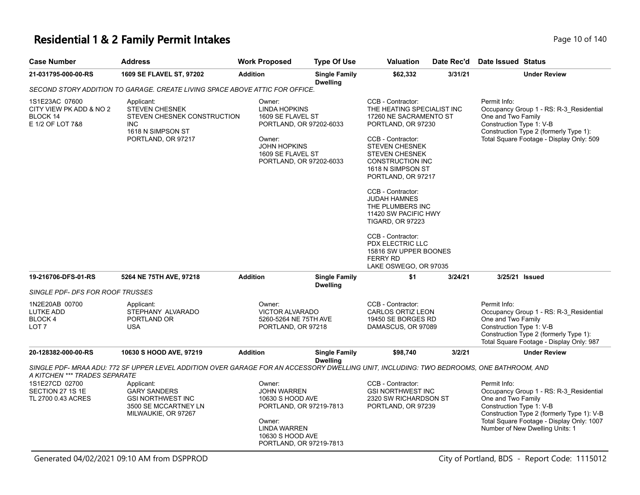# **Residential 1 & 2 Family Permit Intakes Page 10 of 140** Page 10 of 140

| <b>Case Number</b>                                                        | <b>Address</b>                                                                                                                           | <b>Work Proposed</b>                                                                                                                                            | <b>Type Of Use</b>                      | <b>Valuation</b>                                                                                                                                                                                                                                                                                                                                                                                                                                                       | Date Rec'd | Date Issued Status                                                                                                                                                                                                                      |
|---------------------------------------------------------------------------|------------------------------------------------------------------------------------------------------------------------------------------|-----------------------------------------------------------------------------------------------------------------------------------------------------------------|-----------------------------------------|------------------------------------------------------------------------------------------------------------------------------------------------------------------------------------------------------------------------------------------------------------------------------------------------------------------------------------------------------------------------------------------------------------------------------------------------------------------------|------------|-----------------------------------------------------------------------------------------------------------------------------------------------------------------------------------------------------------------------------------------|
| 21-031795-000-00-RS                                                       | 1609 SE FLAVEL ST, 97202                                                                                                                 | <b>Addition</b>                                                                                                                                                 | <b>Single Family</b><br><b>Dwelling</b> | \$62,332                                                                                                                                                                                                                                                                                                                                                                                                                                                               | 3/31/21    | <b>Under Review</b>                                                                                                                                                                                                                     |
|                                                                           | SECOND STORY ADDITION TO GARAGE. CREATE LIVING SPACE ABOVE ATTIC FOR OFFICE.                                                             |                                                                                                                                                                 |                                         |                                                                                                                                                                                                                                                                                                                                                                                                                                                                        |            |                                                                                                                                                                                                                                         |
| 1S1E23AC 07600<br>CITY VIEW PK ADD & NO 2<br>BLOCK 14<br>E 1/2 OF LOT 7&8 | Applicant:<br><b>STEVEN CHESNEK</b><br>STEVEN CHESNEK CONSTRUCTION<br><b>INC</b><br>1618 N SIMPSON ST<br>PORTLAND, OR 97217              | Owner:<br><b>LINDA HOPKINS</b><br>1609 SE FLAVEL ST<br>PORTLAND, OR 97202-6033<br>Owner:<br><b>JOHN HOPKINS</b><br>1609 SE FLAVEL ST<br>PORTLAND, OR 97202-6033 |                                         | CCB - Contractor:<br>THE HEATING SPECIALIST INC<br>17260 NE SACRAMENTO ST<br>PORTLAND, OR 97230<br>CCB - Contractor:<br><b>STEVEN CHESNEK</b><br><b>STEVEN CHESNEK</b><br>CONSTRUCTION INC<br>1618 N SIMPSON ST<br>PORTLAND, OR 97217<br>CCB - Contractor:<br><b>JUDAH HAMNES</b><br>THE PLUMBERS INC<br>11420 SW PACIFIC HWY<br><b>TIGARD, OR 97223</b><br>CCB - Contractor:<br>PDX ELECTRIC LLC<br>15816 SW UPPER BOONES<br><b>FERRY RD</b><br>LAKE OSWEGO, OR 97035 |            | Permit Info:<br>Occupancy Group 1 - RS: R-3_Residential<br>One and Two Family<br>Construction Type 1: V-B<br>Construction Type 2 (formerly Type 1):<br>Total Square Footage - Display Only: 509                                         |
| 19-216706-DFS-01-RS                                                       | 5264 NE 75TH AVE, 97218                                                                                                                  | <b>Addition</b>                                                                                                                                                 | <b>Single Family</b><br><b>Dwelling</b> | \$1                                                                                                                                                                                                                                                                                                                                                                                                                                                                    | 3/24/21    | 3/25/21 Issued                                                                                                                                                                                                                          |
| SINGLE PDF- DFS FOR ROOF TRUSSES                                          |                                                                                                                                          |                                                                                                                                                                 |                                         |                                                                                                                                                                                                                                                                                                                                                                                                                                                                        |            |                                                                                                                                                                                                                                         |
| 1N2E20AB 00700<br>LUTKE ADD<br>BLOCK 4<br>LOT <sub>7</sub>                | Applicant:<br>STEPHANY ALVARADO<br>PORTLAND OR<br><b>USA</b>                                                                             | Owner:<br><b>VICTOR ALVARADO</b><br>5260-5264 NE 75TH AVE<br>PORTLAND, OR 97218                                                                                 |                                         | CCB - Contractor:<br><b>CARLOS ORTIZ LEON</b><br>19450 SE BORGES RD<br>DAMASCUS, OR 97089                                                                                                                                                                                                                                                                                                                                                                              |            | Permit Info:<br>Occupancy Group 1 - RS: R-3 Residential<br>One and Two Family<br>Construction Type 1: V-B<br>Construction Type 2 (formerly Type 1):<br>Total Square Footage - Display Only: 987                                         |
| 20-128382-000-00-RS                                                       | 10630 S HOOD AVE, 97219                                                                                                                  | <b>Addition</b>                                                                                                                                                 | <b>Single Family</b>                    | \$98,740                                                                                                                                                                                                                                                                                                                                                                                                                                                               | 3/2/21     | <b>Under Review</b>                                                                                                                                                                                                                     |
| A KITCHEN *** TRADES SEPARATE                                             | SINGLE PDF- MRAA ADU: 772 SF UPPER LEVEL ADDITION OVER GARAGE FOR AN ACCESSORY DWELLING UNIT, INCLUDING: TWO BEDROOMS, ONE BATHROOM, AND |                                                                                                                                                                 | <b>Dwelling</b>                         |                                                                                                                                                                                                                                                                                                                                                                                                                                                                        |            |                                                                                                                                                                                                                                         |
| 1S1E27CD 02700<br>SECTION 27 1S 1E<br>TL 2700 0.43 ACRES                  | Applicant:<br><b>GARY SANDERS</b><br><b>GSI NORTHWEST INC</b><br>3500 SE MCCARTNEY LN<br>MILWAUKIE, OR 97267                             | Owner:<br><b>JOHN WARREN</b><br>10630 S HOOD AVE<br>PORTLAND, OR 97219-7813<br>Owner:<br><b>LINDA WARREN</b><br>10630 S HOOD AVE<br>PORTLAND, OR 97219-7813     |                                         | CCB - Contractor:<br><b>GSI NORTHWEST INC</b><br>2320 SW RICHARDSON ST<br>PORTLAND, OR 97239                                                                                                                                                                                                                                                                                                                                                                           |            | Permit Info:<br>Occupancy Group 1 - RS: R-3_Residential<br>One and Two Family<br>Construction Type 1: V-B<br>Construction Type 2 (formerly Type 1): V-B<br>Total Square Footage - Display Only: 1007<br>Number of New Dwelling Units: 1 |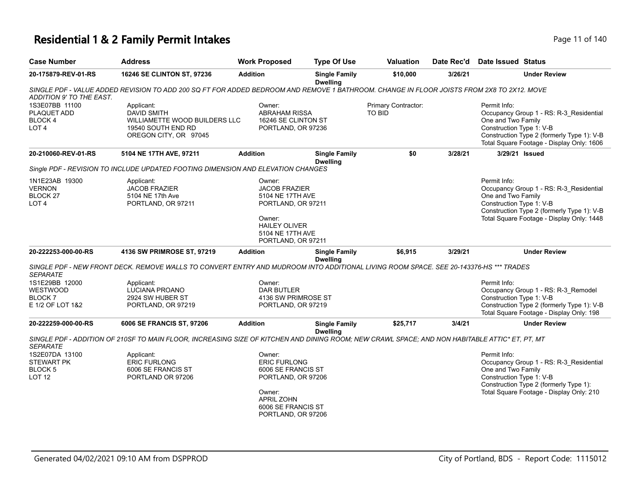# **Residential 1 & 2 Family Permit Intakes Page 11 of 140** Page 11 of 140

| <b>Case Number</b>                                                         | Address                                                                                                                                        | <b>Work Proposed</b>                                                                                                                                 | <b>Type Of Use</b>                      | <b>Valuation</b>                     | Date Rec'd | <b>Date Issued Status</b>                                                                                                                                                                            |
|----------------------------------------------------------------------------|------------------------------------------------------------------------------------------------------------------------------------------------|------------------------------------------------------------------------------------------------------------------------------------------------------|-----------------------------------------|--------------------------------------|------------|------------------------------------------------------------------------------------------------------------------------------------------------------------------------------------------------------|
| 20-175879-REV-01-RS                                                        | 16246 SE CLINTON ST, 97236                                                                                                                     | <b>Addition</b>                                                                                                                                      | <b>Single Family</b><br><b>Dwelling</b> | \$10,000                             | 3/26/21    | <b>Under Review</b>                                                                                                                                                                                  |
| ADDITION 9' TO THE EAST.                                                   | SINGLE PDF - VALUE ADDED REVISION TO ADD 200 SQ FT FOR ADDED BEDROOM AND REMOVE 1 BATHROOM. CHANGE IN FLOOR JOISTS FROM 2X8 TO 2X12. MOVE      |                                                                                                                                                      |                                         |                                      |            |                                                                                                                                                                                                      |
| 1S3E07BB 11100<br>PLAQUET ADD<br>BLOCK 4<br>LOT <sub>4</sub>               | Applicant:<br><b>DAVID SMITH</b><br>WILLIAMETTE WOOD BUILDERS LLC<br>19540 SOUTH END RD<br>OREGON CITY, OR 97045                               | Owner:<br><b>ABRAHAM RISSA</b><br>16246 SE CLINTON ST<br>PORTLAND, OR 97236                                                                          |                                         | Primary Contractor:<br><b>TO BID</b> |            | Permit Info:<br>Occupancy Group 1 - RS: R-3_Residential<br>One and Two Family<br>Construction Type 1: V-B<br>Construction Type 2 (formerly Type 1): V-B<br>Total Square Footage - Display Only: 1606 |
| 20-210060-REV-01-RS                                                        | 5104 NE 17TH AVE, 97211                                                                                                                        | <b>Addition</b>                                                                                                                                      | <b>Single Family</b><br><b>Dwelling</b> | \$0                                  | 3/28/21    | 3/29/21 Issued                                                                                                                                                                                       |
|                                                                            | Single PDF - REVISION TO INCLUDE UPDATED FOOTING DIMENSION AND ELEVATION CHANGES                                                               |                                                                                                                                                      |                                         |                                      |            |                                                                                                                                                                                                      |
| 1N1E23AB 19300<br><b>VERNON</b><br>BLOCK <sub>27</sub><br>LOT <sub>4</sub> | Applicant:<br><b>JACOB FRAZIER</b><br>5104 NE 17th Ave<br>PORTLAND, OR 97211                                                                   | Owner:<br><b>JACOB FRAZIER</b><br>5104 NE 17TH AVE<br>PORTLAND, OR 97211<br>Owner:<br><b>HAILEY OLIVER</b><br>5104 NE 17TH AVE<br>PORTLAND, OR 97211 |                                         |                                      |            | Permit Info:<br>Occupancy Group 1 - RS: R-3_Residential<br>One and Two Family<br>Construction Type 1: V-B<br>Construction Type 2 (formerly Type 1): V-B<br>Total Square Footage - Display Only: 1448 |
| 20-222253-000-00-RS                                                        | 4136 SW PRIMROSE ST, 97219                                                                                                                     | <b>Addition</b>                                                                                                                                      | <b>Single Family</b><br><b>Dwelling</b> | \$6,915                              | 3/29/21    | <b>Under Review</b>                                                                                                                                                                                  |
| <b>SEPARATE</b>                                                            | SINGLE PDF - NEW FRONT DECK. REMOVE WALLS TO CONVERT ENTRY AND MUDROOM INTO ADDITIONAL LIVING ROOM SPACE. SEE 20-143376-HS *** TRADES          |                                                                                                                                                      |                                         |                                      |            |                                                                                                                                                                                                      |
| 1S1E29BB 12000<br><b>WESTWOOD</b><br>BLOCK 7<br>E 1/2 OF LOT 1&2           | Applicant:<br>LUCIANA PROANO<br>2924 SW HUBER ST<br>PORTLAND, OR 97219                                                                         | Owner:<br><b>DAR BUTLER</b><br>4136 SW PRIMROSE ST<br>PORTLAND, OR 97219                                                                             |                                         |                                      |            | Permit Info:<br>Occupancy Group 1 - RS: R-3_Remodel<br>Construction Type 1: V-B<br>Construction Type 2 (formerly Type 1): V-B<br>Total Square Footage - Display Only: 198                            |
| 20-222259-000-00-RS                                                        | 6006 SE FRANCIS ST, 97206                                                                                                                      | <b>Addition</b>                                                                                                                                      | <b>Single Family</b><br><b>Dwelling</b> | \$25,717                             | 3/4/21     | <b>Under Review</b>                                                                                                                                                                                  |
| <b>SEPARATE</b>                                                            | SINGLE PDF - ADDITION OF 210SF TO MAIN FLOOR, INCREASING SIZE OF KITCHEN AND DINING ROOM; NEW CRAWL SPACE; AND NON HABITABLE ATTIC* ET, PT, MT |                                                                                                                                                      |                                         |                                      |            |                                                                                                                                                                                                      |
| 1S2E07DA 13100<br><b>STEWART PK</b><br>BLOCK <sub>5</sub><br><b>LOT 12</b> | Applicant:<br><b>ERIC FURLONG</b><br>6006 SE FRANCIS ST<br>PORTLAND OR 97206                                                                   | Owner:<br><b>ERIC FURLONG</b><br>6006 SE FRANCIS ST<br>PORTLAND, OR 97206<br>Owner:<br><b>APRIL ZOHN</b><br>6006 SE FRANCIS ST<br>PORTLAND, OR 97206 |                                         |                                      |            | Permit Info:<br>Occupancy Group 1 - RS: R-3_Residential<br>One and Two Family<br>Construction Type 1: V-B<br>Construction Type 2 (formerly Type 1):<br>Total Square Footage - Display Only: 210      |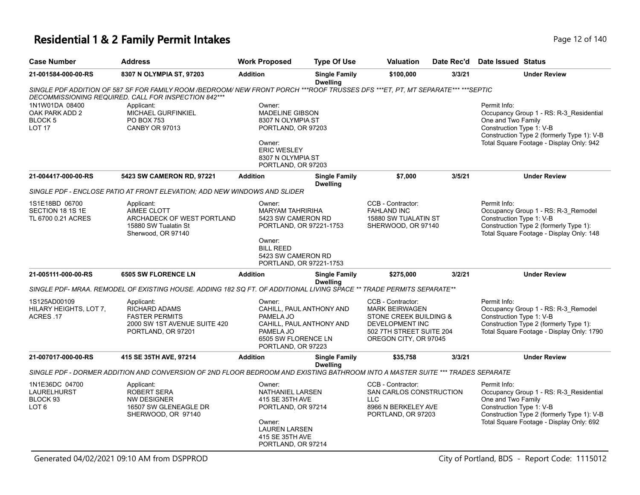# **Residential 1 & 2 Family Permit Intakes Page 12 of 140** Page 12 of 140

| <b>Case Number</b>                                                   | <b>Address</b>                                                                                                                         | <b>Work Proposed</b>                                                                                                                           | <b>Type Of Use</b>                      | <b>Valuation</b>                                                                                                                                    | Date Rec'd | Date Issued Status                                                                                                                                                                                  |
|----------------------------------------------------------------------|----------------------------------------------------------------------------------------------------------------------------------------|------------------------------------------------------------------------------------------------------------------------------------------------|-----------------------------------------|-----------------------------------------------------------------------------------------------------------------------------------------------------|------------|-----------------------------------------------------------------------------------------------------------------------------------------------------------------------------------------------------|
| 21-001584-000-00-RS                                                  | 8307 N OLYMPIA ST, 97203                                                                                                               | <b>Addition</b>                                                                                                                                | <b>Single Family</b><br><b>Dwelling</b> | \$100,000                                                                                                                                           | 3/3/21     | <b>Under Review</b>                                                                                                                                                                                 |
|                                                                      | SINGLE PDF ADDITION OF 587 SF FOR FAMILY ROOM /BEDROOM/ NEW FRONT PORCH ***ROOF TRUSSES DFS ***ET, PT, MT SEPARATE*** ***SEPTIC        |                                                                                                                                                |                                         |                                                                                                                                                     |            |                                                                                                                                                                                                     |
| 1N1W01DA 08400<br>OAK PARK ADD 2<br><b>BLOCK 5</b><br><b>LOT 17</b>  | DECOMMISSIONING REQUIRED. CALL FOR INSPECTION 842***<br>Applicant:<br>MICHAEL GURFINKIEL<br><b>PO BOX 753</b><br><b>CANBY OR 97013</b> | Owner:<br><b>MADELINE GIBSON</b><br>8307 N OLYMPIA ST<br>PORTLAND, OR 97203<br>Owner:<br><b>ERIC WESLEY</b>                                    |                                         |                                                                                                                                                     |            | Permit Info:<br>Occupancy Group 1 - RS: R-3 Residential<br>One and Two Family<br>Construction Type 1: V-B<br>Construction Type 2 (formerly Type 1): V-B<br>Total Square Footage - Display Only: 942 |
|                                                                      |                                                                                                                                        | 8307 N OLYMPIA ST<br>PORTLAND, OR 97203                                                                                                        |                                         |                                                                                                                                                     |            |                                                                                                                                                                                                     |
| 21-004417-000-00-RS                                                  | 5423 SW CAMERON RD, 97221                                                                                                              | <b>Addition</b>                                                                                                                                | <b>Single Family</b><br><b>Dwelling</b> | \$7,000                                                                                                                                             | 3/5/21     | <b>Under Review</b>                                                                                                                                                                                 |
|                                                                      | SINGLE PDF - ENCLOSE PATIO AT FRONT ELEVATION; ADD NEW WINDOWS AND SLIDER                                                              |                                                                                                                                                |                                         |                                                                                                                                                     |            |                                                                                                                                                                                                     |
| 1S1E18BD 06700<br>SECTION 18 1S 1E<br>TL 6700 0.21 ACRES             | Applicant:<br>AIMEE CLOTT<br>ARCHADECK OF WEST PORTLAND<br>15880 SW Tualatin St<br>Sherwood, OR 97140                                  | Owner:<br><b>MARYAM TAHRIRIHA</b><br>5423 SW CAMERON RD<br>PORTLAND, OR 97221-1753<br>Owner:                                                   |                                         | CCB - Contractor:<br><b>FAHLAND INC</b><br>15880 SW TUALATIN ST<br>SHERWOOD, OR 97140                                                               |            | Permit Info:<br>Occupancy Group 1 - RS: R-3_Remodel<br>Construction Type 1: V-B<br>Construction Type 2 (formerly Type 1):<br>Total Square Footage - Display Only: 148                               |
|                                                                      |                                                                                                                                        | <b>BILL REED</b><br>5423 SW CAMERON RD<br>PORTLAND, OR 97221-1753                                                                              |                                         |                                                                                                                                                     |            |                                                                                                                                                                                                     |
| 21-005111-000-00-RS                                                  | <b>6505 SW FLORENCE LN</b>                                                                                                             | <b>Addition</b>                                                                                                                                | <b>Single Family</b><br><b>Dwelling</b> | \$275,000                                                                                                                                           | 3/2/21     | <b>Under Review</b>                                                                                                                                                                                 |
|                                                                      | SINGLE PDF- MRAA. REMODEL OF EXISTING HOUSE. ADDING 182 SQ FT. OF ADDITIONAL LIVING SPACE ** TRADE PERMITS SEPARATE**                  |                                                                                                                                                |                                         |                                                                                                                                                     |            |                                                                                                                                                                                                     |
| 1S125AD00109<br>HILARY HEIGHTS, LOT 7,<br>ACRES .17                  | Applicant:<br><b>RICHARD ADAMS</b><br><b>FASTER PERMITS</b><br>2000 SW 1ST AVENUE SUITE 420<br>PORTLAND, OR 97201                      | Owner:<br>CAHILL, PAUL ANTHONY AND<br>PAMELA JO<br>CAHILL, PAUL ANTHONY AND<br>PAMELA JO<br>6505 SW FLORENCE LN<br>PORTLAND, OR 97223          |                                         | CCB - Contractor:<br><b>MARK BEIRWAGEN</b><br>STONE CREEK BUILDING &<br><b>DEVELOPMENT INC</b><br>502 7TH STREET SUITE 204<br>OREGON CITY, OR 97045 |            | Permit Info:<br>Occupancy Group 1 - RS: R-3_Remodel<br>Construction Type 1: V-B<br>Construction Type 2 (formerly Type 1):<br>Total Square Footage - Display Only: 1790                              |
| 21-007017-000-00-RS                                                  | 415 SE 35TH AVE, 97214                                                                                                                 | <b>Addition</b>                                                                                                                                | <b>Single Family</b><br><b>Dwelling</b> | \$35,758                                                                                                                                            | 3/3/21     | <b>Under Review</b>                                                                                                                                                                                 |
|                                                                      | SINGLE PDF - DORMER ADDITION AND CONVERSION OF 2ND FLOOR BEDROOM AND EXISTING BATHROOM INTO A MASTER SUITE *** TRADES SEPARATE         |                                                                                                                                                |                                         |                                                                                                                                                     |            |                                                                                                                                                                                                     |
| 1N1E36DC 04700<br><b>LAURELHURST</b><br>BLOCK 93<br>LOT <sub>6</sub> | Applicant:<br><b>ROBERT SERA</b><br><b>NW DESIGNER</b><br>16507 SW GLENEAGLE DR<br>SHERWOOD, OR 97140                                  | Owner:<br>NATHANIEL LARSEN<br>415 SE 35TH AVE<br>PORTLAND, OR 97214<br>Owner:<br><b>LAUREN LARSEN</b><br>415 SE 35TH AVE<br>PORTLAND, OR 97214 |                                         | CCB - Contractor:<br>SAN CARLOS CONSTRUCTION<br>LLC<br>8966 N BERKELEY AVE<br>PORTLAND, OR 97203                                                    |            | Permit Info:<br>Occupancy Group 1 - RS: R-3_Residential<br>One and Two Family<br>Construction Type 1: V-B<br>Construction Type 2 (formerly Type 1): V-B<br>Total Square Footage - Display Only: 692 |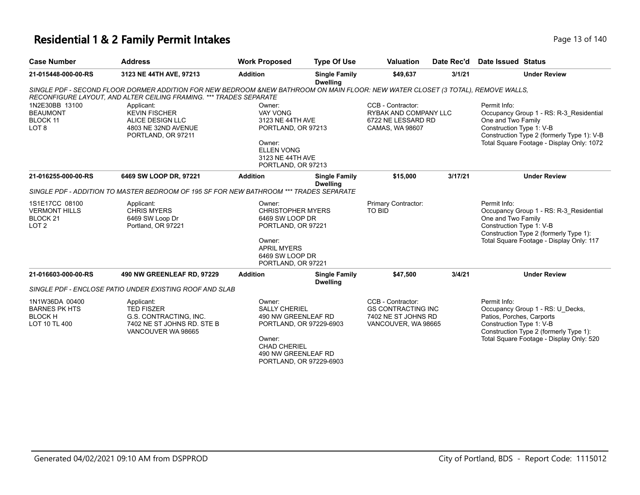### **Residential 1 & 2 Family Permit Intakes Page 13 of 140** Page 13 of 140

| <b>Case Number</b>                                                                | <b>Address</b>                                                                                                                                                                                         | <b>Work Proposed</b>                                                                                                                                 | <b>Type Of Use</b>                      | <b>Valuation</b>                                                                             | Date Rec'd | Date Issued Status                                                                                                                                                                                   |
|-----------------------------------------------------------------------------------|--------------------------------------------------------------------------------------------------------------------------------------------------------------------------------------------------------|------------------------------------------------------------------------------------------------------------------------------------------------------|-----------------------------------------|----------------------------------------------------------------------------------------------|------------|------------------------------------------------------------------------------------------------------------------------------------------------------------------------------------------------------|
| 21-015448-000-00-RS                                                               | 3123 NE 44TH AVE, 97213                                                                                                                                                                                | <b>Addition</b>                                                                                                                                      | <b>Single Family</b><br><b>Dwelling</b> | \$49,637<br>3/1/21                                                                           |            | <b>Under Review</b>                                                                                                                                                                                  |
|                                                                                   | SINGLE PDF - SECOND FLOOR DORMER ADDITION FOR NEW BEDROOM &NEW BATHROOM ON MAIN FLOOR: NEW WATER CLOSET (3 TOTAL), REMOVE WALLS,<br>RECONFIGURE LAYOUT. AND ALTER CEILING FRAMING. *** TRADES SEPARATE |                                                                                                                                                      |                                         |                                                                                              |            |                                                                                                                                                                                                      |
| 1N2E30BB 13100<br><b>BEAUMONT</b><br><b>BLOCK 11</b><br>LOT <sub>8</sub>          | Applicant:<br><b>KEVIN FISCHER</b><br>ALICE DESIGN LLC<br>4803 NE 32ND AVENUE<br>PORTLAND, OR 97211                                                                                                    | Owner:<br><b>VAY VONG</b><br>3123 NE 44TH AVE<br>PORTLAND, OR 97213<br>Owner:<br><b>ELLEN VONG</b><br>3123 NE 44TH AVE<br>PORTLAND, OR 97213         |                                         | CCB - Contractor:<br>RYBAK AND COMPANY LLC<br>6722 NE LESSARD RD<br>CAMAS, WA 98607          |            | Permit Info:<br>Occupancy Group 1 - RS: R-3 Residential<br>One and Two Family<br>Construction Type 1: V-B<br>Construction Type 2 (formerly Type 1): V-B<br>Total Square Footage - Display Only: 1072 |
| 21-016255-000-00-RS                                                               | 6469 SW LOOP DR, 97221                                                                                                                                                                                 | <b>Addition</b>                                                                                                                                      | <b>Single Family</b><br><b>Dwelling</b> | \$15,000                                                                                     | 3/17/21    | <b>Under Review</b>                                                                                                                                                                                  |
|                                                                                   | SINGLE PDF - ADDITION TO MASTER BEDROOM OF 195 SF FOR NEW BATHROOM *** TRADES SEPARATE                                                                                                                 |                                                                                                                                                      |                                         |                                                                                              |            |                                                                                                                                                                                                      |
| 1S1E17CC 08100<br><b>VERMONT HILLS</b><br>BLOCK <sub>21</sub><br>LOT <sub>2</sub> | Applicant:<br><b>CHRIS MYERS</b><br>6469 SW Loop Dr<br>Portland, OR 97221                                                                                                                              | Owner:<br><b>CHRISTOPHER MYERS</b><br>6469 SW LOOP DR<br>PORTLAND, OR 97221<br>Owner:<br><b>APRIL MYERS</b><br>6469 SW LOOP DR<br>PORTLAND, OR 97221 |                                         | Primary Contractor:<br><b>TO BID</b>                                                         |            | Permit Info:<br>Occupancy Group 1 - RS: R-3_Residential<br>One and Two Family<br>Construction Type 1: V-B<br>Construction Type 2 (formerly Type 1):<br>Total Square Footage - Display Only: 117      |
| 21-016603-000-00-RS                                                               | 490 NW GREENLEAF RD, 97229                                                                                                                                                                             | <b>Addition</b>                                                                                                                                      | <b>Single Family</b><br><b>Dwelling</b> | \$47,500                                                                                     | 3/4/21     | <b>Under Review</b>                                                                                                                                                                                  |
|                                                                                   | SINGLE PDF - ENCLOSE PATIO UNDER EXISTING ROOF AND SLAB                                                                                                                                                |                                                                                                                                                      |                                         |                                                                                              |            |                                                                                                                                                                                                      |
| 1N1W36DA 00400<br><b>BARNES PK HTS</b><br><b>BLOCK H</b><br>LOT 10 TL 400         | Applicant:<br><b>TED FISZER</b><br>G.S. CONTRACTING, INC.<br>7402 NE ST JOHNS RD. STE B<br>VANCOUVER WA 98665                                                                                          | Owner:<br><b>SALLY CHERIEL</b><br>490 NW GREENLEAF RD<br>PORTLAND, OR 97229-6903<br>Owner:<br><b>CHAD CHERIEL</b><br>490 NW GREENLEAF RD             |                                         | CCB - Contractor:<br><b>GS CONTRACTING INC</b><br>7402 NE ST JOHNS RD<br>VANCOUVER, WA 98665 |            | Permit Info:<br>Occupancy Group 1 - RS: U Decks,<br>Patios, Porches, Carports<br>Construction Type 1: V-B<br>Construction Type 2 (formerly Type 1):<br>Total Square Footage - Display Only: 520      |

PORTLAND, OR 97229-6903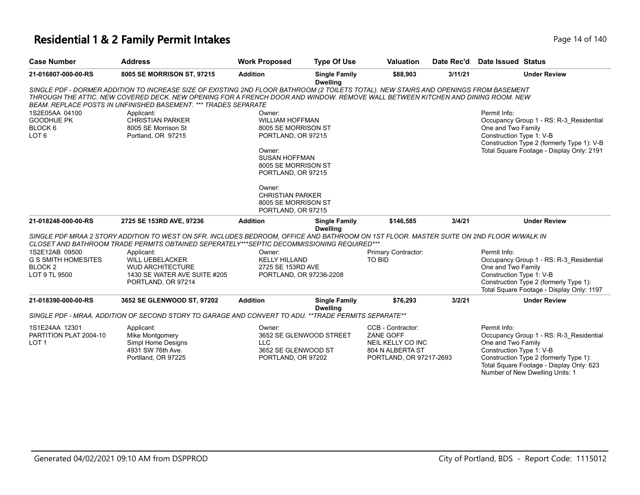# **Residential 1 & 2 Family Permit Intakes**

| Page 14 of 140 |  |  |  |  |  |
|----------------|--|--|--|--|--|
|----------------|--|--|--|--|--|

| <b>Case Number</b>                                                                  | <b>Address</b>                                                                                                                                                                                                                                                                                                                              | <b>Work Proposed</b>                                                                                                                                                                                                                           | <b>Type Of Use</b>                      | <b>Valuation</b>                                                                                   | Date Rec'd | Date Issued Status                                                                                                                                                                                                                 |
|-------------------------------------------------------------------------------------|---------------------------------------------------------------------------------------------------------------------------------------------------------------------------------------------------------------------------------------------------------------------------------------------------------------------------------------------|------------------------------------------------------------------------------------------------------------------------------------------------------------------------------------------------------------------------------------------------|-----------------------------------------|----------------------------------------------------------------------------------------------------|------------|------------------------------------------------------------------------------------------------------------------------------------------------------------------------------------------------------------------------------------|
| 21-016807-000-00-RS                                                                 | 8005 SE MORRISON ST, 97215                                                                                                                                                                                                                                                                                                                  | <b>Addition</b>                                                                                                                                                                                                                                | <b>Single Family</b><br><b>Dwelling</b> | \$88,903                                                                                           | 3/11/21    | <b>Under Review</b>                                                                                                                                                                                                                |
|                                                                                     | SINGLE PDF - DORMER ADDITION TO INCREASE SIZE OF EXISTING 2ND FLOOR BATHROOM (2 TOILETS TOTAL). NEW STAIRS AND OPENINGS FROM BASEMENT<br>THROUGH THE ATTIC. NEW COVERED DECK. NEW OPENING FOR A FRENCH DOOR AND WINDOW. REMOVE WALL BETWEEN KITCHEN AND DINING ROOM. NEW<br>BEAM. REPLACE POSTS IN UNFINISHED BASEMENT. *** TRADES SEPARATE |                                                                                                                                                                                                                                                |                                         |                                                                                                    |            |                                                                                                                                                                                                                                    |
| 1S2E05AA 04100<br>GOODHUE PK<br>BLOCK 6<br>LOT <sub>6</sub>                         | Applicant:<br><b>CHRISTIAN PARKER</b><br>8005 SE Morrison St<br>Portland, OR 97215                                                                                                                                                                                                                                                          | Owner:<br><b>WILLIAM HOFFMAN</b><br>8005 SE MORRISON ST<br>PORTLAND, OR 97215<br>Owner:<br><b>SUSAN HOFFMAN</b><br>8005 SE MORRISON ST<br>PORTLAND, OR 97215<br>Owner:<br><b>CHRISTIAN PARKER</b><br>8005 SE MORRISON ST<br>PORTLAND, OR 97215 |                                         |                                                                                                    |            | Permit Info:<br>Occupancy Group 1 - RS: R-3 Residential<br>One and Two Family<br>Construction Type 1: V-B<br>Construction Type 2 (formerly Type 1): V-B<br>Total Square Footage - Display Only: 2191                               |
| 21-018248-000-00-RS                                                                 | 2725 SE 153RD AVE, 97236                                                                                                                                                                                                                                                                                                                    | <b>Addition</b>                                                                                                                                                                                                                                | <b>Single Family</b>                    | \$146.585                                                                                          | 3/4/21     | <b>Under Review</b>                                                                                                                                                                                                                |
|                                                                                     | SINGLE PDF MRAA 2 STORY ADDITION TO WEST ON SFR. INCLUDES BEDROOM, OFFICE AND BATHROOM ON 1ST FLOOR. MASTER SUITE ON 2ND FLOOR W/WALK IN<br>CLOSET AND BATHROOM TRADE PERMITS OBTAINED SEPERATELY***SEPTIC DECOMMISSIONING REQUIRED***                                                                                                      |                                                                                                                                                                                                                                                | <b>Dwelling</b>                         |                                                                                                    |            |                                                                                                                                                                                                                                    |
| 1S2E12AB 09500<br><b>G S SMITH HOMESITES</b><br>BLOCK <sub>2</sub><br>LOT 9 TL 9500 | Applicant:<br><b>WILL UEBELACKER</b><br><b>WUD ARCHITECTURE</b><br>1430 SE WATER AVE SUITE #205<br>PORTLAND, OR 97214                                                                                                                                                                                                                       | Owner:<br><b>KELLY HILLAND</b><br>2725 SE 153RD AVE<br>PORTLAND, OR 97236-2208                                                                                                                                                                 |                                         | Primary Contractor:<br>TO BID                                                                      |            | Permit Info:<br>Occupancy Group 1 - RS: R-3 Residential<br>One and Two Family<br>Construction Type 1: V-B<br>Construction Type 2 (formerly Type 1):<br>Total Square Footage - Display Only: 1197                                   |
| 21-018390-000-00-RS                                                                 | 3652 SE GLENWOOD ST, 97202                                                                                                                                                                                                                                                                                                                  | <b>Addition</b>                                                                                                                                                                                                                                | <b>Single Family</b><br><b>Dwelling</b> | \$76,293                                                                                           | 3/2/21     | <b>Under Review</b>                                                                                                                                                                                                                |
|                                                                                     | SINGLE PDF - MRAA. ADDITION OF SECOND STORY TO GARAGE AND CONVERT TO ADU. **TRADE PERMITS SEPARATE**                                                                                                                                                                                                                                        |                                                                                                                                                                                                                                                |                                         |                                                                                                    |            |                                                                                                                                                                                                                                    |
| 1S1E24AA 12301<br>PARTITION PLAT 2004-10<br>LOT <sub>1</sub>                        | Applicant:<br>Mike Montgomery<br>Simpl Home Designs<br>4931 SW 76th Ave.<br>Portlland, OR 97225                                                                                                                                                                                                                                             | Owner:<br><b>LLC</b><br>3652 SE GLENWOOD ST<br>PORTLAND, OR 97202                                                                                                                                                                              | 3652 SE GLENWOOD STREET                 | CCB - Contractor:<br>ZANE GOFF<br>NEIL KELLY CO INC<br>804 N ALBERTA ST<br>PORTLAND, OR 97217-2693 |            | Permit Info:<br>Occupancy Group 1 - RS: R-3_Residential<br>One and Two Family<br>Construction Type 1: V-B<br>Construction Type 2 (formerly Type 1):<br>Total Square Footage - Display Only: 623<br>Number of New Dwelling Units: 1 |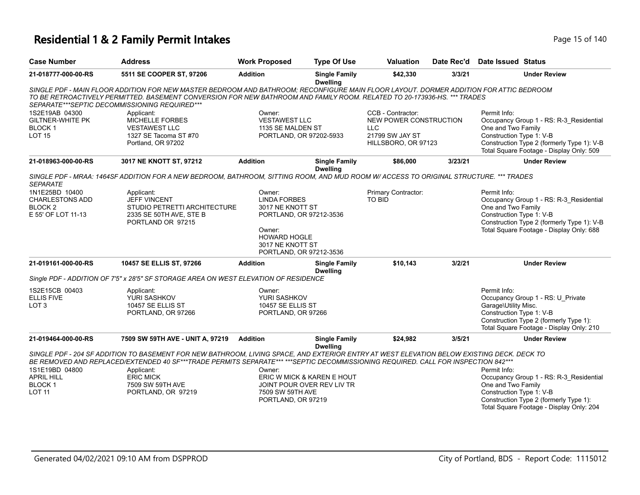# **Residential 1 & 2 Family Permit Intakes Page 15 of 140** Page 15 of 140

| <b>Case Number</b>                                                          | <b>Address</b>                                                                                                                                                                                                                                                                                                      | <b>Work Proposed</b>                                                                                                                                         | <b>Type Of Use</b>                                       | <b>Valuation</b>                                                                                    | Date Rec'd | Date Issued Status                                                                                                                                                                                  |
|-----------------------------------------------------------------------------|---------------------------------------------------------------------------------------------------------------------------------------------------------------------------------------------------------------------------------------------------------------------------------------------------------------------|--------------------------------------------------------------------------------------------------------------------------------------------------------------|----------------------------------------------------------|-----------------------------------------------------------------------------------------------------|------------|-----------------------------------------------------------------------------------------------------------------------------------------------------------------------------------------------------|
| 21-018777-000-00-RS                                                         | 5511 SE COOPER ST, 97206                                                                                                                                                                                                                                                                                            | <b>Addition</b>                                                                                                                                              | <b>Single Family</b><br><b>Dwelling</b>                  | \$42,330                                                                                            | 3/3/21     | <b>Under Review</b>                                                                                                                                                                                 |
|                                                                             | SINGLE PDF - MAIN FLOOR ADDITION FOR NEW MASTER BEDROOM AND BATHROOM; RECONFIGURE MAIN FLOOR LAYOUT. DORMER ADDITION FOR ATTIC BEDROOM<br>TO BE RETROACTIVELY PERMITTED. BASEMENT CONVERSION FOR NEW BATHROOM AND FAMILY ROOM. RELATED TO 20-173936-HS. *** TRADES<br>SEPARATE***SEPTIC DECOMMISSIONING REQUIRED*** |                                                                                                                                                              |                                                          |                                                                                                     |            |                                                                                                                                                                                                     |
| 1S2E19AB 04300<br><b>GILTNER-WHITE PK</b><br><b>BLOCK1</b><br><b>LOT 15</b> | Applicant:<br><b>MICHELLE FORBES</b><br><b>VESTAWEST LLC</b><br>1327 SE Tacoma ST #70<br>Portland, OR 97202                                                                                                                                                                                                         | Owner:<br><b>VESTAWEST LLC</b><br>1135 SE MALDEN ST<br>PORTLAND, OR 97202-5933                                                                               |                                                          | CCB - Contractor:<br>NEW POWER CONSTRUCTION<br><b>LLC</b><br>21799 SW JAY ST<br>HILLSBORO, OR 97123 |            | Permit Info:<br>Occupancy Group 1 - RS: R-3_Residential<br>One and Two Family<br>Construction Type 1: V-B<br>Construction Type 2 (formerly Type 1): V-B<br>Total Square Footage - Display Only: 509 |
| 21-018963-000-00-RS                                                         | 3017 NE KNOTT ST, 97212                                                                                                                                                                                                                                                                                             | <b>Addition</b>                                                                                                                                              | <b>Single Family</b>                                     | \$86,000                                                                                            | 3/23/21    | <b>Under Review</b>                                                                                                                                                                                 |
| <b>SEPARATE</b>                                                             | SINGLE PDF - MRAA: 1464SF ADDITION FOR A NEW BEDROOM, BATHROOM, SITTING ROOM, AND MUD ROOM W/ ACCESS TO ORIGINAL STRUCTURE. *** TRADES                                                                                                                                                                              |                                                                                                                                                              | <b>Dwelling</b>                                          |                                                                                                     |            |                                                                                                                                                                                                     |
| 1N1E25BD 10400<br>CHARLESTONS ADD<br><b>BLOCK2</b><br>E 55' OF LOT 11-13    | Applicant:<br><b>JEFF VINCENT</b><br>STUDIO PETRETTI ARCHITECTURE<br>2335 SE 50TH AVE, STE B<br>PORTLAND OR 97215                                                                                                                                                                                                   | Owner:<br><b>LINDA FORBES</b><br>3017 NE KNOTT ST<br>PORTLAND, OR 97212-3536<br>Owner:<br><b>HOWARD HOGLE</b><br>3017 NE KNOTT ST<br>PORTLAND, OR 97212-3536 |                                                          | Primary Contractor:<br>TO BID                                                                       |            | Permit Info:<br>Occupancy Group 1 - RS: R-3 Residential<br>One and Two Family<br>Construction Type 1: V-B<br>Construction Type 2 (formerly Type 1): V-B<br>Total Square Footage - Display Only: 688 |
| 21-019161-000-00-RS                                                         | 10457 SE ELLIS ST, 97266                                                                                                                                                                                                                                                                                            | <b>Addition</b>                                                                                                                                              | <b>Single Family</b><br><b>Dwelling</b>                  | \$10,143                                                                                            | 3/2/21     | <b>Under Review</b>                                                                                                                                                                                 |
|                                                                             | Single PDF - ADDITION OF 7'5" x 28'5" SF STORAGE AREA ON WEST ELEVATION OF RESIDENCE                                                                                                                                                                                                                                |                                                                                                                                                              |                                                          |                                                                                                     |            |                                                                                                                                                                                                     |
| 1S2E15CB 00403<br><b>ELLIS FIVE</b><br>LOT <sub>3</sub>                     | Applicant:<br>YURI SASHKOV<br>10457 SE ELLIS ST<br>PORTLAND, OR 97266                                                                                                                                                                                                                                               | Owner:<br>YURI SASHKOV<br>10457 SE ELLIS ST<br>PORTLAND, OR 97266                                                                                            |                                                          |                                                                                                     |            | Permit Info:<br>Occupancy Group 1 - RS: U Private<br>Garage\Utility Misc.<br>Construction Type 1: V-B<br>Construction Type 2 (formerly Type 1):<br>Total Square Footage - Display Only: 210         |
| 21-019464-000-00-RS                                                         | 7509 SW 59TH AVE - UNIT A, 97219                                                                                                                                                                                                                                                                                    | <b>Addition</b>                                                                                                                                              | <b>Single Family</b>                                     | \$24,982                                                                                            | 3/5/21     | <b>Under Review</b>                                                                                                                                                                                 |
|                                                                             | SINGLE PDF - 204 SF ADDITION TO BASEMENT FOR NEW BATHROOM, LIVING SPACE, AND EXTERIOR ENTRY AT WEST ELEVATION BELOW EXISTING DECK. DECK TO<br>BE REMOVED AND REPLACED/EXTENDED 40 SF***TRADE PERMITS SEPARATE*** ***SEPTIC DECOMMISSIONING REQUIRED. CALL FOR INSPECTION 842***                                     |                                                                                                                                                              | <b>Dwelling</b>                                          |                                                                                                     |            |                                                                                                                                                                                                     |
| 1S1E19BD 04800<br><b>APRIL HILL</b><br>BLOCK <sub>1</sub><br><b>LOT 11</b>  | Applicant:<br><b>ERIC MICK</b><br>7509 SW 59TH AVE<br>PORTLAND, OR 97219                                                                                                                                                                                                                                            | Owner:<br>7509 SW 59TH AVE<br>PORTLAND, OR 97219                                                                                                             | ERIC W MICK & KAREN E HOUT<br>JOINT POUR OVER REV LIV TR |                                                                                                     |            | Permit Info:<br>Occupancy Group 1 - RS: R-3_Residential<br>One and Two Family<br>Construction Type 1: V-B<br>Construction Type 2 (formerly Type 1):<br>Total Square Footage - Display Only: 204     |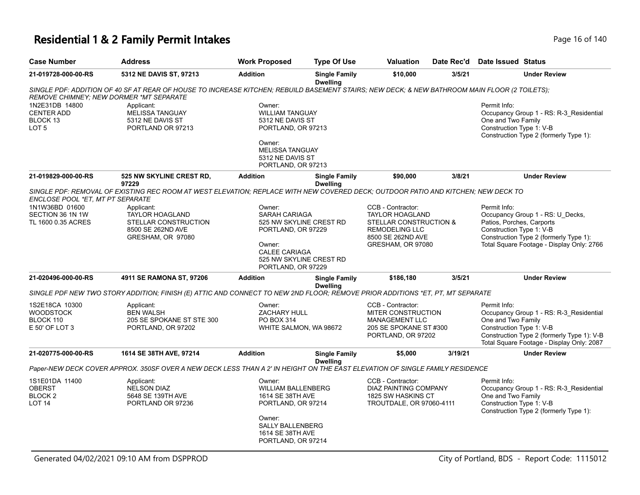# **Residential 1 & 2 Family Permit Intakes Page 16 of 140** Page 16 of 140

| <b>Case Number</b>                                                         | <b>Address</b>                                                                                                                                | <b>Work Proposed</b>                                                          | <b>Type Of Use</b>                                                                                                                                                                                                                                               | Valuation                                                                                                        | Date Rec'd                        | <b>Date Issued Status</b>                                                                                                                                                                            |
|----------------------------------------------------------------------------|-----------------------------------------------------------------------------------------------------------------------------------------------|-------------------------------------------------------------------------------|------------------------------------------------------------------------------------------------------------------------------------------------------------------------------------------------------------------------------------------------------------------|------------------------------------------------------------------------------------------------------------------|-----------------------------------|------------------------------------------------------------------------------------------------------------------------------------------------------------------------------------------------------|
| 21-019728-000-00-RS                                                        | 5312 NE DAVIS ST, 97213                                                                                                                       | <b>Addition</b>                                                               | <b>Single Family</b><br><b>Dwelling</b>                                                                                                                                                                                                                          | \$10,000                                                                                                         | 3/5/21                            | <b>Under Review</b>                                                                                                                                                                                  |
| <b>REMOVE CHIMNEY: NEW DORMER *MT SEPARATE</b>                             | SINGLE PDF: ADDITION OF 40 SF AT REAR OF HOUSE TO INCREASE KITCHEN: REBUILD BASEMENT STAIRS: NEW DECK: & NEW BATHROOM MAIN FLOOR (2 TOILETS): |                                                                               |                                                                                                                                                                                                                                                                  |                                                                                                                  |                                   |                                                                                                                                                                                                      |
| 1N2E31DB 14800<br><b>CENTER ADD</b><br>BLOCK 13<br>LOT <sub>5</sub>        | Applicant:<br><b>MELISSA TANGUAY</b><br>5312 NE DAVIS ST<br>PORTLAND OR 97213                                                                 | Owner:<br><b>WILLIAM TANGUAY</b><br>5312 NE DAVIS ST<br>PORTLAND, OR 97213    |                                                                                                                                                                                                                                                                  |                                                                                                                  |                                   | Permit Info:<br>Occupancy Group 1 - RS: R-3_Residential<br>One and Two Family<br>Construction Type 1: V-B<br>Construction Type 2 (formerly Type 1):                                                  |
|                                                                            |                                                                                                                                               | Owner:<br><b>MELISSA TANGUAY</b><br>5312 NE DAVIS ST<br>PORTLAND, OR 97213    |                                                                                                                                                                                                                                                                  |                                                                                                                  |                                   |                                                                                                                                                                                                      |
| 21-019829-000-00-RS                                                        | 525 NW SKYLINE CREST RD,<br>97229                                                                                                             | <b>Addition</b>                                                               | <b>Single Family</b><br><b>Dwelling</b>                                                                                                                                                                                                                          | \$90,000                                                                                                         | 3/8/21                            | <b>Under Review</b>                                                                                                                                                                                  |
| ENCLOSE POOL *ET, MT PT SEPARATE                                           | SINGLE PDF: REMOVAL OF EXISTING REC ROOM AT WEST ELEVATION; REPLACE WITH NEW COVERED DECK; OUTDOOR PATIO AND KITCHEN; NEW DECK TO             |                                                                               |                                                                                                                                                                                                                                                                  |                                                                                                                  |                                   |                                                                                                                                                                                                      |
| 1N1W36BD 01600<br>SECTION 36 1N 1W<br>TL 1600 0.35 ACRES                   | Applicant:<br><b>TAYLOR HOAGLAND</b><br>STELLAR CONSTRUCTION<br>8500 SE 262ND AVE<br>GRESHAM, OR 97080                                        | Owner:<br>Owner:                                                              | CCB - Contractor:<br><b>SARAH CARIAGA</b><br><b>TAYLOR HOAGLAND</b><br>525 NW SKYLINE CREST RD<br>PORTLAND, OR 97229<br><b>REMODELING LLC</b><br>8500 SE 262ND AVE<br>GRESHAM, OR 97080<br><b>CALEE CARIAGA</b><br>525 NW SKYLINE CREST RD<br>PORTLAND, OR 97229 |                                                                                                                  | <b>STELLAR CONSTRUCTION &amp;</b> | Permit Info:<br>Occupancy Group 1 - RS: U_Decks,<br>Patios, Porches, Carports<br>Construction Type 1: V-B<br>Construction Type 2 (formerly Type 1):<br>Total Square Footage - Display Only: 2766     |
| 21-020496-000-00-RS                                                        | 4911 SE RAMONA ST, 97206                                                                                                                      | <b>Addition</b>                                                               | <b>Single Family</b><br><b>Dwelling</b>                                                                                                                                                                                                                          | \$186,180                                                                                                        | 3/5/21                            | <b>Under Review</b>                                                                                                                                                                                  |
|                                                                            | SINGLE PDF NEW TWO STORY ADDITION; FINISH (E) ATTIC AND CONNECT TO NEW 2ND FLOOR; REMOVE PRIOR ADDITIONS *ET, PT, MT SEPARATE                 |                                                                               |                                                                                                                                                                                                                                                                  |                                                                                                                  |                                   |                                                                                                                                                                                                      |
| 1S2E18CA 10300<br><b>WOODSTOCK</b><br>BLOCK 110<br>E 50' OF LOT 3          | Applicant:<br><b>BEN WALSH</b><br>205 SE SPOKANE ST STE 300<br>PORTLAND, OR 97202                                                             | Owner:<br><b>ZACHARY HULL</b><br>PO BOX 314<br>WHITE SALMON, WA 98672         |                                                                                                                                                                                                                                                                  | CCB - Contractor:<br>MITER CONSTRUCTION<br><b>MANAGEMENT LLC</b><br>205 SE SPOKANE ST #300<br>PORTLAND, OR 97202 |                                   | Permit Info:<br>Occupancy Group 1 - RS: R-3 Residential<br>One and Two Family<br>Construction Type 1: V-B<br>Construction Type 2 (formerly Type 1): V-B<br>Total Square Footage - Display Only: 2087 |
| 21-020775-000-00-RS                                                        | 1614 SE 38TH AVE, 97214                                                                                                                       | <b>Addition</b>                                                               | <b>Single Family</b><br><b>Dwelling</b>                                                                                                                                                                                                                          | \$5,000                                                                                                          | 3/19/21                           | <b>Under Review</b>                                                                                                                                                                                  |
|                                                                            | Paper-NEW DECK COVER APPROX. 350SF OVER A NEW DECK LESS THAN A 2' IN HEIGHT ON THE EAST ELEVATION OF SINGLE FAMILY RESIDENCE                  |                                                                               |                                                                                                                                                                                                                                                                  |                                                                                                                  |                                   |                                                                                                                                                                                                      |
| 1S1E01DA 11400<br><b>OBERST</b><br>BLOCK <sub>2</sub><br>LOT <sub>14</sub> | Applicant:<br><b>NELSON DIAZ</b><br>5648 SE 139TH AVE<br>PORTLAND OR 97236                                                                    | Owner:<br><b>WILLIAM BALLENBERG</b><br>1614 SE 38TH AVE<br>PORTLAND, OR 97214 |                                                                                                                                                                                                                                                                  | CCB - Contractor:<br><b>DIAZ PAINTING COMPANY</b><br>1825 SW HASKINS CT<br>TROUTDALE, OR 97060-4111              |                                   | Permit Info:<br>Occupancy Group 1 - RS: R-3 Residential<br>One and Two Family<br>Construction Type 1: V-B<br>Construction Type 2 (formerly Type 1):                                                  |
|                                                                            |                                                                                                                                               | Owner:<br><b>SALLY BALLENBERG</b><br>1614 SE 38TH AVE<br>PORTLAND, OR 97214   |                                                                                                                                                                                                                                                                  |                                                                                                                  |                                   |                                                                                                                                                                                                      |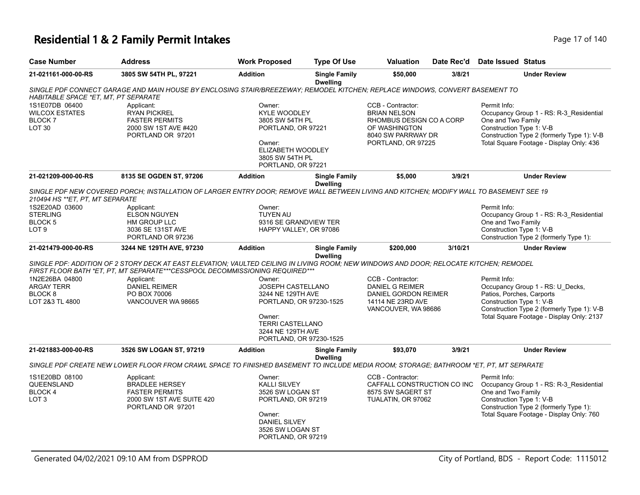# **Residential 1 & 2 Family Permit Intakes** Page 17 of 17 of 17 of 17 of 140 of 17 of 17 of 17 of 17 of 17 of 17 of 17 of 17 of 17 of 17 of 17 of 17 of 17 of 17 of 17 of 17 of 17 of 17 of 17 of 17 of 17 of 17 of 17 of 17 of

| Page 17 of 140 |  |  |
|----------------|--|--|
|                |  |  |

| <b>Case Number</b>                                                            | <b>Address</b>                                                                                                                                                                                                          | <b>Work Proposed</b>                                                                                                                                | <b>Type Of Use</b>                                                                                                       | Valuation                                                                                                                         | Date Rec'd                                                       | Date Issued Status                                             |                                                                                                                                   |  |
|-------------------------------------------------------------------------------|-------------------------------------------------------------------------------------------------------------------------------------------------------------------------------------------------------------------------|-----------------------------------------------------------------------------------------------------------------------------------------------------|--------------------------------------------------------------------------------------------------------------------------|-----------------------------------------------------------------------------------------------------------------------------------|------------------------------------------------------------------|----------------------------------------------------------------|-----------------------------------------------------------------------------------------------------------------------------------|--|
| 21-021161-000-00-RS                                                           | 3805 SW 54TH PL, 97221                                                                                                                                                                                                  | <b>Addition</b>                                                                                                                                     | <b>Single Family</b><br><b>Dwelling</b>                                                                                  | \$50,000                                                                                                                          | 3/8/21                                                           |                                                                | <b>Under Review</b>                                                                                                               |  |
| HABITABLE SPACE *ET, MT, PT SEPARATE                                          | SINGLE PDF CONNECT GARAGE AND MAIN HOUSE BY ENCLOSING STAIR/BREEZEWAY; REMODEL KITCHEN; REPLACE WINDOWS, CONVERT BASEMENT TO                                                                                            |                                                                                                                                                     |                                                                                                                          |                                                                                                                                   |                                                                  |                                                                |                                                                                                                                   |  |
| 1S1E07DB 06400<br><b>WILCOX ESTATES</b><br><b>BLOCK7</b><br>LOT <sub>30</sub> | Applicant:<br><b>RYAN PICKREL</b><br><b>FASTER PERMITS</b><br>2000 SW 1ST AVE #420<br>PORTLAND OR 97201                                                                                                                 | Owner:<br><b>KYLE WOODLEY</b><br>3805 SW 54TH PL<br>PORTLAND, OR 97221<br>Owner:<br>ELIZABETH WOODLEY<br>3805 SW 54TH PL<br>PORTLAND, OR 97221      |                                                                                                                          | CCB - Contractor:<br><b>BRIAN NELSON</b><br>RHOMBUS DESIGN CO A CORP<br>OF WASHINGTON<br>8040 SW PARRWAY DR<br>PORTLAND, OR 97225 |                                                                  | Permit Info:<br>One and Two Family<br>Construction Type 1: V-B | Occupancy Group 1 - RS: R-3 Residential<br>Construction Type 2 (formerly Type 1): V-B<br>Total Square Footage - Display Only: 436 |  |
| 21-021209-000-00-RS                                                           | 8135 SE OGDEN ST, 97206                                                                                                                                                                                                 | <b>Addition</b>                                                                                                                                     | <b>Single Family</b><br><b>Dwelling</b>                                                                                  | \$5,000                                                                                                                           | 3/9/21                                                           |                                                                | <b>Under Review</b>                                                                                                               |  |
| 210494 HS **ET, PT, MT SEPARATE                                               | SINGLE PDF NEW COVERED PORCH; INSTALLATION OF LARGER ENTRY DOOR; REMOVE WALL BETWEEN LIVING AND KITCHEN; MODIFY WALL TO BASEMENT SEE 19                                                                                 |                                                                                                                                                     |                                                                                                                          |                                                                                                                                   |                                                                  |                                                                |                                                                                                                                   |  |
| 1S2E20AD 03600<br><b>STERLING</b><br>BLOCK <sub>5</sub><br>LOT <sub>9</sub>   | Applicant:<br><b>ELSON NGUYEN</b><br>HM GROUP LLC<br>3036 SE 131ST AVE<br>PORTLAND OR 97236                                                                                                                             | Owner:<br><b>TUYEN AU</b><br>9316 SE GRANDVIEW TER<br>HAPPY VALLEY, OR 97086                                                                        |                                                                                                                          |                                                                                                                                   |                                                                  | Permit Info:<br>One and Two Family<br>Construction Type 1: V-B | Occupancy Group 1 - RS: R-3 Residential<br>Construction Type 2 (formerly Type 1):                                                 |  |
| 21-021479-000-00-RS                                                           | 3244 NE 129TH AVE, 97230                                                                                                                                                                                                | <b>Addition</b>                                                                                                                                     | <b>Single Family</b>                                                                                                     | \$200,000                                                                                                                         | 3/10/21                                                          |                                                                | <b>Under Review</b>                                                                                                               |  |
|                                                                               | SINGLE PDF: ADDITION OF 2 STORY DECK AT EAST ELEVATION; VAULTED CEILING IN LIVING ROOM; NEW WINDOWS AND DOOR; RELOCATE KITCHEN; REMODEL<br>FIRST FLOOR BATH *ET, PT, MT SEPARATE***CESSPOOL DECOMMISSIONING REQUIRED*** |                                                                                                                                                     | <b>Dwelling</b>                                                                                                          |                                                                                                                                   |                                                                  |                                                                |                                                                                                                                   |  |
| 1N2E26BA 04800<br><b>ARGAY TERR</b>                                           | Applicant:<br><b>DANIEL REIMER</b>                                                                                                                                                                                      | Owner:                                                                                                                                              |                                                                                                                          | CCB - Contractor:<br><b>DANIEL G REIMER</b>                                                                                       |                                                                  | Permit Info:                                                   | Occupancy Group 1 - RS: U Decks,                                                                                                  |  |
| BLOCK <sub>8</sub><br>LOT 2&3 TL 4800                                         | PO BOX 70006<br>VANCOUVER WA 98665                                                                                                                                                                                      | Owner:                                                                                                                                              | <b>JOSEPH CASTELLANO</b><br>3244 NE 129TH AVE<br>PORTLAND, OR 97230-1525<br><b>TERRI CASTELLANO</b><br>3244 NE 129TH AVE |                                                                                                                                   | DANIEL GORDON REIMER<br>14114 NE 23RD AVE<br>VANCOUVER, WA 98686 | Patios, Porches, Carports<br>Construction Type 1: V-B          | Construction Type 2 (formerly Type 1): V-B<br>Total Square Footage - Display Only: 2137                                           |  |
| 21-021883-000-00-RS                                                           | 3526 SW LOGAN ST, 97219                                                                                                                                                                                                 | PORTLAND, OR 97230-1525<br><b>Addition</b>                                                                                                          | <b>Single Family</b>                                                                                                     | \$93.070                                                                                                                          | 3/9/21                                                           |                                                                | <b>Under Review</b>                                                                                                               |  |
|                                                                               | SINGLE PDF CREATE NEW LOWER FLOOR FROM CRAWL SPACE TO FINISHED BASEMENT TO INCLUDE MEDIA ROOM; STORAGE; BATHROOM *ET, PT, MT SEPARATE                                                                                   |                                                                                                                                                     | <b>Dwelling</b>                                                                                                          |                                                                                                                                   |                                                                  |                                                                |                                                                                                                                   |  |
| 1S1E20BD 08100<br>QUEENSLAND<br>BLOCK 4<br>LOT <sub>3</sub>                   | Applicant:<br><b>BRADLEE HERSEY</b><br><b>FASTER PERMITS</b><br>2000 SW 1ST AVE SUITE 420<br>PORTLAND OR 97201                                                                                                          | Owner:<br><b>KALLI SILVEY</b><br>3526 SW LOGAN ST<br>PORTLAND, OR 97219<br>Owner:<br><b>DANIEL SILVEY</b><br>3526 SW LOGAN ST<br>PORTLAND, OR 97219 |                                                                                                                          | CCB - Contractor:<br>CAFFALL CONSTRUCTION CO INC<br>8575 SW SAGERT ST<br>TUALATIN, OR 97062                                       |                                                                  | Permit Info:<br>One and Two Family<br>Construction Type 1: V-B | Occupancy Group 1 - RS: R-3_Residential<br>Construction Type 2 (formerly Type 1):<br>Total Square Footage - Display Only: 760     |  |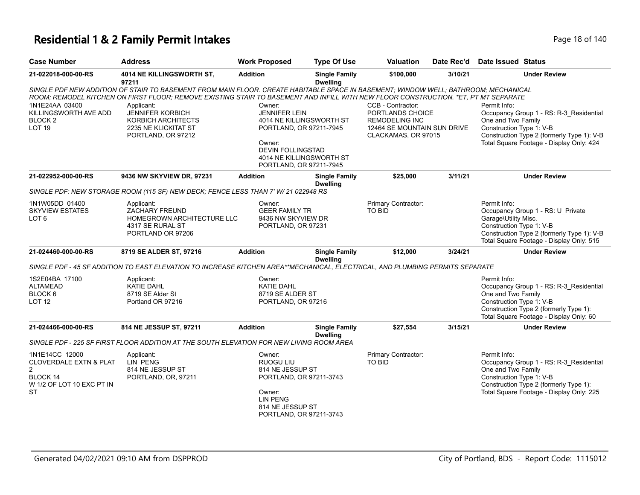# **Residential 1 & 2 Family Permit Intakes Page 18 of 140** Page 18 of 140

| <b>Case Number</b>                                                                                                          | <b>Address</b>                                                                                                                                                                                                                                                                                                                                                                                 | <b>Work Proposed</b>                                                                                                                                                               | <b>Type Of Use</b>                      | <b>Valuation</b>                                                                                                     | Date Rec'd | Date Issued Status                                                                                                                                                                                  |
|-----------------------------------------------------------------------------------------------------------------------------|------------------------------------------------------------------------------------------------------------------------------------------------------------------------------------------------------------------------------------------------------------------------------------------------------------------------------------------------------------------------------------------------|------------------------------------------------------------------------------------------------------------------------------------------------------------------------------------|-----------------------------------------|----------------------------------------------------------------------------------------------------------------------|------------|-----------------------------------------------------------------------------------------------------------------------------------------------------------------------------------------------------|
| 21-022018-000-00-RS                                                                                                         | 4014 NE KILLINGSWORTH ST,<br>97211                                                                                                                                                                                                                                                                                                                                                             | <b>Addition</b>                                                                                                                                                                    | <b>Single Family</b><br><b>Dwelling</b> | \$100,000                                                                                                            | 3/10/21    | <b>Under Review</b>                                                                                                                                                                                 |
| 1N1E24AA 03400<br>KILLINGSWORTH AVE ADD<br>BLOCK <sub>2</sub><br><b>LOT 19</b>                                              | SINGLE PDF NEW ADDITION OF STAIR TO BASEMENT FROM MAIN FLOOR. CREATE HABITABLE SPACE IN BASEMENT; WINDOW WELL; BATHROOM; MECHANICAL<br>ROOM; REMODEL KITCHEN ON FIRST FLOOR; REMOVE EXISTING STAIR TO BASEMENT AND INFILL WITH NEW FLOOR CONSTRUCTION. *ET, PT MT SEPARATE<br>Applicant:<br><b>JENNIFER KORBICH</b><br><b>KORBICH ARCHITECTS</b><br>2235 NE KLICKITAT ST<br>PORTLAND, OR 97212 | Owner:<br><b>JENNIFER LEIN</b><br>4014 NE KILLINGSWORTH ST<br>PORTLAND, OR 97211-7945<br>Owner:<br><b>DEVIN FOLLINGSTAD</b><br>4014 NE KILLINGSWORTH ST<br>PORTLAND, OR 97211-7945 |                                         | CCB - Contractor:<br>PORTLANDS CHOICE<br><b>REMODELING INC</b><br>12464 SE MOUNTAIN SUN DRIVE<br>CLACKAMAS, OR 97015 |            | Permit Info:<br>Occupancy Group 1 - RS: R-3_Residential<br>One and Two Family<br>Construction Type 1: V-B<br>Construction Type 2 (formerly Type 1): V-B<br>Total Square Footage - Display Only: 424 |
| 21-022952-000-00-RS                                                                                                         | 9436 NW SKYVIEW DR, 97231                                                                                                                                                                                                                                                                                                                                                                      | <b>Addition</b>                                                                                                                                                                    | <b>Single Family</b><br><b>Dwelling</b> | \$25,000                                                                                                             | 3/11/21    | <b>Under Review</b>                                                                                                                                                                                 |
|                                                                                                                             | SINGLE PDF: NEW STORAGE ROOM (115 SF) NEW DECK; FENCE LESS THAN 7' W/ 21 022948 RS                                                                                                                                                                                                                                                                                                             |                                                                                                                                                                                    |                                         |                                                                                                                      |            |                                                                                                                                                                                                     |
| 1N1W05DD 01400<br><b>SKYVIEW ESTATES</b><br>LOT 6                                                                           | Applicant:<br><b>ZACHARY FREUND</b><br>HOMEGROWN ARCHITECTURE LLC<br>4317 SE RURAL ST<br>PORTLAND OR 97206                                                                                                                                                                                                                                                                                     | Owner:<br><b>GEER FAMILY TR</b><br>9436 NW SKYVIEW DR<br>PORTLAND, OR 97231                                                                                                        |                                         | Primary Contractor:<br>TO BID                                                                                        |            | Permit Info:<br>Occupancy Group 1 - RS: U_Private<br>Garage\Utility Misc.<br>Construction Type 1: V-B<br>Construction Type 2 (formerly Type 1): V-B<br>Total Square Footage - Display Only: 515     |
| 21-024460-000-00-RS                                                                                                         | 8719 SE ALDER ST, 97216                                                                                                                                                                                                                                                                                                                                                                        | <b>Addition</b>                                                                                                                                                                    | <b>Single Family</b><br><b>Dwelling</b> | \$12,000                                                                                                             | 3/24/21    | <b>Under Review</b>                                                                                                                                                                                 |
|                                                                                                                             | SINGLE PDF - 45 SF ADDITION TO EAST ELEVATION TO INCREASE KITCHEN AREA**MECHANICAL, ELECTRICAL, AND PLUMBING PERMITS SEPARATE                                                                                                                                                                                                                                                                  |                                                                                                                                                                                    |                                         |                                                                                                                      |            |                                                                                                                                                                                                     |
| 1S2E04BA 17100<br><b>ALTAMEAD</b><br>BLOCK 6<br>LOT <sub>12</sub>                                                           | Applicant:<br>KATIE DAHL<br>8719 SE Alder St<br>Portland OR 97216                                                                                                                                                                                                                                                                                                                              | Owner:<br><b>KATIE DAHL</b><br>8719 SE ALDER ST<br>PORTLAND, OR 97216                                                                                                              |                                         |                                                                                                                      |            | Permit Info:<br>Occupancy Group 1 - RS: R-3 Residential<br>One and Two Family<br>Construction Type 1: V-B<br>Construction Type 2 (formerly Type 1):<br>Total Square Footage - Display Only: 60      |
| 21-024466-000-00-RS                                                                                                         | 814 NE JESSUP ST, 97211                                                                                                                                                                                                                                                                                                                                                                        | <b>Addition</b>                                                                                                                                                                    | <b>Single Family</b><br><b>Dwelling</b> | \$27,554                                                                                                             | 3/15/21    | <b>Under Review</b>                                                                                                                                                                                 |
|                                                                                                                             | SINGLE PDF - 225 SF FIRST FLOOR ADDITION AT THE SOUTH ELEVATION FOR NEW LIVING ROOM AREA                                                                                                                                                                                                                                                                                                       |                                                                                                                                                                                    |                                         |                                                                                                                      |            |                                                                                                                                                                                                     |
| 1N1E14CC 12000<br><b>CLOVERDALE EXTN &amp; PLAT</b><br>$\overline{2}$<br>BLOCK 14<br>W 1/2 OF LOT 10 EXC PT IN<br><b>ST</b> | Applicant:<br><b>LIN PENG</b><br>814 NE JESSUP ST<br>PORTLAND, OR, 97211                                                                                                                                                                                                                                                                                                                       | Owner:<br><b>RUOGU LIU</b><br>814 NE JESSUP ST<br>PORTLAND, OR 97211-3743<br>Owner:<br><b>LIN PENG</b><br>814 NE JESSUP ST<br>PORTLAND, OR 97211-3743                              |                                         | Primary Contractor:<br><b>TO BID</b>                                                                                 |            | Permit Info:<br>Occupancy Group 1 - RS: R-3_Residential<br>One and Two Family<br>Construction Type 1: V-B<br>Construction Type 2 (formerly Type 1):<br>Total Square Footage - Display Only: 225     |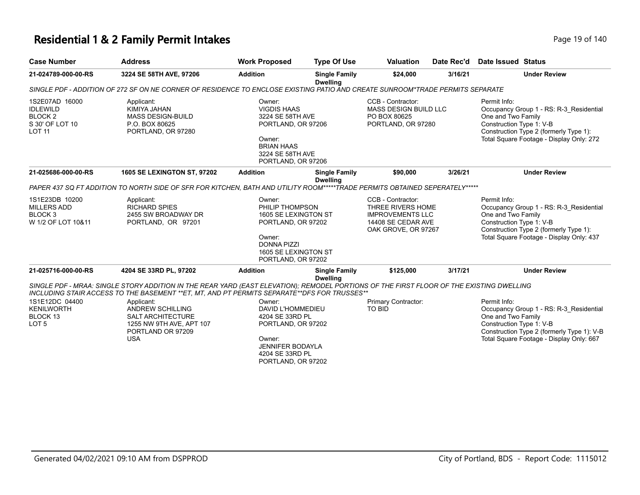# **Residential 1 & 2 Family Permit Intakes Page 19 of 140** Page 19 of 140

| <b>Case Number</b>                                                                          | <b>Address</b>                                                                                                                                                                                                                                                                                                                                                         | <b>Work Proposed</b>                                                                                                                                  | <b>Type Of Use</b>                      | <b>Valuation</b>                                                                                               | Date Rec'd | Date Issued Status                                             |                                                                                                                                   |
|---------------------------------------------------------------------------------------------|------------------------------------------------------------------------------------------------------------------------------------------------------------------------------------------------------------------------------------------------------------------------------------------------------------------------------------------------------------------------|-------------------------------------------------------------------------------------------------------------------------------------------------------|-----------------------------------------|----------------------------------------------------------------------------------------------------------------|------------|----------------------------------------------------------------|-----------------------------------------------------------------------------------------------------------------------------------|
| 21-024789-000-00-RS                                                                         | 3224 SE 58TH AVE, 97206                                                                                                                                                                                                                                                                                                                                                | <b>Addition</b>                                                                                                                                       | <b>Single Family</b><br><b>Dwelling</b> | \$24,000                                                                                                       | 3/16/21    |                                                                | <b>Under Review</b>                                                                                                               |
|                                                                                             | SINGLE PDF - ADDITION OF 272 SF ON NE CORNER OF RESIDENCE TO ENCLOSE EXISTING PATIO AND CREATE SUNROOM*TRADE PERMITS SEPARATE                                                                                                                                                                                                                                          |                                                                                                                                                       |                                         |                                                                                                                |            |                                                                |                                                                                                                                   |
| 1S2E07AD 16000<br><b>IDLEWILD</b><br>BLOCK <sub>2</sub><br>S 30' OF LOT 10<br><b>LOT 11</b> | Applicant:<br>KIMIYA JAHAN<br><b>MASS DESIGN-BUILD</b><br>P.O. BOX 80625<br>PORTLAND, OR 97280                                                                                                                                                                                                                                                                         | Owner:<br><b>VIGDIS HAAS</b><br>3224 SE 58TH AVE<br>PORTLAND, OR 97206<br>Owner:<br><b>BRIAN HAAS</b><br>3224 SE 58TH AVE<br>PORTLAND, OR 97206       |                                         | CCB - Contractor:<br><b>MASS DESIGN BUILD LLC</b><br>PO BOX 80625<br>PORTLAND, OR 97280                        |            | Permit Info:<br>One and Two Family<br>Construction Type 1: V-B | Occupancy Group 1 - RS: R-3 Residential<br>Construction Type 2 (formerly Type 1):<br>Total Square Footage - Display Only: 272     |
| 21-025686-000-00-RS                                                                         | <b>1605 SE LEXINGTON ST, 97202</b>                                                                                                                                                                                                                                                                                                                                     | <b>Addition</b>                                                                                                                                       | <b>Single Family</b>                    | \$90,000                                                                                                       | 3/26/21    |                                                                | <b>Under Review</b>                                                                                                               |
|                                                                                             | PAPER 437 SQ FT ADDITION TO NORTH SIDE OF SFR FOR KITCHEN, BATH AND UTILITY ROOM*****TRADE PERMITS OBTAINED SEPERATELY*****                                                                                                                                                                                                                                            |                                                                                                                                                       | <b>Dwelling</b>                         |                                                                                                                |            |                                                                |                                                                                                                                   |
| 1S1E23DB 10200<br><b>MILLERS ADD</b><br>BLOCK <sub>3</sub><br>W 1/2 OF LOT 10&11            | Applicant:<br><b>RICHARD SPIES</b><br>2455 SW BROADWAY DR<br>PORTLAND, OR 97201                                                                                                                                                                                                                                                                                        | Owner:<br>PHILIP THOMPSON<br>1605 SE LEXINGTON ST<br>PORTLAND, OR 97202<br>Owner:<br><b>DONNA PIZZI</b><br>1605 SE LEXINGTON ST<br>PORTLAND, OR 97202 |                                         | CCB - Contractor:<br>THREE RIVERS HOME<br><b>IMPROVEMENTS LLC</b><br>14408 SE CEDAR AVE<br>OAK GROVE, OR 97267 |            | Permit Info:<br>One and Two Family<br>Construction Type 1: V-B | Occupancy Group 1 - RS: R-3_Residential<br>Construction Type 2 (formerly Type 1):<br>Total Square Footage - Display Only: 437     |
| 21-025716-000-00-RS                                                                         | 4204 SE 33RD PL, 97202                                                                                                                                                                                                                                                                                                                                                 | <b>Addition</b>                                                                                                                                       | <b>Single Family</b><br><b>Dwelling</b> | \$125,000                                                                                                      | 3/17/21    |                                                                | <b>Under Review</b>                                                                                                               |
| 1S1E12DC 04400<br><b>KENILWORTH</b><br>BLOCK 13<br>LOT <sub>5</sub>                         | SINGLE PDF - MRAA: SINGLE STORY ADDITION IN THE REAR YARD (EAST ELEVATION); REMODEL PORTIONS OF THE FIRST FLOOR OF THE EXISTING DWELLING<br>INCLUDING STAIR ACCESS TO THE BASEMENT ** ET, MT, AND PT PERMITS SEPARATE** DFS FOR TRUSSES**<br>Applicant:<br><b>ANDREW SCHILLING</b><br>SALT ARCHITECTURE<br>1255 NW 9TH AVE, APT 107<br>PORTLAND OR 97209<br><b>USA</b> | Owner:<br>DAVID L'HOMMEDIEU<br>4204 SE 33RD PL<br>PORTLAND, OR 97202<br>Owner:<br><b>JENNIFER BODAYLA</b>                                             |                                         | Primary Contractor:<br>TO BID                                                                                  |            | Permit Info:<br>One and Two Family<br>Construction Type 1: V-B | Occupancy Group 1 - RS: R-3 Residential<br>Construction Type 2 (formerly Type 1): V-B<br>Total Square Footage - Display Only: 667 |
|                                                                                             |                                                                                                                                                                                                                                                                                                                                                                        | 4204 SE 33RD PL<br>PORTLAND, OR 97202                                                                                                                 |                                         |                                                                                                                |            |                                                                |                                                                                                                                   |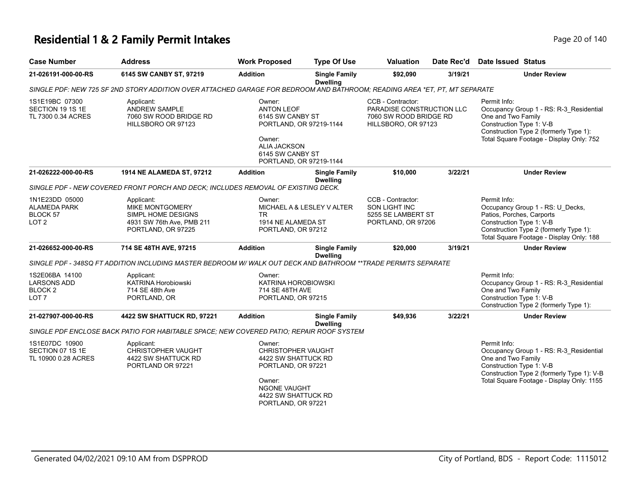# **Residential 1 & 2 Family Permit Intakes Page 140** Page 20 of 140

| <b>Case Number</b>                                                                                                         | <b>Address</b>                                                                                                | <b>Work Proposed</b>                                                                                                                                           | <b>Type Of Use</b>                      | <b>Valuation</b>                                                                                | Date Rec'd | Date Issued Status                                                                                                                                                                                   |
|----------------------------------------------------------------------------------------------------------------------------|---------------------------------------------------------------------------------------------------------------|----------------------------------------------------------------------------------------------------------------------------------------------------------------|-----------------------------------------|-------------------------------------------------------------------------------------------------|------------|------------------------------------------------------------------------------------------------------------------------------------------------------------------------------------------------------|
| 21-026191-000-00-RS                                                                                                        | 6145 SW CANBY ST, 97219                                                                                       | <b>Addition</b>                                                                                                                                                | <b>Single Family</b><br><b>Dwelling</b> | \$92,090<br>3/19/21                                                                             |            | <b>Under Review</b>                                                                                                                                                                                  |
| SINGLE PDF: NEW 725 SF 2ND STORY ADDITION OVER ATTACHED GARAGE FOR BEDROOM AND BATHROOM; READING AREA *ET, PT, MT SEPARATE |                                                                                                               |                                                                                                                                                                |                                         |                                                                                                 |            |                                                                                                                                                                                                      |
| 1S1E19BC 07300<br>SECTION 19 1S 1E<br>TL 7300 0.34 ACRES                                                                   | Applicant:<br><b>ANDREW SAMPLE</b><br>7060 SW ROOD BRIDGE RD<br>HILLSBORO OR 97123                            | Owner:<br><b>ANTON LEOF</b><br>6145 SW CANBY ST<br>PORTLAND, OR 97219-1144<br>Owner:<br>ALIA JACKSON<br>6145 SW CANBY ST<br>PORTLAND, OR 97219-1144            |                                         | CCB - Contractor:<br>PARADISE CONSTRUCTION LLC<br>7060 SW ROOD BRIDGE RD<br>HILLSBORO, OR 97123 |            | Permit Info:<br>Occupancy Group 1 - RS: R-3_Residential<br>One and Two Family<br>Construction Type 1: V-B<br>Construction Type 2 (formerly Type 1):<br>Total Square Footage - Display Only: 752      |
| 21-026222-000-00-RS                                                                                                        | 1914 NE ALAMEDA ST, 97212                                                                                     | <b>Addition</b>                                                                                                                                                | <b>Single Family</b><br><b>Dwelling</b> | \$10,000                                                                                        | 3/22/21    | <b>Under Review</b>                                                                                                                                                                                  |
|                                                                                                                            | SINGLE PDF - NEW COVERED FRONT PORCH AND DECK; INCLUDES REMOVAL OF EXISTING DECK.                             |                                                                                                                                                                |                                         |                                                                                                 |            |                                                                                                                                                                                                      |
| 1N1E23DD 05000<br><b>ALAMEDA PARK</b><br>BLOCK 57<br>LOT <sub>2</sub>                                                      | Applicant:<br><b>MIKE MONTGOMERY</b><br>SIMPL HOME DESIGNS<br>4931 SW 76th Ave, PMB 211<br>PORTLAND, OR 97225 | Owner:<br>MICHAEL A & LESLEY V ALTER<br><b>TR</b><br>1914 NE ALAMEDA ST<br>PORTLAND, OR 97212                                                                  |                                         | CCB - Contractor:<br>SON LIGHT INC<br>5255 SE LAMBERT ST<br>PORTLAND, OR 97206                  |            | Permit Info:<br>Occupancy Group 1 - RS: U_Decks,<br>Patios, Porches, Carports<br>Construction Type 1: V-B<br>Construction Type 2 (formerly Type 1):<br>Total Square Footage - Display Only: 188      |
| 21-026652-000-00-RS                                                                                                        | 714 SE 48TH AVE, 97215                                                                                        | <b>Addition</b>                                                                                                                                                | <b>Single Family</b><br><b>Dwelling</b> | \$20,000                                                                                        | 3/19/21    | <b>Under Review</b>                                                                                                                                                                                  |
|                                                                                                                            | SINGLE PDF - 348SQ FT ADDITION INCLUDING MASTER BEDROOM W/WALK OUT DECK AND BATHROOM **TRADE PERMITS SEPARATE |                                                                                                                                                                |                                         |                                                                                                 |            |                                                                                                                                                                                                      |
| 1S2E06BA 14100<br><b>LARSONS ADD</b><br>BLOCK 2<br>LOT <sub>7</sub>                                                        | Applicant:<br><b>KATRINA Horobiowski</b><br>714 SE 48th Ave<br>PORTLAND, OR                                   | Owner:<br>KATRINA HOROBIOWSKI<br>714 SE 48TH AVE<br>PORTLAND, OR 97215                                                                                         |                                         |                                                                                                 |            | Permit Info:<br>Occupancy Group 1 - RS: R-3_Residential<br>One and Two Family<br>Construction Type 1: V-B<br>Construction Type 2 (formerly Type 1):                                                  |
| 21-027907-000-00-RS                                                                                                        | 4422 SW SHATTUCK RD, 97221                                                                                    | <b>Addition</b>                                                                                                                                                | <b>Single Family</b><br><b>Dwelling</b> | \$49,936                                                                                        | 3/22/21    | <b>Under Review</b>                                                                                                                                                                                  |
|                                                                                                                            | SINGLE PDF ENCLOSE BACK PATIO FOR HABITABLE SPACE; NEW COVERED PATIO; REPAIR ROOF SYSTEM                      |                                                                                                                                                                |                                         |                                                                                                 |            |                                                                                                                                                                                                      |
| 1S1E07DC 10900<br>SECTION 07 1S 1E<br>TL 10900 0.28 ACRES                                                                  | Applicant:<br>CHRISTOPHER VAUGHT<br>4422 SW SHATTUCK RD<br>PORTLAND OR 97221                                  | Owner:<br><b>CHRISTOPHER VAUGHT</b><br>4422 SW SHATTUCK RD<br>PORTLAND, OR 97221<br>Owner:<br><b>NGONE VAUGHT</b><br>4422 SW SHATTUCK RD<br>PORTLAND, OR 97221 |                                         |                                                                                                 |            | Permit Info:<br>Occupancy Group 1 - RS: R-3 Residential<br>One and Two Family<br>Construction Type 1: V-B<br>Construction Type 2 (formerly Type 1): V-B<br>Total Square Footage - Display Only: 1155 |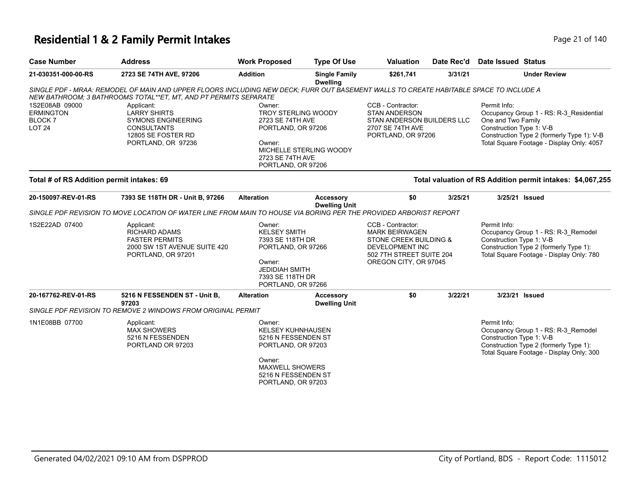# **Residential 1 & 2 Family Permit Intakes Page 21 of 140** Page 21 of 140

| <b>Case Number</b>                                                   | <b>Address</b>                                                                                                                                                                                             | <b>Work Proposed</b>                                                                                                                                             | <b>Type Of Use</b>                       | <b>Valuation</b>                                                                                                                                    | Date Rec'd | Date Issued Status                                             |                                                                                                                                    |
|----------------------------------------------------------------------|------------------------------------------------------------------------------------------------------------------------------------------------------------------------------------------------------------|------------------------------------------------------------------------------------------------------------------------------------------------------------------|------------------------------------------|-----------------------------------------------------------------------------------------------------------------------------------------------------|------------|----------------------------------------------------------------|------------------------------------------------------------------------------------------------------------------------------------|
| 21-030351-000-00-RS                                                  | 2723 SE 74TH AVE, 97206                                                                                                                                                                                    | <b>Addition</b>                                                                                                                                                  | <b>Single Family</b><br><b>Dwelling</b>  | \$261,741                                                                                                                                           | 3/31/21    |                                                                | <b>Under Review</b>                                                                                                                |
|                                                                      | SINGLE PDF - MRAA: REMODEL OF MAIN AND UPPER FLOORS INCLUDING NEW DECK; FURR OUT BASEMENT WALLS TO CREATE HABITABLE SPACE TO INCLUDE A<br>NEW BATHROOM: 3 BATHROOMS TOTAL**ET, MT, AND PT PERMITS SEPARATE |                                                                                                                                                                  |                                          |                                                                                                                                                     |            |                                                                |                                                                                                                                    |
| 1S2E08AB 09000<br><b>ERMINGTON</b><br><b>BLOCK7</b><br><b>LOT 24</b> | Applicant:<br><b>LARRY SHIRTS</b><br><b>SYMONS ENGINEERING</b><br><b>CONSULTANTS</b><br>12805 SE FOSTER RD<br>PORTLAND, OR 97236                                                                           | Owner:<br><b>TROY STERLING WOODY</b><br>2723 SE 74TH AVE<br>PORTLAND, OR 97206<br>Owner:<br>2723 SE 74TH AVE<br>PORTLAND, OR 97206                               | MICHELLE STERLING WOODY                  | CCB - Contractor:<br><b>STAN ANDERSON</b><br>STAN ANDERSON BUILDERS LLC<br>2707 SE 74TH AVE<br>PORTLAND, OR 97206                                   |            | Permit Info:<br>One and Two Family<br>Construction Type 1: V-B | Occupancy Group 1 - RS: R-3 Residential<br>Construction Type 2 (formerly Type 1): V-B<br>Total Square Footage - Display Only: 4057 |
| Total # of RS Addition permit intakes: 69                            |                                                                                                                                                                                                            |                                                                                                                                                                  |                                          |                                                                                                                                                     |            |                                                                | Total valuation of RS Addition permit intakes: \$4,067,255                                                                         |
| 20-150097-REV-01-RS                                                  | 7393 SE 118TH DR - Unit B, 97266                                                                                                                                                                           | <b>Alteration</b>                                                                                                                                                | <b>Accessory</b><br><b>Dwelling Unit</b> | \$0                                                                                                                                                 | 3/25/21    |                                                                | 3/25/21 Issued                                                                                                                     |
|                                                                      | SINGLE PDF REVISION TO MOVE LOCATION OF WATER LINE FROM MAIN TO HOUSE VIA BORING PER THE PROVIDED ARBORIST REPORT                                                                                          |                                                                                                                                                                  |                                          |                                                                                                                                                     |            |                                                                |                                                                                                                                    |
| 1S2E22AD 07400                                                       | Applicant:<br><b>RICHARD ADAMS</b><br><b>FASTER PERMITS</b><br>2000 SW 1ST AVENUE SUITE 420<br>PORTLAND, OR 97201                                                                                          | Owner:<br><b>KELSEY SMITH</b><br>7393 SE 118TH DR<br>PORTLAND, OR 97266<br>Owner:<br><b>JEDIDIAH SMITH</b><br>7393 SE 118TH DR<br>PORTLAND, OR 97266             |                                          | CCB - Contractor:<br><b>MARK BEIRWAGEN</b><br>STONE CREEK BUILDING &<br><b>DEVELOPMENT INC</b><br>502 7TH STREET SUITE 204<br>OREGON CITY, OR 97045 |            | Permit Info:<br>Construction Type 1: V-B                       | Occupancy Group 1 - RS: R-3_Remodel<br>Construction Type 2 (formerly Type 1):<br>Total Square Footage - Display Only: 780          |
| 20-167762-REV-01-RS                                                  | 5216 N FESSENDEN ST - Unit B,<br>97203                                                                                                                                                                     | <b>Alteration</b>                                                                                                                                                | <b>Accessory</b><br><b>Dwelling Unit</b> | \$0                                                                                                                                                 | 3/22/21    |                                                                | 3/23/21 Issued                                                                                                                     |
|                                                                      | SINGLE PDF REVISION TO REMOVE 2 WINDOWS FROM ORIGINAL PERMIT                                                                                                                                               |                                                                                                                                                                  |                                          |                                                                                                                                                     |            |                                                                |                                                                                                                                    |
| 1N1E08BB 07700                                                       | Applicant:<br><b>MAX SHOWERS</b><br>5216 N FESSENDEN<br>PORTLAND OR 97203                                                                                                                                  | Owner:<br><b>KELSEY KUHNHAUSEN</b><br>5216 N FESSENDEN ST<br>PORTLAND, OR 97203<br>Owner:<br><b>MAXWELL SHOWERS</b><br>5216 N FESSENDEN ST<br>PORTLAND, OR 97203 |                                          |                                                                                                                                                     |            | Permit Info:<br>Construction Type 1: V-B                       | Occupancy Group 1 - RS: R-3_Remodel<br>Construction Type 2 (formerly Type 1):<br>Total Square Footage - Display Only: 300          |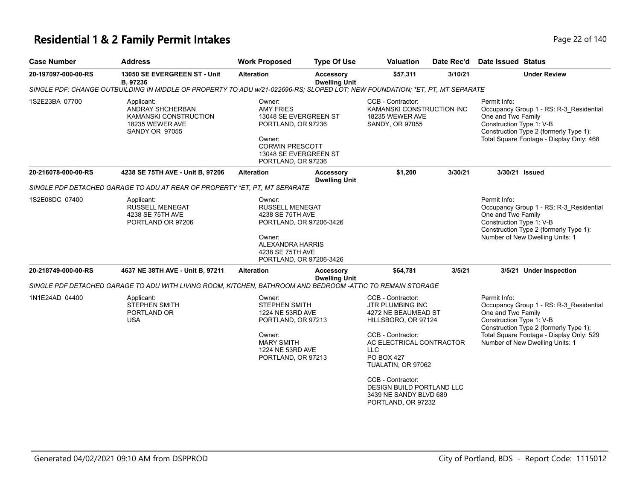# **Residential 1 & 2 Family Permit Intakes Page 140** Page 22 of 140

| <b>Case Number</b>  | <b>Address</b>                                                                                                               | <b>Work Proposed</b>                                                                                                                                         | <b>Type Of Use</b>                       | <b>Valuation</b>                                                                                                                                                                                                                                                                                       | Date Rec'd | <b>Date Issued Status</b>                                                                                                                                                                                                          |
|---------------------|------------------------------------------------------------------------------------------------------------------------------|--------------------------------------------------------------------------------------------------------------------------------------------------------------|------------------------------------------|--------------------------------------------------------------------------------------------------------------------------------------------------------------------------------------------------------------------------------------------------------------------------------------------------------|------------|------------------------------------------------------------------------------------------------------------------------------------------------------------------------------------------------------------------------------------|
| 20-197097-000-00-RS | 13050 SE EVERGREEN ST - Unit<br>B, 97236                                                                                     | <b>Alteration</b>                                                                                                                                            | <b>Accessory</b><br><b>Dwelling Unit</b> | \$57,311<br>3/10/21                                                                                                                                                                                                                                                                                    |            | <b>Under Review</b>                                                                                                                                                                                                                |
|                     | SINGLE PDF: CHANGE OUTBUILDING IN MIDDLE OF PROPERTY TO ADU w/21-022696-RS; SLOPED LOT; NEW FOUNDATION; *ET, PT, MT SEPARATE |                                                                                                                                                              |                                          |                                                                                                                                                                                                                                                                                                        |            |                                                                                                                                                                                                                                    |
| 1S2E23BA 07700      | Applicant:<br>ANDRAY SHCHERBAN<br>KAMANSKI CONSTRUCTION<br>18235 WEWER AVE<br><b>SANDY OR 97055</b>                          | Owner:<br><b>AMY FRIES</b><br>13048 SE EVERGREEN ST<br>PORTLAND, OR 97236<br>Owner:<br><b>CORWIN PRESCOTT</b><br>13048 SE EVERGREEN ST<br>PORTLAND, OR 97236 |                                          | CCB - Contractor:<br>KAMANSKI CONSTRUCTION INC<br>18235 WEWER AVE<br>SANDY, OR 97055                                                                                                                                                                                                                   |            | Permit Info:<br>Occupancy Group 1 - RS: R-3 Residential<br>One and Two Family<br>Construction Type 1: V-B<br>Construction Type 2 (formerly Type 1):<br>Total Square Footage - Display Only: 468                                    |
| 20-216078-000-00-RS | 4238 SE 75TH AVE - Unit B, 97206                                                                                             | <b>Alteration</b>                                                                                                                                            | <b>Accessory</b><br><b>Dwelling Unit</b> | \$1,200                                                                                                                                                                                                                                                                                                | 3/30/21    | 3/30/21 Issued                                                                                                                                                                                                                     |
|                     | SINGLE PDF DETACHED GARAGE TO ADU AT REAR OF PROPERTY *ET. PT. MT SEPARATE                                                   |                                                                                                                                                              |                                          |                                                                                                                                                                                                                                                                                                        |            |                                                                                                                                                                                                                                    |
| 1S2E08DC 07400      | Applicant:<br><b>RUSSELL MENEGAT</b><br>4238 SE 75TH AVE<br>PORTLAND OR 97206                                                | Owner:<br><b>RUSSELL MENEGAT</b><br>4238 SE 75TH AVE<br>PORTLAND, OR 97206-3426<br>Owner:<br>ALEXANDRA HARRIS<br>4238 SE 75TH AVE<br>PORTLAND, OR 97206-3426 |                                          |                                                                                                                                                                                                                                                                                                        |            | Permit Info:<br>Occupancy Group 1 - RS: R-3_Residential<br>One and Two Family<br>Construction Type 1: V-B<br>Construction Type 2 (formerly Type 1):<br>Number of New Dwelling Units: 1                                             |
| 20-218749-000-00-RS | 4637 NE 38TH AVE - Unit B, 97211                                                                                             | <b>Alteration</b>                                                                                                                                            | <b>Accessory</b><br><b>Dwelling Unit</b> | \$64,781                                                                                                                                                                                                                                                                                               | 3/5/21     | 3/5/21 Under Inspection                                                                                                                                                                                                            |
|                     | SINGLE PDF DETACHED GARAGE TO ADU WITH LIVING ROOM, KITCHEN, BATHROOM AND BEDROOM -ATTIC TO REMAIN STORAGE                   |                                                                                                                                                              |                                          |                                                                                                                                                                                                                                                                                                        |            |                                                                                                                                                                                                                                    |
| 1N1E24AD 04400      | Applicant:<br><b>STEPHEN SMITH</b><br>PORTLAND OR<br><b>USA</b>                                                              | Owner:<br><b>STEPHEN SMITH</b><br>1224 NE 53RD AVE<br>PORTLAND, OR 97213<br>Owner:<br><b>MARY SMITH</b><br>1224 NE 53RD AVE<br>PORTLAND, OR 97213            |                                          | CCB - Contractor:<br><b>JTR PLUMBING INC</b><br>4272 NE BEAUMEAD ST<br>HILLSBORO, OR 97124<br>CCB - Contractor:<br>AC ELECTRICAL CONTRACTOR<br><b>LLC</b><br><b>PO BOX 427</b><br>TUALATIN, OR 97062<br>CCB - Contractor:<br>DESIGN BUILD PORTLAND LLC<br>3439 NE SANDY BLVD 689<br>PORTLAND, OR 97232 |            | Permit Info:<br>Occupancy Group 1 - RS: R-3_Residential<br>One and Two Family<br>Construction Type 1: V-B<br>Construction Type 2 (formerly Type 1):<br>Total Square Footage - Display Only: 529<br>Number of New Dwelling Units: 1 |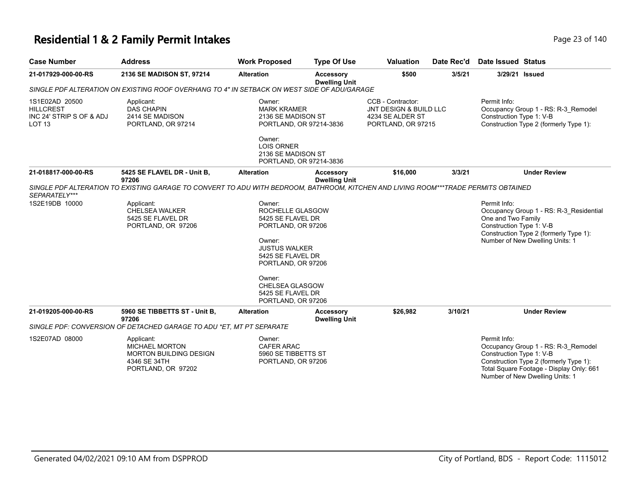# **Residential 1 & 2 Family Permit Intakes Page 140** Page 23 of 140

| <b>Case Number</b>                                                                          | <b>Address</b>                                                                                                                      | <b>Work Proposed</b>                                                                                                                                                                                                       | <b>Type Of Use</b>                       | <b>Valuation</b>                                                                      | Date Rec'd | Date Issued Status                                                                                                                                                                                       |
|---------------------------------------------------------------------------------------------|-------------------------------------------------------------------------------------------------------------------------------------|----------------------------------------------------------------------------------------------------------------------------------------------------------------------------------------------------------------------------|------------------------------------------|---------------------------------------------------------------------------------------|------------|----------------------------------------------------------------------------------------------------------------------------------------------------------------------------------------------------------|
| 21-017929-000-00-RS                                                                         | 2136 SE MADISON ST, 97214                                                                                                           | <b>Alteration</b>                                                                                                                                                                                                          | <b>Accessory</b><br><b>Dwelling Unit</b> | \$500                                                                                 | 3/5/21     | 3/29/21 Issued                                                                                                                                                                                           |
| SINGLE PDF ALTERATION ON EXISTING ROOF OVERHANG TO 4" IN SETBACK ON WEST SIDE OF ADU/GARAGE |                                                                                                                                     |                                                                                                                                                                                                                            |                                          |                                                                                       |            |                                                                                                                                                                                                          |
| 1S1E02AD 20500<br><b>HILLCREST</b><br>INC 24' STRIP S OF & ADJ<br>LOT <sub>13</sub>         | Applicant:<br><b>DAS CHAPIN</b><br>2414 SE MADISON<br>PORTLAND, OR 97214                                                            | Owner:<br><b>MARK KRAMER</b><br>2136 SE MADISON ST<br>PORTLAND, OR 97214-3836                                                                                                                                              |                                          | CCB - Contractor:<br>JNT DESIGN & BUILD LLC<br>4234 SE ALDER ST<br>PORTLAND, OR 97215 |            | Permit Info:<br>Occupancy Group 1 - RS: R-3_Remodel<br>Construction Type 1: V-B<br>Construction Type 2 (formerly Type 1):                                                                                |
|                                                                                             |                                                                                                                                     | Owner:<br><b>LOIS ORNER</b><br>2136 SE MADISON ST<br>PORTLAND, OR 97214-3836                                                                                                                                               |                                          |                                                                                       |            |                                                                                                                                                                                                          |
| 21-018817-000-00-RS                                                                         | 5425 SE FLAVEL DR - Unit B,<br>97206                                                                                                | <b>Alteration</b>                                                                                                                                                                                                          | <b>Accessory</b><br><b>Dwelling Unit</b> | \$16,000                                                                              | 3/3/21     | <b>Under Review</b>                                                                                                                                                                                      |
| SEPARATELY***                                                                               | SINGLE PDF ALTERATION TO EXISTING GARAGE TO CONVERT TO ADU WITH BEDROOM, BATHROOM, KITCHEN AND LIVING ROOM***TRADE PERMITS OBTAINED |                                                                                                                                                                                                                            |                                          |                                                                                       |            |                                                                                                                                                                                                          |
| 1S2E19DB 10000                                                                              | Applicant:<br><b>CHELSEA WALKER</b><br>5425 SE FLAVEL DR<br>PORTLAND, OR 97206                                                      | Owner:<br>ROCHELLE GLASGOW<br>5425 SE FLAVEL DR<br>PORTLAND, OR 97206<br>Owner:<br><b>JUSTUS WALKER</b><br>5425 SE FLAVEL DR<br>PORTLAND, OR 97206<br>Owner:<br>CHELSEA GLASGOW<br>5425 SE FLAVEL DR<br>PORTLAND, OR 97206 |                                          |                                                                                       |            | Permit Info:<br>Occupancy Group 1 - RS: R-3_Residential<br>One and Two Family<br>Construction Type 1: V-B<br>Construction Type 2 (formerly Type 1):<br>Number of New Dwelling Units: 1                   |
| 21-019205-000-00-RS                                                                         | 5960 SE TIBBETTS ST - Unit B.<br>97206                                                                                              | <b>Alteration</b>                                                                                                                                                                                                          | <b>Accessory</b><br><b>Dwelling Unit</b> | \$26,982                                                                              | 3/10/21    | <b>Under Review</b>                                                                                                                                                                                      |
|                                                                                             | SINGLE PDF: CONVERSION OF DETACHED GARAGE TO ADU *ET, MT PT SEPARATE                                                                |                                                                                                                                                                                                                            |                                          |                                                                                       |            |                                                                                                                                                                                                          |
| 1S2E07AD 08000                                                                              | Applicant:<br><b>MICHAEL MORTON</b><br><b>MORTON BUILDING DESIGN</b><br>4346 SE 34TH<br>PORTLAND, OR 97202                          | Owner:<br><b>CAFER ARAC</b><br>5960 SE TIBBETTS ST<br>PORTLAND, OR 97206                                                                                                                                                   |                                          |                                                                                       |            | Permit Info:<br>Occupancy Group 1 - RS: R-3 Remodel<br>Construction Type 1: V-B<br>Construction Type 2 (formerly Type 1):<br>Total Square Footage - Display Only: 661<br>Number of New Dwelling Units: 1 |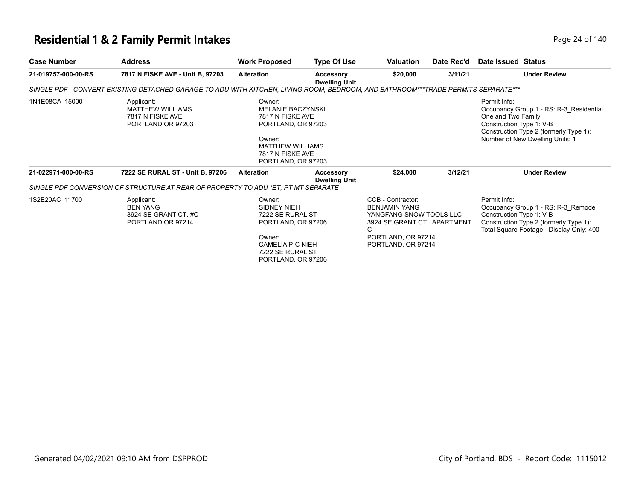# **Residential 1 & 2 Family Permit Intakes Page 24 of 140** Page 24 of 140

| <b>Case Number</b>  | <b>Address</b>                                                                                                                    | <b>Work Proposed</b>                                                                                                                                        | <b>Type Of Use</b>                | Valuation                                                                                                                                            | Date Rec'd | Date Issued Status                                                                                                                                                                     |
|---------------------|-----------------------------------------------------------------------------------------------------------------------------------|-------------------------------------------------------------------------------------------------------------------------------------------------------------|-----------------------------------|------------------------------------------------------------------------------------------------------------------------------------------------------|------------|----------------------------------------------------------------------------------------------------------------------------------------------------------------------------------------|
| 21-019757-000-00-RS | 7817 N FISKE AVE - Unit B, 97203                                                                                                  | <b>Alteration</b>                                                                                                                                           | <b>Accessory</b><br>Dwelling Unit | \$20,000                                                                                                                                             | 3/11/21    | <b>Under Review</b>                                                                                                                                                                    |
|                     | SINGLE PDF - CONVERT EXISTING DETACHED GARAGE TO ADU WITH KITCHEN, LIVING ROOM, BEDROOM, AND BATHROOM***TRADE PERMITS SEPARATE*** |                                                                                                                                                             |                                   |                                                                                                                                                      |            |                                                                                                                                                                                        |
| 1N1E08CA 15000      | Applicant:<br><b>MATTHEW WILLIAMS</b><br>7817 N FISKE AVE<br>PORTLAND OR 97203                                                    | Owner:<br><b>MELANIE BACZYNSKI</b><br>7817 N FISKE AVE<br>PORTLAND, OR 97203<br>Owner:<br><b>MATTHEW WILLIAMS</b><br>7817 N FISKE AVE<br>PORTLAND, OR 97203 |                                   |                                                                                                                                                      |            | Permit Info:<br>Occupancy Group 1 - RS: R-3 Residential<br>One and Two Family<br>Construction Type 1: V-B<br>Construction Type 2 (formerly Type 1):<br>Number of New Dwelling Units: 1 |
| 21-022971-000-00-RS | 7222 SE RURAL ST - Unit B, 97206                                                                                                  | <b>Alteration</b>                                                                                                                                           | <b>Accessory</b><br>Dwelling Unit | \$24,000                                                                                                                                             | 3/12/21    | <b>Under Review</b>                                                                                                                                                                    |
|                     | SINGLE PDF CONVERSION OF STRUCTURE AT REAR OF PROPERTY TO ADU *ET. PT MT SEPARATE                                                 |                                                                                                                                                             |                                   |                                                                                                                                                      |            |                                                                                                                                                                                        |
| 1S2E20AC 11700      | Applicant:<br><b>BEN YANG</b><br>3924 SE GRANT CT. #C<br>PORTLAND OR 97214                                                        | Owner:<br>SIDNEY NIEH<br>7222 SE RURAL ST<br>PORTLAND, OR 97206<br>Owner:<br>CAMELIA P-C NIEH<br>7222 SE RURAL ST<br>PORTLAND, OR 97206                     |                                   | CCB - Contractor:<br><b>BENJAMIN YANG</b><br>YANGFANG SNOW TOOLS LLC<br>3924 SE GRANT CT. APARTMENT<br>C<br>PORTLAND, OR 97214<br>PORTLAND, OR 97214 |            | Permit Info:<br>Occupancy Group 1 - RS: R-3 Remodel<br>Construction Type 1: V-B<br>Construction Type 2 (formerly Type 1):<br>Total Square Footage - Display Only: 400                  |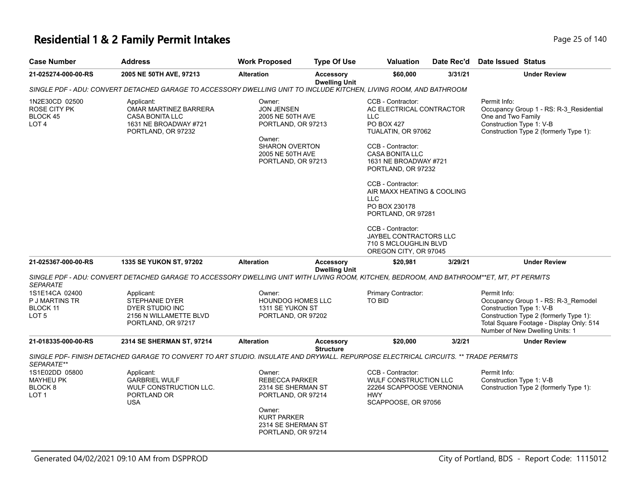# **Residential 1 & 2 Family Permit Intakes Page 25 of 140** Page 25 of 140

| <b>Case Number</b>                                    | <b>Address</b>                                                                                                                            | <b>Work Proposed</b>                                                                                                                                    | <b>Type Of Use</b>                       | Valuation                                                                                                                                                                                                                                                                                                                                                              | Date Rec'd | <b>Date Issued Status</b>                                                                                                                                                                                |
|-------------------------------------------------------|-------------------------------------------------------------------------------------------------------------------------------------------|---------------------------------------------------------------------------------------------------------------------------------------------------------|------------------------------------------|------------------------------------------------------------------------------------------------------------------------------------------------------------------------------------------------------------------------------------------------------------------------------------------------------------------------------------------------------------------------|------------|----------------------------------------------------------------------------------------------------------------------------------------------------------------------------------------------------------|
| 21-025274-000-00-RS                                   | 2005 NE 50TH AVE, 97213                                                                                                                   | <b>Alteration</b>                                                                                                                                       | <b>Accessory</b><br><b>Dwelling Unit</b> | \$60,000                                                                                                                                                                                                                                                                                                                                                               | 3/31/21    | <b>Under Review</b>                                                                                                                                                                                      |
|                                                       | SINGLE PDF - ADU: CONVERT DETACHED GARAGE TO ACCESSORY DWELLING UNIT TO INCLUDE KITCHEN, LIVING ROOM, AND BATHROOM                        |                                                                                                                                                         |                                          |                                                                                                                                                                                                                                                                                                                                                                        |            |                                                                                                                                                                                                          |
| 1N2E30CD 02500<br>ROSE CITY PK<br>BLOCK 45<br>LOT 4   | Applicant:<br>OMAR MARTINEZ BARRERA<br><b>CASA BONITA LLC</b><br>1631 NE BROADWAY #721<br>PORTLAND, OR 97232                              | Owner:<br><b>JON JENSEN</b><br>2005 NE 50TH AVE<br>PORTLAND, OR 97213<br>Owner:<br><b>SHARON OVERTON</b><br>2005 NE 50TH AVE<br>PORTLAND, OR 97213      |                                          | CCB - Contractor:<br>AC ELECTRICAL CONTRACTOR<br>LLC<br><b>PO BOX 427</b><br>TUALATIN, OR 97062<br>CCB - Contractor:<br><b>CASA BONITA LLC</b><br>1631 NE BROADWAY #721<br>PORTLAND, OR 97232<br>CCB - Contractor:<br>AIR MAXX HEATING & COOLING<br>LLC<br>PO BOX 230178<br>PORTLAND, OR 97281<br>CCB - Contractor:<br>JAYBEL CONTRACTORS LLC<br>710 S MCLOUGHLIN BLVD |            | Permit Info:<br>Occupancy Group 1 - RS: R-3_Residential<br>One and Two Family<br>Construction Type 1: V-B<br>Construction Type 2 (formerly Type 1):                                                      |
| 21-025367-000-00-RS                                   | <b>1335 SE YUKON ST, 97202</b>                                                                                                            | <b>Alteration</b>                                                                                                                                       | <b>Accessory</b>                         | OREGON CITY, OR 97045<br>\$20,981                                                                                                                                                                                                                                                                                                                                      | 3/29/21    | <b>Under Review</b>                                                                                                                                                                                      |
| <b>SEPARATE</b>                                       | SINGLE PDF - ADU: CONVERT DETACHED GARAGE TO ACCESSORY DWELLING UNIT WITH LIVING ROOM, KITCHEN, BEDROOM, AND BATHROOM**ET, MT, PT PERMITS |                                                                                                                                                         | <b>Dwelling Unit</b>                     |                                                                                                                                                                                                                                                                                                                                                                        |            |                                                                                                                                                                                                          |
| 1S1E14CA 02400<br>P J MARTINS TR<br>BLOCK 11<br>LOT 5 | Applicant:<br><b>STEPHANIE DYER</b><br>DYER STUDIO INC<br>2156 N WILLAMETTE BLVD<br>PORTLAND, OR 97217                                    | Owner:<br><b>HOUNDOG HOMES LLC</b><br>1311 SE YUKON ST<br>PORTLAND, OR 97202                                                                            |                                          | Primary Contractor:<br><b>TO BID</b>                                                                                                                                                                                                                                                                                                                                   |            | Permit Info:<br>Occupancy Group 1 - RS: R-3_Remodel<br>Construction Type 1: V-B<br>Construction Type 2 (formerly Type 1):<br>Total Square Footage - Display Only: 514<br>Number of New Dwelling Units: 1 |
| 21-018335-000-00-RS                                   | 2314 SE SHERMAN ST, 97214                                                                                                                 | Alteration                                                                                                                                              | <b>Accessory</b><br><b>Structure</b>     | \$20,000                                                                                                                                                                                                                                                                                                                                                               | 3/2/21     | <b>Under Review</b>                                                                                                                                                                                      |
| SEPARATE**                                            | SINGLE PDF- FINISH DETACHED GARAGE TO CONVERT TO ART STUDIO. INSULATE AND DRYWALL. REPURPOSE ELECTRICAL CIRCUITS. ** TRADE PERMITS        |                                                                                                                                                         |                                          |                                                                                                                                                                                                                                                                                                                                                                        |            |                                                                                                                                                                                                          |
| 1S1E02DD 05800<br>MAYHEU PK<br>BLOCK 8<br>LOT 1       | Applicant:<br><b>GARBRIEL WULF</b><br>WULF CONSTRUCTION LLC.<br>PORTLAND OR<br><b>USA</b>                                                 | Owner:<br><b>REBECCA PARKER</b><br>2314 SE SHERMAN ST<br>PORTLAND, OR 97214<br>Owner:<br><b>KURT PARKER</b><br>2314 SE SHERMAN ST<br>PORTLAND, OR 97214 |                                          | CCB - Contractor:<br>WULF CONSTRUCTION LLC<br>22264 SCAPPOOSE VERNONIA<br><b>HWY</b><br>SCAPPOOSE, OR 97056                                                                                                                                                                                                                                                            |            | Permit Info:<br>Construction Type 1: V-B<br>Construction Type 2 (formerly Type 1):                                                                                                                       |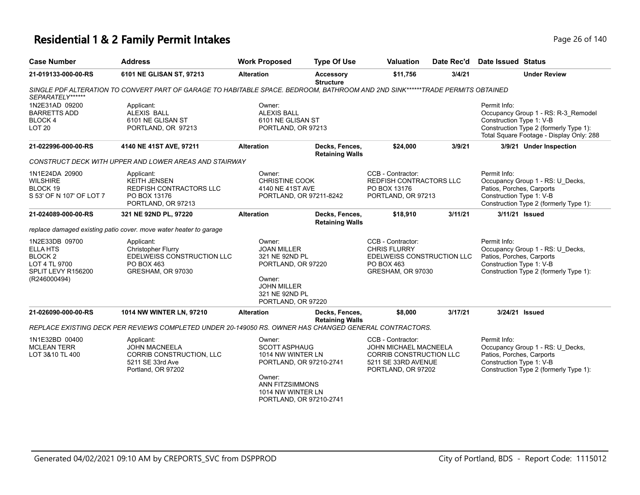#### **Residential 1 & 2 Family Permit Intakes Page 140** Page 26 of 140

| <b>Case Number</b>                                                                                             | <b>Address</b>                                                                                                                 | <b>Work Proposed</b>                                                                                                                                        | <b>Type Of Use</b>                       | Valuation                                                                                                                        | Date Rec'd | <b>Date Issued Status</b>                                                                                                                                             |
|----------------------------------------------------------------------------------------------------------------|--------------------------------------------------------------------------------------------------------------------------------|-------------------------------------------------------------------------------------------------------------------------------------------------------------|------------------------------------------|----------------------------------------------------------------------------------------------------------------------------------|------------|-----------------------------------------------------------------------------------------------------------------------------------------------------------------------|
| 21-019133-000-00-RS                                                                                            | 6101 NE GLISAN ST, 97213                                                                                                       | <b>Alteration</b>                                                                                                                                           | <b>Accessory</b><br><b>Structure</b>     | \$11,756                                                                                                                         | 3/4/21     | <b>Under Review</b>                                                                                                                                                   |
| SEPARATELY******                                                                                               | SINGLE PDF ALTERATION TO CONVERT PART OF GARAGE TO HABITABLE SPACE. BEDROOM, BATHROOM AND 2ND SINK******TRADE PERMITS OBTAINED |                                                                                                                                                             |                                          |                                                                                                                                  |            |                                                                                                                                                                       |
| 1N2E31AD 09200<br><b>BARRETTS ADD</b><br>BLOCK 4<br>LOT <sub>20</sub>                                          | Applicant:<br><b>ALEXIS BALL</b><br>6101 NE GLISAN ST<br>PORTLAND, OR 97213                                                    | Owner:<br><b>ALEXIS BALL</b><br>6101 NE GLISAN ST<br>PORTLAND, OR 97213                                                                                     |                                          |                                                                                                                                  |            | Permit Info:<br>Occupancy Group 1 - RS: R-3_Remodel<br>Construction Type 1: V-B<br>Construction Type 2 (formerly Type 1):<br>Total Square Footage - Display Only: 288 |
| 21-022996-000-00-RS                                                                                            | 4140 NE 41ST AVE, 97211                                                                                                        | <b>Alteration</b>                                                                                                                                           | Decks, Fences,<br><b>Retaining Walls</b> | \$24,000                                                                                                                         | 3/9/21     | 3/9/21 Under Inspection                                                                                                                                               |
|                                                                                                                | CONSTRUCT DECK WITH UPPER AND LOWER AREAS AND STAIRWAY                                                                         |                                                                                                                                                             |                                          |                                                                                                                                  |            |                                                                                                                                                                       |
| 1N1E24DA 20900<br><b>WILSHIRE</b><br>BLOCK 19<br>S 53' OF N 107' OF LOT 7                                      | Applicant:<br><b>KEITH JENSEN</b><br>REDFISH CONTRACTORS LLC<br>PO BOX 13176<br>PORTLAND, OR 97213                             | Owner:<br><b>CHRISTINE COOK</b><br>4140 NE 41ST AVE<br>PORTLAND, OR 97211-8242                                                                              |                                          | CCB - Contractor:<br><b>REDFISH CONTRACTORS LLC</b><br>PO BOX 13176<br>PORTLAND, OR 97213                                        |            | Permit Info:<br>Occupancy Group 1 - RS: U_Decks,<br>Patios, Porches, Carports<br>Construction Type 1: V-B<br>Construction Type 2 (formerly Type 1):                   |
| 21-024089-000-00-RS                                                                                            | 321 NE 92ND PL, 97220                                                                                                          | <b>Alteration</b>                                                                                                                                           | Decks, Fences,<br><b>Retaining Walls</b> | \$18,910                                                                                                                         | 3/11/21    | 3/11/21 Issued                                                                                                                                                        |
|                                                                                                                | replace damaged existing patio cover. move water heater to garage                                                              |                                                                                                                                                             |                                          |                                                                                                                                  |            |                                                                                                                                                                       |
| 1N2E33DB 09700<br><b>ELLA HTS</b><br>BLOCK <sub>2</sub><br>LOT 4 TL 9700<br>SPLIT LEVY R156200<br>(R246000494) | Applicant:<br>Christopher Flurry<br>EDELWEISS CONSTRUCTION LLC<br>PO BOX 463<br>GRESHAM, OR 97030                              | Owner:<br><b>JOAN MILLER</b><br>321 NE 92ND PL<br>PORTLAND, OR 97220<br>Owner:<br><b>JOHN MILLER</b><br>321 NE 92ND PL<br>PORTLAND, OR 97220                |                                          | CCB - Contractor:<br><b>CHRIS FLURRY</b><br>EDELWEISS CONSTRUCTION LLC<br>PO BOX 463<br>GRESHAM, OR 97030                        |            | Permit Info:<br>Occupancy Group 1 - RS: U_Decks,<br>Patios, Porches, Carports<br>Construction Type 1: V-B<br>Construction Type 2 (formerly Type 1):                   |
| 21-026090-000-00-RS                                                                                            | 1014 NW WINTER LN, 97210                                                                                                       | <b>Alteration</b>                                                                                                                                           | Decks, Fences,<br><b>Retaining Walls</b> | \$8,000                                                                                                                          | 3/17/21    | 3/24/21 Issued                                                                                                                                                        |
|                                                                                                                | REPLACE EXISTING DECK PER REVIEWS COMPLETED UNDER 20-149050 RS. OWNER HAS CHANGED GENERAL CONTRACTORS.                         |                                                                                                                                                             |                                          |                                                                                                                                  |            |                                                                                                                                                                       |
| 1N1E32BD 00400<br><b>MCLEAN TERR</b><br>LOT 3&10 TL 400                                                        | Applicant:<br><b>JOHN MACNEELA</b><br>CORRIB CONSTRUCTION, LLC<br>5211 SE 33rd Ave<br>Portland, OR 97202                       | Owner:<br><b>SCOTT ASPHAUG</b><br>1014 NW WINTER LN<br>PORTLAND, OR 97210-2741<br>Owner:<br>ANN FITZSIMMONS<br>1014 NW WINTER LN<br>PORTLAND, OR 97210-2741 |                                          | CCB - Contractor:<br><b>JOHN MICHAEL MACNEELA</b><br><b>CORRIB CONSTRUCTION LLC</b><br>5211 SE 33RD AVENUE<br>PORTLAND, OR 97202 |            | Permit Info:<br>Occupancy Group 1 - RS: U_Decks,<br>Patios, Porches, Carports<br>Construction Type 1: V-B<br>Construction Type 2 (formerly Type 1):                   |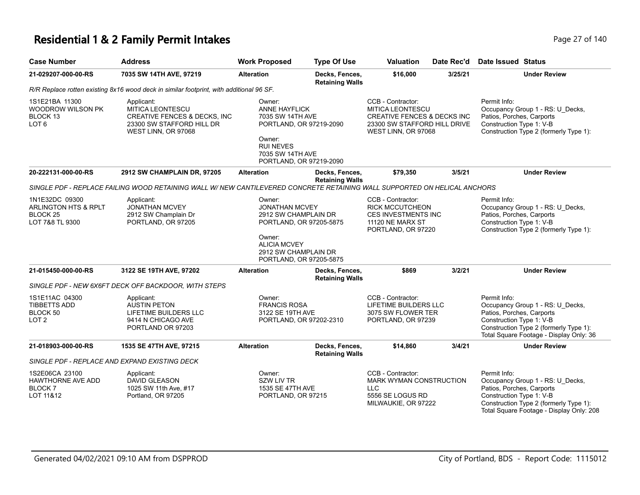# **Residential 1 & 2 Family Permit Intakes Page 27 of 140**

| <b>Case Number</b>                                                                                                                                  | <b>Address</b>                                                                                                                | <b>Work Proposed</b>                                                                                                                                                   | <b>Type Of Use</b>                       | <b>Valuation</b>                                                                                                                              | Date Rec'd | <b>Date Issued Status</b>                                                                                                                                                                       |  |  |
|-----------------------------------------------------------------------------------------------------------------------------------------------------|-------------------------------------------------------------------------------------------------------------------------------|------------------------------------------------------------------------------------------------------------------------------------------------------------------------|------------------------------------------|-----------------------------------------------------------------------------------------------------------------------------------------------|------------|-------------------------------------------------------------------------------------------------------------------------------------------------------------------------------------------------|--|--|
| 21-029207-000-00-RS                                                                                                                                 | 7035 SW 14TH AVE, 97219                                                                                                       | <b>Alteration</b>                                                                                                                                                      | Decks, Fences,<br><b>Retaining Walls</b> | \$16,000                                                                                                                                      | 3/25/21    | <b>Under Review</b>                                                                                                                                                                             |  |  |
|                                                                                                                                                     | R/R Replace rotten existing 8x16 wood deck in similar footprint, with additional 96 SF.                                       |                                                                                                                                                                        |                                          |                                                                                                                                               |            |                                                                                                                                                                                                 |  |  |
| 1S1E21BA 11300<br>WOODROW WILSON PK<br>BLOCK 13<br>LOT <sub>6</sub>                                                                                 | Applicant:<br>MITICA LEONTESCU<br><b>CREATIVE FENCES &amp; DECKS, INC</b><br>23300 SW STAFFORD HILL DR<br>WEST LINN, OR 97068 | Owner:<br><b>ANNE HAYFLICK</b><br>7035 SW 14TH AVE<br>PORTLAND, OR 97219-2090<br>Owner:<br><b>RUI NEVES</b><br>7035 SW 14TH AVE<br>PORTLAND, OR 97219-2090             |                                          | CCB - Contractor:<br><b>MITICA LEONTESCU</b><br><b>CREATIVE FENCES &amp; DECKS INC</b><br>23300 SW STAFFORD HILL DRIVE<br>WEST LINN, OR 97068 |            | Permit Info:<br>Occupancy Group 1 - RS: U_Decks,<br>Patios, Porches, Carports<br>Construction Type 1: V-B<br>Construction Type 2 (formerly Type 1):                                             |  |  |
| 20-222131-000-00-RS                                                                                                                                 | 2912 SW CHAMPLAIN DR, 97205                                                                                                   | <b>Alteration</b>                                                                                                                                                      | Decks, Fences,                           | \$79,350                                                                                                                                      | 3/5/21     | <b>Under Review</b>                                                                                                                                                                             |  |  |
| <b>Retaining Walls</b><br>SINGLE PDF - REPLACE FAILING WOOD RETAINING WALL W/ NEW CANTILEVERED CONCRETE RETAINING WALL SUPPORTED ON HELICAL ANCHORS |                                                                                                                               |                                                                                                                                                                        |                                          |                                                                                                                                               |            |                                                                                                                                                                                                 |  |  |
| 1N1E32DC 09300<br>ARLINGTON HTS & RPLT<br>BLOCK <sub>25</sub><br>LOT 7&8 TL 9300                                                                    | Applicant:<br><b>JONATHAN MCVEY</b><br>2912 SW Champlain Dr<br>PORTLAND, OR 97205                                             | Owner:<br><b>JONATHAN MCVEY</b><br>2912 SW CHAMPLAIN DR<br>PORTLAND, OR 97205-5875<br>Owner:<br><b>ALICIA MCVEY</b><br>2912 SW CHAMPLAIN DR<br>PORTLAND, OR 97205-5875 |                                          | CCB - Contractor:<br><b>RICK MCCUTCHEON</b><br><b>CES INVESTMENTS INC</b><br>11120 NE MARX ST<br>PORTLAND, OR 97220                           |            | Permit Info:<br>Occupancy Group 1 - RS: U_Decks,<br>Patios, Porches, Carports<br>Construction Type 1: V-B<br>Construction Type 2 (formerly Type 1):                                             |  |  |
| 21-015450-000-00-RS                                                                                                                                 | 3122 SE 19TH AVE, 97202                                                                                                       | <b>Alteration</b>                                                                                                                                                      | Decks, Fences,<br><b>Retaining Walls</b> | \$869                                                                                                                                         | 3/2/21     | <b>Under Review</b>                                                                                                                                                                             |  |  |
|                                                                                                                                                     | SINGLE PDF - NEW 6X6FT DECK OFF BACKDOOR, WITH STEPS                                                                          |                                                                                                                                                                        |                                          |                                                                                                                                               |            |                                                                                                                                                                                                 |  |  |
| 1S1E11AC 04300<br><b>TIBBETTS ADD</b><br>BLOCK 50<br>LOT <sub>2</sub>                                                                               | Applicant:<br><b>AUSTIN PETON</b><br>LIFETIME BUILDERS LLC<br>9414 N CHICAGO AVE<br>PORTLAND OR 97203                         | Owner:<br><b>FRANCIS ROSA</b><br>3122 SE 19TH AVE<br>PORTLAND, OR 97202-2310                                                                                           |                                          | CCB - Contractor:<br>LIFETIME BUILDERS LLC<br>3075 SW FLOWER TER<br>PORTLAND, OR 97239                                                        |            | Permit Info:<br>Occupancy Group 1 - RS: U_Decks,<br>Patios, Porches, Carports<br>Construction Type 1: V-B<br>Construction Type 2 (formerly Type 1):<br>Total Square Footage - Display Only: 36  |  |  |
| 21-018903-000-00-RS                                                                                                                                 | 1535 SE 47TH AVE, 97215                                                                                                       | <b>Alteration</b>                                                                                                                                                      | Decks, Fences,<br><b>Retaining Walls</b> | \$14,860                                                                                                                                      | 3/4/21     | <b>Under Review</b>                                                                                                                                                                             |  |  |
| SINGLE PDF - REPLACE AND EXPAND EXISTING DECK                                                                                                       |                                                                                                                               |                                                                                                                                                                        |                                          |                                                                                                                                               |            |                                                                                                                                                                                                 |  |  |
| 1S2E06CA 23100<br><b>HAWTHORNE AVE ADD</b><br>BLOCK <sub>7</sub><br>LOT 11&12                                                                       | Applicant:<br><b>DAVID GLEASON</b><br>1025 SW 11th Ave, #17<br>Portland, OR 97205                                             | Owner:<br><b>SZW LIV TR</b><br>1535 SE 47TH AVE<br>PORTLAND, OR 97215                                                                                                  |                                          | CCB - Contractor:<br><b>MARK WYMAN CONSTRUCTION</b><br><b>LLC</b><br>5556 SE LOGUS RD<br>MILWAUKIE, OR 97222                                  |            | Permit Info:<br>Occupancy Group 1 - RS: U_Decks,<br>Patios, Porches, Carports<br>Construction Type 1: V-B<br>Construction Type 2 (formerly Type 1):<br>Total Square Footage - Display Only: 208 |  |  |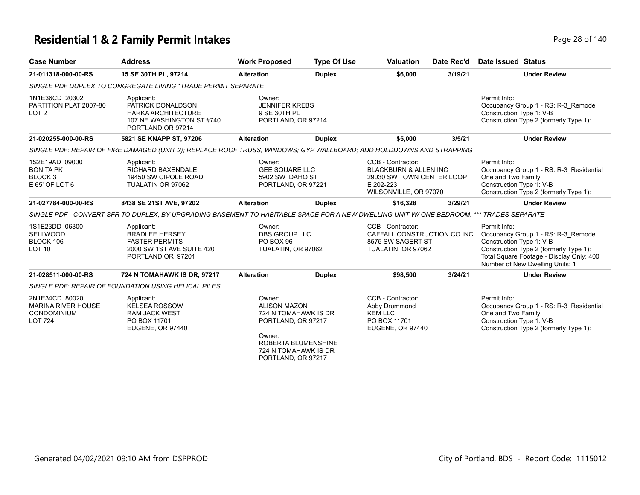#### **Residential 1 & 2 Family Permit Intakes Page 140** Page 28 of 140

| <b>Case Number</b>                                                                                                                       | <b>Address</b>                                                                                                       | <b>Work Proposed</b>                                                                                    | <b>Type Of Use</b>  | <b>Valuation</b>                                                                                                         | Date Rec'd | Date Issued Status                                                                                                                                                                                       |
|------------------------------------------------------------------------------------------------------------------------------------------|----------------------------------------------------------------------------------------------------------------------|---------------------------------------------------------------------------------------------------------|---------------------|--------------------------------------------------------------------------------------------------------------------------|------------|----------------------------------------------------------------------------------------------------------------------------------------------------------------------------------------------------------|
| 21-011318-000-00-RS                                                                                                                      | 15 SE 30TH PL, 97214                                                                                                 | <b>Alteration</b>                                                                                       | <b>Duplex</b>       | \$6,000                                                                                                                  | 3/19/21    | <b>Under Review</b>                                                                                                                                                                                      |
|                                                                                                                                          | SINGLE PDF DUPLEX TO CONGREGATE LIVING *TRADE PERMIT SEPARATE                                                        |                                                                                                         |                     |                                                                                                                          |            |                                                                                                                                                                                                          |
| 1N1E36CD 20302<br>PARTITION PLAT 2007-80<br>LOT <sub>2</sub>                                                                             | Applicant:<br>PATRICK DONALDSON<br><b>HARKA ARCHITECTURE</b><br>107 NE WASHINGTON ST #740<br>PORTLAND OR 97214       | Owner:<br><b>JENNIFER KREBS</b><br>9 SE 30TH PL<br>PORTLAND, OR 97214                                   |                     |                                                                                                                          |            | Permit Info:<br>Occupancy Group 1 - RS: R-3 Remodel<br>Construction Type 1: V-B<br>Construction Type 2 (formerly Type 1):                                                                                |
| 21-020255-000-00-RS                                                                                                                      | 5821 SE KNAPP ST, 97206                                                                                              | <b>Alteration</b>                                                                                       | <b>Duplex</b>       | \$5,000                                                                                                                  | 3/5/21     | <b>Under Review</b>                                                                                                                                                                                      |
|                                                                                                                                          | SINGLE PDF: REPAIR OF FIRE DAMAGED (UNIT 2); REPLACE ROOF TRUSS; WINDOWS; GYP WALLBOARD; ADD HOLDDOWNS AND STRAPPING |                                                                                                         |                     |                                                                                                                          |            |                                                                                                                                                                                                          |
| 1S2E19AD 09000<br><b>BONITA PK</b><br>BLOCK <sub>3</sub><br>E 65' OF LOT 6                                                               | Applicant:<br>RICHARD BAXENDALE<br>19450 SW CIPOLE ROAD<br>TUALATIN OR 97062                                         | Owner:<br><b>GEE SQUARE LLC</b><br>5902 SW IDAHO ST<br>PORTLAND, OR 97221                               |                     | CCB - Contractor:<br><b>BLACKBURN &amp; ALLEN INC</b><br>29030 SW TOWN CENTER LOOP<br>E 202-223<br>WILSONVILLE, OR 97070 |            | Permit Info:<br>Occupancy Group 1 - RS: R-3_Residential<br>One and Two Family<br>Construction Type 1: V-B<br>Construction Type 2 (formerly Type 1):                                                      |
| 21-027784-000-00-RS                                                                                                                      | 8438 SE 21ST AVE, 97202                                                                                              | <b>Alteration</b>                                                                                       | <b>Duplex</b>       | \$16,328                                                                                                                 | 3/29/21    | <b>Under Review</b>                                                                                                                                                                                      |
| SINGLE PDF - CONVERT SFR TO DUPLEX, BY UPGRADING BASEMENT TO HABITABLE SPACE FOR A NEW DWELLING UNIT W/ ONE BEDROOM. *** TRADES SEPARATE |                                                                                                                      |                                                                                                         |                     |                                                                                                                          |            |                                                                                                                                                                                                          |
| 1S1E23DD 06300<br><b>SELLWOOD</b><br>BLOCK 106<br>LOT <sub>10</sub>                                                                      | Applicant:<br><b>BRADLEE HERSEY</b><br><b>FASTER PERMITS</b><br>2000 SW 1ST AVE SUITE 420<br>PORTLAND OR 97201       | Owner:<br><b>DBS GROUP LLC</b><br>PO BOX 96<br>TUALATIN, OR 97062                                       |                     | CCB - Contractor:<br>CAFFALL CONSTRUCTION CO INC<br>8575 SW SAGERT ST<br>TUALATIN, OR 97062                              |            | Permit Info:<br>Occupancy Group 1 - RS: R-3 Remodel<br>Construction Type 1: V-B<br>Construction Type 2 (formerly Type 1):<br>Total Square Footage - Display Only: 400<br>Number of New Dwelling Units: 1 |
| 21-028511-000-00-RS                                                                                                                      | 724 N TOMAHAWK IS DR, 97217                                                                                          | <b>Alteration</b>                                                                                       | <b>Duplex</b>       | \$98,500                                                                                                                 | 3/24/21    | <b>Under Review</b>                                                                                                                                                                                      |
|                                                                                                                                          | SINGLE PDF: REPAIR OF FOUNDATION USING HELICAL PILES                                                                 |                                                                                                         |                     |                                                                                                                          |            |                                                                                                                                                                                                          |
| 2N1E34CD 80020<br><b>MARINA RIVER HOUSE</b><br><b>CONDOMINIUM</b><br><b>LOT 724</b>                                                      | Applicant:<br><b>KELSEA ROSSOW</b><br><b>RAM JACK WEST</b><br>PO BOX 11701<br>EUGENE, OR 97440                       | Owner:<br><b>ALISON MAZON</b><br>724 N TOMAHAWK IS DR<br>PORTLAND, OR 97217<br>Owner:<br>$\frac{1}{20}$ | ROBERTA BLUMENSHINE | CCB - Contractor:<br>Abby Drummond<br><b>KEM LLC</b><br>PO BOX 11701<br>EUGENE, OR 97440                                 |            | Permit Info:<br>Occupancy Group 1 - RS: R-3_Residential<br>One and Two Family<br>Construction Type 1: V-B<br>Construction Type 2 (formerly Type 1):                                                      |

724 N TOMAHAWK IS DR PORTLAND, OR 97217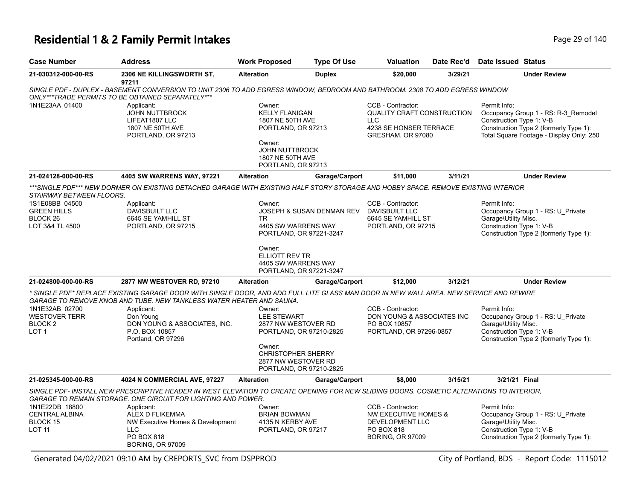### **Residential 1 & 2 Family Permit Intakes Page 140** Page 29 of 140

| <b>Case Number</b>                                                                                         | <b>Address</b>                                                                                                                                                                                                                                                                                                    | <b>Work Proposed</b>                                                                                                                                                    | <b>Type Of Use</b>        | <b>Valuation</b>                                                                                                    | Date Rec'd | Date Issued Status                                                                                                                                                    |  |  |  |
|------------------------------------------------------------------------------------------------------------|-------------------------------------------------------------------------------------------------------------------------------------------------------------------------------------------------------------------------------------------------------------------------------------------------------------------|-------------------------------------------------------------------------------------------------------------------------------------------------------------------------|---------------------------|---------------------------------------------------------------------------------------------------------------------|------------|-----------------------------------------------------------------------------------------------------------------------------------------------------------------------|--|--|--|
| 21-030312-000-00-RS                                                                                        | 2306 NE KILLINGSWORTH ST,<br>97211                                                                                                                                                                                                                                                                                | <b>Alteration</b>                                                                                                                                                       | <b>Duplex</b>             | \$20,000                                                                                                            | 3/29/21    | <b>Under Review</b>                                                                                                                                                   |  |  |  |
|                                                                                                            | SINGLE PDF - DUPLEX - BASEMENT CONVERSION TO UNIT 2306 TO ADD EGRESS WINDOW, BEDROOM AND BATHROOM. 2308 TO ADD EGRESS WINDOW<br>ONLY***TRADE PERMITS TO BE OBTAINED SEPARATELY***                                                                                                                                 |                                                                                                                                                                         |                           |                                                                                                                     |            |                                                                                                                                                                       |  |  |  |
| 1N1E23AA 01400                                                                                             | Applicant:<br><b>JOHN NUTTBROCK</b><br>LIFEAT1807 LLC<br>1807 NE 50TH AVE<br>PORTLAND, OR 97213                                                                                                                                                                                                                   | Owner:<br><b>KELLY FLANIGAN</b><br>1807 NE 50TH AVE<br>PORTLAND, OR 97213<br>Owner:<br><b>JOHN NUTTBROCK</b><br>1807 NE 50TH AVE                                        |                           | CCB - Contractor:<br><b>QUALITY CRAFT CONSTRUCTION</b><br><b>LLC</b><br>4238 SE HONSER TERRACE<br>GRESHAM, OR 97080 |            | Permit Info:<br>Occupancy Group 1 - RS: R-3 Remodel<br>Construction Type 1: V-B<br>Construction Type 2 (formerly Type 1):<br>Total Square Footage - Display Only: 250 |  |  |  |
| 21-024128-000-00-RS                                                                                        | 4405 SW WARRENS WAY, 97221                                                                                                                                                                                                                                                                                        | PORTLAND, OR 97213<br><b>Alteration</b>                                                                                                                                 | Garage/Carport            | \$11,000                                                                                                            | 3/11/21    | <b>Under Review</b>                                                                                                                                                   |  |  |  |
|                                                                                                            | ***SINGLE PDF*** NEW DORMER ON EXISTING DETACHED GARAGE WITH EXISTING HALF STORY STORAGE AND HOBBY SPACE. REMOVE EXISTING INTERIOR                                                                                                                                                                                |                                                                                                                                                                         |                           |                                                                                                                     |            |                                                                                                                                                                       |  |  |  |
| STAIRWAY BETWEEN FLOORS.<br>1S1E08BB 04500<br><b>GREEN HILLS</b><br>BLOCK <sub>26</sub><br>LOT 3&4 TL 4500 | Applicant:<br>DAVISBUILT LLC<br>6645 SE YAMHILL ST<br>PORTLAND, OR 97215                                                                                                                                                                                                                                          | Owner:<br>TR.<br>4405 SW WARRENS WAY<br>PORTLAND, OR 97221-3247                                                                                                         | JOSEPH & SUSAN DENMAN REV | CCB - Contractor:<br>DAVISBUILT LLC<br>6645 SE YAMHILL ST<br>PORTLAND, OR 97215                                     |            | Permit Info:<br>Occupancy Group 1 - RS: U_Private<br>Garage\Utility Misc.<br>Construction Type 1: V-B<br>Construction Type 2 (formerly Type 1):                       |  |  |  |
|                                                                                                            |                                                                                                                                                                                                                                                                                                                   | Owner:<br>ELLIOTT REV TR<br>4405 SW WARRENS WAY<br>PORTLAND, OR 97221-3247                                                                                              |                           |                                                                                                                     |            |                                                                                                                                                                       |  |  |  |
| 21-024800-000-00-RS                                                                                        | 2877 NW WESTOVER RD, 97210                                                                                                                                                                                                                                                                                        | <b>Alteration</b>                                                                                                                                                       | Garage/Carport            | \$12,000                                                                                                            | 3/12/21    | <b>Under Review</b>                                                                                                                                                   |  |  |  |
| 1N1E32AB 02700<br><b>WESTOVER TERR</b><br>BLOCK <sub>2</sub><br>LOT <sub>1</sub>                           | * SINGLE PDF* REPLACE EXISTING GARAGE DOOR WITH SINGLE DOOR. AND ADD FULL LITE GLASS MAN DOOR IN NEW WALL AREA. NEW SERVICE AND REWIRE<br>GARAGE TO REMOVE KNOB AND TUBE. NEW TANKLESS WATER HEATER AND SAUNA.<br>Applicant:<br>Don Young<br>DON YOUNG & ASSOCIATES, INC.<br>P.O. BOX 10857<br>Portland, OR 97296 | Owner:<br><b>LEE STEWART</b><br>2877 NW WESTOVER RD<br>PORTLAND, OR 97210-2825<br>Owner:<br><b>CHRISTOPHER SHERRY</b><br>2877 NW WESTOVER RD<br>PORTLAND, OR 97210-2825 |                           | CCB - Contractor:<br>DON YOUNG & ASSOCIATES INC<br>PO BOX 10857<br>PORTLAND, OR 97296-0857                          |            | Permit Info:<br>Occupancy Group 1 - RS: U_Private<br>Garage\Utility Misc.<br>Construction Type 1: V-B<br>Construction Type 2 (formerly Type 1):                       |  |  |  |
| 21-025345-000-00-RS                                                                                        | 4024 N COMMERCIAL AVE, 97227                                                                                                                                                                                                                                                                                      | <b>Alteration</b>                                                                                                                                                       | Garage/Carport            | \$8,000                                                                                                             | 3/15/21    | 3/21/21 Final                                                                                                                                                         |  |  |  |
|                                                                                                            | SINGLE PDF- INSTALL NEW PRESCRIPTIVE HEADER IN WEST ELEVATION TO CREATE OPENING FOR NEW SLIDING DOORS. COSMETIC ALTERATIONS TO INTERIOR.<br><b>GARAGE TO REMAIN STORAGE. ONE CIRCUIT FOR LIGHTING AND POWER.</b>                                                                                                  |                                                                                                                                                                         |                           |                                                                                                                     |            |                                                                                                                                                                       |  |  |  |
| 1N1E22DB 18800<br><b>CENTRAL ALBINA</b><br>BLOCK 15<br><b>LOT 11</b>                                       | Applicant:<br>ALEX D FLIKEMMA<br>NW Executive Homes & Development<br><b>LLC</b><br>PO BOX 818<br><b>BORING, OR 97009</b>                                                                                                                                                                                          | Owner:<br><b>BRIAN BOWMAN</b><br>4135 N KERBY AVE<br>PORTLAND, OR 97217                                                                                                 |                           | CCB - Contractor:<br>NW EXECUTIVE HOMES &<br>DEVELOPMENT LLC<br><b>PO BOX 818</b><br><b>BORING, OR 97009</b>        |            | Permit Info:<br>Occupancy Group 1 - RS: U Private<br>Garage\Utility Misc.<br>Construction Type 1: V-B<br>Construction Type 2 (formerly Type 1):                       |  |  |  |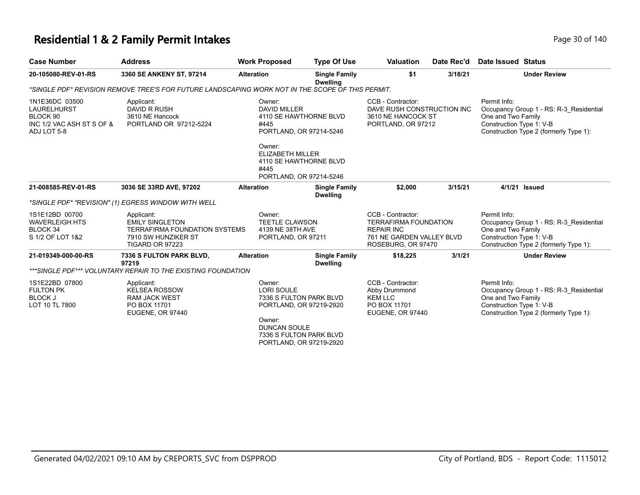#### **Residential 1 & 2 Family Permit Intakes Page 10 of 140** Page 30 of 140

| <b>Case Number</b>                                                                    | <b>Address</b>                                                                                                         | <b>Work Proposed</b>                                                               | <b>Type Of Use</b>                                                                                       | <b>Valuation</b>                                                                                                          | Date Rec'd | Date Issued Status                                                                                                                                  |
|---------------------------------------------------------------------------------------|------------------------------------------------------------------------------------------------------------------------|------------------------------------------------------------------------------------|----------------------------------------------------------------------------------------------------------|---------------------------------------------------------------------------------------------------------------------------|------------|-----------------------------------------------------------------------------------------------------------------------------------------------------|
| 20-105080-REV-01-RS                                                                   | 3360 SE ANKENY ST, 97214                                                                                               | <b>Alteration</b>                                                                  | <b>Single Family</b><br><b>Dwelling</b>                                                                  | \$1                                                                                                                       | 3/18/21    | <b>Under Review</b>                                                                                                                                 |
|                                                                                       | *SINGLE PDF* REVISION REMOVE TREE'S FOR FUTURE LANDSCAPING WORK NOT IN THE SCOPE OF THIS PERMIT.                       |                                                                                    |                                                                                                          |                                                                                                                           |            |                                                                                                                                                     |
| 1N1E36DC 03500<br>LAURELHURST<br>BLOCK 90<br>INC 1/2 VAC ASH ST S OF &<br>ADJ LOT 5-8 | Applicant:<br>DAVID R RUSH<br>3610 NE Hancock<br>PORTLAND OR 97212-5224                                                | Owner:<br><b>DAVID MILLER</b><br>#445<br>Owner:<br><b>ELIZABETH MILLER</b><br>#445 | 4110 SE HAWTHORNE BLVD<br>PORTLAND, OR 97214-5246<br>4110 SE HAWTHORNE BLVD                              | CCB - Contractor:<br>DAVE RUSH CONSTRUCTION INC<br>3610 NE HANCOCK ST<br>PORTLAND, OR 97212                               |            | Permit Info:<br>Occupancy Group 1 - RS: R-3 Residential<br>One and Two Family<br>Construction Type 1: V-B<br>Construction Type 2 (formerly Type 1): |
|                                                                                       |                                                                                                                        |                                                                                    | PORTLAND, OR 97214-5246                                                                                  |                                                                                                                           |            |                                                                                                                                                     |
| 21-008585-REV-01-RS                                                                   | 3036 SE 33RD AVE, 97202                                                                                                | <b>Alteration</b>                                                                  | <b>Single Family</b><br><b>Dwelling</b>                                                                  | \$2,000                                                                                                                   | 3/15/21    | 4/1/21 Issued                                                                                                                                       |
|                                                                                       | *SINGLE PDF* "REVISION" (1) EGRESS WINDOW WITH WELL                                                                    |                                                                                    |                                                                                                          |                                                                                                                           |            |                                                                                                                                                     |
| 1S1E12BD 00700<br><b>WAVERLEIGH HTS</b><br>BLOCK 34<br>S 1/2 OF LOT 1&2               | Applicant:<br><b>EMILY SINGLETON</b><br><b>TERRAFIRMA FOUNDATION SYSTEMS</b><br>7910 SW HUNZIKER ST<br>TIGARD OR 97223 | Owner:<br><b>TEETLE CLAWSON</b><br>4139 NE 38TH AVE<br>PORTLAND, OR 97211          |                                                                                                          | CCB - Contractor:<br><b>TERRAFIRMA FOUNDATION</b><br><b>REPAIR INC</b><br>761 NE GARDEN VALLEY BLVD<br>ROSEBURG, OR 97470 |            | Permit Info:<br>Occupancy Group 1 - RS: R-3 Residential<br>One and Two Family<br>Construction Type 1: V-B<br>Construction Type 2 (formerly Type 1): |
| 21-019349-000-00-RS                                                                   | 7336 S FULTON PARK BLVD,<br>97219                                                                                      | <b>Alteration</b>                                                                  | <b>Single Family</b><br><b>Dwelling</b>                                                                  | \$18,225                                                                                                                  | 3/1/21     | <b>Under Review</b>                                                                                                                                 |
|                                                                                       | ***SINGLE PDF*** VOLUNTARY REPAIR TO THE EXISTING FOUNDATION                                                           |                                                                                    |                                                                                                          |                                                                                                                           |            |                                                                                                                                                     |
| 1S1E22BD 07800<br><b>FULTON PK</b><br><b>BLOCK J</b><br>LOT 10 TL 7800                | Applicant:<br><b>KELSEA ROSSOW</b><br><b>RAM JACK WEST</b><br>PO BOX 11701<br>EUGENE, OR 97440                         | Owner:<br><b>LORI SOULE</b><br>Owner:<br><b>DUNCAN SOULE</b>                       | 7336 S FULTON PARK BLVD<br>PORTLAND, OR 97219-2920<br>7336 S FULTON PARK BLVD<br>PORTLAND, OR 97219-2920 | CCB - Contractor:<br>Abby Drummond<br><b>KEM LLC</b><br>PO BOX 11701<br><b>EUGENE, OR 97440</b>                           |            | Permit Info:<br>Occupancy Group 1 - RS: R-3 Residential<br>One and Two Family<br>Construction Type 1: V-B<br>Construction Type 2 (formerly Type 1): |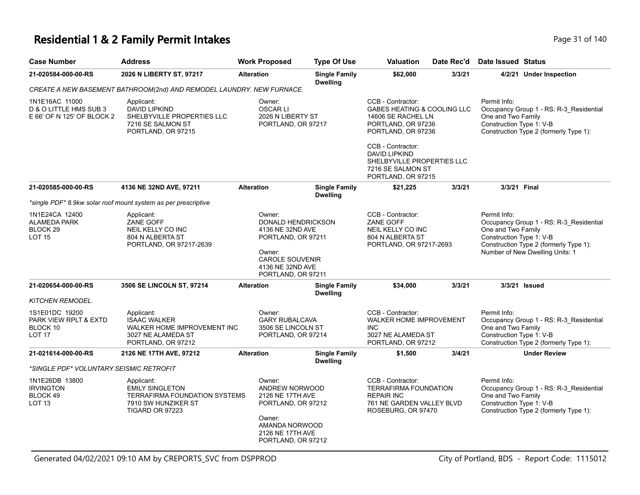#### **Residential 1 & 2 Family Permit Intakes Page 11 of 140** Page 31 of 140

| <b>Case Number</b>                                                                       | <b>Address</b>                                                                                                         | <b>Work Proposed</b>                                                                                                                                        | <b>Type Of Use</b>                      | <b>Valuation</b>                                                                                                          | Date Rec'd | Date Issued Status                                                                                                                                                                     |
|------------------------------------------------------------------------------------------|------------------------------------------------------------------------------------------------------------------------|-------------------------------------------------------------------------------------------------------------------------------------------------------------|-----------------------------------------|---------------------------------------------------------------------------------------------------------------------------|------------|----------------------------------------------------------------------------------------------------------------------------------------------------------------------------------------|
| 21-020584-000-00-RS                                                                      | 2026 N LIBERTY ST, 97217                                                                                               | <b>Alteration</b>                                                                                                                                           | <b>Single Family</b><br><b>Dwelling</b> | \$62,000                                                                                                                  | 3/3/21     | 4/2/21 Under Inspection                                                                                                                                                                |
|                                                                                          | CREATE A NEW BASEMENT BATHROOM(2nd) AND REMODEL LAUNDRY. NEW FURNACE.                                                  |                                                                                                                                                             |                                         |                                                                                                                           |            |                                                                                                                                                                                        |
| 1N1E16AC 11000<br>D & O LITTLE HMS SUB 3<br>E 66' OF N 125' OF BLOCK 2                   | Applicant:<br>DAVID LIPKIND<br>SHELBYVILLE PROPERTIES LLC<br>7216 SE SALMON ST<br>PORTLAND, OR 97215                   | Owner:<br><b>OSCARLI</b><br>2026 N LIBERTY ST<br>PORTLAND, OR 97217                                                                                         |                                         | CCB - Contractor:<br>GABES HEATING & COOLING LLC<br>14606 SE RACHEL LN<br>PORTLAND, OR 97236<br>PORTLAND, OR 97236        |            | Permit Info:<br>Occupancy Group 1 - RS: R-3_Residential<br>One and Two Family<br>Construction Type 1: V-B<br>Construction Type 2 (formerly Type 1):                                    |
|                                                                                          |                                                                                                                        |                                                                                                                                                             |                                         | CCB - Contractor:<br><b>DAVID LIPKIND</b><br>SHELBYVILLE PROPERTIES LLC<br>7216 SE SALMON ST<br>PORTLAND, OR 97215        |            |                                                                                                                                                                                        |
| 21-020585-000-00-RS                                                                      | 4136 NE 32ND AVE, 97211                                                                                                | <b>Alteration</b>                                                                                                                                           | <b>Single Family</b><br><b>Dwelling</b> | \$21,225                                                                                                                  | 3/3/21     | 3/3/21 Final                                                                                                                                                                           |
|                                                                                          | *single PDF* 8.9kw solar roof mount system as per prescriptive                                                         |                                                                                                                                                             |                                         |                                                                                                                           |            |                                                                                                                                                                                        |
| 1N1E24CA 12400<br>ALAMEDA PARK<br>BLOCK 29<br>LOT 15                                     | Applicant:<br>ZANE GOFF<br>NEIL KELLY CO INC<br>804 N ALBERTA ST<br>PORTLAND, OR 97217-2639                            | Owner:<br><b>DONALD HENDRICKSON</b><br>4136 NE 32ND AVE<br>PORTLAND, OR 97211<br>Owner:<br><b>CAROLE SOUVENIR</b><br>4136 NE 32ND AVE<br>PORTLAND, OR 97211 |                                         | CCB - Contractor:<br>ZANE GOFF<br>NEIL KELLY CO INC<br>804 N ALBERTA ST<br>PORTLAND, OR 97217-2693                        |            | Permit Info:<br>Occupancy Group 1 - RS: R-3_Residential<br>One and Two Family<br>Construction Type 1: V-B<br>Construction Type 2 (formerly Type 1):<br>Number of New Dwelling Units: 1 |
| 21-020654-000-00-RS                                                                      | 3506 SE LINCOLN ST, 97214                                                                                              | <b>Alteration</b>                                                                                                                                           | <b>Single Family</b><br><b>Dwelling</b> | \$34,000                                                                                                                  | 3/3/21     | 3/3/21 Issued                                                                                                                                                                          |
| KITCHEN REMODEL.<br>1S1E01DC 19200<br>PARK VIEW RPLT & EXTD<br>BLOCK 10<br><b>LOT 17</b> | Applicant:<br><b>ISAAC WALKER</b><br>WALKER HOME IMPROVEMENT INC<br>3027 NE ALAMEDA ST<br>PORTLAND, OR 97212           | Owner:<br><b>GARY RUBALCAVA</b><br>3506 SE LINCOLN ST<br>PORTLAND, OR 97214                                                                                 |                                         | CCB - Contractor:<br><b>WALKER HOME IMPROVEMENT</b><br><b>INC</b><br>3027 NE ALAMEDA ST<br>PORTLAND, OR 97212             |            | Permit Info:<br>Occupancy Group 1 - RS: R-3_Residential<br>One and Two Family<br>Construction Type 1: V-B<br>Construction Type 2 (formerly Type 1):                                    |
| 21-021614-000-00-RS                                                                      | 2126 NE 17TH AVE, 97212                                                                                                | <b>Alteration</b>                                                                                                                                           | <b>Single Family</b><br><b>Dwelling</b> | \$1,500                                                                                                                   | 3/4/21     | <b>Under Review</b>                                                                                                                                                                    |
| *SINGLE PDF* VOLUNTARY SEISMIC RETROFIT                                                  |                                                                                                                        |                                                                                                                                                             |                                         |                                                                                                                           |            |                                                                                                                                                                                        |
| 1N1E26DB 13800<br><b>IRVINGTON</b><br>BLOCK 49<br>LOT 13                                 | Applicant:<br><b>EMILY SINGLETON</b><br><b>TERRAFIRMA FOUNDATION SYSTEMS</b><br>7910 SW HUNZIKER ST<br>TIGARD OR 97223 | Owner:<br>ANDREW NORWOOD<br>2126 NE 17TH AVE<br>PORTLAND, OR 97212<br>Owner:<br>AMANDA NORWOOD<br>2126 NE 17TH AVE<br>PORTLAND, OR 97212                    |                                         | CCB - Contractor:<br><b>TERRAFIRMA FOUNDATION</b><br><b>REPAIR INC</b><br>761 NE GARDEN VALLEY BLVD<br>ROSEBURG, OR 97470 |            | Permit Info:<br>Occupancy Group 1 - RS: R-3_Residential<br>One and Two Family<br>Construction Type 1: V-B<br>Construction Type 2 (formerly Type 1):                                    |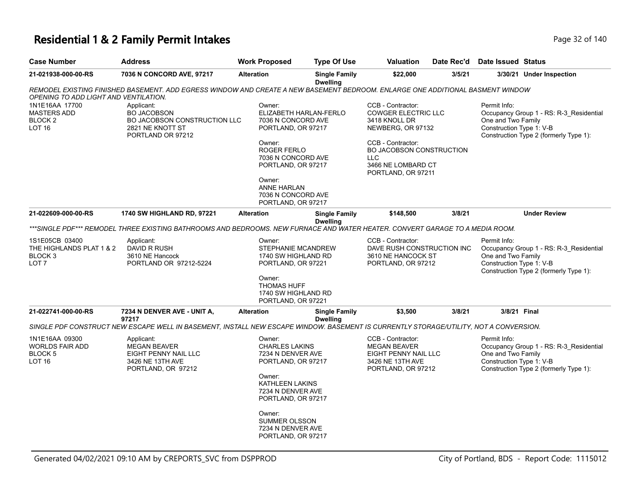### **Residential 1 & 2 Family Permit Intakes Page 140** Page 32 of 140

| <b>Case Number</b>                                                                   | Address                                                                                                                               | <b>Work Proposed</b>                                                                                                                                                                                           | <b>Type Of Use</b>                      | Valuation                                                                                                                                                                                        | Date Rec'd | Date Issued Status                                             |                                                                                   |
|--------------------------------------------------------------------------------------|---------------------------------------------------------------------------------------------------------------------------------------|----------------------------------------------------------------------------------------------------------------------------------------------------------------------------------------------------------------|-----------------------------------------|--------------------------------------------------------------------------------------------------------------------------------------------------------------------------------------------------|------------|----------------------------------------------------------------|-----------------------------------------------------------------------------------|
| 21-021938-000-00-RS                                                                  | 7036 N CONCORD AVE, 97217                                                                                                             | <b>Alteration</b>                                                                                                                                                                                              | <b>Single Family</b><br><b>Dwelling</b> | \$22,000                                                                                                                                                                                         | 3/5/21     |                                                                | 3/30/21 Under Inspection                                                          |
| OPENING TO ADD LIGHT AND VENTILATION.                                                | REMODEL EXISTING FINISHED BASEMENT. ADD EGRESS WINDOW AND CREATE A NEW BASEMENT BEDROOM. ENLARGE ONE ADDITIONAL BASMENT WINDOW        |                                                                                                                                                                                                                |                                         |                                                                                                                                                                                                  |            |                                                                |                                                                                   |
| 1N1E16AA 17700<br><b>MASTERS ADD</b><br><b>BLOCK2</b><br><b>LOT 16</b>               | Applicant:<br><b>BO JACOBSON</b><br>BO JACOBSON CONSTRUCTION LLC<br>2821 NE KNOTT ST<br>PORTLAND OR 97212                             | Owner:<br>ELIZABETH HARLAN-FERLO<br>7036 N CONCORD AVE<br>PORTLAND, OR 97217<br>Owner:<br><b>ROGER FERLO</b><br>7036 N CONCORD AVE<br>PORTLAND, OR 97217<br>Owner:<br><b>ANNE HARLAN</b><br>7036 N CONCORD AVE |                                         | CCB - Contractor:<br><b>COWGER ELECTRIC LLC</b><br>3418 KNOLL DR<br>NEWBERG, OR 97132<br>CCB - Contractor:<br>BO JACOBSON CONSTRUCTION<br><b>LLC</b><br>3466 NE LOMBARD CT<br>PORTLAND, OR 97211 |            | Permit Info:<br>One and Two Family<br>Construction Type 1: V-B | Occupancy Group 1 - RS: R-3_Residential<br>Construction Type 2 (formerly Type 1): |
|                                                                                      |                                                                                                                                       | PORTLAND, OR 97217                                                                                                                                                                                             |                                         |                                                                                                                                                                                                  |            |                                                                |                                                                                   |
| 21-022609-000-00-RS                                                                  | <b>1740 SW HIGHLAND RD, 97221</b>                                                                                                     | <b>Alteration</b>                                                                                                                                                                                              | <b>Single Family</b><br><b>Dwelling</b> | \$148,500                                                                                                                                                                                        | 3/8/21     |                                                                | <b>Under Review</b>                                                               |
|                                                                                      | ***SINGLE PDF*** REMODEL THREE EXISTING BATHROOMS AND BEDROOMS. NEW FURNACE AND WATER HEATER. CONVERT GARAGE TO A MEDIA ROOM.         |                                                                                                                                                                                                                |                                         |                                                                                                                                                                                                  |            |                                                                |                                                                                   |
| 1S1E05CB 03400<br>THE HIGHLANDS PLAT 1 & 2<br>BLOCK <sub>3</sub><br>LOT <sub>7</sub> | Applicant:<br>DAVID R RUSH<br>3610 NE Hancock<br>PORTLAND OR 97212-5224                                                               | Owner:<br>STEPHANIE MCANDREW<br>1740 SW HIGHLAND RD<br>PORTLAND, OR 97221<br>Owner:<br><b>THOMAS HUFF</b><br>1740 SW HIGHLAND RD                                                                               |                                         | CCB - Contractor:<br>DAVE RUSH CONSTRUCTION INC<br>3610 NE HANCOCK ST<br>PORTLAND, OR 97212                                                                                                      |            | Permit Info:<br>One and Two Family<br>Construction Type 1: V-B | Occupancy Group 1 - RS: R-3_Residential<br>Construction Type 2 (formerly Type 1): |
|                                                                                      |                                                                                                                                       | PORTLAND, OR 97221                                                                                                                                                                                             |                                         |                                                                                                                                                                                                  |            |                                                                |                                                                                   |
| 21-022741-000-00-RS                                                                  | 7234 N DENVER AVE - UNIT A,<br>97217                                                                                                  | <b>Alteration</b>                                                                                                                                                                                              | <b>Single Family</b><br><b>Dwelling</b> | \$3,500                                                                                                                                                                                          | 3/8/21     | 3/8/21 Final                                                   |                                                                                   |
|                                                                                      | SINGLE PDF CONSTRUCT NEW ESCAPE WELL IN BASEMENT, INSTALL NEW ESCAPE WINDOW. BASEMENT IS CURRENTLY STORAGE/UTILITY, NOT A CONVERSION. |                                                                                                                                                                                                                |                                         |                                                                                                                                                                                                  |            |                                                                |                                                                                   |
| 1N1E16AA 09300<br><b>WORLDS FAIR ADD</b><br>BLOCK <sub>5</sub><br><b>LOT 16</b>      | Applicant:<br><b>MEGAN BEAVER</b><br>EIGHT PENNY NAIL LLC<br>3426 NE 13TH AVE<br>PORTLAND, OR 97212                                   | Owner:<br><b>CHARLES LAKINS</b><br>7234 N DENVER AVE<br>PORTLAND, OR 97217<br>Owner:<br>KATHLEEN LAKINS<br>7234 N DENVER AVE<br>PORTLAND, OR 97217<br>Owner:                                                   |                                         | CCB - Contractor:<br><b>MEGAN BEAVER</b><br>EIGHT PENNY NAIL LLC<br>3426 NE 13TH AVE<br>PORTLAND, OR 97212                                                                                       |            | Permit Info:<br>One and Two Family<br>Construction Type 1: V-B | Occupancy Group 1 - RS: R-3_Residential<br>Construction Type 2 (formerly Type 1): |
|                                                                                      |                                                                                                                                       | SUMMER OLSSON<br>7234 N DENVER AVE<br>PORTLAND, OR 97217                                                                                                                                                       |                                         |                                                                                                                                                                                                  |            |                                                                |                                                                                   |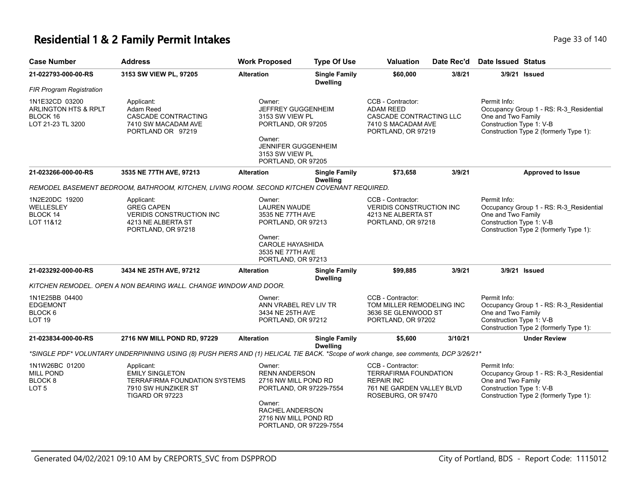### **Residential 1 & 2 Family Permit Intakes Page 110** Page 33 of 140

| <b>Case Number</b>                                                                 | <b>Address</b>                                                                                                                       | <b>Work Proposed</b>                                                                                                                                              | <b>Type Of Use</b>                      | <b>Valuation</b>                                                                                                          | Date Rec'd | <b>Date Issued Status</b>                                      |                                                                                   |
|------------------------------------------------------------------------------------|--------------------------------------------------------------------------------------------------------------------------------------|-------------------------------------------------------------------------------------------------------------------------------------------------------------------|-----------------------------------------|---------------------------------------------------------------------------------------------------------------------------|------------|----------------------------------------------------------------|-----------------------------------------------------------------------------------|
| 21-022793-000-00-RS                                                                | 3153 SW VIEW PL, 97205                                                                                                               | <b>Alteration</b>                                                                                                                                                 | <b>Single Family</b><br><b>Dwelling</b> | \$60,000                                                                                                                  | 3/8/21     | 3/9/21 Issued                                                  |                                                                                   |
| <b>FIR Program Registration</b>                                                    |                                                                                                                                      |                                                                                                                                                                   |                                         |                                                                                                                           |            |                                                                |                                                                                   |
| 1N1E32CD 03200<br><b>ARLINGTON HTS &amp; RPLT</b><br>BLOCK 16<br>LOT 21-23 TL 3200 | Applicant:<br>Adam Reed<br>CASCADE CONTRACTING<br>7410 SW MACADAM AVE<br>PORTLAND OR 97219                                           | Owner:<br><b>JEFFREY GUGGENHEIM</b><br>3153 SW VIEW PL<br>PORTLAND, OR 97205<br>Owner:<br><b>JENNIFER GUGGENHEIM</b><br>3153 SW VIEW PL<br>PORTLAND, OR 97205     |                                         | CCB - Contractor:<br><b>ADAM REED</b><br>CASCADE CONTRACTING LLC<br>7410 S MACADAM AVE<br>PORTLAND, OR 97219              |            | Permit Info:<br>One and Two Family<br>Construction Type 1: V-B | Occupancy Group 1 - RS: R-3_Residential<br>Construction Type 2 (formerly Type 1): |
| 21-023266-000-00-RS                                                                | 3535 NE 77TH AVE, 97213                                                                                                              | <b>Alteration</b>                                                                                                                                                 | <b>Single Family</b><br><b>Dwelling</b> | \$73,658                                                                                                                  | 3/9/21     |                                                                | Approved to Issue                                                                 |
|                                                                                    | REMODEL BASEMENT BEDROOM, BATHROOM, KITCHEN, LIVING ROOM. SECOND KITCHEN COVENANT REQUIRED.                                          |                                                                                                                                                                   |                                         |                                                                                                                           |            |                                                                |                                                                                   |
| 1N2E20DC 19200<br>WELLESLEY<br>BLOCK 14<br>LOT 11&12                               | Applicant:<br><b>GREG CAPEN</b><br><b>VERIDIS CONSTRUCTION INC</b><br>4213 NE ALBERTA ST<br>PORTLAND, OR 97218                       | Owner:<br>LAUREN WAUDE<br>3535 NE 77TH AVE<br>PORTLAND, OR 97213<br>Owner:                                                                                        |                                         | CCB - Contractor:<br><b>VERIDIS CONSTRUCTION INC</b><br>4213 NE ALBERTA ST<br>PORTLAND, OR 97218                          |            | Permit Info:<br>One and Two Family<br>Construction Type 1: V-B | Occupancy Group 1 - RS: R-3 Residential<br>Construction Type 2 (formerly Type 1): |
|                                                                                    |                                                                                                                                      | CAROLE HAYASHIDA<br>3535 NE 77TH AVE<br>PORTLAND, OR 97213                                                                                                        |                                         |                                                                                                                           |            |                                                                |                                                                                   |
| 21-023292-000-00-RS                                                                | 3434 NE 25TH AVE, 97212                                                                                                              | <b>Alteration</b>                                                                                                                                                 | <b>Single Family</b><br><b>Dwelling</b> | \$99,885                                                                                                                  | 3/9/21     | 3/9/21 Issued                                                  |                                                                                   |
|                                                                                    | KITCHEN REMODEL. OPEN A NON BEARING WALL. CHANGE WINDOW AND DOOR.                                                                    |                                                                                                                                                                   |                                         |                                                                                                                           |            |                                                                |                                                                                   |
| 1N1E25BB 04400<br><b>EDGEMONT</b><br>BLOCK 6<br>LOT 19                             |                                                                                                                                      | Owner:<br>ANN VRABEL REV LIV TR<br>3434 NE 25TH AVE<br>PORTLAND, OR 97212                                                                                         |                                         | CCB - Contractor:<br>TOM MILLER REMODELING INC<br>3636 SE GLENWOOD ST<br>PORTLAND, OR 97202                               |            | Permit Info:<br>One and Two Family<br>Construction Type 1: V-B | Occupancy Group 1 - RS: R-3_Residential<br>Construction Type 2 (formerly Type 1): |
| 21-023834-000-00-RS                                                                | 2716 NW MILL POND RD, 97229                                                                                                          | <b>Alteration</b>                                                                                                                                                 | <b>Single Family</b><br><b>Dwelling</b> | \$5,600                                                                                                                   | 3/10/21    |                                                                | <b>Under Review</b>                                                               |
|                                                                                    | *SINGLE PDF* VOLUNTARY UNDERPINNING USING (8) PUSH PIERS AND (1) HELICAL TIE BACK. *Scope of work change, see comments, DCP 3/26/21* |                                                                                                                                                                   |                                         |                                                                                                                           |            |                                                                |                                                                                   |
| 1N1W26BC 01200<br><b>MILL POND</b><br>BLOCK 8<br>LOT 5                             | Applicant:<br><b>EMILY SINGLETON</b><br><b>TERRAFIRMA FOUNDATION SYSTEMS</b><br>7910 SW HUNZIKER ST<br>TIGARD OR 97223               | Owner:<br><b>RENN ANDERSON</b><br>2716 NW MILL POND RD<br>PORTLAND, OR 97229-7554<br>Owner:<br>RACHEL ANDERSON<br>2716 NW MILL POND RD<br>PORTLAND, OR 97229-7554 |                                         | CCB - Contractor:<br><b>TERRAFIRMA FOUNDATION</b><br><b>REPAIR INC</b><br>761 NE GARDEN VALLEY BLVD<br>ROSEBURG, OR 97470 |            | Permit Info:<br>One and Two Family<br>Construction Type 1: V-B | Occupancy Group 1 - RS: R-3_Residential<br>Construction Type 2 (formerly Type 1): |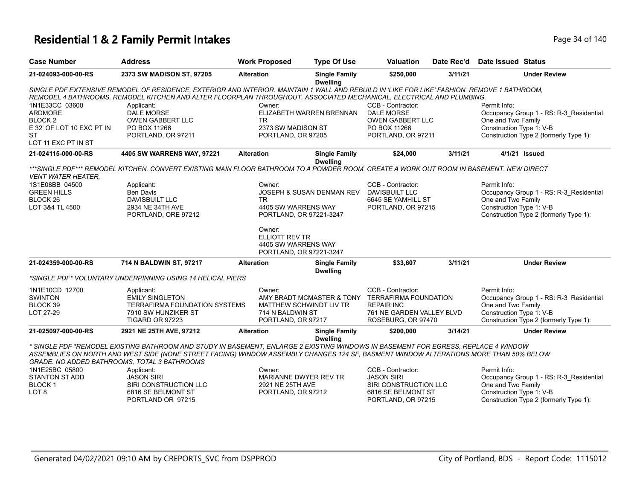#### **Residential 1 & 2 Family Permit Intakes Page 140** Page 34 of 140

| <b>Case Number</b>                                                                                               | <b>Address</b>                                                                                                                                                                                                                                                                                                              | <b>Work Proposed</b>                                                              | <b>Type Of Use</b>                      | <b>Valuation</b>                                                                                                                             | Date Rec'd | <b>Date Issued Status</b>                                                                                                                           |  |  |  |  |
|------------------------------------------------------------------------------------------------------------------|-----------------------------------------------------------------------------------------------------------------------------------------------------------------------------------------------------------------------------------------------------------------------------------------------------------------------------|-----------------------------------------------------------------------------------|-----------------------------------------|----------------------------------------------------------------------------------------------------------------------------------------------|------------|-----------------------------------------------------------------------------------------------------------------------------------------------------|--|--|--|--|
| 21-024093-000-00-RS                                                                                              | 2373 SW MADISON ST, 97205                                                                                                                                                                                                                                                                                                   | <b>Alteration</b>                                                                 | <b>Single Family</b><br><b>Dwelling</b> | \$250,000                                                                                                                                    | 3/11/21    | <b>Under Review</b>                                                                                                                                 |  |  |  |  |
|                                                                                                                  | SINGLE PDF EXTENSIVE REMODEL OF RESIDENCE, EXTERIOR AND INTERIOR. MAINTAIN 1 WALL AND REBUILD IN 'LIKE FOR LIKE' FASHION. REMOVE 1 BATHROOM,<br>REMODEL 4 BATHROOMS. REMODEL KITCHEN AND ALTER FLOORPLAN THROUGHOUT. ASSOCIATED MECHANICAL, ELECTRICAL AND PLUMBING.                                                        |                                                                                   |                                         |                                                                                                                                              |            |                                                                                                                                                     |  |  |  |  |
| 1N1E33CC 03600<br><b>ARDMORE</b><br>BLOCK <sub>2</sub><br>E 32' OF LOT 10 EXC PT IN<br>ST<br>LOT 11 EXC PT IN ST | Applicant:<br><b>DALE MORSE</b><br><b>OWEN GABBERT LLC</b><br>PO BOX 11266<br>PORTLAND, OR 97211                                                                                                                                                                                                                            | Owner:<br>TR.<br>2373 SW MADISON ST<br>PORTLAND, OR 97205                         | ELIZABETH WARREN BRENNAN                | CCB - Contractor:<br><b>DALE MORSE</b><br><b>OWEN GABBERT LLC</b><br>PO BOX 11266<br>PORTLAND, OR 97211                                      |            | Permit Info:<br>Occupancy Group 1 - RS: R-3_Residential<br>One and Two Family<br>Construction Type 1: V-B<br>Construction Type 2 (formerly Type 1): |  |  |  |  |
| 21-024115-000-00-RS                                                                                              | 4405 SW WARRENS WAY, 97221                                                                                                                                                                                                                                                                                                  | <b>Alteration</b>                                                                 | <b>Single Family</b><br><b>Dwelling</b> | \$24,000                                                                                                                                     | 3/11/21    | 4/1/21 Issued                                                                                                                                       |  |  |  |  |
| <b>VENT WATER HEATER.</b>                                                                                        | ***SINGLE PDF*** REMODEL KITCHEN. CONVERT EXISTING MAIN FLOOR BATHROOM TO A POWDER ROOM. CREATE A WORK OUT ROOM IN BASEMENT. NEW DIRECT                                                                                                                                                                                     |                                                                                   |                                         |                                                                                                                                              |            |                                                                                                                                                     |  |  |  |  |
| 1S1E08BB 04500<br><b>GREEN HILLS</b><br>BLOCK <sub>26</sub><br>LOT 3&4 TL 4500                                   | Applicant:<br>Ben Davis<br>DAVISBUILT LLC<br>2934 NE 34TH AVE<br>PORTLAND, ORE 97212                                                                                                                                                                                                                                        | Owner:<br><b>TR</b><br>4405 SW WARRENS WAY<br>PORTLAND, OR 97221-3247             | JOSEPH & SUSAN DENMAN REV               | CCB - Contractor:<br>DAVISBUILT LLC<br>6645 SE YAMHILL ST<br>PORTLAND, OR 97215                                                              |            | Permit Info:<br>Occupancy Group 1 - RS: R-3_Residential<br>One and Two Family<br>Construction Type 1: V-B<br>Construction Type 2 (formerly Type 1): |  |  |  |  |
|                                                                                                                  |                                                                                                                                                                                                                                                                                                                             | Owner:<br><b>ELLIOTT REV TR</b><br>4405 SW WARRENS WAY<br>PORTLAND, OR 97221-3247 |                                         |                                                                                                                                              |            |                                                                                                                                                     |  |  |  |  |
| 21-024359-000-00-RS                                                                                              | 714 N BALDWIN ST, 97217                                                                                                                                                                                                                                                                                                     | <b>Alteration</b>                                                                 | <b>Single Family</b><br><b>Dwelling</b> | \$33,607                                                                                                                                     | 3/11/21    | <b>Under Review</b>                                                                                                                                 |  |  |  |  |
|                                                                                                                  | *SINGLE PDF* VOLUNTARY UNDERPINNING USING 14 HELICAL PIERS                                                                                                                                                                                                                                                                  |                                                                                   |                                         |                                                                                                                                              |            |                                                                                                                                                     |  |  |  |  |
| 1N1E10CD 12700<br><b>SWINTON</b><br>BLOCK 39<br>LOT 27-29                                                        | Applicant:<br><b>EMILY SINGLETON</b><br>TERRAFIRMA FOUNDATION SYSTEMS<br>7910 SW HUNZIKER ST<br>TIGARD OR 97223                                                                                                                                                                                                             | Owner:<br>714 N BALDWIN ST<br>PORTLAND, OR 97217                                  | MATTHEW SCHWINDT LIV TR                 | CCB - Contractor:<br>AMY BRADT MCMASTER & TONY TERRAFIRMA FOUNDATION<br><b>REPAIR INC</b><br>761 NE GARDEN VALLEY BLVD<br>ROSEBURG, OR 97470 |            | Permit Info:<br>Occupancy Group 1 - RS: R-3_Residential<br>One and Two Family<br>Construction Type 1: V-B<br>Construction Type 2 (formerly Type 1): |  |  |  |  |
| 21-025097-000-00-RS                                                                                              | 2921 NE 25TH AVE, 97212                                                                                                                                                                                                                                                                                                     | <b>Alteration</b>                                                                 | <b>Single Family</b><br><b>Dwelling</b> | \$200,000                                                                                                                                    | 3/14/21    | <b>Under Review</b>                                                                                                                                 |  |  |  |  |
|                                                                                                                  | * SINGLE PDF *REMODEL EXISTING BATHROOM AND STUDY IN BASEMENT, ENLARGE 2 EXISTING WINDOWS IN BASEMENT FOR EGRESS, REPLACE 4 WINDOW<br>ASSEMBLIES ON NORTH AND WEST SIDE (NONE STREET FACING) WINDOW ASSEMBLY CHANGES 124 SF, BASMENT WINDOW ALTERATIONS MORE THAN 50% BELOW<br>GRADE. NO ADDED BATHROOMS, TOTAL 3 BATHROOMS |                                                                                   |                                         |                                                                                                                                              |            |                                                                                                                                                     |  |  |  |  |
| 1N1E25BC 05800<br>STANTON ST ADD<br><b>BLOCK1</b><br>LOT <sub>8</sub>                                            | Applicant:<br><b>JASON SIRI</b><br>SIRI CONSTRUCTION LLC<br>6816 SE BELMONT ST<br>PORTLAND OR 97215                                                                                                                                                                                                                         | Owner:<br>MARIANNE DWYER REV TR<br>2921 NE 25TH AVE<br>PORTLAND, OR 97212         |                                         | CCB - Contractor:<br><b>JASON SIRI</b><br>SIRI CONSTRUCTION LLC<br>6816 SE BELMONT ST<br>PORTLAND, OR 97215                                  |            | Permit Info:<br>Occupancy Group 1 - RS: R-3_Residential<br>One and Two Family<br>Construction Type 1: V-B<br>Construction Type 2 (formerly Type 1): |  |  |  |  |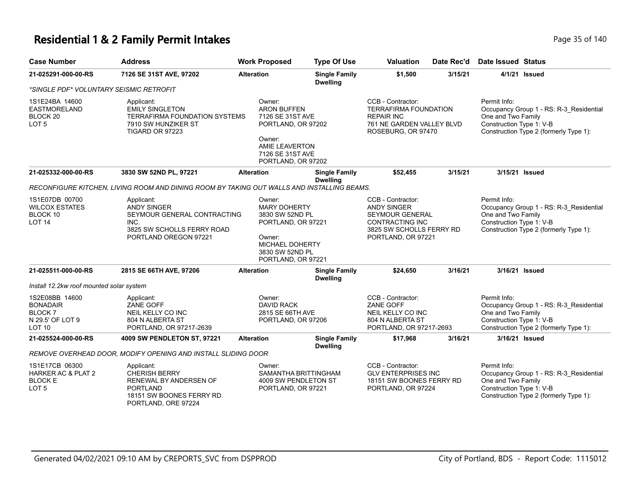#### **Residential 1 & 2 Family Permit Intakes Page 110** Page 35 of 140

| <b>Case Number</b>                                                         | <b>Address</b>                                                                                                                      | <b>Work Proposed</b>                                                                                                                         | <b>Type Of Use</b>                                                                                                       | <b>Valuation</b>                                                                                                          | Date Rec'd                                                                           | <b>Date Issued Status</b>                                                                                                                           |  |
|----------------------------------------------------------------------------|-------------------------------------------------------------------------------------------------------------------------------------|----------------------------------------------------------------------------------------------------------------------------------------------|--------------------------------------------------------------------------------------------------------------------------|---------------------------------------------------------------------------------------------------------------------------|--------------------------------------------------------------------------------------|-----------------------------------------------------------------------------------------------------------------------------------------------------|--|
| 21-025291-000-00-RS                                                        | 7126 SE 31ST AVE, 97202                                                                                                             | <b>Alteration</b>                                                                                                                            | <b>Single Family</b><br><b>Dwelling</b>                                                                                  | \$1,500                                                                                                                   | 3/15/21                                                                              | 4/1/21 <b>Issued</b>                                                                                                                                |  |
| *SINGLE PDF* VOLUNTARY SEISMIC RETROFIT                                    |                                                                                                                                     |                                                                                                                                              |                                                                                                                          |                                                                                                                           |                                                                                      |                                                                                                                                                     |  |
| 1S1E24BA 14600<br>EASTMORELAND<br>BLOCK 20<br>LOT <sub>5</sub>             | Applicant:<br><b>EMILY SINGLETON</b><br><b>TERRAFIRMA FOUNDATION SYSTEMS</b><br>7910 SW HUNZIKER ST<br>TIGARD OR 97223              | Owner:<br><b>ARON BUFFEN</b><br>7126 SE 31ST AVE<br>PORTLAND, OR 97202<br>Owner:<br>AMIE LEAVERTON<br>7126 SE 31ST AVE<br>PORTLAND, OR 97202 |                                                                                                                          | CCB - Contractor:<br><b>TERRAFIRMA FOUNDATION</b><br><b>REPAIR INC</b><br>761 NE GARDEN VALLEY BLVD<br>ROSEBURG, OR 97470 |                                                                                      | Permit Info:<br>Occupancy Group 1 - RS: R-3_Residential<br>One and Two Family<br>Construction Type 1: V-B<br>Construction Type 2 (formerly Type 1): |  |
| 21-025332-000-00-RS                                                        | 3830 SW 52ND PL, 97221                                                                                                              | <b>Alteration</b>                                                                                                                            | <b>Single Family</b><br><b>Dwelling</b>                                                                                  | \$52,455                                                                                                                  | 3/15/21                                                                              | 3/15/21 Issued                                                                                                                                      |  |
|                                                                            | RECONFIGURE KITCHEN, LIVING ROOM AND DINING ROOM BY TAKING OUT WALLS AND INSTALLING BEAMS.                                          |                                                                                                                                              |                                                                                                                          |                                                                                                                           |                                                                                      |                                                                                                                                                     |  |
| 1S1E07DB 00700<br><b>WILCOX ESTATES</b><br>BLOCK 10<br><b>LOT 14</b>       | Applicant:<br><b>ANDY SINGER</b><br>SEYMOUR GENERAL CONTRACTING<br>INC.<br>3825 SW SCHOLLS FERRY ROAD<br>PORTLAND OREGON 97221      | Owner:<br>Owner:                                                                                                                             | <b>MARY DOHERTY</b><br>3830 SW 52ND PL<br>PORTLAND, OR 97221<br>MICHAEL DOHERTY<br>3830 SW 52ND PL<br>PORTLAND, OR 97221 |                                                                                                                           | SEYMOUR GENERAL<br>CONTRACTING INC<br>3825 SW SCHOLLS FERRY RD<br>PORTLAND, OR 97221 | Permit Info:<br>Occupancy Group 1 - RS: R-3 Residential<br>One and Two Family<br>Construction Type 1: V-B<br>Construction Type 2 (formerly Type 1): |  |
| 21-025511-000-00-RS                                                        | 2815 SE 66TH AVE, 97206                                                                                                             | <b>Alteration</b>                                                                                                                            | <b>Single Family</b><br><b>Dwelling</b>                                                                                  | \$24,650                                                                                                                  | 3/16/21                                                                              | 3/16/21 Issued                                                                                                                                      |  |
| Install 12.2kw roof mounted solar system                                   |                                                                                                                                     |                                                                                                                                              |                                                                                                                          |                                                                                                                           |                                                                                      |                                                                                                                                                     |  |
| 1S2E08BB 14600<br><b>BONADAIR</b><br>BLOCK 7<br>N 29.5' OF LOT 9<br>LOT 10 | Applicant:<br>ZANE GOFF<br>NEIL KELLY CO INC<br>804 N ALBERTA ST<br>PORTLAND, OR 97217-2639                                         | Owner:<br><b>DAVID RACK</b><br>2815 SE 66TH AVE<br>PORTLAND, OR 97206                                                                        |                                                                                                                          | CCB - Contractor:<br><b>ZANE GOFF</b><br><b>NEIL KELLY CO INC</b><br>804 N ALBERTA ST<br>PORTLAND, OR 97217-2693          |                                                                                      | Permit Info:<br>Occupancy Group 1 - RS: R-3 Residential<br>One and Two Family<br>Construction Type 1: V-B<br>Construction Type 2 (formerly Type 1): |  |
| 21-025524-000-00-RS                                                        | 4009 SW PENDLETON ST, 97221                                                                                                         | <b>Alteration</b>                                                                                                                            | <b>Single Family</b><br><b>Dwelling</b>                                                                                  | \$17,968                                                                                                                  | 3/16/21                                                                              | 3/16/21 Issued                                                                                                                                      |  |
|                                                                            | REMOVE OVERHEAD DOOR, MODIFY OPENING AND INSTALL SLIDING DOOR                                                                       |                                                                                                                                              |                                                                                                                          |                                                                                                                           |                                                                                      |                                                                                                                                                     |  |
| 1S1E17CB 06300<br><b>HARKER AC &amp; PLAT 2</b><br><b>BLOCK E</b><br>LOT 5 | Applicant:<br><b>CHERISH BERRY</b><br>RENEWAL BY ANDERSEN OF<br><b>PORTLAND</b><br>18151 SW BOONES FERRY RD.<br>PORTLAND, ORE 97224 | Owner:<br>SAMANTHA BRITTINGHAM<br>4009 SW PENDLETON ST<br>PORTLAND, OR 97221                                                                 |                                                                                                                          | CCB - Contractor:<br><b>GLV ENTERPRISES INC</b><br>18151 SW BOONES FERRY RD<br>PORTLAND, OR 97224                         |                                                                                      | Permit Info:<br>Occupancy Group 1 - RS: R-3_Residential<br>One and Two Family<br>Construction Type 1: V-B<br>Construction Type 2 (formerly Type 1): |  |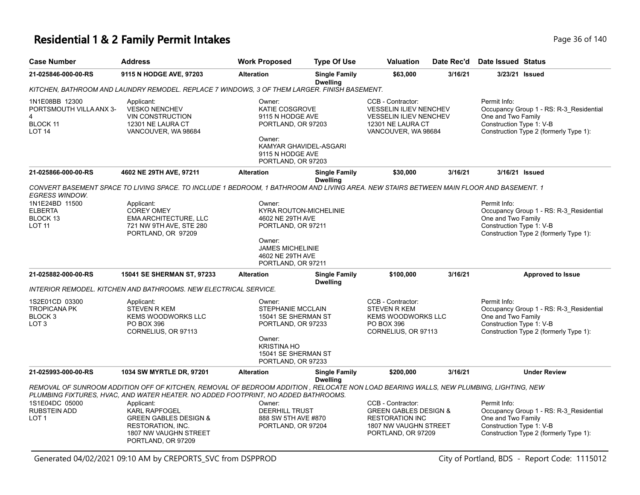### **Residential 1 & 2 Family Permit Intakes Page 140** Page 36 of 140

| <b>Case Number</b>                                                                           | Address                                                                                                                                                                                                                     | <b>Work Proposed</b>                                                                                                                                    | <b>Type Of Use</b>                      | Valuation                                                                                                                       | Date Rec'd | <b>Date Issued Status</b>                                                                                                                           |                                                                                   |  |  |  |  |  |  |
|----------------------------------------------------------------------------------------------|-----------------------------------------------------------------------------------------------------------------------------------------------------------------------------------------------------------------------------|---------------------------------------------------------------------------------------------------------------------------------------------------------|-----------------------------------------|---------------------------------------------------------------------------------------------------------------------------------|------------|-----------------------------------------------------------------------------------------------------------------------------------------------------|-----------------------------------------------------------------------------------|--|--|--|--|--|--|
| 21-025846-000-00-RS                                                                          | 9115 N HODGE AVE, 97203                                                                                                                                                                                                     | <b>Alteration</b>                                                                                                                                       | <b>Single Family</b><br><b>Dwelling</b> | \$63,000                                                                                                                        | 3/16/21    | 3/23/21 Issued                                                                                                                                      |                                                                                   |  |  |  |  |  |  |
| KITCHEN, BATHROOM AND LAUNDRY REMODEL. REPLACE 7 WINDOWS, 3 OF THEM LARGER. FINISH BASEMENT. |                                                                                                                                                                                                                             |                                                                                                                                                         |                                         |                                                                                                                                 |            |                                                                                                                                                     |                                                                                   |  |  |  |  |  |  |
| 1N1E08BB 12300<br>PORTSMOUTH VILLA ANX 3-<br>4<br><b>BLOCK 11</b><br><b>LOT 14</b>           | Applicant:<br><b>VESKO NENCHEV</b><br><b>VIN CONSTRUCTION</b><br>12301 NE LAURA CT<br>VANCOUVER, WA 98684                                                                                                                   | Owner:<br><b>KATIE COSGROVE</b><br>9115 N HODGE AVE<br>PORTLAND, OR 97203<br>Owner:<br>KAMYAR GHAVIDEL-ASGARI<br>9115 N HODGE AVE<br>PORTLAND, OR 97203 |                                         | CCB - Contractor:<br><b>VESSELIN ILIEV NENCHEV</b><br><b>VESSELIN ILIEV NENCHEV</b><br>12301 NE LAURA CT<br>VANCOUVER, WA 98684 |            | Permit Info:<br>One and Two Family<br>Construction Type 1: V-B                                                                                      | Occupancy Group 1 - RS: R-3_Residential<br>Construction Type 2 (formerly Type 1): |  |  |  |  |  |  |
| 21-025866-000-00-RS                                                                          | 4602 NE 29TH AVE, 97211                                                                                                                                                                                                     | <b>Alteration</b>                                                                                                                                       | <b>Single Family</b><br><b>Dwelling</b> | \$30,000                                                                                                                        | 3/16/21    | 3/16/21 Issued                                                                                                                                      |                                                                                   |  |  |  |  |  |  |
| <b>EGRESS WINDOW.</b>                                                                        | CONVERT BASEMENT SPACE TO LIVING SPACE. TO INCLUDE 1 BEDROOM, 1 BATHROOM AND LIVING AREA. NEW STAIRS BETWEEN MAIN FLOOR AND BASEMENT. 1                                                                                     |                                                                                                                                                         |                                         |                                                                                                                                 |            |                                                                                                                                                     |                                                                                   |  |  |  |  |  |  |
| 1N1E24BD 11500<br><b>ELBERTA</b><br>BLOCK 13<br><b>LOT 11</b>                                | Applicant:<br><b>COREY OMEY</b><br>EMA ARCHITECTURE, LLC<br>721 NW 9TH AVE, STE 280<br>PORTLAND, OR 97209                                                                                                                   | Owner:<br><b>KYRA ROUTON-MICHELINIE</b><br>4602 NE 29TH AVE<br>PORTLAND, OR 97211<br>Owner:                                                             |                                         |                                                                                                                                 |            | Permit Info:<br>One and Two Family<br>Construction Type 1: V-B                                                                                      | Occupancy Group 1 - RS: R-3_Residential<br>Construction Type 2 (formerly Type 1): |  |  |  |  |  |  |
|                                                                                              |                                                                                                                                                                                                                             | <b>JAMES MICHELINIE</b><br>4602 NE 29TH AVE<br>PORTLAND, OR 97211                                                                                       |                                         |                                                                                                                                 |            |                                                                                                                                                     |                                                                                   |  |  |  |  |  |  |
| 21-025882-000-00-RS                                                                          | 15041 SE SHERMAN ST, 97233                                                                                                                                                                                                  | <b>Alteration</b>                                                                                                                                       | <b>Single Family</b><br><b>Dwelling</b> | \$100,000                                                                                                                       | 3/16/21    |                                                                                                                                                     | <b>Approved to Issue</b>                                                          |  |  |  |  |  |  |
|                                                                                              | <b>INTERIOR REMODEL. KITCHEN AND BATHROOMS. NEW ELECTRICAL SERVICE.</b>                                                                                                                                                     |                                                                                                                                                         |                                         |                                                                                                                                 |            |                                                                                                                                                     |                                                                                   |  |  |  |  |  |  |
| 1S2E01CD 03300<br><b>TROPICANA PK</b><br>BLOCK <sub>3</sub><br>LOT <sub>3</sub>              | Applicant:<br><b>STEVEN R KEM</b><br><b>KEMS WOODWORKS LLC</b><br>PO BOX 396<br>CORNELIUS, OR 97113                                                                                                                         | Owner:<br><b>STEPHANIE MCCLAIN</b><br>15041 SE SHERMAN ST<br>PORTLAND, OR 97233<br>Owner:<br><b>KRISTINA HO</b><br>15041 SE SHERMAN ST                  |                                         | CCB - Contractor:<br><b>STEVEN R KEM</b><br><b>KEMS WOODWORKS LLC</b><br>PO BOX 396<br>CORNELIUS, OR 97113                      |            | Permit Info:<br>Occupancy Group 1 - RS: R-3_Residential<br>One and Two Family<br>Construction Type 1: V-B<br>Construction Type 2 (formerly Type 1): |                                                                                   |  |  |  |  |  |  |
|                                                                                              |                                                                                                                                                                                                                             | PORTLAND, OR 97233                                                                                                                                      |                                         |                                                                                                                                 | 3/16/21    |                                                                                                                                                     | <b>Under Review</b>                                                               |  |  |  |  |  |  |
| 21-025993-000-00-RS                                                                          | 1034 SW MYRTLE DR, 97201                                                                                                                                                                                                    | <b>Alteration</b>                                                                                                                                       | <b>Single Family</b><br><b>Dwelling</b> | \$200,000                                                                                                                       |            |                                                                                                                                                     |                                                                                   |  |  |  |  |  |  |
|                                                                                              | REMOVAL OF SUNROOM ADDITION OFF OF KITCHEN, REMOVAL OF BEDROOM ADDITION, RELOCATE NON LOAD BEARING WALLS, NEW PLUMBING, LIGHTING, NEW<br>PLUMBING FIXTURES, HVAC, AND WATER HEATER. NO ADDED FOOTPRINT, NO ADDED BATHROOMS. |                                                                                                                                                         |                                         |                                                                                                                                 |            |                                                                                                                                                     |                                                                                   |  |  |  |  |  |  |
| 1S1E04DC 05000<br><b>RUBSTEIN ADD</b><br>LOT 1                                               | Applicant:<br><b>KARL RAPFOGEL</b><br><b>GREEN GABLES DESIGN &amp;</b><br>RESTORATION, INC.<br>1807 NW VAUGHN STREET<br>PORTLAND, OR 97209                                                                                  | Owner:<br><b>DEERHILL TRUST</b><br>888 SW 5TH AVE #870<br>PORTLAND, OR 97204                                                                            |                                         | CCB - Contractor:<br><b>GREEN GABLES DESIGN &amp;</b><br><b>RESTORATION INC</b><br>1807 NW VAUGHN STREET<br>PORTLAND, OR 97209  |            | Permit Info:<br>Occupancy Group 1 - RS: R-3_Residential<br>One and Two Family<br>Construction Type 1: V-B<br>Construction Type 2 (formerly Type 1): |                                                                                   |  |  |  |  |  |  |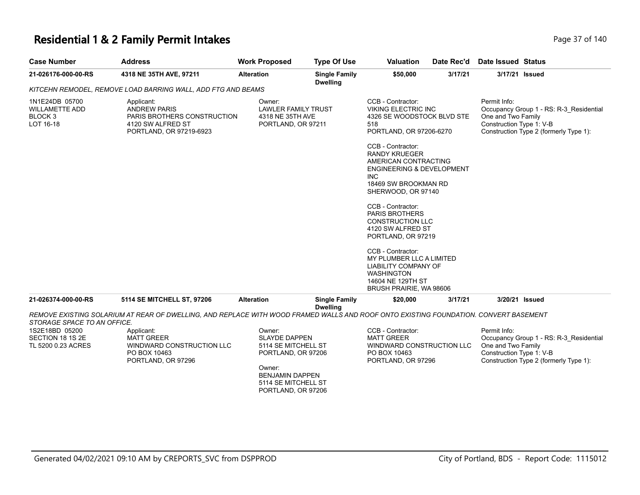#### **Residential 1 & 2 Family Permit Intakes Page 17 of 140** Page 37 of 140

| <b>Case Number</b>                                                         | <b>Address</b>                                                                                                                       | <b>Work Proposed</b>                                                                                                                                         | <b>Type Of Use</b>                      | <b>Valuation</b>                                                                                                                                                      | Date Rec'd | Date Issued Status                                                                                                                                  |
|----------------------------------------------------------------------------|--------------------------------------------------------------------------------------------------------------------------------------|--------------------------------------------------------------------------------------------------------------------------------------------------------------|-----------------------------------------|-----------------------------------------------------------------------------------------------------------------------------------------------------------------------|------------|-----------------------------------------------------------------------------------------------------------------------------------------------------|
| 21-026176-000-00-RS                                                        | 4318 NE 35TH AVE, 97211                                                                                                              | <b>Alteration</b>                                                                                                                                            | <b>Single Family</b><br><b>Dwelling</b> | \$50,000                                                                                                                                                              | 3/17/21    | 3/17/21 Issued                                                                                                                                      |
|                                                                            | KITCEHN REMODEL, REMOVE LOAD BARRING WALL, ADD FTG AND BEAMS                                                                         |                                                                                                                                                              |                                         |                                                                                                                                                                       |            |                                                                                                                                                     |
| 1N1E24DB 05700<br><b>WILLAMETTE ADD</b><br>BLOCK <sub>3</sub><br>LOT 16-18 | Applicant:<br><b>ANDREW PARIS</b><br>PARIS BROTHERS CONSTRUCTION<br>4120 SW ALFRED ST<br>PORTLAND, OR 97219-6923                     | Owner:<br><b>LAWLER FAMILY TRUST</b><br>4318 NE 35TH AVE<br>PORTLAND, OR 97211                                                                               |                                         | CCB - Contractor:<br><b>VIKING ELECTRIC INC</b><br>4326 SE WOODSTOCK BLVD STE<br>518<br>PORTLAND, OR 97206-6270                                                       |            | Permit Info:<br>Occupancy Group 1 - RS: R-3_Residential<br>One and Two Family<br>Construction Type 1: V-B<br>Construction Type 2 (formerly Type 1): |
|                                                                            |                                                                                                                                      |                                                                                                                                                              |                                         | CCB - Contractor:<br><b>RANDY KRUEGER</b><br>AMERICAN CONTRACTING<br><b>ENGINEERING &amp; DEVELOPMENT</b><br><b>INC</b><br>18469 SW BROOKMAN RD<br>SHERWOOD, OR 97140 |            |                                                                                                                                                     |
|                                                                            |                                                                                                                                      |                                                                                                                                                              |                                         | CCB - Contractor:<br><b>PARIS BROTHERS</b><br><b>CONSTRUCTION LLC</b><br>4120 SW ALFRED ST<br>PORTLAND, OR 97219                                                      |            |                                                                                                                                                     |
|                                                                            |                                                                                                                                      |                                                                                                                                                              |                                         | CCB - Contractor:<br>MY PLUMBER LLC A LIMITED<br><b>LIABILITY COMPANY OF</b><br><b>WASHINGTON</b><br>14604 NE 129TH ST<br>BRUSH PRAIRIE, WA 98606                     |            |                                                                                                                                                     |
| 21-026374-000-00-RS                                                        | <b>5114 SE MITCHELL ST, 97206</b>                                                                                                    | <b>Alteration</b>                                                                                                                                            | <b>Single Family</b>                    | \$20,000                                                                                                                                                              | 3/17/21    | 3/20/21 Issued                                                                                                                                      |
| STORAGE SPACE TO AN OFFICE.                                                | REMOVE EXISTING SOLARIUM AT REAR OF DWELLING, AND REPLACE WITH WOOD FRAMED WALLS AND ROOF ONTO EXISTING FOUNDATION. CONVERT BASEMENT |                                                                                                                                                              | <b>Dwelling</b>                         |                                                                                                                                                                       |            |                                                                                                                                                     |
| 1S2E18BD 05200<br>SECTION 18 1S 2E<br>TL 5200 0.23 ACRES                   | Applicant:<br><b>MATT GREER</b><br>WINDWARD CONSTRUCTION LLC<br>PO BOX 10463<br>PORTLAND, OR 97296                                   | Owner:<br><b>SLAYDE DAPPEN</b><br>5114 SE MITCHELL ST<br>PORTLAND, OR 97206<br>Owner:<br><b>BENJAMIN DAPPEN</b><br>5114 SE MITCHELL ST<br>PORTLAND, OR 97206 |                                         | CCB - Contractor:<br><b>MATT GREER</b><br>WINDWARD CONSTRUCTION LLC<br>PO BOX 10463<br>PORTLAND, OR 97296                                                             |            | Permit Info:<br>Occupancy Group 1 - RS: R-3_Residential<br>One and Two Family<br>Construction Type 1: V-B<br>Construction Type 2 (formerly Type 1): |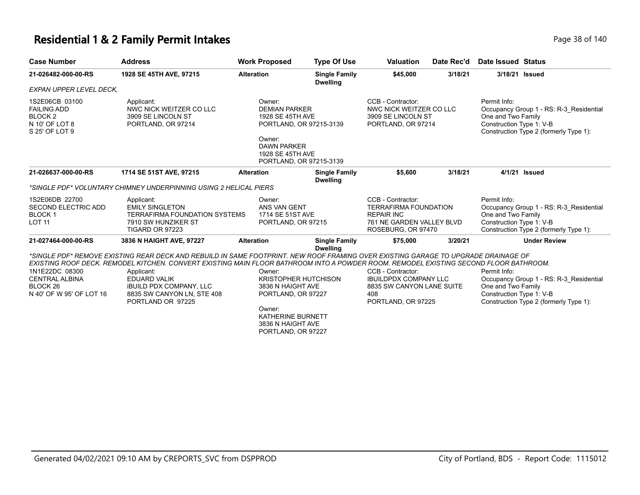#### **Residential 1 & 2 Family Permit Intakes Page 140** Page 38 of 140

| <b>Case Number</b>                                                                         | <b>Address</b>                                                                                                                                                                                                                                                                                                                                                                                        | <b>Work Proposed</b>                                                                                                                                         | <b>Type Of Use</b>                      | <b>Valuation</b>                                                                                                          | Date Rec'd | Date Issued Status                                                                                                                                  |
|--------------------------------------------------------------------------------------------|-------------------------------------------------------------------------------------------------------------------------------------------------------------------------------------------------------------------------------------------------------------------------------------------------------------------------------------------------------------------------------------------------------|--------------------------------------------------------------------------------------------------------------------------------------------------------------|-----------------------------------------|---------------------------------------------------------------------------------------------------------------------------|------------|-----------------------------------------------------------------------------------------------------------------------------------------------------|
| 21-026482-000-00-RS                                                                        | 1928 SE 45TH AVE, 97215                                                                                                                                                                                                                                                                                                                                                                               | <b>Alteration</b>                                                                                                                                            | <b>Single Family</b><br><b>Dwelling</b> | \$45,000                                                                                                                  | 3/18/21    | 3/18/21 Issued                                                                                                                                      |
| EXPAN UPPER LEVEL DECK.                                                                    |                                                                                                                                                                                                                                                                                                                                                                                                       |                                                                                                                                                              |                                         |                                                                                                                           |            |                                                                                                                                                     |
| 1S2E06CB 03100<br><b>FAILING ADD</b><br><b>BLOCK2</b><br>N 10' OF LOT 8<br>S 25' OF LOT 9  | Applicant:<br>NWC NICK WEITZER CO LLC<br>3909 SE LINCOLN ST<br>PORTLAND, OR 97214                                                                                                                                                                                                                                                                                                                     | Owner:<br><b>DEMIAN PARKER</b><br>1928 SE 45TH AVE<br>PORTLAND, OR 97215-3139<br>Owner:<br><b>DAWN PARKER</b><br>1928 SE 45TH AVE<br>PORTLAND, OR 97215-3139 |                                         | CCB - Contractor:<br>NWC NICK WEITZER CO LLC<br>3909 SE LINCOLN ST<br>PORTLAND, OR 97214                                  |            | Permit Info:<br>Occupancy Group 1 - RS: R-3 Residential<br>One and Two Family<br>Construction Type 1: V-B<br>Construction Type 2 (formerly Type 1): |
| 21-026637-000-00-RS                                                                        | 1714 SE 51ST AVE, 97215                                                                                                                                                                                                                                                                                                                                                                               | <b>Alteration</b>                                                                                                                                            | <b>Single Family</b><br><b>Dwelling</b> | \$5,600                                                                                                                   | 3/18/21    | 4/1/21 Issued                                                                                                                                       |
|                                                                                            | *SINGLE PDF* VOLUNTARY CHIMNEY UNDERPINNING USING 2 HELICAL PIERS                                                                                                                                                                                                                                                                                                                                     |                                                                                                                                                              |                                         |                                                                                                                           |            |                                                                                                                                                     |
| 1S2E06DB 22700<br>SECOND ELECTRIC ADD<br><b>BLOCK1</b><br><b>LOT 11</b>                    | Applicant:<br><b>EMILY SINGLETON</b><br><b>TERRAFIRMA FOUNDATION SYSTEMS</b><br>7910 SW HUNZIKER ST<br>TIGARD OR 97223                                                                                                                                                                                                                                                                                | Owner:<br>ANS VAN GENT<br>1714 SE 51ST AVE<br>PORTLAND, OR 97215                                                                                             |                                         | CCB - Contractor:<br><b>TERRAFIRMA FOUNDATION</b><br><b>REPAIR INC</b><br>761 NE GARDEN VALLEY BLVD<br>ROSEBURG, OR 97470 |            | Permit Info:<br>Occupancy Group 1 - RS: R-3 Residential<br>One and Two Family<br>Construction Type 1: V-B<br>Construction Type 2 (formerly Type 1): |
| 21-027464-000-00-RS                                                                        | 3836 N HAIGHT AVE, 97227                                                                                                                                                                                                                                                                                                                                                                              | <b>Alteration</b>                                                                                                                                            | <b>Single Family</b><br><b>Dwelling</b> | \$75,000                                                                                                                  | 3/20/21    | <b>Under Review</b>                                                                                                                                 |
| 1N1E22DC 08300<br><b>CENTRAL ALBINA</b><br>BLOCK <sub>26</sub><br>N 40' OF W 95' OF LOT 16 | *SINGLE PDF* REMOVE EXISTING REAR DECK AND REBUILD IN SAME FOOTPRINT. NEW ROOF FRAMING OVER EXISTING GARAGE TO UPGRADE DRAINAGE OF<br>EXISTING ROOF DECK. REMODEL KITCHEN. CONVERT EXISTING MAIN FLOOR BATHROOM INTO A POWDER ROOM. REMODEL EXISTING SECOND FLOOR BATHROOM.<br>Applicant:<br><b>EDUARD VALIK</b><br><b>IBUILD PDX COMPANY, LLC</b><br>8835 SW CANYON LN, STE 408<br>PORTLAND OR 97225 | Owner:<br><b>KRISTOPHER HUTCHISON</b><br>3836 N HAIGHT AVE<br>PORTLAND, OR 97227<br>Owner:<br>KATHERINE BURNETT<br>3836 N HAIGHT AVE<br>PORTLAND, OR 97227   |                                         | CCB - Contractor:<br><b>IBUILDPDX COMPANY LLC</b><br>8835 SW CANYON LANE SUITE<br>408<br>PORTLAND, OR 97225               |            | Permit Info:<br>Occupancy Group 1 - RS: R-3 Residential<br>One and Two Family<br>Construction Type 1: V-B<br>Construction Type 2 (formerly Type 1): |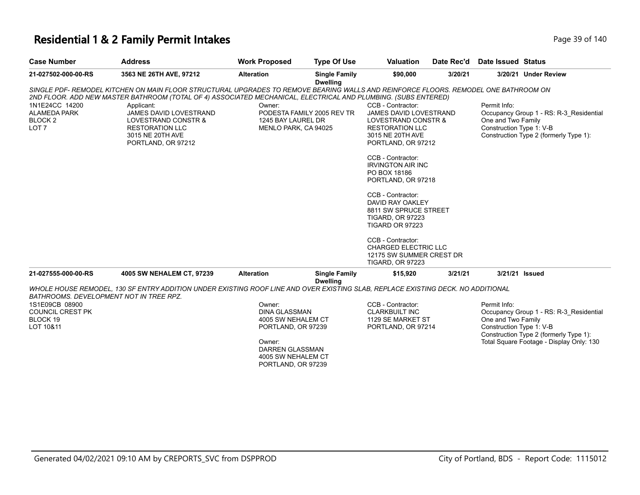# **Residential 1 & 2 Family Permit Intakes Page 140** Page 39 of 140

| Page 39 o |
|-----------|
|           |
|           |
|           |

| <b>Case Number</b>                                            | <b>Address</b>                                                                                                                      | <b>Work Proposed</b>                       | <b>Type Of Use</b>                      | <b>Valuation</b>                                                                            | Date Rec'd | Date Issued Status                             |                                                                                   |
|---------------------------------------------------------------|-------------------------------------------------------------------------------------------------------------------------------------|--------------------------------------------|-----------------------------------------|---------------------------------------------------------------------------------------------|------------|------------------------------------------------|-----------------------------------------------------------------------------------|
| 21-027502-000-00-RS                                           | 3563 NE 26TH AVE, 97212                                                                                                             | <b>Alteration</b>                          | <b>Single Family</b><br><b>Dwelling</b> | \$90,000                                                                                    | 3/20/21    |                                                | 3/20/21 Under Review                                                              |
|                                                               | SINGLE PDF- REMODEL KITCHEN ON MAIN FLOOR STRUCTURAL UPGRADES TO REMOVE BEARING WALLS AND REINFORCE FLOORS. REMODEL ONE BATHROOM ON |                                            |                                         |                                                                                             |            |                                                |                                                                                   |
|                                                               | 2ND FLOOR. ADD NEW MASTER BATHROOM (TOTAL OF 4) ASSOCIATED MECHANICAL, ELECTRICAL AND PLUMBING. (SUBS ENTERED)                      |                                            |                                         |                                                                                             |            |                                                |                                                                                   |
| 1N1E24CC 14200                                                | Applicant:                                                                                                                          | Owner:                                     |                                         | CCB - Contractor:                                                                           |            | Permit Info:                                   |                                                                                   |
| <b>ALAMEDA PARK</b><br>BLOCK <sub>2</sub><br>LOT <sub>7</sub> | JAMES DAVID LOVESTRAND<br>LOVESTRAND CONSTR &<br><b>RESTORATION LLC</b><br>3015 NE 20TH AVE                                         | 1245 BAY LAUREL DR<br>MENLO PARK, CA 94025 | PODESTA FAMILY 2005 REV TR              | JAMES DAVID LOVESTRAND<br>LOVESTRAND CONSTR &<br><b>RESTORATION LLC</b><br>3015 NE 20TH AVE |            | One and Two Family<br>Construction Type 1: V-B | Occupancy Group 1 - RS: R-3_Residential<br>Construction Type 2 (formerly Type 1): |
|                                                               | PORTLAND, OR 97212                                                                                                                  |                                            |                                         | PORTLAND, OR 97212                                                                          |            |                                                |                                                                                   |
|                                                               |                                                                                                                                     |                                            |                                         | CCB - Contractor:                                                                           |            |                                                |                                                                                   |
|                                                               |                                                                                                                                     |                                            |                                         | <b>IRVINGTON AIR INC</b>                                                                    |            |                                                |                                                                                   |
|                                                               |                                                                                                                                     |                                            |                                         | PO BOX 18186                                                                                |            |                                                |                                                                                   |
|                                                               |                                                                                                                                     |                                            |                                         | PORTLAND, OR 97218                                                                          |            |                                                |                                                                                   |
|                                                               |                                                                                                                                     |                                            |                                         | CCB - Contractor:                                                                           |            |                                                |                                                                                   |
|                                                               |                                                                                                                                     |                                            |                                         | DAVID RAY OAKLEY                                                                            |            |                                                |                                                                                   |
|                                                               |                                                                                                                                     |                                            |                                         | 8811 SW SPRUCE STREET                                                                       |            |                                                |                                                                                   |
|                                                               |                                                                                                                                     |                                            |                                         | <b>TIGARD, OR 97223</b><br><b>TIGARD OR 97223</b>                                           |            |                                                |                                                                                   |
|                                                               |                                                                                                                                     |                                            |                                         |                                                                                             |            |                                                |                                                                                   |
|                                                               |                                                                                                                                     |                                            |                                         | CCB - Contractor:                                                                           |            |                                                |                                                                                   |
|                                                               |                                                                                                                                     |                                            |                                         | <b>CHARGED ELECTRIC LLC</b>                                                                 |            |                                                |                                                                                   |
|                                                               |                                                                                                                                     |                                            |                                         | 12175 SW SUMMER CREST DR                                                                    |            |                                                |                                                                                   |
|                                                               |                                                                                                                                     |                                            |                                         | <b>TIGARD, OR 97223</b>                                                                     |            |                                                |                                                                                   |
| 21-027555-000-00-RS                                           | 4005 SW NEHALEM CT, 97239                                                                                                           | <b>Alteration</b>                          | <b>Single Family</b><br><b>Dwelling</b> | \$15,920                                                                                    | 3/21/21    |                                                | 3/21/21 Issued                                                                    |
| BATHROOMS. DEVELOPMENT NOT IN TREE RPZ.                       | WHOLE HOUSE REMODEL, 130 SF ENTRY ADDITION UNDER EXISTING ROOF LINE AND OVER EXISTING SLAB, REPLACE EXISTING DECK. NO ADDITIONAL    |                                            |                                         |                                                                                             |            |                                                |                                                                                   |
| 1S1E09CB 08900                                                |                                                                                                                                     | Owner:                                     |                                         | CCB - Contractor:                                                                           |            | Permit Info:                                   |                                                                                   |
| <b>COUNCIL CREST PK</b>                                       |                                                                                                                                     | <b>DINA GLASSMAN</b>                       |                                         | <b>CLARKBUILT INC</b>                                                                       |            |                                                | Occupancy Group 1 - RS: R-3_Residential                                           |
| BLOCK 19                                                      |                                                                                                                                     | 4005 SW NEHALEM CT                         |                                         | 1129 SE MARKET ST                                                                           |            | One and Two Family                             |                                                                                   |
| LOT 10&11                                                     |                                                                                                                                     | PORTLAND, OR 97239                         |                                         | PORTLAND, OR 97214                                                                          |            | Construction Type 1: V-B                       | Construction Type 2 (formerly Type 1):                                            |
|                                                               |                                                                                                                                     | Owner:                                     |                                         |                                                                                             |            |                                                | Total Square Footage - Display Only: 130                                          |
|                                                               |                                                                                                                                     | DARREN GLASSMAN                            |                                         |                                                                                             |            |                                                |                                                                                   |
|                                                               |                                                                                                                                     | 4005 SW NEHALEM CT                         |                                         |                                                                                             |            |                                                |                                                                                   |
|                                                               |                                                                                                                                     | PORTLAND, OR 97239                         |                                         |                                                                                             |            |                                                |                                                                                   |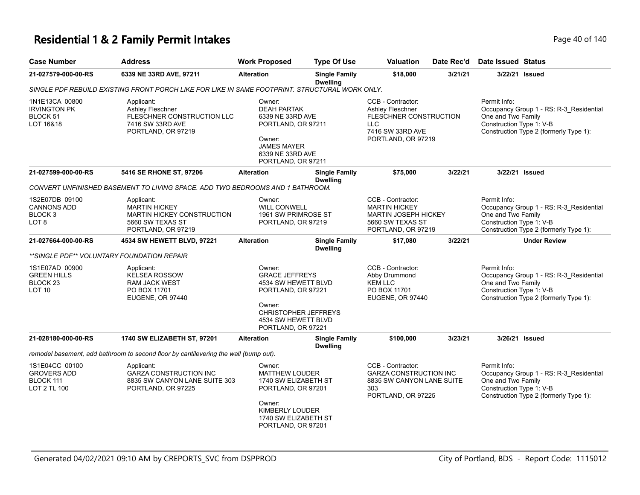# **Residential 1 & 2 Family Permit Intakes Page 40 of 140** Page 40 of 140

| Page 40 of 14 |  |  |
|---------------|--|--|

| <b>Case Number</b>                                                               | <b>Address</b>                                                                                                    | <b>Work Proposed</b>                                                                                                                                               | <b>Type Of Use</b>                      | <b>Valuation</b>                                                                                                   | Date Rec'd | <b>Date Issued Status</b>                                                                                                                           |
|----------------------------------------------------------------------------------|-------------------------------------------------------------------------------------------------------------------|--------------------------------------------------------------------------------------------------------------------------------------------------------------------|-----------------------------------------|--------------------------------------------------------------------------------------------------------------------|------------|-----------------------------------------------------------------------------------------------------------------------------------------------------|
| 21-027579-000-00-RS                                                              | 6339 NE 33RD AVE, 97211                                                                                           | <b>Alteration</b>                                                                                                                                                  | <b>Single Family</b><br><b>Dwelling</b> | \$18,000                                                                                                           | 3/21/21    | 3/22/21 Issued                                                                                                                                      |
|                                                                                  | SINGLE PDF REBUILD EXISTING FRONT PORCH LIKE FOR LIKE IN SAME FOOTPRINT. STRUCTURAL WORK ONLY.                    |                                                                                                                                                                    |                                         |                                                                                                                    |            |                                                                                                                                                     |
| 1N1E13CA 00800<br><b>IRVINGTON PK</b><br>BLOCK 51<br>LOT 16&18                   | Applicant:<br>Ashley Fleschner<br>FLESCHNER CONSTRUCTION LLC<br>7416 SW 33RD AVE<br>PORTLAND, OR 97219            | Owner:<br><b>DEAH PARTAK</b><br>6339 NE 33RD AVE<br>PORTLAND, OR 97211<br>Owner:<br><b>JAMES MAYER</b><br>6339 NE 33RD AVE<br>PORTLAND, OR 97211                   |                                         | CCB - Contractor:<br>Ashley Fleschner<br>FLESCHNER CONSTRUCTION<br>LLC<br>7416 SW 33RD AVE<br>PORTLAND, OR 97219   |            | Permit Info:<br>Occupancy Group 1 - RS: R-3_Residential<br>One and Two Family<br>Construction Type 1: V-B<br>Construction Type 2 (formerly Type 1): |
| 21-027599-000-00-RS                                                              | 5416 SE RHONE ST, 97206                                                                                           | <b>Alteration</b>                                                                                                                                                  | <b>Single Family</b><br><b>Dwelling</b> | \$75,000                                                                                                           | 3/22/21    | 3/22/21 Issued                                                                                                                                      |
|                                                                                  | CONVERT UNFINISHED BASEMENT TO LIVING SPACE. ADD TWO BEDROOMS AND 1 BATHROOM.                                     |                                                                                                                                                                    |                                         |                                                                                                                    |            |                                                                                                                                                     |
| 1S2E07DB 09100<br><b>CANNONS ADD</b><br>BLOCK <sub>3</sub><br>LOT <sub>8</sub>   | Applicant:<br><b>MARTIN HICKEY</b><br><b>MARTIN HICKEY CONSTRUCTION</b><br>5660 SW TEXAS ST<br>PORTLAND, OR 97219 | Owner:<br><b>WILL CONWELL</b><br>1961 SW PRIMROSE ST<br>PORTLAND, OR 97219                                                                                         |                                         | CCB - Contractor:<br><b>MARTIN HICKEY</b><br><b>MARTIN JOSEPH HICKEY</b><br>5660 SW TEXAS ST<br>PORTLAND, OR 97219 |            | Permit Info:<br>Occupancy Group 1 - RS: R-3_Residential<br>One and Two Family<br>Construction Type 1: V-B<br>Construction Type 2 (formerly Type 1): |
| 21-027664-000-00-RS                                                              | 4534 SW HEWETT BLVD, 97221                                                                                        | <b>Alteration</b>                                                                                                                                                  | <b>Single Family</b><br><b>Dwelling</b> | \$17,080                                                                                                           | 3/22/21    | <b>Under Review</b>                                                                                                                                 |
|                                                                                  | **SINGLE PDF** VOLUNTARY FOUNDATION REPAIR                                                                        |                                                                                                                                                                    |                                         |                                                                                                                    |            |                                                                                                                                                     |
| 1S1E07AD 00900<br><b>GREEN HILLS</b><br>BLOCK <sub>23</sub><br>LOT <sub>10</sub> | Applicant:<br><b>KELSEA ROSSOW</b><br><b>RAM JACK WEST</b><br>PO BOX 11701<br>EUGENE, OR 97440                    | Owner:<br><b>GRACE JEFFREYS</b><br>4534 SW HEWETT BLVD<br>PORTLAND, OR 97221<br>Owner:<br><b>CHRISTOPHER JEFFREYS</b><br>4534 SW HEWETT BLVD<br>PORTLAND, OR 97221 |                                         | CCB - Contractor:<br>Abby Drummond<br><b>KEM LLC</b><br>PO BOX 11701<br>EUGENE, OR 97440                           |            | Permit Info:<br>Occupancy Group 1 - RS: R-3_Residential<br>One and Two Family<br>Construction Type 1: V-B<br>Construction Type 2 (formerly Type 1): |
| 21-028180-000-00-RS                                                              | <b>1740 SW ELIZABETH ST, 97201</b>                                                                                | <b>Alteration</b>                                                                                                                                                  | <b>Single Family</b><br><b>Dwelling</b> | \$100,000                                                                                                          | 3/23/21    | 3/26/21 Issued                                                                                                                                      |
|                                                                                  | remodel basement, add bathroom to second floor by cantilevering the wall (bump out).                              |                                                                                                                                                                    |                                         |                                                                                                                    |            |                                                                                                                                                     |
| 1S1E04CC 00100<br><b>GROVERS ADD</b><br>BLOCK 111<br>LOT 2 TL 100                | Applicant:<br><b>GARZA CONSTRUCTION INC</b><br>8835 SW CANYON LANE SUITE 303<br>PORTLAND, OR 97225                | Owner:<br><b>MATTHEW LOUDER</b><br>1740 SW ELIZABETH ST<br>PORTLAND, OR 97201                                                                                      |                                         | CCB - Contractor:<br><b>GARZA CONSTRUCTION INC</b><br>8835 SW CANYON LANE SUITE<br>303<br>PORTLAND, OR 97225       |            | Permit Info:<br>Occupancy Group 1 - RS: R-3_Residential<br>One and Two Family<br>Construction Type 1: V-B<br>Construction Type 2 (formerly Type 1): |
|                                                                                  |                                                                                                                   | Owner:<br>KIMBERLY LOUDER<br>1740 SW ELIZABETH ST<br>PORTLAND, OR 97201                                                                                            |                                         |                                                                                                                    |            |                                                                                                                                                     |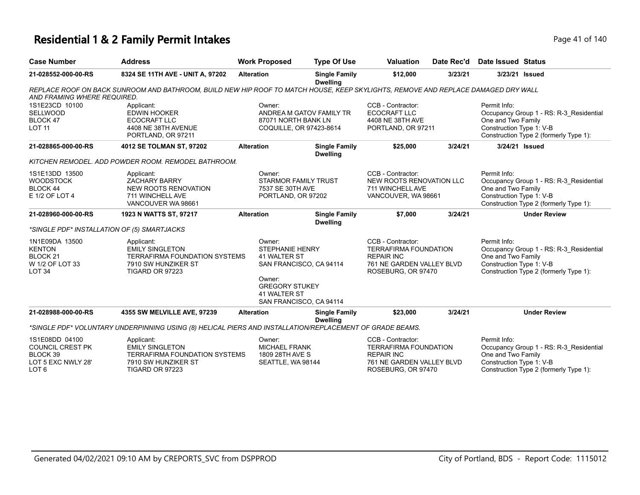#### **Residential 1 & 2 Family Permit Intakes Page 11 of 140** Page 41 of 140

| <b>Case Number</b>                                                                              | <b>Address</b>                                                                                                                    | <b>Work Proposed</b>                                                                                | <b>Type Of Use</b>                      | <b>Valuation</b>                                                                                                          | Date Rec'd | Date Issued Status                                             |                                                                                   |
|-------------------------------------------------------------------------------------------------|-----------------------------------------------------------------------------------------------------------------------------------|-----------------------------------------------------------------------------------------------------|-----------------------------------------|---------------------------------------------------------------------------------------------------------------------------|------------|----------------------------------------------------------------|-----------------------------------------------------------------------------------|
| 21-028552-000-00-RS                                                                             | 8324 SE 11TH AVE - UNIT A, 97202                                                                                                  | <b>Alteration</b>                                                                                   | <b>Single Family</b><br><b>Dwelling</b> | \$12,000                                                                                                                  | 3/23/21    |                                                                | 3/23/21 Issued                                                                    |
| AND FRAMING WHERE REQUIRED.                                                                     | REPLACE ROOF ON BACK SUNROOM AND BATHROOM, BUILD NEW HIP ROOF TO MATCH HOUSE, KEEP SKYLIGHTS, REMOVE AND REPLACE DAMAGED DRY WALL |                                                                                                     |                                         |                                                                                                                           |            |                                                                |                                                                                   |
| 1S1E23CD 10100<br><b>SELLWOOD</b><br>BLOCK 47<br><b>LOT 11</b>                                  | Applicant:<br><b>EDWIN HOOKER</b><br><b>ECOCRAFT LLC</b><br>4408 NE 38TH AVENUE<br>PORTLAND, OR 97211                             | Owner:<br>87071 NORTH BANK LN<br>COQUILLE, OR 97423-8614                                            | ANDREA M GATOV FAMILY TR                | CCB - Contractor:<br><b>ECOCRAFT LLC</b><br>4408 NE 38TH AVE<br>PORTLAND, OR 97211                                        |            | Permit Info:<br>One and Two Family<br>Construction Type 1: V-B | Occupancy Group 1 - RS: R-3 Residential<br>Construction Type 2 (formerly Type 1): |
| 21-028865-000-00-RS                                                                             | 4012 SE TOLMAN ST, 97202                                                                                                          | <b>Alteration</b>                                                                                   | <b>Single Family</b><br><b>Dwelling</b> | \$25,000                                                                                                                  | 3/24/21    |                                                                | 3/24/21 Issued                                                                    |
|                                                                                                 | KITCHEN REMODEL. ADD POWDER ROOM. REMODEL BATHROOM.                                                                               |                                                                                                     |                                         |                                                                                                                           |            |                                                                |                                                                                   |
| 1S1E13DD 13500<br><b>WOODSTOCK</b><br><b>BLOCK 44</b><br>E 1/2 OF LOT 4                         | Applicant:<br><b>ZACHARY BARRY</b><br><b>NEW ROOTS RENOVATION</b><br>711 WINCHELL AVE<br>VANCOUVER WA 98661                       | Owner:<br><b>STARMOR FAMILY TRUST</b><br>7537 SE 30TH AVE<br>PORTLAND, OR 97202                     |                                         | CCB - Contractor:<br>NEW ROOTS RENOVATION LLC<br>711 WINCHELL AVE<br>VANCOUVER, WA 98661                                  |            | Permit Info:<br>One and Two Family<br>Construction Type 1: V-B | Occupancy Group 1 - RS: R-3 Residential<br>Construction Type 2 (formerly Type 1): |
| 21-028960-000-00-RS                                                                             | 1923 N WATTS ST, 97217                                                                                                            | <b>Alteration</b>                                                                                   | <b>Single Family</b><br><b>Dwelling</b> | \$7,000                                                                                                                   | 3/24/21    |                                                                | <b>Under Review</b>                                                               |
|                                                                                                 | *SINGLE PDF* INSTALLATION OF (5) SMARTJACKS                                                                                       |                                                                                                     |                                         |                                                                                                                           |            |                                                                |                                                                                   |
| 1N1E09DA 13500<br><b>KENTON</b><br>BLOCK <sub>21</sub><br>W 1/2 OF LOT 33<br>LOT <sub>34</sub>  | Applicant:<br><b>EMILY SINGLETON</b><br>TERRAFIRMA FOUNDATION SYSTEMS<br>7910 SW HUNZIKER ST<br>TIGARD OR 97223                   | Owner:<br><b>STEPHANIE HENRY</b><br>41 WALTER ST<br>Owner:<br><b>GREGORY STUKEY</b><br>41 WALTER ST | SAN FRANCISCO, CA 94114                 | CCB - Contractor:<br><b>TERRAFIRMA FOUNDATION</b><br><b>REPAIR INC</b><br>761 NE GARDEN VALLEY BLVD<br>ROSEBURG, OR 97470 |            | Permit Info:<br>One and Two Family<br>Construction Type 1: V-B | Occupancy Group 1 - RS: R-3_Residential<br>Construction Type 2 (formerly Type 1): |
| 21-028988-000-00-RS                                                                             | 4355 SW MELVILLE AVE, 97239                                                                                                       | <b>Alteration</b>                                                                                   | SAN FRANCISCO, CA 94114                 | \$23,000                                                                                                                  | 3/24/21    |                                                                | <b>Under Review</b>                                                               |
|                                                                                                 |                                                                                                                                   |                                                                                                     | <b>Single Family</b><br><b>Dwelling</b> |                                                                                                                           |            |                                                                |                                                                                   |
|                                                                                                 | *SINGLE PDF* VOLUNTARY UNDERPINNING USING (8) HELICAL PIERS AND INSTALLATION/REPLACEMENT OF GRADE BEAMS.                          |                                                                                                     |                                         |                                                                                                                           |            |                                                                |                                                                                   |
| 1S1E08DD 04100<br><b>COUNCIL CREST PK</b><br>BLOCK 39<br>LOT 5 EXC NWLY 28'<br>LOT <sub>6</sub> | Applicant:<br><b>EMILY SINGLETON</b><br>TERRAFIRMA FOUNDATION SYSTEMS<br>7910 SW HUNZIKER ST<br>TIGARD OR 97223                   | Owner:<br><b>MICHAEL FRANK</b><br>1809 28TH AVE S<br>SEATTLE, WA 98144                              |                                         | CCB - Contractor:<br><b>TERRAFIRMA FOUNDATION</b><br><b>REPAIR INC</b><br>761 NE GARDEN VALLEY BLVD<br>ROSEBURG, OR 97470 |            | Permit Info:<br>One and Two Family<br>Construction Type 1: V-B | Occupancy Group 1 - RS: R-3_Residential<br>Construction Type 2 (formerly Type 1): |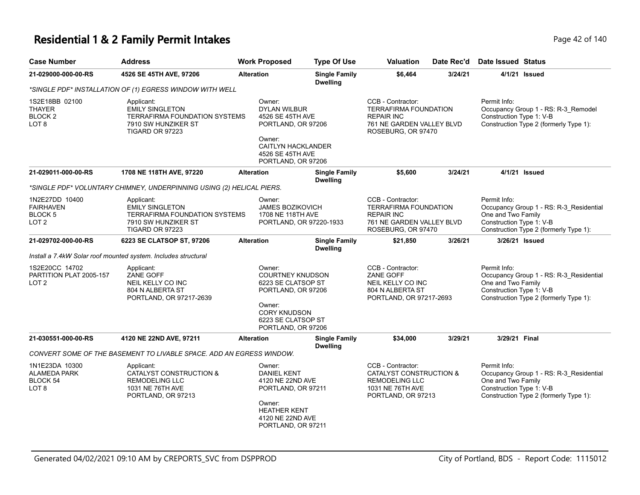#### **Residential 1 & 2 Family Permit Intakes Page 12 of 140** Page 42 of 140

| <b>Case Number</b>                                                           | <b>Address</b>                                                                                                         | <b>Work Proposed</b>                                                                                                        | <b>Type Of Use</b>                      | <b>Valuation</b>                                                                                                           | Date Rec'd | <b>Date Issued Status</b>                                      |                                                                                   |
|------------------------------------------------------------------------------|------------------------------------------------------------------------------------------------------------------------|-----------------------------------------------------------------------------------------------------------------------------|-----------------------------------------|----------------------------------------------------------------------------------------------------------------------------|------------|----------------------------------------------------------------|-----------------------------------------------------------------------------------|
| 21-029000-000-00-RS                                                          | 4526 SE 45TH AVE, 97206                                                                                                | <b>Alteration</b>                                                                                                           | <b>Single Family</b><br><b>Dwelling</b> | \$6,464                                                                                                                    | 3/24/21    | 4/1/21 Issued                                                  |                                                                                   |
|                                                                              | *SINGLE PDF* INSTALLATION OF (1) EGRESS WINDOW WITH WELL                                                               |                                                                                                                             |                                         |                                                                                                                            |            |                                                                |                                                                                   |
| 1S2E18BB 02100<br><b>THAYER</b><br><b>BLOCK2</b><br>LOT 8                    | Applicant:<br><b>EMILY SINGLETON</b><br><b>TERRAFIRMA FOUNDATION SYSTEMS</b><br>7910 SW HUNZIKER ST<br>TIGARD OR 97223 | Owner:<br><b>DYLAN WILBUR</b><br>4526 SE 45TH AVE<br>PORTLAND, OR 97206<br>Owner:                                           |                                         | CCB - Contractor:<br><b>TERRAFIRMA FOUNDATION</b><br><b>REPAIR INC</b><br>761 NE GARDEN VALLEY BLVD<br>ROSEBURG, OR 97470  |            | Permit Info:<br>Construction Type 1: V-B                       | Occupancy Group 1 - RS: R-3_Remodel<br>Construction Type 2 (formerly Type 1):     |
|                                                                              |                                                                                                                        | <b>CAITLYN HACKLANDER</b><br>4526 SE 45TH AVE<br>PORTLAND, OR 97206                                                         |                                         |                                                                                                                            |            |                                                                |                                                                                   |
| 21-029011-000-00-RS                                                          | 1708 NE 118TH AVE, 97220                                                                                               | <b>Alteration</b>                                                                                                           | <b>Single Family</b><br><b>Dwelling</b> | \$5,600                                                                                                                    | 3/24/21    | 4/1/21 Issued                                                  |                                                                                   |
|                                                                              | *SINGLE PDF* VOLUNTARY CHIMNEY, UNDERPINNING USING (2) HELICAL PIERS.                                                  |                                                                                                                             |                                         |                                                                                                                            |            |                                                                |                                                                                   |
| 1N2E27DD 10400<br><b>FAIRHAVEN</b><br>BLOCK <sub>5</sub><br>LOT <sub>2</sub> | Applicant:<br><b>EMILY SINGLETON</b><br><b>TERRAFIRMA FOUNDATION SYSTEMS</b><br>7910 SW HUNZIKER ST<br>TIGARD OR 97223 | Owner:<br>JAMES BOZIKOVICH<br>1708 NE 118TH AVE<br>PORTLAND, OR 97220-1933                                                  |                                         | CCB - Contractor:<br>TERRAFIRMA FOUNDATION<br><b>REPAIR INC</b><br>761 NE GARDEN VALLEY BLVD<br>ROSEBURG, OR 97470         |            | Permit Info:<br>One and Two Family<br>Construction Type 1: V-B | Occupancy Group 1 - RS: R-3_Residential<br>Construction Type 2 (formerly Type 1): |
| 21-029702-000-00-RS                                                          | 6223 SE CLATSOP ST, 97206                                                                                              | <b>Alteration</b>                                                                                                           | <b>Single Family</b><br><b>Dwelling</b> | \$21,850                                                                                                                   | 3/26/21    | 3/26/21 Issued                                                 |                                                                                   |
|                                                                              | Install a 7.4kW Solar roof mounted system. Includes structural                                                         |                                                                                                                             |                                         |                                                                                                                            |            |                                                                |                                                                                   |
| 1S2E20CC 14702<br>PARTITION PLAT 2005-157<br>LOT <sub>2</sub>                | Applicant:<br>ZANE GOFF<br>NEIL KELLY CO INC<br>804 N ALBERTA ST<br>PORTLAND, OR 97217-2639                            | Owner:<br><b>COURTNEY KNUDSON</b><br>6223 SE CLATSOP ST<br>PORTLAND, OR 97206<br>Owner:                                     |                                         | CCB - Contractor:<br>ZANE GOFF<br>NEIL KELLY CO INC<br>804 N ALBERTA ST<br>PORTLAND, OR 97217-2693                         |            | Permit Info:<br>One and Two Family<br>Construction Type 1: V-B | Occupancy Group 1 - RS: R-3_Residential<br>Construction Type 2 (formerly Type 1): |
|                                                                              |                                                                                                                        | <b>CORY KNUDSON</b><br>6223 SE CLATSOP ST<br>PORTLAND, OR 97206                                                             |                                         |                                                                                                                            |            |                                                                |                                                                                   |
| 21-030551-000-00-RS                                                          | 4120 NE 22ND AVE, 97211                                                                                                | <b>Alteration</b>                                                                                                           | <b>Single Family</b><br><b>Dwelling</b> | \$34,000                                                                                                                   | 3/29/21    | 3/29/21 Final                                                  |                                                                                   |
|                                                                              | CONVERT SOME OF THE BASEMENT TO LIVABLE SPACE. ADD AN EGRESS WINDOW.                                                   |                                                                                                                             |                                         |                                                                                                                            |            |                                                                |                                                                                   |
| 1N1E23DA 10300<br><b>ALAMEDA PARK</b><br>BLOCK 54<br>LOT <sub>8</sub>        | Applicant:<br>CATALYST CONSTRUCTION &<br><b>REMODELING LLC</b><br>1031 NE 76TH AVE<br>PORTLAND, OR 97213               | Owner:<br><b>DANIEL KENT</b><br>4120 NE 22ND AVE<br>PORTLAND, OR 97211<br>Owner:<br><b>HEATHER KENT</b><br>4120 NE 22ND AVE |                                         | CCB - Contractor:<br><b>CATALYST CONSTRUCTION &amp;</b><br><b>REMODELING LLC</b><br>1031 NE 76TH AVE<br>PORTLAND, OR 97213 |            | Permit Info:<br>One and Two Family<br>Construction Type 1: V-B | Occupancy Group 1 - RS: R-3_Residential<br>Construction Type 2 (formerly Type 1): |

PORTLAND, OR 97211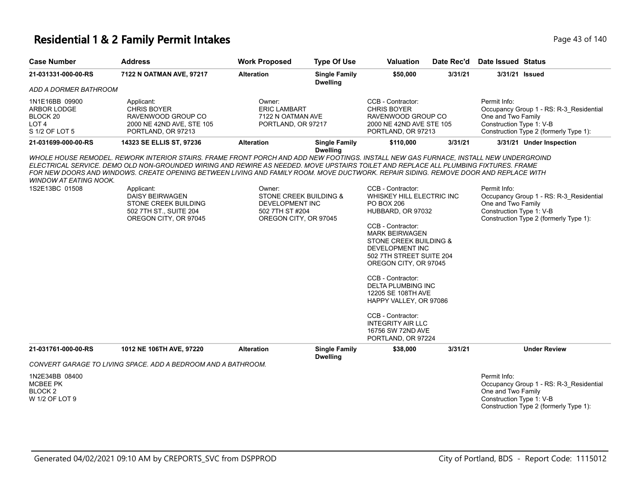#### **Residential 1 & 2 Family Permit Intakes Page 13 of 140** Page 43 of 140

| <b>Case Number</b>                                                   | <b>Address</b>                                                                                                                                                                                                                                                                                                                                                                                                        | <b>Work Proposed</b>                                                                            | <b>Type Of Use</b>                      | <b>Valuation</b>                                                                                                                                                                                                                                                                                                                                                                                                  | Date Rec'd | <b>Date Issued Status</b>                                                                                                                           |
|----------------------------------------------------------------------|-----------------------------------------------------------------------------------------------------------------------------------------------------------------------------------------------------------------------------------------------------------------------------------------------------------------------------------------------------------------------------------------------------------------------|-------------------------------------------------------------------------------------------------|-----------------------------------------|-------------------------------------------------------------------------------------------------------------------------------------------------------------------------------------------------------------------------------------------------------------------------------------------------------------------------------------------------------------------------------------------------------------------|------------|-----------------------------------------------------------------------------------------------------------------------------------------------------|
| 21-031331-000-00-RS                                                  | 7122 N OATMAN AVE, 97217                                                                                                                                                                                                                                                                                                                                                                                              | <b>Alteration</b>                                                                               | <b>Single Family</b><br><b>Dwelling</b> | \$50,000                                                                                                                                                                                                                                                                                                                                                                                                          | 3/31/21    | 3/31/21 Issued                                                                                                                                      |
| ADD A DORMER BATHROOM                                                |                                                                                                                                                                                                                                                                                                                                                                                                                       |                                                                                                 |                                         |                                                                                                                                                                                                                                                                                                                                                                                                                   |            |                                                                                                                                                     |
| 1N1E16BB 09900<br>ARBOR LODGE<br>BLOCK 20<br>LOT 4<br>S 1/2 OF LOT 5 | Applicant:<br><b>CHRIS BOYER</b><br>RAVENWOOD GROUP CO<br>2000 NE 42ND AVE, STE 105<br>PORTLAND, OR 97213                                                                                                                                                                                                                                                                                                             | Owner:<br><b>ERIC LAMBART</b><br>7122 N OATMAN AVE<br>PORTLAND, OR 97217                        |                                         | CCB - Contractor:<br><b>CHRIS BOYER</b><br>RAVENWOOD GROUP CO<br>2000 NE 42ND AVE STE 105<br>PORTLAND, OR 97213                                                                                                                                                                                                                                                                                                   |            | Permit Info:<br>Occupancy Group 1 - RS: R-3 Residential<br>One and Two Family<br>Construction Type 1: V-B<br>Construction Type 2 (formerly Type 1): |
| 21-031699-000-00-RS                                                  | 14323 SE ELLIS ST, 97236                                                                                                                                                                                                                                                                                                                                                                                              | <b>Alteration</b>                                                                               | <b>Single Family</b><br><b>Dwelling</b> | \$110,000                                                                                                                                                                                                                                                                                                                                                                                                         | 3/31/21    | 3/31/21 Under Inspection                                                                                                                            |
| <b>WINDOW AT EATING NOOK.</b><br>1S2E13BC 01508                      | WHOLE HOUSE REMODEL. REWORK INTERIOR STAIRS. FRAME FRONT PORCH AND ADD NEW FOOTINGS. INSTALL NEW GAS FURNACE, INSTALL NEW UNDERGROIND<br>ELECTRICAL SERVICE. DEMO OLD NON-GROUNDED WIRING AND REWIRE AS NEEDED. MOVE UPSTAIRS TOILET AND REPLACE ALL PLUMBING FIXTURES. FRAME<br>FOR NEW DOORS AND WINDOWS. CREATE OPENING BETWEEN LIVING AND FAMILY ROOM. MOVE DUCTWORK. REPAIR SIDING. REMOVE DOOR AND REPLACE WITH |                                                                                                 |                                         | CCB - Contractor:                                                                                                                                                                                                                                                                                                                                                                                                 |            |                                                                                                                                                     |
|                                                                      | Applicant:<br>DAISY BEIRWAGEN<br>STONE CREEK BUILDING<br>502 7TH ST., SUITE 204<br>OREGON CITY, OR 97045                                                                                                                                                                                                                                                                                                              | Owner:<br>STONE CREEK BUILDING &<br>DEVELOPMENT INC<br>502 7TH ST #204<br>OREGON CITY, OR 97045 |                                         | WHISKEY HILL ELECTRIC INC<br><b>PO BOX 206</b><br>HUBBARD, OR 97032<br>CCB - Contractor:<br><b>MARK BEIRWAGEN</b><br>STONE CREEK BUILDING &<br><b>DEVELOPMENT INC</b><br>502 7TH STREET SUITE 204<br>OREGON CITY, OR 97045<br>CCB - Contractor:<br>DELTA PLUMBING INC<br>12205 SE 108TH AVE<br>HAPPY VALLEY, OR 97086<br>CCB - Contractor:<br><b>INTEGRITY AIR LLC</b><br>16756 SW 72ND AVE<br>PORTLAND, OR 97224 |            | Permit Info:<br>Occupancy Group 1 - RS: R-3_Residential<br>One and Two Family<br>Construction Type 1: V-B<br>Construction Type 2 (formerly Type 1): |
| 21-031761-000-00-RS                                                  | 1012 NE 106TH AVE, 97220                                                                                                                                                                                                                                                                                                                                                                                              | <b>Alteration</b>                                                                               | <b>Single Family</b><br><b>Dwelling</b> | \$38,000                                                                                                                                                                                                                                                                                                                                                                                                          | 3/31/21    | <b>Under Review</b>                                                                                                                                 |
|                                                                      | CONVERT GARAGE TO LIVING SPACE. ADD A BEDROOM AND A BATHROOM.                                                                                                                                                                                                                                                                                                                                                         |                                                                                                 |                                         |                                                                                                                                                                                                                                                                                                                                                                                                                   |            |                                                                                                                                                     |
| 1N2E34BB 08400<br>MCBEE PK<br>BLOCK <sub>2</sub><br>W 1/2 OF LOT 9   |                                                                                                                                                                                                                                                                                                                                                                                                                       |                                                                                                 |                                         |                                                                                                                                                                                                                                                                                                                                                                                                                   |            | Permit Info:<br>Occupancy Group 1 - RS: R-3 Residential<br>One and Two Family<br>Construction Type 1: V-B<br>Construction Type 2 (formerly Type 1): |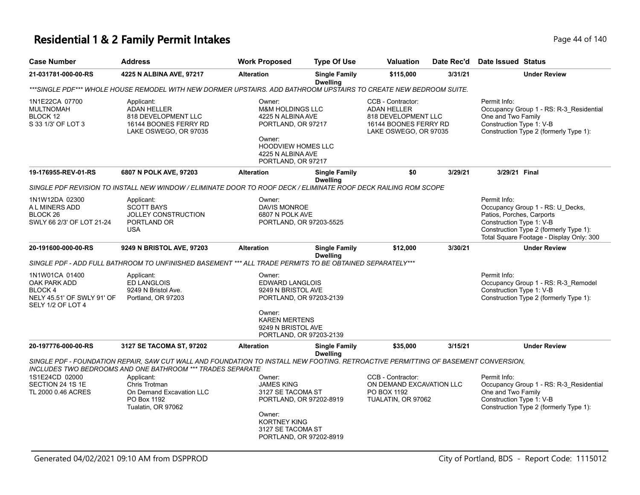# **Residential 1 & 2 Family Permit Intakes Page 14 of 140** Page 44 of 140

| <b>Case Number</b>                                                                           | <b>Address</b>                                                                                                                                                                                   | <b>Work Proposed</b>                                                                                                                                               | <b>Type Of Use</b>                      | <b>Valuation</b>                                                                                                 | Date Rec'd | <b>Date Issued Status</b>                                                                                                                                                                       |
|----------------------------------------------------------------------------------------------|--------------------------------------------------------------------------------------------------------------------------------------------------------------------------------------------------|--------------------------------------------------------------------------------------------------------------------------------------------------------------------|-----------------------------------------|------------------------------------------------------------------------------------------------------------------|------------|-------------------------------------------------------------------------------------------------------------------------------------------------------------------------------------------------|
| 21-031781-000-00-RS                                                                          | 4225 N ALBINA AVE, 97217                                                                                                                                                                         | <b>Alteration</b>                                                                                                                                                  | <b>Single Family</b><br><b>Dwelling</b> | \$115,000                                                                                                        | 3/31/21    | <b>Under Review</b>                                                                                                                                                                             |
|                                                                                              | ***SINGLE PDF*** WHOLE HOUSE REMODEL WITH NEW DORMER UPSTAIRS. ADD BATHROOM UPSTAIRS TO CREATE NEW BEDROOM SUITE.                                                                                |                                                                                                                                                                    |                                         |                                                                                                                  |            |                                                                                                                                                                                                 |
| 1N1E22CA 07700<br><b>MULTNOMAH</b><br>BLOCK 12<br>S 33 1/3' OF LOT 3                         | Applicant:<br><b>ADAN HELLER</b><br>818 DEVELOPMENT LLC<br>16144 BOONES FERRY RD<br>LAKE OSWEGO, OR 97035                                                                                        | Owner:<br><b>M&amp;M HOLDINGS LLC</b><br>4225 N ALBINA AVE<br>PORTLAND, OR 97217<br>Owner:<br><b>HOODVIEW HOMES LLC</b><br>4225 N ALBINA AVE<br>PORTLAND, OR 97217 |                                         | CCB - Contractor:<br><b>ADAN HELLER</b><br>818 DEVELOPMENT LLC<br>16144 BOONES FERRY RD<br>LAKE OSWEGO, OR 97035 |            | Permit Info:<br>Occupancy Group 1 - RS: R-3_Residential<br>One and Two Family<br>Construction Type 1: V-B<br>Construction Type 2 (formerly Type 1):                                             |
| 19-176955-REV-01-RS                                                                          | 6807 N POLK AVE, 97203                                                                                                                                                                           | <b>Alteration</b>                                                                                                                                                  | <b>Single Family</b><br><b>Dwelling</b> | \$0                                                                                                              | 3/29/21    | 3/29/21 Final                                                                                                                                                                                   |
|                                                                                              | SINGLE PDF REVISION TO INSTALL NEW WINDOW / ELIMINATE DOOR TO ROOF DECK / ELIMINATE ROOF DECK RAILING ROM SCOPE                                                                                  |                                                                                                                                                                    |                                         |                                                                                                                  |            |                                                                                                                                                                                                 |
| 1N1W12DA 02300<br>A L MINERS ADD<br>BLOCK <sub>26</sub><br>SWLY 66 2/3' OF LOT 21-24         | Applicant:<br><b>SCOTT BAYS</b><br>JOLLEY CONSTRUCTION<br>PORTLAND OR<br><b>USA</b>                                                                                                              | Owner:<br>DAVIS MONROE<br>6807 N POLK AVE<br>PORTLAND, OR 97203-5525                                                                                               |                                         |                                                                                                                  |            | Permit Info:<br>Occupancy Group 1 - RS: U_Decks,<br>Patios, Porches, Carports<br>Construction Type 1: V-B<br>Construction Type 2 (formerly Type 1):<br>Total Square Footage - Display Only: 300 |
| 20-191600-000-00-RS                                                                          | 9249 N BRISTOL AVE, 97203                                                                                                                                                                        | <b>Alteration</b>                                                                                                                                                  | <b>Single Family</b><br><b>Dwelling</b> | \$12,000                                                                                                         | 3/30/21    | <b>Under Review</b>                                                                                                                                                                             |
|                                                                                              | SINGLE PDF - ADD FULL BATHROOM TO UNFINISHED BASEMENT *** ALL TRADE PERMITS TO BE OBTAINED SEPARATELY***                                                                                         |                                                                                                                                                                    |                                         |                                                                                                                  |            |                                                                                                                                                                                                 |
| 1N1W01CA 01400<br>OAK PARK ADD<br>BLOCK 4<br>NELY 45.51' OF SWLY 91' OF<br>SELY 1/2 OF LOT 4 | Applicant:<br><b>ED LANGLOIS</b><br>9249 N Bristol Ave.<br>Portland, OR 97203                                                                                                                    | Owner:<br><b>EDWARD LANGLOIS</b><br>9249 N BRISTOL AVE<br>PORTLAND, OR 97203-2139<br>Owner:<br><b>KAREN MERTENS</b>                                                |                                         |                                                                                                                  |            | Permit Info:<br>Occupancy Group 1 - RS: R-3_Remodel<br>Construction Type 1: V-B<br>Construction Type 2 (formerly Type 1):                                                                       |
|                                                                                              |                                                                                                                                                                                                  | 9249 N BRISTOL AVE<br>PORTLAND, OR 97203-2139                                                                                                                      |                                         |                                                                                                                  |            |                                                                                                                                                                                                 |
| 20-197776-000-00-RS                                                                          | 3127 SE TACOMA ST, 97202                                                                                                                                                                         | <b>Alteration</b>                                                                                                                                                  | <b>Single Family</b><br><b>Dwelling</b> | \$35,000                                                                                                         | 3/15/21    | <b>Under Review</b>                                                                                                                                                                             |
|                                                                                              | SINGLE PDF - FOUNDATION REPAIR, SAW CUT WALL AND FOUNDATION TO INSTALL NEW FOOTING. RETROACTIVE PERMITTING OF BASEMENT CONVERSION,<br>INCLUDES TWO BEDROOMS AND ONE BATHROOM *** TRADES SEPARATE |                                                                                                                                                                    |                                         |                                                                                                                  |            |                                                                                                                                                                                                 |
| 1S1E24CD 02000<br>SECTION 24 1S 1E<br>TL 2000 0.46 ACRES                                     | Applicant:<br>Chris Trotman<br>On Demand Excavation LLC<br>PO Box 1192<br>Tualatin, OR 97062                                                                                                     | Owner:<br><b>JAMES KING</b><br>3127 SE TACOMA ST<br>PORTLAND, OR 97202-8919<br>Owner:<br><b>KORTNEY KING</b><br>3127 SE TACOMA ST<br>PORTLAND, OR 97202-8919       |                                         | CCB - Contractor:<br>ON DEMAND EXCAVATION LLC<br>PO BOX 1192<br>TUALATIN, OR 97062                               |            | Permit Info:<br>Occupancy Group 1 - RS: R-3_Residential<br>One and Two Family<br>Construction Type 1: V-B<br>Construction Type 2 (formerly Type 1):                                             |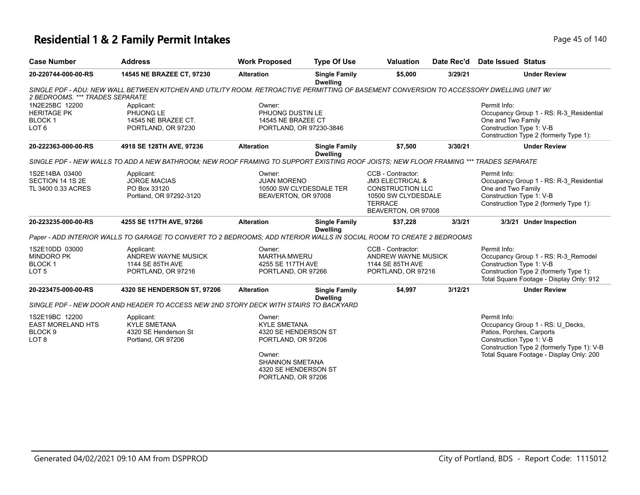#### **Residential 1 & 2 Family Permit Intakes Page 15 of 140** Page 45 of 140

| <b>Case Number</b>              | <b>Address</b>                                                                                                                           | <b>Work Proposed</b>    | <b>Type Of Use</b>                      | <b>Valuation</b>                      | Date Rec'd | <b>Date Issued Status</b>                                                          |
|---------------------------------|------------------------------------------------------------------------------------------------------------------------------------------|-------------------------|-----------------------------------------|---------------------------------------|------------|------------------------------------------------------------------------------------|
| 20-220744-000-00-RS             | 14545 NE BRAZEE CT, 97230                                                                                                                | <b>Alteration</b>       | <b>Single Family</b><br><b>Dwelling</b> | \$5,000                               | 3/29/21    | <b>Under Review</b>                                                                |
| 2 BEDROOMS. *** TRADES SEPARATE | SINGLE PDF - ADU: NEW WALL BETWEEN KITCHEN AND UTILITY ROOM. RETROACTIVE PERMITTING OF BASEMENT CONVERSION TO ACCESSORY DWELLING UNIT W/ |                         |                                         |                                       |            |                                                                                    |
| 1N2E25BC 12200                  | Applicant:                                                                                                                               | Owner:                  |                                         |                                       |            | Permit Info:                                                                       |
| <b>HERITAGE PK</b>              | PHUONG LE                                                                                                                                | PHUONG DUSTIN LE        |                                         |                                       |            | Occupancy Group 1 - RS: R-3_Residential                                            |
| BLOCK <sub>1</sub>              | 14545 NE BRAZEE CT.                                                                                                                      | 14545 NE BRAZEE CT      |                                         |                                       |            | One and Two Family                                                                 |
| LOT <sub>6</sub>                | PORTLAND, OR 97230                                                                                                                       | PORTLAND, OR 97230-3846 |                                         |                                       |            | Construction Type 1: V-B<br>Construction Type 2 (formerly Type 1):                 |
| 20-222363-000-00-RS             | 4918 SE 128TH AVE, 97236                                                                                                                 | <b>Alteration</b>       | <b>Single Family</b><br><b>Dwelling</b> | \$7,500                               | 3/30/21    | <b>Under Review</b>                                                                |
|                                 | SINGLE PDF - NEW WALLS TO ADD A NEW BATHROOM: NEW ROOF FRAMING TO SUPPORT EXISTING ROOF JOISTS: NEW FLOOR FRAMING *** TRADES SEPARATE    |                         |                                         |                                       |            |                                                                                    |
| 1S2E14BA 03400                  | Applicant:                                                                                                                               | Owner:                  |                                         | CCB - Contractor:                     |            | Permit Info:                                                                       |
| SECTION 14 1S 2E                | <b>JORGE MACIAS</b>                                                                                                                      | <b>JUAN MORENO</b>      |                                         | <b>JM3 ELECTRICAL &amp;</b>           |            | Occupancy Group 1 - RS: R-3_Residential                                            |
| TL 3400 0.33 ACRES              | PO Box 33120                                                                                                                             |                         | 10500 SW CLYDESDALE TER                 | <b>CONSTRUCTION LLC</b>               |            | One and Two Family                                                                 |
|                                 | Portland, OR 97292-3120                                                                                                                  | BEAVERTON, OR 97008     |                                         | 10500 SW CLYDESDALE                   |            | Construction Type 1: V-B                                                           |
|                                 |                                                                                                                                          |                         |                                         | <b>TERRACE</b><br>BEAVERTON, OR 97008 |            | Construction Type 2 (formerly Type 1):                                             |
| 20-223235-000-00-RS             | 4255 SE 117TH AVE, 97266                                                                                                                 | <b>Alteration</b>       | <b>Single Family</b><br><b>Dwelling</b> | \$37,228                              | 3/3/21     | 3/3/21 Under Inspection                                                            |
|                                 | Paper - ADD INTERIOR WALLS TO GARAGE TO CONVERT TO 2 BEDROOMS: ADD NTERIOR WALLS IN SOCIAL ROOM TO CREATE 2 BEDROOMS                     |                         |                                         |                                       |            |                                                                                    |
| 1S2E10DD 03000                  | Applicant:                                                                                                                               | Owner:                  |                                         | CCB - Contractor:                     |            | Permit Info:                                                                       |
| <b>MINDORO PK</b>               | ANDREW WAYNE MUSICK                                                                                                                      | <b>MARTHA MWERU</b>     |                                         | ANDREW WAYNE MUSICK                   |            | Occupancy Group 1 - RS: R-3_Remodel                                                |
| BLOCK 1                         | 1144 SE 85TH AVE                                                                                                                         | 4255 SE 117TH AVE       |                                         | 1144 SE 85TH AVE                      |            | Construction Type 1: V-B                                                           |
| LOT <sub>5</sub>                | PORTLAND, OR 97216                                                                                                                       | PORTLAND, OR 97266      |                                         | PORTLAND, OR 97216                    |            | Construction Type 2 (formerly Type 1):<br>Total Square Footage - Display Only: 912 |
| 20-223475-000-00-RS             | 4320 SE HENDERSON ST, 97206                                                                                                              | <b>Alteration</b>       | <b>Single Family</b><br><b>Dwelling</b> | \$4,997                               | 3/12/21    | <b>Under Review</b>                                                                |
|                                 | SINGLE PDF - NEW DOOR AND HEADER TO ACCESS NEW 2ND STORY DECK WITH STAIRS TO BACKYARD                                                    |                         |                                         |                                       |            |                                                                                    |
| 1S2E19BC 12200                  | Applicant:                                                                                                                               | Owner:                  |                                         |                                       |            | Permit Info:                                                                       |
| <b>EAST MORELAND HTS</b>        | <b>KYLE SMETANA</b>                                                                                                                      | <b>KYLE SMETANA</b>     |                                         |                                       |            | Occupancy Group 1 - RS: U Decks,                                                   |
| BLOCK <sub>9</sub>              | 4320 SE Henderson St                                                                                                                     | 4320 SE HENDERSON ST    |                                         |                                       |            | Patios, Porches, Carports                                                          |
| LOT <sub>8</sub>                | Portland, OR 97206                                                                                                                       | PORTLAND, OR 97206      |                                         |                                       |            | Construction Type 1: V-B<br>Construction Type 2 (formerly Type 1): V-B             |
|                                 |                                                                                                                                          | Owner:                  |                                         |                                       |            | Total Square Footage - Display Only: 200                                           |
|                                 |                                                                                                                                          | <b>SHANNON SMETANA</b>  |                                         |                                       |            |                                                                                    |
|                                 |                                                                                                                                          | 4320 SE HENDERSON ST    |                                         |                                       |            |                                                                                    |
|                                 |                                                                                                                                          | PORTLAND, OR 97206      |                                         |                                       |            |                                                                                    |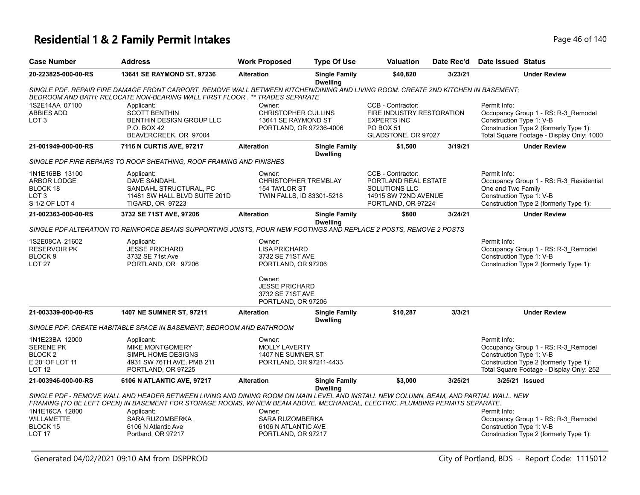# **Residential 1 & 2 Family Permit Intakes Page 16 of 140** Page 46 of 140

| <b>Case Number</b>                                                                       | <b>Address</b>                                                                                                                                                                                                                                                      | <b>Work Proposed</b>                                                                                        | <b>Type Of Use</b>                      | <b>Valuation</b>                                                                                                | Date Rec'd | Date Issued Status                                                                                                                                                     |
|------------------------------------------------------------------------------------------|---------------------------------------------------------------------------------------------------------------------------------------------------------------------------------------------------------------------------------------------------------------------|-------------------------------------------------------------------------------------------------------------|-----------------------------------------|-----------------------------------------------------------------------------------------------------------------|------------|------------------------------------------------------------------------------------------------------------------------------------------------------------------------|
| 20-223825-000-00-RS                                                                      | <b>13641 SE RAYMOND ST, 97236</b>                                                                                                                                                                                                                                   | <b>Alteration</b>                                                                                           | <b>Single Family</b><br><b>Dwelling</b> | \$40,820                                                                                                        | 3/23/21    | <b>Under Review</b>                                                                                                                                                    |
|                                                                                          | SINGLE PDF. REPAIR FIRE DAMAGE FRONT CARPORT, REMOVE WALL BETWEEN KITCHEN/DINING AND LIVING ROOM. CREATE 2ND KITCHEN IN BASEMENT;<br>BEDROOM AND BATH; RELOCATE NON-BEARING WALL FIRST FLOOR . ** TRADES SEPARATE                                                   |                                                                                                             |                                         |                                                                                                                 |            |                                                                                                                                                                        |
| 1S2E14AA 07100<br>ABBIES ADD<br>LOT <sub>3</sub>                                         | Applicant:<br><b>SCOTT BENTHIN</b><br>BENTHIN DESIGN GROUP LLC<br><b>P.O. BOX 42</b><br>BEAVERCREEK, OR 97004                                                                                                                                                       | Owner:<br><b>CHRISTOPHER CULLINS</b><br>13641 SE RAYMOND ST<br>PORTLAND, OR 97236-4006                      |                                         | CCB - Contractor:<br>FIRE INDUSTRY RESTORATION<br><b>EXPERTS INC</b><br><b>PO BOX 51</b><br>GLADSTONE, OR 97027 |            | Permit Info:<br>Occupancy Group 1 - RS: R-3_Remodel<br>Construction Type 1: V-B<br>Construction Type 2 (formerly Type 1):<br>Total Square Footage - Display Only: 1000 |
| 21-001949-000-00-RS                                                                      | 7116 N CURTIS AVE, 97217                                                                                                                                                                                                                                            | <b>Alteration</b>                                                                                           | <b>Single Family</b><br><b>Dwelling</b> | \$1,500                                                                                                         | 3/19/21    | <b>Under Review</b>                                                                                                                                                    |
|                                                                                          | SINGLE PDF FIRE REPAIRS TO ROOF SHEATHING, ROOF FRAMING AND FINISHES                                                                                                                                                                                                |                                                                                                             |                                         |                                                                                                                 |            |                                                                                                                                                                        |
| 1N1E16BB 13100<br><b>ARBOR LODGE</b><br>BLOCK 18<br>LOT <sub>3</sub><br>S 1/2 OF LOT 4   | Applicant:<br>DAVE SANDAHL<br>SANDAHL STRUCTURAL, PC<br>11481 SW HALL BLVD SUITE 201D<br><b>TIGARD, OR 97223</b>                                                                                                                                                    | Owner:<br><b>CHRISTOPHER TREMBLAY</b><br>154 TAYLOR ST<br>TWIN FALLS, ID 83301-5218                         |                                         | CCB - Contractor:<br>PORTLAND REAL ESTATE<br>SOLUTIONS LLC<br>14915 SW 72ND AVENUE<br>PORTLAND, OR 97224        |            | Permit Info:<br>Occupancy Group 1 - RS: R-3 Residential<br>One and Two Family<br>Construction Type 1: V-B<br>Construction Type 2 (formerly Type 1):                    |
| 21-002363-000-00-RS                                                                      | 3732 SE 71ST AVE, 97206                                                                                                                                                                                                                                             | <b>Alteration</b>                                                                                           | <b>Single Family</b><br><b>Dwelling</b> | \$800                                                                                                           | 3/24/21    | <b>Under Review</b>                                                                                                                                                    |
|                                                                                          | SINGLE PDF ALTERATION TO REINFORCE BEAMS SUPPORTING JOISTS, POUR NEW FOOTINGS AND REPLACE 2 POSTS, REMOVE 2 POSTS                                                                                                                                                   |                                                                                                             |                                         |                                                                                                                 |            |                                                                                                                                                                        |
| 1S2E08CA 21602<br><b>RESERVOIR PK</b><br>BLOCK <sub>9</sub><br>LOT <sub>27</sub>         | Applicant:<br><b>JESSE PRICHARD</b><br>3732 SE 71st Ave<br>PORTLAND, OR 97206                                                                                                                                                                                       | Owner:<br><b>LISA PRICHARD</b><br>3732 SE 71ST AVE<br>PORTLAND, OR 97206<br>Owner:<br><b>JESSE PRICHARD</b> |                                         |                                                                                                                 |            | Permit Info:<br>Occupancy Group 1 - RS: R-3_Remodel<br>Construction Type 1: V-B<br>Construction Type 2 (formerly Type 1):                                              |
|                                                                                          |                                                                                                                                                                                                                                                                     | 3732 SE 71ST AVE<br>PORTLAND, OR 97206                                                                      |                                         |                                                                                                                 |            |                                                                                                                                                                        |
| 21-003339-000-00-RS                                                                      | 1407 NE SUMNER ST, 97211                                                                                                                                                                                                                                            | <b>Alteration</b>                                                                                           | <b>Single Family</b><br><b>Dwelling</b> | \$10,287                                                                                                        | 3/3/21     | <b>Under Review</b>                                                                                                                                                    |
|                                                                                          | SINGLE PDF: CREATE HABITABLE SPACE IN BASEMENT; BEDROOM AND BATHROOM                                                                                                                                                                                                |                                                                                                             |                                         |                                                                                                                 |            |                                                                                                                                                                        |
| 1N1E23BA 12000<br><b>SERENE PK</b><br><b>BLOCK 2</b><br>E 20' OF LOT 11<br><b>LOT 12</b> | Applicant:<br>MIKE MONTGOMERY<br>SIMPL HOME DESIGNS<br>4931 SW 76TH AVE, PMB 211<br>PORTLAND, OR 97225                                                                                                                                                              | Owner:<br><b>MOLLY LAVERTY</b><br>1407 NE SUMNER ST<br>PORTLAND, OR 97211-4433                              |                                         |                                                                                                                 |            | Permit Info:<br>Occupancy Group 1 - RS: R-3_Remodel<br>Construction Type 1: V-B<br>Construction Type 2 (formerly Type 1):<br>Total Square Footage - Display Only: 252  |
| 21-003946-000-00-RS                                                                      | 6106 N ATLANTIC AVE, 97217                                                                                                                                                                                                                                          | <b>Alteration</b>                                                                                           | <b>Single Family</b><br><b>Dwelling</b> | \$3,000                                                                                                         | 3/25/21    | 3/25/21 Issued                                                                                                                                                         |
|                                                                                          | SINGLE PDF - REMOVE WALL AND HEADER BETWEEN LIVING AND DINING ROOM ON MAIN LEVEL AND INSTALL NEW COLUMN, BEAM, AND PARTIAL WALL. NEW<br>FRAMING (TO BE LEFT OPEN) IN BASEMENT FOR STORAGE ROOMS, W/NEW BEAM ABOVE. MECHANICAL, ELECTRIC, PLUMBING PERMITS SEPARATE. |                                                                                                             |                                         |                                                                                                                 |            |                                                                                                                                                                        |
| 1N1E16CA 12800<br><b>WILLAMETTE</b><br>BLOCK 15<br><b>LOT 17</b>                         | Applicant:<br><b>SARA RUZOMBERKA</b><br>6106 N Atlantic Ave<br>Portland, OR 97217                                                                                                                                                                                   | Owner:<br><b>SARA RUZOMBERKA</b><br>6106 N ATLANTIC AVE<br>PORTLAND, OR 97217                               |                                         |                                                                                                                 |            | Permit Info:<br>Occupancy Group 1 - RS: R-3_Remodel<br>Construction Type 1: V-B<br>Construction Type 2 (formerly Type 1):                                              |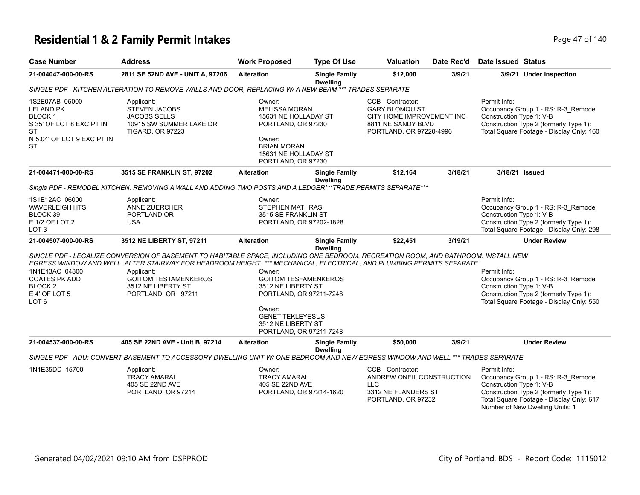# **Residential 1 & 2 Family Permit Intakes Page 47 of 140**

| <b>Case Number</b>                                                                                                               | <b>Address</b>                                                                                                                                                                                                                                                                                                                                       | <b>Work Proposed</b>                                                                                                                                                         | <b>Type Of Use</b>                      | Valuation                                                                                                                | Date Rec'd | <b>Date Issued Status</b>                                                                                                                                                                                |
|----------------------------------------------------------------------------------------------------------------------------------|------------------------------------------------------------------------------------------------------------------------------------------------------------------------------------------------------------------------------------------------------------------------------------------------------------------------------------------------------|------------------------------------------------------------------------------------------------------------------------------------------------------------------------------|-----------------------------------------|--------------------------------------------------------------------------------------------------------------------------|------------|----------------------------------------------------------------------------------------------------------------------------------------------------------------------------------------------------------|
| 21-004047-000-00-RS                                                                                                              | 2811 SE 52ND AVE - UNIT A, 97206                                                                                                                                                                                                                                                                                                                     | <b>Alteration</b>                                                                                                                                                            | <b>Single Family</b><br><b>Dwelling</b> | \$12,000                                                                                                                 | 3/9/21     | 3/9/21 Under Inspection                                                                                                                                                                                  |
|                                                                                                                                  | SINGLE PDF - KITCHEN ALTERATION TO REMOVE WALLS AND DOOR, REPLACING W/ A NEW BEAM *** TRADES SEPARATE                                                                                                                                                                                                                                                |                                                                                                                                                                              |                                         |                                                                                                                          |            |                                                                                                                                                                                                          |
| 1S2E07AB 05000<br><b>LELAND PK</b><br><b>BLOCK1</b><br>S 35' OF LOT 8 EXC PT IN<br>ST<br>N 5.04' OF LOT 9 EXC PT IN<br><b>ST</b> | Applicant:<br><b>STEVEN JACOBS</b><br><b>JACOBS SELLS</b><br>10915 SW SUMMER LAKE DR<br><b>TIGARD, OR 97223</b>                                                                                                                                                                                                                                      | Owner:<br><b>MELISSA MORAN</b><br>15631 NE HOLLADAY ST<br>PORTLAND, OR 97230<br>Owner:<br><b>BRIAN MORAN</b><br>15631 NE HOLLADAY ST<br>PORTLAND, OR 97230                   |                                         | CCB - Contractor:<br><b>GARY BLOMQUIST</b><br>CITY HOME IMPROVEMENT INC<br>8811 NE SANDY BLVD<br>PORTLAND, OR 97220-4996 |            | Permit Info:<br>Occupancy Group 1 - RS: R-3_Remodel<br>Construction Type 1: V-B<br>Construction Type 2 (formerly Type 1):<br>Total Square Footage - Display Only: 160                                    |
| 21-004471-000-00-RS                                                                                                              | 3515 SE FRANKLIN ST, 97202                                                                                                                                                                                                                                                                                                                           | <b>Alteration</b>                                                                                                                                                            | <b>Single Family</b><br><b>Dwelling</b> | \$12,164                                                                                                                 | 3/18/21    | 3/18/21 Issued                                                                                                                                                                                           |
|                                                                                                                                  | Single PDF - REMODEL KITCHEN. REMOVING A WALL AND ADDING TWO POSTS AND A LEDGER***TRADE PERMITS SEPARATE***                                                                                                                                                                                                                                          |                                                                                                                                                                              |                                         |                                                                                                                          |            |                                                                                                                                                                                                          |
| 1S1E12AC 06000<br><b>WAVERLEIGH HTS</b><br>BLOCK 39<br>E 1/2 OF LOT 2<br>LOT <sub>3</sub>                                        | Applicant:<br>ANNE ZUERCHER<br>PORTLAND OR<br><b>USA</b>                                                                                                                                                                                                                                                                                             | Owner:<br><b>STEPHEN MATHRAS</b><br>3515 SE FRANKLIN ST<br>PORTLAND, OR 97202-1828                                                                                           |                                         |                                                                                                                          |            | Permit Info:<br>Occupancy Group 1 - RS: R-3_Remodel<br>Construction Type 1: V-B<br>Construction Type 2 (formerly Type 1):<br>Total Square Footage - Display Only: 298                                    |
| 21-004507-000-00-RS                                                                                                              | 3512 NE LIBERTY ST, 97211                                                                                                                                                                                                                                                                                                                            | <b>Alteration</b>                                                                                                                                                            | <b>Single Family</b>                    | \$22,451                                                                                                                 | 3/19/21    | <b>Under Review</b>                                                                                                                                                                                      |
| 1N1E13AC 04800<br><b>COATES PK ADD</b><br>BLOCK <sub>2</sub><br>E 4' OF LOT 5<br>LOT <sub>6</sub>                                | SINGLE PDF - LEGALIZE CONVERSION OF BASEMENT TO HABITABLE SPACE, INCLUDING ONE BEDROOM, RECREATION ROOM, AND BATHROOM. INSTALL NEW<br>EGRESS WINDOW AND WELL. ALTER STAIRWAY FOR HEADROOM HEIGHT. *** MECHANICAL, ELECTRICAL, AND PLUMBING PERMITS SEPARATE<br>Applicant:<br><b>GOITOM TESTAMENKEROS</b><br>3512 NE LIBERTY ST<br>PORTLAND, OR 97211 | Owner:<br><b>GOITOM TESFAMENKEROS</b><br>3512 NE LIBERTY ST<br>PORTLAND, OR 97211-7248<br>Owner:<br><b>GENET TEKLEYESUS</b><br>3512 NE LIBERTY ST<br>PORTLAND, OR 97211-7248 | <b>Dwelling</b>                         |                                                                                                                          |            | Permit Info:<br>Occupancy Group 1 - RS: R-3 Remodel<br>Construction Type 1: V-B<br>Construction Type 2 (formerly Type 1):<br>Total Square Footage - Display Only: 550                                    |
| 21-004537-000-00-RS                                                                                                              | 405 SE 22ND AVE - Unit B, 97214                                                                                                                                                                                                                                                                                                                      | <b>Alteration</b>                                                                                                                                                            | <b>Single Family</b><br><b>Dwelling</b> | \$50,000                                                                                                                 | 3/9/21     | <b>Under Review</b>                                                                                                                                                                                      |
|                                                                                                                                  | SINGLE PDF - ADU: CONVERT BASEMENT TO ACCESSORY DWELLING UNIT W/ ONE BEDROOM AND NEW EGRESS WINDOW AND WELL *** TRADES SEPARATE                                                                                                                                                                                                                      |                                                                                                                                                                              |                                         |                                                                                                                          |            |                                                                                                                                                                                                          |
| 1N1E35DD 15700                                                                                                                   | Applicant:<br><b>TRACY AMARAL</b><br>405 SE 22ND AVE<br>PORTLAND, OR 97214                                                                                                                                                                                                                                                                           | Owner:<br><b>TRACY AMARAL</b><br>405 SE 22ND AVE<br>PORTLAND, OR 97214-1620                                                                                                  |                                         | CCB - Contractor:<br>ANDREW ONEIL CONSTRUCTION<br><b>LLC</b><br>3312 NE FLANDERS ST<br>PORTLAND, OR 97232                |            | Permit Info:<br>Occupancy Group 1 - RS: R-3_Remodel<br>Construction Type 1: V-B<br>Construction Type 2 (formerly Type 1):<br>Total Square Footage - Display Only: 617<br>Number of New Dwelling Units: 1 |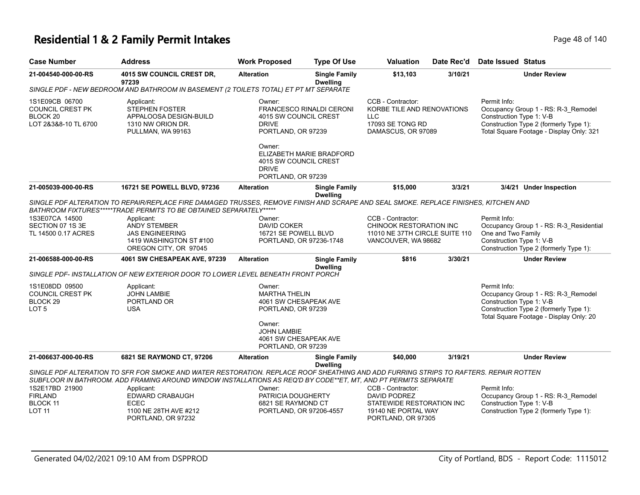#### **Residential 1 & 2 Family Permit Intakes Page 18 of 140** Page 48 of 140

|                                                                                          | <b>Address</b>                                                                                                                                                                                             | <b>Work Proposed</b>                                 | <b>Type Of Use</b>                                | Valuation                                                                                                    | Date Rec'd | <b>Date Issued Status</b>                                                                                                                                             |
|------------------------------------------------------------------------------------------|------------------------------------------------------------------------------------------------------------------------------------------------------------------------------------------------------------|------------------------------------------------------|---------------------------------------------------|--------------------------------------------------------------------------------------------------------------|------------|-----------------------------------------------------------------------------------------------------------------------------------------------------------------------|
| 21-004540-000-00-RS                                                                      | 4015 SW COUNCIL CREST DR,<br>97239                                                                                                                                                                         | <b>Alteration</b>                                    | <b>Single Family</b><br><b>Dwelling</b>           | \$13,103                                                                                                     | 3/10/21    | <b>Under Review</b>                                                                                                                                                   |
|                                                                                          | SINGLE PDF - NEW BEDROOM AND BATHROOM IN BASEMENT (2 TOILETS TOTAL) ET PT MT SEPARATE                                                                                                                      |                                                      |                                                   |                                                                                                              |            |                                                                                                                                                                       |
| 1S1E09CB 06700<br><b>COUNCIL CREST PK</b><br>BLOCK <sub>20</sub><br>LOT 2&3&8-10 TL 6700 | Owner:<br>Applicant:<br>STEPHEN FOSTER<br>APPALOOSA DESIGN-BUILD<br>4015 SW COUNCIL CREST<br>1310 NW ORION DR.<br><b>DRIVE</b><br>PORTLAND, OR 97239<br>PULLMAN, WA 99163                                  |                                                      | <b>FRANCESCO RINALDI CERONI</b>                   | CCB - Contractor:<br>KORBE TILE AND RENOVATIONS<br><b>LLC</b><br>17093 SE TONG RD<br>DAMASCUS, OR 97089      |            | Permit Info:<br>Occupancy Group 1 - RS: R-3 Remodel<br>Construction Type 1: V-B<br>Construction Type 2 (formerly Type 1):<br>Total Square Footage - Display Only: 321 |
|                                                                                          |                                                                                                                                                                                                            | Owner:<br><b>DRIVE</b><br>PORTLAND, OR 97239         | ELIZABETH MARIE BRADFORD<br>4015 SW COUNCIL CREST |                                                                                                              |            |                                                                                                                                                                       |
| 21-005039-000-00-RS                                                                      | 16721 SE POWELL BLVD, 97236                                                                                                                                                                                | <b>Alteration</b>                                    | <b>Single Family</b>                              | \$15,000                                                                                                     | 3/3/21     | 3/4/21 Under Inspection                                                                                                                                               |
|                                                                                          | SINGLE PDF ALTERATION TO REPAIR/REPLACE FIRE DAMAGED TRUSSES, REMOVE FINISH AND SCRAPE AND SEAL SMOKE. REPLACE FINISHES, KITCHEN AND<br>BATHROOM FIXTURES*****TRADE PERMITS TO BE OBTAINED SEPARATELY***** |                                                      | <b>Dwelling</b>                                   |                                                                                                              |            |                                                                                                                                                                       |
|                                                                                          |                                                                                                                                                                                                            |                                                      |                                                   |                                                                                                              |            |                                                                                                                                                                       |
|                                                                                          | Applicant:<br><b>ANDY STEMBER</b><br><b>JAS ENGINEERING</b><br>1419 WASHINGTON ST #100<br>OREGON CITY, OR 97045                                                                                            | Owner:<br><b>DAVID COKER</b><br>16721 SE POWELL BLVD | PORTLAND, OR 97236-1748                           | CCB - Contractor:<br><b>CHINOOK RESTORATION INC</b><br>11010 NE 37TH CIRCLE SUITE 110<br>VANCOUVER, WA 98682 |            | Permit Info:<br>Occupancy Group 1 - RS: R-3_Residential<br>One and Two Family<br>Construction Type 1: V-B<br>Construction Type 2 (formerly Type 1):                   |
|                                                                                          | 4061 SW CHESAPEAK AVE, 97239                                                                                                                                                                               | <b>Alteration</b>                                    | <b>Single Family</b><br><b>Dwelling</b>           | \$816                                                                                                        | 3/30/21    | <b>Under Review</b>                                                                                                                                                   |
| 1S3E07CA 14500<br>SECTION 07 1S 3E<br>TL 14500 0.17 ACRES<br>21-006588-000-00-RS         | SINGLE PDF- INSTALLATION OF NEW EXTERIOR DOOR TO LOWER LEVEL BENEATH FRONT PORCH                                                                                                                           |                                                      |                                                   |                                                                                                              |            |                                                                                                                                                                       |
| 1S1E08DD 09500<br><b>COUNCIL CREST PK</b><br>BLOCK <sub>29</sub><br>LOT <sub>5</sub>     | Applicant:<br><b>JOHN LAMBIE</b><br>PORTLAND OR<br><b>USA</b>                                                                                                                                              | Owner:<br><b>MARTHA THELIN</b><br>PORTLAND, OR 97239 | 4061 SW CHESAPEAK AVE                             |                                                                                                              |            | Permit Info:<br>Occupancy Group 1 - RS: R-3_Remodel<br>Construction Type 1: V-B<br>Construction Type 2 (formerly Type 1):                                             |
|                                                                                          |                                                                                                                                                                                                            | Owner:<br><b>JOHN LAMBIE</b><br>PORTLAND, OR 97239   | 4061 SW CHESAPEAK AVE                             |                                                                                                              |            | Total Square Footage - Display Only: 20                                                                                                                               |

| 1S2E17BD 21900 | Applicant:            | Owner:                  | CCB - Contractor:         | Permit Info:                           |
|----------------|-----------------------|-------------------------|---------------------------|----------------------------------------|
| <b>FIRLAND</b> | EDWARD CRABAUGH       | PATRICIA DOUGHERTY      | DAVID PODREZ              | Occupancy Group 1 - RS: R-3 Remodel    |
| BLOCK 11       | ECEC                  | 6821 SE RAYMOND CT      | STATEWIDE RESTORATION INC | Construction Type 1: V-B               |
| <b>LOT 11</b>  | 1100 NE 28TH AVE #212 | PORTLAND, OR 97206-4557 | 19140 NE PORTAL WAY       | Construction Type 2 (formerly Type 1): |
|                | PORTLAND, OR 97232    |                         | PORTLAND, OR 97305        |                                        |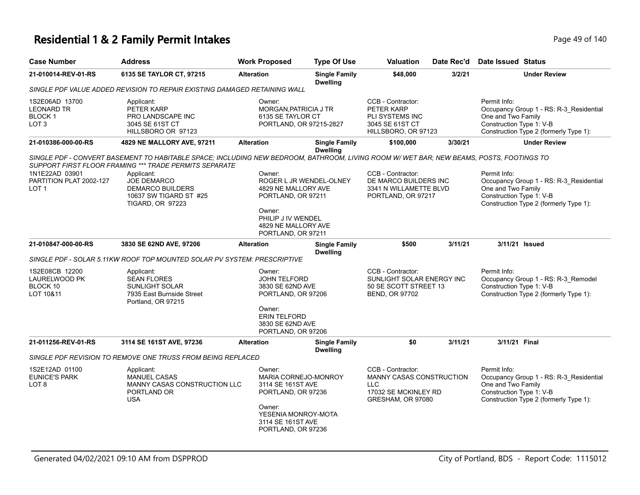### **Residential 1 & 2 Family Permit Intakes Page 19 of 140** Page 49 of 140

| <b>Case Number</b>                                                       | <b>Address</b>                                                                                                                                                                                    | <b>Work Proposed</b>                                                                                                                               | <b>Type Of Use</b>                      | <b>Valuation</b>                                                                                         | Date Rec'd | Date Issued Status                                                                                                                                  |
|--------------------------------------------------------------------------|---------------------------------------------------------------------------------------------------------------------------------------------------------------------------------------------------|----------------------------------------------------------------------------------------------------------------------------------------------------|-----------------------------------------|----------------------------------------------------------------------------------------------------------|------------|-----------------------------------------------------------------------------------------------------------------------------------------------------|
| 21-010014-REV-01-RS                                                      | 6135 SE TAYLOR CT, 97215                                                                                                                                                                          | <b>Alteration</b>                                                                                                                                  | <b>Single Family</b><br><b>Dwelling</b> | \$48,000                                                                                                 | 3/2/21     | <b>Under Review</b>                                                                                                                                 |
|                                                                          | SINGLE PDF VALUE ADDED REVISION TO REPAIR EXISTING DAMAGED RETAINING WALL                                                                                                                         |                                                                                                                                                    |                                         |                                                                                                          |            |                                                                                                                                                     |
| 1S2E06AD 13700<br><b>LEONARD TR</b><br><b>BLOCK1</b><br>LOT <sub>3</sub> | Applicant:<br>PETER KARP<br>PRO LANDSCAPE INC<br>3045 SE 61ST CT<br>HILLSBORO OR 97123                                                                                                            | Owner:<br>MORGAN, PATRICIA J TR<br>6135 SE TAYLOR CT                                                                                               | PORTLAND, OR 97215-2827                 | CCB - Contractor:<br>PETER KARP<br>PLI SYSTEMS INC<br>3045 SE 61ST CT<br>HILLSBORO, OR 97123             |            | Permit Info:<br>Occupancy Group 1 - RS: R-3_Residential<br>One and Two Family<br>Construction Type 1: V-B<br>Construction Type 2 (formerly Type 1): |
| 21-010386-000-00-RS                                                      | 4829 NE MALLORY AVE, 97211                                                                                                                                                                        | <b>Alteration</b>                                                                                                                                  | <b>Single Family</b><br><b>Dwelling</b> | \$100,000                                                                                                | 3/30/21    | <b>Under Review</b>                                                                                                                                 |
|                                                                          | SINGLE PDF - CONVERT BASEMENT TO HABITABLE SPACE; INCLUDING NEW BEDROOM, BATHROOM, LIVING ROOM W/WET BAR; NEW BEAMS, POSTS, FOOTINGS TO<br>SUPPORT FIRST FLOOR FRAMING *** TRADE PERMITS SEPARATE |                                                                                                                                                    |                                         |                                                                                                          |            |                                                                                                                                                     |
| 1N1E22AD 03901<br>PARTITION PLAT 2002-127<br>LOT <sub>1</sub>            | Applicant:<br><b>JOE DEMARCO</b><br><b>DEMARCO BUILDERS</b><br>10637 SW TIGARD ST #25<br><b>TIGARD, OR 97223</b>                                                                                  | Owner:<br>4829 NE MALLORY AVE<br>PORTLAND, OR 97211<br>Owner:<br>PHILIP J IV WENDEL<br>4829 NE MALLORY AVE                                         | ROGER L JR WENDEL-OLNEY                 | CCB - Contractor:<br>DE MARCO BUILDERS INC<br>3341 N WILLAMETTE BLVD<br>PORTLAND, OR 97217               |            | Permit Info:<br>Occupancy Group 1 - RS: R-3_Residential<br>One and Two Family<br>Construction Type 1: V-B<br>Construction Type 2 (formerly Type 1): |
|                                                                          |                                                                                                                                                                                                   | PORTLAND, OR 97211                                                                                                                                 |                                         |                                                                                                          |            |                                                                                                                                                     |
| 21-010847-000-00-RS                                                      | 3830 SE 62ND AVE, 97206                                                                                                                                                                           | <b>Alteration</b>                                                                                                                                  | <b>Single Family</b><br><b>Dwelling</b> | \$500                                                                                                    | 3/11/21    | 3/11/21 Issued                                                                                                                                      |
|                                                                          | SINGLE PDF - SOLAR 5.11KW ROOF TOP MOUNTED SOLAR PV SYSTEM: PRESCRIPTIVE                                                                                                                          |                                                                                                                                                    |                                         |                                                                                                          |            |                                                                                                                                                     |
| 1S2E08CB 12200<br>LAURELWOOD PK<br>BLOCK 10<br>LOT 10&11                 | Applicant:<br><b>SEAN FLORES</b><br><b>SUNLIGHT SOLAR</b><br>7935 East Burnside Street<br>Portland, OR 97215                                                                                      | Owner:<br><b>JOHN TELFORD</b><br>3830 SE 62ND AVE<br>PORTLAND, OR 97206<br>Owner:<br><b>ERIN TELFORD</b><br>3830 SE 62ND AVE<br>PORTLAND, OR 97206 |                                         | CCB - Contractor:<br>SUNLIGHT SOLAR ENERGY INC<br>50 SE SCOTT STREET 13<br>BEND, OR 97702                |            | Permit Info:<br>Occupancy Group 1 - RS: R-3_Remodel<br>Construction Type 1: V-B<br>Construction Type 2 (formerly Type 1):                           |
| 21-011256-REV-01-RS                                                      | 3114 SE 161ST AVE, 97236                                                                                                                                                                          | <b>Alteration</b>                                                                                                                                  | <b>Single Family</b><br><b>Dwelling</b> | \$0                                                                                                      | 3/11/21    | 3/11/21 Final                                                                                                                                       |
|                                                                          | SINGLE PDF REVISION TO REMOVE ONE TRUSS FROM BEING REPLACED                                                                                                                                       |                                                                                                                                                    |                                         |                                                                                                          |            |                                                                                                                                                     |
| 1S2E12AD 01100<br><b>EUNICE'S PARK</b><br>LOT <sub>8</sub>               | Applicant:<br><b>MANUEL CASAS</b><br>MANNY CASAS CONSTRUCTION LLC<br>PORTLAND OR<br><b>USA</b>                                                                                                    | Owner:<br>3114 SE 161ST AVE<br>PORTLAND, OR 97236<br>Owner:<br>YESENIA MONROY-MOTA<br>3114 SE 161ST AVE<br>PORTLAND, OR 97236                      | <b>MARIA CORNEJO-MONROY</b>             | CCB - Contractor:<br>MANNY CASAS CONSTRUCTION<br><b>LLC</b><br>17032 SE MCKINLEY RD<br>GRESHAM, OR 97080 |            | Permit Info:<br>Occupancy Group 1 - RS: R-3_Residential<br>One and Two Family<br>Construction Type 1: V-B<br>Construction Type 2 (formerly Type 1): |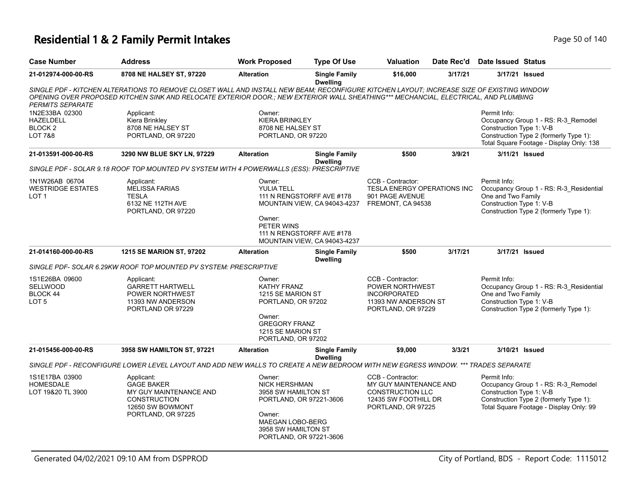### **Residential 1 & 2 Family Permit Intakes Page 140** Page 50 of 140

| <b>Case Number</b>                                                      | <b>Address</b>                                                                                                                                                                                                                                                                   | <b>Work Proposed</b>                                                                                                                                             | <b>Type Of Use</b>                                                                                                     | <b>Valuation</b>                                                                                                     | Date Rec'd | <b>Date Issued Status</b>                                      |                                                                                                                           |
|-------------------------------------------------------------------------|----------------------------------------------------------------------------------------------------------------------------------------------------------------------------------------------------------------------------------------------------------------------------------|------------------------------------------------------------------------------------------------------------------------------------------------------------------|------------------------------------------------------------------------------------------------------------------------|----------------------------------------------------------------------------------------------------------------------|------------|----------------------------------------------------------------|---------------------------------------------------------------------------------------------------------------------------|
| 21-012974-000-00-RS                                                     | 8708 NE HALSEY ST, 97220                                                                                                                                                                                                                                                         | <b>Alteration</b>                                                                                                                                                | <b>Single Family</b><br><b>Dwelling</b>                                                                                | \$16,000                                                                                                             | 3/17/21    |                                                                | 3/17/21 Issued                                                                                                            |
| <b>PERMITS SEPARATE</b>                                                 | SINGLE PDF - KITCHEN ALTERATIONS TO REMOVE CLOSET WALL AND INSTALL NEW BEAM; RECONFIGURE KITCHEN LAYOUT; INCREASE SIZE OF EXISTING WINDOW<br>OPENING OVER PROPOSED KITCHEN SINK AND RELOCATE EXTERIOR DOOR.: NEW EXTERIOR WALL SHEATHING*** MECHANCIAL, ELECTRICAL, AND PLUMBING |                                                                                                                                                                  |                                                                                                                        |                                                                                                                      |            |                                                                |                                                                                                                           |
| 1N2E33BA 02300<br>HAZELDELL<br>BLOCK <sub>2</sub><br><b>LOT 7&amp;8</b> | Applicant:<br>Kiera Brinkley<br>8708 NE HALSEY ST<br>PORTLAND, OR 97220                                                                                                                                                                                                          | Owner:<br><b>KIERA BRINKLEY</b><br>8708 NE HALSEY ST<br>PORTLAND, OR 97220                                                                                       |                                                                                                                        |                                                                                                                      |            | Permit Info:<br>Construction Type 1: V-B                       | Occupancy Group 1 - RS: R-3_Remodel<br>Construction Type 2 (formerly Type 1):<br>Total Square Footage - Display Only: 138 |
| 21-013591-000-00-RS                                                     | 3290 NW BLUE SKY LN, 97229                                                                                                                                                                                                                                                       | <b>Alteration</b>                                                                                                                                                | <b>Single Family</b><br><b>Dwelling</b>                                                                                | \$500                                                                                                                | 3/9/21     |                                                                | 3/11/21 Issued                                                                                                            |
|                                                                         | SINGLE PDF - SOLAR 9.18 ROOF TOP MOUNTED PV SYSTEM WITH 4 POWERWALLS (ESS): PRESCRIPTIVE                                                                                                                                                                                         |                                                                                                                                                                  |                                                                                                                        |                                                                                                                      |            |                                                                |                                                                                                                           |
| 1N1W26AB 06704<br><b>WESTRIDGE ESTATES</b><br>LOT <sub>1</sub>          | Applicant:<br><b>MELISSA FARIAS</b><br><b>TESLA</b><br>6132 NE 112TH AVE<br>PORTLAND, OR 97220                                                                                                                                                                                   | Owner:<br><b>YULIA TELL</b><br>Owner:<br>PETER WINS                                                                                                              | 111 N RENGSTORFF AVE #178<br>MOUNTAIN VIEW, CA 94043-4237<br>111 N RENGSTORFF AVE #178<br>MOUNTAIN VIEW, CA 94043-4237 | CCB - Contractor:<br><b>TESLA ENERGY OPERATIONS INC</b><br>901 PAGE AVENUE<br>FREMONT, CA 94538                      |            | Permit Info:<br>One and Two Family<br>Construction Type 1: V-B | Occupancy Group 1 - RS: R-3_Residential<br>Construction Type 2 (formerly Type 1):                                         |
| 21-014160-000-00-RS                                                     | <b>1215 SE MARION ST, 97202</b>                                                                                                                                                                                                                                                  | <b>Alteration</b>                                                                                                                                                | <b>Single Family</b><br><b>Dwelling</b>                                                                                | \$500                                                                                                                | 3/17/21    |                                                                | 3/17/21 Issued                                                                                                            |
|                                                                         | SINGLE PDF- SOLAR 6.29KW ROOF TOP MOUNTED PV SYSTEM: PRESCRIPTIVE                                                                                                                                                                                                                |                                                                                                                                                                  |                                                                                                                        |                                                                                                                      |            |                                                                |                                                                                                                           |
| 1S1E26BA 09600<br><b>SELLWOOD</b><br>BLOCK 44<br>LOT <sub>5</sub>       | Applicant:<br>GARRETT HARTWELL<br>POWER NORTHWEST<br>11393 NW ANDERSON<br>PORTLAND OR 97229                                                                                                                                                                                      | Owner:<br><b>KATHY FRANZ</b><br>1215 SE MARION ST<br>PORTLAND, OR 97202<br>Owner:<br><b>GREGORY FRANZ</b><br>1215 SE MARION ST<br>PORTLAND, OR 97202             |                                                                                                                        | CCB - Contractor:<br>POWER NORTHWEST<br><b>INCORPORATED</b><br>11393 NW ANDERSON ST<br>PORTLAND, OR 97229            |            | Permit Info:<br>One and Two Family<br>Construction Type 1: V-B | Occupancy Group 1 - RS: R-3_Residential<br>Construction Type 2 (formerly Type 1):                                         |
| 21-015456-000-00-RS                                                     | 3958 SW HAMILTON ST, 97221                                                                                                                                                                                                                                                       | <b>Alteration</b>                                                                                                                                                | <b>Single Family</b>                                                                                                   | \$9,000                                                                                                              | 3/3/21     |                                                                | 3/10/21 Issued                                                                                                            |
|                                                                         | SINGLE PDF - RECONFIGURE LOWER LEVEL LAYOUT AND ADD NEW WALLS TO CREATE A NEW BEDROOM WITH NEW EGRESS WINDOW. *** TRADES SEPARATE                                                                                                                                                |                                                                                                                                                                  | <b>Dwelling</b>                                                                                                        |                                                                                                                      |            |                                                                |                                                                                                                           |
| 1S1E17BA 03900<br><b>HOMESDALE</b><br>LOT 19&20 TL 3900                 | Applicant:<br><b>GAGE BAKER</b><br>MY GUY MAINTENANCE AND<br><b>CONSTRUCTION</b><br>12650 SW BOWMONT<br>PORTLAND, OR 97225                                                                                                                                                       | Owner:<br><b>NICK HERSHMAN</b><br>3958 SW HAMILTON ST<br>PORTLAND, OR 97221-3606<br>Owner:<br>MAEGAN LOBO-BERG<br>3958 SW HAMILTON ST<br>PORTLAND, OR 97221-3606 |                                                                                                                        | CCB - Contractor:<br>MY GUY MAINTENANCE AND<br><b>CONSTRUCTION LLC</b><br>12435 SW FOOTHILL DR<br>PORTLAND, OR 97225 |            | Permit Info:<br>Construction Type 1: V-B                       | Occupancy Group 1 - RS: R-3_Remodel<br>Construction Type 2 (formerly Type 1):<br>Total Square Footage - Display Only: 99  |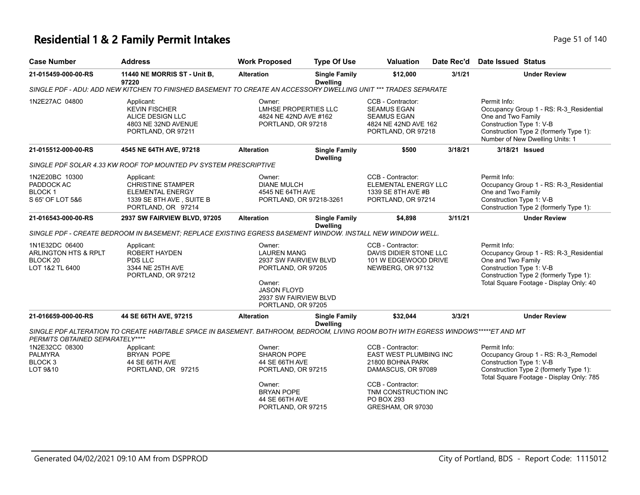### **Residential 1 & 2 Family Permit Intakes Page 11 of 140** Page 51 of 140

| <b>Case Number</b>                                                                          | <b>Address</b>                                                                                                                     | <b>Work Proposed</b>                                                                                                                                       | <b>Type Of Use</b>                      | <b>Valuation</b>                                                                                                                                                             | Date Rec'd | Date Issued Status                                                                                                                                                                             |
|---------------------------------------------------------------------------------------------|------------------------------------------------------------------------------------------------------------------------------------|------------------------------------------------------------------------------------------------------------------------------------------------------------|-----------------------------------------|------------------------------------------------------------------------------------------------------------------------------------------------------------------------------|------------|------------------------------------------------------------------------------------------------------------------------------------------------------------------------------------------------|
| 21-015459-000-00-RS                                                                         | 11440 NE MORRIS ST - Unit B,<br>97220                                                                                              | <b>Alteration</b>                                                                                                                                          | <b>Single Family</b><br><b>Dwelling</b> | \$12,000                                                                                                                                                                     | 3/1/21     | <b>Under Review</b>                                                                                                                                                                            |
|                                                                                             | SINGLE PDF - ADU: ADD NEW KITCHEN TO FINISHED BASEMENT TO CREATE AN ACCESSORY DWELLING UNIT *** TRADES SEPARATE                    |                                                                                                                                                            |                                         |                                                                                                                                                                              |            |                                                                                                                                                                                                |
| 1N2E27AC 04800                                                                              | Applicant:<br><b>KEVIN FISCHER</b><br>ALICE DESIGN LLC<br>4803 NE 32ND AVENUE<br>PORTLAND, OR 97211                                | Owner:<br><b>LMHSE PROPERTIES LLC</b><br>4824 NE 42ND AVE #162<br>PORTLAND, OR 97218                                                                       |                                         | CCB - Contractor:<br><b>SEAMUS EGAN</b><br><b>SEAMUS EGAN</b><br>4824 NE 42ND AVE 162<br>PORTLAND, OR 97218                                                                  |            | Permit Info:<br>Occupancy Group 1 - RS: R-3_Residential<br>One and Two Family<br>Construction Type 1: V-B<br>Construction Type 2 (formerly Type 1):<br>Number of New Dwelling Units: 1         |
| 21-015512-000-00-RS                                                                         | 4545 NE 64TH AVE, 97218                                                                                                            | <b>Alteration</b>                                                                                                                                          | <b>Single Family</b><br><b>Dwelling</b> | \$500                                                                                                                                                                        | 3/18/21    | 3/18/21 Issued                                                                                                                                                                                 |
|                                                                                             | SINGLE PDF SOLAR 4.33 KW ROOF TOP MOUNTED PV SYSTEM PRESCRIPTIVE                                                                   |                                                                                                                                                            |                                         |                                                                                                                                                                              |            |                                                                                                                                                                                                |
| 1N2E20BC 10300<br>PADDOCK AC<br>BLOCK 1<br>S 65' OF LOT 5&6                                 | Applicant:<br><b>CHRISTINE STAMPER</b><br><b>ELEMENTAL ENERGY</b><br>1339 SE 8TH AVE, SUITE B<br>PORTLAND, OR 97214                | Owner:<br><b>DIANE MULCH</b><br>4545 NE 64TH AVE<br>PORTLAND, OR 97218-3261                                                                                |                                         | CCB - Contractor:<br>ELEMENTAL ENERGY LLC<br>1339 SE 8TH AVE #B<br>PORTLAND, OR 97214                                                                                        |            | Permit Info:<br>Occupancy Group 1 - RS: R-3 Residential<br>One and Two Family<br>Construction Type 1: V-B<br>Construction Type 2 (formerly Type 1):                                            |
| 21-016543-000-00-RS                                                                         | 2937 SW FAIRVIEW BLVD, 97205                                                                                                       | <b>Alteration</b>                                                                                                                                          | <b>Single Family</b><br><b>Dwelling</b> | \$4,898                                                                                                                                                                      | 3/11/21    | <b>Under Review</b>                                                                                                                                                                            |
|                                                                                             | SINGLE PDF - CREATE BEDROOM IN BASEMENT; REPLACE EXISTING EGRESS BASEMENT WINDOW. INSTALL NEW WINDOW WELL.                         |                                                                                                                                                            |                                         |                                                                                                                                                                              |            |                                                                                                                                                                                                |
| 1N1E32DC 06400<br><b>ARLINGTON HTS &amp; RPLT</b><br>BLOCK <sub>20</sub><br>LOT 1&2 TL 6400 | Applicant:<br><b>ROBERT HAYDEN</b><br>PDS LLC<br>3344 NE 25TH AVE<br>PORTLAND, OR 97212                                            | Owner:<br><b>LAUREN MANG</b><br>2937 SW FAIRVIEW BLVD<br>PORTLAND, OR 97205<br>Owner:<br><b>JASON FLOYD</b><br>2937 SW FAIRVIEW BLVD<br>PORTLAND, OR 97205 |                                         | CCB - Contractor:<br>DAVIS DIDIER STONE LLC<br>101 W EDGEWOOD DRIVE<br>NEWBERG, OR 97132                                                                                     |            | Permit Info:<br>Occupancy Group 1 - RS: R-3_Residential<br>One and Two Family<br>Construction Type 1: V-B<br>Construction Type 2 (formerly Type 1):<br>Total Square Footage - Display Only: 40 |
| 21-016659-000-00-RS                                                                         | 44 SE 66TH AVE, 97215                                                                                                              | <b>Alteration</b>                                                                                                                                          | <b>Single Family</b><br><b>Dwelling</b> | \$32,044                                                                                                                                                                     | 3/3/21     | <b>Under Review</b>                                                                                                                                                                            |
| PERMITS OBTAINED SEPARATELY****                                                             | SINGLE PDF ALTERATION TO CREATE HABITABLE SPACE IN BASEMENT. BATHROOM, BEDROOM, LIVING ROOM BOTH WITH EGRESS WINDOWS*****ET AND MT |                                                                                                                                                            |                                         |                                                                                                                                                                              |            |                                                                                                                                                                                                |
| 1N2E32CC 08300<br><b>PALMYRA</b><br>BLOCK <sub>3</sub><br>LOT 9&10                          | Applicant:<br><b>BRYAN POPE</b><br>44 SE 66TH AVE<br>PORTLAND, OR 97215                                                            | Owner:<br><b>SHARON POPE</b><br>44 SE 66TH AVE<br>PORTLAND, OR 97215<br>Owner:<br><b>BRYAN POPE</b><br>44 SE 66TH AVE<br>PORTLAND, OR 97215                |                                         | CCB - Contractor:<br>EAST WEST PLUMBING INC<br>21800 BOHNA PARK<br>DAMASCUS, OR 97089<br>CCB - Contractor:<br>TNM CONSTRUCTION INC<br><b>PO BOX 293</b><br>GRESHAM, OR 97030 |            | Permit Info:<br>Occupancy Group 1 - RS: R-3_Remodel<br>Construction Type 1: V-B<br>Construction Type 2 (formerly Type 1):<br>Total Square Footage - Display Only: 785                          |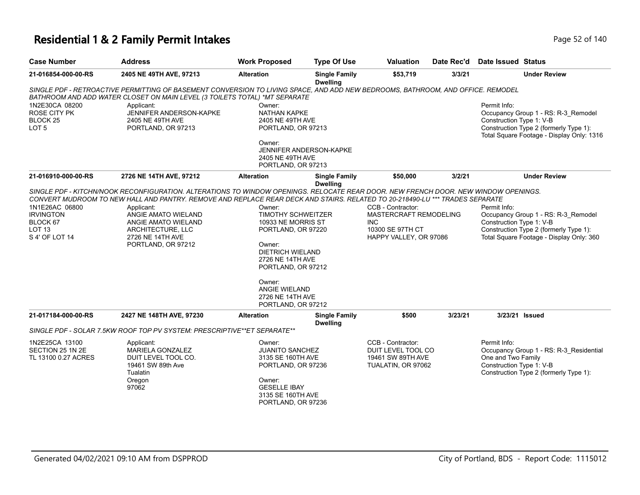### **Residential 1 & 2 Family Permit Intakes Page 140** Page 52 of 140

| <b>Case Number</b>                                                                    | <b>Address</b>                                                                                                                                                                                                                                                                                                                                                                                 | <b>Work Proposed</b>                                                                                                                                                                                                                | <b>Type Of Use</b>                      | <b>Valuation</b>                                                                                  | Date Rec'd | Date Issued Status                                             |                                                                                                                            |
|---------------------------------------------------------------------------------------|------------------------------------------------------------------------------------------------------------------------------------------------------------------------------------------------------------------------------------------------------------------------------------------------------------------------------------------------------------------------------------------------|-------------------------------------------------------------------------------------------------------------------------------------------------------------------------------------------------------------------------------------|-----------------------------------------|---------------------------------------------------------------------------------------------------|------------|----------------------------------------------------------------|----------------------------------------------------------------------------------------------------------------------------|
| 21-016854-000-00-RS                                                                   | 2405 NE 49TH AVE, 97213                                                                                                                                                                                                                                                                                                                                                                        | <b>Alteration</b>                                                                                                                                                                                                                   | <b>Single Family</b><br><b>Dwelling</b> | \$53,719                                                                                          | 3/3/21     |                                                                | <b>Under Review</b>                                                                                                        |
|                                                                                       | SINGLE PDF - RETROACTIVE PERMITTING OF BASEMENT CONVERSION TO LIVING SPACE, AND ADD NEW BEDROOMS, BATHROOM, AND OFFICE. REMODEL<br>BATHROOM AND ADD WATER CLOSET ON MAIN LEVEL (3 TOILETS TOTAL) *MT SEPARATE                                                                                                                                                                                  |                                                                                                                                                                                                                                     |                                         |                                                                                                   |            |                                                                |                                                                                                                            |
| 1N2E30CA 08200<br><b>ROSE CITY PK</b><br><b>BLOCK 25</b><br>LOT <sub>5</sub>          | Applicant:<br>JENNIFER ANDERSON-KAPKE<br>2405 NE 49TH AVE<br>PORTLAND, OR 97213                                                                                                                                                                                                                                                                                                                | Owner:<br><b>NATHAN KAPKE</b><br>2405 NE 49TH AVE<br>PORTLAND, OR 97213<br>Owner:                                                                                                                                                   | <b>JENNIFER ANDERSON-KAPKE</b>          |                                                                                                   |            | Permit Info:<br>Construction Type 1: V-B                       | Occupancy Group 1 - RS: R-3_Remodel<br>Construction Type 2 (formerly Type 1):<br>Total Square Footage - Display Only: 1316 |
|                                                                                       |                                                                                                                                                                                                                                                                                                                                                                                                | 2405 NE 49TH AVE<br>PORTLAND, OR 97213                                                                                                                                                                                              |                                         |                                                                                                   |            |                                                                |                                                                                                                            |
| 21-016910-000-00-RS                                                                   | 2726 NE 14TH AVE, 97212                                                                                                                                                                                                                                                                                                                                                                        | <b>Alteration</b>                                                                                                                                                                                                                   | <b>Single Family</b><br><b>Dwelling</b> | \$50,000                                                                                          | 3/2/21     |                                                                | <b>Under Review</b>                                                                                                        |
| 1N1E26AC 06800<br><b>IRVINGTON</b><br>BLOCK 67<br>LOT <sub>13</sub><br>S 4' OF LOT 14 | SINGLE PDF - KITCHN/NOOK RECONFIGURATION. ALTERATIONS TO WINDOW OPENINGS. RELOCATE REAR DOOR. NEW FRENCH DOOR. NEW WINDOW OPENINGS.<br>CONVERT MUDROOM TO NEW HALL AND PANTRY. REMOVE AND REPLACE REAR DECK AND STAIRS. RELATED TO 20-218490-LU *** TRADES SEPARATE<br>Applicant:<br>ANGIE AMATO WIELAND<br>ANGIE AMATO WIELAND<br>ARCHITECTURE, LLC<br>2726 NE 14TH AVE<br>PORTLAND, OR 97212 | Owner:<br><b>TIMOTHY SCHWEITZER</b><br>10933 NE MORRIS ST<br>PORTLAND, OR 97220<br>Owner:<br>DIETRICH WIELAND<br>2726 NE 14TH AVE<br>PORTLAND, OR 97212<br>Owner:<br><b>ANGIE WIELAND</b><br>2726 NE 14TH AVE<br>PORTLAND, OR 97212 |                                         | CCB - Contractor:<br>MASTERCRAFT REMODELING<br>INC.<br>10300 SE 97TH CT<br>HAPPY VALLEY, OR 97086 |            | Permit Info:<br>Construction Type 1: V-B                       | Occupancy Group 1 - RS: R-3_Remodel<br>Construction Type 2 (formerly Type 1):<br>Total Square Footage - Display Only: 360  |
| 21-017184-000-00-RS                                                                   | 2427 NE 148TH AVE, 97230                                                                                                                                                                                                                                                                                                                                                                       | <b>Alteration</b>                                                                                                                                                                                                                   | <b>Single Family</b><br><b>Dwelling</b> | \$500                                                                                             | 3/23/21    |                                                                | 3/23/21 Issued                                                                                                             |
|                                                                                       | SINGLE PDF - SOLAR 7.5KW ROOF TOP PV SYSTEM: PRESCRIPTIVE**ET SEPARATE**                                                                                                                                                                                                                                                                                                                       |                                                                                                                                                                                                                                     |                                         |                                                                                                   |            |                                                                |                                                                                                                            |
| 1N2E25CA 13100<br>SECTION 25 1N 2E<br>TL 13100 0.27 ACRES                             | Applicant:<br><b>MARIELA GONZALEZ</b><br>DUIT LEVEL TOOL CO.<br>19461 SW 89th Ave<br>Tualatin<br>Oregon<br>97062                                                                                                                                                                                                                                                                               | Owner:<br><b>JUANITO SANCHEZ</b><br>3135 SE 160TH AVE<br>PORTLAND, OR 97236<br>Owner:<br><b>GESELLE IBAY</b><br>3135 SE 160TH AVE<br>PORTLAND, OR 97236                                                                             |                                         | CCB - Contractor:<br>DUIT LEVEL TOOL CO<br>19461 SW 89TH AVE<br>TUALATIN, OR 97062                |            | Permit Info:<br>One and Two Family<br>Construction Type 1: V-B | Occupancy Group 1 - RS: R-3_Residential<br>Construction Type 2 (formerly Type 1):                                          |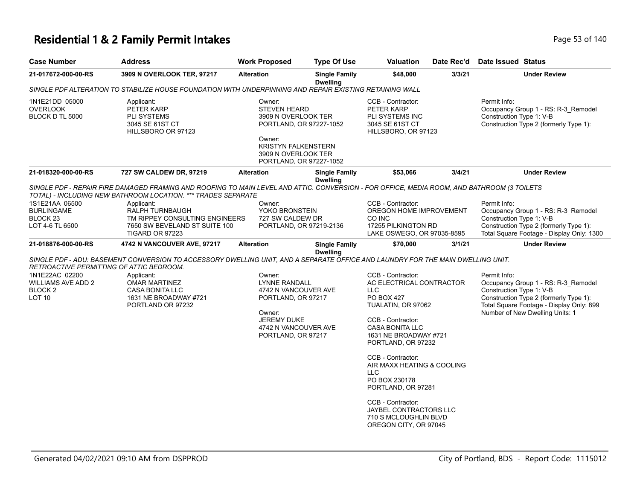# **Residential 1 & 2 Family Permit Intakes Page 140** Page 53 of 140

| <b>Case Number</b>                                                            | <b>Address</b>                                                                                                                                                                                              | <b>Work Proposed</b>                                                                                                                                                      | <b>Type Of Use</b>                      | <b>Valuation</b>                                                                                                                                                                                                                                                                                                                                                                                 | Date Rec'd | Date Issued Status                                                                                                                                                                                       |
|-------------------------------------------------------------------------------|-------------------------------------------------------------------------------------------------------------------------------------------------------------------------------------------------------------|---------------------------------------------------------------------------------------------------------------------------------------------------------------------------|-----------------------------------------|--------------------------------------------------------------------------------------------------------------------------------------------------------------------------------------------------------------------------------------------------------------------------------------------------------------------------------------------------------------------------------------------------|------------|----------------------------------------------------------------------------------------------------------------------------------------------------------------------------------------------------------|
| 21-017672-000-00-RS                                                           | 3909 N OVERLOOK TER, 97217                                                                                                                                                                                  | <b>Alteration</b>                                                                                                                                                         | <b>Single Family</b><br><b>Dwelling</b> | \$48,000                                                                                                                                                                                                                                                                                                                                                                                         | 3/3/21     | <b>Under Review</b>                                                                                                                                                                                      |
|                                                                               | SINGLE PDF ALTERATION TO STABILIZE HOUSE FOUNDATION WITH UNDERPINNING AND REPAIR EXISTING RETAINING WALL                                                                                                    |                                                                                                                                                                           |                                         |                                                                                                                                                                                                                                                                                                                                                                                                  |            |                                                                                                                                                                                                          |
| 1N1E21DD 05000<br><b>OVERLOOK</b><br>BLOCK D TL 5000                          | Applicant:<br>PETER KARP<br>PLI SYSTEMS<br>3045 SE 61ST CT<br>HILLSBORO OR 97123                                                                                                                            | Owner:<br><b>STEVEN HEARD</b><br>3909 N OVERLOOK TER<br>PORTLAND, OR 97227-1052<br>Owner:<br><b>KRISTYN FALKENSTERN</b><br>3909 N OVERLOOK TER<br>PORTLAND, OR 97227-1052 |                                         | CCB - Contractor:<br>PETER KARP<br>PLI SYSTEMS INC<br>3045 SE 61ST CT<br>HILLSBORO, OR 97123                                                                                                                                                                                                                                                                                                     |            | Permit Info:<br>Occupancy Group 1 - RS: R-3_Remodel<br>Construction Type 1: V-B<br>Construction Type 2 (formerly Type 1):                                                                                |
| 21-018320-000-00-RS                                                           | 727 SW CALDEW DR, 97219                                                                                                                                                                                     | <b>Alteration</b>                                                                                                                                                         | <b>Single Family</b><br><b>Dwelling</b> | \$53,066                                                                                                                                                                                                                                                                                                                                                                                         | 3/4/21     | <b>Under Review</b>                                                                                                                                                                                      |
|                                                                               | SINGLE PDF - REPAIR FIRE DAMAGED FRAMING AND ROOFING TO MAIN LEVEL AND ATTIC. CONVERSION - FOR OFFICE, MEDIA ROOM, AND BATHROOM (3 TOILETS<br>TOTAL) - INCLUDING NEW BATHROOM LOCATION. *** TRADES SEPARATE |                                                                                                                                                                           |                                         |                                                                                                                                                                                                                                                                                                                                                                                                  |            |                                                                                                                                                                                                          |
| 1S1E21AA 06500<br><b>BURLINGAME</b><br>BLOCK <sub>23</sub><br>LOT 4-6 TL 6500 | Applicant:<br>RALPH TURNBAUGH<br>TM RIPPEY CONSULTING ENGINEERS<br>7650 SW BEVELAND ST SUITE 100<br><b>TIGARD OR 97223</b>                                                                                  | Owner:<br>YOKO BRONSTEIN<br>727 SW CALDEW DR<br>PORTLAND, OR 97219-2136                                                                                                   |                                         | CCB - Contractor:<br>OREGON HOME IMPROVEMENT<br>CO INC<br>17255 PILKINGTON RD<br>LAKE OSWEGO, OR 97035-8595                                                                                                                                                                                                                                                                                      |            | Permit Info:<br>Occupancy Group 1 - RS: R-3_Remodel<br>Construction Type 1: V-B<br>Construction Type 2 (formerly Type 1):<br>Total Square Footage - Display Only: 1300                                   |
| 21-018876-000-00-RS                                                           | 4742 N VANCOUVER AVE, 97217                                                                                                                                                                                 | <b>Alteration</b>                                                                                                                                                         | <b>Single Family</b><br><b>Dwelling</b> | \$70,000                                                                                                                                                                                                                                                                                                                                                                                         | 3/1/21     | <b>Under Review</b>                                                                                                                                                                                      |
| RETROACTIVE PERMITTING OF ATTIC BEDROOM.                                      | SINGLE PDF - ADU: BASEMENT CONVERSION TO ACCESSORY DWELLING UNIT, AND A SEPARATE OFFICE AND LAUNDRY FOR THE MAIN DWELLING UNIT.                                                                             |                                                                                                                                                                           |                                         |                                                                                                                                                                                                                                                                                                                                                                                                  |            |                                                                                                                                                                                                          |
| 1N1E22AC 02200<br>WILLIAMS AVE ADD 2<br>BLOCK 2<br><b>LOT 10</b>              | Applicant:<br><b>OMAR MARTINEZ</b><br>CASA BONITA LLC<br>1631 NE BROADWAY #721<br>PORTLAND OR 97232                                                                                                         | Owner:<br><b>LYNNE RANDALL</b><br>4742 N VANCOUVER AVE<br>PORTLAND, OR 97217<br>Owner:<br><b>JEREMY DUKE</b><br>4742 N VANCOUVER AVE<br>PORTLAND, OR 97217                |                                         | CCB - Contractor:<br>AC ELECTRICAL CONTRACTOR<br>LLC.<br>PO BOX 427<br>TUALATIN, OR 97062<br>CCB - Contractor:<br><b>CASA BONITA LLC</b><br>1631 NE BROADWAY #721<br>PORTLAND, OR 97232<br>CCB - Contractor:<br>AIR MAXX HEATING & COOLING<br><b>LLC</b><br>PO BOX 230178<br>PORTLAND, OR 97281<br>CCB - Contractor:<br>JAYBEL CONTRACTORS LLC<br>710 S MCLOUGHLIN BLVD<br>OREGON CITY, OR 97045 |            | Permit Info:<br>Occupancy Group 1 - RS: R-3_Remodel<br>Construction Type 1: V-B<br>Construction Type 2 (formerly Type 1):<br>Total Square Footage - Display Only: 899<br>Number of New Dwelling Units: 1 |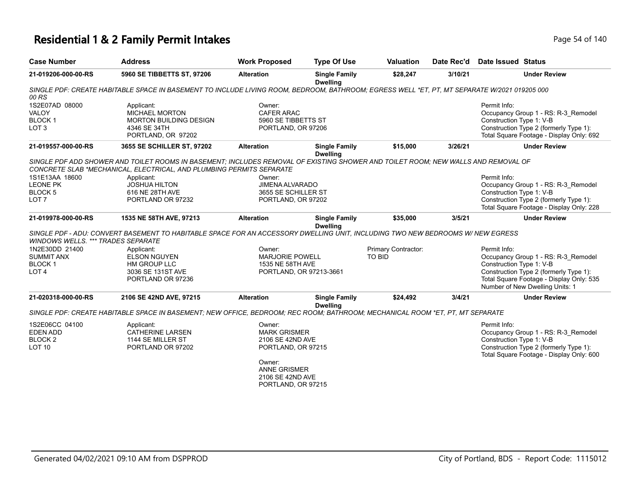# **Residential 1 & 2 Family Permit Intakes Page 140** Page 54 of 140

| <b>Address</b>                                                                                             | <b>Work Proposed</b> | <b>Type Of Use</b>                                                   | <b>Valuation</b>                                                                                                                                                                                                                                                                                                                                                                                               | Date Rec'd | Date Issued Status                                                                                                                                                                                                                                                                                                                                                                                                                                                                                                                                  |
|------------------------------------------------------------------------------------------------------------|----------------------|----------------------------------------------------------------------|----------------------------------------------------------------------------------------------------------------------------------------------------------------------------------------------------------------------------------------------------------------------------------------------------------------------------------------------------------------------------------------------------------------|------------|-----------------------------------------------------------------------------------------------------------------------------------------------------------------------------------------------------------------------------------------------------------------------------------------------------------------------------------------------------------------------------------------------------------------------------------------------------------------------------------------------------------------------------------------------------|
| 5960 SE TIBBETTS ST, 97206                                                                                 | <b>Alteration</b>    | <b>Single Family</b>                                                 | \$28,247                                                                                                                                                                                                                                                                                                                                                                                                       | 3/10/21    | <b>Under Review</b>                                                                                                                                                                                                                                                                                                                                                                                                                                                                                                                                 |
|                                                                                                            |                      |                                                                      |                                                                                                                                                                                                                                                                                                                                                                                                                |            |                                                                                                                                                                                                                                                                                                                                                                                                                                                                                                                                                     |
| Applicant:<br><b>MICHAEL MORTON</b><br><b>MORTON BUILDING DESIGN</b><br>4346 SE 34TH<br>PORTLAND, OR 97202 | Owner:               |                                                                      |                                                                                                                                                                                                                                                                                                                                                                                                                |            | Permit Info:<br>Occupancy Group 1 - RS: R-3_Remodel<br>Construction Type 1: V-B<br>Construction Type 2 (formerly Type 1):<br>Total Square Footage - Display Only: 692                                                                                                                                                                                                                                                                                                                                                                               |
| 3655 SE SCHILLER ST, 97202                                                                                 | <b>Alteration</b>    | <b>Single Family</b>                                                 | \$15,000                                                                                                                                                                                                                                                                                                                                                                                                       | 3/26/21    | <b>Under Review</b>                                                                                                                                                                                                                                                                                                                                                                                                                                                                                                                                 |
|                                                                                                            |                      |                                                                      |                                                                                                                                                                                                                                                                                                                                                                                                                |            |                                                                                                                                                                                                                                                                                                                                                                                                                                                                                                                                                     |
| Applicant:<br><b>JOSHUA HILTON</b><br>616 NE 28TH AVE<br>PORTLAND OR 97232                                 | Owner:               |                                                                      |                                                                                                                                                                                                                                                                                                                                                                                                                |            | Permit Info:<br>Occupancy Group 1 - RS: R-3_Remodel<br>Construction Type 1: V-B<br>Construction Type 2 (formerly Type 1):<br>Total Square Footage - Display Only: 228                                                                                                                                                                                                                                                                                                                                                                               |
| 1535 NE 58TH AVE, 97213                                                                                    | <b>Alteration</b>    | <b>Single Family</b>                                                 | \$35,000                                                                                                                                                                                                                                                                                                                                                                                                       | 3/5/21     | <b>Under Review</b>                                                                                                                                                                                                                                                                                                                                                                                                                                                                                                                                 |
| <b>WINDOWS WELLS. *** TRADES SEPARATE</b>                                                                  |                      |                                                                      |                                                                                                                                                                                                                                                                                                                                                                                                                |            |                                                                                                                                                                                                                                                                                                                                                                                                                                                                                                                                                     |
| Applicant:<br><b>ELSON NGUYEN</b><br><b>HM GROUP LLC</b><br>3036 SE 131ST AVE<br>PORTLAND OR 97236         | Owner:               |                                                                      | Primary Contractor:<br><b>TO BID</b>                                                                                                                                                                                                                                                                                                                                                                           |            | Permit Info:<br>Occupancy Group 1 - RS: R-3_Remodel<br>Construction Type 1: V-B<br>Construction Type 2 (formerly Type 1):<br>Total Square Footage - Display Only: 535<br>Number of New Dwelling Units: 1                                                                                                                                                                                                                                                                                                                                            |
| 2106 SE 42ND AVE, 97215                                                                                    | <b>Alteration</b>    | <b>Single Family</b>                                                 | \$24,492                                                                                                                                                                                                                                                                                                                                                                                                       | 3/4/21     | <b>Under Review</b>                                                                                                                                                                                                                                                                                                                                                                                                                                                                                                                                 |
|                                                                                                            |                      |                                                                      |                                                                                                                                                                                                                                                                                                                                                                                                                |            |                                                                                                                                                                                                                                                                                                                                                                                                                                                                                                                                                     |
| Applicant:<br><b>CATHERINE LARSEN</b><br>1144 SE MILLER ST<br>PORTLAND OR 97202                            | Owner:<br>Owner:     |                                                                      |                                                                                                                                                                                                                                                                                                                                                                                                                |            | Permit Info:<br>Occupancy Group 1 - RS: R-3_Remodel<br>Construction Type 1: V-B<br>Construction Type 2 (formerly Type 1):<br>Total Square Footage - Display Only: 600                                                                                                                                                                                                                                                                                                                                                                               |
|                                                                                                            |                      | CONCRETE SLAB *MECHANICAL, ELECTRICAL, AND PLUMBING PERMITS SEPARATE | <b>Dwelling</b><br><b>CAFER ARAC</b><br>5960 SE TIBBETTS ST<br>PORTLAND, OR 97206<br><b>Dwelling</b><br>JIMENA ALVARADO<br>3655 SE SCHILLER ST<br>PORTLAND, OR 97202<br><b>Dwelling</b><br>MARJORIE POWELL<br>1535 NE 58TH AVE<br>PORTLAND, OR 97213-3661<br><b>Dwelling</b><br><b>MARK GRISMER</b><br>2106 SE 42ND AVE<br>PORTLAND, OR 97215<br><b>ANNE GRISMER</b><br>2106 SE 42ND AVE<br>PORTLAND, OR 97215 |            | SINGLE PDF: CREATE HABITABLE SPACE IN BASEMENT TO INCLUDE LIVING ROOM, BEDROOM, BATHROOM; EGRESS WELL *ET, PT, MT SEPARATE W/2021 019205 000<br>SINGLE PDF ADD SHOWER AND TOILET ROOMS IN BASEMENT; INCLUDES REMOVAL OF EXISTING SHOWER AND TOILET ROOM; NEW WALLS AND REMOVAL OF<br>SINGLE PDF - ADU: CONVERT BASEMENT TO HABITABLE SPACE FOR AN ACCESSORY DWELLING UNIT, INCLUDING TWO NEW BEDROOMS W/NEW EGRESS<br>SINGLE PDF: CREATE HABITABLE SPACE IN BASEMENT; NEW OFFICE, BEDROOM; REC ROOM; BATHROOM; MECHANICAL ROOM *ET, PT, MT SEPARATE |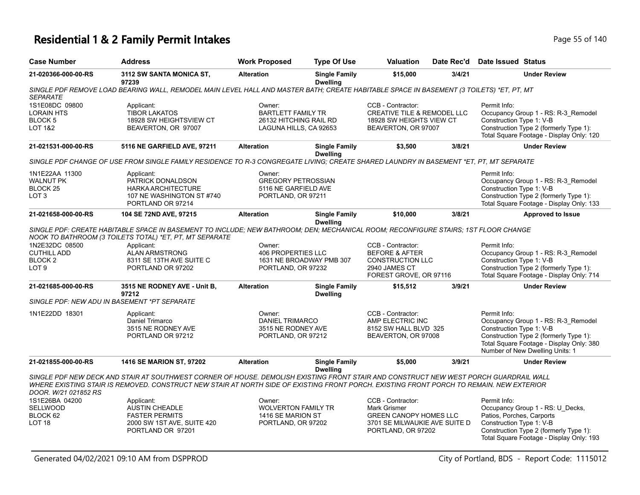#### **Residential 1 & 2 Family Permit Intakes Page 140** Page 55 of 140

| <b>Case Number</b>                                                             | <b>Address</b>                                                                                                                                                                                                                                                                    | <b>Work Proposed</b>                                                                    | <b>Type Of Use</b>                      | Valuation                                                                                                                        | Date Rec'd | Date Issued Status                                                                                                                                                                                       |
|--------------------------------------------------------------------------------|-----------------------------------------------------------------------------------------------------------------------------------------------------------------------------------------------------------------------------------------------------------------------------------|-----------------------------------------------------------------------------------------|-----------------------------------------|----------------------------------------------------------------------------------------------------------------------------------|------------|----------------------------------------------------------------------------------------------------------------------------------------------------------------------------------------------------------|
| 21-020366-000-00-RS                                                            | 3112 SW SANTA MONICA ST.<br>97239                                                                                                                                                                                                                                                 | <b>Alteration</b>                                                                       | <b>Single Family</b><br><b>Dwelling</b> | \$15,000                                                                                                                         | 3/4/21     | <b>Under Review</b>                                                                                                                                                                                      |
| <b>SEPARATE</b>                                                                | SINGLE PDF REMOVE LOAD BEARING WALL, REMODEL MAIN LEVEL HALL AND MASTER BATH; CREATE HABITABLE SPACE IN BASEMENT (3 TOILETS) *ET, PT, MT                                                                                                                                          |                                                                                         |                                         |                                                                                                                                  |            |                                                                                                                                                                                                          |
| 1S1E08DC 09800<br><b>LORAIN HTS</b><br>BLOCK 5<br><b>LOT 1&amp;2</b>           | Applicant:<br><b>TIBOR LAKATOS</b><br>18928 SW HEIGHTSVIEW CT<br>BEAVERTON, OR 97007                                                                                                                                                                                              | Owner:<br><b>BARTLETT FAMILY TR</b><br>26132 HITCHING RAIL RD<br>LAGUNA HILLS, CA 92653 |                                         | CCB - Contractor:<br><b>CREATIVE TILE &amp; REMODEL LLC</b><br>18928 SW HEIGHTS VIEW CT<br>BEAVERTON, OR 97007                   |            | Permit Info:<br>Occupancy Group 1 - RS: R-3_Remodel<br>Construction Type 1: V-B<br>Construction Type 2 (formerly Type 1):<br>Total Square Footage - Display Only: 120                                    |
| 21-021531-000-00-RS                                                            | 5116 NE GARFIELD AVE, 97211                                                                                                                                                                                                                                                       | <b>Alteration</b>                                                                       | <b>Single Family</b><br><b>Dwelling</b> | \$3,500                                                                                                                          | 3/8/21     | <b>Under Review</b>                                                                                                                                                                                      |
|                                                                                | SINGLE PDF CHANGE OF USE FROM SINGLE FAMILY RESIDENCE TO R-3 CONGREGATE LIVING; CREATE SHARED LAUNDRY IN BASEMENT *ET, PT, MT SEPARATE                                                                                                                                            |                                                                                         |                                         |                                                                                                                                  |            |                                                                                                                                                                                                          |
| 1N1E22AA 11300<br><b>WALNUT PK</b><br>BLOCK <sub>25</sub><br>LOT <sub>3</sub>  | Applicant:<br>PATRICK DONALDSON<br><b>HARKA ARCHITECTURE</b><br>107 NE WASHINGTON ST #740<br>PORTLAND OR 97214                                                                                                                                                                    | Owner:<br><b>GREGORY PETROSSIAN</b><br>5116 NE GARFIELD AVE<br>PORTLAND, OR 97211       |                                         |                                                                                                                                  |            | Permit Info:<br>Occupancy Group 1 - RS: R-3_Remodel<br>Construction Type 1: V-B<br>Construction Type 2 (formerly Type 1):<br>Total Square Footage - Display Only: 133                                    |
| 21-021658-000-00-RS                                                            | 104 SE 72ND AVE, 97215                                                                                                                                                                                                                                                            | <b>Alteration</b>                                                                       | <b>Single Family</b>                    | \$10,000                                                                                                                         | 3/8/21     | <b>Approved to Issue</b>                                                                                                                                                                                 |
|                                                                                | SINGLE PDF: CREATE HABITABLE SPACE IN BASEMENT TO INCLUDE; NEW BATHROOM; DEN; MECHANICAL ROOM; RECONFIGURE STAIRS; 1ST FLOOR CHANGE<br>NOOK TO BATHROOM (3 TOILETS TOTAL) *ET, PT, MT SEPARATE                                                                                    |                                                                                         | <b>Dwelling</b>                         |                                                                                                                                  |            |                                                                                                                                                                                                          |
| 1N2E32DC 08500<br><b>CUTHILL ADD</b><br>BLOCK <sub>2</sub><br>LOT <sub>9</sub> | Applicant:<br><b>ALAN ARMSTRONG</b><br>8311 SE 13TH AVE SUITE C<br>PORTLAND OR 97202                                                                                                                                                                                              | Owner:<br><b>406 PROPERTIES LLC</b><br>PORTLAND, OR 97232                               | 1631 NE BROADWAY PMB 307                | CCB - Contractor:<br><b>BEFORE &amp; AFTER</b><br><b>CONSTRUCTION LLC</b><br>2940 JAMES CT<br>FOREST GROVE, OR 97116             |            | Permit Info:<br>Occupancy Group 1 - RS: R-3_Remodel<br>Construction Type 1: V-B<br>Construction Type 2 (formerly Type 1):<br>Total Square Footage - Display Only: 714                                    |
| 21-021685-000-00-RS                                                            | 3515 NE RODNEY AVE - Unit B,<br>97212                                                                                                                                                                                                                                             | <b>Alteration</b>                                                                       | <b>Single Family</b><br><b>Dwelling</b> | \$15,512                                                                                                                         | 3/9/21     | <b>Under Review</b>                                                                                                                                                                                      |
|                                                                                | SINGLE PDF: NEW ADU IN BASEMENT *PT SEPARATE                                                                                                                                                                                                                                      |                                                                                         |                                         |                                                                                                                                  |            |                                                                                                                                                                                                          |
| 1N1E22DD 18301                                                                 | Applicant:<br>Daniel Trimarco<br>3515 NE RODNEY AVE<br>PORTLAND OR 97212                                                                                                                                                                                                          | Owner:<br><b>DANIEL TRIMARCO</b><br>3515 NE RODNEY AVE<br>PORTLAND, OR 97212            |                                         | CCB - Contractor:<br>AMP ELECTRIC INC<br>8152 SW HALL BLVD 325<br>BEAVERTON, OR 97008                                            |            | Permit Info:<br>Occupancy Group 1 - RS: R-3_Remodel<br>Construction Type 1: V-B<br>Construction Type 2 (formerly Type 1):<br>Total Square Footage - Display Only: 380<br>Number of New Dwelling Units: 1 |
| 21-021855-000-00-RS                                                            | 1416 SE MARION ST, 97202                                                                                                                                                                                                                                                          | <b>Alteration</b>                                                                       | <b>Single Family</b><br><b>Dwelling</b> | \$5,000                                                                                                                          | 3/9/21     | <b>Under Review</b>                                                                                                                                                                                      |
| DOOR, W/21 021852 RS                                                           | SINGLE PDF NEW DECK AND STAIR AT SOUTHWEST CORNER OF HOUSE. DEMOLISH EXISTING FRONT STAIR AND CONSTRUCT NEW WEST PORCH GUARDRAIL WALL<br>WHERE EXISTING STAIR IS REMOVED. CONSTRUCT NEW STAIR AT NORTH SIDE OF EXISTING FRONT PORCH. EXISTING FRONT PORCH TO REMAIN. NEW EXTERIOR |                                                                                         |                                         |                                                                                                                                  |            |                                                                                                                                                                                                          |
| 1S1E26BA 04200<br><b>SELLWOOD</b><br>BLOCK 62<br>LOT <sub>18</sub>             | Applicant:<br><b>AUSTIN CHEADLE</b><br><b>FASTER PERMITS</b><br>2000 SW 1ST AVE, SUITE 420<br>PORTLAND OR 97201                                                                                                                                                                   | Owner:<br><b>WOLVERTON FAMILY TR</b><br>1416 SE MARION ST<br>PORTLAND, OR 97202         |                                         | CCB - Contractor:<br><b>Mark Grismer</b><br><b>GREEN CANOPY HOMES LLC</b><br>3701 SE MILWAUKIE AVE SUITE D<br>PORTLAND, OR 97202 |            | Permit Info:<br>Occupancy Group 1 - RS: U_Decks,<br>Patios, Porches, Carports<br>Construction Type 1: V-B<br>Construction Type 2 (formerly Type 1):                                                      |

Total Square Footage - Display Only: 193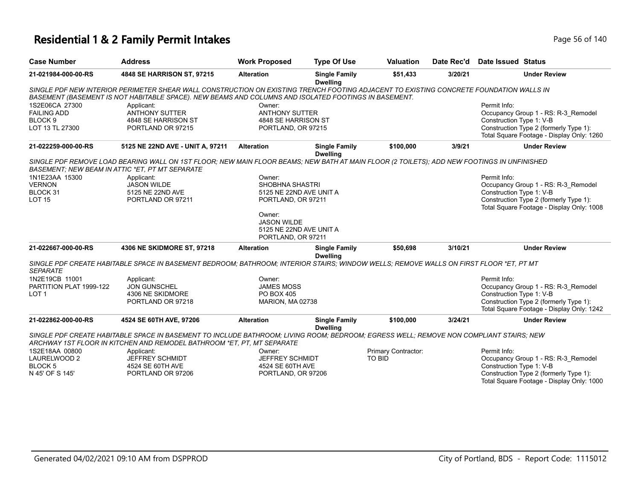# **Residential 1 & 2 Family Permit Intakes Page 140** Page 56 of 140

| <b>Case Number</b>      | <b>Address</b>                                                                                                                             | <b>Work Proposed</b>    | <b>Type Of Use</b>                      | <b>Valuation</b>    | Date Rec'd | Date Issued Status                                                                  |
|-------------------------|--------------------------------------------------------------------------------------------------------------------------------------------|-------------------------|-----------------------------------------|---------------------|------------|-------------------------------------------------------------------------------------|
| 21-021984-000-00-RS     | 4848 SE HARRISON ST, 97215                                                                                                                 | <b>Alteration</b>       | <b>Single Family</b><br><b>Dwelling</b> | \$51,433            | 3/20/21    | <b>Under Review</b>                                                                 |
|                         | SINGLE PDF NEW INTERIOR PERIMETER SHEAR WALL CONSTRUCTION ON EXISTING TRENCH FOOTING ADJACENT TO EXISTING CONCRETE FOUNDATION WALLS IN     |                         |                                         |                     |            |                                                                                     |
|                         | BASEMENT (BASEMENT IS NOT HABITABLE SPACE). NEW BEAMS AND COLUMNS AND ISOLATED FOOTINGS IN BASEMENT.                                       |                         |                                         |                     |            |                                                                                     |
| 1S2E06CA 27300          | Applicant:                                                                                                                                 | Owner:                  |                                         |                     |            | Permit Info:                                                                        |
| <b>FAILING ADD</b>      | <b>ANTHONY SUTTER</b>                                                                                                                      | <b>ANTHONY SUTTER</b>   |                                         |                     |            | Occupancy Group 1 - RS: R-3_Remodel                                                 |
| BLOCK <sub>9</sub>      | 4848 SE HARRISON ST                                                                                                                        | 4848 SE HARRISON ST     |                                         |                     |            | Construction Type 1: V-B                                                            |
| LOT 13 TL 27300         | PORTLAND OR 97215                                                                                                                          | PORTLAND, OR 97215      |                                         |                     |            | Construction Type 2 (formerly Type 1):<br>Total Square Footage - Display Only: 1260 |
| 21-022259-000-00-RS     | 5125 NE 22ND AVE - UNIT A, 97211                                                                                                           | <b>Alteration</b>       | <b>Single Family</b><br><b>Dwelling</b> | \$100,000           | 3/9/21     | <b>Under Review</b>                                                                 |
|                         | SINGLE PDF REMOVE LOAD BEARING WALL ON 1ST FLOOR; NEW MAIN FLOOR BEAMS; NEW BATH AT MAIN FLOOR (2 TOILETS); ADD NEW FOOTINGS IN UNFINISHED |                         |                                         |                     |            |                                                                                     |
|                         | BASEMENT; NEW BEAM IN ATTIC *ET, PT MT SEPARATE                                                                                            |                         |                                         |                     |            |                                                                                     |
| 1N1E23AA 15300          | Applicant:                                                                                                                                 | Owner:                  |                                         |                     |            | Permit Info:                                                                        |
| <b>VERNON</b>           | <b>JASON WILDE</b>                                                                                                                         | SHOBHNA SHASTRI         |                                         |                     |            | Occupancy Group 1 - RS: R-3 Remodel                                                 |
| BLOCK 31                | 5125 NE 22ND AVE                                                                                                                           | 5125 NE 22ND AVE UNIT A |                                         |                     |            | Construction Type 1: V-B                                                            |
| <b>LOT 15</b>           | PORTLAND OR 97211                                                                                                                          | PORTLAND, OR 97211      |                                         |                     |            | Construction Type 2 (formerly Type 1):<br>Total Square Footage - Display Only: 1008 |
|                         |                                                                                                                                            | Owner:                  |                                         |                     |            |                                                                                     |
|                         |                                                                                                                                            | <b>JASON WILDE</b>      |                                         |                     |            |                                                                                     |
|                         |                                                                                                                                            | 5125 NE 22ND AVE UNIT A |                                         |                     |            |                                                                                     |
|                         |                                                                                                                                            | PORTLAND, OR 97211      |                                         |                     |            |                                                                                     |
| 21-022667-000-00-RS     | 4306 NE SKIDMORE ST, 97218                                                                                                                 | <b>Alteration</b>       | <b>Single Family</b>                    | \$50,698            | 3/10/21    | <b>Under Review</b>                                                                 |
|                         |                                                                                                                                            |                         | <b>Dwelling</b>                         |                     |            |                                                                                     |
| <b>SEPARATE</b>         | SINGLE PDF CREATE HABITABLE SPACE IN BASEMENT BEDROOM; BATHROOM; INTERIOR STAIRS; WINDOW WELLS; REMOVE WALLS ON FIRST FLOOR *ET, PT MT     |                         |                                         |                     |            |                                                                                     |
| 1N2E19CB 11001          | Applicant:                                                                                                                                 | Owner:                  |                                         |                     |            | Permit Info:                                                                        |
| PARTITION PLAT 1999-122 | <b>JON GUNSCHEL</b>                                                                                                                        | <b>JAMES MOSS</b>       |                                         |                     |            | Occupancy Group 1 - RS: R-3_Remodel                                                 |
| LOT <sub>1</sub>        | 4306 NE SKIDMORE                                                                                                                           | PO BOX 405              |                                         |                     |            | Construction Type 1: V-B                                                            |
|                         | PORTLAND OR 97218                                                                                                                          | MARION, MA 02738        |                                         |                     |            | Construction Type 2 (formerly Type 1):                                              |
|                         |                                                                                                                                            |                         |                                         |                     |            | Total Square Footage - Display Only: 1242                                           |
| 21-022862-000-00-RS     | 4524 SE 60TH AVE, 97206                                                                                                                    | <b>Alteration</b>       | <b>Single Family</b><br><b>Dwelling</b> | \$100,000           | 3/24/21    | <b>Under Review</b>                                                                 |
|                         | SINGLE PDF CREATE HABITABLE SPACE IN BASEMENT TO INCLUDE BATHROOM; LIVING ROOM; BEDROOM; EGRESS WELL; REMOVE NON COMPLIANT STAIRS; NEW     |                         |                                         |                     |            |                                                                                     |
|                         | ARCHWAY 1ST FLOOR IN KITCHEN AND REMODEL BATHROOM *ET. PT. MT SEPARATE                                                                     |                         |                                         |                     |            |                                                                                     |
| 1S2E18AA 00800          | Applicant:                                                                                                                                 | Owner:                  |                                         | Primary Contractor: |            | Permit Info:                                                                        |
| LAURELWOOD 2            | JEFFREY SCHMIDT                                                                                                                            | <b>JEFFREY SCHMIDT</b>  |                                         | <b>TO BID</b>       |            | Occupancy Group 1 - RS: R-3_Remodel                                                 |
| BLOCK <sub>5</sub>      | 4524 SE 60TH AVE                                                                                                                           | 4524 SE 60TH AVE        |                                         |                     |            | Construction Type 1: V-B                                                            |
| N 45' OF S 145'         | PORTLAND OR 97206                                                                                                                          | PORTLAND, OR 97206      |                                         |                     |            | Construction Type 2 (formerly Type 1):                                              |
|                         |                                                                                                                                            |                         |                                         |                     |            | Total Square Footage - Display Only: 1000                                           |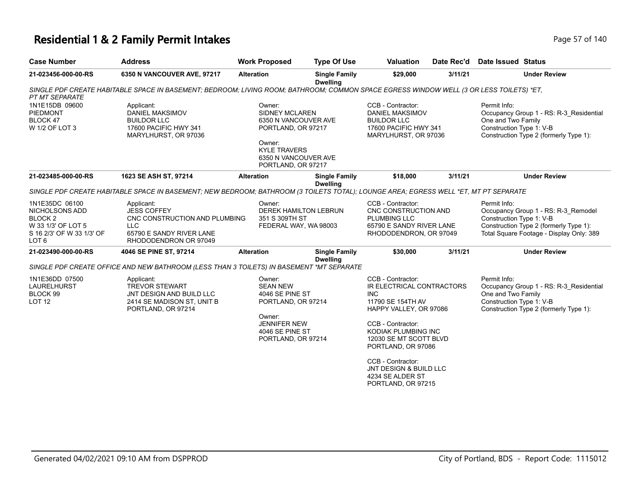### **Residential 1 & 2 Family Permit Intakes Page 11 and 2 Family Permit Intakes Page 57 of 140**

| <b>Address</b>                                                                                                      | <b>Work Proposed</b>                | <b>Type Of Use</b>                      | <b>Valuation</b>                                                                                                                                                                                                                                                                                                                                                                                                                            | Date Rec'd             | <b>Date Issued Status</b>                                                                                                                                                                                                                                                                                                                                                                                                                                                                                                                                                                    |
|---------------------------------------------------------------------------------------------------------------------|-------------------------------------|-----------------------------------------|---------------------------------------------------------------------------------------------------------------------------------------------------------------------------------------------------------------------------------------------------------------------------------------------------------------------------------------------------------------------------------------------------------------------------------------------|------------------------|----------------------------------------------------------------------------------------------------------------------------------------------------------------------------------------------------------------------------------------------------------------------------------------------------------------------------------------------------------------------------------------------------------------------------------------------------------------------------------------------------------------------------------------------------------------------------------------------|
| 6350 N VANCOUVER AVE, 97217                                                                                         | <b>Alteration</b>                   | <b>Single Family</b>                    | \$29,000                                                                                                                                                                                                                                                                                                                                                                                                                                    | 3/11/21                | <b>Under Review</b>                                                                                                                                                                                                                                                                                                                                                                                                                                                                                                                                                                          |
|                                                                                                                     |                                     |                                         |                                                                                                                                                                                                                                                                                                                                                                                                                                             |                        |                                                                                                                                                                                                                                                                                                                                                                                                                                                                                                                                                                                              |
| Applicant:<br><b>DANIEL MAKSIMOV</b><br><b>BUILDOR LLC</b><br>17600 PACIFIC HWY 341<br>MARYLHURST, OR 97036         | Owner:<br>Owner:                    |                                         | CCB - Contractor:<br><b>BUILDOR LLC</b>                                                                                                                                                                                                                                                                                                                                                                                                     |                        | Permit Info:<br>Occupancy Group 1 - RS: R-3_Residential<br>One and Two Family<br>Construction Type 1: V-B<br>Construction Type 2 (formerly Type 1):                                                                                                                                                                                                                                                                                                                                                                                                                                          |
| 1623 SE ASH ST, 97214                                                                                               | <b>Alteration</b>                   | <b>Single Family</b><br><b>Dwelling</b> | \$18,000                                                                                                                                                                                                                                                                                                                                                                                                                                    | 3/11/21                | <b>Under Review</b>                                                                                                                                                                                                                                                                                                                                                                                                                                                                                                                                                                          |
|                                                                                                                     |                                     |                                         |                                                                                                                                                                                                                                                                                                                                                                                                                                             |                        |                                                                                                                                                                                                                                                                                                                                                                                                                                                                                                                                                                                              |
| Applicant:<br><b>JESS COFFEY</b><br><b>LLC</b><br>65790 E SANDY RIVER LANE<br>RHODODENDRON OR 97049                 | Owner:                              |                                         | CCB - Contractor:<br>PLUMBING LLC                                                                                                                                                                                                                                                                                                                                                                                                           |                        | Permit Info:<br>Occupancy Group 1 - RS: R-3_Remodel<br>Construction Type 1: V-B<br>Construction Type 2 (formerly Type 1):<br>Total Square Footage - Display Only: 389                                                                                                                                                                                                                                                                                                                                                                                                                        |
| 4046 SE PINE ST, 97214                                                                                              | <b>Alteration</b>                   | <b>Single Family</b><br><b>Dwelling</b> | \$30,000                                                                                                                                                                                                                                                                                                                                                                                                                                    | 3/11/21                | <b>Under Review</b>                                                                                                                                                                                                                                                                                                                                                                                                                                                                                                                                                                          |
|                                                                                                                     |                                     |                                         |                                                                                                                                                                                                                                                                                                                                                                                                                                             |                        |                                                                                                                                                                                                                                                                                                                                                                                                                                                                                                                                                                                              |
| Applicant:<br><b>TREVOR STEWART</b><br>JNT DESIGN AND BUILD LLC<br>2414 SE MADISON ST, UNIT B<br>PORTLAND, OR 97214 | Owner:<br><b>SEAN NEW</b><br>Owner: |                                         | CCB - Contractor:<br><b>INC</b><br>11790 SE 154TH AV<br>CCB - Contractor:<br>CCB - Contractor:<br>4234 SE ALDER ST                                                                                                                                                                                                                                                                                                                          |                        | Permit Info:<br>Occupancy Group 1 - RS: R-3_Residential<br>One and Two Family<br>Construction Type 1: V-B<br>Construction Type 2 (formerly Type 1):                                                                                                                                                                                                                                                                                                                                                                                                                                          |
|                                                                                                                     |                                     | CNC CONSTRUCTION AND PLUMBING           | <b>Dwelling</b><br><b>SIDNEY MCLAREN</b><br>6350 N VANCOUVER AVE<br>PORTLAND, OR 97217<br><b>KYLE TRAVERS</b><br>6350 N VANCOUVER AVE<br>PORTLAND, OR 97217<br><b>DEREK HAMILTON LEBRUN</b><br>351 S 309TH ST<br>FEDERAL WAY, WA 98003<br>SINGLE PDF CREATE OFFICE AND NEW BATHROOM (LESS THAN 3 TOILETS) IN BASEMENT *MT SEPARATE<br>4046 SE PINE ST<br>PORTLAND, OR 97214<br><b>JENNIFER NEW</b><br>4046 SE PINE ST<br>PORTLAND, OR 97214 | <b>DANIEL MAKSIMOV</b> | SINGLE PDF CREATE HABITABLE SPACE IN BASEMENT; BEDROOM; LIVING ROOM; BATHROOM; COMMON SPACE EGRESS WINDOW WELL (3 OR LESS TOILETS) *ET.<br>17600 PACIFIC HWY 341<br>MARYLHURST, OR 97036<br>SINGLE PDF CREATE HABITABLE SPACE IN BASEMENT; NEW BEDROOM; BATHROOM (3 TOILETS TOTAL); LOUNGE AREA; EGRESS WELL *ET, MT PT SEPARATE<br>CNC CONSTRUCTION AND<br>65790 E SANDY RIVER LANE<br>RHODODENDRON, OR 97049<br>IR ELECTRICAL CONTRACTORS<br>HAPPY VALLEY, OR 97086<br>KODIAK PLUMBING INC<br>12030 SE MT SCOTT BLVD<br>PORTLAND, OR 97086<br>JNT DESIGN & BUILD LLC<br>PORTLAND, OR 97215 |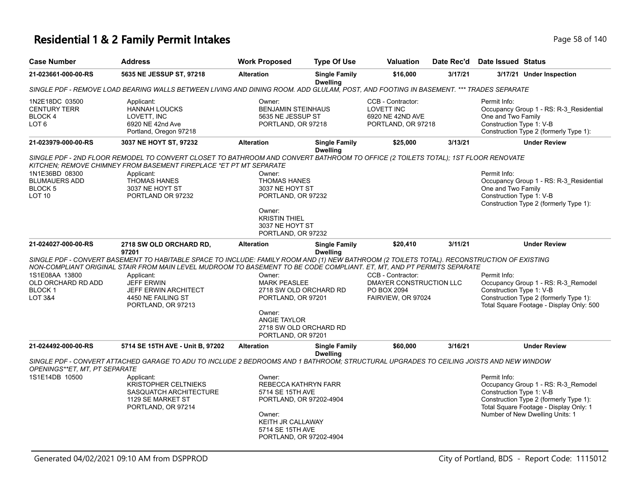# **Residential 1 & 2 Family Permit Intakes Page 140** Page 58 of 140

| <b>Case Number</b>                                                                                                                                                                                      | <b>Address</b>                                                                                                                                                                                                                                                        | <b>Work Proposed</b>                                                                                                                                        | <b>Type Of Use</b>                      | <b>Valuation</b>                                                                  | Date Rec'd | Date Issued Status                                                                                                                                  |                                                                                                                                                            |  |  |
|---------------------------------------------------------------------------------------------------------------------------------------------------------------------------------------------------------|-----------------------------------------------------------------------------------------------------------------------------------------------------------------------------------------------------------------------------------------------------------------------|-------------------------------------------------------------------------------------------------------------------------------------------------------------|-----------------------------------------|-----------------------------------------------------------------------------------|------------|-----------------------------------------------------------------------------------------------------------------------------------------------------|------------------------------------------------------------------------------------------------------------------------------------------------------------|--|--|
| 21-023661-000-00-RS                                                                                                                                                                                     | 5635 NE JESSUP ST, 97218                                                                                                                                                                                                                                              | <b>Alteration</b>                                                                                                                                           | <b>Single Family</b><br><b>Dwelling</b> | \$16,000                                                                          | 3/17/21    |                                                                                                                                                     | 3/17/21 Under Inspection                                                                                                                                   |  |  |
|                                                                                                                                                                                                         | SINGLE PDF - REMOVE LOAD BEARING WALLS BETWEEN LIVING AND DINING ROOM. ADD GLULAM, POST, AND FOOTING IN BASEMENT. *** TRADES SEPARATE                                                                                                                                 |                                                                                                                                                             |                                         |                                                                                   |            |                                                                                                                                                     |                                                                                                                                                            |  |  |
| 1N2E18DC 03500<br><b>CENTURY TERR</b><br>BLOCK 4<br>LOT <sub>6</sub>                                                                                                                                    | Applicant:<br><b>HANNAH LOUCKS</b><br>LOVETT, INC<br>6920 NE 42nd Ave<br>Portland, Oregon 97218                                                                                                                                                                       | Owner:<br><b>BENJAMIN STEINHAUS</b><br>5635 NE JESSUP ST<br>PORTLAND, OR 97218                                                                              |                                         | CCB - Contractor:<br><b>LOVETT INC</b><br>6920 NE 42ND AVE<br>PORTLAND, OR 97218  |            | Permit Info:<br>Occupancy Group 1 - RS: R-3 Residential<br>One and Two Family<br>Construction Type 1: V-B<br>Construction Type 2 (formerly Type 1): |                                                                                                                                                            |  |  |
| 21-023979-000-00-RS                                                                                                                                                                                     | 3037 NE HOYT ST, 97232                                                                                                                                                                                                                                                | <b>Alteration</b>                                                                                                                                           | <b>Single Family</b><br><b>Dwelling</b> | \$25,000                                                                          | 3/13/21    |                                                                                                                                                     | <b>Under Review</b>                                                                                                                                        |  |  |
| SINGLE PDF - 2ND FLOOR REMODEL TO CONVERT CLOSET TO BATHROOM AND CONVERT BATHROOM TO OFFICE (2 TOILETS TOTAL); 1ST FLOOR RENOVATE<br>KITCHEN: REMOVE CHIMNEY FROM BASEMENT FIREPLACE *ET PT MT SEPARATE |                                                                                                                                                                                                                                                                       |                                                                                                                                                             |                                         |                                                                                   |            |                                                                                                                                                     |                                                                                                                                                            |  |  |
| 1N1E36BD 08300<br><b>BLUMAUERS ADD</b><br>BLOCK <sub>5</sub><br>LOT <sub>10</sub>                                                                                                                       | Applicant:<br><b>THOMAS HANES</b><br>3037 NE HOYT ST<br>PORTLAND OR 97232                                                                                                                                                                                             | Owner:<br><b>THOMAS HANES</b><br>3037 NE HOYT ST<br>PORTLAND, OR 97232                                                                                      |                                         |                                                                                   |            | Permit Info:<br>One and Two Family<br>Construction Type 1: V-B                                                                                      | Occupancy Group 1 - RS: R-3 Residential<br>Construction Type 2 (formerly Type 1):                                                                          |  |  |
|                                                                                                                                                                                                         |                                                                                                                                                                                                                                                                       | Owner:<br><b>KRISTIN THIEL</b><br>3037 NE HOYT ST<br>PORTLAND, OR 97232                                                                                     |                                         |                                                                                   |            |                                                                                                                                                     |                                                                                                                                                            |  |  |
| 21-024027-000-00-RS                                                                                                                                                                                     | 2718 SW OLD ORCHARD RD,<br>97201                                                                                                                                                                                                                                      | <b>Alteration</b>                                                                                                                                           | <b>Single Family</b><br><b>Dwelling</b> | \$20,410                                                                          | 3/11/21    |                                                                                                                                                     | <b>Under Review</b>                                                                                                                                        |  |  |
|                                                                                                                                                                                                         | SINGLE PDF - CONVERT BASEMENT TO HABITABLE SPACE TO INCLUDE: FAMILY ROOM AND (1) NEW BATHROOM (2 TOILETS TOTAL). RECONSTRUCTION OF EXISTING<br>NON-COMPLIANT ORIGINAL STAIR FROM MAIN LEVEL MUDROOM TO BASEMENT TO BE CODE COMPLIANT. ET, MT, AND PT PERMITS SEPARATE |                                                                                                                                                             |                                         |                                                                                   |            |                                                                                                                                                     |                                                                                                                                                            |  |  |
| 1S1E08AA 13800<br>OLD ORCHARD RD ADD<br>BLOCK <sub>1</sub><br>LOT 3&4                                                                                                                                   | Applicant:<br><b>JEFF ERWIN</b><br><b>JEFF ERWIN ARCHITECT</b><br>4450 NE FAILING ST<br>PORTLAND, OR 97213                                                                                                                                                            | Owner:<br><b>MARK PEASLEE</b><br>2718 SW OLD ORCHARD RD<br>PORTLAND, OR 97201                                                                               |                                         | CCB - Contractor:<br>DMAYER CONSTRUCTION LLC<br>PO BOX 2094<br>FAIRVIEW, OR 97024 |            | Permit Info:<br>Construction Type 1: V-B                                                                                                            | Occupancy Group 1 - RS: R-3_Remodel<br>Construction Type 2 (formerly Type 1):<br>Total Square Footage - Display Only: 500                                  |  |  |
|                                                                                                                                                                                                         |                                                                                                                                                                                                                                                                       | Owner:<br><b>ANGIE TAYLOR</b><br>2718 SW OLD ORCHARD RD<br>PORTLAND, OR 97201                                                                               |                                         |                                                                                   |            |                                                                                                                                                     |                                                                                                                                                            |  |  |
| 21-024492-000-00-RS                                                                                                                                                                                     | 5714 SE 15TH AVE - Unit B, 97202                                                                                                                                                                                                                                      | <b>Alteration</b>                                                                                                                                           | <b>Single Family</b><br><b>Dwelling</b> | \$60,000                                                                          | 3/16/21    |                                                                                                                                                     | <b>Under Review</b>                                                                                                                                        |  |  |
| OPENINGS**ET, MT, PT SEPARATE                                                                                                                                                                           | SINGLE PDF - CONVERT ATTACHED GARAGE TO ADU TO INCLUDE 2 BEDROOMS AND 1 BATHROOM; STRUCTURAL UPGRADES TO CEILING JOISTS AND NEW WINDOW                                                                                                                                |                                                                                                                                                             |                                         |                                                                                   |            |                                                                                                                                                     |                                                                                                                                                            |  |  |
| 1S1E14DB 10500                                                                                                                                                                                          | Applicant:<br><b>KRISTOPHER CELTNIEKS</b><br>SASQUATCH ARCHITECTURE<br>1129 SE MARKET ST<br>PORTLAND, OR 97214                                                                                                                                                        | Owner:<br>REBECCA KATHRYN FARR<br>5714 SE 15TH AVE<br>PORTLAND, OR 97202-4904<br>Owner:<br>KEITH JR CALLAWAY<br>5714 SE 15TH AVE<br>PORTLAND, OR 97202-4904 |                                         |                                                                                   |            | Permit Info:<br>Construction Type 1: V-B                                                                                                            | Occupancy Group 1 - RS: R-3_Remodel<br>Construction Type 2 (formerly Type 1):<br>Total Square Footage - Display Only: 1<br>Number of New Dwelling Units: 1 |  |  |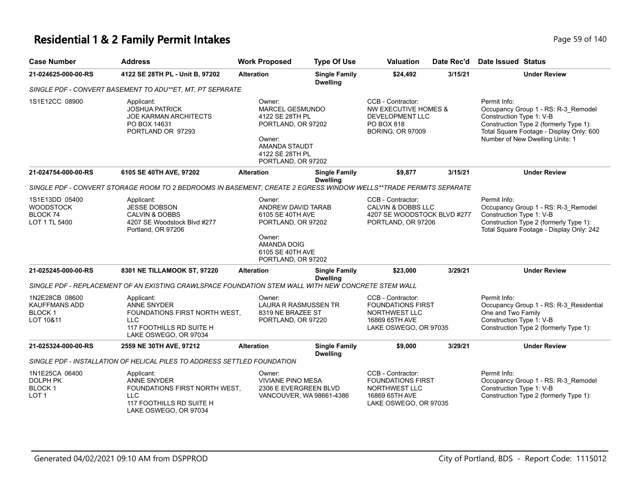#### **Residential 1 & 2 Family Permit Intakes Page 140** Page 59 of 140

| <b>Case Number</b>                                              | <b>Address</b>                                                                                                                     | <b>Work Proposed</b>                                                                                                                                 | <b>Type Of Use</b>                      | <b>Valuation</b>                                                                                             | Date Rec'd | Date Issued Status                                                                                                                                                                                       |
|-----------------------------------------------------------------|------------------------------------------------------------------------------------------------------------------------------------|------------------------------------------------------------------------------------------------------------------------------------------------------|-----------------------------------------|--------------------------------------------------------------------------------------------------------------|------------|----------------------------------------------------------------------------------------------------------------------------------------------------------------------------------------------------------|
| 21-024625-000-00-RS                                             | 4122 SE 28TH PL - Unit B, 97202                                                                                                    | <b>Alteration</b>                                                                                                                                    | <b>Single Family</b><br><b>Dwelling</b> | \$24,492                                                                                                     | 3/15/21    | <b>Under Review</b>                                                                                                                                                                                      |
|                                                                 | SINGLE PDF - CONVERT BASEMENT TO ADU**ET, MT, PT SEPARATE                                                                          |                                                                                                                                                      |                                         |                                                                                                              |            |                                                                                                                                                                                                          |
| 1S1E12CC 08900                                                  | Applicant:<br><b>JOSHUA PATRICK</b><br><b>JOE KARMAN ARCHITECTS</b><br>PO BOX 14631<br>PORTLAND OR 97293                           | Owner:<br><b>MARCEL GESMUNDO</b><br>4122 SE 28TH PL<br>PORTLAND, OR 97202<br>Owner:<br><b>AMANDA STAUDT</b><br>4122 SE 28TH PL<br>PORTLAND, OR 97202 |                                         | CCB - Contractor:<br>NW EXECUTIVE HOMES &<br>DEVELOPMENT LLC<br><b>PO BOX 818</b><br><b>BORING, OR 97009</b> |            | Permit Info:<br>Occupancy Group 1 - RS: R-3_Remodel<br>Construction Type 1: V-B<br>Construction Type 2 (formerly Type 1):<br>Total Square Footage - Display Only: 600<br>Number of New Dwelling Units: 1 |
| 21-024754-000-00-RS                                             | 6105 SE 40TH AVE, 97202                                                                                                            | <b>Alteration</b>                                                                                                                                    | <b>Single Family</b><br><b>Dwelling</b> | \$9,877                                                                                                      | 3/15/21    | <b>Under Review</b>                                                                                                                                                                                      |
|                                                                 | SINGLE PDF - CONVERT STORAGE ROOM TO 2 BEDROOMS IN BASEMENT; CREATE 2 EGRESS WINDOW WELLS**TRADE PERMITS SEPARATE                  |                                                                                                                                                      |                                         |                                                                                                              |            |                                                                                                                                                                                                          |
| 1S1E13DD 05400<br><b>WOODSTOCK</b><br>BLOCK 74<br>LOT 1 TL 5400 | Applicant:<br><b>JESSE DOBSON</b><br><b>CALVIN &amp; DOBBS</b><br>4207 SE Woodstock Blvd #277<br>Portland, OR 97206                | Owner:<br>ANDREW DAVID TARAB<br>6105 SE 40TH AVE<br>PORTLAND, OR 97202<br>Owner:<br><b>AMANDA DOIG</b><br>6105 SE 40TH AVE                           |                                         | CCB - Contractor:<br><b>CALVIN &amp; DOBBS LLC</b><br>4207 SE WOODSTOCK BLVD #277<br>PORTLAND, OR 97206      |            | Permit Info:<br>Occupancy Group 1 - RS: R-3 Remodel<br>Construction Type 1: V-B<br>Construction Type 2 (formerly Type 1):<br>Total Square Footage - Display Only: 242                                    |
|                                                                 |                                                                                                                                    | PORTLAND, OR 97202                                                                                                                                   |                                         |                                                                                                              |            |                                                                                                                                                                                                          |
| 21-025245-000-00-RS                                             | 8301 NE TILLAMOOK ST, 97220<br>SINGLE PDF - REPLACEMENT OF AN EXISTING CRAWLSPACE FOUNDATION STEM WALL WITH NEW CONCRETE STEM WALL | <b>Alteration</b>                                                                                                                                    | <b>Single Family</b><br><b>Dwelling</b> | \$23,000                                                                                                     | 3/29/21    | <b>Under Review</b>                                                                                                                                                                                      |

| 1N2E28CB 08600<br>KAUFFMANS ADD<br><b>BLOCK 1</b><br>LOT 10&11 | Applicant:<br>ANNE SNYDER<br>FOUNDATIONS FIRST NORTH WEST.<br>LLC.<br>117 FOOTHILLS RD SUITE H<br>LAKE OSWEGO, OR 97034 | Owner:            | LAURA R RASMUSSEN TR<br>8319 NE BRAZEE ST<br>PORTLAND, OR 97220 |         | <b>FOUNDATIONS FIRST</b><br>LAKE OSWEGO, OR 97035 | Permit Info:<br>Occupancy Group 1 - RS: R-3 Residential<br>One and Two Family<br>Construction Type 1: V-B<br>Construction Type 2 (formerly Type 1): |  |  |
|----------------------------------------------------------------|-------------------------------------------------------------------------------------------------------------------------|-------------------|-----------------------------------------------------------------|---------|---------------------------------------------------|-----------------------------------------------------------------------------------------------------------------------------------------------------|--|--|
| 21-025324-000-00-RS                                            | 2559 NE 30TH AVE, 97212                                                                                                 | <b>Alteration</b> | <b>Single Family</b><br><b>Dwelling</b>                         | \$9,000 | 3/29/21                                           | <b>Under Review</b>                                                                                                                                 |  |  |
|                                                                | SINGLE PDF - INSTALLATION OF HELICAL PILES TO ADDRESS SETTLED FOUNDATION                                                |                   |                                                                 |         |                                                   |                                                                                                                                                     |  |  |

| 1N1E25CA 06400<br>DOLPH PK<br>BLOCK 1<br>LOT <sub>1</sub> | Applicant:<br>ANNE SNYDER<br>FOUNDATIONS FIRST NORTH WEST.<br>117 FOOTHILLS RD SUITE H | Owner:<br>VIVIANE PINO MESA<br>2306 E EVERGREEN BLVD<br>VANCOUVER, WA 98661-4386 | CCB - Contractor:<br><b>FOUNDATIONS FIRST</b><br>NORTHWEST LLC<br>16869 65TH AVE<br>LAKE OSWEGO, OR 97035 | Permit Info:<br>Occupancy Group 1 - RS: R-3 Remodel<br>Construction Type 1: V-B<br>Construction Type 2 (formerly Type 1): |
|-----------------------------------------------------------|----------------------------------------------------------------------------------------|----------------------------------------------------------------------------------|-----------------------------------------------------------------------------------------------------------|---------------------------------------------------------------------------------------------------------------------------|
|                                                           | LAKE OSWEGO, OR 97034                                                                  |                                                                                  |                                                                                                           |                                                                                                                           |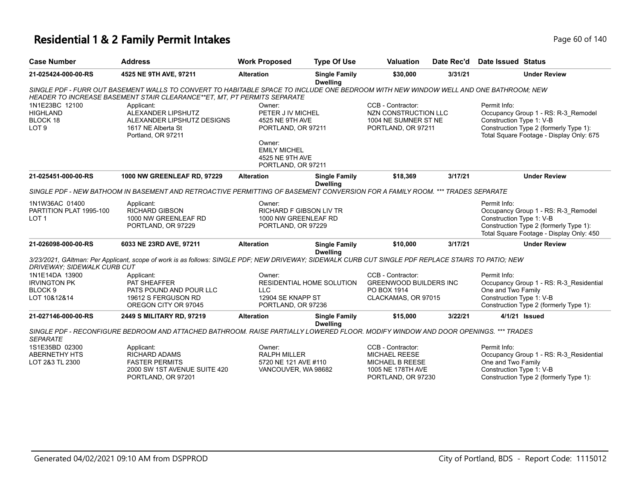### **Residential 1 & 2 Family Permit Intakes Page 140** Page 60 of 140

| <b>Case Number</b>           | <b>Address</b>                                                                                                                                      | <b>Work Proposed</b>           | <b>Type Of Use</b>                      | <b>Valuation</b>              | Date Rec'd | <b>Date Issued Status</b> |                                                                                    |
|------------------------------|-----------------------------------------------------------------------------------------------------------------------------------------------------|--------------------------------|-----------------------------------------|-------------------------------|------------|---------------------------|------------------------------------------------------------------------------------|
| 21-025424-000-00-RS          | 4525 NE 9TH AVE, 97211                                                                                                                              | <b>Alteration</b>              | <b>Single Family</b><br><b>Dwelling</b> | \$30,000                      | 3/31/21    |                           | <b>Under Review</b>                                                                |
|                              | SINGLE PDF - FURR OUT BASEMENT WALLS TO CONVERT TO HABITABLE SPACE TO INCLUDE ONE BEDROOM WITH NEW WINDOW WELL AND ONE BATHROOM; NEW                |                                |                                         |                               |            |                           |                                                                                    |
|                              | HEADER TO INCREASE BASEMENT STAIR CLEARANCE**ET, MT, PT PERMITS SEPARATE                                                                            |                                |                                         |                               |            |                           |                                                                                    |
| 1N1E23BC 12100               | Applicant:                                                                                                                                          | Owner:                         |                                         | CCB - Contractor:             |            | Permit Info:              |                                                                                    |
| <b>HIGHLAND</b>              | ALEXANDER LIPSHUTZ                                                                                                                                  | PETER J IV MICHEL              |                                         | NZN CONSTRUCTION LLC          |            |                           | Occupancy Group 1 - RS: R-3_Remodel                                                |
| BLOCK 18<br>LOT <sub>9</sub> | ALEXANDER LIPSHUTZ DESIGNS<br>1617 NE Alberta St                                                                                                    | 4525 NE 9TH AVE                |                                         | 1004 NE SUMNER ST NE          |            | Construction Type 1: V-B  |                                                                                    |
|                              | Portland, OR 97211                                                                                                                                  | PORTLAND, OR 97211             |                                         | PORTLAND, OR 97211            |            |                           | Construction Type 2 (formerly Type 1):<br>Total Square Footage - Display Only: 675 |
|                              |                                                                                                                                                     | Owner:                         |                                         |                               |            |                           |                                                                                    |
|                              |                                                                                                                                                     | <b>EMILY MICHEL</b>            |                                         |                               |            |                           |                                                                                    |
|                              |                                                                                                                                                     | 4525 NE 9TH AVE                |                                         |                               |            |                           |                                                                                    |
|                              |                                                                                                                                                     | PORTLAND, OR 97211             |                                         |                               |            |                           |                                                                                    |
| 21-025451-000-00-RS          | <b>1000 NW GREENLEAF RD, 97229</b>                                                                                                                  | <b>Alteration</b>              | <b>Single Family</b><br><b>Dwelling</b> | \$18,369                      | 3/17/21    |                           | <b>Under Review</b>                                                                |
|                              | SINGLE PDF - NEW BATHOOM IN BASEMENT AND RETROACTIVE PERMITTING OF BASEMENT CONVERSION FOR A FAMILY ROOM. *** TRADES SEPARATE                       |                                |                                         |                               |            |                           |                                                                                    |
| 1N1W36AC 01400               | Applicant:                                                                                                                                          | Owner:                         |                                         |                               |            | Permit Info:              |                                                                                    |
| PARTITION PLAT 1995-100      | <b>RICHARD GIBSON</b>                                                                                                                               | <b>RICHARD F GIBSON LIV TR</b> |                                         |                               |            |                           | Occupancy Group 1 - RS: R-3 Remodel                                                |
| LOT <sub>1</sub>             | 1000 NW GREENLEAF RD                                                                                                                                | 1000 NW GREENLEAF RD           |                                         |                               |            | Construction Type 1: V-B  |                                                                                    |
|                              | PORTLAND, OR 97229                                                                                                                                  | PORTLAND, OR 97229             |                                         |                               |            |                           | Construction Type 2 (formerly Type 1):                                             |
|                              |                                                                                                                                                     |                                |                                         |                               |            |                           | Total Square Footage - Display Only: 450                                           |
| 21-026098-000-00-RS          | 6033 NE 23RD AVE, 97211                                                                                                                             | <b>Alteration</b>              | <b>Single Family</b><br><b>Dwelling</b> | \$10,000                      | 3/17/21    |                           | <b>Under Review</b>                                                                |
|                              | 3/23/2021, GAltman: Per Applicant, scope of work is as follows: SINGLE PDF; NEW DRIVEWAY; SIDEWALK CURB CUT SINGLE PDF REPLACE STAIRS TO PATIO; NEW |                                |                                         |                               |            |                           |                                                                                    |
| DRIVEWAY: SIDEWALK CURB CUT  |                                                                                                                                                     |                                |                                         |                               |            |                           |                                                                                    |
| 1N1E14DA 13900               | Applicant:                                                                                                                                          | Owner:                         |                                         | CCB - Contractor:             |            | Permit Info:              |                                                                                    |
| <b>IRVINGTON PK</b>          | PAT SHEAFFER                                                                                                                                        |                                | <b>RESIDENTIAL HOME SOLUTION</b>        | <b>GREENWOOD BUILDERS INC</b> |            |                           | Occupancy Group 1 - RS: R-3_Residential                                            |
| BLOCK <sub>9</sub>           | PATS POUND AND POUR LLC                                                                                                                             | <b>LLC</b>                     |                                         | PO BOX 1914                   |            | One and Two Family        |                                                                                    |
| LOT 10&12&14                 | 19612 S FERGUSON RD                                                                                                                                 | 12904 SE KNAPP ST              |                                         | CLACKAMAS, OR 97015           |            | Construction Type 1: V-B  |                                                                                    |
|                              | OREGON CITY OR 97045                                                                                                                                | PORTLAND, OR 97236             |                                         |                               |            |                           | Construction Type 2 (formerly Type 1):                                             |
| 21-027146-000-00-RS          | 2449 S MILITARY RD, 97219                                                                                                                           | <b>Alteration</b>              | <b>Single Family</b>                    | \$15,000                      | 3/22/21    |                           | 4/1/21 Issued                                                                      |
|                              | SINGLE PDF - RECONFIGURE BEDROOM AND ATTACHED BATHROOM. RAISE PARTIALLY LOWERED FLOOR. MODIFY WINDOW AND DOOR OPENINGS. *** TRADES                  |                                | <b>Dwelling</b>                         |                               |            |                           |                                                                                    |
| <b>SEPARATE</b>              |                                                                                                                                                     |                                |                                         |                               |            |                           |                                                                                    |
| 1S1E35BD 02300               | Applicant:                                                                                                                                          | Owner:                         |                                         | CCB - Contractor:             |            | Permit Info:              |                                                                                    |
| <b>ABERNETHY HTS</b>         | <b>RICHARD ADAMS</b>                                                                                                                                | <b>RALPH MILLER</b>            |                                         | <b>MICHAEL REESE</b>          |            |                           | Occupancy Group 1 - RS: R-3_Residential                                            |
| LOT 2&3 TL 2300              | <b>FASTER PERMITS</b>                                                                                                                               | 5720 NE 121 AVE #110           |                                         | <b>MICHAEL B REESE</b>        |            | One and Two Family        |                                                                                    |
|                              | 2000 SW 1ST AVENUE SUITE 420                                                                                                                        | VANCOUVER, WA 98682            |                                         | 1005 NE 178TH AVE             |            | Construction Type 1: V-B  |                                                                                    |
|                              | PORTLAND, OR 97201                                                                                                                                  |                                |                                         | PORTLAND, OR 97230            |            |                           | Construction Type 2 (formerly Type 1):                                             |
|                              |                                                                                                                                                     |                                |                                         |                               |            |                           |                                                                                    |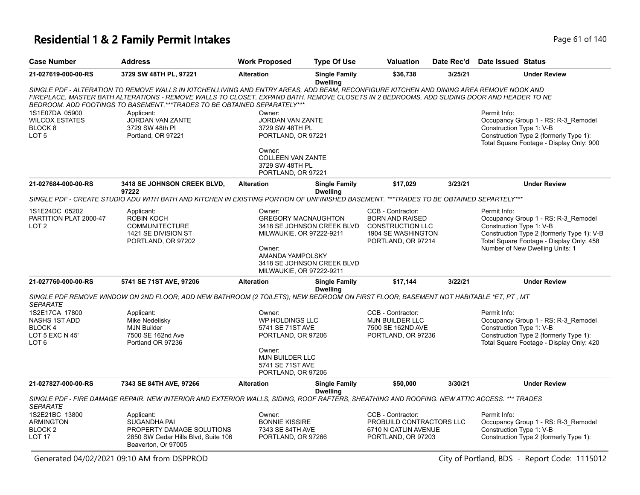# **Residential 1 & 2 Family Permit Intakes Page 61 of 140** Page 61 of 140

| <b>Case Number</b>                                                                | <b>Address</b>                                                                                                                                                                                                                                                                                                                                                    | <b>Work Proposed</b>                                                                                                        | <b>Type Of Use</b>                                       | Valuation                                                                                                          | Date Rec'd | <b>Date Issued Status</b>                                                                                                                                                                                    |
|-----------------------------------------------------------------------------------|-------------------------------------------------------------------------------------------------------------------------------------------------------------------------------------------------------------------------------------------------------------------------------------------------------------------------------------------------------------------|-----------------------------------------------------------------------------------------------------------------------------|----------------------------------------------------------|--------------------------------------------------------------------------------------------------------------------|------------|--------------------------------------------------------------------------------------------------------------------------------------------------------------------------------------------------------------|
| 21-027619-000-00-RS                                                               | 3729 SW 48TH PL, 97221                                                                                                                                                                                                                                                                                                                                            | <b>Alteration</b>                                                                                                           | <b>Single Family</b><br><b>Dwelling</b>                  | \$36,738                                                                                                           | 3/25/21    | <b>Under Review</b>                                                                                                                                                                                          |
|                                                                                   | SINGLE PDF - ALTERATION TO REMOVE WALLS IN KITCHEN,LIVING AND ENTRY AREAS, ADD BEAM, RECONFIGURE KITCHEN AND DINING AREA REMOVE NOOK AND<br>FIREPLACE, MASTER BATH ALTERATIONS - REMOVE WALLS TO CLOSET, EXPAND BATH. REMOVE CLOSETS IN 2 BEDROOMS, ADD SLIDING DOOR AND HEADER TO NE<br>BEDROOM. ADD FOOTINGS TO BASEMENT.***TRADES TO BE OBTAINED SEPARATELY*** |                                                                                                                             |                                                          |                                                                                                                    |            |                                                                                                                                                                                                              |
| 1S1E07DA 05900<br><b>WILCOX ESTATES</b><br>BLOCK 8<br>LOT <sub>5</sub>            | Applicant:<br>JORDAN VAN ZANTE<br>3729 SW 48th PI<br>Portland, OR 97221                                                                                                                                                                                                                                                                                           | Owner:<br><b>JORDAN VAN ZANTE</b><br>3729 SW 48TH PL<br>PORTLAND, OR 97221                                                  |                                                          |                                                                                                                    |            | Permit Info:<br>Occupancy Group 1 - RS: R-3_Remodel<br>Construction Type 1: V-B<br>Construction Type 2 (formerly Type 1):<br>Total Square Footage - Display Only: 900                                        |
|                                                                                   |                                                                                                                                                                                                                                                                                                                                                                   | Owner:<br><b>COLLEEN VAN ZANTE</b><br>3729 SW 48TH PL<br>PORTLAND, OR 97221                                                 |                                                          |                                                                                                                    |            |                                                                                                                                                                                                              |
| 21-027684-000-00-RS                                                               | 3418 SE JOHNSON CREEK BLVD,<br>97222                                                                                                                                                                                                                                                                                                                              | <b>Alteration</b>                                                                                                           | <b>Single Family</b><br><b>Dwelling</b>                  | \$17,029                                                                                                           | 3/23/21    | <b>Under Review</b>                                                                                                                                                                                          |
|                                                                                   | SINGLE PDF - CREATE STUDIO ADU WITH BATH AND KITCHEN IN EXISTING PORTION OF UNFINISHED BASEMENT. ***TRADES TO BE OBTAINED SEPARTELY***                                                                                                                                                                                                                            |                                                                                                                             |                                                          |                                                                                                                    |            |                                                                                                                                                                                                              |
| 1S1E24DC 05202<br>PARTITION PLAT 2000-47<br>LOT <sub>2</sub>                      | Applicant:<br><b>ROBIN KOCH</b><br><b>COMMUNITECTURE</b><br>1421 SE DIVISION ST<br>PORTLAND, OR 97202                                                                                                                                                                                                                                                             | Owner:<br><b>GREGORY MACNAUGHTON</b><br>MILWAUKIE, OR 97222-9211<br>Owner:<br>AMANDA YAMPOLSKY<br>MILWAUKIE, OR 97222-9211  | 3418 SE JOHNSON CREEK BLVD<br>3418 SE JOHNSON CREEK BLVD | CCB - Contractor:<br><b>BORN AND RAISED</b><br><b>CONSTRUCTION LLC</b><br>1904 SE WASHINGTON<br>PORTLAND, OR 97214 |            | Permit Info:<br>Occupancy Group 1 - RS: R-3_Remodel<br>Construction Type 1: V-B<br>Construction Type 2 (formerly Type 1): V-B<br>Total Square Footage - Display Only: 458<br>Number of New Dwelling Units: 1 |
| 21-027760-000-00-RS                                                               | 5741 SE 71ST AVE, 97206                                                                                                                                                                                                                                                                                                                                           | <b>Alteration</b>                                                                                                           | <b>Single Family</b><br><b>Dwelling</b>                  | \$17,144                                                                                                           | 3/22/21    | <b>Under Review</b>                                                                                                                                                                                          |
| <b>SEPARATE</b>                                                                   | SINGLE PDF REMOVE WINDOW ON 2ND FLOOR; ADD NEW BATHROOM (2 TOILETS); NEW BEDROOM ON FIRST FLOOR; BASEMENT NOT HABITABLE *ET, PT, MT                                                                                                                                                                                                                               |                                                                                                                             |                                                          |                                                                                                                    |            |                                                                                                                                                                                                              |
| 1S2E17CA 17800<br>NASHS 1ST ADD<br>BLOCK 4<br>LOT 5 EXC N 45'<br>LOT <sub>6</sub> | Applicant:<br>Mike Nedelisky<br><b>MJN Builder</b><br>7500 SE 162nd Ave<br>Portland OR 97236                                                                                                                                                                                                                                                                      | Owner:<br>WP HOLDINGS LLC<br>5741 SE 71ST AVE<br>PORTLAND, OR 97206<br>Owner:<br><b>MJN BUILDER LLC</b><br>5741 SE 71ST AVE |                                                          | CCB - Contractor:<br><b>MJN BUILDER LLC</b><br>7500 SE 162ND AVE<br>PORTLAND, OR 97236                             |            | Permit Info:<br>Occupancy Group 1 - RS: R-3_Remodel<br>Construction Type 1: V-B<br>Construction Type 2 (formerly Type 1):<br>Total Square Footage - Display Only: 420                                        |
| 21-027827-000-00-RS                                                               | 7343 SE 84TH AVE, 97266                                                                                                                                                                                                                                                                                                                                           | PORTLAND, OR 97206<br><b>Alteration</b>                                                                                     | <b>Single Family</b>                                     | \$50,000                                                                                                           | 3/30/21    | <b>Under Review</b>                                                                                                                                                                                          |
|                                                                                   | SINGLE PDF - FIRE DAMAGE REPAIR. NEW INTERIOR AND EXTERIOR WALLS, SIDING, ROOF RAFTERS, SHEATHING AND ROOFING. NEW ATTIC ACCESS. *** TRADES                                                                                                                                                                                                                       |                                                                                                                             | <b>Dwelling</b>                                          |                                                                                                                    |            |                                                                                                                                                                                                              |
| <b>SEPARATE</b>                                                                   |                                                                                                                                                                                                                                                                                                                                                                   |                                                                                                                             |                                                          |                                                                                                                    |            |                                                                                                                                                                                                              |
| 1S2E21BC 13800<br><b>ARMINGTON</b><br>BLOCK <sub>2</sub><br><b>LOT 17</b>         | Applicant:<br><b>SUGANDHA PAI</b><br>PROPERTY DAMAGE SOLUTIONS<br>2850 SW Cedar Hills Blvd, Suite 106<br>Beaverton, Or 97005                                                                                                                                                                                                                                      | Owner:<br><b>BONNIE KISSIRE</b><br>7343 SE 84TH AVE<br>PORTLAND, OR 97266                                                   |                                                          | CCB - Contractor:<br>PROBUILD CONTRACTORS LLC<br>6710 N CATLIN AVENUE<br>PORTLAND, OR 97203                        |            | Permit Info:<br>Occupancy Group 1 - RS: R-3_Remodel<br>Construction Type 1: V-B<br>Construction Type 2 (formerly Type 1):                                                                                    |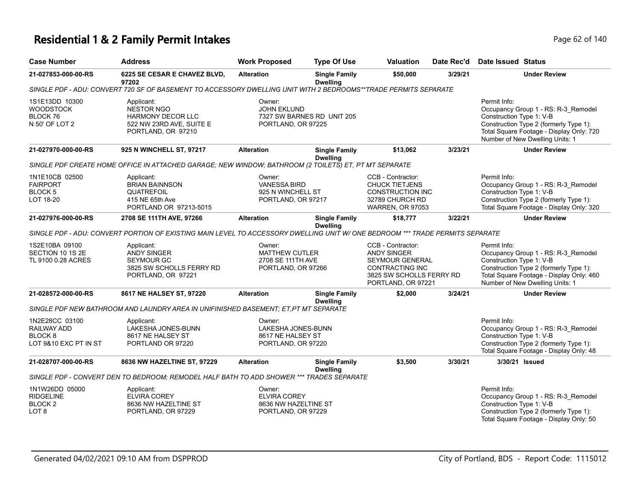# **Residential 1 & 2 Family Permit Intakes Page 62 of 140** Page 62 of 140

| <b>Case Number</b>                                                           | Address                                                                                                                       | <b>Work Proposed</b>                                                        | <b>Type Of Use</b>                      | <b>Valuation</b>                                                                                                                       | Date Rec'd | Date Issued Status                                                                                                                                                                                       |
|------------------------------------------------------------------------------|-------------------------------------------------------------------------------------------------------------------------------|-----------------------------------------------------------------------------|-----------------------------------------|----------------------------------------------------------------------------------------------------------------------------------------|------------|----------------------------------------------------------------------------------------------------------------------------------------------------------------------------------------------------------|
| 21-027853-000-00-RS                                                          | 6225 SE CESAR E CHAVEZ BLVD,<br>97202                                                                                         | <b>Alteration</b>                                                           | <b>Single Family</b><br><b>Dwelling</b> | \$50,000                                                                                                                               | 3/29/21    | <b>Under Review</b>                                                                                                                                                                                      |
|                                                                              | SINGLE PDF - ADU: CONVERT 720 SF OF BASEMENT TO ACCESSORY DWELLING UNIT WITH 2 BEDROOMS**TRADE PERMITS SEPARATE               |                                                                             |                                         |                                                                                                                                        |            |                                                                                                                                                                                                          |
| 1S1E13DD 10300<br><b>WOODSTOCK</b><br>BLOCK 76<br>N 50' OF LOT 2             | Applicant:<br><b>NESTOR NGO</b><br><b>HARMONY DECOR LLC</b><br>522 NW 23RD AVE, SUITE E<br>PORTLAND, OR 97210                 | Owner:<br><b>JOHN EKLUND</b><br>PORTLAND, OR 97225                          | 7327 SW BARNES RD UNIT 205              |                                                                                                                                        |            | Permit Info:<br>Occupancy Group 1 - RS: R-3_Remodel<br>Construction Type 1: V-B<br>Construction Type 2 (formerly Type 1):<br>Total Square Footage - Display Only: 720<br>Number of New Dwelling Units: 1 |
| 21-027970-000-00-RS                                                          | 925 N WINCHELL ST, 97217                                                                                                      | <b>Alteration</b>                                                           | <b>Single Family</b><br><b>Dwelling</b> | \$13,062                                                                                                                               | 3/23/21    | <b>Under Review</b>                                                                                                                                                                                      |
|                                                                              | SINGLE PDF CREATE HOME OFFICE IN ATTACHED GARAGE; NEW WINDOW; BATHROOM (2 TOILETS) ET, PT MT SEPARATE                         |                                                                             |                                         |                                                                                                                                        |            |                                                                                                                                                                                                          |
| 1N1E10CB 02500<br><b>FAIRPORT</b><br>BLOCK <sub>5</sub><br>LOT 18-20         | Applicant:<br><b>BRIAN BAINNSON</b><br>QUATREFOIL<br>415 NE 65th Ave<br>PORTLAND OR 97213-5015                                | Owner:<br><b>VANESSA BIRD</b><br>925 N WINCHELL ST<br>PORTLAND, OR 97217    |                                         | CCB - Contractor:<br><b>CHUCK TIETJENS</b><br><b>CONSTRUCTION INC</b><br>32789 CHURCH RD<br><b>WARREN, OR 97053</b>                    |            | Permit Info:<br>Occupancy Group 1 - RS: R-3_Remodel<br>Construction Type 1: V-B<br>Construction Type 2 (formerly Type 1):<br>Total Square Footage - Display Only: 320                                    |
| 21-027976-000-00-RS                                                          | 2708 SE 111TH AVE, 97266                                                                                                      | <b>Alteration</b>                                                           | <b>Single Family</b><br><b>Dwelling</b> | \$18,777                                                                                                                               | 3/22/21    | <b>Under Review</b>                                                                                                                                                                                      |
|                                                                              | SINGLE PDF - ADU: CONVERT PORTION OF EXISTING MAIN LEVEL TO ACCESSORY DWELLING UNIT W/ ONE BEDROOM *** TRADE PERMITS SEPARATE |                                                                             |                                         |                                                                                                                                        |            |                                                                                                                                                                                                          |
| 1S2E10BA 09100<br>SECTION 10 1S 2E<br>TL 9100 0.28 ACRES                     | Applicant:<br><b>ANDY SINGER</b><br>SEYMOUR GC<br>3825 SW SCHOLLS FERRY RD<br>PORTLAND, OR 97221                              | Owner:<br><b>MATTHEW CUTLER</b><br>2708 SE 111TH AVE<br>PORTLAND, OR 97266  |                                         | CCB - Contractor:<br><b>ANDY SINGER</b><br>SEYMOUR GENERAL<br><b>CONTRACTING INC</b><br>3825 SW SCHOLLS FERRY RD<br>PORTLAND, OR 97221 |            | Permit Info:<br>Occupancy Group 1 - RS: R-3_Remodel<br>Construction Type 1: V-B<br>Construction Type 2 (formerly Type 1):<br>Total Square Footage - Display Only: 460<br>Number of New Dwelling Units: 1 |
| 21-028572-000-00-RS                                                          | 8617 NE HALSEY ST, 97220                                                                                                      | <b>Alteration</b>                                                           | <b>Single Family</b><br><b>Dwelling</b> | \$2,000                                                                                                                                | 3/24/21    | <b>Under Review</b>                                                                                                                                                                                      |
|                                                                              | SINGLE PDF NEW BATHROOM AND LAUNDRY AREA IN UNIFINISHED BASEMENT: ET.PT MT SEPARATE                                           |                                                                             |                                         |                                                                                                                                        |            |                                                                                                                                                                                                          |
| 1N2E28CC 03100<br>RAILWAY ADD<br>BLOCK 8<br>LOT 9&10 EXC PT IN ST            | Applicant:<br>LAKESHA JONES-BUNN<br>8617 NE HALSEY ST<br>PORTLAND OR 97220                                                    | Owner:<br>LAKESHA JONES-BUNN<br>8617 NE HALSEY ST<br>PORTLAND, OR 97220     |                                         |                                                                                                                                        |            | Permit Info:<br>Occupancy Group 1 - RS: R-3_Remodel<br>Construction Type 1: V-B<br>Construction Type 2 (formerly Type 1):<br>Total Square Footage - Display Only: 48                                     |
| 21-028707-000-00-RS                                                          | 8636 NW HAZELTINE ST, 97229                                                                                                   | <b>Alteration</b>                                                           | <b>Single Family</b><br><b>Dwelling</b> | \$3,500                                                                                                                                | 3/30/21    | 3/30/21 Issued                                                                                                                                                                                           |
|                                                                              | SINGLE PDF - CONVERT DEN TO BEDROOM; REMODEL HALF BATH TO ADD SHOWER *** TRADES SEPARATE                                      |                                                                             |                                         |                                                                                                                                        |            |                                                                                                                                                                                                          |
| 1N1W26DD 05000<br><b>RIDGELINE</b><br>BLOCK <sub>2</sub><br>LOT <sub>8</sub> | Applicant:<br><b>ELVIRA COREY</b><br>8636 NW HAZELTINE ST<br>PORTLAND, OR 97229                                               | Owner:<br><b>ELVIRA COREY</b><br>8636 NW HAZELTINE ST<br>PORTLAND, OR 97229 |                                         |                                                                                                                                        |            | Permit Info:<br>Occupancy Group 1 - RS: R-3_Remodel<br>Construction Type 1: V-B<br>Construction Type 2 (formerly Type 1):<br>Total Square Footage - Display Only: 50                                     |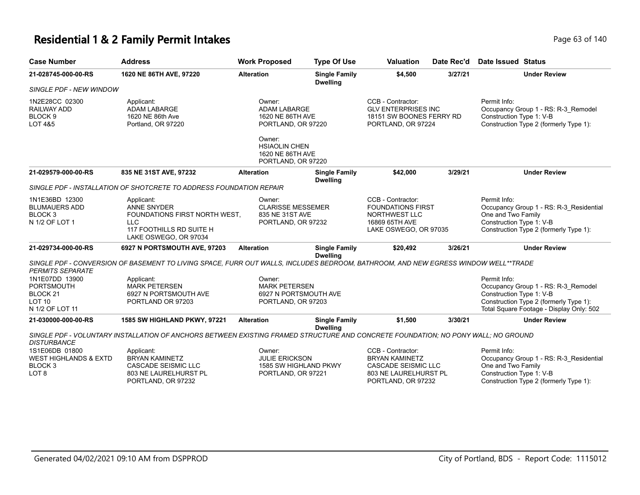#### **Residential 1 & 2 Family Permit Intakes Page 140** Page 63 of 140

| <b>Case Number</b>                                                                           | <b>Address</b>                                                                                                                       | <b>Work Proposed</b>                                                              | <b>Type Of Use</b>                      | <b>Valuation</b>                                                                                          | Date Rec'd | <b>Date Issued Status</b>                                                                                                                           |
|----------------------------------------------------------------------------------------------|--------------------------------------------------------------------------------------------------------------------------------------|-----------------------------------------------------------------------------------|-----------------------------------------|-----------------------------------------------------------------------------------------------------------|------------|-----------------------------------------------------------------------------------------------------------------------------------------------------|
| 21-028745-000-00-RS                                                                          | 1620 NE 86TH AVE, 97220                                                                                                              | <b>Alteration</b>                                                                 | <b>Single Family</b><br><b>Dwelling</b> | \$4,500                                                                                                   | 3/27/21    | <b>Under Review</b>                                                                                                                                 |
| SINGLE PDF - NEW WINDOW                                                                      |                                                                                                                                      |                                                                                   |                                         |                                                                                                           |            |                                                                                                                                                     |
| 1N2E28CC 02300<br><b>RAILWAY ADD</b><br>BLOCK <sub>9</sub><br><b>LOT 4&amp;5</b>             | Applicant:<br><b>ADAM LABARGE</b><br>1620 NE 86th Ave<br>Portland, OR 97220                                                          | Owner:<br><b>ADAM LABARGE</b><br>1620 NE 86TH AVE<br>PORTLAND, OR 97220<br>Owner: |                                         | CCB - Contractor:<br><b>GLV ENTERPRISES INC</b><br>18151 SW BOONES FERRY RD<br>PORTLAND, OR 97224         |            | Permit Info:<br>Occupancy Group 1 - RS: R-3_Remodel<br>Construction Type 1: V-B<br>Construction Type 2 (formerly Type 1):                           |
|                                                                                              |                                                                                                                                      | <b>HSIAOLIN CHEN</b><br>1620 NE 86TH AVE<br>PORTLAND, OR 97220                    |                                         |                                                                                                           |            |                                                                                                                                                     |
| 21-029579-000-00-RS                                                                          | 835 NE 31ST AVE, 97232                                                                                                               | <b>Alteration</b>                                                                 | <b>Single Family</b><br><b>Dwelling</b> | \$42,000                                                                                                  | 3/29/21    | <b>Under Review</b>                                                                                                                                 |
|                                                                                              | SINGLE PDF - INSTALLATION OF SHOTCRETE TO ADDRESS FOUNDATION REPAIR                                                                  |                                                                                   |                                         |                                                                                                           |            |                                                                                                                                                     |
| 1N1E36BD 12300<br><b>BLUMAUERS ADD</b><br>BLOCK <sub>3</sub><br>N 1/2 OF LOT 1               | Applicant:<br><b>ANNE SNYDER</b><br>FOUNDATIONS FIRST NORTH WEST.<br><b>LLC</b><br>117 FOOTHILLS RD SUITE H<br>LAKE OSWEGO, OR 97034 | Owner:<br><b>CLARISSE MESSEMER</b><br>835 NE 31ST AVE<br>PORTLAND, OR 97232       |                                         | CCB - Contractor:<br><b>FOUNDATIONS FIRST</b><br>NORTHWEST LLC<br>16869 65TH AVE<br>LAKE OSWEGO, OR 97035 |            | Permit Info:<br>Occupancy Group 1 - RS: R-3 Residential<br>One and Two Family<br>Construction Type 1: V-B<br>Construction Type 2 (formerly Type 1): |
| 21-029734-000-00-RS                                                                          | 6927 N PORTSMOUTH AVE, 97203                                                                                                         | <b>Alteration</b>                                                                 | <b>Single Family</b><br><b>Dwelling</b> | \$20,492                                                                                                  | 3/26/21    | <b>Under Review</b>                                                                                                                                 |
| <b>PERMITS SEPARATE</b>                                                                      | SINGLE PDF - CONVERSION OF BASEMENT TO LIVING SPACE, FURR OUT WALLS, INCLUDES BEDROOM, BATHROOM, AND NEW EGRESS WINDOW WELL**TRADE   |                                                                                   |                                         |                                                                                                           |            |                                                                                                                                                     |
| 1N1E07DD 13900<br><b>PORTSMOUTH</b>                                                          | Applicant:<br><b>MARK PETERSEN</b>                                                                                                   | Owner:<br><b>MARK PETERSEN</b>                                                    |                                         |                                                                                                           |            | Permit Info:<br>Occupancy Group 1 - RS: R-3 Remodel                                                                                                 |
| BLOCK <sub>21</sub><br>LOT <sub>10</sub><br>N 1/2 OF LOT 11                                  | 6927 N PORTSMOUTH AVE<br>PORTLAND OR 97203                                                                                           | PORTLAND, OR 97203                                                                | 6927 N PORTSMOUTH AVE                   |                                                                                                           |            | Construction Type 1: V-B<br>Construction Type 2 (formerly Type 1):<br>Total Square Footage - Display Only: 502                                      |
| 21-030000-000-00-RS                                                                          | 1585 SW HIGHLAND PKWY, 97221                                                                                                         | <b>Alteration</b>                                                                 | <b>Single Family</b><br><b>Dwelling</b> | \$1,500                                                                                                   | 3/30/21    | <b>Under Review</b>                                                                                                                                 |
| <b>DISTURBANCE</b>                                                                           | SINGLE PDF - VOLUNTARY INSTALLATION OF ANCHORS BETWEEN EXISTING FRAMED STRUCTURE AND CONCRETE FOUNDATION; NO PONY WALL; NO GROUND    |                                                                                   |                                         |                                                                                                           |            |                                                                                                                                                     |
| 1S1E06DB 01800<br><b>WEST HIGHLANDS &amp; EXTD</b><br>BLOCK <sub>3</sub><br>LOT <sub>8</sub> | Applicant:<br><b>BRYAN KAMINETZ</b><br><b>CASCADE SEISMIC LLC</b><br>803 NE LAURELHURST PL                                           | Owner:<br><b>JULIE ERICKSON</b><br>PORTLAND, OR 97221                             | 1585 SW HIGHLAND PKWY                   | CCB - Contractor:<br><b>BRYAN KAMINETZ</b><br><b>CASCADE SEISMIC LLC</b><br>803 NE LAURELHURST PL         |            | Permit Info:<br>Occupancy Group 1 - RS: R-3 Residential<br>One and Two Family<br>Construction Type 1: V-B                                           |

PORTLAND, OR 97232

PORTLAND, OR 97232

Construction Type 2 (formerly Type 1):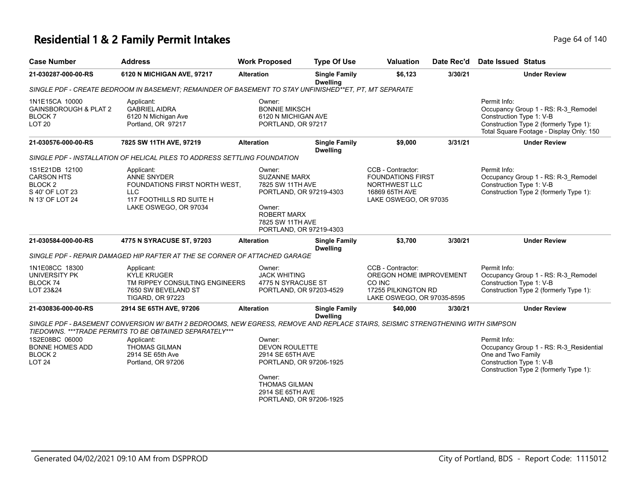# **Residential 1 & 2 Family Permit Intakes Page 64 of 140** Page 64 of 140

| <b>Case Number</b>                                                                              | <b>Address</b>                                                                                                                                                                                                                                                             | <b>Work Proposed</b>                                                                                                                                            | <b>Type Of Use</b>                      | <b>Valuation</b>                                                                                            | Date Rec'd | <b>Date Issued Status</b>                                                                                                                                             |
|-------------------------------------------------------------------------------------------------|----------------------------------------------------------------------------------------------------------------------------------------------------------------------------------------------------------------------------------------------------------------------------|-----------------------------------------------------------------------------------------------------------------------------------------------------------------|-----------------------------------------|-------------------------------------------------------------------------------------------------------------|------------|-----------------------------------------------------------------------------------------------------------------------------------------------------------------------|
| 21-030287-000-00-RS                                                                             | 6120 N MICHIGAN AVE, 97217                                                                                                                                                                                                                                                 | <b>Alteration</b>                                                                                                                                               | <b>Single Family</b><br><b>Dwelling</b> | \$6,123                                                                                                     | 3/30/21    | <b>Under Review</b>                                                                                                                                                   |
|                                                                                                 | SINGLE PDF - CREATE BEDROOM IN BASEMENT; REMAINDER OF BASEMENT TO STAY UNFINISHED**ET, PT, MT SEPARATE                                                                                                                                                                     |                                                                                                                                                                 |                                         |                                                                                                             |            |                                                                                                                                                                       |
| 1N1E15CA 10000<br><b>GAINSBOROUGH &amp; PLAT 2</b><br><b>BLOCK7</b><br><b>LOT 20</b>            | Applicant:<br><b>GABRIEL AIDRA</b><br>6120 N Michigan Ave<br>Portland, OR 97217                                                                                                                                                                                            | Owner:<br><b>BONNIE MIKSCH</b><br>6120 N MICHIGAN AVE<br>PORTLAND, OR 97217                                                                                     |                                         |                                                                                                             |            | Permit Info:<br>Occupancy Group 1 - RS: R-3_Remodel<br>Construction Type 1: V-B<br>Construction Type 2 (formerly Type 1):<br>Total Square Footage - Display Only: 150 |
| 21-030576-000-00-RS                                                                             | 7825 SW 11TH AVE, 97219                                                                                                                                                                                                                                                    | <b>Alteration</b>                                                                                                                                               | <b>Single Family</b><br><b>Dwelling</b> | \$9,000                                                                                                     | 3/31/21    | <b>Under Review</b>                                                                                                                                                   |
|                                                                                                 | SINGLE PDF - INSTALLATION OF HELICAL PILES TO ADDRESS SETTLING FOUNDATION                                                                                                                                                                                                  |                                                                                                                                                                 |                                         |                                                                                                             |            |                                                                                                                                                                       |
| 1S1E21DB 12100<br><b>CARSON HTS</b><br>BLOCK <sub>2</sub><br>S 40' OF LOT 23<br>N 13' OF LOT 24 | Applicant:<br><b>ANNE SNYDER</b><br>FOUNDATIONS FIRST NORTH WEST,<br><b>LLC</b><br>117 FOOTHILLS RD SUITE H<br>LAKE OSWEGO, OR 97034                                                                                                                                       | Owner:<br><b>SUZANNE MARX</b><br>7825 SW 11TH AVE<br>PORTLAND, OR 97219-4303<br>Owner:<br><b>ROBERT MARX</b><br>7825 SW 11TH AVE<br>PORTLAND, OR 97219-4303     |                                         | CCB - Contractor:<br><b>FOUNDATIONS FIRST</b><br>NORTHWEST LLC<br>16869 65TH AVE<br>LAKE OSWEGO, OR 97035   |            | Permit Info:<br>Occupancy Group 1 - RS: R-3_Remodel<br>Construction Type 1: V-B<br>Construction Type 2 (formerly Type 1):                                             |
| 21-030584-000-00-RS                                                                             | 4775 N SYRACUSE ST, 97203                                                                                                                                                                                                                                                  | <b>Alteration</b>                                                                                                                                               | <b>Single Family</b><br><b>Dwelling</b> | \$3,700                                                                                                     | 3/30/21    | <b>Under Review</b>                                                                                                                                                   |
|                                                                                                 | SINGLE PDF - REPAIR DAMAGED HIP RAFTER AT THE SE CORNER OF ATTACHED GARAGE                                                                                                                                                                                                 |                                                                                                                                                                 |                                         |                                                                                                             |            |                                                                                                                                                                       |
| 1N1E08CC 18300<br>UNIVERSITY PK<br>BLOCK 74<br>LOT 23&24                                        | Applicant:<br><b>KYLE KRUGER</b><br>TM RIPPEY CONSULTING ENGINEERS<br>7650 SW BEVELAND ST<br><b>TIGARD, OR 97223</b>                                                                                                                                                       | Owner:<br><b>JACK WHITING</b><br>4775 N SYRACUSE ST<br>PORTLAND, OR 97203-4529                                                                                  |                                         | CCB - Contractor:<br>OREGON HOME IMPROVEMENT<br>CO INC<br>17255 PILKINGTON RD<br>LAKE OSWEGO, OR 97035-8595 |            | Permit Info:<br>Occupancy Group 1 - RS: R-3_Remodel<br>Construction Type 1: V-B<br>Construction Type 2 (formerly Type 1):                                             |
| 21-030836-000-00-RS                                                                             | 2914 SE 65TH AVE, 97206                                                                                                                                                                                                                                                    | <b>Alteration</b>                                                                                                                                               | <b>Single Family</b><br><b>Dwelling</b> | \$40,000                                                                                                    | 3/30/21    | <b>Under Review</b>                                                                                                                                                   |
| 1S2E08BC 06000<br>BONNE HOMES ADD<br>BLOCK 2<br><b>LOT 24</b>                                   | SINGLE PDF - BASEMENT CONVERSION W/ BATH 2 BEDROOMS, NEW EGRESS, REMOVE AND REPLACE STAIRS, SEISMIC STRENGTHENING WITH SIMPSON<br>TIEDOWNS. *** TRADE PERMITS TO BE OBTAINED SEPARATELY***<br>Applicant:<br><b>THOMAS GILMAN</b><br>2914 SE 65th Ave<br>Portland, OR 97206 | Owner:<br><b>DEVON ROULETTE</b><br>2914 SE 65TH AVE<br>PORTLAND, OR 97206-1925<br>Owner:<br><b>THOMAS GILMAN</b><br>2914 SE 65TH AVE<br>PORTLAND, OR 97206-1925 |                                         |                                                                                                             |            | Permit Info:<br>Occupancy Group 1 - RS: R-3_Residential<br>One and Two Family<br>Construction Type 1: V-B<br>Construction Type 2 (formerly Type 1):                   |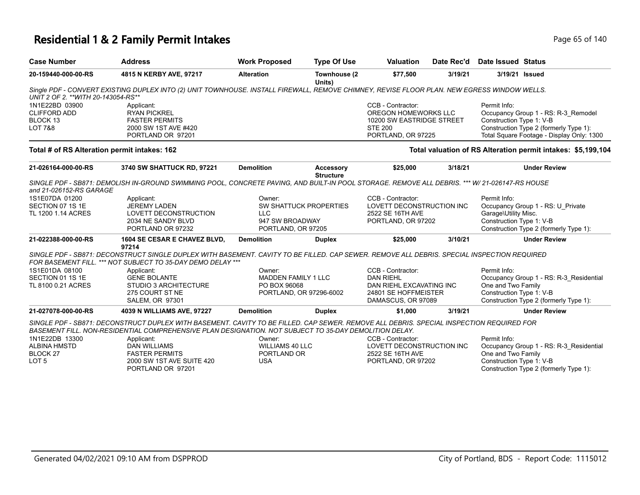### **Residential 1 & 2 Family Permit Intakes Page 140** Page 65 of 140

| <b>Case Number</b>                                                           | <b>Address</b>                                                                                                                                                                                                                                     | <b>Work Proposed</b>                                                            | <b>Type Of Use</b>                   | <b>Valuation</b>                                                                                                | Date Rec'd | <b>Date Issued Status</b>                                        |                                                                                                                            |
|------------------------------------------------------------------------------|----------------------------------------------------------------------------------------------------------------------------------------------------------------------------------------------------------------------------------------------------|---------------------------------------------------------------------------------|--------------------------------------|-----------------------------------------------------------------------------------------------------------------|------------|------------------------------------------------------------------|----------------------------------------------------------------------------------------------------------------------------|
| 20-159440-000-00-RS                                                          | 4815 N KERBY AVE, 97217                                                                                                                                                                                                                            | <b>Alteration</b>                                                               | Townhouse (2<br>Units)               | \$77,500                                                                                                        | 3/19/21    |                                                                  | 3/19/21 Issued                                                                                                             |
| UNIT 2 OF 2. ** WITH 20-143054-RS**                                          | Single PDF - CONVERT EXISTING DUPLEX INTO (2) UNIT TOWNHOUSE. INSTALL FIREWALL, REMOVE CHIMNEY, REVISE FLOOR PLAN. NEW EGRESS WINDOW WELLS.                                                                                                        |                                                                                 |                                      |                                                                                                                 |            |                                                                  |                                                                                                                            |
| 1N1E22BD 03900<br><b>CLIFFORD ADD</b><br>BLOCK 13<br><b>LOT 7&amp;8</b>      | Applicant:<br><b>RYAN PICKREL</b><br><b>FASTER PERMITS</b><br>2000 SW 1ST AVE #420<br>PORTLAND OR 97201                                                                                                                                            |                                                                                 |                                      | CCB - Contractor:<br>OREGON HOMEWORKS LLC<br>10200 SW EASTRIDGE STREET<br><b>STE 200</b><br>PORTLAND, OR 97225  |            | Permit Info:<br>Construction Type 1: V-B                         | Occupancy Group 1 - RS: R-3 Remodel<br>Construction Type 2 (formerly Type 1):<br>Total Square Footage - Display Only: 1300 |
| Total # of RS Alteration permit intakes: 162                                 |                                                                                                                                                                                                                                                    |                                                                                 |                                      |                                                                                                                 |            |                                                                  | Total valuation of RS Alteration permit intakes: \$5,199,104                                                               |
| 21-026164-000-00-RS                                                          | 3740 SW SHATTUCK RD, 97221                                                                                                                                                                                                                         | <b>Demolition</b>                                                               | <b>Accessory</b><br><b>Structure</b> | \$25,000                                                                                                        | 3/18/21    |                                                                  | <b>Under Review</b>                                                                                                        |
| and 21-026152-RS GARAGE                                                      | SINGLE PDF - SB871: DEMOLISH IN-GROUND SWIMMING POOL, CONCRETE PAVING, AND BUILT-IN POOL STORAGE. REMOVE ALL DEBRIS. *** W/ 21-026147-RS HOUSE                                                                                                     |                                                                                 |                                      |                                                                                                                 |            |                                                                  |                                                                                                                            |
| 1S1E07DA 01200<br>SECTION 07 1S 1E<br>TL 1200 1.14 ACRES                     | Applicant:<br><b>JEREMY LADEN</b><br>LOVETT DECONSTRUCTION<br>2034 NE SANDY BLVD<br>PORTLAND OR 97232                                                                                                                                              | Owner:<br><b>LLC</b><br>947 SW BROADWAY<br>PORTLAND, OR 97205                   | <b>SW SHATTUCK PROPERTIES</b>        | CCB - Contractor:<br>LOVETT DECONSTRUCTION INC<br>2522 SE 16TH AVE<br>PORTLAND, OR 97202                        |            | Permit Info:<br>Garage\Utility Misc.<br>Construction Type 1: V-B | Occupancy Group 1 - RS: U_Private<br>Construction Type 2 (formerly Type 1):                                                |
| 21-022388-000-00-RS                                                          | 1604 SE CESAR E CHAVEZ BLVD,<br>97214                                                                                                                                                                                                              | <b>Demolition</b>                                                               | <b>Duplex</b>                        | \$25,000                                                                                                        | 3/10/21    |                                                                  | <b>Under Review</b>                                                                                                        |
|                                                                              | SINGLE PDF - SB871: DECONSTRUCT SINGLE DUPLEX WITH BASEMENT. CAVITY TO BE FILLED. CAP SEWER. REMOVE ALL DEBRIS. SPECIAL INSPECTION REQUIRED<br>FOR BASEMENT FILL. *** NOT SUBJECT TO 35-DAY DEMO DELAY ***                                         |                                                                                 |                                      |                                                                                                                 |            |                                                                  |                                                                                                                            |
| 1S1E01DA 08100<br>SECTION 01 1S 1E<br>TL 8100 0.21 ACRES                     | Applicant:<br><b>GENE BOLANTE</b><br>STUDIO 3 ARCHITECTURE<br>275 COURT ST NE<br><b>SALEM, OR 97301</b>                                                                                                                                            | Owner:<br><b>MADDEN FAMILY 1 LLC</b><br>PO BOX 96068<br>PORTLAND, OR 97296-6002 |                                      | CCB - Contractor:<br><b>DAN RIEHL</b><br>DAN RIEHL EXCAVATING INC<br>24801 SE HOFFMEISTER<br>DAMASCUS, OR 97089 |            | Permit Info:<br>One and Two Family<br>Construction Type 1: V-B   | Occupancy Group 1 - RS: R-3 Residential<br>Construction Type 2 (formerly Type 1):                                          |
| 21-027078-000-00-RS                                                          | 4039 N WILLIAMS AVE, 97227                                                                                                                                                                                                                         | <b>Demolition</b>                                                               | <b>Duplex</b>                        | \$1,000                                                                                                         | 3/19/21    |                                                                  | <b>Under Review</b>                                                                                                        |
|                                                                              | SINGLE PDF - SB871: DECONSTRUCT DUPLEX WITH BASEMENT. CAVITY TO BE FILLED. CAP SEWER. REMOVE ALL DEBRIS. SPECIAL INSPECTION REQUIRED FOR<br>BASEMENT FILL. NON-RESIDENTIAL COMPREHENSIVE PLAN DESIGNATION. NOT SUBJECT TO 35-DAY DEMOLITION DELAY. |                                                                                 |                                      |                                                                                                                 |            |                                                                  |                                                                                                                            |
| 1N1E22DB 13300<br><b>ALBINA HMSTD</b><br><b>BLOCK 27</b><br>LOT <sub>5</sub> | Applicant:<br><b>DAN WILLIAMS</b><br><b>FASTER PERMITS</b><br>2000 SW 1ST AVE SUITE 420<br>PORTLAND OR 97201                                                                                                                                       | Owner:<br><b>WILLIAMS 40 LLC</b><br>PORTLAND OR<br><b>USA</b>                   |                                      | CCB - Contractor:<br>LOVETT DECONSTRUCTION INC<br>2522 SE 16TH AVE<br>PORTLAND, OR 97202                        |            | Permit Info:<br>One and Two Family<br>Construction Type 1: V-B   | Occupancy Group 1 - RS: R-3_Residential<br>Construction Type 2 (formerly Type 1):                                          |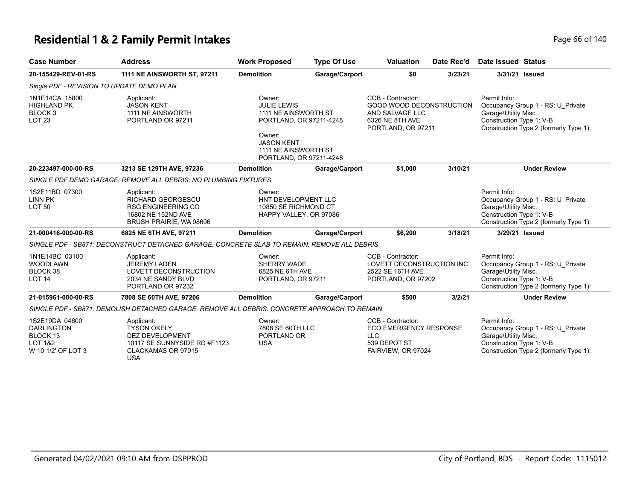# **Residential 1 & 2 Family Permit Intakes Page 140** Page 66 of 140

| <b>Case Number</b>                                                                          | <b>Address</b>                                                                                                                 | <b>Work Proposed</b>                                                                                                                                              | <b>Type Of Use</b> | <b>Valuation</b>                                                                                                 | Date Rec'd | <b>Date Issued Status</b>                                                                                                                       |  |  |  |
|---------------------------------------------------------------------------------------------|--------------------------------------------------------------------------------------------------------------------------------|-------------------------------------------------------------------------------------------------------------------------------------------------------------------|--------------------|------------------------------------------------------------------------------------------------------------------|------------|-------------------------------------------------------------------------------------------------------------------------------------------------|--|--|--|
| 20-155429-REV-01-RS                                                                         | <b>1111 NE AINSWORTH ST, 97211</b>                                                                                             | <b>Demolition</b>                                                                                                                                                 | Garage/Carport     | \$0                                                                                                              | 3/23/21    | 3/31/21 Issued                                                                                                                                  |  |  |  |
| Single PDF - REVISION TO UPDATE DEMO PLAN                                                   |                                                                                                                                |                                                                                                                                                                   |                    |                                                                                                                  |            |                                                                                                                                                 |  |  |  |
| 1N1E14CA 15800<br><b>HIGHLAND PK</b><br>BLOCK <sub>3</sub><br><b>LOT 23</b>                 | Applicant:<br><b>JASON KENT</b><br>1111 NE AINSWORTH<br>PORTLAND OR 97211                                                      | Owner:<br><b>JULIE LEWIS</b><br>1111 NE AINSWORTH ST<br>PORTLAND, OR 97211-4248<br>Owner:<br><b>JASON KENT</b><br>1111 NE AINSWORTH ST<br>PORTLAND, OR 97211-4248 |                    | CCB - Contractor:<br><b>GOOD WOOD DECONSTRUCTION</b><br>AND SALVAGE LLC<br>6326 NE 8TH AVE<br>PORTLAND, OR 97211 |            | Permit Info:<br>Occupancy Group 1 - RS: U_Private<br>Garage\Utility Misc.<br>Construction Type 1: V-B<br>Construction Type 2 (formerly Type 1): |  |  |  |
| 20-223497-000-00-RS                                                                         | 3213 SE 129TH AVE, 97236                                                                                                       | <b>Demolition</b>                                                                                                                                                 | Garage/Carport     | \$1,000                                                                                                          | 3/10/21    | <b>Under Review</b>                                                                                                                             |  |  |  |
| SINGLE PDF DEMO GARAGE: REMOVE ALL DEBRIS: NO PLUMBING FIXTURES                             |                                                                                                                                |                                                                                                                                                                   |                    |                                                                                                                  |            |                                                                                                                                                 |  |  |  |
| 1S2E11BD 07300<br><b>LINN PK</b><br><b>LOT 50</b>                                           | Applicant:<br>RICHARD GEORGESCU<br><b>RSG ENGINEERING CO</b><br>16802 NE 152ND AVE<br>BRUSH PRAIRIE, WA 98606                  | Owner:<br>HNT DEVELOPMENT LLC<br>10850 SE RICHMOND CT<br>HAPPY VALLEY, OR 97086                                                                                   |                    |                                                                                                                  |            | Permit Info:<br>Occupancy Group 1 - RS: U Private<br>Garage\Utility Misc.<br>Construction Type 1: V-B<br>Construction Type 2 (formerly Type 1): |  |  |  |
| 21-000416-000-00-RS                                                                         | 6825 NE 6TH AVE, 97211                                                                                                         | <b>Demolition</b>                                                                                                                                                 | Garage/Carport     | \$6,200                                                                                                          | 3/18/21    | 3/29/21 Issued                                                                                                                                  |  |  |  |
|                                                                                             | SINGLE PDF - SB871: DECONSTRUCT DETACHED GARAGE. CONCRETE SLAB TO REMAIN. REMOVE ALL DEBRIS.                                   |                                                                                                                                                                   |                    |                                                                                                                  |            |                                                                                                                                                 |  |  |  |
| 1N1E14BC 03100<br><b>WOODLAWN</b><br>BLOCK 38<br><b>LOT 14</b>                              | Applicant:<br><b>JEREMY LADEN</b><br>LOVETT DECONSTRUCTION<br>2034 NE SANDY BLVD<br>PORTLAND OR 97232                          | Owner:<br>SHERRY WADE<br>6825 NE 6TH AVE<br>PORTLAND, OR 97211                                                                                                    |                    | CCB - Contractor:<br>LOVETT DECONSTRUCTION INC<br>2522 SE 16TH AVE<br>PORTLAND, OR 97202                         |            | Permit Info:<br>Occupancy Group 1 - RS: U_Private<br>Garage\Utility Misc.<br>Construction Type 1: V-B<br>Construction Type 2 (formerly Type 1): |  |  |  |
| 21-015961-000-00-RS                                                                         | 7808 SE 60TH AVE, 97206                                                                                                        | <b>Demolition</b>                                                                                                                                                 | Garage/Carport     | \$500                                                                                                            | 3/2/21     | <b>Under Review</b>                                                                                                                             |  |  |  |
|                                                                                             | SINGLE PDF - SB871: DEMOLISH DETACHED GARAGE. REMOVE ALL DEBRIS. CONCRETE APPROACH TO REMAIN.                                  |                                                                                                                                                                   |                    |                                                                                                                  |            |                                                                                                                                                 |  |  |  |
| 1S2E19DA 04600<br><b>DARLINGTON</b><br>BLOCK 13<br><b>LOT 1&amp;2</b><br>W 10 1/2' OF LOT 3 | Applicant:<br><b>TYSON OKELY</b><br><b>DEZ DEVELOPMENT</b><br>10117 SE SUNNYSIDE RD #F1123<br>CLACKAMAS OR 97015<br><b>USA</b> | Owner:<br>7808 SE 60TH LLC<br>PORTLAND OR<br><b>USA</b>                                                                                                           |                    | CCB - Contractor:<br><b>ECO EMERGENCY RESPONSE</b><br><b>LLC</b><br>539 DEPOT ST<br>FAIRVIEW, OR 97024           |            | Permit Info:<br>Occupancy Group 1 - RS: U_Private<br>Garage\Utility Misc.<br>Construction Type 1: V-B<br>Construction Type 2 (formerly Type 1): |  |  |  |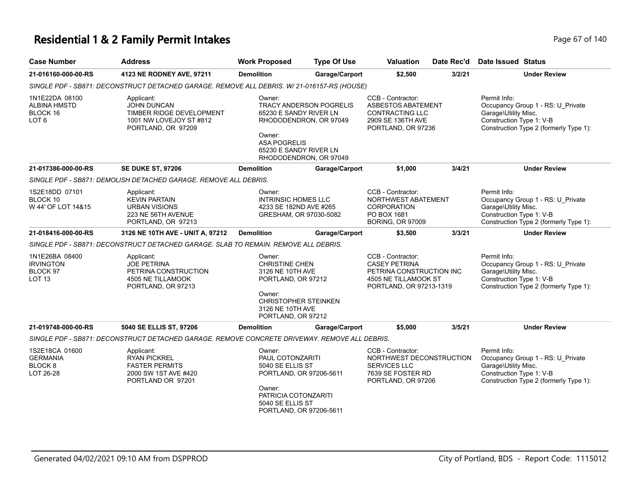### **Residential 1 & 2 Family Permit Intakes Page 140** Page 67 of 140

| <b>Case Number</b>                                                   | <b>Address</b>                                                                                          | <b>Work Proposed</b>                                                                                                                                         | <b>Type Of Use</b>                                                                 | Valuation                                                                                                                | Date Rec'd | <b>Date Issued Status</b>                                                                                                                       |
|----------------------------------------------------------------------|---------------------------------------------------------------------------------------------------------|--------------------------------------------------------------------------------------------------------------------------------------------------------------|------------------------------------------------------------------------------------|--------------------------------------------------------------------------------------------------------------------------|------------|-------------------------------------------------------------------------------------------------------------------------------------------------|
| 21-016160-000-00-RS                                                  | 4123 NE RODNEY AVE, 97211                                                                               | <b>Demolition</b>                                                                                                                                            | Garage/Carport                                                                     | \$2,500                                                                                                                  | 3/2/21     | <b>Under Review</b>                                                                                                                             |
|                                                                      | SINGLE PDF - SB871: DECONSTRUCT DETACHED GARAGE. REMOVE ALL DEBRIS. W/ 21-016157-RS (HOUSE)             |                                                                                                                                                              |                                                                                    |                                                                                                                          |            |                                                                                                                                                 |
| 1N1E22DA 08100<br>ALBINA HMSTD<br>BLOCK 16<br>LOT <sub>6</sub>       | Applicant:<br>JOHN DUNCAN<br>TIMBER RIDGE DEVELOPMENT<br>1001 NW LOVEJOY ST #812<br>PORTLAND, OR 97209  | Owner:<br>65230 E SANDY RIVER LN<br>Owner:<br><b>ASA POGRELIS</b><br>65230 E SANDY RIVER LN                                                                  | <b>TRACY ANDERSON POGRELIS</b><br>RHODODENDRON, OR 97049<br>RHODODENDRON, OR 97049 | CCB - Contractor:<br><b>ASBESTOS ABATEMENT</b><br>CONTRACTING LLC<br>2909 SE 136TH AVE<br>PORTLAND, OR 97236             |            | Permit Info:<br>Occupancy Group 1 - RS: U_Private<br>Garage\Utility Misc.<br>Construction Type 1: V-B<br>Construction Type 2 (formerly Type 1): |
| 21-017386-000-00-RS                                                  | <b>SE DUKE ST, 97206</b>                                                                                | <b>Demolition</b>                                                                                                                                            | Garage/Carport                                                                     | \$1,000                                                                                                                  | 3/4/21     | <b>Under Review</b>                                                                                                                             |
|                                                                      | SINGLE PDF - SB871: DEMOLISH DETACHED GARAGE. REMOVE ALL DEBRIS.                                        |                                                                                                                                                              |                                                                                    |                                                                                                                          |            |                                                                                                                                                 |
| 1S2E18DD 07101<br>BLOCK 10<br>W 44' OF LOT 14&15                     | Applicant:<br><b>KEVIN PARTAIN</b><br><b>URBAN VISIONS</b><br>223 NE 56TH AVENUE<br>PORTLAND, OR 97213  | Owner:<br><b>INTRINSIC HOMES LLC</b><br>4233 SE 182ND AVE #265<br>GRESHAM, OR 97030-5082                                                                     |                                                                                    | CCB - Contractor:<br>NORTHWEST ABATEMENT<br><b>CORPORATION</b><br>PO BOX 1681<br><b>BORING, OR 97009</b>                 |            | Permit Info:<br>Occupancy Group 1 - RS: U_Private<br>Garage\Utility Misc.<br>Construction Type 1: V-B<br>Construction Type 2 (formerly Type 1): |
| 21-018416-000-00-RS                                                  | 3126 NE 10TH AVE - UNIT A, 97212                                                                        | <b>Demolition</b>                                                                                                                                            | Garage/Carport                                                                     | \$3,500                                                                                                                  | 3/3/21     | <b>Under Review</b>                                                                                                                             |
|                                                                      | SINGLE PDF - SB871: DECONSTRUCT DETACHED GARAGE. SLAB TO REMAIN. REMOVE ALL DEBRIS.                     |                                                                                                                                                              |                                                                                    |                                                                                                                          |            |                                                                                                                                                 |
| 1N1E26BA 08400<br><b>IRVINGTON</b><br>BLOCK 97<br><b>LOT 13</b>      | Applicant:<br><b>JOE PETRINA</b><br>PETRINA CONSTRUCTION<br>4505 NE TILLAMOOK<br>PORTLAND, OR 97213     | Owner:<br><b>CHRISTINE CHEN</b><br>3126 NE 10TH AVE<br>PORTLAND, OR 97212<br>Owner:<br><b>CHRISTOPHER STEINKEN</b><br>3126 NE 10TH AVE<br>PORTLAND, OR 97212 |                                                                                    | CCB - Contractor:<br><b>CASEY PETRINA</b><br>PETRINA CONSTRUCTION INC<br>4505 NE TILLAMOOK ST<br>PORTLAND, OR 97213-1319 |            | Permit Info:<br>Occupancy Group 1 - RS: U_Private<br>Garage\Utility Misc.<br>Construction Type 1: V-B<br>Construction Type 2 (formerly Type 1): |
| 21-019748-000-00-RS                                                  | 5040 SE ELLIS ST, 97206                                                                                 | <b>Demolition</b>                                                                                                                                            | Garage/Carport                                                                     | \$5,000                                                                                                                  | 3/5/21     | <b>Under Review</b>                                                                                                                             |
|                                                                      | SINGLE PDF - SB871: DECONSTRUCT DETACHED GARAGE. REMOVE CONCRETE DRIVEWAY. REMOVE ALL DEBRIS.           |                                                                                                                                                              |                                                                                    |                                                                                                                          |            |                                                                                                                                                 |
| 1S2E18CA 01600<br><b>GERMANIA</b><br>BLOCK <sub>8</sub><br>LOT 26-28 | Applicant:<br><b>RYAN PICKREL</b><br><b>FASTER PERMITS</b><br>2000 SW 1ST AVE #420<br>PORTLAND OR 97201 | Owner:<br>PAUL COTONZARITI<br>5040 SE ELLIS ST<br>PORTLAND, OR 97206-5611<br>Owner:<br>PATRICIA COTONZARITI<br>5040 SE ELLIS ST<br>PORTLAND, OR 97206-5611   |                                                                                    | CCB - Contractor:<br>NORTHWEST DECONSTRUCTION<br>SERVICES LLC<br>7639 SE FOSTER RD<br>PORTLAND, OR 97206                 |            | Permit Info:<br>Occupancy Group 1 - RS: U_Private<br>Garage\Utility Misc.<br>Construction Type 1: V-B<br>Construction Type 2 (formerly Type 1): |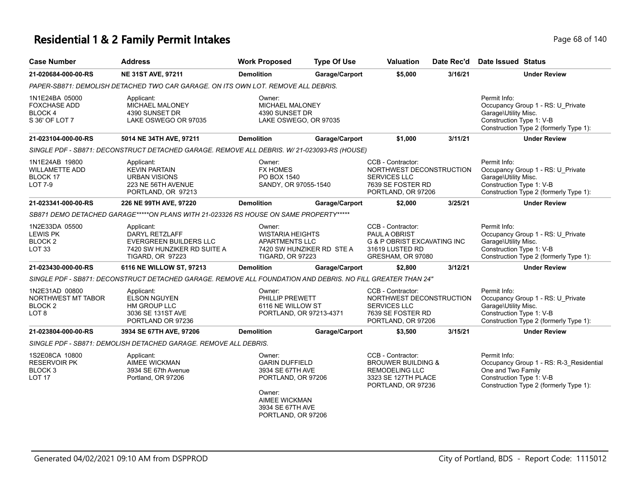# **Residential 1 & 2 Family Permit Intakes Page 68 of 140** Page 68 of 140

| <b>Case Number</b>                                                           | <b>Address</b>                                                                                                          | <b>Work Proposed</b>                                                                                                                           | <b>Type Of Use</b>        | Valuation                                                                                                                | Date Rec'd | Date Issued Status                                                                                                                                  |
|------------------------------------------------------------------------------|-------------------------------------------------------------------------------------------------------------------------|------------------------------------------------------------------------------------------------------------------------------------------------|---------------------------|--------------------------------------------------------------------------------------------------------------------------|------------|-----------------------------------------------------------------------------------------------------------------------------------------------------|
| 21-020684-000-00-RS                                                          | NE 31ST AVE, 97211                                                                                                      | <b>Demolition</b>                                                                                                                              | Garage/Carport            | \$5,000                                                                                                                  | 3/16/21    | <b>Under Review</b>                                                                                                                                 |
|                                                                              | PAPER-SB871: DEMOLISH DETACHED TWO CAR GARAGE. ON ITS OWN LOT. REMOVE ALL DEBRIS.                                       |                                                                                                                                                |                           |                                                                                                                          |            |                                                                                                                                                     |
| 1N1E24BA 05000<br><b>FOXCHASE ADD</b><br>BLOCK 4<br>S 36' OF LOT 7           | Applicant:<br><b>MICHAEL MALONEY</b><br>4390 SUNSET DR<br>LAKE OSWEGO OR 97035                                          | Owner:<br><b>MICHAEL MALONEY</b><br>4390 SUNSET DR<br>LAKE OSWEGO, OR 97035                                                                    |                           |                                                                                                                          |            | Permit Info:<br>Occupancy Group 1 - RS: U_Private<br>Garage\Utility Misc.<br>Construction Type 1: V-B<br>Construction Type 2 (formerly Type 1):     |
| 21-023104-000-00-RS                                                          | 5014 NE 34TH AVE, 97211                                                                                                 | <b>Demolition</b>                                                                                                                              | Garage/Carport            | \$1,000                                                                                                                  | 3/11/21    | <b>Under Review</b>                                                                                                                                 |
|                                                                              | SINGLE PDF - SB871: DECONSTRUCT DETACHED GARAGE. REMOVE ALL DEBRIS. W/ 21-023093-RS (HOUSE)                             |                                                                                                                                                |                           |                                                                                                                          |            |                                                                                                                                                     |
| 1N1E24AB 19800<br><b>WILLAMETTE ADD</b><br>BLOCK 17<br><b>LOT 7-9</b>        | Applicant:<br><b>KEVIN PARTAIN</b><br><b>URBAN VISIONS</b><br>223 NE 56TH AVENUE<br>PORTLAND, OR 97213                  | Owner:<br><b>FX HOMES</b><br>PO BOX 1540<br>SANDY, OR 97055-1540                                                                               |                           | CCB - Contractor:<br>NORTHWEST DECONSTRUCTION<br><b>SERVICES LLC</b><br>7639 SE FOSTER RD<br>PORTLAND, OR 97206          |            | Permit Info:<br>Occupancy Group 1 - RS: U_Private<br>Garage\Utility Misc.<br>Construction Type 1: V-B<br>Construction Type 2 (formerly Type 1):     |
| 21-023341-000-00-RS                                                          | 226 NE 99TH AVE, 97220                                                                                                  | <b>Demolition</b>                                                                                                                              | Garage/Carport            | \$2,000                                                                                                                  | 3/25/21    | <b>Under Review</b>                                                                                                                                 |
|                                                                              | SB871 DEMO DETACHED GARAGE*****ON PLANS WITH 21-023326 RS HOUSE ON SAME PROPERTY*****                                   |                                                                                                                                                |                           |                                                                                                                          |            |                                                                                                                                                     |
| 1N2E33DA 05500<br><b>LEWIS PK</b><br>BLOCK <sub>2</sub><br>LOT <sub>33</sub> | Applicant:<br><b>DARYL RETZLAFF</b><br><b>EVERGREEN BUILDERS LLC</b><br>7420 SW HUNZIKER RD SUITE A<br>TIGARD, OR 97223 | Owner:<br><b>WISTARIA HEIGHTS</b><br><b>APARTMENTS LLC</b><br><b>TIGARD, OR 97223</b>                                                          | 7420 SW HUNZIKER RD STE A | CCB - Contractor:<br>PAUL A OBRIST<br><b>G &amp; P OBRIST EXCAVATING INC</b><br>31619 LUSTED RD<br>GRESHAM, OR 97080     |            | Permit Info:<br>Occupancy Group 1 - RS: U_Private<br>Garage\Utility Misc.<br>Construction Type 1: V-B<br>Construction Type 2 (formerly Type 1):     |
| 21-023430-000-00-RS                                                          | 6116 NE WILLOW ST, 97213                                                                                                | <b>Demolition</b>                                                                                                                              | Garage/Carport            | \$2,800                                                                                                                  | 3/12/21    | <b>Under Review</b>                                                                                                                                 |
|                                                                              | SINGLE PDF - SB871: DECONSTRUCT DETACHED GARAGE. REMOVE ALL FOUNDATION AND DEBRIS. NO FILL GREATER THAN 24"             |                                                                                                                                                |                           |                                                                                                                          |            |                                                                                                                                                     |
| 1N2E31AD 00800<br>NORTHWEST MT TABOR<br>BLOCK 2<br>LOT <sub>8</sub>          | Applicant:<br><b>ELSON NGUYEN</b><br>HM GROUP LLC<br>3036 SE 131ST AVE<br>PORTLAND OR 97236                             | Owner:<br>PHILLIP PREWETT<br>6116 NE WILLOW ST<br>PORTLAND, OR 97213-4371                                                                      |                           | CCB - Contractor:<br>NORTHWEST DECONSTRUCTION<br><b>SERVICES LLC</b><br>7639 SE FOSTER RD<br>PORTLAND, OR 97206          |            | Permit Info:<br>Occupancy Group 1 - RS: U_Private<br>Garage\Utility Misc.<br>Construction Type 1: V-B<br>Construction Type 2 (formerly Type 1):     |
| 21-023804-000-00-RS                                                          | 3934 SE 67TH AVE, 97206                                                                                                 | <b>Demolition</b>                                                                                                                              | Garage/Carport            | \$3,500                                                                                                                  | 3/15/21    | <b>Under Review</b>                                                                                                                                 |
|                                                                              | SINGLE PDF - SB871: DEMOLISH DETACHED GARAGE. REMOVE ALL DEBRIS.                                                        |                                                                                                                                                |                           |                                                                                                                          |            |                                                                                                                                                     |
| 1S2E08CA 10800<br><b>RESERVOIR PK</b><br>BLOCK <sub>3</sub><br><b>LOT 17</b> | Applicant:<br><b>AIMEE WICKMAN</b><br>3934 SE 67th Avenue<br>Portland, OR 97206                                         | Owner:<br><b>GARIN DUFFIELD</b><br>3934 SE 67TH AVE<br>PORTLAND, OR 97206<br>Owner:<br>AIMEE WICKMAN<br>3934 SE 67TH AVE<br>PORTLAND, OR 97206 |                           | CCB - Contractor:<br><b>BROUWER BUILDING &amp;</b><br><b>REMODELING LLC</b><br>3323 SE 127TH PLACE<br>PORTLAND, OR 97236 |            | Permit Info:<br>Occupancy Group 1 - RS: R-3_Residential<br>One and Two Family<br>Construction Type 1: V-B<br>Construction Type 2 (formerly Type 1): |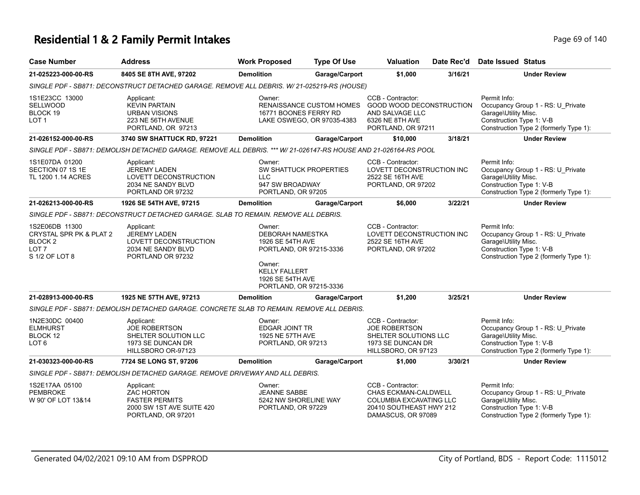### **Residential 1 & 2 Family Permit Intakes Page 140** Page 69 of 140

| <b>Case Number</b>                                                                                    | <b>Address</b>                                                                                                   | <b>Work Proposed</b>                                                                                                                                              | <b>Type Of Use</b>                                     | <b>Valuation</b>                                                                                                      | Date Rec'd | Date Issued Status                                               |                                                                             |
|-------------------------------------------------------------------------------------------------------|------------------------------------------------------------------------------------------------------------------|-------------------------------------------------------------------------------------------------------------------------------------------------------------------|--------------------------------------------------------|-----------------------------------------------------------------------------------------------------------------------|------------|------------------------------------------------------------------|-----------------------------------------------------------------------------|
| 21-025223-000-00-RS                                                                                   | 8405 SE 8TH AVE, 97202                                                                                           | <b>Demolition</b>                                                                                                                                                 | Garage/Carport                                         | \$1,000                                                                                                               | 3/16/21    |                                                                  | <b>Under Review</b>                                                         |
|                                                                                                       | SINGLE PDF - SB871: DECONSTRUCT DETACHED GARAGE. REMOVE ALL DEBRIS. W/ 21-025219-RS (HOUSE)                      |                                                                                                                                                                   |                                                        |                                                                                                                       |            |                                                                  |                                                                             |
| 1S1E23CC 13000<br><b>SELLWOOD</b><br>BLOCK 19<br>LOT <sub>1</sub>                                     | Applicant:<br><b>KEVIN PARTAIN</b><br><b>URBAN VISIONS</b><br>223 NE 56TH AVENUE<br>PORTLAND, OR 97213           | Owner:<br>16771 BOONES FERRY RD                                                                                                                                   | RENAISSANCE CUSTOM HOMES<br>LAKE OSWEGO, OR 97035-4383 | CCB - Contractor:<br><b>GOOD WOOD DECONSTRUCTION</b><br>AND SALVAGE LLC<br>6326 NE 8TH AVE<br>PORTLAND, OR 97211      |            | Permit Info:<br>Garage\Utility Misc.<br>Construction Type 1: V-B | Occupancy Group 1 - RS: U_Private<br>Construction Type 2 (formerly Type 1): |
| 21-026152-000-00-RS                                                                                   | 3740 SW SHATTUCK RD, 97221                                                                                       | <b>Demolition</b>                                                                                                                                                 | Garage/Carport                                         | \$10,000                                                                                                              | 3/18/21    |                                                                  | <b>Under Review</b>                                                         |
|                                                                                                       | SINGLE PDF - SB871: DEMOLISH DETACHED GARAGE. REMOVE ALL DEBRIS. *** W/ 21-026147-RS HOUSE AND 21-026164-RS POOL |                                                                                                                                                                   |                                                        |                                                                                                                       |            |                                                                  |                                                                             |
| 1S1E07DA 01200<br>SECTION 07 1S 1E<br>TL 1200 1.14 ACRES                                              | Applicant:<br><b>JEREMY LADEN</b><br>LOVETT DECONSTRUCTION<br>2034 NE SANDY BLVD<br>PORTLAND OR 97232            | Owner:<br>SW SHATTUCK PROPERTIES<br><b>LLC</b><br>947 SW BROADWAY<br>PORTLAND, OR 97205                                                                           |                                                        | CCB - Contractor:<br>LOVETT DECONSTRUCTION INC<br>2522 SE 16TH AVE<br>PORTLAND, OR 97202                              |            | Permit Info:<br>Garage\Utility Misc.<br>Construction Type 1: V-B | Occupancy Group 1 - RS: U_Private<br>Construction Type 2 (formerly Type 1): |
| 21-026213-000-00-RS                                                                                   | 1926 SE 54TH AVE, 97215                                                                                          | <b>Demolition</b>                                                                                                                                                 | Garage/Carport                                         | \$6,000                                                                                                               | 3/22/21    |                                                                  | <b>Under Review</b>                                                         |
|                                                                                                       | SINGLE PDF - SB871: DECONSTRUCT DETACHED GARAGE. SLAB TO REMAIN. REMOVE ALL DEBRIS.                              |                                                                                                                                                                   |                                                        |                                                                                                                       |            |                                                                  |                                                                             |
| 1S2E06DB 11300<br>CRYSTAL SPR PK & PLAT 2<br>BLOCK <sub>2</sub><br>LOT <sub>7</sub><br>S 1/2 OF LOT 8 | Applicant:<br><b>JEREMY LADEN</b><br>LOVETT DECONSTRUCTION<br>2034 NE SANDY BLVD<br>PORTLAND OR 97232            | Owner:<br><b>DEBORAH NAMESTKA</b><br>1926 SE 54TH AVE<br>PORTLAND, OR 97215-3336<br>Owner:<br><b>KELLY FALLERT</b><br>1926 SE 54TH AVE<br>PORTLAND, OR 97215-3336 |                                                        | CCB - Contractor:<br>LOVETT DECONSTRUCTION INC<br>2522 SE 16TH AVE<br>PORTLAND, OR 97202                              |            | Permit Info:<br>Garage\Utility Misc.<br>Construction Type 1: V-B | Occupancy Group 1 - RS: U_Private<br>Construction Type 2 (formerly Type 1): |
| 21-028913-000-00-RS                                                                                   | 1925 NE 57TH AVE, 97213                                                                                          | <b>Demolition</b>                                                                                                                                                 | Garage/Carport                                         | \$1,200                                                                                                               | 3/25/21    |                                                                  | <b>Under Review</b>                                                         |
|                                                                                                       | SINGLE PDF - SB871: DEMOLISH DETACHED GARAGE. CONCRETE SLAB TO REMAIN. REMOVE ALL DEBRIS.                        |                                                                                                                                                                   |                                                        |                                                                                                                       |            |                                                                  |                                                                             |
| 1N2E30DC 00400<br><b>ELMHURST</b><br>BLOCK 12<br>LOT <sub>6</sub>                                     | Applicant:<br><b>JOE ROBERTSON</b><br>SHELTER SOLUTION LLC<br>1973 SE DUNCAN DR<br>HILLSBORO OR-97123            | Owner:<br><b>EDGAR JOINT TR</b><br>1925 NE 57TH AVE<br>PORTLAND, OR 97213                                                                                         |                                                        | CCB - Contractor:<br><b>JOE ROBERTSON</b><br>SHELTER SOLUTIONS LLC<br>1973 SE DUNCAN DR<br>HILLSBORO, OR 97123        |            | Permit Info:<br>Garage\Utility Misc.<br>Construction Type 1: V-B | Occupancy Group 1 - RS: U Private<br>Construction Type 2 (formerly Type 1): |
| 21-030323-000-00-RS                                                                                   | 7724 SE LONG ST, 97206                                                                                           | <b>Demolition</b>                                                                                                                                                 | Garage/Carport                                         | \$1,000                                                                                                               | 3/30/21    |                                                                  | <b>Under Review</b>                                                         |
|                                                                                                       | SINGLE PDF - SB871: DEMOLISH DETACHED GARAGE. REMOVE DRIVEWAY AND ALL DEBRIS.                                    |                                                                                                                                                                   |                                                        |                                                                                                                       |            |                                                                  |                                                                             |
| 1S2E17AA 05100<br><b>PEMBROKE</b><br>W 90' OF LOT 13&14                                               | Applicant:<br><b>ZAC HORTON</b><br><b>FASTER PERMITS</b><br>2000 SW 1ST AVE SUITE 420<br>PORTLAND, OR 97201      | Owner:<br><b>JEANNE SABBE</b><br>5242 NW SHORELINE WAY<br>PORTLAND, OR 97229                                                                                      |                                                        | CCB - Contractor:<br>CHAS ECKMAN-CALDWELL<br>COLUMBIA EXCAVATING LLC<br>20410 SOUTHEAST HWY 212<br>DAMASCUS, OR 97089 |            | Permit Info:<br>Garage\Utility Misc.<br>Construction Type 1: V-B | Occupancy Group 1 - RS: U_Private<br>Construction Type 2 (formerly Type 1): |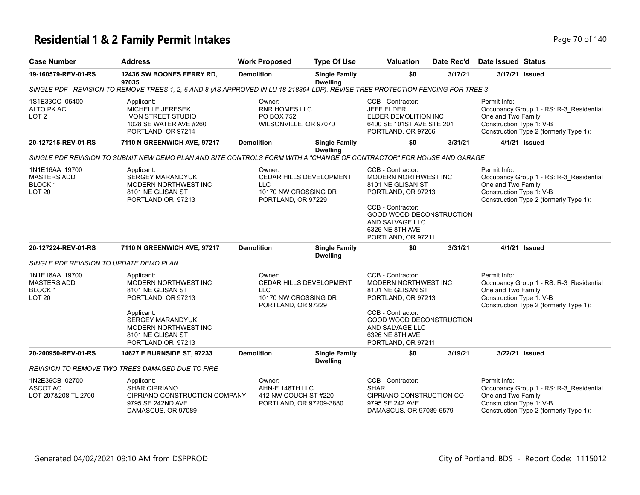### **Residential 1 & 2 Family Permit Intakes Page 70 of 140** Page 70 of 140

| <b>Case Number</b>                                                              | <b>Address</b>                                                                                                                                                                                  | <b>Work Proposed</b>                                                         | <b>Type Of Use</b>                      | <b>Valuation</b>                                                                                                                                                                                                | Date Rec'd | Date Issued Status                                             |                                                                                   |
|---------------------------------------------------------------------------------|-------------------------------------------------------------------------------------------------------------------------------------------------------------------------------------------------|------------------------------------------------------------------------------|-----------------------------------------|-----------------------------------------------------------------------------------------------------------------------------------------------------------------------------------------------------------------|------------|----------------------------------------------------------------|-----------------------------------------------------------------------------------|
| 19-160579-REV-01-RS                                                             | 12436 SW BOONES FERRY RD,<br>97035                                                                                                                                                              | <b>Demolition</b>                                                            | <b>Single Family</b><br><b>Dwelling</b> | \$0                                                                                                                                                                                                             | 3/17/21    | 3/17/21 Issued                                                 |                                                                                   |
|                                                                                 | SINGLE PDF - REVISION TO REMOVE TREES 1, 2, 6 AND 8 (AS APPROVED IN LU 18-218364-LDP). REVISE TREE PROTECTION FENCING FOR TREE 3                                                                |                                                                              |                                         |                                                                                                                                                                                                                 |            |                                                                |                                                                                   |
| 1S1E33CC 05400<br>ALTO PK AC<br>LOT <sub>2</sub>                                | Applicant:<br>MICHELLE JERESEK<br><b>IVON STREET STUDIO</b><br>1028 SE WATER AVE #260<br>PORTLAND, OR 97214                                                                                     | Owner:<br><b>RNR HOMES LLC</b><br><b>PO BOX 752</b><br>WILSONVILLE, OR 97070 |                                         | CCB - Contractor:<br><b>JEFF ELDER</b><br><b>ELDER DEMOLITION INC</b><br>6400 SE 101ST AVE STE 201<br>PORTLAND, OR 97266                                                                                        |            | Permit Info:<br>One and Two Family<br>Construction Type 1: V-B | Occupancy Group 1 - RS: R-3_Residential<br>Construction Type 2 (formerly Type 1): |
| 20-127215-REV-01-RS                                                             | 7110 N GREENWICH AVE, 97217                                                                                                                                                                     | <b>Demolition</b>                                                            | <b>Single Family</b><br><b>Dwelling</b> | \$0                                                                                                                                                                                                             | 3/31/21    | 4/1/21 Issued                                                  |                                                                                   |
|                                                                                 | SINGLE PDF REVISION TO SUBMIT NEW DEMO PLAN AND SITE CONTROLS FORM WITH A "CHANGE OF CONTRACTOR" FOR HOUSE AND GARAGE                                                                           |                                                                              |                                         |                                                                                                                                                                                                                 |            |                                                                |                                                                                   |
| 1N1E16AA 19700<br><b>MASTERS ADD</b><br><b>BLOCK1</b><br><b>LOT 20</b>          | Applicant:<br><b>SERGEY MARANDYUK</b><br><b>MODERN NORTHWEST INC</b><br>8101 NE GLISAN ST<br>PORTLAND OR 97213                                                                                  | Owner:<br><b>LLC</b><br>10170 NW CROSSING DR<br>PORTLAND, OR 97229           | CEDAR HILLS DEVELOPMENT                 | CCB - Contractor:<br>MODERN NORTHWEST INC<br>8101 NE GLISAN ST<br>PORTLAND, OR 97213<br>CCB - Contractor:<br><b>GOOD WOOD DECONSTRUCTION</b><br>AND SALVAGE LLC<br>6326 NE 8TH AVE<br>PORTLAND, OR 97211        |            | Permit Info:<br>One and Two Family<br>Construction Type 1: V-B | Occupancy Group 1 - RS: R-3_Residential<br>Construction Type 2 (formerly Type 1): |
| 20-127224-REV-01-RS                                                             | 7110 N GREENWICH AVE, 97217                                                                                                                                                                     | <b>Demolition</b>                                                            | <b>Single Family</b><br><b>Dwelling</b> | \$0                                                                                                                                                                                                             | 3/31/21    | 4/1/21 Issued                                                  |                                                                                   |
| SINGLE PDF REVISION TO UPDATE DEMO PLAN                                         |                                                                                                                                                                                                 |                                                                              |                                         |                                                                                                                                                                                                                 |            |                                                                |                                                                                   |
| 1N1E16AA 19700<br><b>MASTERS ADD</b><br>BLOCK <sub>1</sub><br>LOT <sub>20</sub> | Applicant:<br><b>MODERN NORTHWEST INC</b><br>8101 NE GLISAN ST<br>PORTLAND, OR 97213<br>Applicant:<br><b>SERGEY MARANDYUK</b><br>MODERN NORTHWEST INC<br>8101 NE GLISAN ST<br>PORTLAND OR 97213 | Owner:<br><b>LLC</b><br>10170 NW CROSSING DR<br>PORTLAND, OR 97229           | <b>CEDAR HILLS DEVELOPMENT</b>          | CCB - Contractor:<br><b>MODERN NORTHWEST INC</b><br>8101 NE GLISAN ST<br>PORTLAND, OR 97213<br>CCB - Contractor:<br><b>GOOD WOOD DECONSTRUCTION</b><br>AND SALVAGE LLC<br>6326 NE 8TH AVE<br>PORTLAND, OR 97211 |            | Permit Info:<br>One and Two Family<br>Construction Type 1: V-B | Occupancy Group 1 - RS: R-3_Residential<br>Construction Type 2 (formerly Type 1): |
| 20-200950-REV-01-RS                                                             | 14627 E BURNSIDE ST, 97233                                                                                                                                                                      | <b>Demolition</b>                                                            | <b>Single Family</b><br><b>Dwelling</b> | \$0                                                                                                                                                                                                             | 3/19/21    | 3/22/21 Issued                                                 |                                                                                   |
|                                                                                 | REVISION TO REMOVE TWO TREES DAMAGED DUE TO FIRE                                                                                                                                                |                                                                              |                                         |                                                                                                                                                                                                                 |            |                                                                |                                                                                   |
| 1N2E36CB 02700<br>ASCOT AC<br>LOT 207&208 TL 2700                               | Applicant:<br><b>SHAR CIPRIANO</b><br>CIPRIANO CONSTRUCTION COMPANY<br>9795 SE 242ND AVE<br>DAMASCUS, OR 97089                                                                                  | Owner:<br>AHN-E 146TH LLC<br>412 NW COUCH ST #220<br>PORTLAND, OR 97209-3880 |                                         | CCB - Contractor:<br><b>SHAR</b><br>CIPRIANO CONSTRUCTION CO<br>9795 SE 242 AVE<br>DAMASCUS, OR 97089-6579                                                                                                      |            | Permit Info:<br>One and Two Family<br>Construction Type 1: V-B | Occupancy Group 1 - RS: R-3_Residential<br>Construction Type 2 (formerly Type 1): |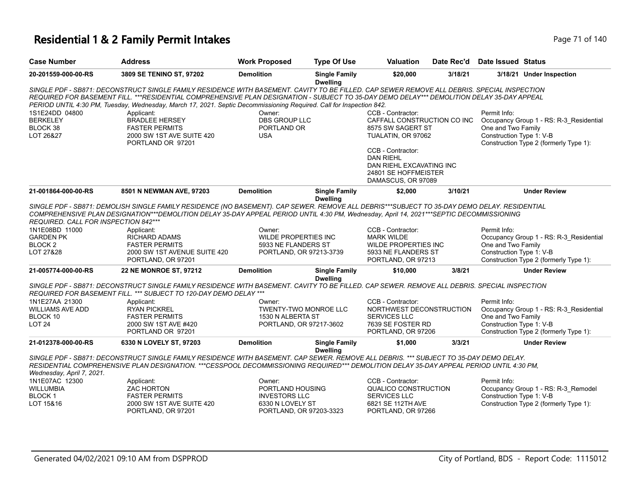### **Residential 1 & 2 Family Permit Intakes Page 71 of 140** Page 71 of 140

| <b>Case Number</b>                                                         | <b>Address</b>                                                                                                                                                                                                                                                                                                                                                                                                   | <b>Work Proposed</b>                                                                              | <b>Type Of Use</b>                      | Valuation                                                                                                          | Date Rec'd | Date Issued Status                                             |                                                                                   |
|----------------------------------------------------------------------------|------------------------------------------------------------------------------------------------------------------------------------------------------------------------------------------------------------------------------------------------------------------------------------------------------------------------------------------------------------------------------------------------------------------|---------------------------------------------------------------------------------------------------|-----------------------------------------|--------------------------------------------------------------------------------------------------------------------|------------|----------------------------------------------------------------|-----------------------------------------------------------------------------------|
| 20-201559-000-00-RS                                                        | 3809 SE TENINO ST, 97202                                                                                                                                                                                                                                                                                                                                                                                         | <b>Demolition</b>                                                                                 | <b>Single Family</b><br><b>Dwelling</b> | \$20,000                                                                                                           | 3/18/21    |                                                                | 3/18/21 Under Inspection                                                          |
|                                                                            | SINGLE PDF - SB871: DECONSTRUCT SINGLE FAMILY RESIDENCE WITH BASEMENT. CAVITY TO BE FILLED. CAP SEWER REMOVE ALL DEBRIS. SPECIAL INSPECTION<br>REQUIRED FOR BASEMENT FILL. ***RESIDENTIAL COMPREHENSIVE PLAN DESIGNATION - SUBJECT TO 35-DAY DEMO DELAY*** DEMOLITION DELAY 35-DAY APPEAL<br>PERIOD UNTIL 4:30 PM, Tuesday, Wednesday, March 17, 2021. Septic Decommissioning Required. Call for Inspection 842. |                                                                                                   |                                         |                                                                                                                    |            |                                                                |                                                                                   |
| 1S1E24DD 04800<br><b>BERKELEY</b><br>BLOCK 38<br>LOT 26&27                 | Applicant:<br><b>BRADLEE HERSEY</b><br><b>FASTER PERMITS</b><br>2000 SW 1ST AVE SUITE 420<br>PORTLAND OR 97201                                                                                                                                                                                                                                                                                                   | Owner:<br><b>DBS GROUP LLC</b><br>PORTLAND OR<br><b>USA</b>                                       |                                         | CCB - Contractor:<br>CAFFALL CONSTRUCTION CO INC<br>8575 SW SAGERT ST<br>TUALATIN, OR 97062                        |            | Permit Info:<br>One and Two Family<br>Construction Type 1: V-B | Occupancy Group 1 - RS: R-3 Residential<br>Construction Type 2 (formerly Type 1): |
|                                                                            |                                                                                                                                                                                                                                                                                                                                                                                                                  |                                                                                                   |                                         | CCB - Contractor:<br><b>DAN RIEHL</b><br>DAN RIEHL EXCAVATING INC<br>24801 SE HOFFMEISTER<br>DAMASCUS, OR 97089    |            |                                                                |                                                                                   |
| 21-001864-000-00-RS                                                        | 8501 N NEWMAN AVE, 97203                                                                                                                                                                                                                                                                                                                                                                                         | <b>Demolition</b>                                                                                 | <b>Single Family</b><br><b>Dwelling</b> | \$2.000                                                                                                            | 3/10/21    |                                                                | <b>Under Review</b>                                                               |
| REQUIRED. CALL FOR INSPECTION 842***                                       | SINGLE PDF - SB871: DEMOLISH SINGLE FAMILY RESIDENCE (NO BASEMENT). CAP SEWER. REMOVE ALL DEBRIS***SUBJECT TO 35-DAY DEMO DELAY. RESIDENTIAL<br>COMPREHENSIVE PLAN DESIGNATION***DEMOLITION DELAY 35-DAY APPEAL PERIOD UNTIL 4:30 PM, Wednesday, April 14, 2021***SEPTIC DECOMMISSIONING                                                                                                                         |                                                                                                   |                                         |                                                                                                                    |            |                                                                |                                                                                   |
| 1N1E08BD 11000<br><b>GARDEN PK</b><br>BLOCK <sub>2</sub><br>LOT 27&28      | Applicant:<br><b>RICHARD ADAMS</b><br><b>FASTER PERMITS</b><br>2000 SW 1ST AVENUE SUITE 420<br>PORTLAND, OR 97201                                                                                                                                                                                                                                                                                                | Owner:<br><b>WILDE PROPERTIES INC</b><br>5933 NE FLANDERS ST<br>PORTLAND, OR 97213-3739           |                                         | CCB - Contractor:<br><b>MARK WILDE</b><br><b>WILDE PROPERTIES INC</b><br>5933 NE FLANDERS ST<br>PORTLAND, OR 97213 |            | Permit Info:<br>One and Two Family<br>Construction Type 1: V-B | Occupancy Group 1 - RS: R-3_Residential<br>Construction Type 2 (formerly Type 1): |
| 21-005774-000-00-RS                                                        | 22 NE MONROE ST, 97212                                                                                                                                                                                                                                                                                                                                                                                           | <b>Demolition</b>                                                                                 | <b>Single Family</b><br><b>Dwelling</b> | \$10,000                                                                                                           | 3/8/21     |                                                                | <b>Under Review</b>                                                               |
|                                                                            | SINGLE PDF - SB871: DECONSTRUCT SINGLE FAMILY RESIDENCE WITH BASEMENT. CAVITY TO BE FILLED. CAP SEWER. REMOVE ALL DEBRIS. SPECIAL INSPECTION<br>REQUIRED FOR BASEMENT FILL. *** SUBJECT TO 120-DAY DEMO DELAY ***                                                                                                                                                                                                |                                                                                                   |                                         |                                                                                                                    |            |                                                                |                                                                                   |
| 1N1E27AA 21300<br><b>WILLIAMS AVE ADD</b><br>BLOCK 10<br>LOT <sub>24</sub> | Applicant:<br><b>RYAN PICKREL</b><br><b>FASTER PERMITS</b><br>2000 SW 1ST AVE #420<br>PORTLAND OR 97201                                                                                                                                                                                                                                                                                                          | Owner:<br>TWENTY-TWO MONROE LLC<br>1530 N ALBERTA ST<br>PORTLAND, OR 97217-3602                   |                                         | CCB - Contractor:<br>NORTHWEST DECONSTRUCTION<br><b>SERVICES LLC</b><br>7639 SE FOSTER RD<br>PORTLAND, OR 97206    |            | Permit Info:<br>One and Two Family<br>Construction Type 1: V-B | Occupancy Group 1 - RS: R-3_Residential<br>Construction Type 2 (formerly Type 1): |
| 21-012378-000-00-RS                                                        | 6330 N LOVELY ST, 97203                                                                                                                                                                                                                                                                                                                                                                                          | <b>Demolition</b>                                                                                 | <b>Single Family</b><br><b>Dwelling</b> | \$1.000                                                                                                            | 3/3/21     |                                                                | <b>Under Review</b>                                                               |
| Wednesday, April 7, 2021.                                                  | SINGLE PDF - SB871: DECONSTRUCT SINGLE FAMILY RESIDENCE WITH BASEMENT. CAP SEWER. REMOVE ALL DEBRIS. *** SUBJECT TO 35-DAY DEMO DELAY.<br>RESIDENTIAL COMPREHENSIVE PLAN DESIGNATION. ***CESSPOOL DECOMMISSIONING REQUIRED*** DEMOLITION DELAY 35-DAY APPEAL PERIOD UNTIL 4:30 PM.                                                                                                                               |                                                                                                   |                                         |                                                                                                                    |            |                                                                |                                                                                   |
| 1N1E07AC 12300<br><b>WILLUMBIA</b><br><b>BLOCK1</b><br>LOT 15&16           | Applicant:<br><b>ZAC HORTON</b><br><b>FASTER PERMITS</b><br>2000 SW 1ST AVE SUITE 420<br>PORTLAND, OR 97201                                                                                                                                                                                                                                                                                                      | Owner:<br>PORTLAND HOUSING<br><b>INVESTORS LLC</b><br>6330 N LOVELY ST<br>PORTLAND, OR 97203-3323 |                                         | CCB - Contractor:<br><b>QUALICO CONSTRUCTION</b><br><b>SERVICES LLC</b><br>6821 SE 112TH AVE<br>PORTLAND, OR 97266 |            | Permit Info:<br>Construction Type 1: V-B                       | Occupancy Group 1 - RS: R-3 Remodel<br>Construction Type 2 (formerly Type 1):     |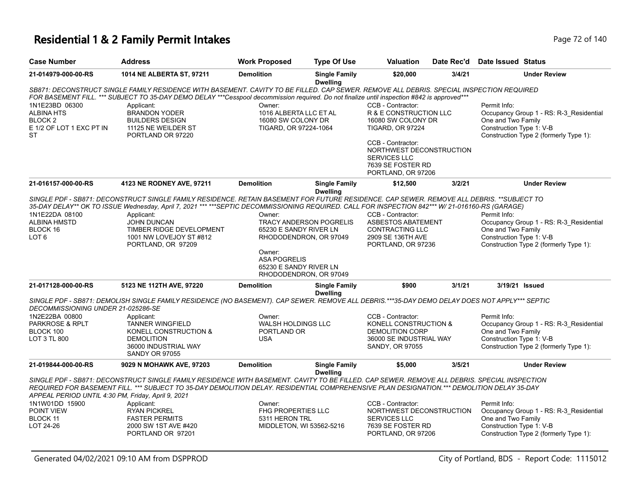#### **Residential 1 & 2 Family Permit Intakes Page 72 of 140**

**ST** 

| <b>Case Number</b>                    | <b>Address</b>                                                                                                                                  | <b>Work Proposed</b>      | <b>Type Of Use</b>                      | <b>Valuation</b>                        |        | Date Rec'd Date Issued Status |                                         |
|---------------------------------------|-------------------------------------------------------------------------------------------------------------------------------------------------|---------------------------|-----------------------------------------|-----------------------------------------|--------|-------------------------------|-----------------------------------------|
| 21-014979-000-00-RS                   | 1014 NE ALBERTA ST, 97211                                                                                                                       | <b>Demolition</b>         | <b>Single Family</b><br><b>Dwelling</b> | \$20,000                                | 3/4/21 |                               | <b>Under Review</b>                     |
|                                       | SB871: DECONSTRUCT SINGLE FAMILY RESIDENCE WITH BASEMENT. CAVITY TO BE FILLED. CAP SEWER. REMOVE ALL DEBRIS. SPECIAL INSPECTION REQUIRED        |                           |                                         |                                         |        |                               |                                         |
|                                       | FOR BASEMENT FILL. *** SUBJECT TO 35-DAY DEMO DELAY ***Cesspool decommission required. Do not finalize until inspection #842 is approved***     |                           |                                         |                                         |        |                               |                                         |
| 1N1E23BD 06300                        | Applicant:                                                                                                                                      | Owner:                    |                                         | CCB - Contractor:                       |        | Permit Info:                  |                                         |
| <b>ALBINA HTS</b>                     | <b>BRANDON YODER</b>                                                                                                                            | 1016 ALBERTA LLC ET AL    |                                         | R & E CONSTRUCTION LLC                  |        |                               | Occupancy Group 1 - RS: R-3 Residential |
| BLOCK <sub>2</sub>                    | <b>BUILDERS DESIGN</b>                                                                                                                          | 16080 SW COLONY DR        |                                         | 16080 SW COLONY DR                      |        | One and Two Family            |                                         |
| E 1/2 OF LOT 1 EXC PT IN              | 11125 NE WEILDER ST                                                                                                                             | TIGARD, OR 97224-1064     |                                         | <b>TIGARD, OR 97224</b>                 |        | Construction Type 1: V-B      |                                         |
| <b>ST</b>                             | PORTLAND OR 97220                                                                                                                               |                           |                                         | CCB - Contractor:                       |        |                               | Construction Type 2 (formerly Type 1):  |
|                                       |                                                                                                                                                 |                           |                                         | NORTHWEST DECONSTRUCTION                |        |                               |                                         |
|                                       |                                                                                                                                                 |                           |                                         | <b>SERVICES LLC</b>                     |        |                               |                                         |
|                                       |                                                                                                                                                 |                           |                                         | 7639 SE FOSTER RD                       |        |                               |                                         |
|                                       |                                                                                                                                                 |                           |                                         | PORTLAND, OR 97206                      |        |                               |                                         |
| 21-016157-000-00-RS                   | 4123 NE RODNEY AVE, 97211                                                                                                                       | <b>Demolition</b>         | <b>Single Family</b>                    | \$12,500                                | 3/2/21 |                               | <b>Under Review</b>                     |
|                                       |                                                                                                                                                 |                           | <b>Dwelling</b>                         |                                         |        |                               |                                         |
|                                       | SINGLE PDF - SB871: DECONSTRUCT SINGLE FAMILY RESIDENCE. RETAIN BASEMENT FOR FUTURE RESIDENCE. CAP SEWER. REMOVE ALL DEBRIS. **SUBJECT TO       |                           |                                         |                                         |        |                               |                                         |
|                                       | 35-DAY DELAY** OK TO ISSUE Wednesday, April 7, 2021 *** ***SEPTIC DECOMMISSIONING REQUIRED. CALL FOR INSPECTION 842*** W/ 21-016160-RS (GARAGE) |                           |                                         |                                         |        |                               |                                         |
| 1N1E22DA 08100<br><b>ALBINA HMSTD</b> | Applicant:<br><b>JOHN DUNCAN</b>                                                                                                                | Owner:                    | <b>TRACY ANDERSON POGRELIS</b>          | CCB - Contractor:<br>ASBESTOS ABATEMENT |        | Permit Info:                  |                                         |
| BLOCK 16                              | TIMBER RIDGE DEVELOPMENT                                                                                                                        | 65230 E SANDY RIVER LN    |                                         | <b>CONTRACTING LLC</b>                  |        | One and Two Family            | Occupancy Group 1 - RS: R-3 Residential |
| LOT <sub>6</sub>                      | 1001 NW LOVEJOY ST #812                                                                                                                         |                           | RHODODENDRON, OR 97049                  | 2909 SE 136TH AVE                       |        | Construction Type 1: V-B      |                                         |
|                                       | PORTLAND, OR 97209                                                                                                                              |                           |                                         | PORTLAND, OR 97236                      |        |                               | Construction Type 2 (formerly Type 1):  |
|                                       |                                                                                                                                                 | Owner:                    |                                         |                                         |        |                               |                                         |
|                                       |                                                                                                                                                 | <b>ASA POGRELIS</b>       |                                         |                                         |        |                               |                                         |
|                                       |                                                                                                                                                 | 65230 E SANDY RIVER LN    |                                         |                                         |        |                               |                                         |
|                                       |                                                                                                                                                 |                           | RHODODENDRON, OR 97049                  |                                         |        |                               |                                         |
| 21-017128-000-00-RS                   | 5123 NE 112TH AVE, 97220                                                                                                                        | <b>Demolition</b>         | <b>Single Family</b><br><b>Dwelling</b> | \$900                                   | 3/1/21 |                               | 3/19/21 Issued                          |
| DECOMMISSIONING UNDER 21-025286-SE    | SINGLE PDF - SB871: DEMOLISH SINGLE FAMILY RESIDENCE (NO BASEMENT). CAP SEWER. REMOVE ALL DEBRIS.***35-DAY DEMO DELAY DOES NOT APPLY*** SEPTIC  |                           |                                         |                                         |        |                               |                                         |
| 1N2E22BA 00800                        | Applicant:                                                                                                                                      | Owner:                    |                                         | CCB - Contractor:                       |        | Permit Info:                  |                                         |
| <b>PARKROSE &amp; RPLT</b>            | <b>TANNER WINGFIELD</b>                                                                                                                         | <b>WALSH HOLDINGS LLC</b> |                                         | KONELL CONSTRUCTION &                   |        |                               | Occupancy Group 1 - RS: R-3_Residential |
| BLOCK 100                             | KONELL CONSTRUCTION &                                                                                                                           | PORTLAND OR               |                                         | <b>DEMOLITION CORP</b>                  |        | One and Two Family            |                                         |
| LOT 3 TL 800                          | <b>DEMOLITION</b>                                                                                                                               | <b>USA</b>                |                                         | 36000 SE INDUSTRIAL WAY                 |        | Construction Type 1: V-B      |                                         |

SANDY, OR 97055

**Dwelling** *SINGLE PDF - SB871: DECONSTRUCT SINGLE FAMILY RESIDENCE WITH BASEMENT. CAVITY TO BE FILLED. CAP SEWER. REMOVE ALL DEBRIS. SPECIAL INSPECTION REQUIRED FOR BASEMENT FILL. \*\*\* SUBJECT TO 35-DAY DEMOLITION DELAY. RESIDENTIAL COMPREHENSIVE PLAN DESIGNATION.\*\*\* DEMOLITION DELAY 35-DAY APPEAL PERIOD UNTIL 4:30 PM, Friday, April 9, 2021* Permit Info: CCB - Contractor: NORTHWEST DECONSTRUCTION Owner: FHG PROPERTIES LLC Applicant: RYAN PICKREL 1N1W01DD 15900 POINT VIEW

| POINT VIEW | RYAN PICKREL          | FHG PROPERTIES LLC       | NORTHWEST DECONSTRUCTION | Occupancy Group 1 - RS: R-3 Residential |
|------------|-----------------------|--------------------------|--------------------------|-----------------------------------------|
| BLOCK 11   | <b>FASTER PERMITS</b> | 5311 HERON TRL           | <b>SERVICES LLC</b>      | One and Two Family                      |
| LOT 24-26  | 2000 SW 1ST AVE #420  | MIDDLETON, WI 53562-5216 | 7639 SE FOSTER RD        | Construction Type 1: V-B                |
|            | PORTLAND OR 97201     |                          | PORTLAND, OR 97206       | Construction Type 2 (formerly Type 1):  |

36000 INDUSTRIAL WAY SANDY OR 97055

**21-019844-000-00-RS 9029 N MOHAWK AVE, 97203 Demolition Single Family** 

Construction Type 2 (formerly Type 1):

**\$5,000 3/5/21 Under Review**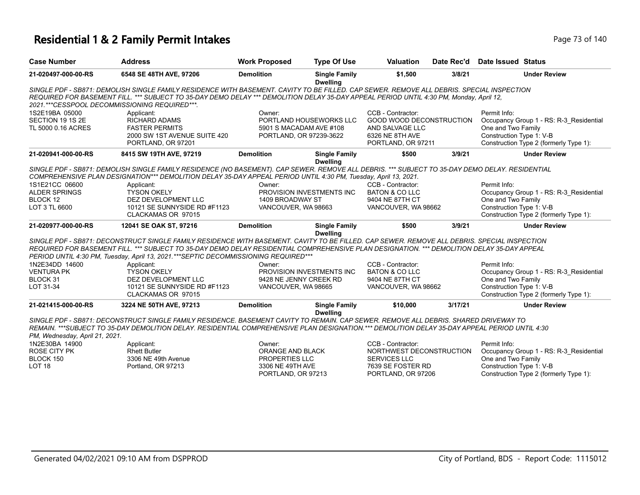### **Residential 1 & 2 Family Permit Intakes Page 73 of 140** Page 73 of 140

| <b>Case Number</b>             | <b>Address</b>                                                                                                                                  | <b>Work Proposed</b>    | <b>Type Of Use</b>                      | <b>Valuation</b>          | Date Rec'd | Date Issued Status                      |
|--------------------------------|-------------------------------------------------------------------------------------------------------------------------------------------------|-------------------------|-----------------------------------------|---------------------------|------------|-----------------------------------------|
| 21-020497-000-00-RS            | 6548 SE 48TH AVE, 97206                                                                                                                         | <b>Demolition</b>       | <b>Single Family</b><br><b>Dwelling</b> | \$1,500                   | 3/8/21     | <b>Under Review</b>                     |
|                                | SINGLE PDF - SB871: DEMOLISH SINGLE FAMILY RESIDENCE WITH BASEMENT. CAVITY TO BE FILLED. CAP SEWER. REMOVE ALL DEBRIS. SPECIAL INSPECTION       |                         |                                         |                           |            |                                         |
|                                | REQUIRED FOR BASEMENT FILL. *** SUBJECT TO 35-DAY DEMO DELAY *** DEMOLITION DELAY 35-DAY APPEAL PERIOD UNTIL 4:30 PM, Monday, April 12,         |                         |                                         |                           |            |                                         |
|                                | 2021.***CESSPOOL DECOMMISSIONING REQUIRED***.                                                                                                   |                         |                                         |                           |            |                                         |
| 1S2E19BA 05000                 | Applicant:                                                                                                                                      | Owner:                  |                                         | CCB - Contractor:         |            | Permit Info:                            |
| SECTION 19 1S 2E               | <b>RICHARD ADAMS</b>                                                                                                                            |                         | PORTLAND HOUSEWORKS LLC                 | GOOD WOOD DECONSTRUCTION  |            | Occupancy Group 1 - RS: R-3 Residential |
| TL 5000 0.16 ACRES             | <b>FASTER PERMITS</b>                                                                                                                           | 5901 S MACADAM AVE #108 |                                         | AND SALVAGE LLC           |            | One and Two Family                      |
|                                | 2000 SW 1ST AVENUE SUITE 420                                                                                                                    | PORTLAND, OR 97239-3622 |                                         | 6326 NE 8TH AVE           |            | Construction Type 1: V-B                |
|                                | PORTLAND, OR 97201                                                                                                                              |                         |                                         | PORTLAND, OR 97211        |            | Construction Type 2 (formerly Type 1):  |
| 21-020941-000-00-RS            | 8415 SW 19TH AVE, 97219                                                                                                                         | <b>Demolition</b>       | <b>Single Family</b><br><b>Dwelling</b> | \$500                     | 3/9/21     | <b>Under Review</b>                     |
|                                | SINGLE PDF - SB871: DEMOLISH SINGLE FAMILY RESIDENCE (NO BASEMENT). CAP SEWER. REMOVE ALL DEBRIS. *** SUBJECT TO 35-DAY DEMO DELAY. RESIDENTIAL |                         |                                         |                           |            |                                         |
|                                | COMPREHENSIVE PLAN DESIGNATION*** DEMOLITION DELAY 35-DAY APPEAL PERIOD UNTIL 4:30 PM, Tuesday, April 13, 2021.                                 |                         |                                         |                           |            |                                         |
| 1S1E21CC 06600                 | Applicant:                                                                                                                                      | Owner:                  |                                         | CCB - Contractor:         |            | Permit Info:                            |
| <b>ALDER SPRINGS</b>           | <b>TYSON OKELY</b>                                                                                                                              |                         | PROVISION INVESTMENTS INC               | <b>BATON &amp; CO LLC</b> |            | Occupancy Group 1 - RS: R-3_Residential |
| BLOCK 12                       | DEZ DEVELOPMENT LLC                                                                                                                             | 1409 BROADWAY ST        |                                         | 9404 NE 87TH CT           |            | One and Two Family                      |
| LOT 3 TL 6600                  | 10121 SE SUNNYSIDE RD #F1123                                                                                                                    | VANCOUVER, WA 98663     |                                         | VANCOUVER, WA 98662       |            | Construction Type 1: V-B                |
|                                | CLACKAMAS OR 97015                                                                                                                              |                         |                                         |                           |            | Construction Type 2 (formerly Type 1):  |
| 21-020977-000-00-RS            | 12041 SE OAK ST, 97216                                                                                                                          | <b>Demolition</b>       | <b>Single Family</b><br><b>Dwelling</b> | \$500                     | 3/9/21     | <b>Under Review</b>                     |
|                                | SINGLE PDF - SB871: DECONSTRUCT SINGLE FAMILY RESIDENCE WITH BASEMENT. CAVITY TO BE FILLED. CAP SEWER. REMOVE ALL DEBRIS. SPECIAL INSPECTION    |                         |                                         |                           |            |                                         |
|                                | REQUIRED FOR BASEMENT FILL. *** SUBJECT TO 35-DAY DEMO DELAY RESIDENTIAL COMPREHENSIVE PLAN DESIGNATION. *** DEMOLITION DELAY 35-DAY APPEAL     |                         |                                         |                           |            |                                         |
|                                | PERIOD UNTIL 4:30 PM, Tuesday, April 13, 2021.***SEPTIC DECOMMISSIONING REQUIRED***                                                             |                         |                                         |                           |            |                                         |
| 1N2E34DD 14600                 | Applicant:                                                                                                                                      | Owner:                  |                                         | CCB - Contractor:         |            | Permit Info:                            |
| <b>VENTURA PK</b>              | <b>TYSON OKELY</b>                                                                                                                              |                         | PROVISION INVESTMENTS INC               | <b>BATON &amp; CO LLC</b> |            | Occupancy Group 1 - RS: R-3_Residential |
| BLOCK 31                       | DEZ DEVELOPMENT LLC                                                                                                                             | 9428 NE JENNY CREEK RD  |                                         | 9404 NE 87TH CT           |            | One and Two Family                      |
| LOT 31-34                      | 10121 SE SUNNYSIDE RD #F1123                                                                                                                    | VANCOUVER, WA 98665     |                                         | VANCOUVER, WA 98662       |            | Construction Type 1: V-B                |
|                                | CLACKAMAS OR 97015                                                                                                                              |                         |                                         |                           |            | Construction Type 2 (formerly Type 1):  |
| 21-021415-000-00-RS            | 3224 NE 50TH AVE, 97213                                                                                                                         | <b>Demolition</b>       | <b>Single Family</b><br><b>Dwelling</b> | \$10,000                  | 3/17/21    | <b>Under Review</b>                     |
|                                | SINGLE PDF - SB871: DECONSTRUCT SINGLE FAMILY RESIDENCE. BASEMENT CAVITY TO REMAIN, CAP SEWER, REMOVE ALL DEBRIS, SHARED DRIVEWAY TO            |                         |                                         |                           |            |                                         |
|                                | REMAIN. ***SUBJECT TO 35-DAY DEMOLITION DELAY. RESIDENTIAL COMPREHENSIVE PLAN DESIGNATION.*** DEMOLITION DELAY 35-DAY APPEAL PERIOD UNTIL 4:30  |                         |                                         |                           |            |                                         |
| PM, Wednesday, April 21, 2021. |                                                                                                                                                 |                         |                                         |                           |            |                                         |
| 1N2E30BA 14900                 | Applicant:                                                                                                                                      | Owner:                  |                                         | CCB - Contractor:         |            | Permit Info:                            |
| <b>ROSE CITY PK</b>            | <b>Rhett Butler</b>                                                                                                                             | ORANGE AND BLACK        |                                         | NORTHWEST DECONSTRUCTION  |            | Occupancy Group 1 - RS: R-3 Residential |
| BLOCK 150                      | 3306 NE 49th Avenue                                                                                                                             | PROPERTIES LLC          |                                         | <b>SERVICES LLC</b>       |            | One and Two Family                      |
| LOT <sub>18</sub>              | Portland, OR 97213                                                                                                                              | 3306 NE 49TH AVE        |                                         | 7639 SE FOSTER RD         |            | Construction Type 1: V-B                |
|                                |                                                                                                                                                 | PORTLAND, OR 97213      |                                         | PORTLAND, OR 97206        |            | Construction Type 2 (formerly Type 1):  |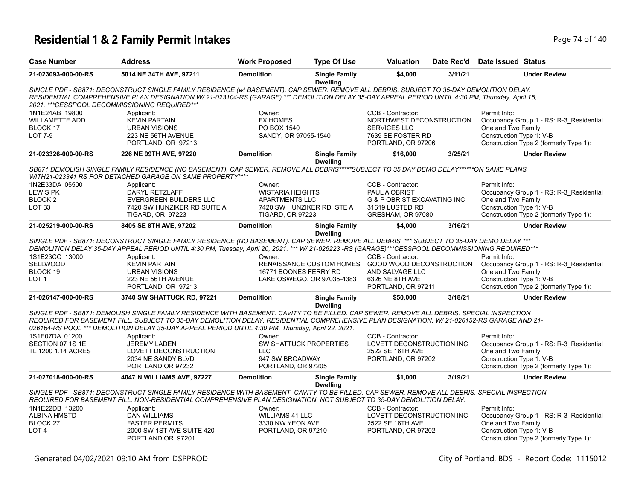# **Residential 1 & 2 Family Permit Intakes Page 74 of 140** Page 74 of 140

| <b>Case Number</b>                                                    | <b>Address</b>                                                                                                                                                                                                                                                                                                                                 | <b>Work Proposed</b>                                             | <b>Type Of Use</b>                      | <b>Valuation</b>                                                                          | Date Rec'd | <b>Date Issued Status</b>                                                                                 |
|-----------------------------------------------------------------------|------------------------------------------------------------------------------------------------------------------------------------------------------------------------------------------------------------------------------------------------------------------------------------------------------------------------------------------------|------------------------------------------------------------------|-----------------------------------------|-------------------------------------------------------------------------------------------|------------|-----------------------------------------------------------------------------------------------------------|
| 21-023093-000-00-RS                                                   | 5014 NE 34TH AVE, 97211                                                                                                                                                                                                                                                                                                                        | <b>Demolition</b>                                                | <b>Single Family</b><br><b>Dwelling</b> | \$4,000                                                                                   | 3/11/21    | <b>Under Review</b>                                                                                       |
|                                                                       | SINGLE PDF - SB871: DECONSTRUCT SINGLE FAMILY RESIDENCE (wt BASEMENT). CAP SEWER. REMOVE ALL DEBRIS. SUBJECT TO 35-DAY DEMOLITION DELAY.<br>RESIDENTIAL COMPREHENSIVE PLAN DESIGNATION.W/ 21-023104-RS (GARAGE) *** DEMOLITION DELAY 35-DAY APPEAL PERIOD UNTIL 4:30 PM, Thursday, April 15,<br>2021. *** CESSPOOL DECOMMISSIONING REQUIRED*** |                                                                  |                                         |                                                                                           |            |                                                                                                           |
| 1N1E24AB 19800<br><b>WILLAMETTE ADD</b><br>BLOCK 17<br><b>LOT 7-9</b> | Applicant:<br><b>KEVIN PARTAIN</b><br><b>URBAN VISIONS</b><br>223 NE 56TH AVENUE                                                                                                                                                                                                                                                               | Owner:<br><b>FX HOMES</b><br>PO BOX 1540<br>SANDY, OR 97055-1540 |                                         | CCB - Contractor:<br>NORTHWEST DECONSTRUCTION<br><b>SERVICES LLC</b><br>7639 SE FOSTER RD |            | Permit Info:<br>Occupancy Group 1 - RS: R-3_Residential<br>One and Two Family<br>Construction Type 1: V-B |
| 21-023326-000-00-RS                                                   | PORTLAND, OR 97213<br>226 NE 99TH AVE, 97220                                                                                                                                                                                                                                                                                                   | <b>Demolition</b>                                                | <b>Single Family</b>                    | PORTLAND, OR 97206<br>\$16,000                                                            | 3/25/21    | Construction Type 2 (formerly Type 1):<br><b>Under Review</b>                                             |
|                                                                       |                                                                                                                                                                                                                                                                                                                                                |                                                                  | <b>Dwelling</b>                         |                                                                                           |            |                                                                                                           |
|                                                                       | SB871 DEMOLISH SINGLE FAMILY RESIDENCE (NO BASEMENT), CAP SEWER, REMOVE ALL DEBRIS <sup>*****</sup> SUBJECT TO 35 DAY DEMO DELAY******ON SAME PLANS<br>WITH21-023341 RS FOR DETACHED GARAGE ON SAME PROPERTY****                                                                                                                               |                                                                  |                                         |                                                                                           |            |                                                                                                           |
| 1N2E33DA 05500                                                        | Applicant:                                                                                                                                                                                                                                                                                                                                     | Owner:                                                           |                                         | CCB - Contractor:                                                                         |            | Permit Info:                                                                                              |
| <b>LEWIS PK</b>                                                       | DARYL RETZLAFF                                                                                                                                                                                                                                                                                                                                 | <b>WISTARIA HEIGHTS</b>                                          |                                         | PAUL A OBRIST                                                                             |            | Occupancy Group 1 - RS: R-3_Residential                                                                   |
| BLOCK <sub>2</sub>                                                    | <b>EVERGREEN BUILDERS LLC</b>                                                                                                                                                                                                                                                                                                                  | APARTMENTS LLC                                                   |                                         | G & P OBRIST EXCAVATING INC                                                               |            | One and Two Family                                                                                        |
| LOT <sub>33</sub>                                                     | 7420 SW HUNZIKER RD SUITE A                                                                                                                                                                                                                                                                                                                    |                                                                  | 7420 SW HUNZIKER RD STE A               | 31619 LUSTED RD                                                                           |            | Construction Type 1: V-B                                                                                  |
|                                                                       | TIGARD, OR 97223                                                                                                                                                                                                                                                                                                                               | <b>TIGARD, OR 97223</b>                                          |                                         | GRESHAM, OR 97080                                                                         |            | Construction Type 2 (formerly Type 1):                                                                    |
| 21-025219-000-00-RS                                                   | 8405 SE 8TH AVE, 97202                                                                                                                                                                                                                                                                                                                         | <b>Demolition</b>                                                | <b>Single Family</b><br><b>Dwelling</b> | \$4,000                                                                                   | 3/16/21    | <b>Under Review</b>                                                                                       |
|                                                                       | SINGLE PDF - SB871: DECONSTRUCT SINGLE FAMILY RESIDENCE (NO BASEMENT). CAP SEWER. REMOVE ALL DEBRIS. *** SUBJECT TO 35-DAY DEMO DELAY ***                                                                                                                                                                                                      |                                                                  |                                         |                                                                                           |            |                                                                                                           |
|                                                                       | DEMOLITION DELAY 35-DAY APPEAL PERIOD UNTIL 4:30 PM, Tuesday, April 20, 2021. *** W/ 21-025223 -RS (GARAGE)***CESSPOOL DECOMMISSIONING REQUIRED***                                                                                                                                                                                             |                                                                  |                                         |                                                                                           |            |                                                                                                           |
| 1S1E23CC 13000                                                        | Applicant:                                                                                                                                                                                                                                                                                                                                     | Owner:                                                           |                                         | CCB - Contractor:                                                                         |            | Permit Info:                                                                                              |
| <b>SELLWOOD</b>                                                       | <b>KEVIN PARTAIN</b>                                                                                                                                                                                                                                                                                                                           |                                                                  |                                         | RENAISSANCE CUSTOM HOMES GOOD WOOD DECONSTRUCTION                                         |            | Occupancy Group 1 - RS: R-3_Residential                                                                   |
| BLOCK 19                                                              | <b>URBAN VISIONS</b>                                                                                                                                                                                                                                                                                                                           | 16771 BOONES FERRY RD                                            |                                         | AND SALVAGE LLC                                                                           |            | One and Two Family                                                                                        |
| LOT <sub>1</sub>                                                      | 223 NE 56TH AVENUE                                                                                                                                                                                                                                                                                                                             |                                                                  | LAKE OSWEGO, OR 97035-4383              | 6326 NE 8TH AVE                                                                           |            | Construction Type 1: V-B                                                                                  |
|                                                                       | PORTLAND, OR 97213                                                                                                                                                                                                                                                                                                                             |                                                                  |                                         | PORTLAND, OR 97211                                                                        |            | Construction Type 2 (formerly Type 1):                                                                    |
| 21-026147-000-00-RS                                                   | 3740 SW SHATTUCK RD, 97221                                                                                                                                                                                                                                                                                                                     | <b>Demolition</b>                                                | <b>Single Family</b><br><b>Dwelling</b> | \$50,000                                                                                  | 3/18/21    | <b>Under Review</b>                                                                                       |
|                                                                       | SINGLE PDF - SB871: DEMOLISH SINGLE FAMILY RESIDENCE WITH BASEMENT. CAVITY TO BE FILLED. CAP SEWER. REMOVE ALL DEBRIS. SPECIAL INSPECTION                                                                                                                                                                                                      |                                                                  |                                         |                                                                                           |            |                                                                                                           |
|                                                                       | REQUIRED FOR BASEMENT FILL. SUBJECT TO 35-DAY DEMOLITION DELAY. RESIDENTIAL COMPREHENSIVE PLAN DESIGNATION. W/ 21-026152-RS GARAGE AND 21-                                                                                                                                                                                                     |                                                                  |                                         |                                                                                           |            |                                                                                                           |
|                                                                       | 026164-RS POOL *** DEMOLITION DELAY 35-DAY APPEAL PERIOD UNTIL 4:30 PM, Thursday, April 22, 2021.                                                                                                                                                                                                                                              |                                                                  |                                         |                                                                                           |            |                                                                                                           |
| 1S1E07DA 01200                                                        | Applicant:                                                                                                                                                                                                                                                                                                                                     | Owner:                                                           |                                         | CCB - Contractor:                                                                         |            | Permit Info:                                                                                              |
| SECTION 07 1S 1E                                                      | <b>JEREMY LADEN</b>                                                                                                                                                                                                                                                                                                                            |                                                                  | SW SHATTUCK PROPERTIES                  | LOVETT DECONSTRUCTION INC                                                                 |            | Occupancy Group 1 - RS: R-3_Residential                                                                   |
| TL 1200 1.14 ACRES                                                    | LOVETT DECONSTRUCTION                                                                                                                                                                                                                                                                                                                          | <b>LLC</b>                                                       |                                         | 2522 SE 16TH AVE                                                                          |            | One and Two Family                                                                                        |
|                                                                       | 2034 NE SANDY BLVD                                                                                                                                                                                                                                                                                                                             | 947 SW BROADWAY                                                  |                                         | PORTLAND, OR 97202                                                                        |            | Construction Type 1: V-B                                                                                  |
|                                                                       | PORTLAND OR 97232                                                                                                                                                                                                                                                                                                                              | PORTLAND, OR 97205                                               |                                         |                                                                                           |            | Construction Type 2 (formerly Type 1):                                                                    |
| 21-027018-000-00-RS                                                   | 4047 N WILLIAMS AVE, 97227                                                                                                                                                                                                                                                                                                                     | <b>Demolition</b>                                                | <b>Single Family</b><br><b>Dwelling</b> | \$1,000                                                                                   | 3/19/21    | <b>Under Review</b>                                                                                       |
|                                                                       | SINGLE PDF - SB871: DECONSTRUCT SINGLE FAMILY RESIDENCE WITH BASEMENT. CAVITY TO BE FILLED. CAP SEWER. REMOVE ALL DEBRIS. SPECIAL INSPECTION                                                                                                                                                                                                   |                                                                  |                                         |                                                                                           |            |                                                                                                           |
|                                                                       | REQUIRED FOR BASEMENT FILL. NON-RESIDENTIAL COMPREHENSIVE PLAN DESIGNATION. NOT SUBJECT TO 35-DAY DEMOLITION DELAY.                                                                                                                                                                                                                            |                                                                  |                                         |                                                                                           |            |                                                                                                           |
| 1N1E22DB 13200                                                        | Applicant:                                                                                                                                                                                                                                                                                                                                     | Owner:                                                           |                                         | CCB - Contractor:                                                                         |            | Permit Info:                                                                                              |
| <b>ALBINA HMSTD</b>                                                   | <b>DAN WILLIAMS</b>                                                                                                                                                                                                                                                                                                                            | <b>WILLIAMS 41 LLC</b>                                           |                                         | LOVETT DECONSTRUCTION INC                                                                 |            | Occupancy Group 1 - RS: R-3 Residential                                                                   |
| BLOCK 27                                                              | <b>FASTER PERMITS</b>                                                                                                                                                                                                                                                                                                                          | 3330 NW YEON AVE                                                 |                                         | 2522 SE 16TH AVE                                                                          |            | One and Two Family                                                                                        |
| LOT <sub>4</sub>                                                      | 2000 SW 1ST AVE SUITE 420<br>PORTLAND OR 97201                                                                                                                                                                                                                                                                                                 | PORTLAND, OR 97210                                               |                                         | PORTLAND, OR 97202                                                                        |            | Construction Type 1: V-B<br>Construction Type 2 (formerly Type 1):                                        |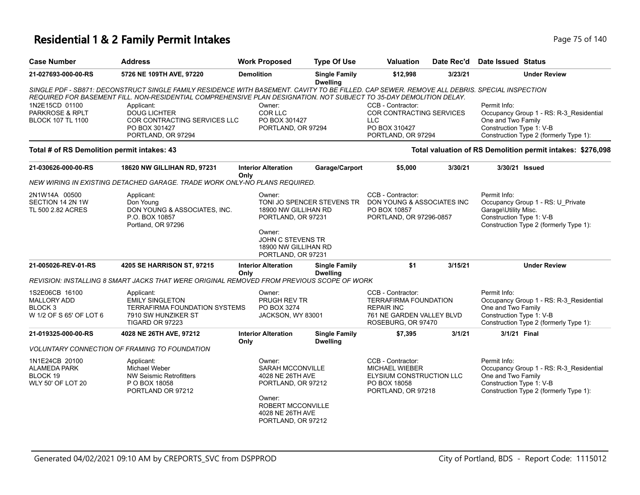### **Residential 1 & 2 Family Permit Intakes Page 75 of 140** Page 75 of 140

| <b>Case Number</b>                                                                    | <b>Address</b>                                                                                                                                                                                                                                                                                                                                            | <b>Work Proposed</b>                                                                                                                                 | <b>Type Of Use</b>                      | <b>Valuation</b>                                                                                                          | Date Rec'd | <b>Date Issued Status</b>                                                                                                                           |
|---------------------------------------------------------------------------------------|-----------------------------------------------------------------------------------------------------------------------------------------------------------------------------------------------------------------------------------------------------------------------------------------------------------------------------------------------------------|------------------------------------------------------------------------------------------------------------------------------------------------------|-----------------------------------------|---------------------------------------------------------------------------------------------------------------------------|------------|-----------------------------------------------------------------------------------------------------------------------------------------------------|
| 21-027693-000-00-RS                                                                   | 5726 NE 109TH AVE, 97220                                                                                                                                                                                                                                                                                                                                  | <b>Demolition</b>                                                                                                                                    | <b>Single Family</b><br><b>Dwelling</b> | \$12,998                                                                                                                  | 3/23/21    | <b>Under Review</b>                                                                                                                                 |
| 1N2E15CD 01100<br>PARKROSE & RPLT<br><b>BLOCK 107 TL 1100</b>                         | SINGLE PDF - SB871: DECONSTRUCT SINGLE FAMILY RESIDENCE WITH BASEMENT. CAVITY TO BE FILLED. CAP SEWER. REMOVE ALL DEBRIS. SPECIAL INSPECTION<br>REQUIRED FOR BASEMENT FILL. NON-RESIDENTIAL COMPREHENSIVE PLAN DESIGNATION. NOT SUBJECT TO 35-DAY DEMOLITION DELAY.<br>Applicant:<br><b>DOUG LICHTER</b><br>COR CONTRACTING SERVICES LLC<br>PO BOX 301427 | Owner:<br>COR LLC<br>PO BOX 301427<br>PORTLAND, OR 97294                                                                                             |                                         | CCB - Contractor:<br>COR CONTRACTING SERVICES<br>LLC.<br>PO BOX 310427                                                    |            | Permit Info:<br>Occupancy Group 1 - RS: R-3_Residential<br>One and Two Family<br>Construction Type 1: V-B                                           |
| Total # of RS Demolition permit intakes: 43                                           | PORTLAND, OR 97294                                                                                                                                                                                                                                                                                                                                        |                                                                                                                                                      |                                         | PORTLAND, OR 97294                                                                                                        |            | Construction Type 2 (formerly Type 1):<br>Total valuation of RS Demolition permit intakes: \$276,098                                                |
| 21-030626-000-00-RS                                                                   | 18620 NW GILLIHAN RD, 97231                                                                                                                                                                                                                                                                                                                               | <b>Interior Alteration</b>                                                                                                                           | Garage/Carport                          | \$5,000                                                                                                                   | 3/30/21    | 3/30/21 Issued                                                                                                                                      |
|                                                                                       |                                                                                                                                                                                                                                                                                                                                                           | Only                                                                                                                                                 |                                         |                                                                                                                           |            |                                                                                                                                                     |
|                                                                                       | NEW WIRING IN EXISTING DETACHED GARAGE. TRADE WORK ONLY-NO PLANS REQUIRED.                                                                                                                                                                                                                                                                                |                                                                                                                                                      |                                         |                                                                                                                           |            |                                                                                                                                                     |
| 2N1W14A 00500<br>SECTION 14 2N 1W<br>TL 500 2.82 ACRES                                | Applicant:<br>Don Young<br>DON YOUNG & ASSOCIATES, INC.<br>P.O. BOX 10857<br>Portland, OR 97296                                                                                                                                                                                                                                                           | Owner:<br>18900 NW GILLIHAN RD<br>PORTLAND, OR 97231<br>Owner:<br>JOHN C STEVENS TR                                                                  | TONI JO SPENCER STEVENS TR              | CCB - Contractor:<br>DON YOUNG & ASSOCIATES INC<br>PO BOX 10857<br>PORTLAND, OR 97296-0857                                |            | Permit Info:<br>Occupancy Group 1 - RS: U_Private<br>Garage\Utility Misc.<br>Construction Type 1: V-B<br>Construction Type 2 (formerly Type 1):     |
|                                                                                       |                                                                                                                                                                                                                                                                                                                                                           | 18900 NW GILLIHAN RD<br>PORTLAND, OR 97231                                                                                                           |                                         |                                                                                                                           |            |                                                                                                                                                     |
| 21-005026-REV-01-RS                                                                   | 4205 SE HARRISON ST, 97215                                                                                                                                                                                                                                                                                                                                | <b>Interior Alteration</b><br>Only                                                                                                                   | <b>Single Family</b><br><b>Dwelling</b> | \$1                                                                                                                       | 3/15/21    | <b>Under Review</b>                                                                                                                                 |
|                                                                                       | REVISION: INSTALLING 8 SMART JACKS THAT WERE ORIGINAL REMOVED FROM PREVIOUS SCOPE OF WORK                                                                                                                                                                                                                                                                 |                                                                                                                                                      |                                         |                                                                                                                           |            |                                                                                                                                                     |
| 1S2E06CB 16100<br><b>MALLORY ADD</b><br>BLOCK <sub>3</sub><br>W 1/2 OF S 65' OF LOT 6 | Applicant:<br><b>EMILY SINGLETON</b><br><b>TERRAFIRMA FOUNDATION SYSTEMS</b><br>7910 SW HUNZIKER ST<br>TIGARD OR 97223                                                                                                                                                                                                                                    | Owner:<br><b>PRUGH REV TR</b><br>PO BOX 3274<br>JACKSON, WY 83001                                                                                    |                                         | CCB - Contractor:<br><b>TERRAFIRMA FOUNDATION</b><br><b>REPAIR INC</b><br>761 NE GARDEN VALLEY BLVD<br>ROSEBURG, OR 97470 |            | Permit Info:<br>Occupancy Group 1 - RS: R-3 Residential<br>One and Two Family<br>Construction Type 1: V-B<br>Construction Type 2 (formerly Type 1): |
| 21-019325-000-00-RS                                                                   | 4028 NE 26TH AVE, 97212                                                                                                                                                                                                                                                                                                                                   | <b>Interior Alteration</b><br>Only                                                                                                                   | <b>Single Family</b><br><b>Dwelling</b> | \$7,395                                                                                                                   | 3/1/21     | 3/1/21 Final                                                                                                                                        |
|                                                                                       | <b>VOLUNTARY CONNECTION OF FRAMING TO FOUNDATION</b>                                                                                                                                                                                                                                                                                                      |                                                                                                                                                      |                                         |                                                                                                                           |            |                                                                                                                                                     |
| 1N1E24CB 20100<br><b>ALAMEDA PARK</b><br>BLOCK 19<br><b>WLY 50' OF LOT 20</b>         | Applicant:<br>Michael Weber<br><b>NW Seismic Retrofitters</b><br>P O BOX 18058<br>PORTLAND OR 97212                                                                                                                                                                                                                                                       | Owner:<br><b>SARAH MCCONVILLE</b><br>4028 NE 26TH AVE<br>PORTLAND, OR 97212<br>Owner:<br>ROBERT MCCONVILLE<br>4028 NE 26TH AVE<br>PORTLAND, OR 97212 |                                         | CCB - Contractor:<br><b>MICHAEL WIEBER</b><br>ELYSIUM CONSTRUCTION LLC<br>PO BOX 18058<br>PORTLAND, OR 97218              |            | Permit Info:<br>Occupancy Group 1 - RS: R-3_Residential<br>One and Two Family<br>Construction Type 1: V-B<br>Construction Type 2 (formerly Type 1): |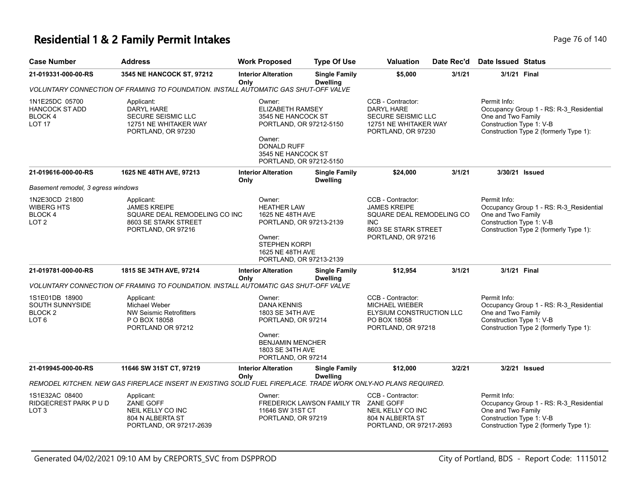#### **Residential 1 & 2 Family Permit Intakes Page 76 of 140** Page 76 of 140

| <b>Case Number</b>                                                                 | <b>Address</b>                                                                                                   | <b>Work Proposed</b>                                                                                                                                                | <b>Type Of Use</b>                      | <b>Valuation</b>                                                                                                            | Date Rec'd | <b>Date Issued Status</b>                                      |                                                                                   |
|------------------------------------------------------------------------------------|------------------------------------------------------------------------------------------------------------------|---------------------------------------------------------------------------------------------------------------------------------------------------------------------|-----------------------------------------|-----------------------------------------------------------------------------------------------------------------------------|------------|----------------------------------------------------------------|-----------------------------------------------------------------------------------|
| 21-019331-000-00-RS                                                                | 3545 NE HANCOCK ST, 97212                                                                                        | <b>Interior Alteration</b><br>Only                                                                                                                                  | <b>Single Family</b><br><b>Dwelling</b> | \$5,000                                                                                                                     | 3/1/21     | 3/1/21 Final                                                   |                                                                                   |
|                                                                                    | VOLUNTARY CONNECTION OF FRAMING TO FOUNDATION. INSTALL AUTOMATIC GAS SHUT-OFF VALVE                              |                                                                                                                                                                     |                                         |                                                                                                                             |            |                                                                |                                                                                   |
| 1N1E25DC 05700<br><b>HANCOCK ST ADD</b><br>BLOCK 4<br><b>LOT 17</b>                | Applicant:<br>DARYL HARE<br><b>SECURE SEISMIC LLC</b><br>12751 NE WHITAKER WAY<br>PORTLAND, OR 97230             | Owner:<br><b>ELIZABETH RAMSEY</b><br>3545 NE HANCOCK ST<br>PORTLAND, OR 97212-5150<br>Owner:<br><b>DONALD RUFF</b><br>3545 NE HANCOCK ST<br>PORTLAND, OR 97212-5150 |                                         | CCB - Contractor:<br>DARYL HARE<br>SECURE SEISMIC LLC<br>12751 NE WHITAKER WAY<br>PORTLAND, OR 97230                        |            | Permit Info:<br>One and Two Family<br>Construction Type 1: V-B | Occupancy Group 1 - RS: R-3_Residential<br>Construction Type 2 (formerly Type 1): |
| 21-019616-000-00-RS                                                                | 1625 NE 48TH AVE, 97213                                                                                          | <b>Interior Alteration</b><br>Only                                                                                                                                  | <b>Single Family</b><br><b>Dwelling</b> | \$24,000                                                                                                                    | 3/1/21     | 3/30/21 Issued                                                 |                                                                                   |
| Basement remodel, 3 egress windows                                                 |                                                                                                                  |                                                                                                                                                                     |                                         |                                                                                                                             |            |                                                                |                                                                                   |
| 1N2E30CD 21800<br><b>WIBERG HTS</b><br>BLOCK 4<br>LOT <sub>2</sub>                 | Applicant:<br><b>JAMES KREIPE</b><br>SQUARE DEAL REMODELING CO INC<br>8603 SE STARK STREET<br>PORTLAND, OR 97216 | Owner:<br><b>HEATHER LAW</b><br>1625 NE 48TH AVE<br>PORTLAND, OR 97213-2139<br>Owner:<br><b>STEPHEN KORPI</b><br>1625 NE 48TH AVE<br>PORTLAND, OR 97213-2139        |                                         | CCB - Contractor:<br><b>JAMES KREIPE</b><br>SQUARE DEAL REMODELING CO<br>INC.<br>8603 SE STARK STREET<br>PORTLAND, OR 97216 |            | Permit Info:<br>One and Two Family<br>Construction Type 1: V-B | Occupancy Group 1 - RS: R-3_Residential<br>Construction Type 2 (formerly Type 1): |
| 21-019781-000-00-RS                                                                | 1815 SE 34TH AVE, 97214                                                                                          | <b>Interior Alteration</b><br>Only                                                                                                                                  | <b>Single Family</b><br><b>Dwelling</b> | \$12,954                                                                                                                    | 3/1/21     | 3/1/21 Final                                                   |                                                                                   |
|                                                                                    | VOLUNTARY CONNECTION OF FRAMING TO FOUNDATION. INSTALL AUTOMATIC GAS SHUT-OFF VALVE                              |                                                                                                                                                                     |                                         |                                                                                                                             |            |                                                                |                                                                                   |
| 1S1E01DB 18900<br><b>SOUTH SUNNYSIDE</b><br>BLOCK <sub>2</sub><br>LOT <sub>6</sub> | Applicant:<br>Michael Weber<br><b>NW Seismic Retrofitters</b><br>P O BOX 18058<br>PORTLAND OR 97212              | Owner:<br><b>DANA KENNIS</b><br>1803 SE 34TH AVE<br>PORTLAND, OR 97214<br>Owner:<br><b>BENJAMIN MENCHER</b><br>1803 SE 34TH AVE<br>PORTLAND, OR 97214               |                                         | CCB - Contractor:<br><b>MICHAEL WIEBER</b><br>ELYSIUM CONSTRUCTION LLC<br>PO BOX 18058<br>PORTLAND, OR 97218                |            | Permit Info:<br>One and Two Family<br>Construction Type 1: V-B | Occupancy Group 1 - RS: R-3_Residential<br>Construction Type 2 (formerly Type 1): |
| 21-019945-000-00-RS                                                                | 11646 SW 31ST CT, 97219                                                                                          | <b>Interior Alteration</b>                                                                                                                                          | <b>Single Family</b><br><b>Dwelling</b> | \$12,000                                                                                                                    | 3/2/21     |                                                                | 3/2/21 Issued                                                                     |
|                                                                                    | REMODEL KITCHEN. NEW GAS FIREPLACE INSERT IN EXISTING SOLID FUEL FIREPLACE. TRADE WORK ONLY-NO PLANS REQUIRED.   | Only                                                                                                                                                                |                                         |                                                                                                                             |            |                                                                |                                                                                   |
| 1S1E32AC 08400<br>RIDGECREST PARK PUD<br>LOT <sub>3</sub>                          | Applicant:<br>ZANE GOFF<br>NEIL KELLY CO INC<br>804 N ALBERTA ST<br>PORTLAND, OR 97217-2639                      | Owner:<br>11646 SW 31ST CT<br>PORTLAND, OR 97219                                                                                                                    | FREDERICK LAWSON FAMILY TR              | CCB - Contractor:<br><b>ZANE GOFF</b><br>NEIL KELLY CO INC<br>804 N ALBERTA ST<br>PORTLAND, OR 97217-2693                   |            | Permit Info:<br>One and Two Family<br>Construction Type 1: V-B | Occupancy Group 1 - RS: R-3_Residential<br>Construction Type 2 (formerly Type 1): |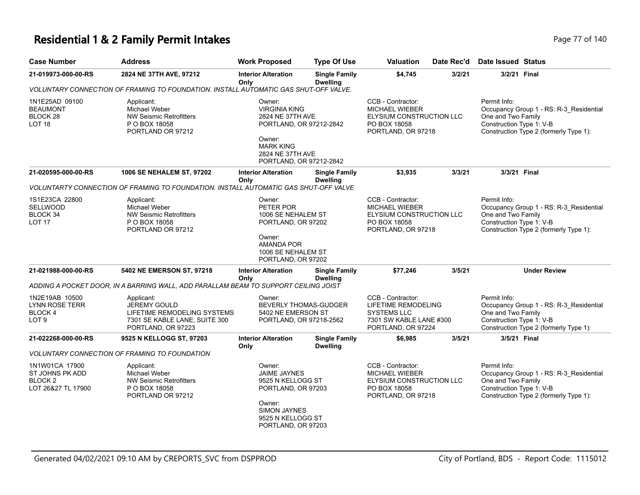#### **Residential 1 & 2 Family Permit Intakes Page 17 of 140** Page 77 of 140

| <b>Case Number</b>                                                        | <b>Address</b>                                                                                                   | <b>Work Proposed</b>                                                                                                                       | <b>Type Of Use</b>                                                                                                                          | <b>Valuation</b>                                                                                                       | Date Rec'd                                     | <b>Date Issued Status</b>                                                                                                                           |  |
|---------------------------------------------------------------------------|------------------------------------------------------------------------------------------------------------------|--------------------------------------------------------------------------------------------------------------------------------------------|---------------------------------------------------------------------------------------------------------------------------------------------|------------------------------------------------------------------------------------------------------------------------|------------------------------------------------|-----------------------------------------------------------------------------------------------------------------------------------------------------|--|
| 21-019973-000-00-RS                                                       | 2824 NE 37TH AVE, 97212                                                                                          | <b>Interior Alteration</b><br>Only                                                                                                         | <b>Single Family</b><br><b>Dwelling</b>                                                                                                     | \$4,745                                                                                                                | 3/2/21                                         | 3/2/21 Final                                                                                                                                        |  |
|                                                                           | VOLUNTARY CONNECTION OF FRAMING TO FOUNDATION. INSTALL AUTOMATIC GAS SHUT-OFF VALVE.                             |                                                                                                                                            |                                                                                                                                             |                                                                                                                        |                                                |                                                                                                                                                     |  |
| 1N1E25AD 09100<br><b>BEAUMONT</b><br>BLOCK <sub>28</sub><br><b>LOT 18</b> | Applicant:<br>Michael Weber<br><b>NW Seismic Retrofitters</b><br>P O BOX 18058<br>PORTLAND OR 97212              | Owner:<br>Owner:<br><b>MARK KING</b>                                                                                                       | <b>VIRGINIA KING</b><br><b>MICHAEL WIEBER</b><br>2824 NE 37TH AVE<br>PORTLAND, OR 97212-2842<br>2824 NE 37TH AVE<br>PORTLAND, OR 97212-2842 |                                                                                                                        | ELYSIUM CONSTRUCTION LLC<br>PORTLAND, OR 97218 | Permit Info:<br>Occupancy Group 1 - RS: R-3_Residential<br>One and Two Family<br>Construction Type 1: V-B<br>Construction Type 2 (formerly Type 1): |  |
| 21-020595-000-00-RS                                                       | 1006 SE NEHALEM ST, 97202                                                                                        | <b>Interior Alteration</b><br>Only                                                                                                         | <b>Single Family</b><br><b>Dwelling</b>                                                                                                     | \$3,935                                                                                                                | 3/3/21                                         | 3/3/21 Final                                                                                                                                        |  |
|                                                                           | VOLUNTARTY CONNECTION OF FRAMING TO FOUNDATION. INSTALL AUTOMATIC GAS SHUT-OFF VALVE                             |                                                                                                                                            |                                                                                                                                             |                                                                                                                        |                                                |                                                                                                                                                     |  |
| 1S1E23CA 22800<br><b>SELLWOOD</b><br>BLOCK 34<br>LOT <sub>17</sub>        | Applicant:<br>Michael Weber<br><b>NW Seismic Retrofitters</b><br>P O BOX 18058<br>PORTLAND OR 97212              | Owner:<br>PETER POR<br>1006 SE NEHALEM ST<br>PORTLAND, OR 97202<br>Owner:<br><b>AMANDA POR</b><br>1006 SE NEHALEM ST<br>PORTLAND, OR 97202 |                                                                                                                                             | CCB - Contractor:<br><b>MICHAEL WIEBER</b><br>ELYSIUM CONSTRUCTION LLC<br>PO BOX 18058<br>PORTLAND, OR 97218           |                                                | Permit Info:<br>Occupancy Group 1 - RS: R-3_Residential<br>One and Two Family<br>Construction Type 1: V-B<br>Construction Type 2 (formerly Type 1): |  |
| 21-021988-000-00-RS                                                       | 5402 NE EMERSON ST, 97218                                                                                        | <b>Interior Alteration</b><br>Only                                                                                                         | <b>Single Family</b><br><b>Dwelling</b>                                                                                                     | \$77,246                                                                                                               | 3/5/21                                         | <b>Under Review</b>                                                                                                                                 |  |
|                                                                           | ADDING A POCKET DOOR, IN A BARRING WALL, ADD PARALLAM BEAM TO SUPPORT CEILING JOIST                              |                                                                                                                                            |                                                                                                                                             |                                                                                                                        |                                                |                                                                                                                                                     |  |
| 1N2E19AB 10500<br><b>LYNN ROSE TERR</b><br>BLOCK 4<br>LOT <sub>9</sub>    | Applicant:<br>JEREMY GOULD<br>LIFETIME REMODELING SYSTEMS<br>7301 SE KABLE LANE, SUITE 300<br>PORTLAND, OR 97223 | Owner:<br><b>BEVERLY THOMAS-GUDGER</b><br>5402 NE EMERSON ST<br>PORTLAND, OR 97218-2562                                                    |                                                                                                                                             | CCB - Contractor:<br><b>LIFETIME REMODELING</b><br><b>SYSTEMS LLC</b><br>7301 SW KABLE LANE #300<br>PORTLAND, OR 97224 |                                                | Permit Info:<br>Occupancy Group 1 - RS: R-3 Residential<br>One and Two Family<br>Construction Type 1: V-B<br>Construction Type 2 (formerly Type 1): |  |
| 21-022268-000-00-RS                                                       | 9525 N KELLOGG ST, 97203                                                                                         | <b>Interior Alteration</b><br>Only                                                                                                         | <b>Single Family</b><br><b>Dwelling</b>                                                                                                     | \$6,985                                                                                                                | 3/5/21                                         | 3/5/21 Final                                                                                                                                        |  |
|                                                                           | <b>VOLUNTARY CONNECTION OF FRAMING TO FOUNDATION</b>                                                             |                                                                                                                                            |                                                                                                                                             |                                                                                                                        |                                                |                                                                                                                                                     |  |
| 1N1W01CA 17900<br>ST JOHNS PK ADD<br><b>BLOCK2</b><br>LOT 26&27 TL 17900  | Applicant:<br>Michael Weber<br><b>NW Seismic Retrofitters</b><br>P O BOX 18058<br>PORTLAND OR 97212              | Owner:<br><b>JAIME JAYNES</b><br>9525 N KELLOGG ST<br>PORTLAND, OR 97203                                                                   |                                                                                                                                             | CCB - Contractor:<br><b>MICHAEL WIEBER</b><br>ELYSIUM CONSTRUCTION LLC<br>PO BOX 18058<br>PORTLAND, OR 97218           |                                                | Permit Info:<br>Occupancy Group 1 - RS: R-3_Residential<br>One and Two Family<br>Construction Type 1: V-B<br>Construction Type 2 (formerly Type 1): |  |

Owner: SIMON JAYNES 9525 N KELLOGG ST PORTLAND, OR 97203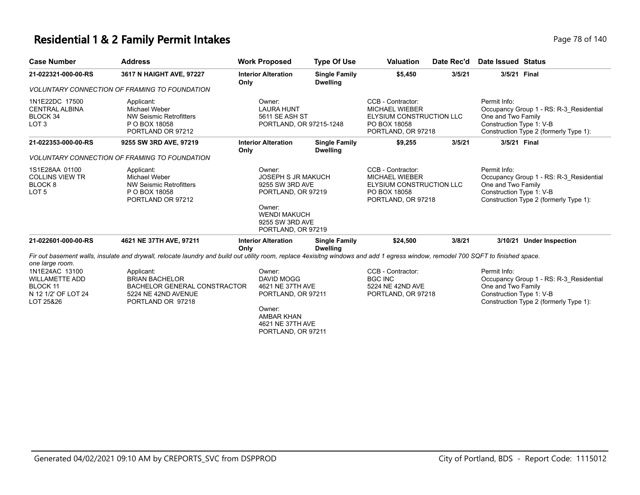### **Residential 1 & 2 Family Permit Intakes Page 78 of 140** Page 78 of 140

| <b>Case Number</b>                                                                                         | <b>Address</b>                                                                                                                                                                    | <b>Work Proposed</b>                                                                                                                                   | <b>Type Of Use</b>                      | <b>Valuation</b>                                                                                             | Date Rec'd | <b>Date Issued Status</b>                                                                                                                           |
|------------------------------------------------------------------------------------------------------------|-----------------------------------------------------------------------------------------------------------------------------------------------------------------------------------|--------------------------------------------------------------------------------------------------------------------------------------------------------|-----------------------------------------|--------------------------------------------------------------------------------------------------------------|------------|-----------------------------------------------------------------------------------------------------------------------------------------------------|
| 21-022321-000-00-RS                                                                                        | 3617 N HAIGHT AVE, 97227                                                                                                                                                          | <b>Interior Alteration</b><br>Only                                                                                                                     | <b>Single Family</b><br><b>Dwelling</b> | \$5,450                                                                                                      | 3/5/21     | 3/5/21 Final                                                                                                                                        |
|                                                                                                            | <b>VOLUNTARY CONNECTION OF FRAMING TO FOUNDATION</b>                                                                                                                              |                                                                                                                                                        |                                         |                                                                                                              |            |                                                                                                                                                     |
| 1N1E22DC 17500<br><b>CENTRAL ALBINA</b><br>BLOCK 34<br>LOT <sub>3</sub>                                    | Applicant:<br><b>Michael Weber</b><br><b>NW Seismic Retrofitters</b><br>P O BOX 18058<br>PORTLAND OR 97212                                                                        | Owner:<br><b>LAURA HUNT</b><br>5611 SE ASH ST<br>PORTLAND, OR 97215-1248                                                                               |                                         | CCB - Contractor:<br><b>MICHAEL WIEBER</b><br>ELYSIUM CONSTRUCTION LLC<br>PO BOX 18058<br>PORTLAND, OR 97218 |            | Permit Info:<br>Occupancy Group 1 - RS: R-3 Residential<br>One and Two Family<br>Construction Type 1: V-B<br>Construction Type 2 (formerly Type 1): |
| 21-022353-000-00-RS                                                                                        | 9255 SW 3RD AVE, 97219                                                                                                                                                            | <b>Interior Alteration</b>                                                                                                                             | <b>Single Family</b>                    | \$9,255                                                                                                      | 3/5/21     | 3/5/21 Final                                                                                                                                        |
|                                                                                                            | <b>VOLUNTARY CONNECTION OF FRAMING TO FOUNDATION</b>                                                                                                                              | Only                                                                                                                                                   | <b>Dwelling</b>                         |                                                                                                              |            |                                                                                                                                                     |
| 1S1E28AA 01100<br><b>COLLINS VIEW TR</b><br>BLOCK <sub>8</sub><br>LOT <sub>5</sub>                         | Applicant:<br><b>Michael Weber</b><br><b>NW Seismic Retrofitters</b><br>P O BOX 18058<br>PORTLAND OR 97212                                                                        | Owner:<br><b>JOSEPH S JR MAKUCH</b><br>9255 SW 3RD AVE<br>PORTLAND, OR 97219<br>Owner:<br><b>WENDI MAKUCH</b><br>9255 SW 3RD AVE<br>PORTLAND, OR 97219 |                                         | CCB - Contractor:<br>MICHAEL WIEBER<br>ELYSIUM CONSTRUCTION LLC<br>PO BOX 18058<br>PORTLAND, OR 97218        |            | Permit Info:<br>Occupancy Group 1 - RS: R-3 Residential<br>One and Two Family<br>Construction Type 1: V-B<br>Construction Type 2 (formerly Type 1): |
| 21-022601-000-00-RS                                                                                        | 4621 NE 37TH AVE, 97211                                                                                                                                                           | <b>Interior Alteration</b><br>Only                                                                                                                     | <b>Single Family</b><br><b>Dwelling</b> | \$24,500                                                                                                     | 3/8/21     | 3/10/21 Under Inspection                                                                                                                            |
|                                                                                                            | Fir out basement walls, insulate and drywall, relocate laundry and build out utility room, replace 4exisitng windows and add 1 egress window, remodel 700 SQFT to finished space. |                                                                                                                                                        |                                         |                                                                                                              |            |                                                                                                                                                     |
| one large room.<br>1N1E24AC 13100<br><b>WILLAMETTE ADD</b><br>BLOCK 11<br>N 12 1/2' OF LOT 24<br>LOT 25&26 | Applicant:<br><b>BRIAN BACHELOR</b><br><b>BACHELOR GENERAL CONSTRACTOR</b><br>5224 NE 42ND AVENUE<br>PORTLAND OR 97218                                                            | Owner:<br><b>DAVID MOGG</b><br>4621 NE 37TH AVE<br>PORTLAND, OR 97211<br>Owner:<br><b>AMBAR KHAN</b><br>4621 NE 37TH AVE<br>PORTLAND, OR 97211         |                                         | CCB - Contractor:<br><b>BGC INC</b><br>5224 NE 42ND AVE<br>PORTLAND, OR 97218                                |            | Permit Info:<br>Occupancy Group 1 - RS: R-3 Residential<br>One and Two Family<br>Construction Type 1: V-B<br>Construction Type 2 (formerly Type 1): |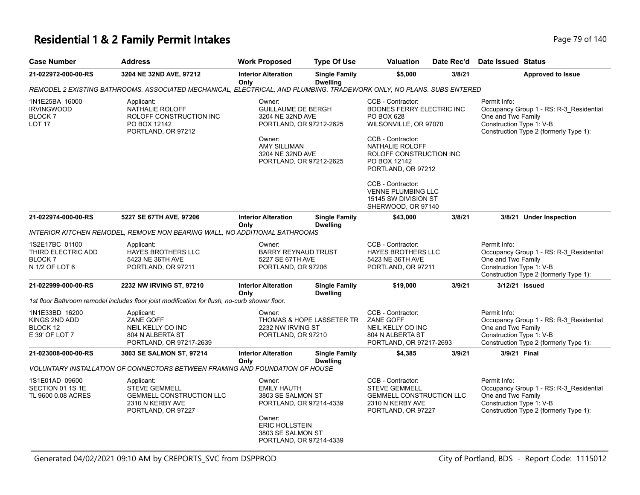#### **Residential 1 & 2 Family Permit Intakes Page 79 of 140** Page 79 of 140

| <b>Case Number</b>                                                      | <b>Address</b>                                                                                                        | <b>Work Proposed</b>                                                                   | <b>Type Of Use</b>                      | <b>Valuation</b>                                                                                                           | Date Rec'd | Date Issued Status                                                                                                                                  |  |  |  |
|-------------------------------------------------------------------------|-----------------------------------------------------------------------------------------------------------------------|----------------------------------------------------------------------------------------|-----------------------------------------|----------------------------------------------------------------------------------------------------------------------------|------------|-----------------------------------------------------------------------------------------------------------------------------------------------------|--|--|--|
| 21-022972-000-00-RS                                                     | 3204 NE 32ND AVE, 97212                                                                                               | <b>Interior Alteration</b>                                                             | <b>Single Family</b>                    | \$5,000                                                                                                                    | 3/8/21     | <b>Approved to Issue</b>                                                                                                                            |  |  |  |
|                                                                         | REMODEL 2 EXISTING BATHROOMS. ASSOCIATED MECHANICAL, ELECTRICAL, AND PLUMBING. TRADEWORK ONLY, NO PLANS. SUBS ENTERED | Only                                                                                   | <b>Dwelling</b>                         |                                                                                                                            |            |                                                                                                                                                     |  |  |  |
| 1N1E25BA 16000<br><b>IRVINGWOOD</b><br><b>BLOCK7</b><br><b>LOT 17</b>   | Applicant:<br>NATHALIE ROLOFF<br>ROLOFF CONSTRUCTION INC<br>PO BOX 12142<br>PORTLAND, OR 97212                        | Owner:<br><b>GUILLAUME DE BERGH</b><br>3204 NE 32ND AVE<br>PORTLAND, OR 97212-2625     |                                         | CCB - Contractor:<br>BOONES FERRY ELECTRIC INC<br><b>PO BOX 628</b><br>WILSONVILLE, OR 97070                               |            | Permit Info:<br>Occupancy Group 1 - RS: R-3 Residential<br>One and Two Family<br>Construction Type 1: V-B<br>Construction Type 2 (formerly Type 1): |  |  |  |
|                                                                         |                                                                                                                       | Owner:<br>AMY SILLIMAN<br>3204 NE 32ND AVE<br>PORTLAND, OR 97212-2625                  |                                         | CCB - Contractor:<br>NATHALIE ROLOFF<br>ROLOFF CONSTRUCTION INC<br>PO BOX 12142<br>PORTLAND, OR 97212<br>CCB - Contractor: |            |                                                                                                                                                     |  |  |  |
|                                                                         |                                                                                                                       |                                                                                        |                                         | <b>VENNE PLUMBING LLC</b><br>15145 SW DIVISION ST<br>SHERWOOD, OR 97140                                                    |            |                                                                                                                                                     |  |  |  |
| 21-022974-000-00-RS                                                     | 5227 SE 67TH AVE, 97206                                                                                               | <b>Interior Alteration</b><br>Only                                                     | <b>Single Family</b><br><b>Dwelling</b> | \$43,000                                                                                                                   | 3/8/21     | 3/8/21 Under Inspection                                                                                                                             |  |  |  |
|                                                                         | INTERIOR KITCHEN REMODEL, REMOVE NON BEARING WALL, NO ADDITIONAL BATHROOMS                                            |                                                                                        |                                         |                                                                                                                            |            |                                                                                                                                                     |  |  |  |
| 1S2E17BC 01100<br>THIRD ELECTRIC ADD<br><b>BLOCK7</b><br>N 1/2 OF LOT 6 | Applicant:<br><b>HAYES BROTHERS LLC</b><br>5423 NE 36TH AVE<br>PORTLAND, OR 97211                                     | Owner:<br><b>BARRY REYNAUD TRUST</b><br>5227 SE 67TH AVE<br>PORTLAND, OR 97206         |                                         | CCB - Contractor:<br><b>HAYES BROTHERS LLC</b><br>5423 NE 36TH AVE<br>PORTLAND, OR 97211                                   |            | Permit Info:<br>Occupancy Group 1 - RS: R-3_Residential<br>One and Two Family<br>Construction Type 1: V-B<br>Construction Type 2 (formerly Type 1): |  |  |  |
| 21-022999-000-00-RS                                                     | 2232 NW IRVING ST, 97210                                                                                              | <b>Interior Alteration</b><br>Only                                                     | <b>Single Family</b><br><b>Dwelling</b> | \$19,000                                                                                                                   | 3/9/21     | 3/12/21 Issued                                                                                                                                      |  |  |  |
|                                                                         | 1st floor Bathroom remodel includes floor joist modification for flush, no-curb shower floor.                         |                                                                                        |                                         |                                                                                                                            |            |                                                                                                                                                     |  |  |  |
| 1N1E33BD 16200<br>KINGS 2ND ADD<br>BLOCK 12<br>E 39' OF LOT 7           | Applicant:<br>ZANE GOFF<br>NEIL KELLY CO INC<br>804 N ALBERTA ST<br>PORTLAND, OR 97217-2639                           | Owner:<br>2232 NW IRVING ST<br>PORTLAND, OR 97210                                      | <b>THOMAS &amp; HOPE LASSETER TR</b>    | CCB - Contractor:<br><b>ZANE GOFF</b><br>NEIL KELLY CO INC<br>804 N ALBERTA ST<br>PORTLAND, OR 97217-2693                  |            | Permit Info:<br>Occupancy Group 1 - RS: R-3_Residential<br>One and Two Family<br>Construction Type 1: V-B<br>Construction Type 2 (formerly Type 1): |  |  |  |
| 21-023008-000-00-RS                                                     | 3803 SE SALMON ST, 97214                                                                                              | <b>Interior Alteration</b><br>Only                                                     | <b>Single Family</b><br><b>Dwelling</b> | \$4,385                                                                                                                    | 3/9/21     | 3/9/21 Final                                                                                                                                        |  |  |  |
|                                                                         | VOLUNTARY INSTALLATION OF CONNECTORS BETWEEN FRAMING AND FOUNDATION OF HOUSE                                          |                                                                                        |                                         |                                                                                                                            |            |                                                                                                                                                     |  |  |  |
| 1S1E01AD 09600<br>SECTION 01 1S 1E<br>TL 9600 0.08 ACRES                | Applicant:<br><b>STEVE GEMMELL</b><br><b>GEMMELL CONSTRUCTION LLC</b><br>2310 N KERBY AVE<br>PORTLAND, OR 97227       | Owner:<br><b>EMILY HAUTH</b><br>3803 SE SALMON ST<br>PORTLAND, OR 97214-4339<br>Owner: |                                         | CCB - Contractor:<br><b>STEVE GEMMELL</b><br><b>GEMMELL CONSTRUCTION LLC</b><br>2310 N KERBY AVE<br>PORTLAND, OR 97227     |            | Permit Info:<br>Occupancy Group 1 - RS: R-3_Residential<br>One and Two Family<br>Construction Type 1: V-B<br>Construction Type 2 (formerly Type 1): |  |  |  |
|                                                                         |                                                                                                                       | <b>ERIC HOLLSTEIN</b><br>3803 SE SALMON ST<br>PORTLAND, OR 97214-4339                  |                                         |                                                                                                                            |            |                                                                                                                                                     |  |  |  |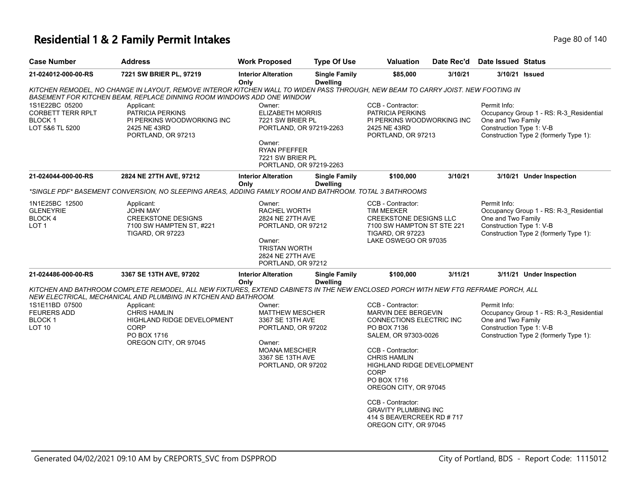#### **Residential 1 & 2 Family Permit Intakes Page 140** Page 80 of 140

| <b>Case Number</b>                                                             | <b>Address</b>                                                                                                                                                                                             | <b>Work Proposed</b>                                                                                                                                             | <b>Type Of Use</b>                      | Valuation                                                                                                                                                                                                                                                                                                                                                             | Date Rec'd | <b>Date Issued Status</b>                                      |                                                                                   |
|--------------------------------------------------------------------------------|------------------------------------------------------------------------------------------------------------------------------------------------------------------------------------------------------------|------------------------------------------------------------------------------------------------------------------------------------------------------------------|-----------------------------------------|-----------------------------------------------------------------------------------------------------------------------------------------------------------------------------------------------------------------------------------------------------------------------------------------------------------------------------------------------------------------------|------------|----------------------------------------------------------------|-----------------------------------------------------------------------------------|
| 21-024012-000-00-RS                                                            | 7221 SW BRIER PL, 97219                                                                                                                                                                                    | <b>Interior Alteration</b><br>Only                                                                                                                               | <b>Single Family</b><br><b>Dwelling</b> | \$85,000                                                                                                                                                                                                                                                                                                                                                              | 3/10/21    |                                                                | 3/10/21 Issued                                                                    |
|                                                                                | KITCHEN REMODEL, NO CHANGE IN LAYOUT, REMOVE INTEROR KITCHEN WALL TO WIDEN PASS THROUGH, NEW BEAM TO CARRY JOIST. NEW FOOTING IN<br>BASEMENT FOR KITCHEN BEAM, REPLACE DINNING ROOM WINDOWS ADD ONE WINDOW |                                                                                                                                                                  |                                         |                                                                                                                                                                                                                                                                                                                                                                       |            |                                                                |                                                                                   |
| 1S1E22BC 05200<br><b>CORBETT TERR RPLT</b><br><b>BLOCK1</b><br>LOT 5&6 TL 5200 | Applicant:<br>PATRICIA PERKINS<br>PI PERKINS WOODWORKING INC<br>2425 NE 43RD<br>PORTLAND, OR 97213                                                                                                         | Owner:<br><b>ELIZABETH MORRIS</b><br>7221 SW BRIER PL<br>PORTLAND, OR 97219-2263<br>Owner:<br><b>RYAN PFEFFER</b><br>7221 SW BRIER PL<br>PORTLAND, OR 97219-2263 |                                         | CCB - Contractor:<br>PATRICIA PERKINS<br>PI PERKINS WOODWORKING INC<br>2425 NE 43RD<br>PORTLAND, OR 97213                                                                                                                                                                                                                                                             |            | Permit Info:<br>One and Two Family<br>Construction Type 1: V-B | Occupancy Group 1 - RS: R-3_Residential<br>Construction Type 2 (formerly Type 1): |
| 21-024044-000-00-RS                                                            | 2824 NE 27TH AVE, 97212                                                                                                                                                                                    | <b>Interior Alteration</b><br>Only                                                                                                                               | <b>Single Family</b><br><b>Dwelling</b> | \$100,000                                                                                                                                                                                                                                                                                                                                                             | 3/10/21    |                                                                | 3/10/21 Under Inspection                                                          |
|                                                                                | "SINGLE PDF" BASEMENT CONVERSION, NO SLEEPING AREAS, ADDING FAMILY ROOM AND BATHROOM. TOTAL 3 BATHROOMS                                                                                                    |                                                                                                                                                                  |                                         |                                                                                                                                                                                                                                                                                                                                                                       |            |                                                                |                                                                                   |
| 1N1E25BC 12500<br><b>GLENEYRIE</b><br>BLOCK 4<br>LOT <sub>1</sub>              | Applicant:<br><b>JOHN MAY</b><br><b>CREEKSTONE DESIGNS</b><br>7100 SW HAMPTEN ST, #221<br><b>TIGARD, OR 97223</b>                                                                                          | Owner:<br>RACHEL WORTH<br>2824 NE 27TH AVE<br>PORTLAND, OR 97212<br>Owner:<br><b>TRISTAN WORTH</b><br>2824 NE 27TH AVE<br>PORTLAND, OR 97212                     |                                         | CCB - Contractor:<br><b>TIM MEEKER</b><br>CREEKSTONE DESIGNS LLC<br>7100 SW HAMPTON ST STE 221<br><b>TIGARD, OR 97223</b><br>LAKE OSWEGO OR 97035                                                                                                                                                                                                                     |            | Permit Info:<br>One and Two Family<br>Construction Type 1: V-B | Occupancy Group 1 - RS: R-3_Residential<br>Construction Type 2 (formerly Type 1): |
| 21-024486-000-00-RS                                                            | 3367 SE 13TH AVE, 97202                                                                                                                                                                                    | <b>Interior Alteration</b><br>Only                                                                                                                               | <b>Single Family</b><br><b>Dwelling</b> | \$100,000                                                                                                                                                                                                                                                                                                                                                             | 3/11/21    |                                                                | 3/11/21 Under Inspection                                                          |
|                                                                                | KITCHEN AND BATHROOM COMPLETE REMODEL, ALL NEW FIXTURES, EXTEND CABINETS IN THE NEW ENCLOSED PORCH WITH NEW FTG REFRAME PORCH, ALL<br>NEW ELECTRICAL, MECHANICAL AND PLUMBING IN KTCHEN AND BATHROOM.      |                                                                                                                                                                  |                                         |                                                                                                                                                                                                                                                                                                                                                                       |            |                                                                |                                                                                   |
| 1S1E11BD 07500<br><b>FEURERS ADD</b><br><b>BLOCK1</b><br>LOT <sub>10</sub>     | Applicant:<br><b>CHRIS HAMLIN</b><br><b>HIGHLAND RIDGE DEVELOPMENT</b><br><b>CORP</b><br>PO BOX 1716<br>OREGON CITY, OR 97045                                                                              | Owner:<br><b>MATTHEW MESCHER</b><br>3367 SE 13TH AVE<br>PORTLAND, OR 97202<br>Owner:<br><b>MOANA MESCHER</b><br>3367 SE 13TH AVE<br>PORTLAND, OR 97202           |                                         | CCB - Contractor:<br><b>MARVIN DEE BERGEVIN</b><br>CONNECTIONS ELECTRIC INC<br>PO BOX 7136<br>SALEM, OR 97303-0026<br>CCB - Contractor:<br><b>CHRIS HAMLIN</b><br><b>HIGHLAND RIDGE DEVELOPMENT</b><br><b>CORP</b><br>PO BOX 1716<br>OREGON CITY, OR 97045<br>CCB - Contractor:<br><b>GRAVITY PLUMBING INC</b><br>414 S BEAVERCREEK RD # 717<br>OREGON CITY, OR 97045 |            | Permit Info:<br>One and Two Family<br>Construction Type 1: V-B | Occupancy Group 1 - RS: R-3_Residential<br>Construction Type 2 (formerly Type 1): |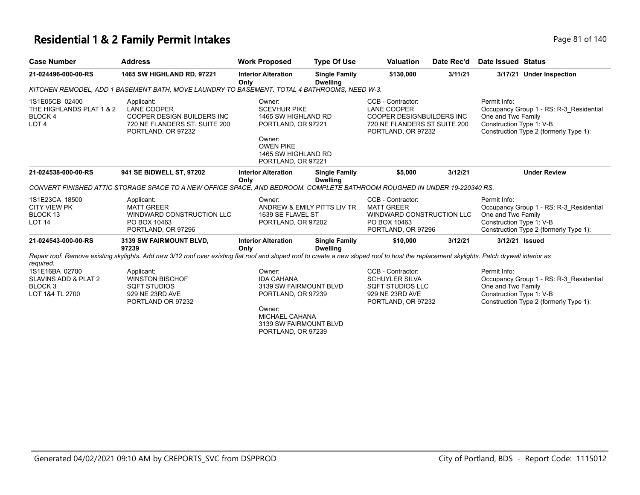#### **Residential 1 & 2 Family Permit Intakes Page 81 of 140** Page 81 of 140

| <b>Case Number</b>                                                                           | <b>Address</b>                                                                                                                                                                             | <b>Work Proposed</b>                                                                                                                                    | <b>Type Of Use</b>                      | <b>Valuation</b>                                                                                                           | Date Rec'd | Date Issued Status                                                                                                                                  |
|----------------------------------------------------------------------------------------------|--------------------------------------------------------------------------------------------------------------------------------------------------------------------------------------------|---------------------------------------------------------------------------------------------------------------------------------------------------------|-----------------------------------------|----------------------------------------------------------------------------------------------------------------------------|------------|-----------------------------------------------------------------------------------------------------------------------------------------------------|
| 21-024496-000-00-RS                                                                          | <b>1465 SW HIGHLAND RD, 97221</b>                                                                                                                                                          | <b>Interior Alteration</b><br>Only                                                                                                                      | <b>Single Family</b><br><b>Dwelling</b> | \$130,000                                                                                                                  | 3/11/21    | 3/17/21 Under Inspection                                                                                                                            |
|                                                                                              | KITCHEN REMODEL, ADD 1 BASEMENT BATH, MOVE LAUNDRY TO BASEMENT. TOTAL 4 BATHROOMS, NEED W-3.                                                                                               |                                                                                                                                                         |                                         |                                                                                                                            |            |                                                                                                                                                     |
| 1S1E05CB 02400<br>THE HIGHLANDS PLAT 1 & 2<br>BLOCK 4<br>LOT <sub>4</sub>                    | Applicant:<br><b>LANE COOPER</b><br><b>COOPER DESIGN BUILDERS INC</b><br>720 NE FLANDERS ST, SUITE 200<br>PORTLAND, OR 97232                                                               | Owner:<br><b>SCEVHUR PIKE</b><br>1465 SW HIGHLAND RD<br>PORTLAND, OR 97221<br>Owner:<br><b>OWEN PIKE</b><br>1465 SW HIGHLAND RD<br>PORTLAND, OR 97221   |                                         | CCB - Contractor:<br><b>LANE COOPER</b><br>COOPER DESIGNBUILDERS INC<br>720 NE FLANDERS ST SUITE 200<br>PORTLAND, OR 97232 |            | Permit Info:<br>Occupancy Group 1 - RS: R-3 Residential<br>One and Two Family<br>Construction Type 1: V-B<br>Construction Type 2 (formerly Type 1): |
| 21-024538-000-00-RS                                                                          | 941 SE BIDWELL ST, 97202                                                                                                                                                                   | <b>Interior Alteration</b><br>Only                                                                                                                      | <b>Single Family</b><br><b>Dwelling</b> | \$5,000                                                                                                                    | 3/12/21    | <b>Under Review</b>                                                                                                                                 |
|                                                                                              | CONVERT FINISHED ATTIC STORAGE SPACE TO A NEW OFFICE SPACE, AND BEDROOM. COMPLETE BATHROOM ROUGHED IN UNDER 19-220340 RS.                                                                  |                                                                                                                                                         |                                         |                                                                                                                            |            |                                                                                                                                                     |
| 1S1E23CA 18500<br><b>CITY VIEW PK</b><br>BLOCK 13<br>LOT <sub>14</sub>                       | Applicant:<br><b>MATT GREER</b><br>WINDWARD CONSTRUCTION LLC<br>PO BOX 10463<br>PORTLAND, OR 97296                                                                                         | Owner:<br>ANDREW & EMILY PITTS LIV TR<br>1639 SE FLAVEL ST<br>PORTLAND, OR 97202                                                                        |                                         | CCB - Contractor:<br><b>MATT GREER</b><br>WINDWARD CONSTRUCTION LLC<br>PO BOX 10463<br>PORTLAND, OR 97296                  |            | Permit Info:<br>Occupancy Group 1 - RS: R-3 Residential<br>One and Two Family<br>Construction Type 1: V-B<br>Construction Type 2 (formerly Type 1): |
| 21-024543-000-00-RS                                                                          | 3139 SW FAIRMOUNT BLVD,<br>97239                                                                                                                                                           | <b>Interior Alteration</b><br>Only                                                                                                                      | <b>Single Family</b><br><b>Dwelling</b> | \$10,000                                                                                                                   | 3/12/21    | 3/12/21 Issued                                                                                                                                      |
|                                                                                              | Repair roof. Remove existing skylights. Add new 3/12 roof over existing flat roof and sloped roof to create a new sloped roof to host the replacement skylights. Patch drywall interior as |                                                                                                                                                         |                                         |                                                                                                                            |            |                                                                                                                                                     |
| required.<br>1S1E16BA 02700<br>SLAVINS ADD & PLAT 2<br>BLOCK <sub>3</sub><br>LOT 1&4 TL 2700 | Applicant:<br><b>WINSTON BISCHOF</b><br><b>SQFT STUDIOS</b><br>929 NE 23RD AVE<br>PORTLAND OR 97232                                                                                        | Owner:<br><b>IDA CAHANA</b><br>3139 SW FAIRMOUNT BLVD<br>PORTLAND, OR 97239<br>Owner:<br>MICHAEL CAHANA<br>3139 SW FAIRMOUNT BLVD<br>PORTLAND, OR 97239 |                                         | CCB - Contractor:<br><b>SCHUYLER SILVA</b><br>SQFT STUDIOS LLC<br>929 NE 23RD AVE<br>PORTLAND, OR 97232                    |            | Permit Info:<br>Occupancy Group 1 - RS: R-3 Residential<br>One and Two Family<br>Construction Type 1: V-B<br>Construction Type 2 (formerly Type 1): |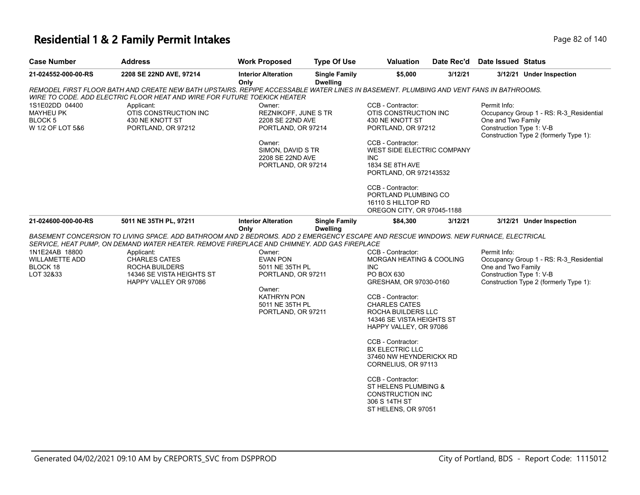# **Residential 1 & 2 Family Permit Intakes Page 82 of 140** Page 82 of 140

| <b>Case Number</b>                                                       | <b>Address</b>                                                                                                                                                                                                     | work Proposea                                                                                                                               | Type Of USe                             | valuation                                                                                                                                                                                                                     | <b>Date Rec d</b> | Date issued Status                                                                                                                                  |
|--------------------------------------------------------------------------|--------------------------------------------------------------------------------------------------------------------------------------------------------------------------------------------------------------------|---------------------------------------------------------------------------------------------------------------------------------------------|-----------------------------------------|-------------------------------------------------------------------------------------------------------------------------------------------------------------------------------------------------------------------------------|-------------------|-----------------------------------------------------------------------------------------------------------------------------------------------------|
| 21-024552-000-00-RS                                                      | 2208 SE 22ND AVE, 97214                                                                                                                                                                                            | <b>Interior Alteration</b><br>Only                                                                                                          | <b>Single Family</b><br><b>Dwelling</b> | \$5,000                                                                                                                                                                                                                       | 3/12/21           | 3/12/21 Under Inspection                                                                                                                            |
|                                                                          | REMODEL FIRST FLOOR BATH AND CREATE NEW BATH UPSTAIRS. REPIPE ACCESSABLE WATER LINES IN BASEMENT. PLUMBING AND VENT FANS IN BATHROOMS.<br>WIRE TO CODE. ADD ELECTRIC FLOOR HEAT AND WIRE FOR FUTURE TOEKICK HEATER |                                                                                                                                             |                                         |                                                                                                                                                                                                                               |                   |                                                                                                                                                     |
| 1S1E02DD 04400<br><b>MAYHEU PK</b><br><b>BLOCK 5</b><br>W 1/2 OF LOT 5&6 | Applicant:<br>OTIS CONSTRUCTION INC<br>430 NE KNOTT ST<br>PORTLAND, OR 97212                                                                                                                                       | Owner:<br><b>REZNIKOFF, JUNE S TR</b><br>2208 SE 22ND AVE<br>PORTLAND, OR 97214                                                             |                                         | CCB - Contractor:<br>OTIS CONSTRUCTION INC<br>430 NE KNOTT ST<br>PORTLAND, OR 97212                                                                                                                                           |                   | Permit Info:<br>Occupancy Group 1 - RS: R-3_Residential<br>One and Two Family<br>Construction Type 1: V-B<br>Construction Type 2 (formerly Type 1): |
|                                                                          |                                                                                                                                                                                                                    | Owner:<br>SIMON, DAVID S TR<br>2208 SE 22ND AVE<br>PORTLAND, OR 97214                                                                       |                                         | CCB - Contractor:<br>WEST SIDE ELECTRIC COMPANY<br><b>INC</b><br>1834 SE 8TH AVE<br>PORTLAND, OR 972143532                                                                                                                    |                   |                                                                                                                                                     |
|                                                                          |                                                                                                                                                                                                                    |                                                                                                                                             |                                         | CCB - Contractor:<br>PORTLAND PLUMBING CO<br>16110 S HILLTOP RD<br>OREGON CITY, OR 97045-1188                                                                                                                                 |                   |                                                                                                                                                     |
| 21-024600-000-00-RS                                                      | 5011 NE 35TH PL, 97211                                                                                                                                                                                             | <b>Interior Alteration</b>                                                                                                                  | <b>Single Family</b>                    | \$84,300                                                                                                                                                                                                                      | 3/12/21           | 3/12/21 Under Inspection                                                                                                                            |
|                                                                          | BASEMENT CONCERSION TO LIVING SPACE. ADD BATHROOM AND 2 BEDROMS. ADD 2 EMERGENCY ESCAPE AND RESCUE WINDOWS. NEW FURNACE, ELECTRICAL                                                                                | Only                                                                                                                                        | <b>Dwelling</b>                         |                                                                                                                                                                                                                               |                   |                                                                                                                                                     |
|                                                                          | SERVICE, HEAT PUMP, ON DEMAND WATER HEATER. REMOVE FIREPLACE AND CHIMNEY. ADD GAS FIREPLACE                                                                                                                        |                                                                                                                                             |                                         |                                                                                                                                                                                                                               |                   |                                                                                                                                                     |
| 1N1E24AB 18800<br><b>WILLAMETTE ADD</b><br>BLOCK 18<br>LOT 32&33         | Applicant:<br>CHARLES CATES<br>ROCHA BUILDERS<br>14346 SE VISTA HEIGHTS ST<br>HAPPY VALLEY OR 97086                                                                                                                | Owner:<br><b>EVAN PON</b><br>5011 NE 35TH PL<br>PORTLAND, OR 97211<br>Owner:<br><b>KATHRYN PON</b><br>5011 NE 35TH PL<br>PORTLAND, OR 97211 |                                         | CCB - Contractor:<br>MORGAN HEATING & COOLING<br><b>INC</b><br>PO BOX 630<br>GRESHAM, OR 97030-0160<br>CCB - Contractor:<br><b>CHARLES CATES</b><br>ROCHA BUILDERS LLC<br>14346 SE VISTA HEIGHTS ST<br>HAPPY VALLEY, OR 97086 |                   | Permit Info:<br>Occupancy Group 1 - RS: R-3_Residential<br>One and Two Family<br>Construction Type 1: V-B<br>Construction Type 2 (formerly Type 1): |
|                                                                          |                                                                                                                                                                                                                    |                                                                                                                                             |                                         | CCB - Contractor:<br><b>BX ELECTRIC LLC</b><br>37460 NW HEYNDERICKX RD<br>CORNELIUS, OR 97113                                                                                                                                 |                   |                                                                                                                                                     |
|                                                                          |                                                                                                                                                                                                                    |                                                                                                                                             |                                         | CCB - Contractor:<br>ST HELENS PLUMBING &<br><b>CONSTRUCTION INC</b><br>306 S 14TH ST<br>ST HELENS, OR 97051                                                                                                                  |                   |                                                                                                                                                     |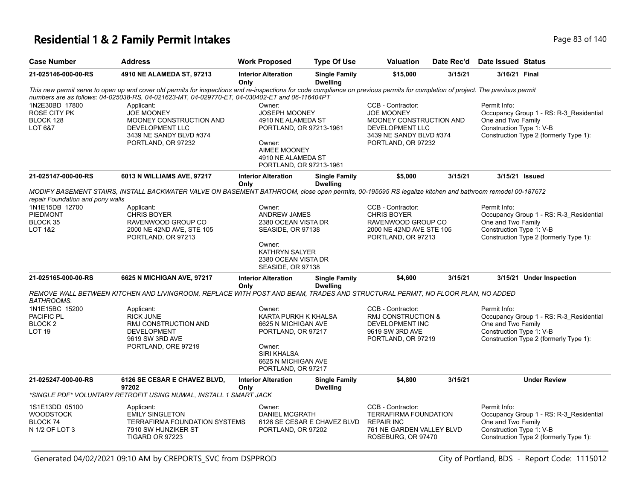#### **Residential 1 & 2 Family Permit Intakes Page 140** Page 83 of 140

| <b>Case Number</b>                                                  | <b>Address</b>                                                                                                                                                                                                                                                                     | <b>Work Proposed</b>                                                                                                                                       | <b>Type Of Use</b>                                                                                            | Valuation                                                                                                                             | Date Rec'd                                                           | Date Issued Status                                                                                                                                  |                                                                                   |
|---------------------------------------------------------------------|------------------------------------------------------------------------------------------------------------------------------------------------------------------------------------------------------------------------------------------------------------------------------------|------------------------------------------------------------------------------------------------------------------------------------------------------------|---------------------------------------------------------------------------------------------------------------|---------------------------------------------------------------------------------------------------------------------------------------|----------------------------------------------------------------------|-----------------------------------------------------------------------------------------------------------------------------------------------------|-----------------------------------------------------------------------------------|
| 21-025146-000-00-RS                                                 | 4910 NE ALAMEDA ST, 97213                                                                                                                                                                                                                                                          | <b>Interior Alteration</b><br>Only                                                                                                                         | <b>Single Family</b><br><b>Dwelling</b>                                                                       | \$15,000                                                                                                                              | 3/15/21                                                              | 3/16/21 Final                                                                                                                                       |                                                                                   |
|                                                                     | This new permit serve to open up and cover old permits for inspections and re-inspections for code compliance on previous permits for completion of project. The previous permit<br>numbers are as follows: 04-025038-RS, 04-021623-MT, 04-029770-ET, 04-030402-ET and 06-116404PT |                                                                                                                                                            |                                                                                                               |                                                                                                                                       |                                                                      |                                                                                                                                                     |                                                                                   |
| 1N2E30BD 17800<br><b>ROSE CITY PK</b><br>BLOCK 128<br>LOT 6&7       | Applicant:<br><b>JOE MOONEY</b><br>MOONEY CONSTRUCTION AND<br>DEVELOPMENT LLC<br>3439 NE SANDY BLVD #374<br>PORTLAND, OR 97232                                                                                                                                                     | Owner:<br><b>JOSEPH MOONEY</b><br>4910 NE ALAMEDA ST<br>PORTLAND, OR 97213-1961<br>Owner:<br>AIMEE MOONEY<br>4910 NE ALAMEDA ST<br>PORTLAND, OR 97213-1961 |                                                                                                               | CCB - Contractor:<br><b>JOE MOONEY</b><br>MOONEY CONSTRUCTION AND<br>DEVELOPMENT LLC<br>3439 NE SANDY BLVD #374<br>PORTLAND, OR 97232 |                                                                      | Permit Info:<br>One and Two Family<br>Construction Type 1: V-B                                                                                      | Occupancy Group 1 - RS: R-3 Residential<br>Construction Type 2 (formerly Type 1): |
| 21-025147-000-00-RS                                                 | 6013 N WILLIAMS AVE, 97217                                                                                                                                                                                                                                                         | <b>Interior Alteration</b><br>Only                                                                                                                         | <b>Single Family</b><br><b>Dwelling</b>                                                                       | \$5,000                                                                                                                               | 3/15/21                                                              | 3/15/21 Issued                                                                                                                                      |                                                                                   |
| repair Foundation and pony walls                                    | MODIFY BASEMENT STAIRS, INSTALL BACKWATER VALVE ON BASEMENT BATHROOM, close open permits, 00-195595 RS legalize kitchen and bathroom remodel 00-187672                                                                                                                             |                                                                                                                                                            |                                                                                                               |                                                                                                                                       |                                                                      |                                                                                                                                                     |                                                                                   |
| 1N1E15DB 12700<br>PIEDMONT<br>BLOCK 35<br>LOT 1&2                   | Applicant:<br><b>CHRIS BOYER</b><br>RAVENWOOD GROUP CO<br>2000 NE 42ND AVE, STE 105<br>PORTLAND, OR 97213                                                                                                                                                                          | Owner:                                                                                                                                                     | CCB - Contractor:<br>ANDREW JAMES<br><b>CHRIS BOYER</b><br>2380 OCEAN VISTA DR<br>SEASIDE, OR 97138<br>Owner: |                                                                                                                                       | RAVENWOOD GROUP CO<br>2000 NE 42ND AVE STE 105<br>PORTLAND, OR 97213 | Permit Info:<br>Occupancy Group 1 - RS: R-3_Residential<br>One and Two Family<br>Construction Type 1: V-B<br>Construction Type 2 (formerly Type 1): |                                                                                   |
|                                                                     |                                                                                                                                                                                                                                                                                    | <b>KATHRYN SALYER</b><br>2380 OCEAN VISTA DR<br>SEASIDE, OR 97138                                                                                          |                                                                                                               |                                                                                                                                       |                                                                      |                                                                                                                                                     |                                                                                   |
| 21-025165-000-00-RS                                                 | 6625 N MICHIGAN AVE, 97217                                                                                                                                                                                                                                                         | <b>Interior Alteration</b><br>Only                                                                                                                         | <b>Single Family</b><br><b>Dwelling</b>                                                                       | \$4,600                                                                                                                               | 3/15/21                                                              |                                                                                                                                                     | 3/15/21 Under Inspection                                                          |
| <b>BATHROOMS.</b>                                                   | REMOVE WALL BETWEEN KITCHEN AND LIVINGROOM, REPLACE WITH POST AND BEAM, TRADES AND STRUCTURAL PERMIT, NO FLOOR PLAN, NO ADDED                                                                                                                                                      |                                                                                                                                                            |                                                                                                               |                                                                                                                                       |                                                                      |                                                                                                                                                     |                                                                                   |
| 1N1E15BC 15200<br>PACIFIC PL<br>BLOCK <sub>2</sub><br><b>LOT 19</b> | Applicant:<br><b>RICK JUNE</b><br>RMJ CONSTRUCTION AND<br><b>DEVELOPMENT</b><br>9619 SW 3RD AVE<br>PORTLAND, ORE 97219                                                                                                                                                             | Owner:<br>KARTA PURKH K KHALSA<br>6625 N MICHIGAN AVE<br>PORTLAND, OR 97217<br>Owner:<br><b>SIRI KHALSA</b><br>6625 N MICHIGAN AVE<br>PORTLAND, OR 97217   |                                                                                                               | CCB - Contractor:<br><b>RMJ CONSTRUCTION &amp;</b><br>DEVELOPMENT INC<br>9619 SW 3RD AVE<br>PORTLAND, OR 97219                        |                                                                      | Permit Info:<br>One and Two Family<br>Construction Type 1: V-B                                                                                      | Occupancy Group 1 - RS: R-3_Residential<br>Construction Type 2 (formerly Type 1): |
| 21-025247-000-00-RS                                                 | 6126 SE CESAR E CHAVEZ BLVD,<br>97202                                                                                                                                                                                                                                              | <b>Interior Alteration</b><br>Only                                                                                                                         | <b>Single Family</b><br><b>Dwelling</b>                                                                       | \$4,800                                                                                                                               | 3/15/21                                                              |                                                                                                                                                     | <b>Under Review</b>                                                               |
|                                                                     | *SINGLE PDF* VOLUNTARY RETROFIT USING NUWAL, INSTALL 1 SMART JACK                                                                                                                                                                                                                  |                                                                                                                                                            |                                                                                                               |                                                                                                                                       |                                                                      |                                                                                                                                                     |                                                                                   |
| 1S1E13DD 05100<br><b>WOODSTOCK</b><br>BLOCK 74<br>N 1/2 OF LOT 3    | Applicant:<br><b>EMILY SINGLETON</b><br><b>TERRAFIRMA FOUNDATION SYSTEMS</b><br>7910 SW HUNZIKER ST<br>TIGARD OR 97223                                                                                                                                                             | Owner:<br><b>DANIEL MCGRATH</b><br>PORTLAND, OR 97202                                                                                                      | 6126 SE CESAR E CHAVEZ BLVD                                                                                   | CCB - Contractor:<br><b>TERRAFIRMA FOUNDATION</b><br><b>REPAIR INC</b><br>761 NE GARDEN VALLEY BLVD<br>ROSEBURG, OR 97470             |                                                                      | Permit Info:<br>One and Two Family<br>Construction Type 1: V-B                                                                                      | Occupancy Group 1 - RS: R-3_Residential<br>Construction Type 2 (formerly Type 1): |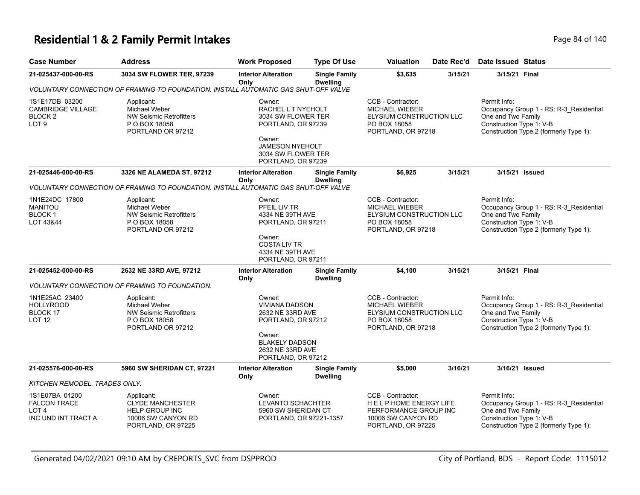#### **Residential 1 & 2 Family Permit Intakes Page 84 of 140** Page 84 of 140

| <b>Case Number</b>                                                                   | <b>Address</b>                                                                                             | <b>Work Proposed</b>                                                                                                                        | <b>Type Of Use</b>                                                                                                                   | Valuation                                                                                                    | Date Rec'd                                                                                                   | <b>Date Issued Status</b>                                                                                                                           |                                                                                                                                                     |  |
|--------------------------------------------------------------------------------------|------------------------------------------------------------------------------------------------------------|---------------------------------------------------------------------------------------------------------------------------------------------|--------------------------------------------------------------------------------------------------------------------------------------|--------------------------------------------------------------------------------------------------------------|--------------------------------------------------------------------------------------------------------------|-----------------------------------------------------------------------------------------------------------------------------------------------------|-----------------------------------------------------------------------------------------------------------------------------------------------------|--|
| 21-025437-000-00-RS                                                                  | 3034 SW FLOWER TER, 97239                                                                                  | <b>Interior Alteration</b><br>Onlv                                                                                                          | <b>Single Family</b><br><b>Dwelling</b>                                                                                              | \$3,635                                                                                                      | 3/15/21                                                                                                      | 3/15/21 Final                                                                                                                                       |                                                                                                                                                     |  |
|                                                                                      | VOLUNTARY CONNECTION OF FRAMING TO FOUNDATION. INSTALL AUTOMATIC GAS SHUT-OFF VALVE                        |                                                                                                                                             |                                                                                                                                      |                                                                                                              |                                                                                                              |                                                                                                                                                     |                                                                                                                                                     |  |
| 1S1E17DB 03200<br><b>CAMBRIDGE VILLAGE</b><br>BLOCK <sub>2</sub><br>LOT <sub>9</sub> | Applicant:<br>Michael Weber<br><b>NW Seismic Retrofitters</b><br>P O BOX 18058<br>PORTLAND OR 97212        | Owner:<br>Owner:                                                                                                                            | RACHEL L T NYEHOLT<br>3034 SW FLOWER TER<br>PORTLAND, OR 97239<br><b>JAMESON NYEHOLT</b><br>3034 SW FLOWER TER<br>PORTLAND, OR 97239 |                                                                                                              | CCB - Contractor:<br><b>MICHAEL WIEBER</b><br>ELYSIUM CONSTRUCTION LLC<br>PO BOX 18058<br>PORTLAND, OR 97218 |                                                                                                                                                     | Permit Info:<br>Occupancy Group 1 - RS: R-3_Residential<br>One and Two Family<br>Construction Type 1: V-B<br>Construction Type 2 (formerly Type 1): |  |
| 21-025446-000-00-RS                                                                  | 3326 NE ALAMEDA ST, 97212                                                                                  | <b>Interior Alteration</b><br>Only                                                                                                          | <b>Single Family</b><br><b>Dwelling</b>                                                                                              | \$6,925                                                                                                      | 3/15/21                                                                                                      | 3/15/21 Issued                                                                                                                                      |                                                                                                                                                     |  |
|                                                                                      | VOLUNTARY CONNECTION OF FRAMING TO FOUNDATION. INSTALL AUTOMATIC GAS SHUT-OFF VALVE                        |                                                                                                                                             |                                                                                                                                      |                                                                                                              |                                                                                                              |                                                                                                                                                     |                                                                                                                                                     |  |
| 1N1E24DC 17800<br><b>MANITOU</b><br><b>BLOCK1</b><br>LOT 43&44                       | Applicant:<br>Michael Weber<br><b>NW Seismic Retrofitters</b><br>P O BOX 18058<br>PORTLAND OR 97212        | Owner:<br>PFEIL LIV TR<br>4334 NE 39TH AVE<br>PORTLAND, OR 97211<br>Owner:<br><b>COSTA LIV TR</b><br>4334 NE 39TH AVE<br>PORTLAND, OR 97211 |                                                                                                                                      | CCB - Contractor:<br><b>MICHAEL WIEBER</b><br>ELYSIUM CONSTRUCTION LLC<br>PO BOX 18058<br>PORTLAND, OR 97218 |                                                                                                              | Permit Info:<br>Occupancy Group 1 - RS: R-3_Residential<br>One and Two Family<br>Construction Type 1: V-B<br>Construction Type 2 (formerly Type 1): |                                                                                                                                                     |  |
| 21-025452-000-00-RS                                                                  | 2632 NE 33RD AVE, 97212                                                                                    | <b>Interior Alteration</b><br>Only                                                                                                          | <b>Single Family</b><br><b>Dwelling</b>                                                                                              | \$4,100                                                                                                      | 3/15/21                                                                                                      | 3/15/21 Final                                                                                                                                       |                                                                                                                                                     |  |
|                                                                                      | VOLUNTARY CONNECTION OF FRAMING TO FOUNDATION.                                                             |                                                                                                                                             |                                                                                                                                      |                                                                                                              |                                                                                                              |                                                                                                                                                     |                                                                                                                                                     |  |
| 1N1E25AC 23400<br><b>HOLLYROOD</b><br><b>BLOCK 17</b><br>LOT <sub>12</sub>           | Applicant:<br><b>Michael Weber</b><br><b>NW Seismic Retrofitters</b><br>P O BOX 18058<br>PORTLAND OR 97212 | Owner:<br>Owner:                                                                                                                            | <b>VIVIANA DADSON</b><br>2632 NE 33RD AVE<br>PORTLAND, OR 97212<br><b>BLAKELY DADSON</b><br>2632 NE 33RD AVE<br>PORTLAND, OR 97212   |                                                                                                              | CCB - Contractor:<br><b>MICHAEL WIEBER</b><br>ELYSIUM CONSTRUCTION LLC<br>PO BOX 18058<br>PORTLAND, OR 97218 |                                                                                                                                                     | Occupancy Group 1 - RS: R-3_Residential<br>One and Two Family<br>Construction Type 1: V-B<br>Construction Type 2 (formerly Type 1):                 |  |
| 21-025576-000-00-RS                                                                  | 5960 SW SHERIDAN CT, 97221                                                                                 | <b>Interior Alteration</b><br>Only                                                                                                          | <b>Single Family</b><br><b>Dwelling</b>                                                                                              | \$5,000                                                                                                      | 3/16/21                                                                                                      | 3/16/21 Issued                                                                                                                                      |                                                                                                                                                     |  |
| KITCHEN REMODEL. TRADES ONLY.                                                        |                                                                                                            |                                                                                                                                             |                                                                                                                                      |                                                                                                              |                                                                                                              |                                                                                                                                                     |                                                                                                                                                     |  |
| 1S1E07BA 01200<br><b>FALCON TRACE</b><br>LOT <sub>4</sub>                            | Applicant:<br><b>CLYDE MANCHESTER</b><br>HELP GROUP INC                                                    | Owner:<br><b>LEVANTO SCHACHTER</b><br>5960 SW SHERIDAN CT                                                                                   |                                                                                                                                      | CCB - Contractor:<br>HELPHOME ENERGY LIFE<br>PERFORMANCE GROUP INC                                           |                                                                                                              | Permit Info:<br>One and Two Family                                                                                                                  | Occupancy Group 1 - RS: R-3_Residential                                                                                                             |  |

PORTLAND, OR 97221-1357

10006 SW CANYON RD PORTLAND, OR 97225

10006 SW CANYON RD PORTLAND, OR 97225

INC UND INT TRACT A

Construction Type 2 (formerly Type 1):

Construction Type 1: V-B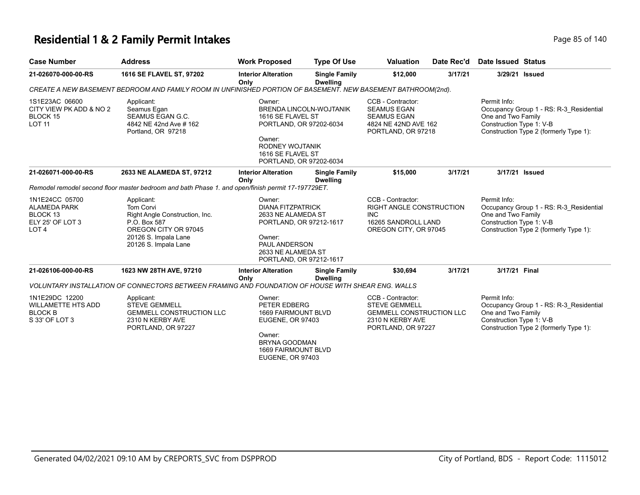#### **Residential 1 & 2 Family Permit Intakes Page 140** Page 85 of 140

| <b>Case Number</b>                                                                                   | <b>Address</b>                                                                                                                                           | <b>Work Proposed</b>                                                                                                                                                       | <b>Type Of Use</b>                      | <b>Valuation</b>                                                                                                       | Date Rec'd | <b>Date Issued Status</b>                                                                                                                           |
|------------------------------------------------------------------------------------------------------|----------------------------------------------------------------------------------------------------------------------------------------------------------|----------------------------------------------------------------------------------------------------------------------------------------------------------------------------|-----------------------------------------|------------------------------------------------------------------------------------------------------------------------|------------|-----------------------------------------------------------------------------------------------------------------------------------------------------|
| 21-026070-000-00-RS                                                                                  | 1616 SE FLAVEL ST, 97202                                                                                                                                 | <b>Interior Alteration</b><br>Only                                                                                                                                         | <b>Single Family</b><br><b>Dwelling</b> | \$12,000                                                                                                               | 3/17/21    | 3/29/21 Issued                                                                                                                                      |
|                                                                                                      | CREATE A NEW BASEMENT BEDROOM AND FAMILY ROOM IN UNFINISHED PORTION OF BASEMENT. NEW BASEMENT BATHROOM(2nd).                                             |                                                                                                                                                                            |                                         |                                                                                                                        |            |                                                                                                                                                     |
| 1S1E23AC 06600<br>CITY VIEW PK ADD & NO 2<br>BLOCK 15<br><b>LOT 11</b>                               | Applicant:<br>Seamus Egan<br>SEAMUS EGAN G.C.<br>4842 NE 42nd Ave # 162<br>Portland, OR 97218                                                            | Owner:<br>1616 SE FLAVEL ST<br>PORTLAND, OR 97202-6034<br>Owner:<br>RODNEY WOJTANIK<br>1616 SE FLAVEL ST<br>PORTLAND, OR 97202-6034                                        | <b>BRENDA LINCOLN-WOJTANIK</b>          | CCB - Contractor:<br><b>SEAMUS EGAN</b><br><b>SEAMUS EGAN</b><br>4824 NE 42ND AVE 162<br>PORTLAND, OR 97218            |            | Permit Info:<br>Occupancy Group 1 - RS: R-3_Residential<br>One and Two Family<br>Construction Type 1: V-B<br>Construction Type 2 (formerly Type 1): |
| 21-026071-000-00-RS                                                                                  | 2633 NE ALAMEDA ST, 97212                                                                                                                                | <b>Interior Alteration</b><br>Only                                                                                                                                         | <b>Single Family</b><br><b>Dwelling</b> | \$15,000                                                                                                               | 3/17/21    | 3/17/21 Issued                                                                                                                                      |
|                                                                                                      | Remodel remodel second floor master bedroom and bath Phase 1. and open/finish permit 17-197729ET.                                                        |                                                                                                                                                                            |                                         |                                                                                                                        |            |                                                                                                                                                     |
| 1N1E24CC 05700<br><b>ALAMEDA PARK</b><br>BLOCK <sub>13</sub><br>ELY 25' OF LOT 3<br>LOT <sub>4</sub> | Applicant:<br><b>Tom Corvi</b><br>Right Angle Construction, Inc.<br>P.O. Box 587<br>OREGON CITY OR 97045<br>20126 S. Impala Lane<br>20126 S. Impala Lane | Owner:<br><b>DIANA FITZPATRICK</b><br>2633 NE ALAMEDA ST<br>PORTLAND, OR 97212-1617<br>Owner:<br><b>PAUL ANDERSON</b><br>2633 NE ALAMEDA ST<br>PORTLAND, OR 97212-1617     |                                         | CCB - Contractor:<br>RIGHT ANGLE CONSTRUCTION<br><b>INC</b><br>16265 SANDROLL LAND<br>OREGON CITY, OR 97045            |            | Permit Info:<br>Occupancy Group 1 - RS: R-3 Residential<br>One and Two Family<br>Construction Type 1: V-B<br>Construction Type 2 (formerly Type 1): |
| 21-026106-000-00-RS                                                                                  | 1623 NW 28TH AVE, 97210                                                                                                                                  | <b>Interior Alteration</b><br>Only                                                                                                                                         | <b>Single Family</b><br><b>Dwelling</b> | \$30,694                                                                                                               | 3/17/21    | 3/17/21 Final                                                                                                                                       |
|                                                                                                      | VOLUNTARY INSTALLATION OF CONNECTORS BETWEEN FRAMING AND FOUNDATION OF HOUSE WITH SHEAR ENG. WALLS                                                       |                                                                                                                                                                            |                                         |                                                                                                                        |            |                                                                                                                                                     |
| 1N1E29DC 12200<br><b>WILLAMETTE HTS ADD</b><br><b>BLOCK B</b><br>S 33' OF LOT 3                      | Applicant:<br><b>STEVE GEMMELL</b><br><b>GEMMELL CONSTRUCTION LLC</b><br>2310 N KERBY AVE<br>PORTLAND, OR 97227                                          | Owner:<br>PETER EDBERG<br><b>1669 FAIRMOUNT BLVD</b><br><b>EUGENE, OR 97403</b><br>Owner:<br><b>BRYNA GOODMAN</b><br><b>1669 FAIRMOUNT BLVD</b><br><b>EUGENE, OR 97403</b> |                                         | CCB - Contractor:<br><b>STEVE GEMMELL</b><br><b>GEMMELL CONSTRUCTION LLC</b><br>2310 N KERBY AVE<br>PORTLAND, OR 97227 |            | Permit Info:<br>Occupancy Group 1 - RS: R-3 Residential<br>One and Two Family<br>Construction Type 1: V-B<br>Construction Type 2 (formerly Type 1): |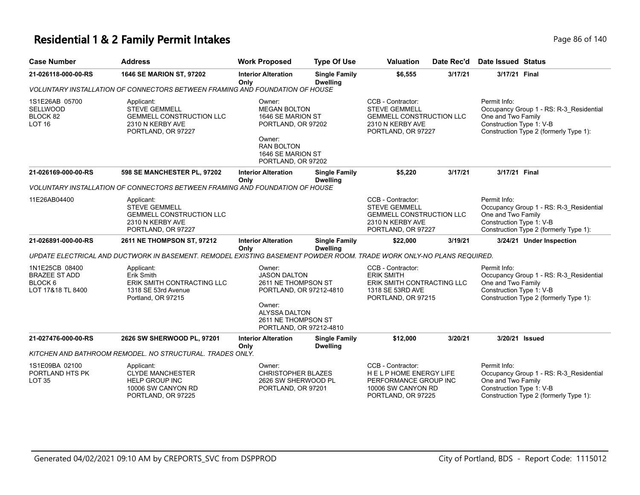#### **Residential 1 & 2 Family Permit Intakes Page 140** Page 86 of 140

| <b>Case Number</b>                                                     | <b>Address</b>                                                                                                        | <b>Work Proposed</b>                                                                                                                                                | <b>Type Of Use</b>                      | <b>Valuation</b>                                                                                                       | Date Rec'd | <b>Date Issued Status</b>                                                                                                                           |
|------------------------------------------------------------------------|-----------------------------------------------------------------------------------------------------------------------|---------------------------------------------------------------------------------------------------------------------------------------------------------------------|-----------------------------------------|------------------------------------------------------------------------------------------------------------------------|------------|-----------------------------------------------------------------------------------------------------------------------------------------------------|
| 21-026118-000-00-RS                                                    | 1646 SE MARION ST, 97202                                                                                              | <b>Interior Alteration</b><br>Onlv                                                                                                                                  | <b>Single Family</b><br><b>Dwelling</b> | \$6,555                                                                                                                | 3/17/21    | 3/17/21 Final                                                                                                                                       |
|                                                                        | VOLUNTARY INSTALLATION OF CONNECTORS BETWEEN FRAMING AND FOUNDATION OF HOUSE                                          |                                                                                                                                                                     |                                         |                                                                                                                        |            |                                                                                                                                                     |
| 1S1E26AB 05700<br>SELLWOOD<br>BLOCK 82<br>LOT <sub>16</sub>            | Applicant:<br><b>STEVE GEMMELL</b><br><b>GEMMELL CONSTRUCTION LLC</b><br>2310 N KERBY AVE<br>PORTLAND, OR 97227       | Owner:<br><b>MEGAN BOLTON</b><br>1646 SE MARION ST<br>PORTLAND, OR 97202<br>Owner:<br><b>RAN BOLTON</b><br>1646 SE MARION ST<br>PORTLAND, OR 97202                  |                                         | CCB - Contractor:<br><b>STEVE GEMMELL</b><br><b>GEMMELL CONSTRUCTION LLC</b><br>2310 N KERBY AVE<br>PORTLAND, OR 97227 |            | Permit Info:<br>Occupancy Group 1 - RS: R-3_Residential<br>One and Two Family<br>Construction Type 1: V-B<br>Construction Type 2 (formerly Type 1): |
| 21-026169-000-00-RS                                                    | 598 SE MANCHESTER PL, 97202                                                                                           | <b>Interior Alteration</b><br>Only                                                                                                                                  | <b>Single Family</b><br><b>Dwelling</b> | \$5,220                                                                                                                | 3/17/21    | 3/17/21 Final                                                                                                                                       |
|                                                                        | VOLUNTARY INSTALLATION OF CONNECTORS BETWEEN FRAMING AND FOUNDATION OF HOUSE                                          |                                                                                                                                                                     |                                         |                                                                                                                        |            |                                                                                                                                                     |
| 11E26AB04400                                                           | Applicant:<br><b>STEVE GEMMELL</b><br><b>GEMMELL CONSTRUCTION LLC</b><br>2310 N KERBY AVE<br>PORTLAND, OR 97227       |                                                                                                                                                                     |                                         | CCB - Contractor:<br><b>STEVE GEMMELL</b><br><b>GEMMELL CONSTRUCTION LLC</b><br>2310 N KERBY AVE<br>PORTLAND, OR 97227 |            | Permit Info:<br>Occupancy Group 1 - RS: R-3_Residential<br>One and Two Family<br>Construction Type 1: V-B<br>Construction Type 2 (formerly Type 1): |
| 21-026891-000-00-RS                                                    | 2611 NE THOMPSON ST, 97212                                                                                            | <b>Interior Alteration</b><br>Only                                                                                                                                  | <b>Single Family</b><br><b>Dwelling</b> | \$22,000                                                                                                               | 3/19/21    | 3/24/21 Under Inspection                                                                                                                            |
|                                                                        | UPDATE ELECTRICAL AND DUCTWORK IN BASEMENT. REMODEL EXISTING BASEMENT POWDER ROOM. TRADE WORK ONLY-NO PLANS REQUIRED. |                                                                                                                                                                     |                                         |                                                                                                                        |            |                                                                                                                                                     |
| 1N1E25CB 08400<br><b>BRAZEE ST ADD</b><br>BLOCK 6<br>LOT 17&18 TL 8400 | Applicant:<br>Erik Smith<br>ERIK SMITH CONTRACTING LLC<br>1318 SE 53rd Avenue<br>Portland, OR 97215                   | Owner:<br><b>JASON DALTON</b><br>2611 NE THOMPSON ST<br>PORTLAND, OR 97212-4810<br>Owner:<br><b>ALYSSA DALTON</b><br>2611 NE THOMPSON ST<br>PORTLAND, OR 97212-4810 |                                         | CCB - Contractor:<br><b>ERIK SMITH</b><br>ERIK SMITH CONTRACTING LLC<br>1318 SE 53RD AVE<br>PORTLAND, OR 97215         |            | Permit Info:<br>Occupancy Group 1 - RS: R-3_Residential<br>One and Two Family<br>Construction Type 1: V-B<br>Construction Type 2 (formerly Type 1): |
| 21-027476-000-00-RS                                                    | 2626 SW SHERWOOD PL, 97201                                                                                            | <b>Interior Alteration</b><br>Only                                                                                                                                  | <b>Single Family</b><br><b>Dwelling</b> | \$12,000                                                                                                               | 3/20/21    | 3/20/21 Issued                                                                                                                                      |
|                                                                        | KITCHEN AND BATHROOM REMODEL. NO STRUCTURAL. TRADES ONLY.                                                             |                                                                                                                                                                     |                                         |                                                                                                                        |            |                                                                                                                                                     |
| 1S1E09BA 02100<br>PORTLAND HTS PK<br><b>LOT 35</b>                     | Applicant:<br><b>CLYDE MANCHESTER</b><br><b>HELP GROUP INC</b><br>10006 SW CANYON RD<br>PORTLAND, OR 97225            | Owner:<br><b>CHRISTOPHER BLAZES</b><br>2626 SW SHERWOOD PL<br>PORTLAND, OR 97201                                                                                    |                                         | CCB - Contractor:<br>HELP HOME ENERGY LIFE<br>PERFORMANCE GROUP INC<br>10006 SW CANYON RD<br>PORTLAND, OR 97225        |            | Permit Info:<br>Occupancy Group 1 - RS: R-3 Residential<br>One and Two Family<br>Construction Type 1: V-B<br>Construction Type 2 (formerly Type 1): |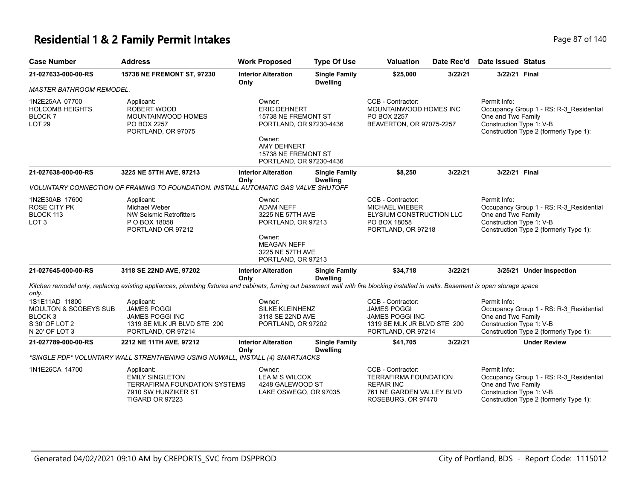#### **Residential 1 & 2 Family Permit Intakes Page 87 of 140** Page 87 of 140

| <b>Case Number</b>                                                                                           | <b>Address</b>                                                                                                                                                                       | <b>Work Proposed</b>                                                                                                     | <b>Type Of Use</b>                                                                                                                                                         | <b>Valuation</b>                                                                                                          | Date Rec'd                                         | <b>Date Issued Status</b>                                                                                                                           |
|--------------------------------------------------------------------------------------------------------------|--------------------------------------------------------------------------------------------------------------------------------------------------------------------------------------|--------------------------------------------------------------------------------------------------------------------------|----------------------------------------------------------------------------------------------------------------------------------------------------------------------------|---------------------------------------------------------------------------------------------------------------------------|----------------------------------------------------|-----------------------------------------------------------------------------------------------------------------------------------------------------|
| 21-027633-000-00-RS                                                                                          | 15738 NE FREMONT ST, 97230                                                                                                                                                           | <b>Interior Alteration</b><br>Only                                                                                       | <b>Single Family</b><br><b>Dwelling</b>                                                                                                                                    | \$25,000                                                                                                                  | 3/22/21                                            | 3/22/21 Final                                                                                                                                       |
| <b>MASTER BATHROOM REMODEL.</b>                                                                              |                                                                                                                                                                                      |                                                                                                                          |                                                                                                                                                                            |                                                                                                                           |                                                    |                                                                                                                                                     |
| 1N2E25AA 07700<br><b>HOLCOMB HEIGHTS</b><br><b>BLOCK7</b><br><b>LOT 29</b>                                   | Applicant:<br><b>ROBERT WOOD</b><br>MOUNTAINWOOD HOMES<br>PO BOX 2257<br>PORTLAND, OR 97075                                                                                          | Owner:<br>Owner:                                                                                                         | CCB - Contractor:<br><b>ERIC DEHNERT</b><br>PO BOX 2257<br>15738 NE FREMONT ST<br>PORTLAND, OR 97230-4436<br>AMY DEHNERT<br>15738 NE FREMONT ST<br>PORTLAND, OR 97230-4436 |                                                                                                                           | MOUNTAINWOOD HOMES INC<br>BEAVERTON, OR 97075-2257 | Permit Info:<br>Occupancy Group 1 - RS: R-3_Residential<br>One and Two Family<br>Construction Type 1: V-B<br>Construction Type 2 (formerly Type 1): |
| 21-027638-000-00-RS                                                                                          | 3225 NE 57TH AVE, 97213                                                                                                                                                              | <b>Interior Alteration</b><br>Only                                                                                       | <b>Single Family</b><br><b>Dwelling</b>                                                                                                                                    | \$8,250                                                                                                                   | 3/22/21                                            | 3/22/21 Final                                                                                                                                       |
|                                                                                                              | VOLUNTARY CONNECTION OF FRAMING TO FOUNDATION. INSTALL AUTOMATIC GAS VALVE SHUTOFF                                                                                                   |                                                                                                                          |                                                                                                                                                                            |                                                                                                                           |                                                    |                                                                                                                                                     |
| 1N2E30AB 17600<br>ROSE CITY PK<br>BLOCK 113<br>LOT <sub>3</sub>                                              | Applicant:<br>Michael Weber<br>NW Seismic Retrofitters<br>P O BOX 18058<br>PORTLAND OR 97212                                                                                         | Owner:<br><b>ADAM NEFF</b><br>3225 NE 57TH AVE<br>PORTLAND, OR 97213<br>Owner:<br><b>MEAGAN NEFF</b><br>3225 NE 57TH AVE |                                                                                                                                                                            | CCB - Contractor:<br><b>MICHAEL WIEBER</b><br>ELYSIUM CONSTRUCTION LLC<br>PO BOX 18058<br>PORTLAND, OR 97218              |                                                    | Permit Info:<br>Occupancy Group 1 - RS: R-3_Residential<br>One and Two Family<br>Construction Type 1: V-B<br>Construction Type 2 (formerly Type 1): |
| 21-027645-000-00-RS                                                                                          | 3118 SE 22ND AVE, 97202                                                                                                                                                              | PORTLAND, OR 97213<br><b>Interior Alteration</b><br>Only                                                                 | <b>Single Family</b><br><b>Dwelling</b>                                                                                                                                    | \$34,718                                                                                                                  | 3/22/21                                            | 3/25/21 Under Inspection                                                                                                                            |
| only.                                                                                                        | Kitchen remodel only, replacing existing appliances, plumbing fixtures and cabinets, furring out basement wall with fire blocking installed in walls. Basement is open storage space |                                                                                                                          |                                                                                                                                                                            |                                                                                                                           |                                                    |                                                                                                                                                     |
| 1S1E11AD 11800<br><b>MOULTON &amp; SCOBEYS SUB</b><br>BLOCK <sub>3</sub><br>S 30' OF LOT 2<br>N 20' OF LOT 3 | Applicant:<br><b>JAMES POGGI</b><br>JAMES POGGI INC<br>1319 SE MLK JR BLVD STE 200<br>PORTLAND, OR 97214                                                                             | Owner:<br>SILKE KLEINHENZ<br>3118 SE 22ND AVE<br>PORTLAND, OR 97202                                                      |                                                                                                                                                                            | CCB - Contractor:<br><b>JAMES POGGI</b><br><b>JAMES POGGI INC</b><br>1319 SE MLK JR BLVD STE 200<br>PORTLAND, OR 97214    |                                                    | Permit Info:<br>Occupancy Group 1 - RS: R-3_Residential<br>One and Two Family<br>Construction Type 1: V-B<br>Construction Type 2 (formerly Type 1): |
| 21-027789-000-00-RS                                                                                          | 2212 NE 11TH AVE, 97212                                                                                                                                                              | <b>Interior Alteration</b><br>Only                                                                                       | <b>Single Family</b><br><b>Dwelling</b>                                                                                                                                    | \$41,705                                                                                                                  | 3/22/21                                            | <b>Under Review</b>                                                                                                                                 |
|                                                                                                              | *SINGLE PDF* VOLUNTARY WALL STRENTHENING USING NUWALL, INSTALL (4) SMARTJACKS                                                                                                        |                                                                                                                          |                                                                                                                                                                            |                                                                                                                           |                                                    |                                                                                                                                                     |
| 1N1E26CA 14700                                                                                               | Applicant:<br><b>EMILY SINGLETON</b><br>TERRAFIRMA FOUNDATION SYSTEMS<br>7910 SW HUNZIKER ST<br>TIGARD OR 97223                                                                      | Owner:<br><b>LEA M S WILCOX</b><br>4248 GALEWOOD ST<br>LAKE OSWEGO, OR 97035                                             |                                                                                                                                                                            | CCB - Contractor:<br><b>TERRAFIRMA FOUNDATION</b><br><b>REPAIR INC</b><br>761 NE GARDEN VALLEY BLVD<br>ROSEBURG, OR 97470 |                                                    | Permit Info:<br>Occupancy Group 1 - RS: R-3_Residential<br>One and Two Family<br>Construction Type 1: V-B<br>Construction Type 2 (formerly Type 1): |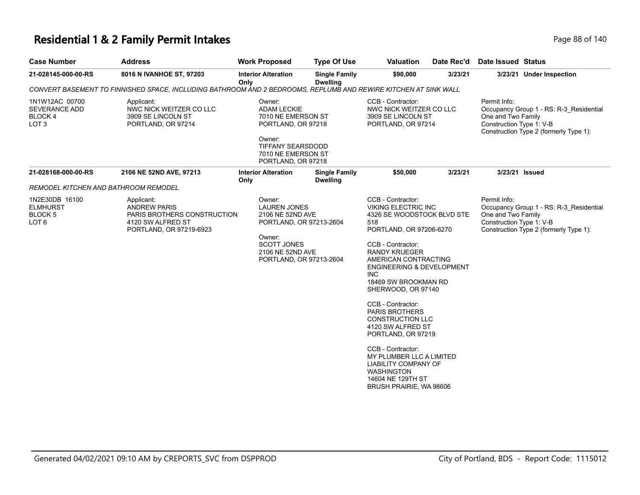### **Residential 1 & 2 Family Permit Intakes Page 140** Page 88 of 140

| <b>Case Number</b>                                                          | <b>Address</b>                                                                                                   | <b>Work Proposed</b>                                                                                                                                        | <b>Type Of Use</b>                      | <b>Valuation</b>                                                                                                                                                                                                                                                                                                                                                                                                                                                                                                                                     | Date Rec'd | Date Issued Status                                                                                                                                  |
|-----------------------------------------------------------------------------|------------------------------------------------------------------------------------------------------------------|-------------------------------------------------------------------------------------------------------------------------------------------------------------|-----------------------------------------|------------------------------------------------------------------------------------------------------------------------------------------------------------------------------------------------------------------------------------------------------------------------------------------------------------------------------------------------------------------------------------------------------------------------------------------------------------------------------------------------------------------------------------------------------|------------|-----------------------------------------------------------------------------------------------------------------------------------------------------|
| 21-028145-000-00-RS                                                         | 8016 N IVANHOE ST, 97203                                                                                         | <b>Interior Alteration</b><br>Only                                                                                                                          | <b>Single Family</b><br><b>Dwelling</b> | \$90,000                                                                                                                                                                                                                                                                                                                                                                                                                                                                                                                                             | 3/23/21    | 3/23/21 Under Inspection                                                                                                                            |
|                                                                             | CONVERT BASEMENT TO FINNISHED SPACE, INCLUDING BATHROOM AND 2 BEDROOMS, REPLUMB AND REWIRE KITCHEN AT SINK WALL  |                                                                                                                                                             |                                         |                                                                                                                                                                                                                                                                                                                                                                                                                                                                                                                                                      |            |                                                                                                                                                     |
| 1N1W12AC 00700<br><b>SEVERANCE ADD</b><br><b>BLOCK4</b><br>LOT <sub>3</sub> | Applicant:<br>NWC NICK WEITZER CO LLC<br>3909 SE LINCOLN ST<br>PORTLAND, OR 97214                                | Owner:<br><b>ADAM LECKIE</b><br>7010 NE EMERSON ST<br>PORTLAND, OR 97218<br>Owner:<br>TIFFANY SEARSDODD<br>7010 NE EMERSON ST<br>PORTLAND, OR 97218         |                                         | CCB - Contractor:<br>NWC NICK WEITZER CO LLC<br>3909 SE LINCOLN ST<br>PORTLAND, OR 97214                                                                                                                                                                                                                                                                                                                                                                                                                                                             |            | Permit Info:<br>Occupancy Group 1 - RS: R-3_Residential<br>One and Two Family<br>Construction Type 1: V-B<br>Construction Type 2 (formerly Type 1): |
| 21-028168-000-00-RS                                                         | 2106 NE 52ND AVE, 97213                                                                                          | <b>Interior Alteration</b><br>Only                                                                                                                          | <b>Single Family</b><br><b>Dwelling</b> | \$50,000                                                                                                                                                                                                                                                                                                                                                                                                                                                                                                                                             | 3/23/21    | 3/23/21 Issued                                                                                                                                      |
| REMODEL KITCHEN AND BATHROOM REMODEL                                        |                                                                                                                  |                                                                                                                                                             |                                         |                                                                                                                                                                                                                                                                                                                                                                                                                                                                                                                                                      |            |                                                                                                                                                     |
| 1N2E30DB 16100<br><b>ELMHURST</b><br>BLOCK <sub>5</sub><br>LOT <sub>6</sub> | Applicant:<br><b>ANDREW PARIS</b><br>PARIS BROTHERS CONSTRUCTION<br>4120 SW ALFRED ST<br>PORTLAND, OR 97219-6923 | Owner:<br><b>LAUREN JONES</b><br>2106 NE 52ND AVE<br>PORTLAND, OR 97213-2604<br>Owner:<br><b>SCOTT JONES</b><br>2106 NE 52ND AVE<br>PORTLAND, OR 97213-2604 |                                         | CCB - Contractor:<br><b>VIKING ELECTRIC INC</b><br>4326 SE WOODSTOCK BLVD STE<br>518<br>PORTLAND, OR 97206-6270<br>CCB - Contractor:<br><b>RANDY KRUEGER</b><br>AMERICAN CONTRACTING<br><b>ENGINEERING &amp; DEVELOPMENT</b><br>INC.<br>18469 SW BROOKMAN RD<br>SHERWOOD, OR 97140<br>CCB - Contractor:<br><b>PARIS BROTHERS</b><br><b>CONSTRUCTION LLC</b><br>4120 SW ALFRED ST<br>PORTLAND, OR 97219<br>CCB - Contractor:<br>MY PLUMBER LLC A LIMITED<br>LIABILITY COMPANY OF<br><b>WASHINGTON</b><br>14604 NE 129TH ST<br>BRUSH PRAIRIE, WA 98606 |            | Permit Info:<br>Occupancy Group 1 - RS: R-3 Residential<br>One and Two Family<br>Construction Type 1: V-B<br>Construction Type 2 (formerly Type 1): |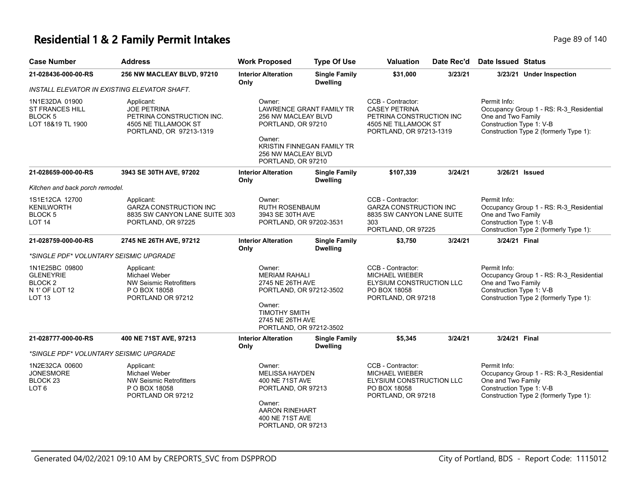#### **Residential 1 & 2 Family Permit Intakes Page 140** Page 89 of 140

| <b>Case Number</b>                                                               | <b>Address</b>                                                                                                                                                                                                  | <b>Work Proposed</b>                                                                                                                                 | <b>Type Of Use</b>                      | <b>Valuation</b>                                                                                                         | Date Rec'd | Date Issued Status                                                                                                                                  |  |
|----------------------------------------------------------------------------------|-----------------------------------------------------------------------------------------------------------------------------------------------------------------------------------------------------------------|------------------------------------------------------------------------------------------------------------------------------------------------------|-----------------------------------------|--------------------------------------------------------------------------------------------------------------------------|------------|-----------------------------------------------------------------------------------------------------------------------------------------------------|--|
| 21-028436-000-00-RS                                                              | 256 NW MACLEAY BLVD, 97210                                                                                                                                                                                      | <b>Interior Alteration</b><br>Only                                                                                                                   | <b>Single Family</b><br><b>Dwelling</b> | \$31,000                                                                                                                 | 3/23/21    | 3/23/21 Under Inspection                                                                                                                            |  |
| INSTALL ELEVATOR IN EXISTING ELEVATOR SHAFT.                                     |                                                                                                                                                                                                                 |                                                                                                                                                      |                                         |                                                                                                                          |            |                                                                                                                                                     |  |
| 1N1E32DA 01900<br>ST FRANCES HILL<br>BLOCK 5<br>LOT 18&19 TL 1900                | Applicant:<br><b>JOE PETRINA</b><br>PETRINA CONSTRUCTION INC.<br>4505 NE TILLAMOOK ST<br>PORTLAND, OR 97213-1319                                                                                                | Owner:<br>LAWRENCE GRANT FAMILY TR<br>256 NW MACLEAY BLVD<br>PORTLAND, OR 97210<br>Owner:                                                            |                                         | CCB - Contractor:<br><b>CASEY PETRINA</b><br>PETRINA CONSTRUCTION INC<br>4505 NE TILLAMOOK ST<br>PORTLAND, OR 97213-1319 |            | Permit Info:<br>Occupancy Group 1 - RS: R-3_Residential<br>One and Two Family<br>Construction Type 1: V-B<br>Construction Type 2 (formerly Type 1): |  |
|                                                                                  |                                                                                                                                                                                                                 | 256 NW MACLEAY BLVD<br>PORTLAND, OR 97210                                                                                                            | KRISTIN FINNEGAN FAMILY TR              |                                                                                                                          |            |                                                                                                                                                     |  |
| 21-028659-000-00-RS                                                              | 3943 SE 30TH AVE, 97202                                                                                                                                                                                         | <b>Interior Alteration</b><br>Only                                                                                                                   | <b>Single Family</b><br><b>Dwelling</b> | \$107,339                                                                                                                | 3/24/21    | 3/26/21 Issued                                                                                                                                      |  |
| Kitchen and back porch remodel.                                                  |                                                                                                                                                                                                                 |                                                                                                                                                      |                                         |                                                                                                                          |            |                                                                                                                                                     |  |
| 1S1E12CA 12700<br>KENILWORTH<br>BLOCK 5<br>LOT 14                                | Applicant:<br><b>GARZA CONSTRUCTION INC</b><br>8835 SW CANYON LANE SUITE 303<br>PORTLAND, OR 97225                                                                                                              | Owner:<br><b>RUTH ROSENBAUM</b><br>3943 SE 30TH AVE<br>PORTLAND, OR 97202-3531                                                                       |                                         | CCB - Contractor:<br><b>GARZA CONSTRUCTION INC</b><br>8835 SW CANYON LANE SUITE<br>303<br>PORTLAND, OR 97225             |            | Permit Info:<br>Occupancy Group 1 - RS: R-3_Residential<br>One and Two Family<br>Construction Type 1: V-B<br>Construction Type 2 (formerly Type 1): |  |
| 21-028759-000-00-RS                                                              | 2745 NE 26TH AVE, 97212                                                                                                                                                                                         | <b>Interior Alteration</b>                                                                                                                           | <b>Single Family</b>                    | \$3,750                                                                                                                  | 3/24/21    | 3/24/21 Final                                                                                                                                       |  |
|                                                                                  |                                                                                                                                                                                                                 | Only                                                                                                                                                 | <b>Dwelling</b>                         |                                                                                                                          |            |                                                                                                                                                     |  |
| *SINGLE PDF* VOLUNTARY SEISMIC UPGRADE                                           |                                                                                                                                                                                                                 |                                                                                                                                                      |                                         |                                                                                                                          |            |                                                                                                                                                     |  |
| 1N1E25BC 09800<br><b>GLENEYRIE</b><br>BLOCK 2<br>N 1' OF LOT 12<br><b>LOT 13</b> | Applicant:<br>Owner:<br>Michael Weber<br><b>MERIAM RAHALI</b><br>NW Seismic Retrofitters<br>2745 NE 26TH AVE<br>P O BOX 18058<br>PORTLAND, OR 97212-3502<br>PORTLAND OR 97212<br>Owner:<br><b>TIMOTHY SMITH</b> |                                                                                                                                                      |                                         | CCB - Contractor:<br><b>MICHAEL WIEBER</b><br>ELYSIUM CONSTRUCTION LLC<br>PO BOX 18058<br>PORTLAND, OR 97218             |            | Permit Info:<br>Occupancy Group 1 - RS: R-3_Residential<br>One and Two Family<br>Construction Type 1: V-B<br>Construction Type 2 (formerly Type 1): |  |
|                                                                                  |                                                                                                                                                                                                                 | 2745 NE 26TH AVE<br>PORTLAND, OR 97212-3502                                                                                                          |                                         |                                                                                                                          |            |                                                                                                                                                     |  |
| 21-028777-000-00-RS                                                              | 400 NE 71ST AVE, 97213                                                                                                                                                                                          | <b>Interior Alteration</b><br>Only                                                                                                                   | <b>Single Family</b><br><b>Dwelling</b> | \$5,345                                                                                                                  | 3/24/21    | 3/24/21 Final                                                                                                                                       |  |
| *SINGLE PDF* VOLUNTARY SEISMIC UPGRADE                                           |                                                                                                                                                                                                                 |                                                                                                                                                      |                                         |                                                                                                                          |            |                                                                                                                                                     |  |
| 1N2E32CA 00600<br><b>JONESMORE</b><br>BLOCK 23<br>LOT 6                          | Applicant:<br>Michael Weber<br><b>NW Seismic Retrofitters</b><br>P O BOX 18058<br>PORTLAND OR 97212                                                                                                             | Owner:<br><b>MELISSA HAYDEN</b><br>400 NE 71ST AVE<br>PORTLAND, OR 97213<br>Owner:<br><b>AARON RINEHART</b><br>400 NE 71ST AVE<br>PORTLAND, OR 97213 |                                         | CCB - Contractor:<br><b>MICHAEL WIEBER</b><br>ELYSIUM CONSTRUCTION LLC<br>PO BOX 18058<br>PORTLAND, OR 97218             |            | Permit Info:<br>Occupancy Group 1 - RS: R-3_Residential<br>One and Two Family<br>Construction Type 1: V-B<br>Construction Type 2 (formerly Type 1): |  |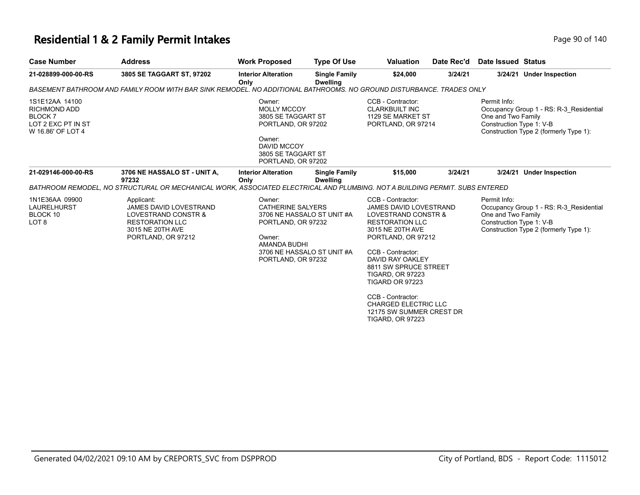### **Residential 1 & 2 Family Permit Intakes Page 140** Page 90 of 140

| <b>Case Number</b>                                                                         | <b>Address</b>                                                                                                                                                       | <b>Work Proposed</b>                                                                                                                                 | <b>Type Of Use</b>                                       | <b>Valuation</b>                                                                                                                                                                                                                                                                                                                                                         | Date Rec'd | Date Issued Status                                             |                                                                                   |
|--------------------------------------------------------------------------------------------|----------------------------------------------------------------------------------------------------------------------------------------------------------------------|------------------------------------------------------------------------------------------------------------------------------------------------------|----------------------------------------------------------|--------------------------------------------------------------------------------------------------------------------------------------------------------------------------------------------------------------------------------------------------------------------------------------------------------------------------------------------------------------------------|------------|----------------------------------------------------------------|-----------------------------------------------------------------------------------|
| 21-028899-000-00-RS                                                                        | 3805 SE TAGGART ST, 97202                                                                                                                                            | <b>Interior Alteration</b><br>Only                                                                                                                   | <b>Single Family</b><br><b>Dwelling</b>                  | \$24,000                                                                                                                                                                                                                                                                                                                                                                 | 3/24/21    |                                                                | 3/24/21 Under Inspection                                                          |
|                                                                                            | BASEMENT BATHROOM AND FAMILY ROOM WITH BAR SINK REMODEL. NO ADDITIONAL BATHROOMS. NO GROUND DISTURBANCE. TRADES ONLY                                                 |                                                                                                                                                      |                                                          |                                                                                                                                                                                                                                                                                                                                                                          |            |                                                                |                                                                                   |
| 1S1E12AA 14100<br>RICHMOND ADD<br><b>BLOCK7</b><br>LOT 2 EXC PT IN ST<br>W 16.86' OF LOT 4 |                                                                                                                                                                      | Owner:<br><b>MOLLY MCCOY</b><br>3805 SE TAGGART ST<br>PORTLAND, OR 97202<br>Owner:<br><b>DAVID MCCOY</b><br>3805 SE TAGGART ST<br>PORTLAND, OR 97202 |                                                          | CCB - Contractor:<br><b>CLARKBUILT INC</b><br>1129 SE MARKET ST<br>PORTLAND, OR 97214                                                                                                                                                                                                                                                                                    |            | Permit Info:<br>One and Two Family<br>Construction Type 1: V-B | Occupancy Group 1 - RS: R-3 Residential<br>Construction Type 2 (formerly Type 1): |
| 21-029146-000-00-RS                                                                        | 3706 NE HASSALO ST - UNIT A,<br>97232<br>BATHROOM REMODEL, NO STRUCTURAL OR MECHANICAL WORK, ASSOCIATED ELECTRICAL AND PLUMBING. NOT A BUILDING PERMIT. SUBS ENTERED | <b>Interior Alteration</b><br>Only                                                                                                                   | <b>Single Family</b><br><b>Dwelling</b>                  | \$15,000                                                                                                                                                                                                                                                                                                                                                                 | 3/24/21    |                                                                | 3/24/21 Under Inspection                                                          |
| 1N1E36AA 09900<br><b>LAURELHURST</b><br>BLOCK 10<br>LOT <sub>8</sub>                       | Applicant:<br><b>JAMES DAVID LOVESTRAND</b><br>LOVESTRAND CONSTR &<br><b>RESTORATION LLC</b><br>3015 NE 20TH AVE<br>PORTLAND, OR 97212                               | Owner:<br><b>CATHERINE SALYERS</b><br>PORTLAND, OR 97232<br>Owner:<br>AMANDA BUDHI<br>PORTLAND, OR 97232                                             | 3706 NE HASSALO ST UNIT #A<br>3706 NE HASSALO ST UNIT #A | CCB - Contractor:<br>JAMES DAVID LOVESTRAND<br>LOVESTRAND CONSTR &<br><b>RESTORATION LLC</b><br>3015 NE 20TH AVE<br>PORTLAND, OR 97212<br>CCB - Contractor:<br>DAVID RAY OAKLEY<br>8811 SW SPRUCE STREET<br><b>TIGARD, OR 97223</b><br><b>TIGARD OR 97223</b><br>CCB - Contractor:<br><b>CHARGED ELECTRIC LLC</b><br>12175 SW SUMMER CREST DR<br><b>TIGARD, OR 97223</b> |            | Permit Info:<br>One and Two Family<br>Construction Type 1: V-B | Occupancy Group 1 - RS: R-3 Residential<br>Construction Type 2 (formerly Type 1): |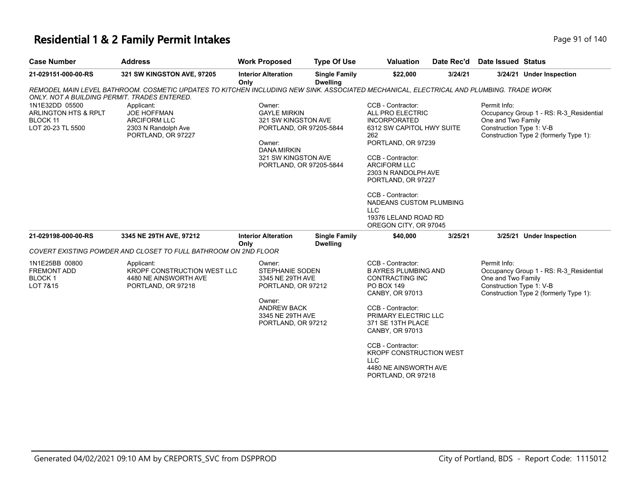### **Residential 1 & 2 Family Permit Intakes Page 11 October 140** Page 91 of 140

| <b>Case Number</b>                                                                                                             | <b>Address</b>                                                                                                                                                                                                                                  | <b>Work Proposed</b>                                                                                                                                                      | <b>Type Of Use</b>                      | <b>Valuation</b>                                                                                                                                                                                                                                                       | Date Rec'd | Date Issued Status                                             |                                                                                   |
|--------------------------------------------------------------------------------------------------------------------------------|-------------------------------------------------------------------------------------------------------------------------------------------------------------------------------------------------------------------------------------------------|---------------------------------------------------------------------------------------------------------------------------------------------------------------------------|-----------------------------------------|------------------------------------------------------------------------------------------------------------------------------------------------------------------------------------------------------------------------------------------------------------------------|------------|----------------------------------------------------------------|-----------------------------------------------------------------------------------|
| 21-029151-000-00-RS                                                                                                            | 321 SW KINGSTON AVE, 97205                                                                                                                                                                                                                      | <b>Interior Alteration</b>                                                                                                                                                | <b>Single Family</b><br><b>Dwelling</b> | \$22,000                                                                                                                                                                                                                                                               | 3/24/21    |                                                                | 3/24/21 Under Inspection                                                          |
| ONLY, NOT A BUILDING PERMIT, TRADES ENTERED.<br>1N1E32DD 05500<br>ARLINGTON HTS & RPLT<br><b>BLOCK 11</b><br>LOT 20-23 TL 5500 | REMODEL MAIN LEVEL BATHROOM. COSMETIC UPDATES TO KITCHEN INCLUDING NEW SINK. ASSOCIATED MECHANICAL, ELECTRICAL AND PLUMBING. TRADE WORK<br>Applicant:<br><b>JOE HOFFMAN</b><br><b>ARCIFORM LLC</b><br>2303 N Randolph Ave<br>PORTLAND, OR 97227 | Only<br>Owner:<br><b>GAYLE MIRKIN</b><br>321 SW KINGSTON AVE<br>PORTLAND, OR 97205-5844<br>Owner:<br><b>DANA MIRKIN</b><br>321 SW KINGSTON AVE<br>PORTLAND, OR 97205-5844 |                                         | CCB - Contractor:<br>ALL PRO ELECTRIC<br><b>INCORPORATED</b><br>6312 SW CAPITOL HWY SUITE<br>262<br>PORTLAND, OR 97239<br>CCB - Contractor:<br><b>ARCIFORM LLC</b><br>2303 N RANDOLPH AVE<br>PORTLAND, OR 97227<br>CCB - Contractor:<br><b>NADEANS CUSTOM PLUMBING</b> |            | Permit Info:<br>One and Two Family<br>Construction Type 1: V-B | Occupancy Group 1 - RS: R-3 Residential<br>Construction Type 2 (formerly Type 1): |
|                                                                                                                                |                                                                                                                                                                                                                                                 |                                                                                                                                                                           |                                         | <b>LLC</b><br>19376 LELAND ROAD RD<br>OREGON CITY, OR 97045                                                                                                                                                                                                            |            |                                                                |                                                                                   |
| 21-029198-000-00-RS                                                                                                            | 3345 NE 29TH AVE, 97212                                                                                                                                                                                                                         | <b>Interior Alteration</b><br>Only                                                                                                                                        | <b>Single Family</b><br><b>Dwelling</b> | \$40,000                                                                                                                                                                                                                                                               | 3/25/21    |                                                                | 3/25/21 Under Inspection                                                          |
|                                                                                                                                | COVERT EXISTING POWDER AND CLOSET TO FULL BATHROOM ON 2ND FLOOR                                                                                                                                                                                 |                                                                                                                                                                           |                                         |                                                                                                                                                                                                                                                                        |            |                                                                |                                                                                   |
| 1N1E25BB 00800<br><b>FREMONT ADD</b><br>BLOCK 1<br>LOT 7&15                                                                    | Applicant:<br>KROPF CONSTRUCTION WEST LLC<br>4480 NE AINSWORTH AVE<br>PORTLAND, OR 97218                                                                                                                                                        | Owner:<br><b>STEPHANIE SODEN</b><br>3345 NE 29TH AVE<br>PORTLAND, OR 97212<br>Owner:<br><b>ANDREW BACK</b>                                                                |                                         | CCB - Contractor:<br><b>B AYRES PLUMBING AND</b><br>CONTRACTING INC<br>PO BOX 149<br>CANBY, OR 97013<br>CCB - Contractor:                                                                                                                                              |            | Permit Info:<br>One and Two Family<br>Construction Type 1: V-B | Occupancy Group 1 - RS: R-3_Residential<br>Construction Type 2 (formerly Type 1): |
|                                                                                                                                |                                                                                                                                                                                                                                                 | 3345 NE 29TH AVE<br>PORTLAND, OR 97212                                                                                                                                    |                                         | PRIMARY ELECTRIC LLC<br>371 SE 13TH PLACE<br>CANBY, OR 97013<br>CCB - Contractor:<br><b>KROPF CONSTRUCTION WEST</b><br><b>LLC</b><br>4480 NE AINSWORTH AVE<br>PORTLAND, OR 97218                                                                                       |            |                                                                |                                                                                   |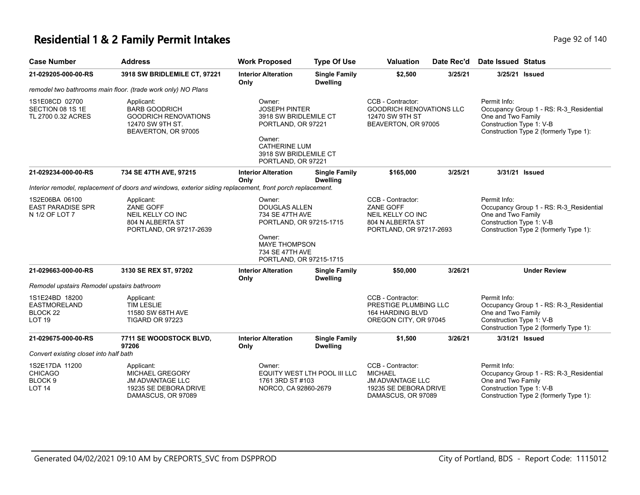#### **Residential 1 & 2 Family Permit Intakes Page 140** Page 92 of 140

| <b>Case Number</b>                                                            | <b>Address</b>                                                                                                 | <b>Work Proposed</b>                                                                                                                                           | <b>Type Of Use</b>                      | <b>Valuation</b>                                                                                              | Date Rec'd | <b>Date Issued Status</b>                                                                                                                           |
|-------------------------------------------------------------------------------|----------------------------------------------------------------------------------------------------------------|----------------------------------------------------------------------------------------------------------------------------------------------------------------|-----------------------------------------|---------------------------------------------------------------------------------------------------------------|------------|-----------------------------------------------------------------------------------------------------------------------------------------------------|
| 21-029205-000-00-RS                                                           | 3918 SW BRIDLEMILE CT, 97221                                                                                   | <b>Interior Alteration</b><br>Only                                                                                                                             | <b>Single Family</b><br><b>Dwelling</b> | \$2,500                                                                                                       | 3/25/21    | 3/25/21 Issued                                                                                                                                      |
|                                                                               | remodel two bathrooms main floor. (trade work only) NO Plans                                                   |                                                                                                                                                                |                                         |                                                                                                               |            |                                                                                                                                                     |
| 1S1E08CD 02700<br>SECTION 08 1S 1E<br>TL 2700 0.32 ACRES                      | Applicant:<br><b>BARB GOODRICH</b><br><b>GOODRICH RENOVATIONS</b><br>12470 SW 9TH ST.<br>BEAVERTON, OR 97005   | Owner:<br><b>JOSEPH PINTER</b><br>3918 SW BRIDLEMILE CT<br>PORTLAND, OR 97221<br>Owner:<br><b>CATHERINE LUM</b><br>3918 SW BRIDLEMILE CT<br>PORTLAND, OR 97221 |                                         | CCB - Contractor:<br><b>GOODRICH RENOVATIONS LLC</b><br>12470 SW 9TH ST<br>BEAVERTON, OR 97005                |            | Permit Info:<br>Occupancy Group 1 - RS: R-3_Residential<br>One and Two Family<br>Construction Type 1: V-B<br>Construction Type 2 (formerly Type 1): |
| 21-029234-000-00-RS                                                           | 734 SE 47TH AVE, 97215                                                                                         | <b>Interior Alteration</b><br>Only                                                                                                                             | <b>Single Family</b><br><b>Dwelling</b> | \$165,000                                                                                                     | 3/25/21    | 3/31/21 Issued                                                                                                                                      |
|                                                                               | Interior remodel, replacement of doors and windows, exterior siding replacement, front porch replacement.      |                                                                                                                                                                |                                         |                                                                                                               |            |                                                                                                                                                     |
| 1S2E06BA 06100<br><b>EAST PARADISE SPR</b><br>N 1/2 OF LOT 7                  | Applicant:<br>ZANE GOFF<br>NEIL KELLY CO INC<br>804 N ALBERTA ST<br>PORTLAND, OR 97217-2639                    | Owner:<br><b>DOUGLAS ALLEN</b><br>734 SE 47TH AVE<br>PORTLAND, OR 97215-1715<br>Owner:<br><b>MAYE THOMPSON</b><br>734 SE 47TH AVE<br>PORTLAND, OR 97215-1715   |                                         | CCB - Contractor:<br>ZANE GOFF<br>NEIL KELLY CO INC<br>804 N ALBERTA ST<br>PORTLAND, OR 97217-2693            |            | Permit Info:<br>Occupancy Group 1 - RS: R-3 Residential<br>One and Two Family<br>Construction Type 1: V-B<br>Construction Type 2 (formerly Type 1): |
| 21-029663-000-00-RS                                                           | 3130 SE REX ST, 97202                                                                                          | <b>Interior Alteration</b><br>Only                                                                                                                             | <b>Single Family</b><br><b>Dwelling</b> | \$50,000                                                                                                      | 3/26/21    | <b>Under Review</b>                                                                                                                                 |
| Remodel upstairs Remodel upstairs bathroom                                    |                                                                                                                |                                                                                                                                                                |                                         |                                                                                                               |            |                                                                                                                                                     |
| 1S1E24BD 18200<br><b>EASTMORELAND</b><br>BLOCK <sub>22</sub><br><b>LOT 19</b> | Applicant:<br><b>TIM LESLIE</b><br>11580 SW 68TH AVE<br>TIGARD OR 97223                                        |                                                                                                                                                                |                                         | CCB - Contractor:<br>PRESTIGE PLUMBING LLC<br><b>164 HARDING BLVD</b><br>OREGON CITY, OR 97045                |            | Permit Info:<br>Occupancy Group 1 - RS: R-3_Residential<br>One and Two Family<br>Construction Type 1: V-B<br>Construction Type 2 (formerly Type 1): |
| 21-029675-000-00-RS                                                           | 7711 SE WOODSTOCK BLVD,<br>97206                                                                               | <b>Interior Alteration</b><br>Only                                                                                                                             | <b>Single Family</b><br><b>Dwelling</b> | \$1,500                                                                                                       | 3/26/21    | 3/31/21 Issued                                                                                                                                      |
| Convert existing closet into half bath                                        |                                                                                                                |                                                                                                                                                                |                                         |                                                                                                               |            |                                                                                                                                                     |
| 1S2E17DA 11200<br><b>CHICAGO</b><br>BLOCK <sub>9</sub><br><b>LOT 14</b>       | Applicant:<br><b>MICHAEL GREGORY</b><br><b>JM ADVANTAGE LLC</b><br>19235 SE DEBORA DRIVE<br>DAMASCUS, OR 97089 | Owner:<br>EQUITY WEST LTH POOL III LLC<br>1761 3RD ST #103<br>NORCO, CA 92860-2679                                                                             |                                         | CCB - Contractor:<br><b>MICHAEL</b><br><b>JM ADVANTAGE LLC</b><br>19235 SE DEBORA DRIVE<br>DAMASCUS, OR 97089 |            | Permit Info:<br>Occupancy Group 1 - RS: R-3_Residential<br>One and Two Family<br>Construction Type 1: V-B<br>Construction Type 2 (formerly Type 1): |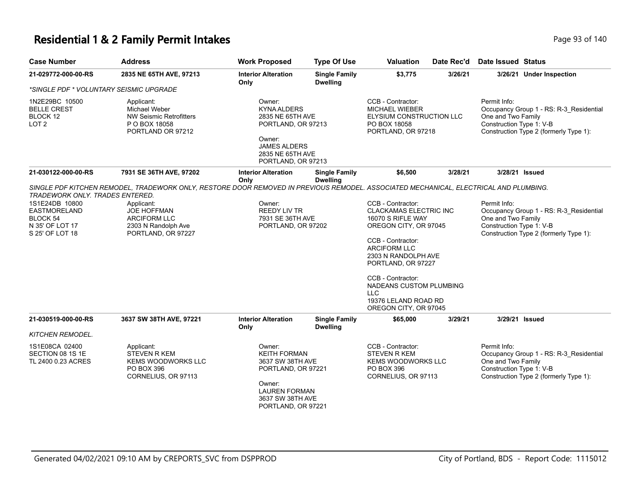# **Residential 1 & 2 Family Permit Intakes Page 140** Page 93 of 140

| <b>Case Number</b>                                                                                                                | <b>Address</b>                                                                                       | <b>Work Proposed</b>                                                                                                                                                                                                                        | <b>Type Of Use</b>                      | <b>Valuation</b>                                                                                                                                                                                                                                 | Date Rec'd | <b>Date Issued Status</b>                                      |                                                                                   |
|-----------------------------------------------------------------------------------------------------------------------------------|------------------------------------------------------------------------------------------------------|---------------------------------------------------------------------------------------------------------------------------------------------------------------------------------------------------------------------------------------------|-----------------------------------------|--------------------------------------------------------------------------------------------------------------------------------------------------------------------------------------------------------------------------------------------------|------------|----------------------------------------------------------------|-----------------------------------------------------------------------------------|
| 21-029772-000-00-RS                                                                                                               | 2835 NE 65TH AVE, 97213                                                                              | <b>Interior Alteration</b><br>Only                                                                                                                                                                                                          | <b>Single Family</b><br><b>Dwelling</b> | \$3,775                                                                                                                                                                                                                                          | 3/26/21    |                                                                | 3/26/21 Under Inspection                                                          |
| *SINGLE PDF * VOLUNTARY SEISMIC UPGRADE                                                                                           |                                                                                                      |                                                                                                                                                                                                                                             |                                         |                                                                                                                                                                                                                                                  |            |                                                                |                                                                                   |
| 1N2E29BC 10500<br><b>BELLE CREST</b><br><b>BLOCK 12</b><br>LOT <sub>2</sub>                                                       | Applicant:<br>Michael Weber<br><b>NW Seismic Retrofitters</b><br>P O BOX 18058<br>PORTLAND OR 97212  | Owner:<br><b>KYNA ALDERS</b><br>2835 NE 65TH AVE<br>PORTLAND, OR 97213<br>Owner:<br><b>JAMES ALDERS</b><br>2835 NE 65TH AVE<br>PORTLAND, OR 97213                                                                                           |                                         | CCB - Contractor:<br>MICHAEL WIEBER<br>ELYSIUM CONSTRUCTION LLC<br>PO BOX 18058<br>PORTLAND, OR 97218                                                                                                                                            |            | Permit Info:<br>One and Two Family<br>Construction Type 1: V-B | Occupancy Group 1 - RS: R-3_Residential<br>Construction Type 2 (formerly Type 1): |
| 21-030122-000-00-RS                                                                                                               | 7931 SE 36TH AVE, 97202                                                                              | <b>Interior Alteration</b>                                                                                                                                                                                                                  | <b>Single Family</b>                    | \$6,500                                                                                                                                                                                                                                          | 3/28/21    | 3/28/21 Issued                                                 |                                                                                   |
| TRADEWORK ONLY. TRADES ENTERED.<br>1S1E24DB 10800<br><b>EASTMORELAND</b><br><b>BLOCK 54</b><br>N 35' OF LOT 17<br>S 25' OF LOT 18 | Applicant:<br><b>JOE HOFFMAN</b><br><b>ARCIFORM LLC</b><br>2303 N Randolph Ave<br>PORTLAND, OR 97227 | Only<br><b>Dwelling</b><br>SINGLE PDF KITCHEN REMODEL, TRADEWORK ONLY, RESTORE DOOR REMOVED IN PREVIOUS REMODEL. ASSOCIATED MECHANICAL, ELECTRICAL AND PLUMBING.<br>Owner:<br><b>REEDY LIV TR</b><br>7931 SE 36TH AVE<br>PORTLAND, OR 97202 |                                         | CCB - Contractor:<br><b>CLACKAMAS ELECTRIC INC</b><br>16070 S RIFLE WAY<br>OREGON CITY, OR 97045<br>CCB - Contractor:<br><b>ARCIFORM LLC</b><br>2303 N RANDOLPH AVE<br>PORTLAND, OR 97227<br>CCB - Contractor:<br>NADEANS CUSTOM PLUMBING<br>LLC |            | Permit Info:<br>One and Two Family<br>Construction Type 1: V-B | Occupancy Group 1 - RS: R-3_Residential<br>Construction Type 2 (formerly Type 1): |
|                                                                                                                                   |                                                                                                      |                                                                                                                                                                                                                                             |                                         | 19376 LELAND ROAD RD<br>OREGON CITY, OR 97045                                                                                                                                                                                                    |            |                                                                |                                                                                   |
| 21-030519-000-00-RS                                                                                                               | 3637 SW 38TH AVE, 97221                                                                              | <b>Interior Alteration</b><br>Only                                                                                                                                                                                                          | <b>Single Family</b><br><b>Dwelling</b> | \$65,000                                                                                                                                                                                                                                         | 3/29/21    | 3/29/21 Issued                                                 |                                                                                   |
| KITCHEN REMODEL.                                                                                                                  |                                                                                                      |                                                                                                                                                                                                                                             |                                         |                                                                                                                                                                                                                                                  |            |                                                                |                                                                                   |
| 1S1E08CA 02400<br>SECTION 08 1S 1E<br>TL 2400 0.23 ACRES                                                                          | Applicant:<br>STEVEN R KEM<br><b>KEMS WOODWORKS LLC</b><br>PO BOX 396<br>CORNELIUS, OR 97113         | Owner:<br><b>KEITH FORMAN</b><br>3637 SW 38TH AVE<br>PORTLAND, OR 97221<br>Owner:<br><b>LAUREN FORMAN</b><br>3637 SW 38TH AVE<br>PORTLAND, OR 97221                                                                                         |                                         | CCB - Contractor:<br><b>STEVEN R KEM</b><br><b>KEMS WOODWORKS LLC</b><br>PO BOX 396<br>CORNELIUS, OR 97113                                                                                                                                       |            | Permit Info:<br>One and Two Family<br>Construction Type 1: V-B | Occupancy Group 1 - RS: R-3_Residential<br>Construction Type 2 (formerly Type 1): |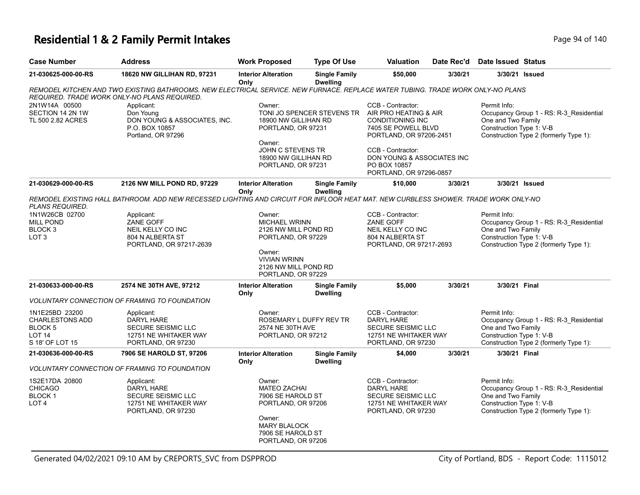### **Residential 1 & 2 Family Permit Intakes Page 140** Page 94 of 140

| <b>Case Number</b>                                                                          | <b>Address</b>                                                                                                                                                                  | <b>Work Proposed</b>                                                                                                                                        | <b>Type Of Use</b>                                                                                                                                            | <b>Valuation</b>                                                                                                        | Date Rec'd | Date Issued Status                                             |                                                                                   |
|---------------------------------------------------------------------------------------------|---------------------------------------------------------------------------------------------------------------------------------------------------------------------------------|-------------------------------------------------------------------------------------------------------------------------------------------------------------|---------------------------------------------------------------------------------------------------------------------------------------------------------------|-------------------------------------------------------------------------------------------------------------------------|------------|----------------------------------------------------------------|-----------------------------------------------------------------------------------|
| 21-030625-000-00-RS                                                                         | <b>18620 NW GILLIHAN RD, 97231</b>                                                                                                                                              | <b>Interior Alteration</b><br>Only                                                                                                                          | <b>Single Family</b><br><b>Dwelling</b>                                                                                                                       | \$50,000                                                                                                                | 3/30/21    |                                                                | 3/30/21 Issued                                                                    |
|                                                                                             | REMODEL KITCHEN AND TWO EXISTING BATHROOMS. NEW ELECTRICAL SERVICE. NEW FURNACE. REPLACE WATER TUBING. TRADE WORK ONLY-NO PLANS<br>REQUIRED. TRADE WORK ONLY-NO PLANS REQUIRED. |                                                                                                                                                             |                                                                                                                                                               |                                                                                                                         |            |                                                                |                                                                                   |
| 2N1W14A 00500<br>SECTION 14 2N 1W<br>TL 500 2.82 ACRES                                      | Applicant:<br>Don Young<br>DON YOUNG & ASSOCIATES, INC.<br>P.O. BOX 10857<br>Portland, OR 97296                                                                                 | Owner:<br>18900 NW GILLIHAN RD<br>PORTLAND, OR 97231                                                                                                        | TONI JO SPENCER STEVENS TR                                                                                                                                    | CCB - Contractor:<br>AIR PRO HEATING & AIR<br><b>CONDITIONING INC</b><br>7405 SE POWELL BLVD<br>PORTLAND, OR 97206-2451 |            | Permit Info:<br>One and Two Family<br>Construction Type 1: V-B | Occupancy Group 1 - RS: R-3_Residential<br>Construction Type 2 (formerly Type 1): |
|                                                                                             |                                                                                                                                                                                 | Owner:                                                                                                                                                      | JOHN C STEVENS TR<br>CCB - Contractor:<br>DON YOUNG & ASSOCIATES INC<br>18900 NW GILLIHAN RD<br>PO BOX 10857<br>PORTLAND, OR 97231<br>PORTLAND, OR 97296-0857 |                                                                                                                         |            |                                                                |                                                                                   |
| 21-030629-000-00-RS                                                                         | 2126 NW MILL POND RD, 97229                                                                                                                                                     | <b>Interior Alteration</b><br>Only                                                                                                                          | <b>Single Family</b><br><b>Dwelling</b>                                                                                                                       | \$10,000                                                                                                                | 3/30/21    |                                                                | 3/30/21 Issued                                                                    |
| PLANS REQUIRED.                                                                             | REMODEL EXISTING HALL BATHROOM. ADD NEW RECESSED LIGHTING AND CIRCUIT FOR INFLOOR HEAT MAT. NEW CURBLESS SHOWER. TRADE WORK ONLY-NO                                             |                                                                                                                                                             |                                                                                                                                                               |                                                                                                                         |            |                                                                |                                                                                   |
| 1N1W26CB 02700<br><b>MILL POND</b><br>BLOCK <sub>3</sub><br>LOT <sub>3</sub>                | Applicant:<br>ZANE GOFF<br>NEIL KELLY CO INC<br>804 N ALBERTA ST<br>PORTLAND, OR 97217-2639                                                                                     | Owner:<br><b>MICHAEL WRINN</b><br>2126 NW MILL POND RD<br>PORTLAND, OR 97229<br>Owner:<br><b>VIVIAN WRINN</b><br>2126 NW MILL POND RD<br>PORTLAND, OR 97229 |                                                                                                                                                               | CCB - Contractor:<br><b>ZANE GOFF</b><br>NEIL KELLY CO INC<br>804 N ALBERTA ST<br>PORTLAND, OR 97217-2693               |            | Permit Info:<br>One and Two Family<br>Construction Type 1: V-B | Occupancy Group 1 - RS: R-3_Residential<br>Construction Type 2 (formerly Type 1): |
| 21-030633-000-00-RS                                                                         | 2574 NE 30TH AVE, 97212                                                                                                                                                         | <b>Interior Alteration</b><br>Only                                                                                                                          | <b>Single Family</b><br><b>Dwelling</b>                                                                                                                       | \$5,000                                                                                                                 | 3/30/21    | 3/30/21 Final                                                  |                                                                                   |
|                                                                                             | <b>VOLUNTARY CONNECTION OF FRAMING TO FOUNDATION</b>                                                                                                                            |                                                                                                                                                             |                                                                                                                                                               |                                                                                                                         |            |                                                                |                                                                                   |
| 1N1E25BD 23200<br><b>CHARLESTONS ADD</b><br>BLOCK 5<br>LOT <sub>14</sub><br>S 18' OF LOT 15 | Applicant:<br><b>DARYL HARE</b><br>SECURE SEISMIC LLC<br>12751 NE WHITAKER WAY<br>PORTLAND, OR 97230                                                                            | Owner:<br>2574 NE 30TH AVE<br>PORTLAND, OR 97212                                                                                                            | ROSEMARY L DUFFY REV TR                                                                                                                                       | CCB - Contractor:<br>DARYL HARE<br>SECURE SEISMIC LLC<br>12751 NE WHITAKER WAY<br>PORTLAND, OR 97230                    |            | Permit Info:<br>One and Two Family<br>Construction Type 1: V-B | Occupancy Group 1 - RS: R-3_Residential<br>Construction Type 2 (formerly Type 1): |
| 21-030636-000-00-RS                                                                         | 7906 SE HAROLD ST, 97206                                                                                                                                                        | <b>Interior Alteration</b><br>Only                                                                                                                          | <b>Single Family</b><br><b>Dwelling</b>                                                                                                                       | \$4,000                                                                                                                 | 3/30/21    | 3/30/21 Final                                                  |                                                                                   |
|                                                                                             | <b>VOLUNTARY CONNECTION OF FRAMING TO FOUNDATION</b>                                                                                                                            |                                                                                                                                                             |                                                                                                                                                               |                                                                                                                         |            |                                                                |                                                                                   |
| 1S2E17DA 20800<br><b>CHICAGO</b><br>BLOCK <sub>1</sub><br>LOT <sub>4</sub>                  | Applicant:<br><b>DARYL HARE</b><br>SECURE SEISMIC LLC<br>12751 NE WHITAKER WAY<br>PORTLAND, OR 97230                                                                            | Owner:<br><b>MATEO ZACHAI</b><br>7906 SE HAROLD ST<br>PORTLAND, OR 97206<br>Owner:<br><b>MARY BLALOCK</b>                                                   |                                                                                                                                                               | CCB - Contractor:<br><b>DARYL HARE</b><br>SECURE SEISMIC LLC<br>12751 NE WHITAKER WAY<br>PORTLAND, OR 97230             |            | Permit Info:<br>One and Two Family<br>Construction Type 1: V-B | Occupancy Group 1 - RS: R-3_Residential<br>Construction Type 2 (formerly Type 1): |
|                                                                                             |                                                                                                                                                                                 | 7906 SE HAROLD ST<br>PORTLAND, OR 97206                                                                                                                     |                                                                                                                                                               |                                                                                                                         |            |                                                                |                                                                                   |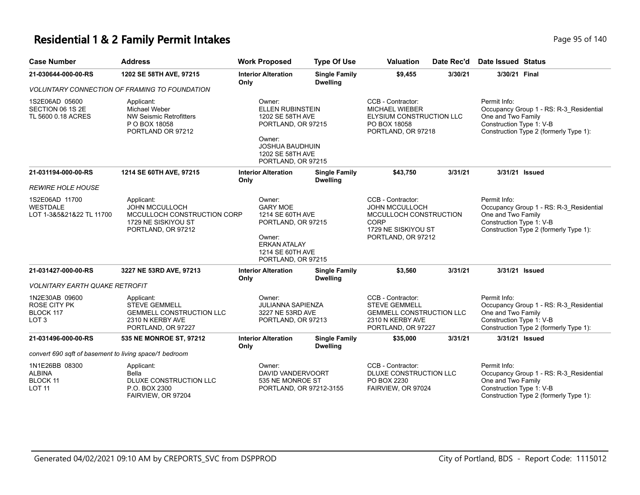#### **Residential 1 & 2 Family Permit Intakes Page 140** Page 95 of 140

| <b>Case Number</b>                                                     | <b>Address</b>                                                                                                  | <b>Work Proposed</b>                                                                                                                               | <b>Type Of Use</b>                                                 | <b>Valuation</b>                                                                                                          | Date Rec'd                                                                | <b>Date Issued Status</b>                                                                                                                           |
|------------------------------------------------------------------------|-----------------------------------------------------------------------------------------------------------------|----------------------------------------------------------------------------------------------------------------------------------------------------|--------------------------------------------------------------------|---------------------------------------------------------------------------------------------------------------------------|---------------------------------------------------------------------------|-----------------------------------------------------------------------------------------------------------------------------------------------------|
| 21-030644-000-00-RS                                                    | 1202 SE 58TH AVE, 97215                                                                                         | <b>Interior Alteration</b><br>Only                                                                                                                 | <b>Single Family</b><br><b>Dwelling</b>                            | \$9,455                                                                                                                   | 3/30/21                                                                   | 3/30/21 Final                                                                                                                                       |
|                                                                        | <b>VOLUNTARY CONNECTION OF FRAMING TO FOUNDATION</b>                                                            |                                                                                                                                                    |                                                                    |                                                                                                                           |                                                                           |                                                                                                                                                     |
| 1S2E06AD 05600<br>SECTION 06 1S 2E<br>TL 5600 0.18 ACRES               | Applicant:<br>Michael Weber<br><b>NW Seismic Retrofitters</b><br>P O BOX 18058<br>PORTLAND OR 97212             | Owner:<br>ELLEN RUBINSTEIN<br>1202 SE 58TH AVE<br>PORTLAND, OR 97215<br>Owner:<br><b>JOSHUA BAUDHUIN</b><br>1202 SE 58TH AVE<br>PORTLAND, OR 97215 |                                                                    | CCB - Contractor:<br><b>MICHAEL WIEBER</b><br>ELYSIUM CONSTRUCTION LLC<br>PO BOX 18058<br>PORTLAND, OR 97218              |                                                                           | Permit Info:<br>Occupancy Group 1 - RS: R-3_Residential<br>One and Two Family<br>Construction Type 1: V-B<br>Construction Type 2 (formerly Type 1): |
| 21-031194-000-00-RS                                                    | 1214 SE 60TH AVE, 97215                                                                                         | <b>Interior Alteration</b><br>Only                                                                                                                 | <b>Single Family</b><br><b>Dwelling</b>                            | \$43,750                                                                                                                  | 3/31/21                                                                   | 3/31/21 Issued                                                                                                                                      |
| <i>REWIRE HOLE HOUSE</i>                                               |                                                                                                                 |                                                                                                                                                    |                                                                    |                                                                                                                           |                                                                           |                                                                                                                                                     |
| 1S2E06AD 11700<br>WESTDALE<br>LOT 1-3&5&21&22 TL 11700                 | Applicant:<br><b>JOHN MCCULLOCH</b><br>MCCULLOCH CONSTRUCTION CORP<br>1729 NE SISKIYOU ST<br>PORTLAND, OR 97212 | Owner:<br><b>GARY MOE</b><br>1214 SE 60TH AVE<br>PORTLAND, OR 97215<br>Owner:<br><b>ERKAN ATALAY</b><br>1214 SE 60TH AVE<br>PORTLAND, OR 97215     |                                                                    | CCB - Contractor:<br>JOHN MCCULLOCH<br>MCCULLOCH CONSTRUCTION<br><b>CORP</b><br>1729 NE SISKIYOU ST<br>PORTLAND, OR 97212 |                                                                           | Permit Info:<br>Occupancy Group 1 - RS: R-3_Residential<br>One and Two Family<br>Construction Type 1: V-B<br>Construction Type 2 (formerly Type 1): |
| 21-031427-000-00-RS                                                    | 3227 NE 53RD AVE, 97213                                                                                         | <b>Interior Alteration</b><br>Only                                                                                                                 | <b>Single Family</b><br><b>Dwelling</b>                            | \$3,560                                                                                                                   | 3/31/21                                                                   | 3/31/21 Issued                                                                                                                                      |
| <b>VOLNITARY EARTH QUAKE RETROFIT</b>                                  |                                                                                                                 |                                                                                                                                                    |                                                                    |                                                                                                                           |                                                                           |                                                                                                                                                     |
| 1N2E30AB 09600<br><b>ROSE CITY PK</b><br>BLOCK 117<br>LOT <sub>3</sub> | Applicant:<br><b>STEVE GEMMELL</b><br><b>GEMMELL CONSTRUCTION LLC</b><br>2310 N KERBY AVE<br>PORTLAND, OR 97227 | Owner:                                                                                                                                             | <b>JULIANNA SAPIENZA</b><br>3227 NE 53RD AVE<br>PORTLAND, OR 97213 |                                                                                                                           | <b>GEMMELL CONSTRUCTION LLC</b><br>2310 N KERBY AVE<br>PORTLAND, OR 97227 | Permit Info:<br>Occupancy Group 1 - RS: R-3_Residential<br>One and Two Family<br>Construction Type 1: V-B<br>Construction Type 2 (formerly Type 1): |
| 21-031496-000-00-RS                                                    | 535 NE MONROE ST, 97212                                                                                         | <b>Interior Alteration</b><br>Only                                                                                                                 | <b>Single Family</b><br><b>Dwelling</b>                            | \$35,000                                                                                                                  | 3/31/21                                                                   | 3/31/21 Issued                                                                                                                                      |
| convert 690 sqft of basement to living space/1 bedroom                 |                                                                                                                 |                                                                                                                                                    |                                                                    |                                                                                                                           |                                                                           |                                                                                                                                                     |
| 1N1E26BB 08300<br><b>ALBINA</b><br><b>BLOCK 11</b><br><b>LOT 11</b>    | Applicant:<br>Bella<br>DLUXE CONSTRUCTION LLC<br>P.O. BOX 2300<br>FAIRVIEW, OR 97204                            | Owner:                                                                                                                                             | DAVID VANDERVOORT<br>535 NE MONROE ST<br>PORTLAND, OR 97212-3155   |                                                                                                                           | DLUXE CONSTRUCTION LLC<br>FAIRVIEW, OR 97024                              | Permit Info:<br>Occupancy Group 1 - RS: R-3_Residential<br>One and Two Family<br>Construction Type 1: V-B<br>Construction Type 2 (formerly Type 1): |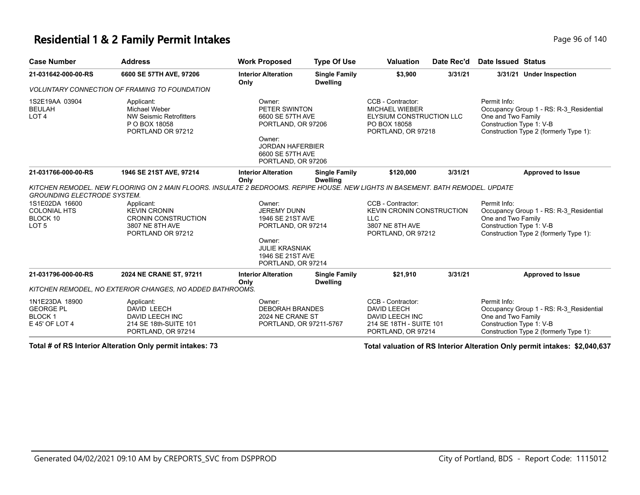#### **Residential 1 & 2 Family Permit Intakes Page 140** Page 96 of 140

| <b>Case Number</b>                                                    | <b>Address</b>                                                                                                                  | <b>Work Proposed</b>                                                                                                                             | <b>Type Of Use</b>                      | <b>Valuation</b>                                                                                             | Date Rec'd | <b>Date Issued Status</b>                                      |                                                                                   |
|-----------------------------------------------------------------------|---------------------------------------------------------------------------------------------------------------------------------|--------------------------------------------------------------------------------------------------------------------------------------------------|-----------------------------------------|--------------------------------------------------------------------------------------------------------------|------------|----------------------------------------------------------------|-----------------------------------------------------------------------------------|
| 21-031642-000-00-RS                                                   | 6600 SE 57TH AVE, 97206                                                                                                         | <b>Interior Alteration</b><br>Only                                                                                                               | <b>Single Family</b><br><b>Dwelling</b> | \$3,900                                                                                                      | 3/31/21    |                                                                | 3/31/21 Under Inspection                                                          |
|                                                                       | <b>VOLUNTARY CONNECTION OF FRAMING TO FOUNDATION</b>                                                                            |                                                                                                                                                  |                                         |                                                                                                              |            |                                                                |                                                                                   |
| 1S2E19AA 03904<br><b>BEULAH</b><br>LOT 4                              | Applicant:<br>Michael Weber<br><b>NW Seismic Retrofitters</b><br>P O BOX 18058<br>PORTLAND OR 97212                             | Owner:<br>PETER SWINTON<br>6600 SE 57TH AVE<br>PORTLAND, OR 97206<br>Owner:<br><b>JORDAN HAFERBIER</b><br>6600 SE 57TH AVE<br>PORTLAND, OR 97206 |                                         | CCB - Contractor:<br><b>MICHAEL WIEBER</b><br>ELYSIUM CONSTRUCTION LLC<br>PO BOX 18058<br>PORTLAND, OR 97218 |            | Permit Info:<br>One and Two Family<br>Construction Type 1: V-B | Occupancy Group 1 - RS: R-3 Residential<br>Construction Type 2 (formerly Type 1): |
| 21-031766-000-00-RS                                                   | 1946 SE 21ST AVE, 97214                                                                                                         | <b>Interior Alteration</b><br>Only                                                                                                               | <b>Single Family</b><br><b>Dwelling</b> | \$120,000                                                                                                    | 3/31/21    |                                                                | <b>Approved to Issue</b>                                                          |
| <b>GROUNDING ELECTRODE SYSTEM.</b>                                    | KITCHEN REMODEL. NEW FLOORING ON 2 MAIN FLOORS. INSULATE 2 BEDROOMS. REPIPE HOUSE. NEW LIGHTS IN BASEMENT. BATH REMODEL. UPDATE |                                                                                                                                                  |                                         |                                                                                                              |            |                                                                |                                                                                   |
| 1S1E02DA 16600<br><b>COLONIAL HTS</b><br>BLOCK 10<br>LOT <sub>5</sub> | Applicant:<br><b>KEVIN CRONIN</b><br><b>CRONIN CONSTRUCTION</b><br>3807 NE 8TH AVE<br>PORTLAND OR 97212                         | Owner:<br>JEREMY DUNN<br>1946 SE 21ST AVE<br>PORTLAND, OR 97214<br>Owner:<br><b>JULIE KRASNIAK</b><br>1946 SE 21ST AVE<br>PORTLAND, OR 97214     |                                         | CCB - Contractor:<br>KEVIN CRONIN CONSTRUCTION<br><b>LLC</b><br>3807 NE 8TH AVE<br>PORTLAND, OR 97212        |            | Permit Info:<br>One and Two Family<br>Construction Type 1: V-B | Occupancy Group 1 - RS: R-3_Residential<br>Construction Type 2 (formerly Type 1): |
| 21-031796-000-00-RS                                                   | 2024 NE CRANE ST, 97211                                                                                                         | <b>Interior Alteration</b><br>Only                                                                                                               | <b>Single Family</b><br><b>Dwelling</b> | \$21,910                                                                                                     | 3/31/21    |                                                                | <b>Approved to Issue</b>                                                          |
|                                                                       | KITCHEN REMODEL, NO EXTERIOR CHANGES, NO ADDED BATHROOMS.                                                                       |                                                                                                                                                  |                                         |                                                                                                              |            |                                                                |                                                                                   |
| 1N1E23DA 18900<br><b>GEORGE PL</b><br><b>BLOCK1</b><br>E 45' OF LOT 4 | Applicant:<br>DAVID LEECH<br>DAVID LEECH INC<br>214 SE 18th-SUITE 101<br>PORTLAND, OR 97214                                     | Owner:<br><b>DEBORAH BRANDES</b><br>2024 NE CRANE ST<br>PORTLAND, OR 97211-5767                                                                  |                                         | CCB - Contractor:<br><b>DAVID LEECH</b><br>DAVID LEECH INC<br>214 SE 18TH - SUITE 101<br>PORTLAND, OR 97214  |            | Permit Info:<br>One and Two Family<br>Construction Type 1: V-B | Occupancy Group 1 - RS: R-3_Residential<br>Construction Type 2 (formerly Type 1): |

**Total # of RS Interior Alteration Only permit intakes: 73 Total valuation of RS Interior Alteration Only permit intakes: \$2,040,637**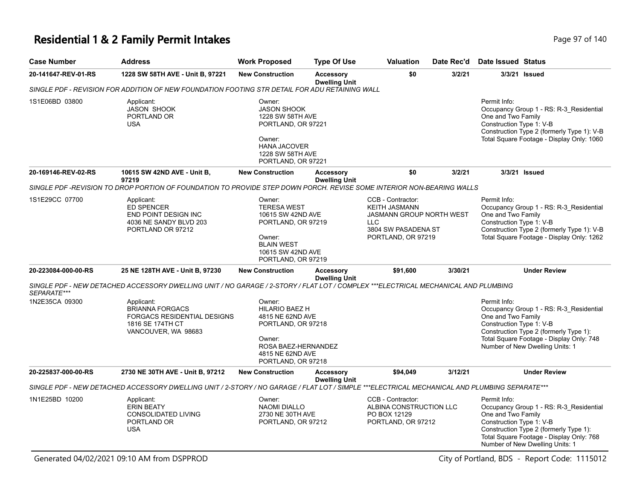## **Residential 1 & 2 Family Permit Intakes Page 110 and Security Page 97 of 140**

| <b>Case Number</b>  | <b>Address</b>                                                                                                                                | <b>Work Proposed</b>                                                                                                                                 | <b>Type Of Use</b>                       | <b>Valuation</b>                                                                                                                        | Date Rec'd | <b>Date Issued Status</b>                                      |                                                                                                                                                                  |
|---------------------|-----------------------------------------------------------------------------------------------------------------------------------------------|------------------------------------------------------------------------------------------------------------------------------------------------------|------------------------------------------|-----------------------------------------------------------------------------------------------------------------------------------------|------------|----------------------------------------------------------------|------------------------------------------------------------------------------------------------------------------------------------------------------------------|
| 20-141647-REV-01-RS | 1228 SW 58TH AVE - Unit B, 97221                                                                                                              | <b>New Construction</b>                                                                                                                              | <b>Accessory</b><br><b>Dwelling Unit</b> | \$0                                                                                                                                     | 3/2/21     |                                                                | 3/3/21 Issued                                                                                                                                                    |
|                     | SINGLE PDF - REVISION FOR ADDITION OF NEW FOUNDATION FOOTING STR DETAIL FOR ADU RETAINING WALL                                                |                                                                                                                                                      |                                          |                                                                                                                                         |            |                                                                |                                                                                                                                                                  |
| 1S1E06BD 03800      | Applicant:<br><b>JASON SHOOK</b><br>PORTLAND OR<br><b>USA</b>                                                                                 | Owner:<br><b>JASON SHOOK</b><br>1228 SW 58TH AVE<br>PORTLAND, OR 97221<br>Owner:<br><b>HANA JACOVER</b><br>1228 SW 58TH AVE<br>PORTLAND, OR 97221    |                                          |                                                                                                                                         |            | Permit Info:<br>One and Two Family<br>Construction Type 1: V-B | Occupancy Group 1 - RS: R-3_Residential<br>Construction Type 2 (formerly Type 1): V-B<br>Total Square Footage - Display Only: 1060                               |
| 20-169146-REV-02-RS | 10615 SW 42ND AVE - Unit B,<br>97219                                                                                                          | <b>New Construction</b>                                                                                                                              | <b>Accessory</b><br><b>Dwelling Unit</b> | \$0                                                                                                                                     | 3/2/21     |                                                                | 3/3/21 Issued                                                                                                                                                    |
|                     | SINGLE PDF -REVISION TO DROP PORTION OF FOUNDATION TO PROVIDE STEP DOWN PORCH. REVISE SOME INTERIOR NON-BEARING WALLS                         |                                                                                                                                                      |                                          |                                                                                                                                         |            |                                                                |                                                                                                                                                                  |
| 1S1E29CC 07700      | Applicant:<br>ED SPENCER<br>END POINT DESIGN INC<br>4036 NE SANDY BLVD 203<br>PORTLAND OR 97212                                               | Owner:<br><b>TERESA WEST</b><br>10615 SW 42ND AVE<br>PORTLAND, OR 97219<br>Owner:<br><b>BLAIN WEST</b><br>10615 SW 42ND AVE<br>PORTLAND, OR 97219    |                                          | CCB - Contractor:<br><b>KEITH JASMANN</b><br><b>JASMANN GROUP NORTH WEST</b><br><b>LLC</b><br>3804 SW PASADENA ST<br>PORTLAND, OR 97219 |            | Permit Info:<br>One and Two Family<br>Construction Type 1: V-B | Occupancy Group 1 - RS: R-3_Residential<br>Construction Type 2 (formerly Type 1): V-B<br>Total Square Footage - Display Only: 1262                               |
| 20-223084-000-00-RS | 25 NE 128TH AVE - Unit B, 97230                                                                                                               | <b>New Construction</b>                                                                                                                              | <b>Accessory</b><br><b>Dwelling Unit</b> | \$91,600                                                                                                                                | 3/30/21    |                                                                | <b>Under Review</b>                                                                                                                                              |
| SEPARATE***         | SINGLE PDF - NEW DETACHED ACCESSORY DWELLING UNIT / NO GARAGE / 2-STORY / FLAT LOT / COMPLEX ***ELECTRICAL MECHANICAL AND PLUMBING            |                                                                                                                                                      |                                          |                                                                                                                                         |            |                                                                |                                                                                                                                                                  |
| 1N2E35CA 09300      | Applicant:<br><b>BRIANNA FORGACS</b><br><b>FORGACS RESIDENTIAL DESIGNS</b><br>1816 SE 174TH CT<br>VANCOUVER, WA 98683                         | Owner:<br><b>HILARIO BAEZ H</b><br>4815 NE 62ND AVE<br>PORTLAND, OR 97218<br>Owner:<br>ROSA BAEZ-HERNANDEZ<br>4815 NE 62ND AVE<br>PORTLAND, OR 97218 |                                          |                                                                                                                                         |            | Permit Info:<br>One and Two Family<br>Construction Type 1: V-B | Occupancy Group 1 - RS: R-3_Residential<br>Construction Type 2 (formerly Type 1):<br>Total Square Footage - Display Only: 748<br>Number of New Dwelling Units: 1 |
| 20-225837-000-00-RS | 2730 NE 30TH AVE - Unit B, 97212                                                                                                              | <b>New Construction</b>                                                                                                                              | <b>Accessory</b><br><b>Dwelling Unit</b> | \$94,049                                                                                                                                | 3/12/21    |                                                                | <b>Under Review</b>                                                                                                                                              |
|                     | SINGLE PDF - NEW DETACHED ACCESSORY DWELLING UNIT / 2-STORY / NO GARAGE / FLAT LOT / SIMPLE ***ELECTRICAL MECHANICAL AND PLUMBING SEPARATE*** |                                                                                                                                                      |                                          |                                                                                                                                         |            |                                                                |                                                                                                                                                                  |
| 1N1E25BD 10200      | Applicant:<br><b>ERIN BEATY</b><br><b>CONSOLIDATED LIVING</b><br>PORTLAND OR<br><b>USA</b>                                                    | Owner:<br><b>NAOMI DIALLO</b><br>2730 NE 30TH AVE<br>PORTLAND, OR 97212                                                                              |                                          | CCB - Contractor:<br>ALBINA CONSTRUCTION LLC<br>PO BOX 12129<br>PORTLAND, OR 97212                                                      |            | Permit Info:<br>One and Two Family<br>Construction Type 1: V-B | Occupancy Group 1 - RS: R-3_Residential<br>Construction Type 2 (formerly Type 1):<br>Total Square Footage - Display Only: 768<br>Number of New Dwelling Units: 1 |

Generated 04/02/2021 09:10 AM from DSPPROD City of Portland, BDS - Report Code: 1115012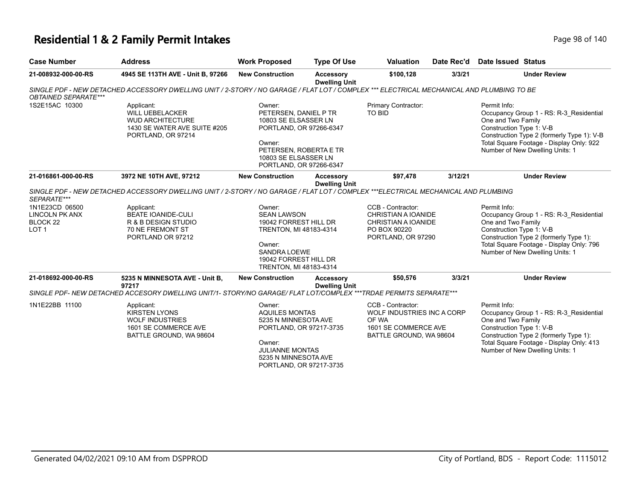## **Residential 1 & 2 Family Permit Intakes Page 140** Page 98 of 140

| <b>Case Number</b>                                                                 | <b>Address</b>                                                                                                                            | <b>Work Proposed</b>                                                                                                                                                      | <b>Type Of Use</b>                       | <b>Valuation</b>                                                                                                    | Date Rec'd | Date Issued Status                                                                                                                                                                                                                     |
|------------------------------------------------------------------------------------|-------------------------------------------------------------------------------------------------------------------------------------------|---------------------------------------------------------------------------------------------------------------------------------------------------------------------------|------------------------------------------|---------------------------------------------------------------------------------------------------------------------|------------|----------------------------------------------------------------------------------------------------------------------------------------------------------------------------------------------------------------------------------------|
| 21-008932-000-00-RS                                                                | 4945 SE 113TH AVE - Unit B, 97266                                                                                                         | <b>New Construction</b>                                                                                                                                                   | Accessory<br><b>Dwelling Unit</b>        | \$100,128                                                                                                           | 3/3/21     | <b>Under Review</b>                                                                                                                                                                                                                    |
| <b>OBTAINED SEPARATE***</b>                                                        | SINGLE PDF - NEW DETACHED ACCESSORY DWELLING UNIT / 2-STORY / NO GARAGE / FLAT LOT / COMPLEX *** ELECTRICAL MECHANICAL AND PLUMBING TO BE |                                                                                                                                                                           |                                          |                                                                                                                     |            |                                                                                                                                                                                                                                        |
| 1S2E15AC 10300                                                                     | Applicant:<br><b>WILL UEBELACKER</b><br><b>WUD ARCHITECTURE</b><br>1430 SE WATER AVE SUITE #205<br>PORTLAND, OR 97214                     | Owner:<br>PETERSEN, DANIEL P TR<br>10803 SE ELSASSER LN<br>PORTLAND, OR 97266-6347<br>Owner:<br>PETERSEN, ROBERTA E TR<br>10803 SE ELSASSER LN<br>PORTLAND, OR 97266-6347 |                                          | Primary Contractor:<br>TO BID                                                                                       |            | Permit Info:<br>Occupancy Group 1 - RS: R-3 Residential<br>One and Two Family<br>Construction Type 1: V-B<br>Construction Type 2 (formerly Type 1): V-B<br>Total Square Footage - Display Only: 922<br>Number of New Dwelling Units: 1 |
| 21-016861-000-00-RS                                                                | 3972 NE 10TH AVE, 97212                                                                                                                   | <b>New Construction</b>                                                                                                                                                   | Accessory<br><b>Dwelling Unit</b>        | \$97,478                                                                                                            | 3/12/21    | <b>Under Review</b>                                                                                                                                                                                                                    |
| SEPARATE***                                                                        | SINGLE PDF - NEW DETACHED ACCESSORY DWELLING UNIT / 2-STORY / NO GARAGE / FLAT LOT / COMPLEX ***ELECTRICAL MECHANICAL AND PLUMBING        |                                                                                                                                                                           |                                          |                                                                                                                     |            |                                                                                                                                                                                                                                        |
| 1N1E23CD 06500<br><b>LINCOLN PK ANX</b><br>BLOCK <sub>22</sub><br>LOT <sub>1</sub> | Applicant:<br><b>BEATE IOANIDE-CULI</b><br>R & B DESIGN STUDIO<br>70 NE FREMONT ST<br>PORTLAND OR 97212                                   | Owner:<br><b>SEAN LAWSON</b><br>19042 FORREST HILL DR<br>TRENTON, MI 48183-4314<br>Owner:<br><b>SANDRA LOEWE</b><br>19042 FORREST HILL DR<br>TRENTON, MI 48183-4314       |                                          | CCB - Contractor:<br><b>CHRISTIAN A IOANIDE</b><br><b>CHRISTIAN A IOANIDE</b><br>PO BOX 90220<br>PORTLAND, OR 97290 |            | Permit Info:<br>Occupancy Group 1 - RS: R-3 Residential<br>One and Two Family<br>Construction Type 1: V-B<br>Construction Type 2 (formerly Type 1):<br>Total Square Footage - Display Only: 796<br>Number of New Dwelling Units: 1     |
| 21-018692-000-00-RS                                                                | 5235 N MINNESOTA AVE - Unit B,<br>97217                                                                                                   | <b>New Construction</b>                                                                                                                                                   | <b>Accessory</b><br><b>Dwelling Unit</b> | \$50,576                                                                                                            | 3/3/21     | <b>Under Review</b>                                                                                                                                                                                                                    |
|                                                                                    | SINGLE PDF- NEW DETACHED ACCESORY DWELLING UNIT/1- STORY/NO GARAGE/ FLAT LOT/COMPLEX ***TRDAE PERMITS SEPARATE***                         |                                                                                                                                                                           |                                          |                                                                                                                     |            |                                                                                                                                                                                                                                        |
| 1N1E22BB 11100                                                                     | Applicant:<br><b>KIRSTEN LYONS</b><br><b>WOLF INDUSTRIES</b><br>1601 SE COMMERCE AVE<br>BATTLE GROUND, WA 98604                           | Owner:<br>AQUILES MONTAS<br>5235 N MINNESOTA AVE<br>PORTLAND, OR 97217-3735<br>Owner:<br><b>JULIANNE MONTAS</b><br>5235 N MINNESOTA AVE<br>PORTLAND, OR 97217-3735        |                                          | CCB - Contractor:<br>WOLF INDUSTRIES INC A CORP<br>OF WA<br>1601 SE COMMERCE AVE<br>BATTLE GROUND, WA 98604         |            | Permit Info:<br>Occupancy Group 1 - RS: R-3 Residential<br>One and Two Family<br>Construction Type 1: V-B<br>Construction Type 2 (formerly Type 1):<br>Total Square Footage - Display Only: 413<br>Number of New Dwelling Units: 1     |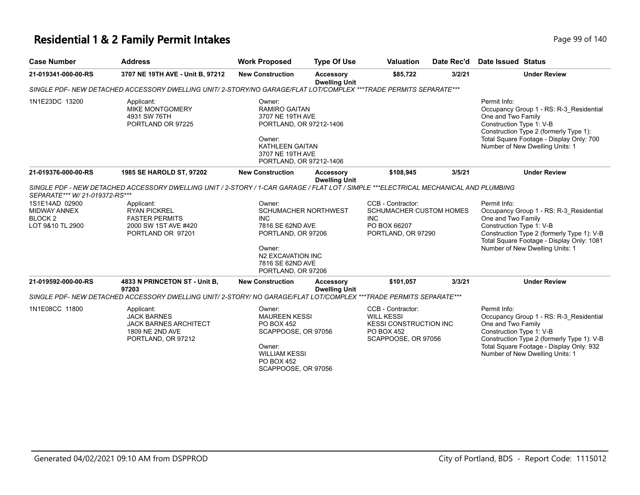## **Residential 1 & 2 Family Permit Intakes Page 140** Page 99 of 140

| <b>Case Number</b>                                                                                                | <b>Address</b>                                                                                                                                                                                                                                  | <b>Work Proposed</b>                                                                                                                                      | <b>Type Of Use</b>                       | <b>Valuation</b>                                                                                             | Date Rec'd | <b>Date Issued Status</b>                                                                                                                                                                                                               |
|-------------------------------------------------------------------------------------------------------------------|-------------------------------------------------------------------------------------------------------------------------------------------------------------------------------------------------------------------------------------------------|-----------------------------------------------------------------------------------------------------------------------------------------------------------|------------------------------------------|--------------------------------------------------------------------------------------------------------------|------------|-----------------------------------------------------------------------------------------------------------------------------------------------------------------------------------------------------------------------------------------|
| 21-019341-000-00-RS                                                                                               | 3707 NE 19TH AVE - Unit B, 97212                                                                                                                                                                                                                | <b>New Construction</b>                                                                                                                                   | <b>Accessory</b><br><b>Dwelling Unit</b> | \$85,722<br>3/2/21                                                                                           |            | <b>Under Review</b>                                                                                                                                                                                                                     |
|                                                                                                                   | SINGLE PDF- NEW DETACHED ACCESSORY DWELLING UNIT/2-STORY/NO GARAGE/FLAT LOT/COMPLEX ***TRADE PERMITS SEPARATE***                                                                                                                                |                                                                                                                                                           |                                          |                                                                                                              |            |                                                                                                                                                                                                                                         |
| 1N1E23DC 13200                                                                                                    | Applicant:<br><b>MIKE MONTGOMERY</b><br>4931 SW 76TH<br>PORTLAND OR 97225                                                                                                                                                                       | Owner:<br><b>RAMIRO GAITAN</b><br>3707 NE 19TH AVE<br>PORTLAND, OR 97212-1406<br>Owner:<br>KATHLEEN GAITAN<br>3707 NE 19TH AVE<br>PORTLAND, OR 97212-1406 |                                          |                                                                                                              |            | Permit Info:<br>Occupancy Group 1 - RS: R-3_Residential<br>One and Two Family<br>Construction Type 1: V-B<br>Construction Type 2 (formerly Type 1):<br>Total Square Footage - Display Only: 700<br>Number of New Dwelling Units: 1      |
| 21-019376-000-00-RS                                                                                               | 1985 SE HAROLD ST, 97202                                                                                                                                                                                                                        | <b>New Construction</b>                                                                                                                                   | Accessory<br><b>Dwelling Unit</b>        | \$108,945                                                                                                    | 3/5/21     | <b>Under Review</b>                                                                                                                                                                                                                     |
| SEPARATE*** W/ 21-019372-RS***<br>1S1E14AD 02900<br><b>MIDWAY ANNEX</b><br>BLOCK <sub>2</sub><br>LOT 9&10 TL 2900 | SINGLE PDF - NEW DETACHED ACCESSORY DWELLING UNIT / 2-STORY / 1-CAR GARAGE / FLAT LOT / SIMPLE ***ELECTRICAL MECHANICAL AND PLUMBING<br>Applicant:<br><b>RYAN PICKREL</b><br><b>FASTER PERMITS</b><br>2000 SW 1ST AVE #420<br>PORTLAND OR 97201 | Owner:<br>SCHUMACHER NORTHWEST<br>INC.<br>7816 SE 62ND AVE<br>PORTLAND, OR 97206<br>Owner:<br>N2 EXCAVATION INC<br>7816 SE 62ND AVE<br>PORTLAND, OR 97206 |                                          | CCB - Contractor:<br>SCHUMACHER CUSTOM HOMES<br><b>INC</b><br>PO BOX 66207<br>PORTLAND, OR 97290             |            | Permit Info:<br>Occupancy Group 1 - RS: R-3_Residential<br>One and Two Family<br>Construction Type 1: V-B<br>Construction Type 2 (formerly Type 1): V-B<br>Total Square Footage - Display Only: 1081<br>Number of New Dwelling Units: 1 |
| 21-019592-000-00-RS                                                                                               | 4833 N PRINCETON ST - Unit B,<br>97203                                                                                                                                                                                                          | <b>New Construction</b>                                                                                                                                   | <b>Accessory</b><br><b>Dwelling Unit</b> | \$101,057                                                                                                    | 3/3/21     | <b>Under Review</b>                                                                                                                                                                                                                     |
|                                                                                                                   | SINGLE PDF- NEW DETACHED ACCESSORY DWELLING UNIT/2-STORY/ NO GARAGE/FLAT LOT/COMPLEX ***TRADE PERMITS SEPARATE***                                                                                                                               |                                                                                                                                                           |                                          |                                                                                                              |            |                                                                                                                                                                                                                                         |
| 1N1E08CC 11800                                                                                                    | Applicant:<br><b>JACK BARNES</b><br><b>JACK BARNES ARCHITECT</b><br>1809 NE 2ND AVE<br>PORTLAND, OR 97212                                                                                                                                       | Owner:<br><b>MAUREEN KESSI</b><br><b>PO BOX 452</b><br>SCAPPOOSE, OR 97056<br>Owner:<br><b>WILLIAM KESSI</b><br>PO BOX 452<br>SCAPPOOSE, OR 97056         |                                          | CCB - Contractor:<br><b>WILL KESSI</b><br><b>KESSI CONSTRUCTION INC</b><br>PO BOX 452<br>SCAPPOOSE, OR 97056 |            | Permit Info:<br>Occupancy Group 1 - RS: R-3_Residential<br>One and Two Family<br>Construction Type 1: V-B<br>Construction Type 2 (formerly Type 1): V-B<br>Total Square Footage - Display Only: 932<br>Number of New Dwelling Units: 1  |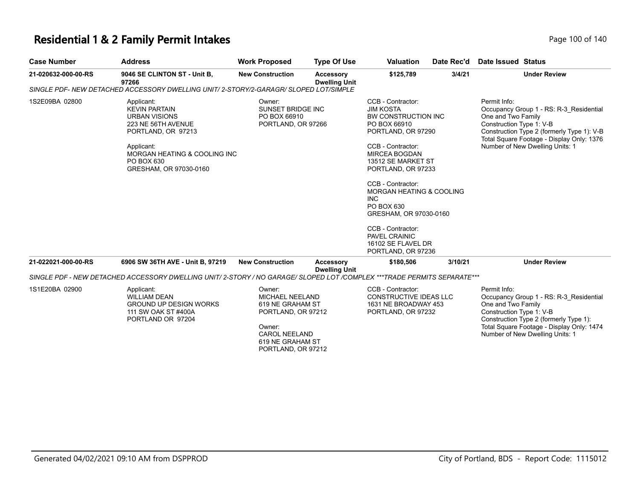## **Residential 1 & 2 Family Permit Intakes Page 100 of 140** Page 100 of 140

| Page 100 of 14 |  |  |
|----------------|--|--|

| <b>Case Number</b>  | <b>Address</b>                                                                                                                                                                                          | <b>Work Proposed</b>                                                                                                                                   | <b>Type Of Use</b>                | <b>Valuation</b>                                                                                                                                                                                                                                                                                                                                                                     | Date Rec'd | Date Issued Status                                                                                                                                                                                                                      |
|---------------------|---------------------------------------------------------------------------------------------------------------------------------------------------------------------------------------------------------|--------------------------------------------------------------------------------------------------------------------------------------------------------|-----------------------------------|--------------------------------------------------------------------------------------------------------------------------------------------------------------------------------------------------------------------------------------------------------------------------------------------------------------------------------------------------------------------------------------|------------|-----------------------------------------------------------------------------------------------------------------------------------------------------------------------------------------------------------------------------------------|
| 21-020632-000-00-RS | 9046 SE CLINTON ST - Unit B,<br>97266                                                                                                                                                                   | <b>New Construction</b>                                                                                                                                | Accessory<br><b>Dwelling Unit</b> | \$125,789                                                                                                                                                                                                                                                                                                                                                                            | 3/4/21     | <b>Under Review</b>                                                                                                                                                                                                                     |
|                     | SINGLE PDF- NEW DETACHED ACCESSORY DWELLING UNIT/2-STORY/2-GARAGR/ SLOPED LOT/SIMPLE                                                                                                                    |                                                                                                                                                        |                                   |                                                                                                                                                                                                                                                                                                                                                                                      |            |                                                                                                                                                                                                                                         |
| 1S2E09BA 02800      | Applicant:<br><b>KEVIN PARTAIN</b><br><b>URBAN VISIONS</b><br>223 NE 56TH AVENUE<br>PORTLAND, OR 97213<br>Applicant:<br><b>MORGAN HEATING &amp; COOLING INC</b><br>PO BOX 630<br>GRESHAM, OR 97030-0160 | Owner:<br>SUNSET BRIDGE INC<br>PO BOX 66910<br>PORTLAND, OR 97266                                                                                      |                                   | CCB - Contractor:<br><b>JIM KOSTA</b><br>BW CONSTRUCTION INC<br>PO BOX 66910<br>PORTLAND, OR 97290<br>CCB - Contractor:<br><b>MIRCEA BOGDAN</b><br>13512 SE MARKET ST<br>PORTLAND, OR 97233<br>CCB - Contractor:<br>MORGAN HEATING & COOLING<br><b>INC</b><br>PO BOX 630<br>GRESHAM, OR 97030-0160<br>CCB - Contractor:<br>PAVEL CRAINIC<br>16102 SE FLAVEL DR<br>PORTLAND, OR 97236 |            | Permit Info:<br>Occupancy Group 1 - RS: R-3 Residential<br>One and Two Family<br>Construction Type 1: V-B<br>Construction Type 2 (formerly Type 1): V-B<br>Total Square Footage - Display Only: 1376<br>Number of New Dwelling Units: 1 |
| 21-022021-000-00-RS | 6906 SW 36TH AVE - Unit B, 97219                                                                                                                                                                        | <b>New Construction</b>                                                                                                                                | Accessory<br><b>Dwelling Unit</b> | \$180,506                                                                                                                                                                                                                                                                                                                                                                            | 3/10/21    | <b>Under Review</b>                                                                                                                                                                                                                     |
|                     | SINGLE PDF - NEW DETACHED ACCESSORY DWELLING UNIT/2-STORY / NO GARAGE/ SLOPED LOT /COMPLEX ***TRADE PERMITS SEPARATE***                                                                                 |                                                                                                                                                        |                                   |                                                                                                                                                                                                                                                                                                                                                                                      |            |                                                                                                                                                                                                                                         |
| 1S1E20BA 02900      | Applicant:<br><b>WILLIAM DEAN</b><br><b>GROUND UP DESIGN WORKS</b><br>111 SW OAK ST #400A<br>PORTLAND OR 97204                                                                                          | Owner:<br><b>MICHAEL NEELAND</b><br>619 NE GRAHAM ST<br>PORTLAND, OR 97212<br>Owner:<br><b>CAROL NEELAND</b><br>619 NE GRAHAM ST<br>PORTLAND, OR 97212 |                                   | CCB - Contractor:<br><b>CONSTRUCTIVE IDEAS LLC</b><br>1631 NE BROADWAY 453<br>PORTLAND, OR 97232                                                                                                                                                                                                                                                                                     |            | Permit Info:<br>Occupancy Group 1 - RS: R-3 Residential<br>One and Two Family<br>Construction Type 1: V-B<br>Construction Type 2 (formerly Type 1):<br>Total Square Footage - Display Only: 1474<br>Number of New Dwelling Units: 1     |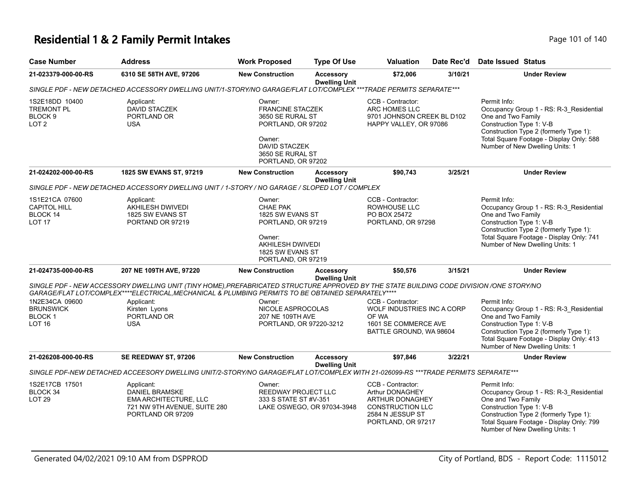### **Residential 1 & 2 Family Permit Intakes Page 101 of 140** Page 101 of 140

| <b>Case Number</b>                                                            | <b>Address</b>                                                                                                                                                                                                                                 | <b>Work Proposed</b>                                                                                                                                    | <b>Type Of Use</b>                                                                                                                                               | Valuation                                                                                                                    | Date Rec'd | <b>Date Issued Status</b>                                                                                                                                                                                                          |
|-------------------------------------------------------------------------------|------------------------------------------------------------------------------------------------------------------------------------------------------------------------------------------------------------------------------------------------|---------------------------------------------------------------------------------------------------------------------------------------------------------|------------------------------------------------------------------------------------------------------------------------------------------------------------------|------------------------------------------------------------------------------------------------------------------------------|------------|------------------------------------------------------------------------------------------------------------------------------------------------------------------------------------------------------------------------------------|
| 21-023379-000-00-RS                                                           | 6310 SE 58TH AVE, 97206                                                                                                                                                                                                                        | <b>New Construction</b>                                                                                                                                 | Accessory<br><b>Dwelling Unit</b>                                                                                                                                | \$72,006                                                                                                                     | 3/10/21    | <b>Under Review</b>                                                                                                                                                                                                                |
|                                                                               | SINGLE PDF - NEW DETACHED ACCESSORY DWELLING UNIT/1-STORY/NO GARAGE/FLAT LOT/COMPLEX ***TRADE PERMITS SEPARATE***                                                                                                                              |                                                                                                                                                         |                                                                                                                                                                  |                                                                                                                              |            |                                                                                                                                                                                                                                    |
| 1S2E18DD 10400<br><b>TREMONT PL</b><br>BLOCK <sub>9</sub><br>LOT <sub>2</sub> | Applicant:<br><b>DAVID STACZEK</b><br>PORTLAND OR<br><b>USA</b>                                                                                                                                                                                | Owner:<br><b>FRANCINE STACZEK</b><br>3650 SE RURAL ST<br>PORTLAND, OR 97202<br>Owner:<br><b>DAVID STACZEK</b><br>3650 SE RURAL ST<br>PORTLAND, OR 97202 |                                                                                                                                                                  | CCB - Contractor:<br>ARC HOMES LLC<br>9701 JOHNSON CREEK BL D102<br>HAPPY VALLEY, OR 97086                                   |            | Permit Info:<br>Occupancy Group 1 - RS: R-3 Residential<br>One and Two Family<br>Construction Type 1: V-B<br>Construction Type 2 (formerly Type 1):<br>Total Square Footage - Display Only: 588<br>Number of New Dwelling Units: 1 |
| 21-024202-000-00-RS                                                           | 1825 SW EVANS ST, 97219                                                                                                                                                                                                                        | <b>New Construction</b>                                                                                                                                 | <b>Accessory</b><br><b>Dwelling Unit</b>                                                                                                                         | \$90,743                                                                                                                     | 3/25/21    | <b>Under Review</b>                                                                                                                                                                                                                |
|                                                                               | SINGLE PDF - NEW DETACHED ACCESSORY DWELLING UNIT / 1-STORY / NO GARAGE / SLOPED LOT / COMPLEX                                                                                                                                                 |                                                                                                                                                         |                                                                                                                                                                  |                                                                                                                              |            |                                                                                                                                                                                                                                    |
| 1S1E21CA 07600<br><b>CAPITOL HILL</b><br><b>BLOCK 14</b><br><b>LOT 17</b>     | Applicant:<br><b>AKHILESH DWIVEDI</b><br>1825 SW EVANS ST<br>PORTAND OR 97219                                                                                                                                                                  | Owner:<br>CHAE PAK<br>Owner:<br>PORTLAND, OR 97219                                                                                                      | CCB - Contractor:<br>ROWHOUSE LLC<br>1825 SW EVANS ST<br>PO BOX 25472<br>PORTLAND, OR 97298<br>PORTLAND, OR 97219<br><b>AKHILESH DWIVEDI</b><br>1825 SW EVANS ST |                                                                                                                              |            | Permit Info:<br>Occupancy Group 1 - RS: R-3_Residential<br>One and Two Family<br>Construction Type 1: V-B<br>Construction Type 2 (formerly Type 1):<br>Total Square Footage - Display Only: 741<br>Number of New Dwelling Units: 1 |
| 21-024735-000-00-RS                                                           | 207 NE 109TH AVE, 97220                                                                                                                                                                                                                        | <b>New Construction</b>                                                                                                                                 | <b>Accessory</b><br><b>Dwelling Unit</b>                                                                                                                         | \$50,576                                                                                                                     | 3/15/21    | <b>Under Review</b>                                                                                                                                                                                                                |
|                                                                               | SINGLE PDF - NEW ACCESSORY DWELLING UNIT (TINY HOME), PREFABRICATED STRUCTURE APPROVED BY THE STATE BUILDING CODE DIVISION /ONE STORY/NO<br>GARAGE/FLAT LOT/COMPLEX****ELECTRICAL, MECHANICAL & PLUMBING PERMITS TO BE OBTAINED SEPARATELY**** |                                                                                                                                                         |                                                                                                                                                                  |                                                                                                                              |            |                                                                                                                                                                                                                                    |
| 1N2E34CA 09600<br><b>BRUNSWICK</b><br><b>BLOCK1</b><br><b>LOT 16</b>          | Applicant:<br>Kirsten Lyons<br>PORTLAND OR<br><b>USA</b>                                                                                                                                                                                       | Owner:<br>NICOLE ASPROCOLAS<br>207 NE 109TH AVE<br>PORTLAND, OR 97220-3212                                                                              |                                                                                                                                                                  | CCB - Contractor:<br>WOLF INDUSTRIES INC A CORP<br>OF WA<br>1601 SE COMMERCE AVE<br>BATTLE GROUND, WA 98604                  |            | Permit Info:<br>Occupancy Group 1 - RS: R-3_Residential<br>One and Two Family<br>Construction Type 1: V-B<br>Construction Type 2 (formerly Type 1):<br>Total Square Footage - Display Only: 413<br>Number of New Dwelling Units: 1 |
| 21-026208-000-00-RS                                                           | SE REEDWAY ST, 97206                                                                                                                                                                                                                           | <b>New Construction</b>                                                                                                                                 | <b>Accessory</b><br><b>Dwelling Unit</b>                                                                                                                         | \$97,846                                                                                                                     | 3/22/21    | <b>Under Review</b>                                                                                                                                                                                                                |
|                                                                               | SINGLE PDF-NEW DETACHED ACCEESORY DWELLING UNIT/2-STORY/NO GARAGE/FLAT LOT/COMPLEX WITH 21-026099-RS ***TRADE PERMITS SEPARATE***                                                                                                              |                                                                                                                                                         |                                                                                                                                                                  |                                                                                                                              |            |                                                                                                                                                                                                                                    |
| 1S2E17CB 17501<br>BLOCK 34<br>LOT <sub>29</sub>                               | Applicant:<br><b>DANIEL BRAMSKE</b><br>EMA ARCHITECTURE, LLC<br>721 NW 9TH AVENUE, SUITE 280<br>PORTLAND OR 97209                                                                                                                              | Owner:<br>REEDWAY PROJECT LLC<br>333 S STATE ST #V-351                                                                                                  | LAKE OSWEGO, OR 97034-3948                                                                                                                                       | CCB - Contractor:<br>Arthur DONAGHEY<br>ARTHUR DONAGHEY<br><b>CONSTRUCTION LLC</b><br>2584 N JESSUP ST<br>PORTLAND, OR 97217 |            | Permit Info:<br>Occupancy Group 1 - RS: R-3_Residential<br>One and Two Family<br>Construction Type 1: V-B<br>Construction Type 2 (formerly Type 1):<br>Total Square Footage - Display Only: 799<br>Number of New Dwelling Units: 1 |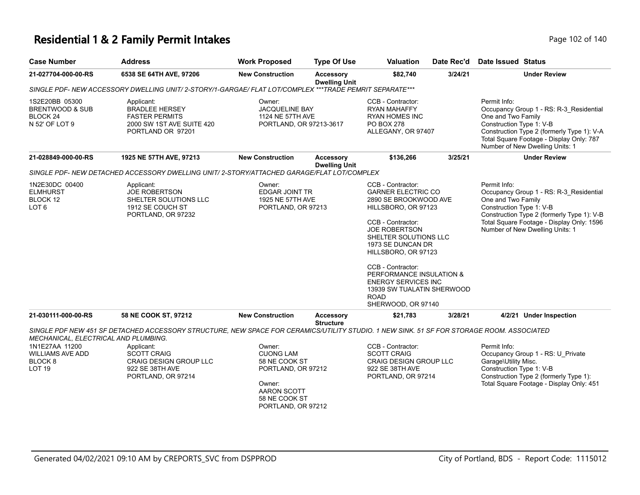### **Residential 1 & 2 Family Permit Intakes Page 102 of 140** Page 102 of 140

| <b>Case Number</b>                                                                                                | <b>Address</b>                                                                                                                            | <b>Work Proposed</b>                                                                                                              | <b>Type Of Use</b>                   | <b>Valuation</b>                                                                                                                                                                                                                                                                                                                                                   | Date Rec'd | <b>Date Issued Status</b>                                                                                                                                                                                                               |  |  |  |
|-------------------------------------------------------------------------------------------------------------------|-------------------------------------------------------------------------------------------------------------------------------------------|-----------------------------------------------------------------------------------------------------------------------------------|--------------------------------------|--------------------------------------------------------------------------------------------------------------------------------------------------------------------------------------------------------------------------------------------------------------------------------------------------------------------------------------------------------------------|------------|-----------------------------------------------------------------------------------------------------------------------------------------------------------------------------------------------------------------------------------------|--|--|--|
| 21-027704-000-00-RS                                                                                               | 6538 SE 64TH AVE, 97206                                                                                                                   | <b>New Construction</b>                                                                                                           | Accessory<br><b>Dwelling Unit</b>    | \$82,740                                                                                                                                                                                                                                                                                                                                                           | 3/24/21    | <b>Under Review</b>                                                                                                                                                                                                                     |  |  |  |
| SINGLE PDF- NEW ACCESSORY DWELLING UNIT/ 2-STORY/1-GARGAE/ FLAT LOT/COMPLEX ***TRADE PEMRIT SEPARATE***           |                                                                                                                                           |                                                                                                                                   |                                      |                                                                                                                                                                                                                                                                                                                                                                    |            |                                                                                                                                                                                                                                         |  |  |  |
| 1S2E20BB 05300<br>BRENTWOOD & SUB<br>BLOCK <sub>24</sub><br>N 52' OF LOT 9                                        | Applicant:<br><b>BRADLEE HERSEY</b><br><b>FASTER PERMITS</b><br>2000 SW 1ST AVE SUITE 420<br>PORTLAND OR 97201                            | Owner:<br>JACQUELINE BAY<br>1124 NE 57TH AVE<br>PORTLAND, OR 97213-3617                                                           |                                      | CCB - Contractor:<br><b>RYAN MAHAFFY</b><br><b>RYAN HOMES INC</b><br>PO BOX 278<br>ALLEGANY, OR 97407                                                                                                                                                                                                                                                              |            | Permit Info:<br>Occupancy Group 1 - RS: R-3_Residential<br>One and Two Family<br>Construction Type 1: V-B<br>Construction Type 2 (formerly Type 1): V-A<br>Total Square Footage - Display Only: 787<br>Number of New Dwelling Units: 1  |  |  |  |
| 21-028849-000-00-RS                                                                                               | 1925 NE 57TH AVE, 97213                                                                                                                   | <b>New Construction</b>                                                                                                           | <b>Accessory</b>                     | \$136,266                                                                                                                                                                                                                                                                                                                                                          | 3/25/21    | <b>Under Review</b>                                                                                                                                                                                                                     |  |  |  |
| <b>Dwelling Unit</b><br>SINGLE PDF- NEW DETACHED ACCESSORY DWELLING UNIT/2-STORY/ATTACHED GARAGE/FLAT LOT/COMPLEX |                                                                                                                                           |                                                                                                                                   |                                      |                                                                                                                                                                                                                                                                                                                                                                    |            |                                                                                                                                                                                                                                         |  |  |  |
| 1N2E30DC 00400<br><b>ELMHURST</b><br>BLOCK 12<br>LOT 6                                                            | Applicant:<br><b>JOE ROBERTSON</b><br>SHELTER SOLUTIONS LLC<br>1912 SE COUCH ST<br>PORTLAND, OR 97232                                     | Owner:<br><b>EDGAR JOINT TR</b><br>1925 NE 57TH AVE<br>PORTLAND, OR 97213                                                         |                                      | CCB - Contractor:<br><b>GARNER ELECTRIC CO</b><br>2890 SE BROOKWOOD AVE<br>HILLSBORO, OR 97123<br>CCB - Contractor:<br><b>JOE ROBERTSON</b><br>SHELTER SOLUTIONS LLC<br>1973 SE DUNCAN DR<br>HILLSBORO, OR 97123<br>CCB - Contractor:<br>PERFORMANCE INSULATION &<br><b>ENERGY SERVICES INC</b><br>13939 SW TUALATIN SHERWOOD<br><b>ROAD</b><br>SHERWOOD, OR 97140 |            | Permit Info:<br>Occupancy Group 1 - RS: R-3_Residential<br>One and Two Family<br>Construction Type 1: V-B<br>Construction Type 2 (formerly Type 1): V-B<br>Total Square Footage - Display Only: 1596<br>Number of New Dwelling Units: 1 |  |  |  |
| 21-030111-000-00-RS                                                                                               | 58 NE COOK ST, 97212                                                                                                                      | <b>New Construction</b>                                                                                                           | <b>Accessory</b><br><b>Structure</b> | \$21,783                                                                                                                                                                                                                                                                                                                                                           | 3/28/21    | 4/2/21 Under Inspection                                                                                                                                                                                                                 |  |  |  |
| MECHANICAL, ELECTRICAL AND PLUMBING.                                                                              | SINGLE PDF NEW 451 SF DETACHED ACCESSORY STRUCTURE, NEW SPACE FOR CERAMICS/UTILITY STUDIO. 1 NEW SINK. 51 SF FOR STORAGE ROOM. ASSOCIATED |                                                                                                                                   |                                      |                                                                                                                                                                                                                                                                                                                                                                    |            |                                                                                                                                                                                                                                         |  |  |  |
| 1N1E27AA 11200<br><b>WILLIAMS AVE ADD</b><br>BLOCK <sub>8</sub><br><b>LOT 19</b>                                  | Applicant:<br>SCOTT CRAIG<br>CRAIG DESIGN GROUP LLC<br>922 SE 38TH AVE<br>PORTLAND, OR 97214                                              | Owner:<br><b>CUONG LAM</b><br>58 NE COOK ST<br>PORTLAND, OR 97212<br>Owner:<br>AARON SCOTT<br>58 NE COOK ST<br>PORTLAND, OR 97212 |                                      | CCB - Contractor:<br><b>SCOTT CRAIG</b><br><b>CRAIG DESIGN GROUP LLC</b><br>922 SE 38TH AVE<br>PORTLAND, OR 97214                                                                                                                                                                                                                                                  |            | Permit Info:<br>Occupancy Group 1 - RS: U_Private<br>Garage\Utility Misc.<br>Construction Type 1: V-B<br>Construction Type 2 (formerly Type 1):<br>Total Square Footage - Display Only: 451                                             |  |  |  |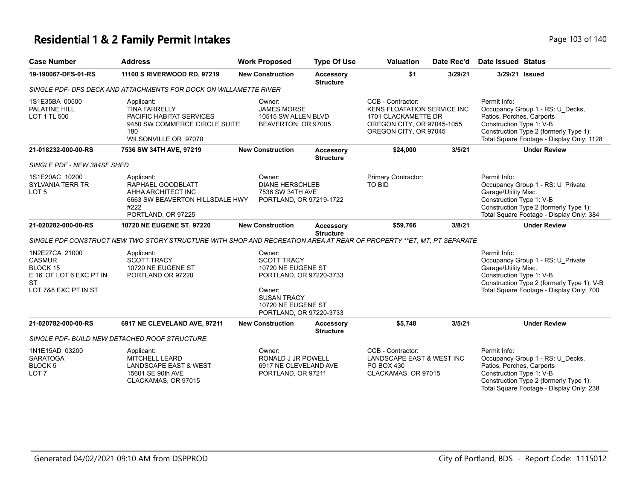# **Residential 1 & 2 Family Permit Intakes Page 103 of 140** Page 103 of 140

| <b>Case Number</b>                                                                                                  | <b>Address</b>                                                                                                                 | <b>Work Proposed</b>                                                                                                                                           | <b>Type Of Use</b>                   | <b>Valuation</b>                                                                                                                      | Date Rec'd | Date Issued Status                                                                                                                                                                               |
|---------------------------------------------------------------------------------------------------------------------|--------------------------------------------------------------------------------------------------------------------------------|----------------------------------------------------------------------------------------------------------------------------------------------------------------|--------------------------------------|---------------------------------------------------------------------------------------------------------------------------------------|------------|--------------------------------------------------------------------------------------------------------------------------------------------------------------------------------------------------|
| 19-190067-DFS-01-RS                                                                                                 | 11100 S RIVERWOOD RD, 97219                                                                                                    | <b>New Construction</b>                                                                                                                                        | <b>Accessory</b><br><b>Structure</b> | \$1                                                                                                                                   | 3/29/21    | 3/29/21 Issued                                                                                                                                                                                   |
|                                                                                                                     | SINGLE PDF- DFS DECK AND ATTACHMENTS FOR DOCK ON WILLAMETTE RIVER                                                              |                                                                                                                                                                |                                      |                                                                                                                                       |            |                                                                                                                                                                                                  |
| 1S1E35BA 00500<br>PALATINE HILL<br>LOT 1 TL 500                                                                     | Applicant:<br><b>TINA FARRELLY</b><br>PACIFIC HABITAT SERVICES<br>9450 SW COMMERCE CIRCLE SUITE<br>180<br>WILSONVILLE OR 97070 | Owner:<br><b>JAMES MORSE</b><br>10515 SW ALLEN BLVD<br>BEAVERTON, OR 97005                                                                                     |                                      | CCB - Contractor:<br><b>KENS FLOATATION SERVICE INC</b><br>1701 CLACKAMETTE DR<br>OREGON CITY, OR 97045-1055<br>OREGON CITY, OR 97045 |            | Permit Info:<br>Occupancy Group 1 - RS: U_Decks,<br>Patios, Porches, Carports<br>Construction Type 1: V-B<br>Construction Type 2 (formerly Type 1):<br>Total Square Footage - Display Only: 1128 |
| 21-018232-000-00-RS                                                                                                 | 7536 SW 34TH AVE, 97219                                                                                                        | <b>New Construction</b>                                                                                                                                        | <b>Accessory</b><br><b>Structure</b> | \$24,000                                                                                                                              | 3/5/21     | <b>Under Review</b>                                                                                                                                                                              |
| SINGLE PDF - NEW 384SF SHED                                                                                         |                                                                                                                                |                                                                                                                                                                |                                      |                                                                                                                                       |            |                                                                                                                                                                                                  |
| 1S1E20AC 10200<br><b>SYLVANIA TERR TR</b><br>LOT <sub>5</sub>                                                       | Applicant:<br>RAPHAEL GOODBLATT<br>AHHA ARCHITECT INC<br>6663 SW BEAVERTON HILLSDALE HWY<br>#222<br>PORTLAND, OR 97225         | Owner:<br><b>DIANE HERSCHLEB</b><br>7536 SW 34TH AVE<br>PORTLAND, OR 97219-1722                                                                                |                                      | Primary Contractor:<br><b>TO BID</b>                                                                                                  |            | Permit Info:<br>Occupancy Group 1 - RS: U_Private<br>Garage\Utility Misc.<br>Construction Type 1: V-B<br>Construction Type 2 (formerly Type 1):<br>Total Square Footage - Display Only: 384      |
| 21-020282-000-00-RS                                                                                                 | 10720 NE EUGENE ST, 97220                                                                                                      | <b>New Construction</b>                                                                                                                                        | <b>Accessory</b><br><b>Structure</b> | \$59,766                                                                                                                              | 3/8/21     | <b>Under Review</b>                                                                                                                                                                              |
|                                                                                                                     | SINGLE PDF CONSTRUCT NEW TWO STORY STRUCTURE WITH SHOP AND RECREATION AREA AT REAR OF PROPERTY **ET. MT. PT SEPARATE           |                                                                                                                                                                |                                      |                                                                                                                                       |            |                                                                                                                                                                                                  |
| 1N2E27CA 21000<br><b>CASMUR</b><br><b>BLOCK 15</b><br>E 16' OF LOT 6 EXC PT IN<br><b>ST</b><br>LOT 7&8 EXC PT IN ST | Applicant:<br><b>SCOTT TRACY</b><br>10720 NE EUGENE ST<br>PORTLAND OR 97220                                                    | Owner:<br><b>SCOTT TRACY</b><br>10720 NE EUGENE ST<br>PORTLAND, OR 97220-3733<br>Owner:<br><b>SUSAN TRACY</b><br>10720 NE EUGENE ST<br>PORTLAND, OR 97220-3733 |                                      |                                                                                                                                       |            | Permit Info:<br>Occupancy Group 1 - RS: U_Private<br>Garage\Utility Misc.<br>Construction Type 1: V-B<br>Construction Type 2 (formerly Type 1): V-B<br>Total Square Footage - Display Only: 700  |
| 21-020782-000-00-RS                                                                                                 | 6917 NE CLEVELAND AVE, 97211                                                                                                   | <b>New Construction</b>                                                                                                                                        | <b>Accessory</b>                     | \$5,748                                                                                                                               | 3/5/21     | <b>Under Review</b>                                                                                                                                                                              |
|                                                                                                                     | SINGLE PDF- BUILD NEW DETACHED ROOF STRUCTURE.                                                                                 |                                                                                                                                                                | <b>Structure</b>                     |                                                                                                                                       |            |                                                                                                                                                                                                  |
| 1N1E15AD 03200<br><b>SARATOGA</b><br>BLOCK <sub>5</sub><br>LOT <sub>7</sub>                                         | Applicant:<br><b>MITCHELL LEARD</b><br><b>LANDSCAPE EAST &amp; WEST</b><br>15601 SE 90th AVE<br>CLACKAMAS, OR 97015            | Owner:<br>RONALD J JR POWELL<br>6917 NE CLEVELAND AVE<br>PORTLAND, OR 97211                                                                                    |                                      | CCB - Contractor:<br>LANDSCAPE EAST & WEST INC<br>PO BOX 430<br>CLACKAMAS, OR 97015                                                   |            | Permit Info:<br>Occupancy Group 1 - RS: U_Decks,<br>Patios, Porches, Carports<br>Construction Type 1: V-B<br>Construction Type 2 (formerly Type 1):<br>Total Square Footage - Display Only: 238  |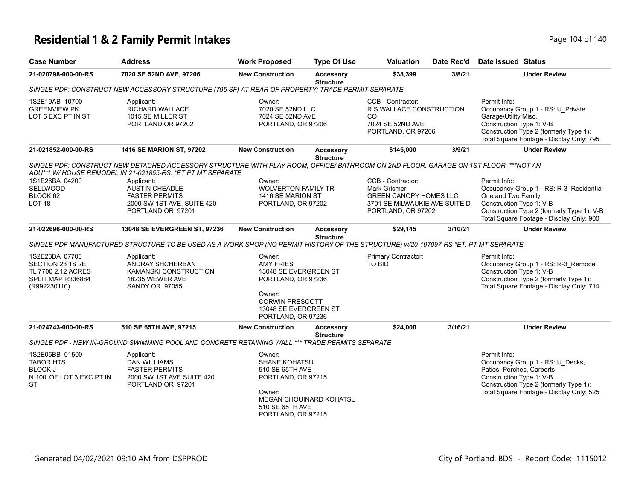# **Residential 1 & 2 Family Permit Intakes Page 104 of 140** Page 104 of 140

| <b>Case Number</b>                                                                             | <b>Address</b>                                                                                                                                                                                    | <b>Work Proposed</b>                                                                                                                   | <b>Type Of Use</b>                   | Valuation                                                                                                                        | Date Rec'd | <b>Date Issued Status</b>                                                                                                                                                                           |  |  |  |  |
|------------------------------------------------------------------------------------------------|---------------------------------------------------------------------------------------------------------------------------------------------------------------------------------------------------|----------------------------------------------------------------------------------------------------------------------------------------|--------------------------------------|----------------------------------------------------------------------------------------------------------------------------------|------------|-----------------------------------------------------------------------------------------------------------------------------------------------------------------------------------------------------|--|--|--|--|
| 21-020798-000-00-RS                                                                            | 7020 SE 52ND AVE, 97206                                                                                                                                                                           | <b>New Construction</b>                                                                                                                | Accessory<br><b>Structure</b>        | \$38,399                                                                                                                         | 3/8/21     | <b>Under Review</b>                                                                                                                                                                                 |  |  |  |  |
|                                                                                                | SINGLE PDF: CONSTRUCT NEW ACCESSORY STRUCTURE (795 SF) AT REAR OF PROPERTY; TRADE PERMIT SEPARATE                                                                                                 |                                                                                                                                        |                                      |                                                                                                                                  |            |                                                                                                                                                                                                     |  |  |  |  |
| 1S2E19AB 10700<br><b>GREENVIEW PK</b><br>LOT 5 EXC PT IN ST                                    | Applicant:<br>RICHARD WALLACE<br>1015 SE MILLER ST<br>PORTLAND OR 97202                                                                                                                           | Owner:<br>7020 SE 52ND LLC<br>7024 SE 52ND AVE<br>PORTLAND, OR 97206                                                                   |                                      | CCB - Contractor:<br>R S WALLACE CONSTRUCTION<br>CO.<br>7024 SE 52ND AVE<br>PORTLAND, OR 97206                                   |            | Permit Info:<br>Occupancy Group 1 - RS: U_Private<br>Garage\Utility Misc.<br>Construction Type 1: V-B<br>Construction Type 2 (formerly Type 1):<br>Total Square Footage - Display Only: 795         |  |  |  |  |
| 21-021852-000-00-RS                                                                            | 1416 SE MARION ST, 97202                                                                                                                                                                          | <b>New Construction</b>                                                                                                                | <b>Accessory</b><br><b>Structure</b> | \$145,000                                                                                                                        | 3/9/21     | <b>Under Review</b>                                                                                                                                                                                 |  |  |  |  |
|                                                                                                | SINGLE PDF: CONSTRUCT NEW DETACHED ACCESSORY STRUCTURE WITH PLAY ROOM, OFFICE/BATHROOM ON 2ND FLOOR. GARAGE ON 1ST FLOOR. ***NOT AN<br>ADU*** W/HOUSE REMODEL IN 21-021855-RS. *ET PT MT SEPARATE |                                                                                                                                        |                                      |                                                                                                                                  |            |                                                                                                                                                                                                     |  |  |  |  |
| 1S1E26BA 04200<br>SELLWOOD<br>BLOCK 62<br>LOT <sub>18</sub>                                    | Applicant:<br>AUSTIN CHEADLE<br><b>FASTER PERMITS</b><br>2000 SW 1ST AVE, SUITE 420<br>PORTLAND OR 97201                                                                                          | Owner:<br><b>WOLVERTON FAMILY TR</b><br>1416 SE MARION ST<br>PORTLAND, OR 97202                                                        |                                      | CCB - Contractor:<br><b>Mark Grismer</b><br><b>GREEN CANOPY HOMES LLC</b><br>3701 SE MILWAUKIE AVE SUITE D<br>PORTLAND, OR 97202 |            | Permit Info:<br>Occupancy Group 1 - RS: R-3_Residential<br>One and Two Family<br>Construction Type 1: V-B<br>Construction Type 2 (formerly Type 1): V-B<br>Total Square Footage - Display Only: 900 |  |  |  |  |
| 21-022696-000-00-RS                                                                            | 13048 SE EVERGREEN ST, 97236                                                                                                                                                                      | <b>New Construction</b>                                                                                                                | <b>Accessory</b><br><b>Structure</b> | \$29,145                                                                                                                         | 3/10/21    | <b>Under Review</b>                                                                                                                                                                                 |  |  |  |  |
|                                                                                                | SINGLE PDF MANUFACTURED STRUCTURE TO BE USED AS A WORK SHOP (NO PERMIT HISTORY OF THE STRUCTURE) w/20-197097-RS *ET, PT MT SEPARATE                                                               |                                                                                                                                        |                                      |                                                                                                                                  |            |                                                                                                                                                                                                     |  |  |  |  |
| 1S2E23BA 07700<br>SECTION 23 1S 2E<br>TL 7700 2.12 ACRES<br>SPLIT MAP R336884<br>(R992230110)  | Applicant:<br>ANDRAY SHCHERBAN<br>KAMANSKI CONSTRUCTION<br>18235 WEWER AVE<br>SANDY OR 97055                                                                                                      | Owner:<br><b>AMY FRIES</b><br>13048 SE EVERGREEN ST<br>PORTLAND, OR 97236<br>Owner:<br><b>CORWIN PRESCOTT</b><br>13048 SE EVERGREEN ST |                                      | Primary Contractor:<br><b>TO BID</b>                                                                                             |            | Permit Info:<br>Occupancy Group 1 - RS: R-3_Remodel<br>Construction Type 1: V-B<br>Construction Type 2 (formerly Type 1):<br>Total Square Footage - Display Only: 714                               |  |  |  |  |
| 21-024743-000-00-RS                                                                            | 510 SE 65TH AVE, 97215                                                                                                                                                                            | PORTLAND, OR 97236<br><b>New Construction</b>                                                                                          | <b>Accessory</b><br><b>Structure</b> | \$24,000                                                                                                                         | 3/16/21    | <b>Under Review</b>                                                                                                                                                                                 |  |  |  |  |
|                                                                                                | SINGLE PDF - NEW IN-GROUND SWIMMING POOL AND CONCRETE RETAINING WALL *** TRADE PERMITS SEPARATE                                                                                                   |                                                                                                                                        |                                      |                                                                                                                                  |            |                                                                                                                                                                                                     |  |  |  |  |
| 1S2E05BB 01500<br><b>TABOR HTS</b><br><b>BLOCK J</b><br>N 100' OF LOT 3 EXC PT IN<br><b>ST</b> | Applicant:<br><b>DAN WILLIAMS</b><br><b>FASTER PERMITS</b><br>2000 SW 1ST AVE SUITE 420<br>PORTLAND OR 97201                                                                                      | Owner:<br><b>SHANE KOHATSU</b><br>510 SE 65TH AVE<br>PORTLAND, OR 97215<br>Owner:<br>510 SE 65TH AVE<br>PORTLAND, OR 97215             | <b>MEGAN CHOUINARD KOHATSU</b>       |                                                                                                                                  |            | Permit Info:<br>Occupancy Group 1 - RS: U_Decks,<br>Patios, Porches, Carports<br>Construction Type 1: V-B<br>Construction Type 2 (formerly Type 1):<br>Total Square Footage - Display Only: 525     |  |  |  |  |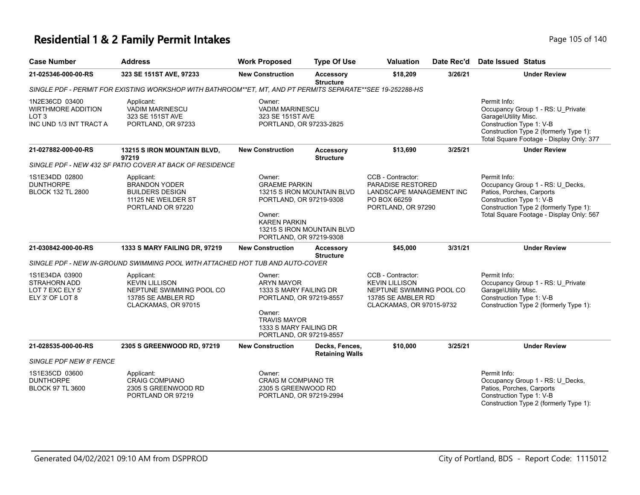# **Residential 1 & 2 Family Permit Intakes Page 105 of 140** Page 105 of 140

| <b>Case Number</b>                                                                         | <b>Address</b>                                                                                               | <b>Work Proposed</b>                                                                                                                                                   | <b>Type Of Use</b>                                       | Valuation                                                                                                                | Date Rec'd | <b>Date Issued Status</b>                                                                                                                                                                       |
|--------------------------------------------------------------------------------------------|--------------------------------------------------------------------------------------------------------------|------------------------------------------------------------------------------------------------------------------------------------------------------------------------|----------------------------------------------------------|--------------------------------------------------------------------------------------------------------------------------|------------|-------------------------------------------------------------------------------------------------------------------------------------------------------------------------------------------------|
| 21-025346-000-00-RS                                                                        | 323 SE 151ST AVE, 97233                                                                                      | <b>New Construction</b>                                                                                                                                                | <b>Accessory</b><br><b>Structure</b>                     | \$18,209                                                                                                                 | 3/26/21    | <b>Under Review</b>                                                                                                                                                                             |
|                                                                                            | SINGLE PDF - PERMIT FOR EXISTING WORKSHOP WITH BATHROOM**ET. MT. AND PT PERMITS SEPARATE**SEE 19-252288-HS   |                                                                                                                                                                        |                                                          |                                                                                                                          |            |                                                                                                                                                                                                 |
| 1N2E36CD 03400<br><b>WIRTHMORE ADDITION</b><br>LOT <sub>3</sub><br>INC UND 1/3 INT TRACT A | Applicant:<br>VADIM MARINESCU<br>323 SE 151ST AVE<br>PORTLAND, OR 97233                                      | Owner:<br><b>VADIM MARINESCU</b><br>323 SE 151ST AVE<br>PORTLAND, OR 97233-2825                                                                                        |                                                          |                                                                                                                          |            | Permit Info:<br>Occupancy Group 1 - RS: U_Private<br>Garage\Utility Misc.<br>Construction Type 1: V-B<br>Construction Type 2 (formerly Type 1):<br>Total Square Footage - Display Only: 377     |
| 21-027882-000-00-RS                                                                        | 13215 S IRON MOUNTAIN BLVD,<br>97219                                                                         | <b>New Construction</b>                                                                                                                                                | <b>Accessory</b><br><b>Structure</b>                     | \$13,690                                                                                                                 | 3/25/21    | <b>Under Review</b>                                                                                                                                                                             |
|                                                                                            | SINGLE PDF - NEW 432 SF PATIO COVER AT BACK OF RESIDENCE                                                     |                                                                                                                                                                        |                                                          |                                                                                                                          |            |                                                                                                                                                                                                 |
| 1S1E34DD 02800<br><b>DUNTHORPE</b><br><b>BLOCK 132 TL 2800</b>                             | Applicant:<br>BRANDON YODER<br><b>BUILDERS DESIGN</b><br>11125 NE WEILDER ST<br>PORTLAND OR 97220            | Owner:<br><b>GRAEME PARKIN</b><br>PORTLAND, OR 97219-9308<br>Owner:<br><b>KAREN PARKIN</b><br>PORTLAND, OR 97219-9308                                                  | 13215 S IRON MOUNTAIN BLVD<br>13215 S IRON MOUNTAIN BLVD | CCB - Contractor:<br>PARADISE RESTORED<br>LANDSCAPE MANAGEMENT INC<br>PO BOX 66259<br>PORTLAND, OR 97290                 |            | Permit Info:<br>Occupancy Group 1 - RS: U_Decks,<br>Patios, Porches, Carports<br>Construction Type 1: V-B<br>Construction Type 2 (formerly Type 1):<br>Total Square Footage - Display Only: 567 |
| 21-030842-000-00-RS                                                                        | 1333 S MARY FAILING DR, 97219                                                                                | <b>New Construction</b>                                                                                                                                                | <b>Accessory</b><br><b>Structure</b>                     | \$45,000                                                                                                                 | 3/31/21    | <b>Under Review</b>                                                                                                                                                                             |
|                                                                                            | SINGLE PDF - NEW IN-GROUND SWIMMING POOL WITH ATTACHED HOT TUB AND AUTO-COVER                                |                                                                                                                                                                        |                                                          |                                                                                                                          |            |                                                                                                                                                                                                 |
| 1S1E34DA 03900<br>STRAHORN ADD<br>LOT 7 EXC ELY 5'<br>ELY 3' OF LOT 8                      | Applicant:<br><b>KEVIN LILLISON</b><br>NEPTUNE SWIMMING POOL CO<br>13785 SE AMBLER RD<br>CLACKAMAS, OR 97015 | Owner:<br><b>ARYN MAYOR</b><br>1333 S MARY FAILING DR<br>PORTLAND, OR 97219-8557<br>Owner:<br><b>TRAVIS MAYOR</b><br>1333 S MARY FAILING DR<br>PORTLAND, OR 97219-8557 |                                                          | CCB - Contractor:<br><b>KEVIN LILLISON</b><br>NEPTUNE SWIMMING POOL CO<br>13785 SE AMBLER RD<br>CLACKAMAS, OR 97015-9732 |            | Permit Info:<br>Occupancy Group 1 - RS: U_Private<br>Garage\Utility Misc.<br>Construction Type 1: V-B<br>Construction Type 2 (formerly Type 1):                                                 |
| 21-028535-000-00-RS                                                                        | 2305 S GREENWOOD RD, 97219                                                                                   | <b>New Construction</b>                                                                                                                                                | Decks, Fences,<br><b>Retaining Walls</b>                 | \$10,000                                                                                                                 | 3/25/21    | <b>Under Review</b>                                                                                                                                                                             |
| SINGLE PDF NEW 8' FENCE                                                                    |                                                                                                              |                                                                                                                                                                        |                                                          |                                                                                                                          |            |                                                                                                                                                                                                 |
| 1S1E35CD 03600<br><b>DUNTHORPE</b><br><b>BLOCK 97 TL 3600</b>                              | Applicant:<br><b>CRAIG COMPIANO</b><br>2305 S GREENWOOD RD<br>PORTLAND OR 97219                              | Owner:<br><b>CRAIG M COMPIANO TR</b><br>2305 S GREENWOOD RD<br>PORTLAND, OR 97219-2994                                                                                 |                                                          |                                                                                                                          |            | Permit Info:<br>Occupancy Group 1 - RS: U_Decks,<br>Patios, Porches, Carports<br>Construction Type 1: V-B<br>Construction Type 2 (formerly Type 1):                                             |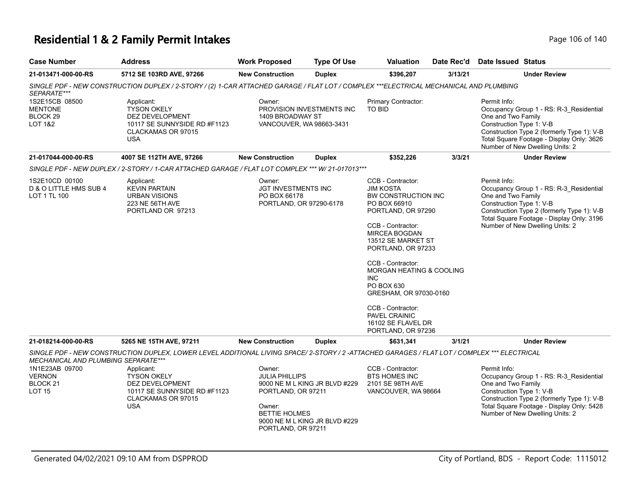# **Residential 1 & 2 Family Permit Intakes Page 106 of 140** Page 106 of 140

| <b>Case Number</b>                                                      | <b>Address</b>                                                                                                                              | <b>Work Proposed</b>                                                                                          | <b>Type Of Use</b>                                             | <b>Valuation</b>                                                                                                                                                                                                                                                                                                                                                                  | Date Rec'd | Date Issued Status                                             |                                                                                                                                                                       |
|-------------------------------------------------------------------------|---------------------------------------------------------------------------------------------------------------------------------------------|---------------------------------------------------------------------------------------------------------------|----------------------------------------------------------------|-----------------------------------------------------------------------------------------------------------------------------------------------------------------------------------------------------------------------------------------------------------------------------------------------------------------------------------------------------------------------------------|------------|----------------------------------------------------------------|-----------------------------------------------------------------------------------------------------------------------------------------------------------------------|
| 21-013471-000-00-RS                                                     | 5712 SE 103RD AVE, 97266                                                                                                                    | <b>New Construction</b>                                                                                       | <b>Duplex</b>                                                  | \$396,207                                                                                                                                                                                                                                                                                                                                                                         | 3/13/21    |                                                                | <b>Under Review</b>                                                                                                                                                   |
| SEPARATE***                                                             | SINGLE PDF - NEW CONSTRUCTION DUPLEX / 2-STORY / (2) 1-CAR ATTACHED GARAGE / FLAT LOT / COMPLEX ***ELECTRICAL MECHANICAL AND PLUMBING       |                                                                                                               |                                                                |                                                                                                                                                                                                                                                                                                                                                                                   |            |                                                                |                                                                                                                                                                       |
| 1S2E15CB 08500<br><b>MENTONE</b><br>BLOCK 29<br><b>LOT 1&amp;2</b>      | Applicant:<br><b>TYSON OKELY</b><br>DEZ DEVELOPMENT<br>10117 SE SUNNYSIDE RD #F1123<br>CLACKAMAS OR 97015<br><b>USA</b>                     | Owner:<br>1409 BROADWAY ST<br>VANCOUVER, WA 98663-3431                                                        | PROVISION INVESTMENTS INC                                      | Primary Contractor:<br>TO BID                                                                                                                                                                                                                                                                                                                                                     |            | Permit Info:<br>One and Two Family<br>Construction Type 1: V-B | Occupancy Group 1 - RS: R-3_Residential<br>Construction Type 2 (formerly Type 1): V-B<br>Total Square Footage - Display Only: 3626<br>Number of New Dwelling Units: 2 |
| 21-017044-000-00-RS                                                     | 4007 SE 112TH AVE, 97266                                                                                                                    | <b>New Construction</b>                                                                                       | <b>Duplex</b>                                                  | \$352,226                                                                                                                                                                                                                                                                                                                                                                         | 3/3/21     |                                                                | <b>Under Review</b>                                                                                                                                                   |
|                                                                         | SINGLE PDF - NEW DUPLEX / 2-STORY / 1-CAR ATTACHED GARAGE / FLAT LOT COMPLEX *** W/ 21-017013***                                            |                                                                                                               |                                                                |                                                                                                                                                                                                                                                                                                                                                                                   |            |                                                                |                                                                                                                                                                       |
| 1S2E10CD 00100<br>D & O LITTLE HMS SUB 4<br>LOT 1 TL 100                | Applicant:<br><b>KEVIN PARTAIN</b><br><b>URBAN VISIONS</b><br>223 NE 56TH AVE<br>PORTLAND OR 97213                                          | Owner:<br><b>JGT INVESTMENTS INC</b><br>PO BOX 66178<br>PORTLAND, OR 97290-6178                               |                                                                | CCB - Contractor:<br><b>JIM KOSTA</b><br>BW CONSTRUCTION INC<br>PO BOX 66910<br>PORTLAND, OR 97290<br>CCB - Contractor:<br>MIRCEA BOGDAN<br>13512 SE MARKET ST<br>PORTLAND, OR 97233<br>CCB - Contractor:<br><b>MORGAN HEATING &amp; COOLING</b><br>INC<br>PO BOX 630<br>GRESHAM, OR 97030-0160<br>CCB - Contractor:<br>PAVEL CRAINIC<br>16102 SE FLAVEL DR<br>PORTLAND, OR 97236 |            | Permit Info:<br>One and Two Family<br>Construction Type 1: V-B | Occupancy Group 1 - RS: R-3_Residential<br>Construction Type 2 (formerly Type 1): V-B<br>Total Square Footage - Display Only: 3196<br>Number of New Dwelling Units: 2 |
| 21-018214-000-00-RS                                                     | 5265 NE 15TH AVE, 97211                                                                                                                     | <b>New Construction</b>                                                                                       | <b>Duplex</b>                                                  | \$631,341                                                                                                                                                                                                                                                                                                                                                                         | 3/1/21     |                                                                | <b>Under Review</b>                                                                                                                                                   |
| MECHANICAL AND PLUMBING SEPARATE***                                     | SINGLE PDF - NEW CONSTRUCTION DUPLEX, LOWER LEVEL ADDITIONAL LIVING SPACE/2-STORY / 2 -ATTACHED GARAGES / FLAT LOT / COMPLEX *** ELECTRICAL |                                                                                                               |                                                                |                                                                                                                                                                                                                                                                                                                                                                                   |            |                                                                |                                                                                                                                                                       |
| 1N1E23AB 09700<br><b>VERNON</b><br>BLOCK <sub>21</sub><br><b>LOT 15</b> | Applicant:<br><b>TYSON OKELY</b><br>DEZ DEVELOPMENT<br>10117 SE SUNNYSIDE RD #F1123<br>CLACKAMAS OR 97015<br><b>USA</b>                     | Owner:<br><b>JULIA PHILLIPS</b><br>PORTLAND, OR 97211<br>Owner:<br><b>BETTIE HOLMES</b><br>PORTLAND, OR 97211 | 9000 NE M L KING JR BLVD #229<br>9000 NE M L KING JR BLVD #229 | CCB - Contractor:<br><b>BTS HOMES INC</b><br>2101 SE 98TH AVE<br>VANCOUVER, WA 98664                                                                                                                                                                                                                                                                                              |            | Permit Info:<br>One and Two Family<br>Construction Type 1: V-B | Occupancy Group 1 - RS: R-3_Residential<br>Construction Type 2 (formerly Type 1): V-B<br>Total Square Footage - Display Only: 5428<br>Number of New Dwelling Units: 2 |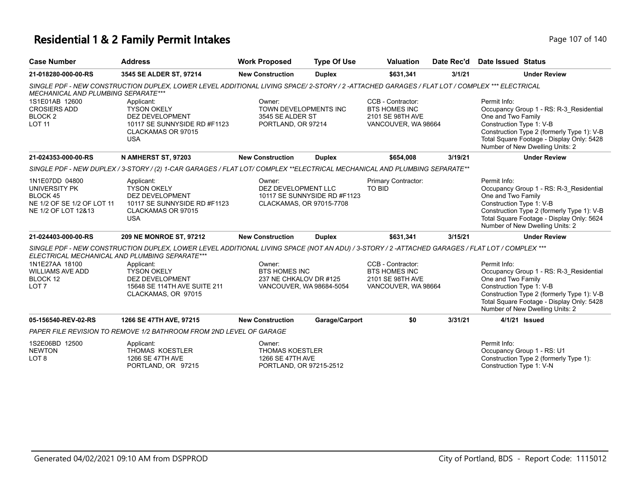# **Residential 1 & 2 Family Permit Intakes Page 107 of 140** Page 107 of 140

| <b>Case Number</b>                                                                               | <b>Address</b>                                                                                                                                  | <b>Work Proposed</b>                                                                                                              | <b>Type Of Use</b> | <b>Valuation</b>                                                                     | Date Rec'd | <b>Date Issued Status</b>                                                                                                                                                                                                               |
|--------------------------------------------------------------------------------------------------|-------------------------------------------------------------------------------------------------------------------------------------------------|-----------------------------------------------------------------------------------------------------------------------------------|--------------------|--------------------------------------------------------------------------------------|------------|-----------------------------------------------------------------------------------------------------------------------------------------------------------------------------------------------------------------------------------------|
| 21-018280-000-00-RS                                                                              | 3545 SE ALDER ST, 97214                                                                                                                         | <b>New Construction</b>                                                                                                           | <b>Duplex</b>      | \$631,341                                                                            | 3/1/21     | <b>Under Review</b>                                                                                                                                                                                                                     |
| <b>MECHANICAL AND PLUMBING SEPARATE***</b>                                                       | SINGLE PDF - NEW CONSTRUCTION DUPLEX, LOWER LEVEL ADDITIONAL LIVING SPACE/2-STORY / 2 -ATTACHED GARAGES / FLAT LOT / COMPLEX *** ELECTRICAL     |                                                                                                                                   |                    |                                                                                      |            |                                                                                                                                                                                                                                         |
| 1S1E01AB 12600<br><b>CROSIERS ADD</b><br>BLOCK <sub>2</sub><br><b>LOT 11</b>                     | Applicant:<br><b>TYSON OKELY</b><br>DEZ DEVELOPMENT<br>10117 SE SUNNYSIDE RD #F1123<br>CLACKAMAS OR 97015<br><b>USA</b>                         | Owner:<br>TOWN DEVELOPMENTS INC<br>3545 SE ALDER ST<br>PORTLAND, OR 97214                                                         |                    | CCB - Contractor:<br><b>BTS HOMES INC</b><br>2101 SE 98TH AVE<br>VANCOUVER, WA 98664 |            | Permit Info:<br>Occupancy Group 1 - RS: R-3 Residential<br>One and Two Family<br>Construction Type 1: V-B<br>Construction Type 2 (formerly Type 1): V-B<br>Total Square Footage - Display Only: 5428<br>Number of New Dwelling Units: 2 |
| 21-024353-000-00-RS                                                                              | N AMHERST ST, 97203                                                                                                                             | <b>New Construction</b>                                                                                                           | <b>Duplex</b>      | \$654,008                                                                            | 3/19/21    | <b>Under Review</b>                                                                                                                                                                                                                     |
|                                                                                                  | SINGLE PDF - NEW DUPLEX / 3-STORY / (2) 1-CAR GARAGES / FLAT LOT/ COMPLEX **ELECTRICAL MECHANICAL AND PLUMBING SEPARATE**                       |                                                                                                                                   |                    |                                                                                      |            |                                                                                                                                                                                                                                         |
| 1N1E07DD 04800<br>UNIVERSITY PK<br>BLOCK 45<br>NE 1/2 OF SE 1/2 OF LOT 11<br>NE 1/2 OF LOT 12&13 | Applicant:<br><b>TYSON OKELY</b><br><b>DEZ DEVELOPMENT</b><br>10117 SE SUNNYSIDE RD #F1123<br>CLACKAMAS OR 97015<br><b>USA</b>                  | Owner:<br>Primary Contractor:<br><b>TO BID</b><br>DEZ DEVELOPMENT LLC<br>10117 SE SUNNYSIDE RD #F1123<br>CLACKAMAS, OR 97015-7708 |                    |                                                                                      |            | Permit Info:<br>Occupancy Group 1 - RS: R-3_Residential<br>One and Two Family<br>Construction Type 1: V-B<br>Construction Type 2 (formerly Type 1): V-B<br>Total Square Footage - Display Only: 5624<br>Number of New Dwelling Units: 2 |
| 21-024403-000-00-RS                                                                              | 209 NE MONROE ST, 97212                                                                                                                         | <b>New Construction</b>                                                                                                           | <b>Duplex</b>      | \$631.341                                                                            | 3/15/21    | <b>Under Review</b>                                                                                                                                                                                                                     |
| ELECTRICAL MECHANICAL AND PLUMBING SEPARATE***                                                   | SINGLE PDF - NEW CONSTRUCTION DUPLEX, LOWER LEVEL ADDITIONAL LIVING SPACE (NOT AN ADU) / 3-STORY / 2 -ATTACHED GARAGES / FLAT LOT / COMPLEX *** |                                                                                                                                   |                    |                                                                                      |            |                                                                                                                                                                                                                                         |
| 1N1E27AA 18100<br><b>WILLIAMS AVE ADD</b><br>BLOCK 12<br>LOT <sub>7</sub>                        | Applicant:<br><b>TYSON OKELY</b><br><b>DEZ DEVELOPMENT</b><br>15648 SE 114TH AVE SUITE 211<br>CLACKAMAS, OR 97015                               | Owner:<br><b>BTS HOMES INC</b><br>237 NE CHKALOV DR #125<br>VANCOUVER, WA 98684-5054                                              |                    | CCB - Contractor:<br><b>BTS HOMES INC</b><br>2101 SE 98TH AVE<br>VANCOUVER, WA 98664 |            | Permit Info:<br>Occupancy Group 1 - RS: R-3 Residential<br>One and Two Family<br>Construction Type 1: V-B<br>Construction Type 2 (formerly Type 1): V-B<br>Total Square Footage - Display Only: 5428<br>Number of New Dwelling Units: 2 |
| 05-156540-REV-02-RS                                                                              | 1266 SE 47TH AVE, 97215                                                                                                                         | <b>New Construction</b>                                                                                                           | Garage/Carport     | \$0                                                                                  | 3/31/21    | 4/1/21 Issued                                                                                                                                                                                                                           |
|                                                                                                  | PAPER FILE REVISION TO REMOVE 1/2 BATHROOM FROM 2ND LEVEL OF GARAGE                                                                             |                                                                                                                                   |                    |                                                                                      |            |                                                                                                                                                                                                                                         |
| 1S2E06BD 12500<br><b>NEWTON</b><br>LOT <sub>8</sub>                                              | Applicant:<br>THOMAS KOESTLER<br>1266 SE 47TH AVE<br>PORTLAND, OR 97215                                                                         | Owner:<br><b>THOMAS KOESTLER</b><br>1266 SE 47TH AVE<br>PORTLAND, OR 97215-2512                                                   |                    |                                                                                      |            | Permit Info:<br>Occupancy Group 1 - RS: U1<br>Construction Type 2 (formerly Type 1):<br>Construction Type 1: V-N                                                                                                                        |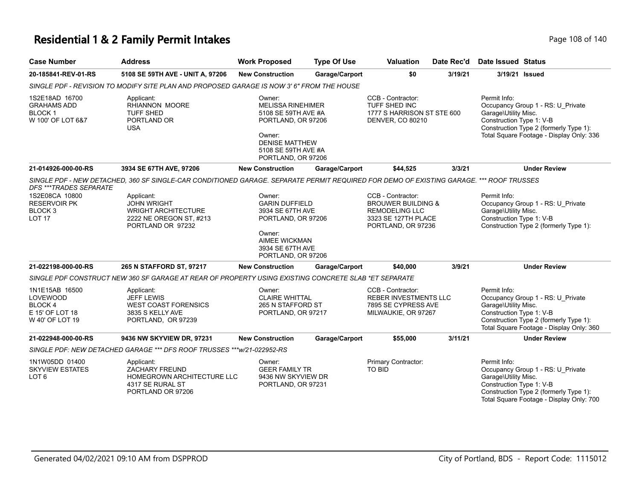# **Residential 1 & 2 Family Permit Intakes Page 108 of 140** Page 108 of 140

| <b>Case Number</b>                                                                       | <b>Address</b>                                                                                                                          | <b>Work Proposed</b>                                                                                                                                            | <b>Type Of Use</b> | <b>Valuation</b>                                                                                                         | Date Rec'd | <b>Date Issued Status</b>                                        |                                                                                                                         |
|------------------------------------------------------------------------------------------|-----------------------------------------------------------------------------------------------------------------------------------------|-----------------------------------------------------------------------------------------------------------------------------------------------------------------|--------------------|--------------------------------------------------------------------------------------------------------------------------|------------|------------------------------------------------------------------|-------------------------------------------------------------------------------------------------------------------------|
| 20-185841-REV-01-RS                                                                      | 5108 SE 59TH AVE - UNIT A, 97206                                                                                                        | <b>New Construction</b>                                                                                                                                         | Garage/Carport     | \$0                                                                                                                      | 3/19/21    |                                                                  | 3/19/21 Issued                                                                                                          |
|                                                                                          | SINGLE PDF - REVISION TO MODIFY SITE PLAN AND PROPOSED GARAGE IS NOW 3' 6" FROM THE HOUSE                                               |                                                                                                                                                                 |                    |                                                                                                                          |            |                                                                  |                                                                                                                         |
| 1S2E18AD 16700<br><b>GRAHAMS ADD</b><br><b>BLOCK1</b><br>W 100' OF LOT 6&7               | Applicant:<br>RHIANNON MOORE<br><b>TUFF SHED</b><br>PORTLAND OR<br><b>USA</b>                                                           | Owner:<br><b>MELISSA RINEHIMER</b><br>5108 SE 59TH AVE #A<br>PORTLAND, OR 97206<br>Owner:<br><b>DENISE MATTHEW</b><br>5108 SE 59TH AVE #A<br>PORTLAND, OR 97206 |                    | CCB - Contractor:<br>TUFF SHED INC<br>1777 S HARRISON ST STE 600<br>DENVER, CO 80210                                     |            | Permit Info:<br>Garage\Utility Misc.<br>Construction Type 1: V-B | Occupancy Group 1 - RS: U_Private<br>Construction Type 2 (formerly Type 1):<br>Total Square Footage - Display Only: 336 |
| 21-014926-000-00-RS                                                                      | 3934 SE 67TH AVE, 97206                                                                                                                 | <b>New Construction</b>                                                                                                                                         | Garage/Carport     | \$44,525                                                                                                                 | 3/3/21     |                                                                  | <b>Under Review</b>                                                                                                     |
| DFS ***TRADES SEPARATE                                                                   | SINGLE PDF - NEW DETACHED, 360 SF SINGLE-CAR CONDITIONED GARAGE. SEPARATE PERMIT REQUIRED FOR DEMO OF EXISTING GARAGE. *** ROOF TRUSSES |                                                                                                                                                                 |                    |                                                                                                                          |            |                                                                  |                                                                                                                         |
| 1S2E08CA 10800<br><b>RESERVOIR PK</b><br>BLOCK <sub>3</sub><br>LOT <sub>17</sub>         | Applicant:<br><b>JOHN WRIGHT</b><br><b>WRIGHT ARCHITECTURE</b><br>2222 NE OREGON ST, #213<br>PORTLAND OR 97232                          | Owner:<br><b>GARIN DUFFIELD</b><br>3934 SE 67TH AVE<br>PORTLAND, OR 97206<br>Owner:<br>AIMEE WICKMAN<br>3934 SE 67TH AVE<br>PORTLAND, OR 97206                  |                    | CCB - Contractor:<br><b>BROUWER BUILDING &amp;</b><br><b>REMODELING LLC</b><br>3323 SE 127TH PLACE<br>PORTLAND, OR 97236 |            | Permit Info:<br>Garage\Utility Misc.<br>Construction Type 1: V-B | Occupancy Group 1 - RS: U_Private<br>Construction Type 2 (formerly Type 1):                                             |
| 21-022198-000-00-RS                                                                      | 265 N STAFFORD ST, 97217                                                                                                                | <b>New Construction</b>                                                                                                                                         | Garage/Carport     | \$40,000                                                                                                                 | 3/9/21     |                                                                  | <b>Under Review</b>                                                                                                     |
|                                                                                          | SINGLE PDF CONSTRUCT NEW 360 SF GARAGE AT REAR OF PROPERTY USING EXISTING CONCRETE SLAB *ET SEPARATE                                    |                                                                                                                                                                 |                    |                                                                                                                          |            |                                                                  |                                                                                                                         |
| 1N1E15AB 16500<br><b>LOVEWOOD</b><br><b>BLOCK4</b><br>E 15' OF LOT 18<br>W 40' OF LOT 19 | Applicant:<br><b>JEFF LEWIS</b><br><b>WEST COAST FORENSICS</b><br>3835 S KELLY AVE<br>PORTLAND, OR 97239                                | Owner:<br><b>CLAIRE WHITTAL</b><br>265 N STAFFORD ST<br>PORTLAND, OR 97217                                                                                      |                    | CCB - Contractor:<br><b>REBER INVESTMENTS LLC</b><br>7895 SE CYPRESS AVE<br>MILWAUKIE, OR 97267                          |            | Permit Info:<br>Garage\Utility Misc.<br>Construction Type 1: V-B | Occupancy Group 1 - RS: U Private<br>Construction Type 2 (formerly Type 1):<br>Total Square Footage - Display Only: 360 |
| 21-022948-000-00-RS                                                                      | 9436 NW SKYVIEW DR, 97231                                                                                                               | <b>New Construction</b>                                                                                                                                         | Garage/Carport     | \$55,000                                                                                                                 | 3/11/21    |                                                                  | <b>Under Review</b>                                                                                                     |
|                                                                                          | SINGLE PDF: NEW DETACHED GARAGE *** DFS ROOF TRUSSES *** w/21-022952-RS                                                                 |                                                                                                                                                                 |                    |                                                                                                                          |            |                                                                  |                                                                                                                         |
| 1N1W05DD 01400<br><b>SKYVIEW ESTATES</b><br>LOT <sub>6</sub>                             | Applicant:<br><b>ZACHARY FREUND</b><br>HOMEGROWN ARCHITECTURE LLC<br>4317 SE RURAL ST<br>PORTLAND OR 97206                              | Owner:<br><b>GEER FAMILY TR</b><br>9436 NW SKYVIEW DR<br>PORTLAND, OR 97231                                                                                     |                    | Primary Contractor:<br>TO BID                                                                                            |            | Permit Info:<br>Garage\Utility Misc.<br>Construction Type 1: V-B | Occupancy Group 1 - RS: U_Private<br>Construction Type 2 (formerly Type 1):<br>Total Square Footage - Display Only: 700 |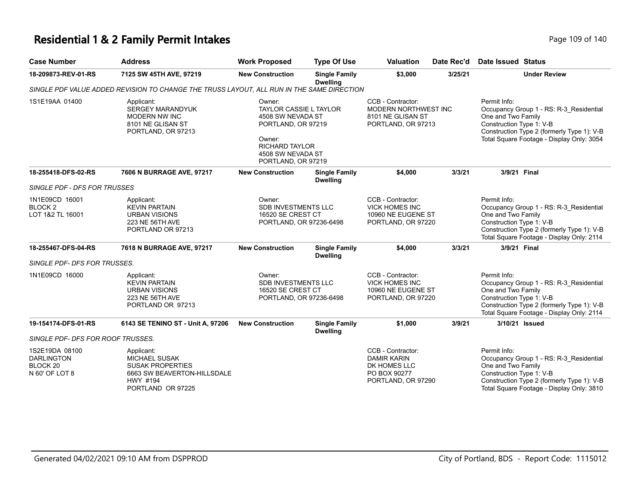# **Residential 1 & 2 Family Permit Intakes Page 109 of 140** Page 109 of 140

| <b>Case Number</b>                                                           | <b>Address</b>                                                                                                                | <b>Work Proposed</b>                                                                                                                                      | <b>Type Of Use</b>                      | <b>Valuation</b>                                                                              | Date Rec'd | <b>Date Issued Status</b>                                                                                                                                                                            |
|------------------------------------------------------------------------------|-------------------------------------------------------------------------------------------------------------------------------|-----------------------------------------------------------------------------------------------------------------------------------------------------------|-----------------------------------------|-----------------------------------------------------------------------------------------------|------------|------------------------------------------------------------------------------------------------------------------------------------------------------------------------------------------------------|
| 18-209873-REV-01-RS                                                          | 7125 SW 45TH AVE, 97219                                                                                                       | <b>New Construction</b>                                                                                                                                   | <b>Single Family</b><br><b>Dwelling</b> | \$3,000                                                                                       | 3/25/21    | <b>Under Review</b>                                                                                                                                                                                  |
|                                                                              | SINGLE PDF VALUE ADDED REVISION TO CHANGE THE TRUSS LAYOUT, ALL RUN IN THE SAME DIRECTION                                     |                                                                                                                                                           |                                         |                                                                                               |            |                                                                                                                                                                                                      |
| 1S1E19AA 01400                                                               | Applicant:<br><b>SERGEY MARANDYUK</b><br><b>MODERN NW INC</b><br>8101 NE GLISAN ST<br>PORTLAND, OR 97213                      | Owner:<br><b>TAYLOR CASSIE L TAYLOR</b><br>4508 SW NEVADA ST<br>PORTLAND, OR 97219<br>Owner:<br>RICHARD TAYLOR<br>4508 SW NEVADA ST<br>PORTLAND, OR 97219 |                                         | CCB - Contractor:<br>MODERN NORTHWEST INC<br>8101 NE GLISAN ST<br>PORTLAND, OR 97213          |            | Permit Info:<br>Occupancy Group 1 - RS: R-3_Residential<br>One and Two Family<br>Construction Type 1: V-B<br>Construction Type 2 (formerly Type 1): V-B<br>Total Square Footage - Display Only: 3054 |
| 18-255418-DFS-02-RS                                                          | 7606 N BURRAGE AVE, 97217                                                                                                     | <b>New Construction</b>                                                                                                                                   | <b>Single Family</b><br><b>Dwelling</b> | \$4,000                                                                                       | 3/3/21     | 3/9/21 Final                                                                                                                                                                                         |
| SINGLE PDF - DFS FOR TRUSSES                                                 |                                                                                                                               |                                                                                                                                                           |                                         |                                                                                               |            |                                                                                                                                                                                                      |
| 1N1E09CD 16001<br>BLOCK <sub>2</sub><br>LOT 1&2 TL 16001                     | Applicant:<br><b>KEVIN PARTAIN</b><br><b>URBAN VISIONS</b><br>223 NE 56TH AVE<br>PORTLAND OR 97213                            | Owner:<br><b>SDB INVESTMENTS LLC</b><br>16520 SE CREST CT<br>PORTLAND, OR 97236-6498                                                                      |                                         | CCB - Contractor:<br><b>VICK HOMES INC</b><br>10960 NE EUGENE ST<br>PORTLAND, OR 97220        |            | Permit Info:<br>Occupancy Group 1 - RS: R-3_Residential<br>One and Two Family<br>Construction Type 1: V-B<br>Construction Type 2 (formerly Type 1): V-B<br>Total Square Footage - Display Only: 2114 |
| 18-255467-DFS-04-RS                                                          | 7618 N BURRAGE AVE, 97217                                                                                                     | <b>New Construction</b>                                                                                                                                   | <b>Single Family</b><br><b>Dwelling</b> | \$4,000                                                                                       | 3/3/21     | 3/9/21 Final                                                                                                                                                                                         |
| SINGLE PDF- DFS FOR TRUSSES.                                                 |                                                                                                                               |                                                                                                                                                           |                                         |                                                                                               |            |                                                                                                                                                                                                      |
| 1N1E09CD 16000                                                               | Applicant:<br><b>KEVIN PARTAIN</b><br><b>URBAN VISIONS</b><br>223 NE 56TH AVE<br>PORTLAND OR 97213                            | Owner:<br><b>SDB INVESTMENTS LLC</b><br>16520 SE CREST CT<br>PORTLAND, OR 97236-6498                                                                      |                                         | CCB - Contractor:<br><b>VICK HOMES INC</b><br>10960 NE EUGENE ST<br>PORTLAND, OR 97220        |            | Permit Info:<br>Occupancy Group 1 - RS: R-3_Residential<br>One and Two Family<br>Construction Type 1: V-B<br>Construction Type 2 (formerly Type 1): V-B<br>Total Square Footage - Display Only: 2114 |
| 19-154174-DFS-01-RS                                                          | 6143 SE TENINO ST - Unit A, 97206                                                                                             | <b>New Construction</b>                                                                                                                                   | <b>Single Family</b><br><b>Dwelling</b> | \$1,000                                                                                       | 3/9/21     | 3/10/21 Issued                                                                                                                                                                                       |
| <b>SINGLE PDF- DFS FOR ROOF TRUSSES.</b>                                     |                                                                                                                               |                                                                                                                                                           |                                         |                                                                                               |            |                                                                                                                                                                                                      |
| 1S2E19DA 08100<br><b>DARLINGTON</b><br>BLOCK <sub>20</sub><br>N 60' OF LOT 8 | Applicant:<br><b>MICHAEL SUSAK</b><br><b>SUSAK PROPERTIES</b><br>6663 SW BEAVERTON-HILLSDALE<br>HWY #194<br>PORTLAND OR 97225 |                                                                                                                                                           |                                         | CCB - Contractor:<br><b>DAMIR KARIN</b><br>DK HOMES LLC<br>PO BOX 90277<br>PORTLAND, OR 97290 |            | Permit Info:<br>Occupancy Group 1 - RS: R-3 Residential<br>One and Two Family<br>Construction Type 1: V-B<br>Construction Type 2 (formerly Type 1): V-B<br>Total Square Footage - Display Only: 3810 |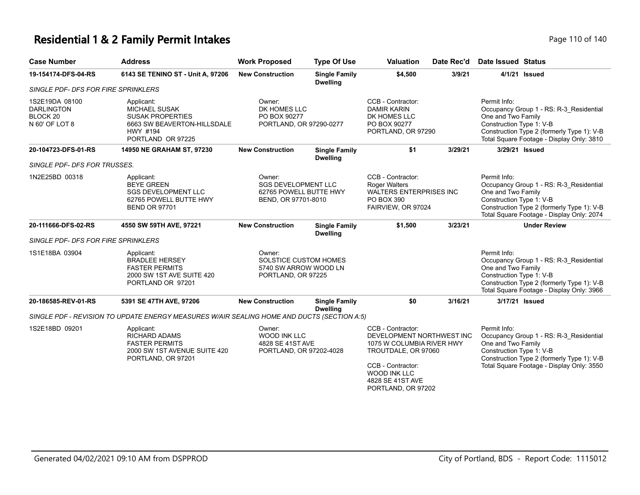# **Residential 1 & 2 Family Permit Intakes Page 110 of 140** Page 110 of 140

| <b>Case Number</b>                                                           | <b>Address</b>                                                                                                                | <b>Work Proposed</b>                                                                  | <b>Type Of Use</b>                      | <b>Valuation</b>                                                                                                                                                                         | Date Rec'd | <b>Date Issued Status</b>                                                                                                                                                                            |
|------------------------------------------------------------------------------|-------------------------------------------------------------------------------------------------------------------------------|---------------------------------------------------------------------------------------|-----------------------------------------|------------------------------------------------------------------------------------------------------------------------------------------------------------------------------------------|------------|------------------------------------------------------------------------------------------------------------------------------------------------------------------------------------------------------|
| 19-154174-DFS-04-RS                                                          | 6143 SE TENINO ST - Unit A, 97206                                                                                             | <b>New Construction</b>                                                               | <b>Single Family</b><br><b>Dwelling</b> | \$4,500                                                                                                                                                                                  | 3/9/21     | 4/1/21 Issued                                                                                                                                                                                        |
| <b>SINGLE PDF- DFS FOR FIRE SPRINKLERS</b>                                   |                                                                                                                               |                                                                                       |                                         |                                                                                                                                                                                          |            |                                                                                                                                                                                                      |
| 1S2E19DA 08100<br><b>DARLINGTON</b><br>BLOCK <sub>20</sub><br>N 60' OF LOT 8 | Applicant:<br><b>MICHAEL SUSAK</b><br><b>SUSAK PROPERTIES</b><br>6663 SW BEAVERTON-HILLSDALE<br>HWY #194<br>PORTLAND OR 97225 | Owner:<br>DK HOMES LLC<br>PO BOX 90277<br>PORTLAND, OR 97290-0277                     |                                         | CCB - Contractor:<br><b>DAMIR KARIN</b><br>DK HOMES LLC<br>PO BOX 90277<br>PORTLAND, OR 97290                                                                                            |            | Permit Info:<br>Occupancy Group 1 - RS: R-3_Residential<br>One and Two Family<br>Construction Type 1: V-B<br>Construction Type 2 (formerly Type 1): V-B<br>Total Square Footage - Display Only: 3810 |
| 20-104723-DFS-01-RS                                                          | 14950 NE GRAHAM ST, 97230                                                                                                     | <b>New Construction</b>                                                               | <b>Single Family</b><br><b>Dwelling</b> | \$1                                                                                                                                                                                      | 3/29/21    | 3/29/21 Issued                                                                                                                                                                                       |
| SINGLE PDF- DFS FOR TRUSSES.                                                 |                                                                                                                               |                                                                                       |                                         |                                                                                                                                                                                          |            |                                                                                                                                                                                                      |
| 1N2E25BD 00318                                                               | Applicant:<br><b>BEYE GREEN</b><br><b>SGS DEVELOPMENT LLC</b><br>62765 POWELL BUTTE HWY<br><b>BEND OR 97701</b>               | Owner:<br><b>SGS DEVELOPMENT LLC</b><br>62765 POWELL BUTTE HWY<br>BEND, OR 97701-8010 |                                         | CCB - Contractor:<br>Roger Walters<br><b>WALTERS ENTERPRISES INC</b><br>PO BOX 390<br>FAIRVIEW, OR 97024                                                                                 |            | Permit Info:<br>Occupancy Group 1 - RS: R-3_Residential<br>One and Two Family<br>Construction Type 1: V-B<br>Construction Type 2 (formerly Type 1): V-B<br>Total Square Footage - Display Only: 2074 |
| 20-111666-DFS-02-RS                                                          | 4550 SW 59TH AVE, 97221                                                                                                       | <b>New Construction</b>                                                               | <b>Single Family</b><br><b>Dwelling</b> | \$1,500                                                                                                                                                                                  | 3/23/21    | <b>Under Review</b>                                                                                                                                                                                  |
| SINGLE PDF- DFS FOR FIRE SPRINKLERS                                          |                                                                                                                               |                                                                                       |                                         |                                                                                                                                                                                          |            |                                                                                                                                                                                                      |
| 1S1E18BA 03904                                                               | Applicant:<br><b>BRADLEE HERSEY</b><br><b>FASTER PERMITS</b><br>2000 SW 1ST AVE SUITE 420<br>PORTLAND OR 97201                | Owner:<br><b>SOLSTICE CUSTOM HOMES</b><br>5740 SW ARROW WOOD LN<br>PORTLAND, OR 97225 |                                         |                                                                                                                                                                                          |            | Permit Info:<br>Occupancy Group 1 - RS: R-3_Residential<br>One and Two Family<br>Construction Type 1: V-B<br>Construction Type 2 (formerly Type 1): V-B<br>Total Square Footage - Display Only: 3966 |
| 20-186585-REV-01-RS                                                          | 5391 SE 47TH AVE, 97206                                                                                                       | <b>New Construction</b>                                                               | <b>Single Family</b><br><b>Dwelling</b> | \$0                                                                                                                                                                                      | 3/16/21    | 3/17/21 Issued                                                                                                                                                                                       |
|                                                                              | SINGLE PDF - REVISION TO UPDATE ENERGY MEASURES W/AIR SEALING HOME AND DUCTS (SECTION A:5)                                    |                                                                                       |                                         |                                                                                                                                                                                          |            |                                                                                                                                                                                                      |
| 1S2E18BD 09201                                                               | Applicant:<br><b>RICHARD ADAMS</b><br><b>FASTER PERMITS</b><br>2000 SW 1ST AVENUE SUITE 420<br>PORTLAND, OR 97201             | Owner:<br>WOOD INK LLC<br>4828 SE 41ST AVE<br>PORTLAND, OR 97202-4028                 |                                         | CCB - Contractor:<br>DEVELOPMENT NORTHWEST INC<br>1075 W COLUMBIA RIVER HWY<br>TROUTDALE, OR 97060<br>CCB - Contractor:<br><b>WOOD INK LLC</b><br>4828 SE 41ST AVE<br>PORTLAND, OR 97202 |            | Permit Info:<br>Occupancy Group 1 - RS: R-3_Residential<br>One and Two Family<br>Construction Type 1: V-B<br>Construction Type 2 (formerly Type 1): V-B<br>Total Square Footage - Display Only: 3550 |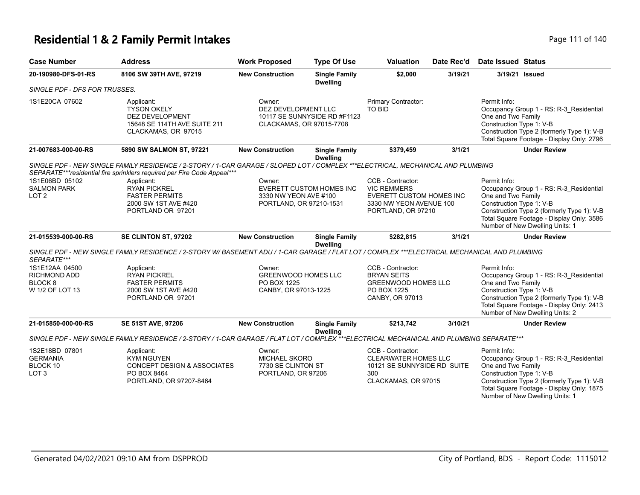#### **Residential 1 & 2 Family Permit Intakes Page 111 of 140** Page 111 of 140

| <b>Case Number</b>                                                             | <b>Address</b>                                                                                                                               | <b>Work Proposed</b>                                                        | <b>Type Of Use</b>                      | <b>Valuation</b>                                                                                                     | Date Rec'd | <b>Date Issued Status</b>                                                                                                                                                                                                               |
|--------------------------------------------------------------------------------|----------------------------------------------------------------------------------------------------------------------------------------------|-----------------------------------------------------------------------------|-----------------------------------------|----------------------------------------------------------------------------------------------------------------------|------------|-----------------------------------------------------------------------------------------------------------------------------------------------------------------------------------------------------------------------------------------|
| 20-190980-DFS-01-RS                                                            | 8106 SW 39TH AVE, 97219                                                                                                                      | <b>New Construction</b>                                                     | <b>Single Family</b><br><b>Dwelling</b> | \$2,000                                                                                                              | 3/19/21    | 3/19/21 Issued                                                                                                                                                                                                                          |
| SINGLE PDF - DFS FOR TRUSSES.                                                  |                                                                                                                                              |                                                                             |                                         |                                                                                                                      |            |                                                                                                                                                                                                                                         |
| 1S1E20CA 07602                                                                 | Applicant:<br><b>TYSON OKELY</b><br>DEZ DEVELOPMENT<br>15648 SE 114TH AVE SUITE 211<br>CLACKAMAS, OR 97015                                   | Owner:<br>DEZ DEVELOPMENT LLC<br>CLACKAMAS, OR 97015-7708                   | 10117 SE SUNNYSIDE RD #F1123            | Primary Contractor:<br>TO BID                                                                                        |            | Permit Info:<br>Occupancy Group 1 - RS: R-3_Residential<br>One and Two Family<br>Construction Type 1: V-B<br>Construction Type 2 (formerly Type 1): V-B<br>Total Square Footage - Display Only: 2796                                    |
| 21-007683-000-00-RS                                                            | 5890 SW SALMON ST, 97221                                                                                                                     | <b>New Construction</b>                                                     | <b>Single Family</b><br><b>Dwelling</b> | \$379,459                                                                                                            | 3/1/21     | <b>Under Review</b>                                                                                                                                                                                                                     |
|                                                                                | SINGLE PDF - NEW SINGLE FAMILY RESIDENCE / 2-STORY / 1-CAR GARAGE / SLOPED LOT / COMPLEX ***ELECTRICAL, MECHANICAL AND PLUMBING              |                                                                             |                                         |                                                                                                                      |            |                                                                                                                                                                                                                                         |
|                                                                                | SEPARATE***residential fire sprinklers required per Fire Code Appeal***                                                                      |                                                                             |                                         |                                                                                                                      |            |                                                                                                                                                                                                                                         |
| 1S1E06BD 05102<br><b>SALMON PARK</b><br>LOT <sub>2</sub>                       | Applicant:<br><b>RYAN PICKREL</b><br><b>FASTER PERMITS</b><br>2000 SW 1ST AVE #420<br>PORTLAND OR 97201                                      | Owner:<br>3330 NW YEON AVE #100<br>PORTLAND, OR 97210-1531                  | <b>EVERETT CUSTOM HOMES INC</b>         | CCB - Contractor:<br><b>VIC REMMERS</b><br>EVERETT CUSTOM HOMES INC<br>3330 NW YEON AVENUE 100<br>PORTLAND, OR 97210 |            | Permit Info:<br>Occupancy Group 1 - RS: R-3_Residential<br>One and Two Family<br>Construction Type 1: V-B<br>Construction Type 2 (formerly Type 1): V-B<br>Total Square Footage - Display Only: 3586<br>Number of New Dwelling Units: 1 |
| 21-015539-000-00-RS                                                            | SE CLINTON ST, 97202                                                                                                                         | <b>New Construction</b>                                                     | <b>Single Family</b><br><b>Dwelling</b> | \$282,815                                                                                                            | 3/1/21     | <b>Under Review</b>                                                                                                                                                                                                                     |
| SEPARATE***                                                                    | SINGLE PDF - NEW SINGLE FAMILY RESIDENCE / 2-STORY W/ BASEMENT ADU / 1-CAR GARAGE / FLAT LOT / COMPLEX ***ELECTRICAL MECHANICAL AND PLUMBING |                                                                             |                                         |                                                                                                                      |            |                                                                                                                                                                                                                                         |
| 1S1E12AA 04500<br><b>RICHMOND ADD</b><br>BLOCK <sub>8</sub><br>W 1/2 OF LOT 13 | Applicant:<br><b>RYAN PICKREL</b><br><b>FASTER PERMITS</b><br>2000 SW 1ST AVE #420<br>PORTLAND OR 97201                                      | Owner:<br><b>GREENWOOD HOMES LLC</b><br>PO BOX 1225<br>CANBY, OR 97013-1225 |                                         | CCB - Contractor:<br><b>BRYAN SEITS</b><br><b>GREENWOOD HOMES LLC</b><br>PO BOX 1225<br>CANBY, OR 97013              |            | Permit Info:<br>Occupancy Group 1 - RS: R-3_Residential<br>One and Two Family<br>Construction Type 1: V-B<br>Construction Type 2 (formerly Type 1): V-B<br>Total Square Footage - Display Only: 2413<br>Number of New Dwelling Units: 2 |
| 21-015850-000-00-RS                                                            | <b>SE 51ST AVE, 97206</b>                                                                                                                    | <b>New Construction</b>                                                     | <b>Single Family</b><br><b>Dwelling</b> | \$213,742                                                                                                            | 3/10/21    | <b>Under Review</b>                                                                                                                                                                                                                     |
|                                                                                | SINGLE PDF - NEW SINGLE FAMILY RESIDENCE / 2-STORY / 1-CAR GARAGE / FLAT LOT / COMPLEX ***ELECTRICAL MECHANICAL AND PLUMBING SEPARATE***     |                                                                             |                                         |                                                                                                                      |            |                                                                                                                                                                                                                                         |
| 1S2E18BD 07801<br><b>GERMANIA</b><br>BLOCK 10<br>LOT <sub>3</sub>              | Applicant:<br><b>KYM NGUYEN</b><br><b>CONCEPT DESIGN &amp; ASSOCIATES</b><br>PO BOX 8464<br>PORTLAND, OR 97207-8464                          | Owner:<br><b>MICHAEL SKORO</b><br>7730 SE CLINTON ST<br>PORTLAND, OR 97206  |                                         | CCB - Contractor:<br><b>CLEARWATER HOMES LLC</b><br>10121 SE SUNNYSIDE RD SUITE<br>300<br>CLACKAMAS, OR 97015        |            | Permit Info:<br>Occupancy Group 1 - RS: R-3 Residential<br>One and Two Family<br>Construction Type 1: V-B<br>Construction Type 2 (formerly Type 1): V-B<br>Total Square Footage - Display Only: 1875<br>Number of New Dwelling Units: 1 |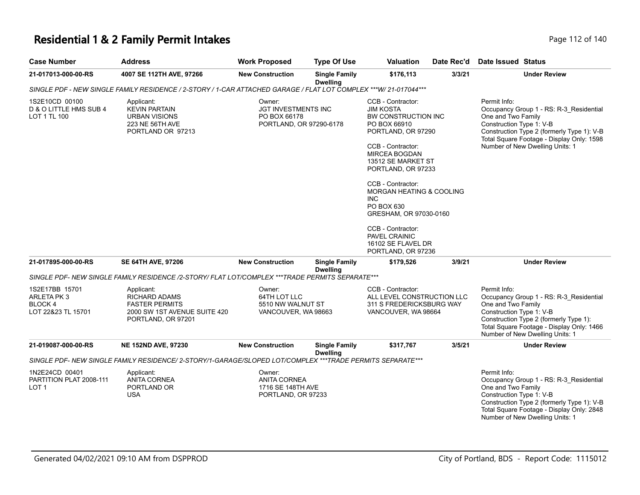# **Residential 1 & 2 Family Permit Intakes Page 112 of 140** Page 112 of 140

| <b>Case Number</b>                                            | <b>Address</b>                                                                                                    | <b>Work Proposed</b>                                                     | <b>Type Of Use</b>                      | <b>Valuation</b>                                                                                                                                                                                                                                                                                                                                                                                | Date Rec'd | Date Issued Status                                                                                                                                                                                                                      |
|---------------------------------------------------------------|-------------------------------------------------------------------------------------------------------------------|--------------------------------------------------------------------------|-----------------------------------------|-------------------------------------------------------------------------------------------------------------------------------------------------------------------------------------------------------------------------------------------------------------------------------------------------------------------------------------------------------------------------------------------------|------------|-----------------------------------------------------------------------------------------------------------------------------------------------------------------------------------------------------------------------------------------|
| 21-017013-000-00-RS                                           | 4007 SE 112TH AVE, 97266                                                                                          | <b>New Construction</b>                                                  | <b>Single Family</b><br><b>Dwelling</b> | \$176,113                                                                                                                                                                                                                                                                                                                                                                                       | 3/3/21     | <b>Under Review</b>                                                                                                                                                                                                                     |
|                                                               | SINGLE PDF - NEW SINGLE FAMILY RESIDENCE / 2-STORY / 1-CAR ATTACHED GARAGE / FLAT LOT COMPLEX ***W/ 21-017044***  |                                                                          |                                         |                                                                                                                                                                                                                                                                                                                                                                                                 |            |                                                                                                                                                                                                                                         |
| 1S2E10CD 00100<br>D & O LITTLE HMS SUB 4<br>LOT 1 TL 100      | Applicant:<br><b>KEVIN PARTAIN</b><br><b>URBAN VISIONS</b><br>223 NE 56TH AVE<br>PORTLAND OR 97213                | Owner:<br>JGT INVESTMENTS INC<br>PO BOX 66178<br>PORTLAND, OR 97290-6178 |                                         | CCB - Contractor:<br><b>JIM KOSTA</b><br>BW CONSTRUCTION INC<br>PO BOX 66910<br>PORTLAND, OR 97290<br>CCB - Contractor:<br><b>MIRCEA BOGDAN</b><br>13512 SE MARKET ST<br>PORTLAND, OR 97233<br>CCB - Contractor:<br><b>MORGAN HEATING &amp; COOLING</b><br><b>INC</b><br>PO BOX 630<br>GRESHAM, OR 97030-0160<br>CCB - Contractor:<br>PAVEL CRAINIC<br>16102 SE FLAVEL DR<br>PORTLAND, OR 97236 |            | Permit Info:<br>Occupancy Group 1 - RS: R-3 Residential<br>One and Two Family<br>Construction Type 1: V-B<br>Construction Type 2 (formerly Type 1): V-B<br>Total Square Footage - Display Only: 1598<br>Number of New Dwelling Units: 1 |
| 21-017895-000-00-RS                                           | <b>SE 64TH AVE, 97206</b>                                                                                         | <b>New Construction</b>                                                  | <b>Single Family</b><br><b>Dwelling</b> | \$179,526                                                                                                                                                                                                                                                                                                                                                                                       | 3/9/21     | <b>Under Review</b>                                                                                                                                                                                                                     |
|                                                               | SINGLE PDF- NEW SINGLE FAMILY RESIDENCE /2-STORY/ FLAT LOT/COMPLEX ***TRADE PERMITS SEPARATE***                   |                                                                          |                                         |                                                                                                                                                                                                                                                                                                                                                                                                 |            |                                                                                                                                                                                                                                         |
| 1S2E17BB 15701<br>ARLETA PK3<br>BLOCK 4<br>LOT 22&23 TL 15701 | Applicant:<br><b>RICHARD ADAMS</b><br><b>FASTER PERMITS</b><br>2000 SW 1ST AVENUE SUITE 420<br>PORTLAND, OR 97201 | Owner:<br>64TH LOT LLC<br>5510 NW WALNUT ST<br>VANCOUVER, WA 98663       |                                         | CCB - Contractor:<br>ALL LEVEL CONSTRUCTION LLC<br>311 S FREDERICKSBURG WAY<br>VANCOUVER, WA 98664                                                                                                                                                                                                                                                                                              |            | Permit Info:<br>Occupancy Group 1 - RS: R-3_Residential<br>One and Two Family<br>Construction Type 1: V-B<br>Construction Type 2 (formerly Type 1):<br>Total Square Footage - Display Only: 1466<br>Number of New Dwelling Units: 1     |
| 21-019087-000-00-RS                                           | <b>NE 152ND AVE, 97230</b>                                                                                        | <b>New Construction</b>                                                  | <b>Single Family</b><br><b>Dwelling</b> | \$317,767                                                                                                                                                                                                                                                                                                                                                                                       | 3/5/21     | <b>Under Review</b>                                                                                                                                                                                                                     |
|                                                               | SINGLE PDF- NEW SINGLE FAMILY RESIDENCE/ 2-STORY/1-GARAGE/SLOPED LOT/COMPLEX ***TRADE PERMITS SEPARATE***         |                                                                          |                                         |                                                                                                                                                                                                                                                                                                                                                                                                 |            |                                                                                                                                                                                                                                         |
| 1N2E24CD 00401<br>PARTITION PLAT 2008-111<br>LOT <sub>1</sub> | Applicant:<br><b>ANITA CORNEA</b><br>PORTLAND OR<br><b>USA</b>                                                    | Owner:<br><b>ANITA CORNEA</b><br>1716 SE 148TH AVE<br>PORTLAND, OR 97233 |                                         |                                                                                                                                                                                                                                                                                                                                                                                                 |            | Permit Info:<br>Occupancy Group 1 - RS: R-3_Residential<br>One and Two Family<br>Construction Type 1: V-B<br>Construction Type 2 (formerly Type 1): V-B<br>Total Square Footage - Display Only: 2848<br>Number of New Dwelling Units: 1 |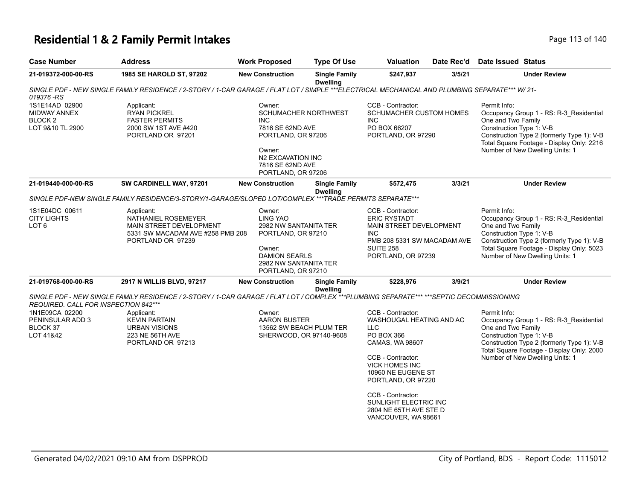# **Residential 1 & 2 Family Permit Intakes Page 113 of 140** Page 113 of 140

| <b>Case Number</b>                                                                                  | <b>Address</b>                                                                                                                                | <b>Work Proposed</b>                                                                                                                               | <b>Type Of Use</b>                      | Valuation                                                                                                                                                                                                                                                                                    | Date Rec'd | <b>Date Issued Status</b>                                                                                                                                                                                                               |
|-----------------------------------------------------------------------------------------------------|-----------------------------------------------------------------------------------------------------------------------------------------------|----------------------------------------------------------------------------------------------------------------------------------------------------|-----------------------------------------|----------------------------------------------------------------------------------------------------------------------------------------------------------------------------------------------------------------------------------------------------------------------------------------------|------------|-----------------------------------------------------------------------------------------------------------------------------------------------------------------------------------------------------------------------------------------|
| 21-019372-000-00-RS                                                                                 | 1985 SE HAROLD ST, 97202                                                                                                                      | <b>New Construction</b>                                                                                                                            | <b>Single Family</b><br><b>Dwelling</b> | \$247,937                                                                                                                                                                                                                                                                                    | 3/5/21     | <b>Under Review</b>                                                                                                                                                                                                                     |
| 019376-RS                                                                                           | SINGLE PDF - NEW SINGLE FAMILY RESIDENCE / 2-STORY / 1-CAR GARAGE / FLAT LOT / SIMPLE ***ELECTRICAL MECHANICAL AND PLUMBING SEPARATE*** W/21- |                                                                                                                                                    |                                         |                                                                                                                                                                                                                                                                                              |            |                                                                                                                                                                                                                                         |
| 1S1E14AD 02900<br><b>MIDWAY ANNEX</b><br><b>BLOCK2</b><br>LOT 9&10 TL 2900                          | Applicant:<br><b>RYAN PICKREL</b><br><b>FASTER PERMITS</b><br>2000 SW 1ST AVE #420<br>PORTLAND OR 97201                                       | Owner:<br><b>INC</b><br>7816 SE 62ND AVE<br>PORTLAND, OR 97206<br>Owner:<br>N2 EXCAVATION INC<br>7816 SE 62ND AVE<br>PORTLAND, OR 97206            | <b>SCHUMACHER NORTHWEST</b>             | CCB - Contractor:<br><b>SCHUMACHER CUSTOM HOMES</b><br><b>INC</b><br>PO BOX 66207<br>PORTLAND, OR 97290                                                                                                                                                                                      |            | Permit Info:<br>Occupancy Group 1 - RS: R-3_Residential<br>One and Two Family<br>Construction Type 1: V-B<br>Construction Type 2 (formerly Type 1): V-B<br>Total Square Footage - Display Only: 2216<br>Number of New Dwelling Units: 1 |
| 21-019440-000-00-RS                                                                                 | SW CARDINELL WAY, 97201                                                                                                                       | <b>New Construction</b>                                                                                                                            | <b>Single Family</b><br><b>Dwelling</b> | \$572,475                                                                                                                                                                                                                                                                                    | 3/3/21     | <b>Under Review</b>                                                                                                                                                                                                                     |
|                                                                                                     | SINGLE PDF-NEW SINGLE FAMILY RESIDENCE/3-STORY/1-GARAGE/SLOPED LOT/COMPLEX ***TRADE PERMITS SEPARATE***                                       |                                                                                                                                                    |                                         |                                                                                                                                                                                                                                                                                              |            |                                                                                                                                                                                                                                         |
| 1S1E04DC 00611<br><b>CITY LIGHTS</b><br>LOT <sub>6</sub>                                            | Applicant:<br>NATHANIEL ROSEMEYER<br>MAIN STREET DEVELOPMENT<br>5331 SW MACADAM AVE #258 PMB 208<br>PORTLAND OR 97239                         | Owner:<br>LING YAO<br>2982 NW SANTANITA TER<br>PORTLAND, OR 97210<br>Owner:<br><b>DAMION SEARLS</b><br>2982 NW SANTANITA TER<br>PORTLAND, OR 97210 |                                         | CCB - Contractor:<br><b>ERIC RYSTADT</b><br>MAIN STREET DEVELOPMENT<br><b>INC</b><br>PMB 208 5331 SW MACADAM AVE<br><b>SUITE 258</b><br>PORTLAND, OR 97239                                                                                                                                   |            | Permit Info:<br>Occupancy Group 1 - RS: R-3_Residential<br>One and Two Family<br>Construction Type 1: V-B<br>Construction Type 2 (formerly Type 1): V-B<br>Total Square Footage - Display Only: 5023<br>Number of New Dwelling Units: 1 |
| 21-019768-000-00-RS                                                                                 | 2917 N WILLIS BLVD, 97217                                                                                                                     | <b>New Construction</b>                                                                                                                            | <b>Single Family</b><br><b>Dwelling</b> | \$228,976                                                                                                                                                                                                                                                                                    | 3/9/21     | <b>Under Review</b>                                                                                                                                                                                                                     |
|                                                                                                     | SINGLE PDF - NEW SINGLE FAMILY RESIDENCE / 2-STORY / 1-CAR GARAGE / FLAT LOT / COMPLEX ***PLUMBING SEPARATE*** ***SEPTIC DECOMMISSIONING      |                                                                                                                                                    |                                         |                                                                                                                                                                                                                                                                                              |            |                                                                                                                                                                                                                                         |
| REQUIRED. CALL FOR INSPECTION 842***<br>1N1E09CA 02200<br>PENINSULAR ADD 3<br>BLOCK 37<br>LOT 41&42 | Applicant:<br><b>KEVIN PARTAIN</b><br><b>URBAN VISIONS</b><br>223 NE 56TH AVE<br>PORTLAND OR 97213                                            | Owner:<br><b>AARON BUSTER</b><br>13562 SW BEACH PLUM TER<br>SHERWOOD, OR 97140-9608                                                                |                                         | CCB - Contractor:<br>WASHOUGAL HEATING AND AC<br><b>LLC</b><br><b>PO BOX 366</b><br>CAMAS, WA 98607<br>CCB - Contractor:<br><b>VICK HOMES INC</b><br>10960 NE EUGENE ST<br>PORTLAND, OR 97220<br>CCB - Contractor:<br>SUNLIGHT ELECTRIC INC<br>2804 NE 65TH AVE STE D<br>VANCOUVER, WA 98661 |            | Permit Info:<br>Occupancy Group 1 - RS: R-3_Residential<br>One and Two Family<br>Construction Type 1: V-B<br>Construction Type 2 (formerly Type 1): V-B<br>Total Square Footage - Display Only: 2000<br>Number of New Dwelling Units: 1 |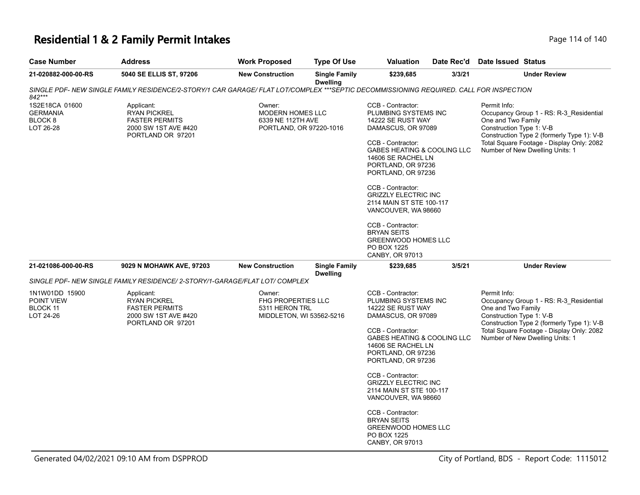# **Residential 1 & 2 Family Permit Intakes Page 114 of 140** Page 114 of 140

| <b>Case Number</b>                                        | <b>Address</b>                                                                                                                         | <b>Work Proposed</b>                                                              | <b>Type Of Use</b>                      | <b>Valuation</b>                                                                                                                                                                                                                                                                                                                                                                                          | Date Rec'd | <b>Date Issued Status</b>                                                                                                                                                                                                               |
|-----------------------------------------------------------|----------------------------------------------------------------------------------------------------------------------------------------|-----------------------------------------------------------------------------------|-----------------------------------------|-----------------------------------------------------------------------------------------------------------------------------------------------------------------------------------------------------------------------------------------------------------------------------------------------------------------------------------------------------------------------------------------------------------|------------|-----------------------------------------------------------------------------------------------------------------------------------------------------------------------------------------------------------------------------------------|
| 21-020882-000-00-RS                                       | 5040 SE ELLIS ST, 97206                                                                                                                | <b>New Construction</b>                                                           | <b>Single Family</b><br><b>Dwelling</b> | \$239,685                                                                                                                                                                                                                                                                                                                                                                                                 | 3/3/21     | <b>Under Review</b>                                                                                                                                                                                                                     |
| 842***                                                    | SINGLE PDF- NEW SINGLE FAMILY RESIDENCE/2-STORY/1 CAR GARAGE/ FLAT LOT/COMPLEX ***SEPTIC DECOMMISSIONING REQUIRED. CALL FOR INSPECTION |                                                                                   |                                         |                                                                                                                                                                                                                                                                                                                                                                                                           |            |                                                                                                                                                                                                                                         |
| 1S2E18CA 01600<br><b>GERMANIA</b><br>BLOCK 8<br>LOT 26-28 | Applicant:<br><b>RYAN PICKREL</b><br><b>FASTER PERMITS</b><br>2000 SW 1ST AVE #420<br>PORTLAND OR 97201                                | Owner:<br>MODERN HOMES LLC<br>6339 NE 112TH AVE<br>PORTLAND, OR 97220-1016        |                                         | CCB - Contractor:<br>PLUMBING SYSTEMS INC<br>14222 SE RUST WAY<br>DAMASCUS, OR 97089<br>CCB - Contractor:<br>GABES HEATING & COOLING LLC<br>14606 SE RACHEL LN<br>PORTLAND, OR 97236<br>PORTLAND, OR 97236<br>CCB - Contractor:<br><b>GRIZZLY ELECTRIC INC</b><br>2114 MAIN ST STE 100-117<br>VANCOUVER, WA 98660<br>CCB - Contractor:<br><b>BRYAN SEITS</b><br><b>GREENWOOD HOMES LLC</b><br>PO BOX 1225 |            | Permit Info:<br>Occupancy Group 1 - RS: R-3_Residential<br>One and Two Family<br>Construction Type 1: V-B<br>Construction Type 2 (formerly Type 1): V-B<br>Total Square Footage - Display Only: 2082<br>Number of New Dwelling Units: 1 |
| 21-021086-000-00-RS                                       | 9029 N MOHAWK AVE, 97203                                                                                                               | <b>New Construction</b>                                                           | <b>Single Family</b>                    | CANBY, OR 97013<br>\$239,685                                                                                                                                                                                                                                                                                                                                                                              | 3/5/21     | <b>Under Review</b>                                                                                                                                                                                                                     |
|                                                           |                                                                                                                                        |                                                                                   | <b>Dwelling</b>                         |                                                                                                                                                                                                                                                                                                                                                                                                           |            |                                                                                                                                                                                                                                         |
|                                                           | SINGLE PDF- NEW SINGLE FAMILY RESIDENCE/ 2-STORY/1-GARAGE/FLAT LOT/ COMPLEX                                                            |                                                                                   |                                         |                                                                                                                                                                                                                                                                                                                                                                                                           |            |                                                                                                                                                                                                                                         |
| 1N1W01DD 15900<br>POINT VIEW<br>BLOCK 11<br>LOT 24-26     | Applicant:<br><b>RYAN PICKREL</b><br><b>FASTER PERMITS</b><br>2000 SW 1ST AVE #420<br>PORTLAND OR 97201                                | Owner:<br><b>FHG PROPERTIES LLC</b><br>5311 HERON TRL<br>MIDDLETON, WI 53562-5216 |                                         | CCB - Contractor:<br>PLUMBING SYSTEMS INC<br>14222 SE RUST WAY<br>DAMASCUS, OR 97089<br>CCB - Contractor:<br>GABES HEATING & COOLING LLC<br>14606 SE RACHEL LN<br>PORTLAND, OR 97236<br>PORTLAND, OR 97236                                                                                                                                                                                                |            | Permit Info:<br>Occupancy Group 1 - RS: R-3_Residential<br>One and Two Family<br>Construction Type 1: V-B<br>Construction Type 2 (formerly Type 1): V-B<br>Total Square Footage - Display Only: 2082<br>Number of New Dwelling Units: 1 |
|                                                           |                                                                                                                                        |                                                                                   |                                         | CCB - Contractor:<br><b>GRIZZLY ELECTRIC INC</b><br>2114 MAIN ST STE 100-117<br>VANCOUVER, WA 98660<br>CCB - Contractor:<br><b>BRYAN SEITS</b><br><b>GREENWOOD HOMES LLC</b><br>PO BOX 1225<br>CANBY, OR 97013                                                                                                                                                                                            |            |                                                                                                                                                                                                                                         |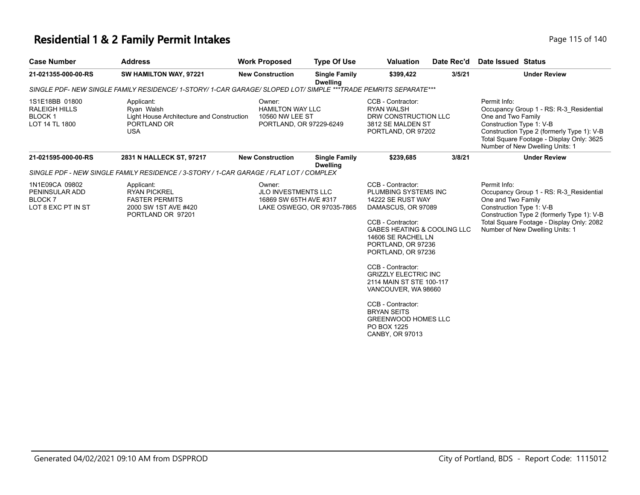# **Residential 1 & 2 Family Permit Intakes Page 115 of 140** Page 115 of 140

| <b>Case Number</b>                                                             | <b>Address</b>                                                                                                  | <b>Work Proposed</b>                                                            | <b>Type Of Use</b>                      | <b>Valuation</b>                                                                                                                                                                                                                                                                                                                                                                                                                        | Date Rec'd | <b>Date Issued Status</b>                                                                                                                                                                                                               |
|--------------------------------------------------------------------------------|-----------------------------------------------------------------------------------------------------------------|---------------------------------------------------------------------------------|-----------------------------------------|-----------------------------------------------------------------------------------------------------------------------------------------------------------------------------------------------------------------------------------------------------------------------------------------------------------------------------------------------------------------------------------------------------------------------------------------|------------|-----------------------------------------------------------------------------------------------------------------------------------------------------------------------------------------------------------------------------------------|
| 21-021355-000-00-RS                                                            | SW HAMILTON WAY, 97221                                                                                          | <b>New Construction</b>                                                         | <b>Single Family</b><br><b>Dwelling</b> | \$399,422                                                                                                                                                                                                                                                                                                                                                                                                                               | 3/5/21     | <b>Under Review</b>                                                                                                                                                                                                                     |
|                                                                                | SINGLE PDF- NEW SINGLE FAMILY RESIDENCE/ 1-STORY/ 1-CAR GARAGE/ SLOPED LOT/ SIMPLE ***TRADE PEMRITS SEPARATE*** |                                                                                 |                                         |                                                                                                                                                                                                                                                                                                                                                                                                                                         |            |                                                                                                                                                                                                                                         |
| 1S1E18BB 01800<br><b>RALEIGH HILLS</b><br>BLOCK <sub>1</sub><br>LOT 14 TL 1800 | Applicant:<br>Ryan Walsh<br>Light House Architecture and Construction<br>PORTLAND OR<br><b>USA</b>              | Owner:<br><b>HAMILTON WAY LLC</b><br>10560 NW LEE ST<br>PORTLAND, OR 97229-6249 |                                         | CCB - Contractor:<br><b>RYAN WALSH</b><br>DRW CONSTRUCTION LLC<br>3812 SE MALDEN ST<br>PORTLAND, OR 97202                                                                                                                                                                                                                                                                                                                               |            | Permit Info:<br>Occupancy Group 1 - RS: R-3 Residential<br>One and Two Family<br>Construction Type 1: V-B<br>Construction Type 2 (formerly Type 1): V-B<br>Total Square Footage - Display Only: 3625<br>Number of New Dwelling Units: 1 |
| 21-021595-000-00-RS                                                            | 2831 N HALLECK ST, 97217                                                                                        | <b>New Construction</b>                                                         | <b>Single Family</b><br><b>Dwelling</b> | \$239,685                                                                                                                                                                                                                                                                                                                                                                                                                               | 3/8/21     | <b>Under Review</b>                                                                                                                                                                                                                     |
|                                                                                | SINGLE PDF - NEW SINGLE FAMILY RESIDENCE / 3-STORY / 1-CAR GARAGE / FLAT LOT / COMPLEX                          |                                                                                 |                                         |                                                                                                                                                                                                                                                                                                                                                                                                                                         |            |                                                                                                                                                                                                                                         |
| 1N1E09CA 09802<br>PENINSULAR ADD<br>BLOCK <sub>7</sub><br>LOT 8 EXC PT IN ST   | Applicant:<br><b>RYAN PICKREL</b><br><b>FASTER PERMITS</b><br>2000 SW 1ST AVE #420<br>PORTLAND OR 97201         | Owner:<br><b>JLO INVESTMENTS LLC</b><br>16869 SW 65TH AVE #317                  | LAKE OSWEGO, OR 97035-7865              | CCB - Contractor:<br>PLUMBING SYSTEMS INC<br>14222 SE RUST WAY<br>DAMASCUS, OR 97089<br>CCB - Contractor:<br><b>GABES HEATING &amp; COOLING LLC</b><br>14606 SE RACHEL LN<br>PORTLAND, OR 97236<br>PORTLAND, OR 97236<br>CCB - Contractor:<br><b>GRIZZLY ELECTRIC INC</b><br>2114 MAIN ST STE 100-117<br>VANCOUVER, WA 98660<br>CCB - Contractor:<br><b>BRYAN SEITS</b><br><b>GREENWOOD HOMES LLC</b><br>PO BOX 1225<br>CANBY, OR 97013 |            | Permit Info:<br>Occupancy Group 1 - RS: R-3 Residential<br>One and Two Family<br>Construction Type 1: V-B<br>Construction Type 2 (formerly Type 1): V-B<br>Total Square Footage - Display Only: 2082<br>Number of New Dwelling Units: 1 |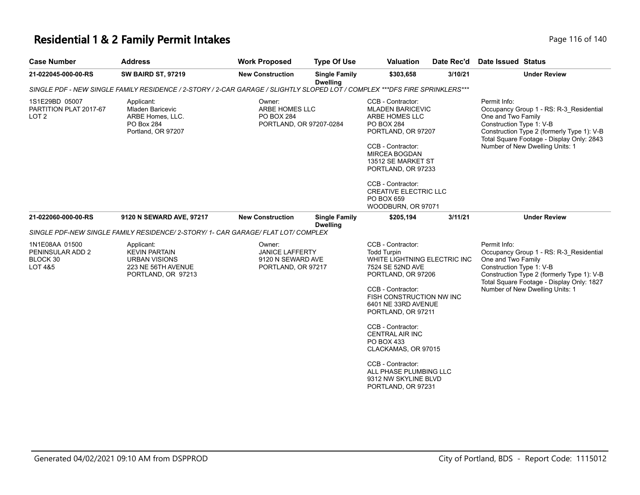### **Residential 1 & 2 Family Permit Intakes**

| Page 116 of 140 |  |
|-----------------|--|
|-----------------|--|

| <b>Case Number</b>                                                   | <b>Address</b>                                                                                                              | <b>Work Proposed</b>                                                        | <b>Type Of Use</b>                      | <b>Valuation</b>                                                                                                                                                                                                                                                                                                                                                                                 | Date Rec'd | Date Issued Status                                                                                                                                                                                                                      |
|----------------------------------------------------------------------|-----------------------------------------------------------------------------------------------------------------------------|-----------------------------------------------------------------------------|-----------------------------------------|--------------------------------------------------------------------------------------------------------------------------------------------------------------------------------------------------------------------------------------------------------------------------------------------------------------------------------------------------------------------------------------------------|------------|-----------------------------------------------------------------------------------------------------------------------------------------------------------------------------------------------------------------------------------------|
| 21-022045-000-00-RS                                                  | <b>SW BAIRD ST, 97219</b>                                                                                                   | <b>New Construction</b>                                                     | <b>Single Family</b><br><b>Dwelling</b> | \$303,658                                                                                                                                                                                                                                                                                                                                                                                        | 3/10/21    | <b>Under Review</b>                                                                                                                                                                                                                     |
|                                                                      | SINGLE PDF - NEW SINGLE FAMILY RESIDENCE / 2-STORY / 2-CAR GARAGE / SLIGHTLY SLOPED LOT / COMPLEX ***DFS FIRE SPRINKLERS*** |                                                                             |                                         |                                                                                                                                                                                                                                                                                                                                                                                                  |            |                                                                                                                                                                                                                                         |
| 1S1E29BD 05007<br>PARTITION PLAT 2017-67<br>LOT <sub>2</sub>         | Applicant:<br><b>Mladen Baricevic</b><br>ARBE Homes, LLC.<br>PO Box 284<br>Portland, OR 97207                               | Owner:<br>ARBE HOMES LLC<br>PO BOX 284<br>PORTLAND, OR 97207-0284           |                                         | CCB - Contractor:<br><b>MLADEN BARICEVIC</b><br>ARBE HOMES LLC<br>PO BOX 284<br>PORTLAND, OR 97207<br>CCB - Contractor:<br><b>MIRCEA BOGDAN</b><br>13512 SE MARKET ST<br>PORTLAND, OR 97233<br>CCB - Contractor:<br><b>CREATIVE ELECTRIC LLC</b><br>PO BOX 659<br>WOODBURN, OR 97071                                                                                                             |            | Permit Info:<br>Occupancy Group 1 - RS: R-3 Residential<br>One and Two Family<br>Construction Type 1: V-B<br>Construction Type 2 (formerly Type 1): V-B<br>Total Square Footage - Display Only: 2843<br>Number of New Dwelling Units: 1 |
| 21-022060-000-00-RS                                                  | 9120 N SEWARD AVE, 97217                                                                                                    | <b>New Construction</b>                                                     | <b>Single Family</b><br><b>Dwelling</b> | \$205,194                                                                                                                                                                                                                                                                                                                                                                                        | 3/11/21    | <b>Under Review</b>                                                                                                                                                                                                                     |
|                                                                      | SINGLE PDF-NEW SINGLE FAMILY RESIDENCE/ 2-STORY/ 1- CAR GARAGE/ FLAT LOT/ COMPLEX                                           |                                                                             |                                         |                                                                                                                                                                                                                                                                                                                                                                                                  |            |                                                                                                                                                                                                                                         |
| 1N1E08AA 01500<br>PENINSULAR ADD 2<br>BLOCK 30<br><b>LOT 4&amp;5</b> | Applicant:<br><b>KEVIN PARTAIN</b><br><b>URBAN VISIONS</b><br>223 NE 56TH AVENUE<br>PORTLAND, OR 97213                      | Owner:<br><b>JANICE LAFFERTY</b><br>9120 N SEWARD AVE<br>PORTLAND, OR 97217 |                                         | CCB - Contractor:<br><b>Todd Turpin</b><br>WHITE LIGHTNING ELECTRIC INC<br>7524 SE 52ND AVE<br>PORTLAND, OR 97206<br>CCB - Contractor:<br>FISH CONSTRUCTION NW INC<br>6401 NE 33RD AVENUE<br>PORTLAND, OR 97211<br>CCB - Contractor:<br><b>CENTRAL AIR INC</b><br>PO BOX 433<br>CLACKAMAS, OR 97015<br>CCB - Contractor:<br>ALL PHASE PLUMBING LLC<br>9312 NW SKYLINE BLVD<br>PORTLAND, OR 97231 |            | Permit Info:<br>Occupancy Group 1 - RS: R-3_Residential<br>One and Two Family<br>Construction Type 1: V-B<br>Construction Type 2 (formerly Type 1): V-B<br>Total Square Footage - Display Only: 1827<br>Number of New Dwelling Units: 1 |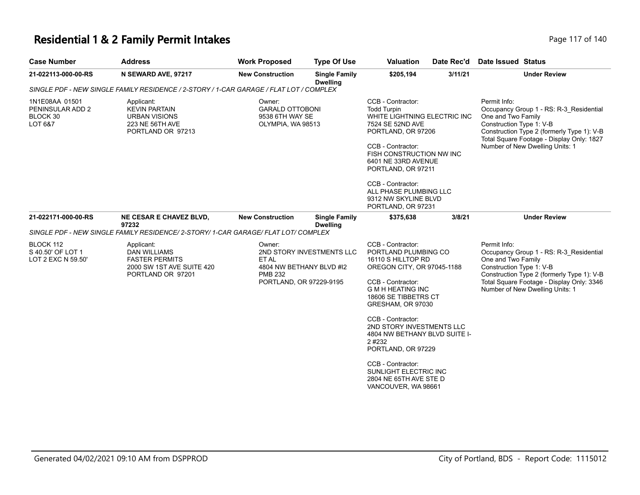### **Residential 1 & 2 Family Permit Intakes Page 117 of 140** Page 117 of 140

| Page 117 of 14 |  |
|----------------|--|

| <b>Case Number</b>                                                                     | <b>Address</b>                                                                                               | <b>Work Proposed</b>                                                                                                  | <b>Type Of Use</b>                      | <b>Valuation</b>                                                                                                                                                                                                                                                                                             | Date Rec'd | Date Issued Status                                                                                                                                                                                                                      |
|----------------------------------------------------------------------------------------|--------------------------------------------------------------------------------------------------------------|-----------------------------------------------------------------------------------------------------------------------|-----------------------------------------|--------------------------------------------------------------------------------------------------------------------------------------------------------------------------------------------------------------------------------------------------------------------------------------------------------------|------------|-----------------------------------------------------------------------------------------------------------------------------------------------------------------------------------------------------------------------------------------|
| 21-022113-000-00-RS                                                                    | N SEWARD AVE, 97217                                                                                          | <b>New Construction</b>                                                                                               | <b>Single Family</b><br><b>Dwelling</b> | \$205,194                                                                                                                                                                                                                                                                                                    | 3/11/21    | <b>Under Review</b>                                                                                                                                                                                                                     |
| SINGLE PDF - NEW SINGLE FAMILY RESIDENCE / 2-STORY / 1-CAR GARAGE / FLAT LOT / COMPLEX |                                                                                                              |                                                                                                                       |                                         |                                                                                                                                                                                                                                                                                                              |            |                                                                                                                                                                                                                                         |
| 1N1E08AA 01501<br>PENINSULAR ADD 2<br>BLOCK 30<br>LOT 6&7                              | Applicant:<br><b>KEVIN PARTAIN</b><br><b>URBAN VISIONS</b><br>223 NE 56TH AVE<br>PORTLAND OR 97213           | Owner:<br><b>GARALD OTTOBONI</b><br>9538 6TH WAY SE<br>OLYMPIA, WA 98513                                              |                                         | CCB - Contractor:<br><b>Todd Turpin</b><br>WHITE LIGHTNING ELECTRIC INC<br>7524 SE 52ND AVE<br>PORTLAND, OR 97206<br>CCB - Contractor:<br>FISH CONSTRUCTION NW INC<br>6401 NE 33RD AVENUE<br>PORTLAND, OR 97211<br>CCB - Contractor:<br>ALL PHASE PLUMBING LLC<br>9312 NW SKYLINE BLVD<br>PORTLAND, OR 97231 |            | Permit Info:<br>Occupancy Group 1 - RS: R-3 Residential<br>One and Two Family<br>Construction Type 1: V-B<br>Construction Type 2 (formerly Type 1): V-B<br>Total Square Footage - Display Only: 1827<br>Number of New Dwelling Units: 1 |
| 21-022171-000-00-RS                                                                    | NE CESAR E CHAVEZ BLVD,<br>97232                                                                             | <b>New Construction</b>                                                                                               | <b>Single Family</b><br><b>Dwelling</b> | \$375,638                                                                                                                                                                                                                                                                                                    | 3/8/21     | <b>Under Review</b>                                                                                                                                                                                                                     |
|                                                                                        | SINGLE PDF - NEW SINGLE FAMILY RESIDENCE/ 2-STORY/ 1-CAR GARAGE/ FLAT LOT/ COMPLEX                           |                                                                                                                       |                                         |                                                                                                                                                                                                                                                                                                              |            |                                                                                                                                                                                                                                         |
| BLOCK 112<br>S 40.50' OF LOT 1<br>LOT 2 EXC N 59.50'                                   | Applicant:<br><b>DAN WILLIAMS</b><br><b>FASTER PERMITS</b><br>2000 SW 1ST AVE SUITE 420<br>PORTLAND OR 97201 | Owner:<br>2ND STORY INVESTMENTS LLC<br>ET AL<br>4804 NW BETHANY BLVD #I2<br><b>PMB 232</b><br>PORTLAND, OR 97229-9195 |                                         | CCB - Contractor:<br>PORTLAND PLUMBING CO<br>16110 S HILLTOP RD<br>OREGON CITY, OR 97045-1188<br>CCB - Contractor:<br><b>G M H HEATING INC</b><br>18606 SE TIBBETRS CT<br>GRESHAM, OR 97030                                                                                                                  |            | Permit Info:<br>Occupancy Group 1 - RS: R-3 Residential<br>One and Two Family<br>Construction Type 1: V-B<br>Construction Type 2 (formerly Type 1): V-B<br>Total Square Footage - Display Only: 3346<br>Number of New Dwelling Units: 1 |
|                                                                                        |                                                                                                              |                                                                                                                       |                                         | CCB - Contractor:<br>2ND STORY INVESTMENTS LLC<br>4804 NW BETHANY BLVD SUITE I-<br>2#232<br>PORTLAND, OR 97229                                                                                                                                                                                               |            |                                                                                                                                                                                                                                         |
|                                                                                        |                                                                                                              |                                                                                                                       |                                         | CCB - Contractor:<br>SUNLIGHT ELECTRIC INC<br>2804 NE 65TH AVE STE D<br>VANCOUVER, WA 98661                                                                                                                                                                                                                  |            |                                                                                                                                                                                                                                         |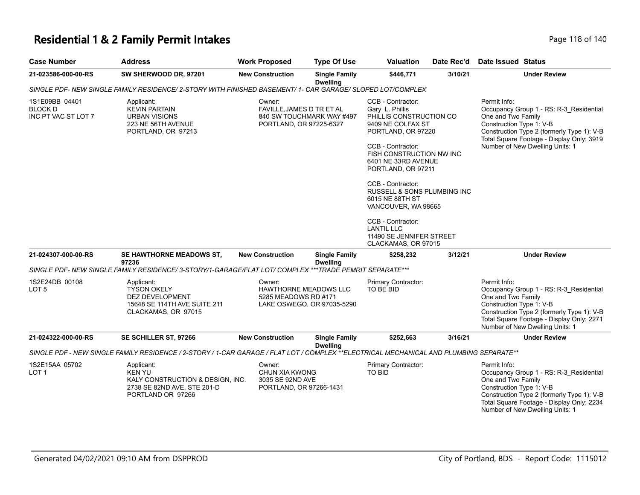# **Residential 1 & 2 Family Permit Intakes Page 118 of 140** Page 118 of 140

| <b>Case Number</b>                                      | <b>Address</b>                                                                                                                         | <b>Work Proposed</b>                                                                        | <b>Type Of Use</b>                      | <b>Valuation</b>                                                                                                                                                                                                                                                                                                                                                                                    | Date Rec'd | <b>Date Issued Status</b>                                                                                                                                                                                                               |
|---------------------------------------------------------|----------------------------------------------------------------------------------------------------------------------------------------|---------------------------------------------------------------------------------------------|-----------------------------------------|-----------------------------------------------------------------------------------------------------------------------------------------------------------------------------------------------------------------------------------------------------------------------------------------------------------------------------------------------------------------------------------------------------|------------|-----------------------------------------------------------------------------------------------------------------------------------------------------------------------------------------------------------------------------------------|
| 21-023586-000-00-RS                                     | SW SHERWOOD DR, 97201                                                                                                                  | <b>New Construction</b>                                                                     | <b>Single Family</b>                    | \$446,771                                                                                                                                                                                                                                                                                                                                                                                           | 3/10/21    | <b>Under Review</b>                                                                                                                                                                                                                     |
|                                                         | SINGLE PDF- NEW SINGLE FAMILY RESIDENCE/ 2-STORY WITH FINISHED BASEMENT/ 1- CAR GARAGE/ SLOPED LOT/COMPLEX                             |                                                                                             | <b>Dwelling</b>                         |                                                                                                                                                                                                                                                                                                                                                                                                     |            |                                                                                                                                                                                                                                         |
| 1S1E09BB 04401<br><b>BLOCK D</b><br>INC PT VAC ST LOT 7 | Applicant:<br><b>KEVIN PARTAIN</b><br><b>URBAN VISIONS</b><br>223 NE 56TH AVENUE<br>PORTLAND, OR 97213                                 | Owner:<br>FAVILLE, JAMES D TR ET AL<br>840 SW TOUCHMARK WAY #497<br>PORTLAND, OR 97225-6327 |                                         | CCB - Contractor:<br>Gary L. Phillis<br>PHILLIS CONSTRUCTION CO<br>9409 NE COLFAX ST<br>PORTLAND, OR 97220<br>CCB - Contractor:<br>FISH CONSTRUCTION NW INC<br>6401 NE 33RD AVENUE<br>PORTLAND, OR 97211<br>CCB - Contractor:<br>RUSSELL & SONS PLUMBING INC<br>6015 NE 88TH ST<br>VANCOUVER, WA 98665<br>CCB - Contractor:<br><b>LANTIL LLC</b><br>11490 SE JENNIFER STREET<br>CLACKAMAS, OR 97015 |            | Permit Info:<br>Occupancy Group 1 - RS: R-3_Residential<br>One and Two Family<br>Construction Type 1: V-B<br>Construction Type 2 (formerly Type 1): V-B<br>Total Square Footage - Display Only: 3919<br>Number of New Dwelling Units: 1 |
| 21-024307-000-00-RS                                     | SE HAWTHORNE MEADOWS ST,<br>97236                                                                                                      | <b>New Construction</b>                                                                     | <b>Single Family</b><br><b>Dwelling</b> | \$258,232                                                                                                                                                                                                                                                                                                                                                                                           | 3/12/21    | <b>Under Review</b>                                                                                                                                                                                                                     |
|                                                         | SINGLE PDF- NEW SINGLE FAMILY RESIDENCE/ 3-STORY/1-GARAGE/FLAT LOT/ COMPLEX ***TRADE PEMRIT SEPARATE***                                |                                                                                             |                                         |                                                                                                                                                                                                                                                                                                                                                                                                     |            |                                                                                                                                                                                                                                         |
| 1S2E24DB 00108<br>LOT <sub>5</sub>                      | Applicant:<br><b>TYSON OKELY</b><br>DEZ DEVELOPMENT<br>15648 SE 114TH AVE SUITE 211<br>CLACKAMAS, OR 97015                             | Owner:<br>HAWTHORNE MEADOWS LLC<br>5285 MEADOWS RD #171<br>LAKE OSWEGO, OR 97035-5290       |                                         | Primary Contractor:<br>TO BE BID                                                                                                                                                                                                                                                                                                                                                                    |            | Permit Info:<br>Occupancy Group 1 - RS: R-3_Residential<br>One and Two Family<br>Construction Type 1: V-B<br>Construction Type 2 (formerly Type 1): V-B<br>Total Square Footage - Display Only: 2271<br>Number of New Dwelling Units: 1 |
| 21-024322-000-00-RS                                     | SE SCHILLER ST, 97266                                                                                                                  | <b>New Construction</b>                                                                     | <b>Single Family</b>                    | \$252,663                                                                                                                                                                                                                                                                                                                                                                                           | 3/16/21    | <b>Under Review</b>                                                                                                                                                                                                                     |
|                                                         | SINGLE PDF - NEW SINGLE FAMILY RESIDENCE / 2-STORY / 1-CAR GARAGE / FLAT LOT / COMPLEX **ELECTRICAL MECHANICAL AND PLUMBING SEPARATE** |                                                                                             | <b>Dwelling</b>                         |                                                                                                                                                                                                                                                                                                                                                                                                     |            |                                                                                                                                                                                                                                         |
| 1S2E15AA 05702<br>LOT 1                                 | Applicant:<br><b>KEN YU</b><br>KALY CONSTRUCTION & DESIGN, INC.<br>2738 SE 82ND AVE, STE 201-D<br>PORTLAND OR 97266                    | Owner:<br>CHUN XIA KWONG<br>3035 SE 92ND AVE<br>PORTLAND, OR 97266-1431                     |                                         | Primary Contractor:<br>TO BID                                                                                                                                                                                                                                                                                                                                                                       |            | Permit Info:<br>Occupancy Group 1 - RS: R-3_Residential<br>One and Two Family<br>Construction Type 1: V-B<br>Construction Type 2 (formerly Type 1): V-B<br>Total Square Footage - Display Only: 2234<br>Number of New Dwelling Units: 1 |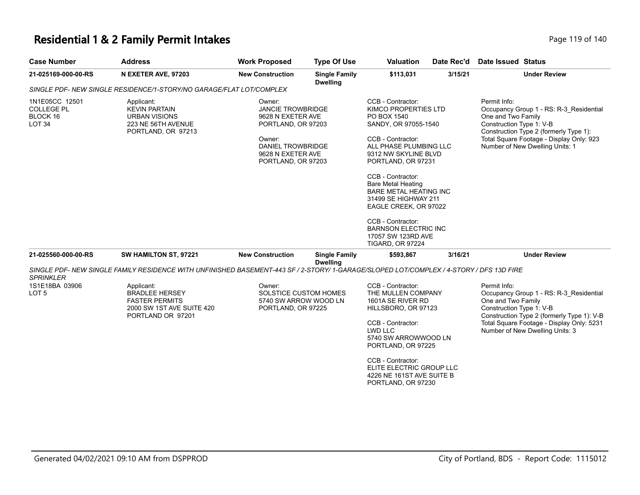#### **Residential 1 & 2 Family Permit Intakes Page 119 of 140** Page 119 of 140

**Case Number Address <b>Case Number Address Work Proposed Type Of Use Valuation** 

|         |                               | .                    | ____ |
|---------|-------------------------------|----------------------|------|
|         | Date Rec'd Date Issued Status |                      |      |
| 3115121 |                               | <b>Linder Review</b> |      |

| 21-025169-000-00-RS                                                  | N EXETER AVE, 97203                                                                                                                    | <b>New Construction</b>                                                                                                                                 | <b>Single Family</b><br><b>Dwelling</b> | \$113,031                                                                                                                                                                                                                                                                                                                                                                                                              | 3/15/21 | <b>Under Review</b>                                                                                                                                                                                                                     |
|----------------------------------------------------------------------|----------------------------------------------------------------------------------------------------------------------------------------|---------------------------------------------------------------------------------------------------------------------------------------------------------|-----------------------------------------|------------------------------------------------------------------------------------------------------------------------------------------------------------------------------------------------------------------------------------------------------------------------------------------------------------------------------------------------------------------------------------------------------------------------|---------|-----------------------------------------------------------------------------------------------------------------------------------------------------------------------------------------------------------------------------------------|
|                                                                      | SINGLE PDF- NEW SINGLE RESIDENCE/1-STORY/NO GARAGE/FLAT LOT/COMPLEX                                                                    |                                                                                                                                                         |                                         |                                                                                                                                                                                                                                                                                                                                                                                                                        |         |                                                                                                                                                                                                                                         |
| 1N1E05CC 12501<br><b>COLLEGE PL</b><br>BLOCK 16<br>LOT <sub>34</sub> | Applicant:<br><b>KEVIN PARTAIN</b><br><b>URBAN VISIONS</b><br>223 NE 56TH AVENUE<br>PORTLAND, OR 97213                                 | Owner:<br><b>JANCIE TROWBRIDGE</b><br>9628 N EXETER AVE<br>PORTLAND, OR 97203<br>Owner:<br>DANIEL TROWBRIDGE<br>9628 N EXETER AVE<br>PORTLAND, OR 97203 |                                         | CCB - Contractor:<br>KIMCO PROPERTIES LTD<br>PO BOX 1540<br>SANDY, OR 97055-1540<br>CCB - Contractor:<br>ALL PHASE PLUMBING LLC<br>9312 NW SKYLINE BLVD<br>PORTLAND, OR 97231<br>CCB - Contractor:<br><b>Bare Metal Heating</b><br><b>BARE METAL HEATING INC</b><br>31499 SE HIGHWAY 211<br>EAGLE CREEK, OR 97022<br>CCB - Contractor:<br><b>BARNSON ELECTRIC INC</b><br>17057 SW 123RD AVE<br><b>TIGARD, OR 97224</b> |         | Permit Info:<br>Occupancy Group 1 - RS: R-3_Residential<br>One and Two Family<br>Construction Type 1: V-B<br>Construction Type 2 (formerly Type 1):<br>Total Square Footage - Display Only: 923<br>Number of New Dwelling Units: 1      |
| 21-025560-000-00-RS                                                  | SW HAMILTON ST, 97221                                                                                                                  | <b>New Construction</b>                                                                                                                                 | <b>Single Family</b>                    | \$593,867                                                                                                                                                                                                                                                                                                                                                                                                              | 3/16/21 | <b>Under Review</b>                                                                                                                                                                                                                     |
| <b>SPRINKLER</b>                                                     | SINGLE PDF- NEW SINGLE FAMILY RESIDENCE WITH UNFINISHED BASEMENT-443 SF / 2-STORY/1-GARAGE/SLOPED LOT/COMPLEX / 4-STORY / DFS 13D FIRE |                                                                                                                                                         | <b>Dwelling</b>                         |                                                                                                                                                                                                                                                                                                                                                                                                                        |         |                                                                                                                                                                                                                                         |
| 1S1E18BA 03906<br>LOT <sub>5</sub>                                   | Applicant:<br><b>BRADLEE HERSEY</b><br><b>FASTER PERMITS</b><br>2000 SW 1ST AVE SUITE 420<br>PORTLAND OR 97201                         | Owner:<br><b>SOLSTICE CUSTOM HOMES</b><br>5740 SW ARROW WOOD LN<br>PORTLAND, OR 97225                                                                   |                                         | CCB - Contractor:<br>THE MULLEN COMPANY<br>1601A SE RIVER RD<br>HILLSBORO, OR 97123<br>CCB - Contractor:<br>LWD LLC<br>5740 SW ARROWWOOD LN<br>PORTLAND, OR 97225<br>CCB - Contractor:<br>ELITE ELECTRIC GROUP LLC<br>4226 NE 161ST AVE SUITE B<br>PORTLAND, OR 97230                                                                                                                                                  |         | Permit Info:<br>Occupancy Group 1 - RS: R-3 Residential<br>One and Two Family<br>Construction Type 1: V-B<br>Construction Type 2 (formerly Type 1): V-B<br>Total Square Footage - Display Only: 5231<br>Number of New Dwelling Units: 3 |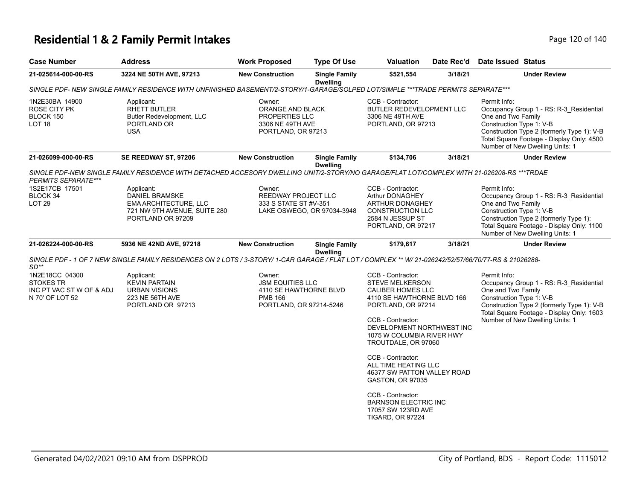# **Residential 1 & 2 Family Permit Intakes Page 120 of 140** Page 120 of 140

| <b>Case Number</b>                                                                          | <b>Address</b>                                                                                                                                        | <b>Work Proposed</b>                                                                                     | <b>Type Of Use</b>                      | <b>Valuation</b>                                                                                                                                                                                                                                                                                                                                                                                                                       | Date Rec'd | <b>Date Issued Status</b>                                                                                                                                                                                                               |
|---------------------------------------------------------------------------------------------|-------------------------------------------------------------------------------------------------------------------------------------------------------|----------------------------------------------------------------------------------------------------------|-----------------------------------------|----------------------------------------------------------------------------------------------------------------------------------------------------------------------------------------------------------------------------------------------------------------------------------------------------------------------------------------------------------------------------------------------------------------------------------------|------------|-----------------------------------------------------------------------------------------------------------------------------------------------------------------------------------------------------------------------------------------|
| 21-025614-000-00-RS                                                                         | 3224 NE 50TH AVE, 97213                                                                                                                               | <b>New Construction</b>                                                                                  | <b>Single Family</b><br><b>Dwelling</b> | \$521,554                                                                                                                                                                                                                                                                                                                                                                                                                              | 3/18/21    | <b>Under Review</b>                                                                                                                                                                                                                     |
|                                                                                             | SINGLE PDF- NEW SINGLE FAMILY RESIDENCE WITH UNFINISHED BASEMENT/2-STORY/1-GARAGE/SOLPED LOT/SIMPLE ***TRADE PERMITS SEPARATE***                      |                                                                                                          |                                         |                                                                                                                                                                                                                                                                                                                                                                                                                                        |            |                                                                                                                                                                                                                                         |
| 1N2E30BA 14900<br>ROSE CITY PK<br>BLOCK 150<br>LOT <sub>18</sub>                            | Applicant:<br><b>RHETT BUTLER</b><br>Butler Redevelopment, LLC<br>PORTLAND OR<br><b>USA</b>                                                           | Owner:<br>ORANGE AND BLACK<br>PROPERTIES LLC<br>3306 NE 49TH AVE<br>PORTLAND, OR 97213                   |                                         | CCB - Contractor:<br>BUTLER REDEVELOPMENT LLC<br>3306 NE 49TH AVE<br>PORTLAND, OR 97213                                                                                                                                                                                                                                                                                                                                                |            | Permit Info:<br>Occupancy Group 1 - RS: R-3_Residential<br>One and Two Family<br>Construction Type 1: V-B<br>Construction Type 2 (formerly Type 1): V-B<br>Total Square Footage - Display Only: 4500<br>Number of New Dwelling Units: 1 |
| 21-026099-000-00-RS                                                                         | SE REEDWAY ST, 97206                                                                                                                                  | <b>New Construction</b>                                                                                  | <b>Single Family</b><br><b>Dwelling</b> | \$134,706                                                                                                                                                                                                                                                                                                                                                                                                                              | 3/18/21    | <b>Under Review</b>                                                                                                                                                                                                                     |
| PERMITS SEPARATE***                                                                         | SINGLE PDF-NEW SINGLE FAMILY RESIDENCE WITH DETACHED ACCESORY DWELLING UNIT/2-STORY/NO GARAGE/FLAT LOT/COMPLEX WITH 21-026208-RS ***TRDAE             |                                                                                                          |                                         |                                                                                                                                                                                                                                                                                                                                                                                                                                        |            |                                                                                                                                                                                                                                         |
| 1S2E17CB 17501<br>BLOCK 34<br>LOT <sub>29</sub>                                             | Applicant:<br>DANIEL BRAMSKE<br>EMA ARCHITECTURE, LLC<br>721 NW 9TH AVENUE, SUITE 280<br>PORTLAND OR 97209                                            | Owner:<br>REEDWAY PROJECT LLC<br>333 S STATE ST #V-351                                                   | LAKE OSWEGO, OR 97034-3948              | CCB - Contractor:<br>Arthur DONAGHEY<br>ARTHUR DONAGHEY<br>CONSTRUCTION LLC<br>2584 N JESSUP ST<br>PORTLAND, OR 97217                                                                                                                                                                                                                                                                                                                  |            | Permit Info:<br>Occupancy Group 1 - RS: R-3_Residential<br>One and Two Family<br>Construction Type 1: V-B<br>Construction Type 2 (formerly Type 1):<br>Total Square Footage - Display Only: 1100<br>Number of New Dwelling Units: 1     |
| 21-026224-000-00-RS                                                                         | 5936 NE 42ND AVE, 97218                                                                                                                               | <b>New Construction</b>                                                                                  | <b>Single Family</b><br><b>Dwelling</b> | \$179,617                                                                                                                                                                                                                                                                                                                                                                                                                              | 3/18/21    | <b>Under Review</b>                                                                                                                                                                                                                     |
|                                                                                             | SINGLE PDF - 1 OF 7 NEW SINGLE FAMILY RESIDENCES ON 2 LOTS / 3-STORY/ 1-CAR GARAGE / FLAT LOT / COMPLEX ** W/ 21-026242/52/57/66/70/77-RS & 21026288- |                                                                                                          |                                         |                                                                                                                                                                                                                                                                                                                                                                                                                                        |            |                                                                                                                                                                                                                                         |
| $SD**$<br>1N2E18CC 04300<br><b>STOKES TR</b><br>INC PT VAC ST W OF & ADJ<br>N 70' OF LOT 52 | Applicant:<br><b>KEVIN PARTAIN</b><br><b>URBAN VISIONS</b><br>223 NE 56TH AVE<br>PORTLAND OR 97213                                                    | Owner:<br><b>JSM EQUITIES LLC</b><br>4110 SE HAWTHORNE BLVD<br><b>PMB 166</b><br>PORTLAND, OR 97214-5246 |                                         | CCB - Contractor:<br><b>STEVE MELKERSON</b><br><b>CALIBER HOMES LLC</b><br>4110 SE HAWTHORNE BLVD 166<br>PORTLAND, OR 97214<br>CCB - Contractor:<br>DEVELOPMENT NORTHWEST INC<br>1075 W COLUMBIA RIVER HWY<br>TROUTDALE, OR 97060<br>CCB - Contractor:<br>ALL TIME HEATING LLC<br>46377 SW PATTON VALLEY ROAD<br>GASTON, OR 97035<br>CCB - Contractor:<br><b>BARNSON ELECTRIC INC</b><br>17057 SW 123RD AVE<br><b>TIGARD, OR 97224</b> |            | Permit Info:<br>Occupancy Group 1 - RS: R-3_Residential<br>One and Two Family<br>Construction Type 1: V-B<br>Construction Type 2 (formerly Type 1): V-B<br>Total Square Footage - Display Only: 1603<br>Number of New Dwelling Units: 1 |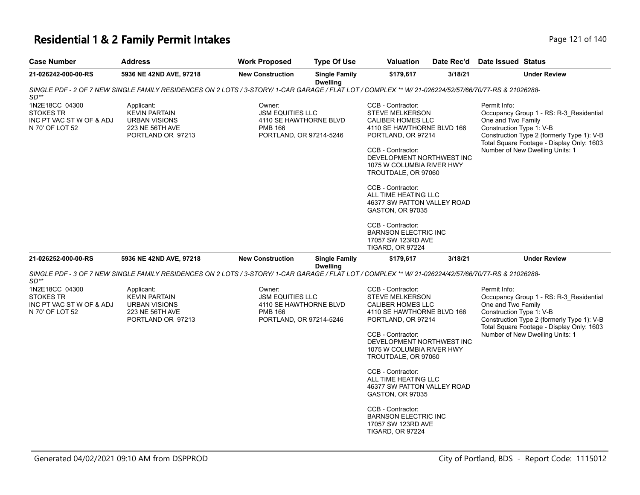# **Residential 1 & 2 Family Permit Intakes Page 121 of 140** Page 121 of 140

| <b>Case Number</b>                                                                | <b>Address</b>                                                                                                                                        | <b>Work Proposed</b>                                                                                     | <b>Type Of Use</b>                      | <b>Valuation</b>                                                                                                                                                                                                                                                                                                                                                                                                                | Date Rec'd | Date Issued Status                                                                                                                                                                                                                      |
|-----------------------------------------------------------------------------------|-------------------------------------------------------------------------------------------------------------------------------------------------------|----------------------------------------------------------------------------------------------------------|-----------------------------------------|---------------------------------------------------------------------------------------------------------------------------------------------------------------------------------------------------------------------------------------------------------------------------------------------------------------------------------------------------------------------------------------------------------------------------------|------------|-----------------------------------------------------------------------------------------------------------------------------------------------------------------------------------------------------------------------------------------|
| 21-026242-000-00-RS                                                               | 5936 NE 42ND AVE, 97218                                                                                                                               | <b>New Construction</b>                                                                                  | <b>Single Family</b><br><b>Dwelling</b> | \$179,617                                                                                                                                                                                                                                                                                                                                                                                                                       | 3/18/21    | <b>Under Review</b>                                                                                                                                                                                                                     |
| $SD**$                                                                            | SINGLE PDF - 2 OF 7 NEW SINGLE FAMILY RESIDENCES ON 2 LOTS / 3-STORY/ 1-CAR GARAGE / FLAT LOT / COMPLEX ** W/ 21-026224/52/57/66/70/77-RS & 21026288- |                                                                                                          |                                         |                                                                                                                                                                                                                                                                                                                                                                                                                                 |            |                                                                                                                                                                                                                                         |
| 1N2E18CC 04300<br><b>STOKES TR</b><br>INC PT VAC ST W OF & ADJ<br>N 70' OF LOT 52 | Applicant:<br><b>KEVIN PARTAIN</b><br><b>URBAN VISIONS</b><br>223 NE 56TH AVE<br>PORTLAND OR 97213                                                    | Owner:<br><b>JSM EQUITIES LLC</b><br>4110 SE HAWTHORNE BLVD<br><b>PMB 166</b><br>PORTLAND, OR 97214-5246 |                                         | CCB - Contractor:<br><b>STEVE MELKERSON</b><br>CALIBER HOMES LLC<br>4110 SE HAWTHORNE BLVD 166<br>PORTLAND, OR 97214<br>CCB - Contractor:<br>DEVELOPMENT NORTHWEST INC<br>1075 W COLUMBIA RIVER HWY<br>TROUTDALE, OR 97060<br>CCB - Contractor:<br>ALL TIME HEATING LLC<br>46377 SW PATTON VALLEY ROAD<br>GASTON, OR 97035<br>CCB - Contractor:<br><b>BARNSON ELECTRIC INC</b><br>17057 SW 123RD AVE<br><b>TIGARD, OR 97224</b> |            | Permit Info:<br>Occupancy Group 1 - RS: R-3_Residential<br>One and Two Family<br>Construction Type 1: V-B<br>Construction Type 2 (formerly Type 1): V-B<br>Total Square Footage - Display Only: 1603<br>Number of New Dwelling Units: 1 |
| 21-026252-000-00-RS                                                               | 5936 NE 42ND AVE, 97218                                                                                                                               | <b>New Construction</b>                                                                                  | <b>Single Family</b>                    | \$179,617                                                                                                                                                                                                                                                                                                                                                                                                                       | 3/18/21    | <b>Under Review</b>                                                                                                                                                                                                                     |
| $SD**$                                                                            | SINGLE PDF - 3 OF 7 NEW SINGLE FAMILY RESIDENCES ON 2 LOTS / 3-STORY/ 1-CAR GARAGE / FLAT LOT / COMPLEX ** W/ 21-026224/42/57/66/70/77-RS & 21026288- |                                                                                                          | <b>Dwelling</b>                         |                                                                                                                                                                                                                                                                                                                                                                                                                                 |            |                                                                                                                                                                                                                                         |
| 1N2E18CC 04300<br><b>STOKES TR</b><br>INC PT VAC ST W OF & ADJ<br>N 70' OF LOT 52 | Applicant:<br><b>KEVIN PARTAIN</b><br><b>URBAN VISIONS</b><br>223 NE 56TH AVE<br>PORTLAND OR 97213                                                    | Owner:<br><b>JSM EQUITIES LLC</b><br>4110 SE HAWTHORNE BLVD<br><b>PMB 166</b><br>PORTLAND, OR 97214-5246 |                                         | CCB - Contractor:<br><b>STEVE MELKERSON</b><br>CALIBER HOMES LLC<br>4110 SE HAWTHORNE BLVD 166<br>PORTLAND, OR 97214<br>CCB - Contractor:<br>DEVELOPMENT NORTHWEST INC<br>1075 W COLUMBIA RIVER HWY<br>TROUTDALE, OR 97060<br>CCB - Contractor:<br>ALL TIME HEATING LLC<br>46377 SW PATTON VALLEY ROAD<br>GASTON, OR 97035<br>CCB - Contractor:                                                                                 |            | Permit Info:<br>Occupancy Group 1 - RS: R-3 Residential<br>One and Two Family<br>Construction Type 1: V-B<br>Construction Type 2 (formerly Type 1): V-B<br>Total Square Footage - Display Only: 1603<br>Number of New Dwelling Units: 1 |
|                                                                                   |                                                                                                                                                       |                                                                                                          |                                         | <b>BARNSON ELECTRIC INC</b><br>17057 SW 123RD AVE<br><b>TIGARD, OR 97224</b>                                                                                                                                                                                                                                                                                                                                                    |            |                                                                                                                                                                                                                                         |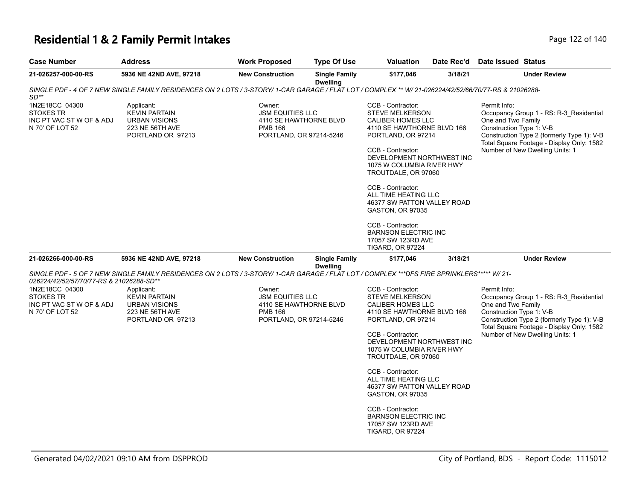# **Residential 1 & 2 Family Permit Intakes Page 122 of 140** Page 122 of 140

| <b>Case Number</b>                                                                                                            | <b>Address</b>                                                                                                                                        | <b>Work Proposed</b>                                                                                     | <b>Type Of Use</b>                      | <b>Valuation</b>                                                                                                                                                                                                                                                                                                                                                                                            | Date Rec'd | Date Issued Status                                                                                                                                                                                                                      |
|-------------------------------------------------------------------------------------------------------------------------------|-------------------------------------------------------------------------------------------------------------------------------------------------------|----------------------------------------------------------------------------------------------------------|-----------------------------------------|-------------------------------------------------------------------------------------------------------------------------------------------------------------------------------------------------------------------------------------------------------------------------------------------------------------------------------------------------------------------------------------------------------------|------------|-----------------------------------------------------------------------------------------------------------------------------------------------------------------------------------------------------------------------------------------|
| 21-026257-000-00-RS                                                                                                           | 5936 NE 42ND AVE, 97218                                                                                                                               | <b>New Construction</b>                                                                                  | <b>Single Family</b><br><b>Dwelling</b> | \$177,046                                                                                                                                                                                                                                                                                                                                                                                                   | 3/18/21    | <b>Under Review</b>                                                                                                                                                                                                                     |
| $SD**$                                                                                                                        | SINGLE PDF - 4 OF 7 NEW SINGLE FAMILY RESIDENCES ON 2 LOTS / 3-STORY/ 1-CAR GARAGE / FLAT LOT / COMPLEX ** W/ 21-026224/42/52/66/70/77-RS & 21026288- |                                                                                                          |                                         |                                                                                                                                                                                                                                                                                                                                                                                                             |            |                                                                                                                                                                                                                                         |
| 1N2E18CC 04300<br><b>STOKES TR</b><br>INC PT VAC ST W OF & ADJ<br>N 70' OF LOT 52                                             | Applicant:<br><b>KEVIN PARTAIN</b><br><b>URBAN VISIONS</b><br>223 NE 56TH AVE<br>PORTLAND OR 97213                                                    | Owner:<br><b>JSM EQUITIES LLC</b><br>4110 SE HAWTHORNE BLVD<br><b>PMB 166</b><br>PORTLAND, OR 97214-5246 |                                         | CCB - Contractor:<br><b>STEVE MELKERSON</b><br><b>CALIBER HOMES LLC</b><br>4110 SE HAWTHORNE BLVD 166<br>PORTLAND, OR 97214<br>CCB - Contractor:<br>DEVELOPMENT NORTHWEST INC<br>1075 W COLUMBIA RIVER HWY<br>TROUTDALE, OR 97060<br>CCB - Contractor:<br>ALL TIME HEATING LLC<br>46377 SW PATTON VALLEY ROAD<br>GASTON, OR 97035<br>CCB - Contractor:<br><b>BARNSON ELECTRIC INC</b><br>17057 SW 123RD AVE |            | Permit Info:<br>Occupancy Group 1 - RS: R-3 Residential<br>One and Two Family<br>Construction Type 1: V-B<br>Construction Type 2 (formerly Type 1): V-B<br>Total Square Footage - Display Only: 1582<br>Number of New Dwelling Units: 1 |
| 21-026266-000-00-RS                                                                                                           | 5936 NE 42ND AVE, 97218                                                                                                                               | <b>New Construction</b>                                                                                  | <b>Single Family</b>                    | <b>TIGARD, OR 97224</b><br>\$177,046                                                                                                                                                                                                                                                                                                                                                                        | 3/18/21    | <b>Under Review</b>                                                                                                                                                                                                                     |
|                                                                                                                               | SINGLE PDF - 5 OF 7 NEW SINGLE FAMILY RESIDENCES ON 2 LOTS / 3-STORY/ 1-CAR GARAGE / FLAT LOT / COMPLEX ***DFS FIRE SPRINKLERS***** W/21-             |                                                                                                          | <b>Dwelling</b>                         |                                                                                                                                                                                                                                                                                                                                                                                                             |            |                                                                                                                                                                                                                                         |
| 026224/42/52/57/70/77-RS & 21026288-SD**<br>1N2E18CC 04300<br><b>STOKES TR</b><br>INC PT VAC ST W OF & ADJ<br>N 70' OF LOT 52 | Applicant:<br><b>KEVIN PARTAIN</b><br><b>URBAN VISIONS</b><br>223 NE 56TH AVE<br>PORTLAND OR 97213                                                    | Owner:<br><b>JSM EQUITIES LLC</b><br>4110 SE HAWTHORNE BLVD<br><b>PMB 166</b><br>PORTLAND, OR 97214-5246 |                                         | CCB - Contractor:<br><b>STEVE MELKERSON</b><br><b>CALIBER HOMES LLC</b><br>4110 SE HAWTHORNE BLVD 166<br>PORTLAND, OR 97214<br>CCB - Contractor:<br>DEVELOPMENT NORTHWEST INC<br>1075 W COLUMBIA RIVER HWY<br>TROUTDALE, OR 97060<br>CCB - Contractor:<br>ALL TIME HEATING LLC<br>46377 SW PATTON VALLEY ROAD<br>GASTON, OR 97035<br>CCB - Contractor:<br><b>BARNSON ELECTRIC INC</b><br>17057 SW 123RD AVE |            | Permit Info:<br>Occupancy Group 1 - RS: R-3 Residential<br>One and Two Family<br>Construction Type 1: V-B<br>Construction Type 2 (formerly Type 1): V-B<br>Total Square Footage - Display Only: 1582<br>Number of New Dwelling Units: 1 |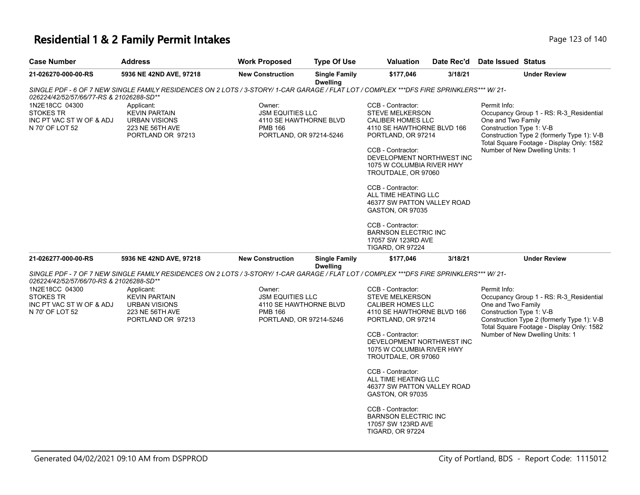# **Residential 1 & 2 Family Permit Intakes Page 123 of 140** Page 123 of 140

| <b>Case Number</b>                                                                | <b>Address</b>                                                                                                                           | <b>Work Proposed</b>                                                                                     | <b>Type Of Use</b>                      | <b>Valuation</b>                                                                                                                                                                                                           | Date Rec'd | <b>Date Issued Status</b>                                                                                                                                                                                                               |
|-----------------------------------------------------------------------------------|------------------------------------------------------------------------------------------------------------------------------------------|----------------------------------------------------------------------------------------------------------|-----------------------------------------|----------------------------------------------------------------------------------------------------------------------------------------------------------------------------------------------------------------------------|------------|-----------------------------------------------------------------------------------------------------------------------------------------------------------------------------------------------------------------------------------------|
| 21-026270-000-00-RS                                                               | 5936 NE 42ND AVE, 97218                                                                                                                  | <b>New Construction</b>                                                                                  | <b>Single Family</b><br><b>Dwelling</b> | \$177,046                                                                                                                                                                                                                  | 3/18/21    | <b>Under Review</b>                                                                                                                                                                                                                     |
|                                                                                   | SINGLE PDF - 6 OF 7 NEW SINGLE FAMILY RESIDENCES ON 2 LOTS / 3-STORY/ 1-CAR GARAGE / FLAT LOT / COMPLEX ***DFS FIRE SPRINKLERS*** W/ 21- |                                                                                                          |                                         |                                                                                                                                                                                                                            |            |                                                                                                                                                                                                                                         |
| 026224/42/52/57/66/77-RS & 21026288-SD**                                          |                                                                                                                                          |                                                                                                          |                                         |                                                                                                                                                                                                                            |            |                                                                                                                                                                                                                                         |
| 1N2E18CC 04300<br><b>STOKES TR</b><br>INC PT VAC ST W OF & ADJ<br>N 70' OF LOT 52 | Applicant:<br><b>KEVIN PARTAIN</b><br><b>URBAN VISIONS</b><br>223 NE 56TH AVE<br>PORTLAND OR 97213                                       | Owner:<br><b>JSM EQUITIES LLC</b><br>4110 SE HAWTHORNE BLVD<br><b>PMB 166</b><br>PORTLAND, OR 97214-5246 |                                         | CCB - Contractor:<br><b>STEVE MELKERSON</b><br>CALIBER HOMES LLC<br>4110 SE HAWTHORNE BLVD 166<br>PORTLAND, OR 97214<br>CCB - Contractor:<br>DEVELOPMENT NORTHWEST INC<br>1075 W COLUMBIA RIVER HWY<br>TROUTDALE, OR 97060 |            | Permit Info:<br>Occupancy Group 1 - RS: R-3_Residential<br>One and Two Family<br>Construction Type 1: V-B<br>Construction Type 2 (formerly Type 1): V-B<br>Total Square Footage - Display Only: 1582<br>Number of New Dwelling Units: 1 |
|                                                                                   |                                                                                                                                          |                                                                                                          |                                         | CCB - Contractor:<br>ALL TIME HEATING LLC<br>46377 SW PATTON VALLEY ROAD<br>GASTON, OR 97035                                                                                                                               |            |                                                                                                                                                                                                                                         |
|                                                                                   |                                                                                                                                          |                                                                                                          |                                         | CCB - Contractor:<br><b>BARNSON ELECTRIC INC</b><br>17057 SW 123RD AVE<br><b>TIGARD, OR 97224</b>                                                                                                                          |            |                                                                                                                                                                                                                                         |
| 21-026277-000-00-RS                                                               | 5936 NE 42ND AVE, 97218                                                                                                                  | <b>New Construction</b>                                                                                  | <b>Single Family</b><br><b>Dwelling</b> | \$177,046                                                                                                                                                                                                                  | 3/18/21    | <b>Under Review</b>                                                                                                                                                                                                                     |
| 026224/42/52/57/66/70-RS & 21026288-SD**                                          | SINGLE PDF - 7 OF 7 NEW SINGLE FAMILY RESIDENCES ON 2 LOTS / 3-STORY/ 1-CAR GARAGE / FLAT LOT / COMPLEX ***DFS FIRE SPRINKLERS*** W/ 21- |                                                                                                          |                                         |                                                                                                                                                                                                                            |            |                                                                                                                                                                                                                                         |
| 1N2E18CC 04300                                                                    | Applicant:                                                                                                                               | Owner:                                                                                                   |                                         | CCB - Contractor:                                                                                                                                                                                                          |            | Permit Info:                                                                                                                                                                                                                            |
| <b>STOKES TR</b><br>INC PT VAC ST W OF & ADJ<br>N 70' OF LOT 52                   | <b>KEVIN PARTAIN</b><br><b>URBAN VISIONS</b><br>223 NE 56TH AVE<br>PORTLAND OR 97213                                                     | <b>JSM EQUITIES LLC</b><br>4110 SE HAWTHORNE BLVD<br><b>PMB 166</b><br>PORTLAND, OR 97214-5246           |                                         | <b>STEVE MELKERSON</b><br><b>CALIBER HOMES LLC</b><br>4110 SE HAWTHORNE BLVD 166<br>PORTLAND, OR 97214                                                                                                                     |            | Occupancy Group 1 - RS: R-3_Residential<br>One and Two Family<br>Construction Type 1: V-B<br>Construction Type 2 (formerly Type 1): V-B<br>Total Square Footage - Display Only: 1582                                                    |
|                                                                                   |                                                                                                                                          |                                                                                                          |                                         | CCB - Contractor:<br>DEVELOPMENT NORTHWEST INC<br>1075 W COLUMBIA RIVER HWY<br>TROUTDALE, OR 97060                                                                                                                         |            | Number of New Dwelling Units: 1                                                                                                                                                                                                         |
|                                                                                   |                                                                                                                                          |                                                                                                          |                                         | CCB - Contractor:<br>ALL TIME HEATING LLC<br>46377 SW PATTON VALLEY ROAD<br><b>GASTON, OR 97035</b>                                                                                                                        |            |                                                                                                                                                                                                                                         |
|                                                                                   |                                                                                                                                          |                                                                                                          |                                         | CCB - Contractor:<br><b>BARNSON ELECTRIC INC</b><br>17057 SW 123RD AVE<br>TIGARD, OR 97224                                                                                                                                 |            |                                                                                                                                                                                                                                         |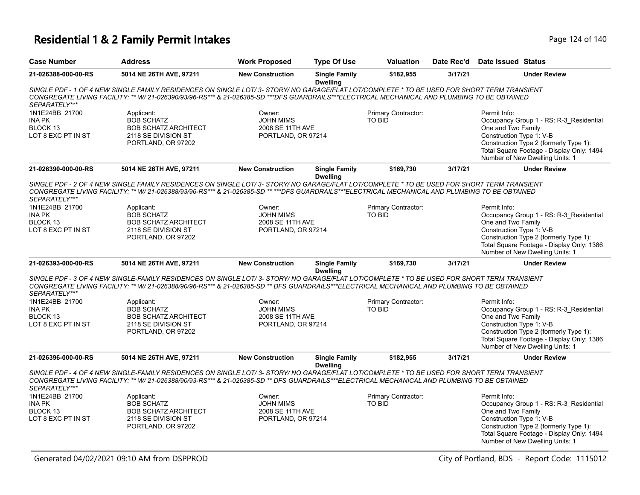### **Residential 1 & 2 Family Permit Intakes Page 124 of 140** Page 124 of 140

| <b>Case Number</b>                                                | <b>Address</b>                                                                                                                                                                                                                                                                                 | <b>Work Proposed</b>                                                 | <b>Type Of Use</b>                      | <b>Valuation</b>                     | Date Rec'd | Date Issued Status                                                                                                                                                                                                                  |
|-------------------------------------------------------------------|------------------------------------------------------------------------------------------------------------------------------------------------------------------------------------------------------------------------------------------------------------------------------------------------|----------------------------------------------------------------------|-----------------------------------------|--------------------------------------|------------|-------------------------------------------------------------------------------------------------------------------------------------------------------------------------------------------------------------------------------------|
| 21-026388-000-00-RS                                               | 5014 NE 26TH AVE, 97211                                                                                                                                                                                                                                                                        | <b>New Construction</b>                                              | <b>Single Family</b><br><b>Dwelling</b> | \$182,955                            | 3/17/21    | <b>Under Review</b>                                                                                                                                                                                                                 |
| SEPARATELY***                                                     | SINGLE PDF - 1 OF 4 NEW SINGLE FAMILY RESIDENCES ON SINGLE LOT/ 3- STORY/ NO GARAGE/FLAT LOT/COMPLETE * TO BE USED FOR SHORT TERM TRANSIENT<br>CONGREGATE LIVING FACILITY: ** W/ 21-026390/93/96-RS*** & 21-026385-SD ***DFS GUARDRAILS***ELECTRICAL MECHANICAL AND PLUMBING TO BE OBTAINED    |                                                                      |                                         |                                      |            |                                                                                                                                                                                                                                     |
| 1N1E24BB 21700<br><b>INA PK</b><br>BLOCK 13<br>LOT 8 EXC PT IN ST | Applicant:<br><b>BOB SCHATZ</b><br><b>BOB SCHATZ ARCHITECT</b><br>2118 SE DIVISION ST<br>PORTLAND, OR 97202                                                                                                                                                                                    | Owner:<br><b>JOHN MIMS</b><br>2008 SE 11TH AVE<br>PORTLAND, OR 97214 |                                         | Primary Contractor:<br><b>TO BID</b> |            | Permit Info:<br>Occupancy Group 1 - RS: R-3_Residential<br>One and Two Family<br>Construction Type 1: V-B<br>Construction Type 2 (formerly Type 1):<br>Total Square Footage - Display Only: 1494<br>Number of New Dwelling Units: 1 |
| 21-026390-000-00-RS                                               | 5014 NE 26TH AVE, 97211                                                                                                                                                                                                                                                                        | <b>New Construction</b>                                              | <b>Single Family</b><br><b>Dwelling</b> | \$169,730                            | 3/17/21    | <b>Under Review</b>                                                                                                                                                                                                                 |
| SEPARATELY***                                                     | SINGLE PDF - 2 OF 4 NEW SINGLE FAMILY RESIDENCES ON SINGLE LOT/ 3- STORY/ NO GARAGE/FLAT LOT/COMPLETE * TO BE USED FOR SHORT TERM TRANSIENT<br>CONGREGATE LIVING FACILITY: ** W/ 21-026388/93/96-RS*** & 21-026385-SD ** ***DFS GUARDRAILS***ELECTRICAL MECHANICAL AND PLUMBING TO BE OBTAINED |                                                                      |                                         |                                      |            |                                                                                                                                                                                                                                     |
| 1N1E24BB 21700<br><b>INA PK</b>                                   | Applicant:<br><b>BOB SCHATZ</b>                                                                                                                                                                                                                                                                | Owner:<br><b>JOHN MIMS</b>                                           |                                         | Primary Contractor:<br><b>TO BID</b> |            | Permit Info:<br>Occupancy Group 1 - RS: R-3_Residential                                                                                                                                                                             |
| BLOCK 13<br>LOT 8 EXC PT IN ST                                    | <b>BOB SCHATZ ARCHITECT</b><br>2118 SE DIVISION ST<br>PORTLAND, OR 97202                                                                                                                                                                                                                       | 2008 SE 11TH AVE<br>PORTLAND, OR 97214                               |                                         |                                      |            | One and Two Family<br>Construction Type 1: V-B<br>Construction Type 2 (formerly Type 1):<br>Total Square Footage - Display Only: 1386<br>Number of New Dwelling Units: 1                                                            |
| 21-026393-000-00-RS                                               | 5014 NE 26TH AVE, 97211                                                                                                                                                                                                                                                                        | <b>New Construction</b>                                              | <b>Single Family</b><br><b>Dwelling</b> | \$169,730                            | 3/17/21    | <b>Under Review</b>                                                                                                                                                                                                                 |
| SEPARATELY***                                                     | SINGLE PDF - 3 OF 4 NEW SINGLE-FAMILY RESIDENCES ON SINGLE LOT/ 3- STORY/ NO GARAGE/FLAT LOT/COMPLETE * TO BE USED FOR SHORT TERM TRANSIENT<br>CONGREGATE LIVING FACILITY: ** W/ 21-026388/90/96-RS*** & 21-026385-SD ** DFS GUARDRAILS***ELECTRICAL MECHANICAL AND PLUMBING TO BE OBTAINED    |                                                                      |                                         |                                      |            |                                                                                                                                                                                                                                     |
| 1N1E24BB 21700<br>INA PK<br>BLOCK 13<br>LOT 8 EXC PT IN ST        | Applicant:<br><b>BOB SCHATZ</b><br><b>BOB SCHATZ ARCHITECT</b><br>2118 SE DIVISION ST<br>PORTLAND, OR 97202                                                                                                                                                                                    | Owner:<br><b>JOHN MIMS</b><br>2008 SE 11TH AVE<br>PORTLAND, OR 97214 |                                         | Primary Contractor:<br><b>TO BID</b> |            | Permit Info:<br>Occupancy Group 1 - RS: R-3 Residential<br>One and Two Family<br>Construction Type 1: V-B<br>Construction Type 2 (formerly Type 1):<br>Total Square Footage - Display Only: 1386<br>Number of New Dwelling Units: 1 |
| 21-026396-000-00-RS                                               | 5014 NE 26TH AVE, 97211                                                                                                                                                                                                                                                                        | <b>New Construction</b>                                              | <b>Single Family</b><br><b>Dwelling</b> | \$182,955                            | 3/17/21    | <b>Under Review</b>                                                                                                                                                                                                                 |
| SEPARATELY***                                                     | SINGLE PDF - 4 OF 4 NEW SINGLE-FAMILY RESIDENCES ON SINGLE LOT/ 3- STORY/ NO GARAGE/FLAT LOT/COMPLETE * TO BE USED FOR SHORT TERM TRANSIENT<br>CONGREGATE LIVING FACILITY: ** W/ 21-026388/90/93-RS*** & 21-026385-SD ** DFS GUARDRAILS***ELECTRICAL MECHANICAL AND PLUMBING TO BE OBTAINED    |                                                                      |                                         |                                      |            |                                                                                                                                                                                                                                     |
| 1N1E24BB 21700<br><b>INA PK</b><br>BLOCK 13<br>LOT 8 EXC PT IN ST | Applicant:<br><b>BOB SCHATZ</b><br><b>BOB SCHATZ ARCHITECT</b><br>2118 SE DIVISION ST<br>PORTLAND, OR 97202                                                                                                                                                                                    | Owner:<br><b>JOHN MIMS</b><br>2008 SE 11TH AVE<br>PORTLAND, OR 97214 |                                         | Primary Contractor:<br><b>TO BID</b> |            | Permit Info:<br>Occupancy Group 1 - RS: R-3 Residential<br>One and Two Family<br>Construction Type 1: V-B<br>Construction Type 2 (formerly Type 1):<br>Total Square Footage - Display Only: 1494<br>Number of New Dwelling Units: 1 |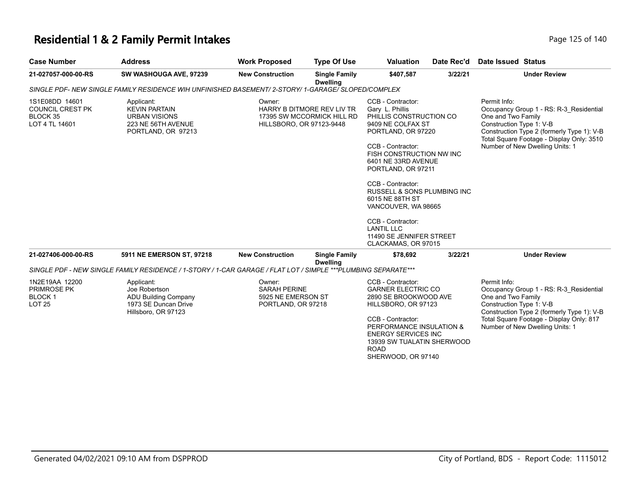# **Residential 1 & 2 Family Permit Intakes Page 125 of 140** Page 125 of 140

| <b>Case Number</b>                                                      | <b>Address</b>                                                                                                | <b>Work Proposed</b>                                                      | <b>Type Of Use</b>                      | <b>Valuation</b>                                                                                                                                                                                                                                                                                                                                                                                    | Date Rec'd | <b>Date Issued Status</b>                                      |                                                                                                                                                                       |
|-------------------------------------------------------------------------|---------------------------------------------------------------------------------------------------------------|---------------------------------------------------------------------------|-----------------------------------------|-----------------------------------------------------------------------------------------------------------------------------------------------------------------------------------------------------------------------------------------------------------------------------------------------------------------------------------------------------------------------------------------------------|------------|----------------------------------------------------------------|-----------------------------------------------------------------------------------------------------------------------------------------------------------------------|
| 21-027057-000-00-RS                                                     | SW WASHOUGA AVE, 97239                                                                                        | <b>New Construction</b>                                                   | <b>Single Family</b><br><b>Dwelling</b> | \$407,587                                                                                                                                                                                                                                                                                                                                                                                           | 3/22/21    |                                                                | <b>Under Review</b>                                                                                                                                                   |
|                                                                         | SINGLE PDF- NEW SINGLE FAMILY RESIDENCE WIH UNFINISHED BASEMENT/ 2-STORY/ 1-GARAGE/ SLOPED/COMPLEX            |                                                                           |                                         |                                                                                                                                                                                                                                                                                                                                                                                                     |            |                                                                |                                                                                                                                                                       |
| 1S1E08DD 14601<br><b>COUNCIL CREST PK</b><br>BLOCK 35<br>LOT 4 TL 14601 | Applicant:<br><b>KEVIN PARTAIN</b><br><b>URBAN VISIONS</b><br>223 NE 56TH AVENUE<br>PORTLAND, OR 97213        | Owner:<br>HARRY B DITMORE REV LIV TR<br>HILLSBORO, OR 97123-9448          | 17395 SW MCCORMICK HILL RD              | CCB - Contractor:<br>Gary L. Phillis<br>PHILLIS CONSTRUCTION CO<br>9409 NE COLFAX ST<br>PORTLAND, OR 97220<br>CCB - Contractor:<br>FISH CONSTRUCTION NW INC<br>6401 NE 33RD AVENUE<br>PORTLAND, OR 97211<br>CCB - Contractor:<br>RUSSELL & SONS PLUMBING INC<br>6015 NE 88TH ST<br>VANCOUVER, WA 98665<br>CCB - Contractor:<br><b>LANTIL LLC</b><br>11490 SE JENNIFER STREET<br>CLACKAMAS, OR 97015 |            | Permit Info:<br>One and Two Family<br>Construction Type 1: V-B | Occupancy Group 1 - RS: R-3 Residential<br>Construction Type 2 (formerly Type 1): V-B<br>Total Square Footage - Display Only: 3510<br>Number of New Dwelling Units: 1 |
| 21-027406-000-00-RS                                                     | 5911 NE EMERSON ST, 97218                                                                                     | <b>New Construction</b>                                                   | <b>Single Family</b><br><b>Dwelling</b> | \$78,692                                                                                                                                                                                                                                                                                                                                                                                            | 3/22/21    |                                                                | <b>Under Review</b>                                                                                                                                                   |
|                                                                         | SINGLE PDF - NEW SINGLE FAMILY RESIDENCE / 1-STORY / 1-CAR GARAGE / FLAT LOT / SIMPLE ***PLUMBING SEPARATE*** |                                                                           |                                         |                                                                                                                                                                                                                                                                                                                                                                                                     |            |                                                                |                                                                                                                                                                       |
| 1N2E19AA 12200<br>PRIMROSE PK<br><b>BLOCK1</b><br>LOT <sub>25</sub>     | Applicant:<br>Joe Robertson<br><b>ADU Building Company</b><br>1973 SE Duncan Drive<br>Hillsboro, OR 97123     | Owner:<br><b>SARAH PERINE</b><br>5925 NE EMERSON ST<br>PORTLAND, OR 97218 |                                         | CCB - Contractor:<br><b>GARNER ELECTRIC CO</b><br>2890 SE BROOKWOOD AVE<br>HILLSBORO, OR 97123<br>CCB - Contractor:<br>PERFORMANCE INSULATION &<br><b>ENERGY SERVICES INC</b><br>13939 SW TUALATIN SHERWOOD<br><b>ROAD</b><br>SHERWOOD, OR 97140                                                                                                                                                    |            | Permit Info:<br>One and Two Family<br>Construction Type 1: V-B | Occupancy Group 1 - RS: R-3_Residential<br>Construction Type 2 (formerly Type 1): V-B<br>Total Square Footage - Display Only: 817<br>Number of New Dwelling Units: 1  |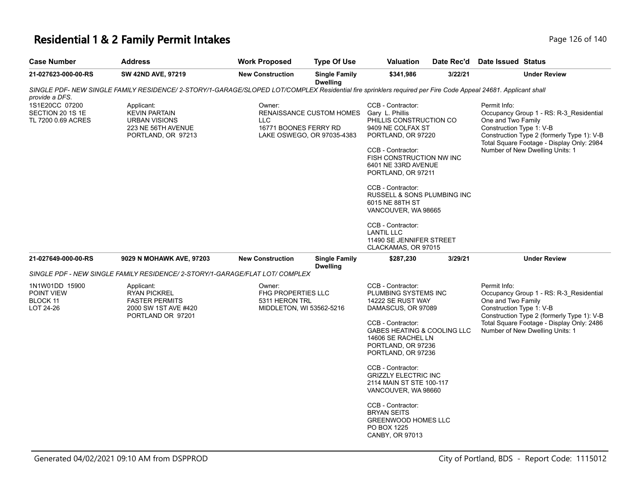### **Residential 1 & 2 Family Permit Intakes Page 126 of 140** Page 126 of 140

| <b>Case Number</b>                                       | <b>Address</b>                                                                                                                                                | <b>Work Proposed</b>                                                              | <b>Type Of Use</b>                                     | <b>Valuation</b>                                                                                                                                                                                                                                                                                                                                                                                                             | Date Rec'd | Date Issued Status                                                                                |                                                                                                                                    |
|----------------------------------------------------------|---------------------------------------------------------------------------------------------------------------------------------------------------------------|-----------------------------------------------------------------------------------|--------------------------------------------------------|------------------------------------------------------------------------------------------------------------------------------------------------------------------------------------------------------------------------------------------------------------------------------------------------------------------------------------------------------------------------------------------------------------------------------|------------|---------------------------------------------------------------------------------------------------|------------------------------------------------------------------------------------------------------------------------------------|
| 21-027623-000-00-RS                                      | SW 42ND AVE, 97219                                                                                                                                            | <b>New Construction</b>                                                           | <b>Single Family</b><br><b>Dwelling</b>                | \$341,986                                                                                                                                                                                                                                                                                                                                                                                                                    | 3/22/21    |                                                                                                   | <b>Under Review</b>                                                                                                                |
| provide a DFS.                                           | SINGLE PDF- NEW SINGLE FAMILY RESIDENCE/ 2-STORY/1-GARAGE/SLOPED LOT/COMPLEX Residential fire sprinklers required per Fire Code Appeal 24681. Applicant shall |                                                                                   |                                                        |                                                                                                                                                                                                                                                                                                                                                                                                                              |            |                                                                                                   |                                                                                                                                    |
| 1S1E20CC 07200<br>SECTION 20 1S 1E<br>TL 7200 0.69 ACRES | Applicant:<br><b>KEVIN PARTAIN</b><br><b>URBAN VISIONS</b><br>223 NE 56TH AVENUE<br>PORTLAND, OR 97213                                                        | Owner:<br><b>LLC</b><br>16771 BOONES FERRY RD                                     | RENAISSANCE CUSTOM HOMES<br>LAKE OSWEGO, OR 97035-4383 | CCB - Contractor:<br>Gary L. Phillis<br>PHILLIS CONSTRUCTION CO<br>9409 NE COLFAX ST<br>PORTLAND, OR 97220<br>CCB - Contractor:<br>FISH CONSTRUCTION NW INC<br>6401 NE 33RD AVENUE<br>PORTLAND, OR 97211<br>CCB - Contractor:<br>RUSSELL & SONS PLUMBING INC<br>6015 NE 88TH ST<br>VANCOUVER, WA 98665<br>CCB - Contractor:<br><b>LANTIL LLC</b><br>11490 SE JENNIFER STREET                                                 |            | Permit Info:<br>One and Two Family<br>Construction Type 1: V-B<br>Number of New Dwelling Units: 1 | Occupancy Group 1 - RS: R-3_Residential<br>Construction Type 2 (formerly Type 1): V-B<br>Total Square Footage - Display Only: 2984 |
| 21-027649-000-00-RS                                      | 9029 N MOHAWK AVE, 97203                                                                                                                                      | <b>New Construction</b>                                                           | <b>Single Family</b>                                   | CLACKAMAS, OR 97015<br>\$287,230                                                                                                                                                                                                                                                                                                                                                                                             | 3/29/21    |                                                                                                   | <b>Under Review</b>                                                                                                                |
|                                                          | SINGLE PDF - NEW SINGLE FAMILY RESIDENCE/ 2-STORY/1-GARAGE/FLAT LOT/ COMPLEX                                                                                  |                                                                                   | <b>Dwelling</b>                                        |                                                                                                                                                                                                                                                                                                                                                                                                                              |            |                                                                                                   |                                                                                                                                    |
| 1N1W01DD 15900<br>POINT VIEW<br>BLOCK 11<br>LOT 24-26    | Applicant:<br><b>RYAN PICKREL</b><br><b>FASTER PERMITS</b><br>2000 SW 1ST AVE #420<br>PORTLAND OR 97201                                                       | Owner:<br><b>FHG PROPERTIES LLC</b><br>5311 HERON TRL<br>MIDDLETON, WI 53562-5216 |                                                        | CCB - Contractor:<br>PLUMBING SYSTEMS INC<br>14222 SE RUST WAY<br>DAMASCUS, OR 97089<br>CCB - Contractor:<br>GABES HEATING & COOLING LLC<br>14606 SE RACHEL LN<br>PORTLAND, OR 97236<br>PORTLAND, OR 97236<br>CCB - Contractor:<br><b>GRIZZLY ELECTRIC INC</b><br>2114 MAIN ST STE 100-117<br>VANCOUVER, WA 98660<br>CCB - Contractor:<br><b>BRYAN SEITS</b><br><b>GREENWOOD HOMES LLC</b><br>PO BOX 1225<br>CANBY, OR 97013 |            | Permit Info:<br>One and Two Family<br>Construction Type 1: V-B<br>Number of New Dwelling Units: 1 | Occupancy Group 1 - RS: R-3_Residential<br>Construction Type 2 (formerly Type 1): V-B<br>Total Square Footage - Display Only: 2486 |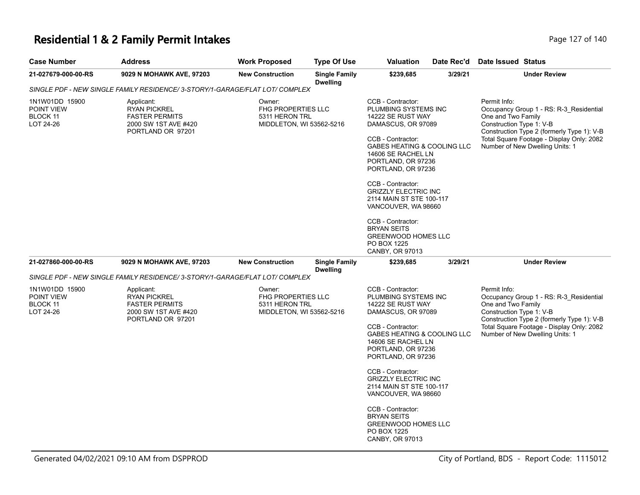### **Residential 1 & 2 Family Permit Intakes**

| Page 127 of 140 |
|-----------------|
|-----------------|

| <b>Case Number</b>                                    | <b>Address</b>                                                                                                                                                                        | <b>Work Proposed</b>                                  | <b>Type Of Use</b>                                                                                                                                                                                                                                                                                                                                                                       | Valuation                                                                                               | Date Rec'd                                                                                                                                                                                           | Date Issued Status                                                                                                                                                                                                                      |
|-------------------------------------------------------|---------------------------------------------------------------------------------------------------------------------------------------------------------------------------------------|-------------------------------------------------------|------------------------------------------------------------------------------------------------------------------------------------------------------------------------------------------------------------------------------------------------------------------------------------------------------------------------------------------------------------------------------------------|---------------------------------------------------------------------------------------------------------|------------------------------------------------------------------------------------------------------------------------------------------------------------------------------------------------------|-----------------------------------------------------------------------------------------------------------------------------------------------------------------------------------------------------------------------------------------|
| 21-027679-000-00-RS                                   | 9029 N MOHAWK AVE, 97203                                                                                                                                                              | <b>New Construction</b>                               | <b>Single Family</b>                                                                                                                                                                                                                                                                                                                                                                     | \$239,685                                                                                               | 3/29/21                                                                                                                                                                                              | <b>Under Review</b>                                                                                                                                                                                                                     |
|                                                       | SINGLE PDF - NEW SINGLE FAMILY RESIDENCE/ 3-STORY/1-GARAGE/FLAT LOT/ COMPLEX                                                                                                          |                                                       | <b>Dwelling</b>                                                                                                                                                                                                                                                                                                                                                                          |                                                                                                         |                                                                                                                                                                                                      |                                                                                                                                                                                                                                         |
| 1N1W01DD 15900<br>POINT VIEW<br>BLOCK 11<br>LOT 24-26 | Applicant:<br><b>RYAN PICKREL</b><br><b>FASTER PERMITS</b><br>2000 SW 1ST AVE #420<br>PORTLAND OR 97201                                                                               | Owner:<br><b>FHG PROPERTIES LLC</b><br>5311 HERON TRL | CCB - Contractor:<br>PLUMBING SYSTEMS INC<br>14222 SE RUST WAY<br>MIDDLETON, WI 53562-5216<br>DAMASCUS, OR 97089<br>CCB - Contractor:<br>GABES HEATING & COOLING LLC<br>14606 SE RACHEL LN<br>PORTLAND, OR 97236<br>PORTLAND, OR 97236<br>CCB - Contractor:<br><b>GRIZZLY ELECTRIC INC</b><br>2114 MAIN ST STE 100-117<br>VANCOUVER, WA 98660<br>CCB - Contractor:<br><b>BRYAN SEITS</b> |                                                                                                         |                                                                                                                                                                                                      | Permit Info:<br>Occupancy Group 1 - RS: R-3_Residential<br>One and Two Family<br>Construction Type 1: V-B<br>Construction Type 2 (formerly Type 1): V-B<br>Total Square Footage - Display Only: 2082<br>Number of New Dwelling Units: 1 |
|                                                       |                                                                                                                                                                                       |                                                       |                                                                                                                                                                                                                                                                                                                                                                                          | <b>GREENWOOD HOMES LLC</b><br>PO BOX 1225<br>CANBY, OR 97013                                            |                                                                                                                                                                                                      |                                                                                                                                                                                                                                         |
| 21-027860-000-00-RS                                   | 9029 N MOHAWK AVE, 97203                                                                                                                                                              | <b>New Construction</b>                               | <b>Single Family</b><br><b>Dwelling</b>                                                                                                                                                                                                                                                                                                                                                  | \$239,685                                                                                               | 3/29/21                                                                                                                                                                                              | <b>Under Review</b>                                                                                                                                                                                                                     |
|                                                       | SINGLE PDF - NEW SINGLE FAMILY RESIDENCE/ 3-STORY/1-GARAGE/FLAT LOT/ COMPLEX                                                                                                          |                                                       |                                                                                                                                                                                                                                                                                                                                                                                          |                                                                                                         |                                                                                                                                                                                                      |                                                                                                                                                                                                                                         |
| 1N1W01DD 15900<br>POINT VIEW<br>BLOCK 11<br>LOT 24-26 | Applicant:<br>Owner:<br><b>RYAN PICKREL</b><br>FHG PROPERTIES LLC<br><b>FASTER PERMITS</b><br>5311 HERON TRL<br>2000 SW 1ST AVE #420<br>MIDDLETON, WI 53562-5216<br>PORTLAND OR 97201 |                                                       | CCB - Contractor:<br>PLUMBING SYSTEMS INC<br>14222 SE RUST WAY<br>DAMASCUS, OR 97089<br>CCB - Contractor:                                                                                                                                                                                                                                                                                |                                                                                                         | Permit Info:<br>Occupancy Group 1 - RS: R-3 Residential<br>One and Two Family<br>Construction Type 1: V-B<br>Construction Type 2 (formerly Type 1): V-B<br>Total Square Footage - Display Only: 2082 |                                                                                                                                                                                                                                         |
|                                                       |                                                                                                                                                                                       |                                                       |                                                                                                                                                                                                                                                                                                                                                                                          | GABES HEATING & COOLING LLC<br>14606 SE RACHEL LN<br>PORTLAND, OR 97236<br>PORTLAND, OR 97236           |                                                                                                                                                                                                      | Number of New Dwelling Units: 1                                                                                                                                                                                                         |
|                                                       |                                                                                                                                                                                       |                                                       |                                                                                                                                                                                                                                                                                                                                                                                          | CCB - Contractor:<br><b>GRIZZLY ELECTRIC INC</b><br>2114 MAIN ST STE 100-117<br>VANCOUVER, WA 98660     |                                                                                                                                                                                                      |                                                                                                                                                                                                                                         |
|                                                       |                                                                                                                                                                                       |                                                       |                                                                                                                                                                                                                                                                                                                                                                                          | CCB - Contractor:<br><b>BRYAN SEITS</b><br><b>GREENWOOD HOMES LLC</b><br>PO BOX 1225<br>CANBY, OR 97013 |                                                                                                                                                                                                      |                                                                                                                                                                                                                                         |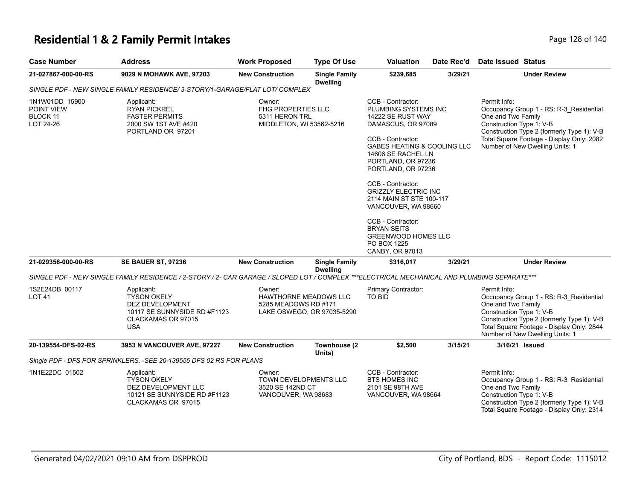# **Residential 1 & 2 Family Permit Intakes Page 128 of 140** Page 128 of 140

| <b>Case Number</b>                                           | <b>Address</b>                                                                                                                              | <b>Work Proposed</b>                                                              | <b>Type Of Use</b>                      | <b>Valuation</b>                                                                                                                                                                                                                                                                                                                                                                                                                        | Date Rec'd | <b>Date Issued Status</b>                                                                                                                                                                                                               |
|--------------------------------------------------------------|---------------------------------------------------------------------------------------------------------------------------------------------|-----------------------------------------------------------------------------------|-----------------------------------------|-----------------------------------------------------------------------------------------------------------------------------------------------------------------------------------------------------------------------------------------------------------------------------------------------------------------------------------------------------------------------------------------------------------------------------------------|------------|-----------------------------------------------------------------------------------------------------------------------------------------------------------------------------------------------------------------------------------------|
| 21-027867-000-00-RS                                          | 9029 N MOHAWK AVE, 97203                                                                                                                    | <b>New Construction</b>                                                           | <b>Single Family</b><br><b>Dwelling</b> | \$239.685                                                                                                                                                                                                                                                                                                                                                                                                                               | 3/29/21    | <b>Under Review</b>                                                                                                                                                                                                                     |
|                                                              | SINGLE PDF - NEW SINGLE FAMILY RESIDENCE/ 3-STORY/1-GARAGE/FLAT LOT/ COMPLEX                                                                |                                                                                   |                                         |                                                                                                                                                                                                                                                                                                                                                                                                                                         |            |                                                                                                                                                                                                                                         |
| 1N1W01DD 15900<br>POINT VIEW<br><b>BLOCK 11</b><br>LOT 24-26 | Applicant:<br><b>RYAN PICKREL</b><br><b>FASTER PERMITS</b><br>2000 SW 1ST AVE #420<br>PORTLAND OR 97201                                     | Owner:<br>FHG PROPERTIES LLC<br>5311 HERON TRL<br>MIDDLETON, WI 53562-5216        |                                         | CCB - Contractor:<br>PLUMBING SYSTEMS INC<br>14222 SE RUST WAY<br>DAMASCUS, OR 97089<br>CCB - Contractor:<br><b>GABES HEATING &amp; COOLING LLC</b><br>14606 SE RACHEL LN<br>PORTLAND, OR 97236<br>PORTLAND, OR 97236<br>CCB - Contractor:<br><b>GRIZZLY ELECTRIC INC</b><br>2114 MAIN ST STE 100-117<br>VANCOUVER, WA 98660<br>CCB - Contractor:<br><b>BRYAN SEITS</b><br><b>GREENWOOD HOMES LLC</b><br>PO BOX 1225<br>CANBY, OR 97013 |            | Permit Info:<br>Occupancy Group 1 - RS: R-3_Residential<br>One and Two Family<br>Construction Type 1: V-B<br>Construction Type 2 (formerly Type 1): V-B<br>Total Square Footage - Display Only: 2082<br>Number of New Dwelling Units: 1 |
| 21-029356-000-00-RS                                          | <b>SE BAUER ST, 97236</b>                                                                                                                   | <b>New Construction</b>                                                           | <b>Single Family</b><br><b>Dwelling</b> | \$316,017                                                                                                                                                                                                                                                                                                                                                                                                                               | 3/29/21    | <b>Under Review</b>                                                                                                                                                                                                                     |
|                                                              | SINGLE PDF - NEW SINGLE FAMILY RESIDENCE / 2-STORY / 2- CAR GARAGE / SLOPED LOT / COMPLEX ***ELECTRICAL MECHANICAL AND PLUMBING SEPARATE*** |                                                                                   |                                         |                                                                                                                                                                                                                                                                                                                                                                                                                                         |            |                                                                                                                                                                                                                                         |
| 1S2E24DB 00117<br>LOT <sub>41</sub>                          | Applicant:<br><b>TYSON OKELY</b><br>DEZ DEVELOPMENT<br>10117 SE SUNNYSIDE RD #F1123<br>CLACKAMAS OR 97015<br><b>USA</b>                     | Owner:<br>HAWTHORNE MEADOWS LLC<br>5285 MEADOWS RD #171                           | LAKE OSWEGO, OR 97035-5290              | Primary Contractor:<br>TO BID                                                                                                                                                                                                                                                                                                                                                                                                           |            | Permit Info:<br>Occupancy Group 1 - RS: R-3_Residential<br>One and Two Family<br>Construction Type 1: V-B<br>Construction Type 2 (formerly Type 1): V-B<br>Total Square Footage - Display Only: 2844<br>Number of New Dwelling Units: 1 |
| 20-139554-DFS-02-RS                                          | 3953 N VANCOUVER AVE, 97227                                                                                                                 | <b>New Construction</b>                                                           | Townhouse (2                            | \$2,500                                                                                                                                                                                                                                                                                                                                                                                                                                 | 3/15/21    | 3/16/21 Issued                                                                                                                                                                                                                          |
|                                                              | Single PDF - DFS FOR SPRINKLERS. - SEE 20-139555 DFS 02 RS FOR PLANS                                                                        |                                                                                   | Units)                                  |                                                                                                                                                                                                                                                                                                                                                                                                                                         |            |                                                                                                                                                                                                                                         |
| 1N1E22DC 01502                                               | Applicant:<br><b>TYSON OKELY</b><br>DEZ DEVELOPMENT LLC<br>10121 SE SUNNYSIDE RD #F1123<br>CLACKAMAS OR 97015                               | Owner:<br><b>TOWN DEVELOPMENTS LLC</b><br>3520 SE 142ND CT<br>VANCOUVER, WA 98683 |                                         | CCB - Contractor:<br><b>BTS HOMES INC</b><br>2101 SE 98TH AVE<br>VANCOUVER, WA 98664                                                                                                                                                                                                                                                                                                                                                    |            | Permit Info:<br>Occupancy Group 1 - RS: R-3 Residential<br>One and Two Family<br>Construction Type 1: V-B<br>Construction Type 2 (formerly Type 1): V-B<br>Total Square Footage - Display Only: 2314                                    |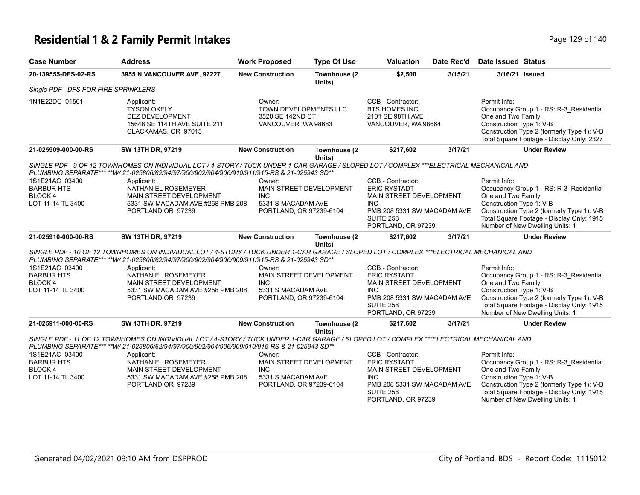### **Residential 1 & 2 Family Permit Intakes Page 129 of 140** Page 129 of 140

| <b>Case Number</b>                                                        | <b>Address</b>                                                                                                                                                                                                                                      | <b>Work Proposed</b>                                                       | <b>Type Of Use</b>      | <b>Valuation</b>                                                                                                                                           | Date Rec'd | <b>Date Issued Status</b>                                                                                                                                                                                                               |  |  |  |  |
|---------------------------------------------------------------------------|-----------------------------------------------------------------------------------------------------------------------------------------------------------------------------------------------------------------------------------------------------|----------------------------------------------------------------------------|-------------------------|------------------------------------------------------------------------------------------------------------------------------------------------------------|------------|-----------------------------------------------------------------------------------------------------------------------------------------------------------------------------------------------------------------------------------------|--|--|--|--|
| 20-139555-DFS-02-RS                                                       | 3955 N VANCOUVER AVE, 97227                                                                                                                                                                                                                         | <b>New Construction</b>                                                    | Townhouse (2<br>Units)  | \$2,500                                                                                                                                                    | 3/15/21    | 3/16/21 Issued                                                                                                                                                                                                                          |  |  |  |  |
| Single PDF - DFS FOR FIRE SPRINKLERS                                      |                                                                                                                                                                                                                                                     |                                                                            |                         |                                                                                                                                                            |            |                                                                                                                                                                                                                                         |  |  |  |  |
| 1N1E22DC 01501                                                            | Applicant:<br><b>TYSON OKELY</b><br><b>DEZ DEVELOPMENT</b><br>15648 SE 114TH AVE SUITE 211<br>CLACKAMAS, OR 97015                                                                                                                                   | Owner:<br>TOWN DEVELOPMENTS LLC<br>3520 SE 142ND CT<br>VANCOUVER, WA 98683 |                         | CCB - Contractor:<br><b>BTS HOMES INC</b><br>2101 SE 98TH AVE<br>VANCOUVER, WA 98664                                                                       |            | Permit Info:<br>Occupancy Group 1 - RS: R-3_Residential<br>One and Two Family<br>Construction Type 1: V-B<br>Construction Type 2 (formerly Type 1): V-B<br>Total Square Footage - Display Only: 2327                                    |  |  |  |  |
| 21-025909-000-00-RS                                                       | SW 13TH DR, 97219                                                                                                                                                                                                                                   | <b>New Construction</b>                                                    | Townhouse (2<br>Units)  | \$217,602                                                                                                                                                  | 3/17/21    | <b>Under Review</b>                                                                                                                                                                                                                     |  |  |  |  |
|                                                                           | SINGLE PDF - 9 OF 12 TOWNHOMES ON INDIVIDUAL LOT / 4-STORY / TUCK UNDER 1-CAR GARAGE / SLOPED LOT / COMPLEX ***ELECTRICAL MECHANICAL AND<br>PLUMBING SEPARATE*** **W/ 21-025806/62/94/97/900/902/904/906/910/911/915-RS & 21-025943 SD**            |                                                                            |                         |                                                                                                                                                            |            |                                                                                                                                                                                                                                         |  |  |  |  |
| 1S1E21AC 03400<br><b>BARBUR HTS</b><br><b>BLOCK4</b><br>LOT 11-14 TL 3400 | Applicant:<br>NATHANIEL ROSEMEYER<br><b>MAIN STREET DEVELOPMENT</b><br>5331 SW MACADAM AVE #258 PMB 208<br>PORTLAND OR 97239                                                                                                                        | Owner:<br><b>INC</b><br>5331 S MACADAM AVE<br>PORTLAND, OR 97239-6104      | MAIN STREET DEVELOPMENT | CCB - Contractor:<br><b>ERIC RYSTADT</b><br>MAIN STREET DEVELOPMENT<br>INC.<br>PMB 208 5331 SW MACADAM AVE                                                 |            | Permit Info:<br>Occupancy Group 1 - RS: R-3 Residential<br>One and Two Family<br>Construction Type 1: V-B<br>Construction Type 2 (formerly Type 1): V-B                                                                                 |  |  |  |  |
|                                                                           |                                                                                                                                                                                                                                                     |                                                                            |                         | <b>SUITE 258</b><br>PORTLAND, OR 97239                                                                                                                     |            | Total Square Footage - Display Only: 1915<br>Number of New Dwelling Units: 1                                                                                                                                                            |  |  |  |  |
| 21-025910-000-00-RS                                                       | SW 13TH DR, 97219                                                                                                                                                                                                                                   | <b>New Construction</b>                                                    | Townhouse (2<br>Units)  | \$217,602                                                                                                                                                  | 3/17/21    | <b>Under Review</b>                                                                                                                                                                                                                     |  |  |  |  |
|                                                                           | SINGLE PDF - 10 OF 12 TOWNHOMES ON INDIVIDUAL LOT / 4-STORY / TUCK UNDER 1-CAR GARAGE / SLOPED LOT / COMPLEX ***ELECTRICAL MECHANICAL AND<br>PLUMBING SEPARATE*** ** W/ 21-025806/62/94/97/900/902/904/906/909/911/915-RS & 21-025943 SD**          |                                                                            |                         |                                                                                                                                                            |            |                                                                                                                                                                                                                                         |  |  |  |  |
| 1S1E21AC 03400<br><b>BARBUR HTS</b><br><b>BLOCK4</b><br>LOT 11-14 TL 3400 | Applicant:<br>NATHANIEL ROSEMEYER<br>MAIN STREET DEVELOPMENT<br>5331 SW MACADAM AVE #258 PMB 208<br>PORTLAND OR 97239                                                                                                                               | Owner:<br><b>INC</b><br>5331 S MACADAM AVE<br>PORTLAND, OR 97239-6104      | MAIN STREET DEVELOPMENT | CCB - Contractor:<br><b>ERIC RYSTADT</b><br>MAIN STREET DEVELOPMENT<br><b>INC</b><br>PMB 208 5331 SW MACADAM AVE<br><b>SUITE 258</b><br>PORTLAND, OR 97239 |            | Permit Info:<br>Occupancy Group 1 - RS: R-3_Residential<br>One and Two Family<br>Construction Type 1: V-B<br>Construction Type 2 (formerly Type 1): V-B<br>Total Square Footage - Display Only: 1915<br>Number of New Dwelling Units: 1 |  |  |  |  |
| 21-025911-000-00-RS                                                       | SW 13TH DR, 97219                                                                                                                                                                                                                                   | <b>New Construction</b>                                                    | Townhouse (2            | \$217,602                                                                                                                                                  | 3/17/21    | <b>Under Review</b>                                                                                                                                                                                                                     |  |  |  |  |
|                                                                           | Units)<br>SINGLE PDF - 11 OF 12 TOWNHOMES ON INDIVIDUAL LOT / 4-STORY / TUCK UNDER 1-CAR GARAGE / SLOPED LOT / COMPLEX ***ELECTRICAL MECHANICAL AND<br>PLUMBING SEPARATE*** **W/ 21-025806/62/94/97/900/902/904/906/909/910/915-RS & 21-025943 SD** |                                                                            |                         |                                                                                                                                                            |            |                                                                                                                                                                                                                                         |  |  |  |  |
| 1S1E21AC 03400<br><b>BARBUR HTS</b><br><b>BLOCK4</b><br>LOT 11-14 TL 3400 | Applicant:<br>NATHANIEL ROSEMEYER<br><b>MAIN STREET DEVELOPMENT</b><br>5331 SW MACADAM AVE #258 PMB 208<br>PORTLAND OR 97239                                                                                                                        | Owner:<br><b>INC</b><br>5331 S MACADAM AVE<br>PORTLAND, OR 97239-6104      | MAIN STREET DEVELOPMENT | CCB - Contractor:<br><b>ERIC RYSTADT</b><br>MAIN STREET DEVELOPMENT<br>INC.<br>PMB 208 5331 SW MACADAM AVE<br><b>SUITE 258</b><br>PORTLAND, OR 97239       |            | Permit Info:<br>Occupancy Group 1 - RS: R-3 Residential<br>One and Two Family<br>Construction Type 1: V-B<br>Construction Type 2 (formerly Type 1): V-B<br>Total Square Footage - Display Only: 1915<br>Number of New Dwelling Units: 1 |  |  |  |  |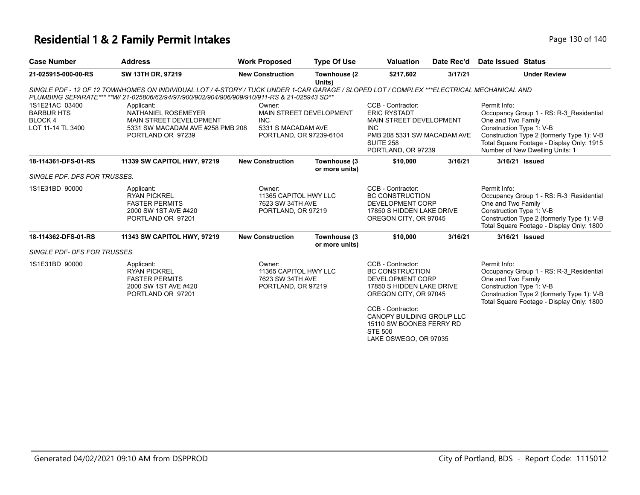# **Residential 1 & 2 Family Permit Intakes Page 130 of 140** Page 130 of 140

| <b>Case Number</b>                                                  | <b>Address</b>                                                                                                                                                                                                                            | <b>Work Proposed</b>                                                      | <b>Type Of Use</b>              | <b>Valuation</b>                                                                                                                                                                                                                                      | Date Rec'd | <b>Date Issued Status</b>                                                                                                                                                                                                               |
|---------------------------------------------------------------------|-------------------------------------------------------------------------------------------------------------------------------------------------------------------------------------------------------------------------------------------|---------------------------------------------------------------------------|---------------------------------|-------------------------------------------------------------------------------------------------------------------------------------------------------------------------------------------------------------------------------------------------------|------------|-----------------------------------------------------------------------------------------------------------------------------------------------------------------------------------------------------------------------------------------|
| 21-025915-000-00-RS                                                 | SW 13TH DR, 97219                                                                                                                                                                                                                         | <b>New Construction</b>                                                   | Townhouse (2<br>Units)          | \$217,602                                                                                                                                                                                                                                             | 3/17/21    | <b>Under Review</b>                                                                                                                                                                                                                     |
|                                                                     | SINGLE PDF - 12 OF 12 TOWNHOMES ON INDIVIDUAL LOT / 4-STORY / TUCK UNDER 1-CAR GARAGE / SLOPED LOT / COMPLEX ***ELECTRICAL MECHANICAL AND<br>PLUMBING SEPARATE*** **W/ 21-025806/62/94/97/900/902/904/906/909/910/911-RS & 21-025943 SD** |                                                                           |                                 |                                                                                                                                                                                                                                                       |            |                                                                                                                                                                                                                                         |
| 1S1E21AC 03400<br><b>BARBUR HTS</b><br>BLOCK 4<br>LOT 11-14 TL 3400 | Applicant:<br>NATHANIEL ROSEMEYER<br>MAIN STREET DEVELOPMENT<br>5331 SW MACADAM AVE #258 PMB 208<br>PORTLAND OR 97239                                                                                                                     | Owner:<br><b>INC</b><br>5331 S MACADAM AVE<br>PORTLAND, OR 97239-6104     | MAIN STREET DEVELOPMENT         | CCB - Contractor:<br><b>ERIC RYSTADT</b><br>MAIN STREET DEVELOPMENT<br><b>INC</b><br>PMB 208 5331 SW MACADAM AVE<br><b>SUITE 258</b><br>PORTLAND, OR 97239                                                                                            |            | Permit Info:<br>Occupancy Group 1 - RS: R-3_Residential<br>One and Two Family<br>Construction Type 1: V-B<br>Construction Type 2 (formerly Type 1): V-B<br>Total Square Footage - Display Only: 1915<br>Number of New Dwelling Units: 1 |
| 18-114361-DFS-01-RS                                                 | 11339 SW CAPITOL HWY, 97219                                                                                                                                                                                                               | <b>New Construction</b>                                                   | Townhouse (3)<br>or more units) | \$10,000                                                                                                                                                                                                                                              | 3/16/21    | 3/16/21 Issued                                                                                                                                                                                                                          |
| SINGLE PDF. DFS FOR TRUSSES.                                        |                                                                                                                                                                                                                                           |                                                                           |                                 |                                                                                                                                                                                                                                                       |            |                                                                                                                                                                                                                                         |
| 1S1E31BD 90000                                                      | Applicant:<br><b>RYAN PICKREL</b><br><b>FASTER PERMITS</b><br>2000 SW 1ST AVE #420<br>PORTLAND OR 97201                                                                                                                                   | Owner:<br>11365 CAPITOL HWY LLC<br>7623 SW 34TH AVE<br>PORTLAND, OR 97219 |                                 | CCB - Contractor:<br><b>BC CONSTRUCTION</b><br>DEVELOPMENT CORP<br>17850 S HIDDEN LAKE DRIVE<br>OREGON CITY, OR 97045                                                                                                                                 |            | Permit Info:<br>Occupancy Group 1 - RS: R-3 Residential<br>One and Two Family<br>Construction Type 1: V-B<br>Construction Type 2 (formerly Type 1): V-B<br>Total Square Footage - Display Only: 1800                                    |
| 18-114362-DFS-01-RS                                                 | 11343 SW CAPITOL HWY, 97219                                                                                                                                                                                                               | <b>New Construction</b>                                                   | Townhouse (3<br>or more units)  | \$10,000                                                                                                                                                                                                                                              | 3/16/21    | 3/16/21 Issued                                                                                                                                                                                                                          |
| SINGLE PDF- DFS FOR TRUSSES.                                        |                                                                                                                                                                                                                                           |                                                                           |                                 |                                                                                                                                                                                                                                                       |            |                                                                                                                                                                                                                                         |
| 1S1E31BD 90000                                                      | Applicant:<br><b>RYAN PICKREL</b><br><b>FASTER PERMITS</b><br>2000 SW 1ST AVE #420<br>PORTLAND OR 97201                                                                                                                                   | Owner:<br>11365 CAPITOL HWY LLC<br>7623 SW 34TH AVE<br>PORTLAND, OR 97219 |                                 | CCB - Contractor:<br><b>BC CONSTRUCTION</b><br><b>DEVELOPMENT CORP</b><br>17850 S HIDDEN LAKE DRIVE<br>OREGON CITY, OR 97045<br>CCB - Contractor:<br>CANOPY BUILDING GROUP LLC<br>15110 SW BOONES FERRY RD<br><b>STE 500</b><br>LAKE OSWEGO, OR 97035 |            | Permit Info:<br>Occupancy Group 1 - RS: R-3 Residential<br>One and Two Family<br>Construction Type 1: V-B<br>Construction Type 2 (formerly Type 1): V-B<br>Total Square Footage - Display Only: 1800                                    |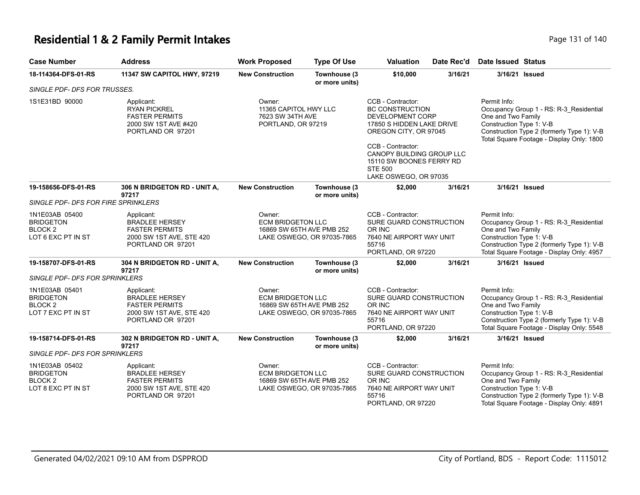#### **Residential 1 & 2 Family Permit Intakes Page 131 of 140** Page 131 of 140

| <b>Case Number</b>           | <b>Address</b>                                                                                     | <b>Work Proposed</b>                                                             | <b>Type Of Use</b>              | <b>Valuation</b>                                                                      | Date Rec'd | Date Issued Status                                              |                                         |
|------------------------------|----------------------------------------------------------------------------------------------------|----------------------------------------------------------------------------------|---------------------------------|---------------------------------------------------------------------------------------|------------|-----------------------------------------------------------------|-----------------------------------------|
| 18-114364-DFS-01-RS          | <b>11347 SW CAPITOL HWY, 97219</b>                                                                 | <b>New Construction</b>                                                          | Townhouse (3)<br>or more units) | \$10,000                                                                              | 3/16/21    |                                                                 | 3/16/21 Issued                          |
| SINGLE PDF- DFS FOR TRUSSES. |                                                                                                    |                                                                                  |                                 |                                                                                       |            |                                                                 |                                         |
| 1S1E31BD 90000               | Applicant:<br><b>RYAN PICKREL</b><br><b>FASTER PERMITS</b><br>2000 SW 1ST AVE $H$ <sub>40</sub> 00 | Owner:<br>11365 CAPITOL HWY LLC<br>7623 SW 34TH AVE<br><b>DODTI AND OD 07210</b> |                                 | CCB - Contractor:<br>BC CONSTRUCTION<br>DEVELOPMENT CORP<br>17850 S HIDDEN LAKE DRIVE |            | Permit Info:<br>One and Two Family<br>Conetruction Tyne 1: \/_R | Occupancy Group 1 - RS: R-3 Residential |

| 1S1E31BD 90000                                                                                                          | Applicant:<br><b>RYAN PICKREL</b><br><b>FASTER PERMITS</b><br>2000 SW 1ST AVE #420<br>PORTLAND OR 97201       | Owner:<br>11365 CAPITOL HWY LLC<br>7623 SW 34TH AVE<br>PORTLAND, OR 97219                     |                                | CCB - Contractor:<br><b>BC CONSTRUCTION</b><br><b>DEVELOPMENT CORP</b><br>17850 S HIDDEN LAKE DRIVE<br>OREGON CITY, OR 97045<br>CCB - Contractor:<br>CANOPY BUILDING GROUP LLC<br>15110 SW BOONES FERRY RD<br><b>STE 500</b><br>LAKE OSWEGO, OR 97035 |         | Permit Info:<br>Occupancy Group 1 - RS: R-3 Residential<br>One and Two Family<br>Construction Type 1: V-B<br>Construction Type 2 (formerly Type 1): V-B<br>Total Square Footage - Display Only: 1800 |
|-------------------------------------------------------------------------------------------------------------------------|---------------------------------------------------------------------------------------------------------------|-----------------------------------------------------------------------------------------------|--------------------------------|-------------------------------------------------------------------------------------------------------------------------------------------------------------------------------------------------------------------------------------------------------|---------|------------------------------------------------------------------------------------------------------------------------------------------------------------------------------------------------------|
| 19-158656-DFS-01-RS<br>SINGLE PDF- DFS FOR FIRE SPRINKLERS                                                              | 306 N BRIDGETON RD - UNIT A,<br>97217                                                                         | <b>New Construction</b>                                                                       | Townhouse (3<br>or more units) | \$2,000                                                                                                                                                                                                                                               | 3/16/21 | 3/16/21 Issued                                                                                                                                                                                       |
| 1N1E03AB 05400<br><b>BRIDGETON</b><br>BLOCK <sub>2</sub><br>LOT 6 EXC PT IN ST                                          | Applicant:<br><b>BRADLEE HERSEY</b><br><b>FASTER PERMITS</b><br>2000 SW 1ST AVE, STE 420<br>PORTLAND OR 97201 | Owner:<br><b>ECM BRIDGETON LLC</b><br>16869 SW 65TH AVE PMB 252<br>LAKE OSWEGO, OR 97035-7865 |                                | CCB - Contractor:<br>SURE GUARD CONSTRUCTION<br>OR INC<br>7640 NE AIRPORT WAY UNIT<br>55716<br>PORTLAND, OR 97220                                                                                                                                     |         | Permit Info:<br>Occupancy Group 1 - RS: R-3 Residential<br>One and Two Family<br>Construction Type 1: V-B<br>Construction Type 2 (formerly Type 1): V-B<br>Total Square Footage - Display Only: 4957 |
| 19-158707-DFS-01-RS                                                                                                     | 304 N BRIDGETON RD - UNIT A,<br>97217                                                                         | <b>New Construction</b>                                                                       | Townhouse (3<br>or more units) | \$2,000                                                                                                                                                                                                                                               | 3/16/21 | 3/16/21 Issued                                                                                                                                                                                       |
| <b>SINGLE PDF- DFS FOR SPRINKLERS</b><br>1N1E03AB 05401<br><b>BRIDGETON</b><br>BLOCK <sub>2</sub><br>LOT 7 EXC PT IN ST | Applicant:<br><b>BRADLEE HERSEY</b><br><b>FASTER PERMITS</b><br>2000 SW 1ST AVE, STE 420<br>PORTLAND OR 97201 | Owner:<br><b>ECM BRIDGETON LLC</b><br>16869 SW 65TH AVE PMB 252<br>LAKE OSWEGO, OR 97035-7865 |                                | CCB - Contractor:<br>SURE GUARD CONSTRUCTION<br>OR INC<br>7640 NE AIRPORT WAY UNIT<br>55716<br>PORTLAND, OR 97220                                                                                                                                     |         | Permit Info:<br>Occupancy Group 1 - RS: R-3 Residential<br>One and Two Family<br>Construction Type 1: V-B<br>Construction Type 2 (formerly Type 1): V-B<br>Total Square Footage - Display Only: 5548 |
| 19-158714-DFS-01-RS<br><b>SINGLE PDF- DFS FOR SPRINKLERS</b>                                                            | 302 N BRIDGETON RD - UNIT A,<br>97217                                                                         | <b>New Construction</b>                                                                       | Townhouse (3<br>or more units) | \$2,000                                                                                                                                                                                                                                               | 3/16/21 | 3/16/21 Issued                                                                                                                                                                                       |
| 1N1E03AB 05402<br><b>BRIDGETON</b><br>BLOCK <sub>2</sub><br>LOT 8 EXC PT IN ST                                          | Applicant:<br><b>BRADLEE HERSEY</b><br><b>FASTER PERMITS</b><br>2000 SW 1ST AVE, STE 420<br>PORTLAND OR 97201 | Owner:<br><b>ECM BRIDGETON LLC</b><br>16869 SW 65TH AVE PMB 252                               | LAKE OSWEGO, OR 97035-7865     | CCB - Contractor:<br>SURE GUARD CONSTRUCTION<br>OR INC<br>7640 NE AIRPORT WAY UNIT<br>55716<br>PORTLAND, OR 97220                                                                                                                                     |         | Permit Info:<br>Occupancy Group 1 - RS: R-3 Residential<br>One and Two Family<br>Construction Type 1: V-B<br>Construction Type 2 (formerly Type 1): V-B<br>Total Square Footage - Display Only: 4891 |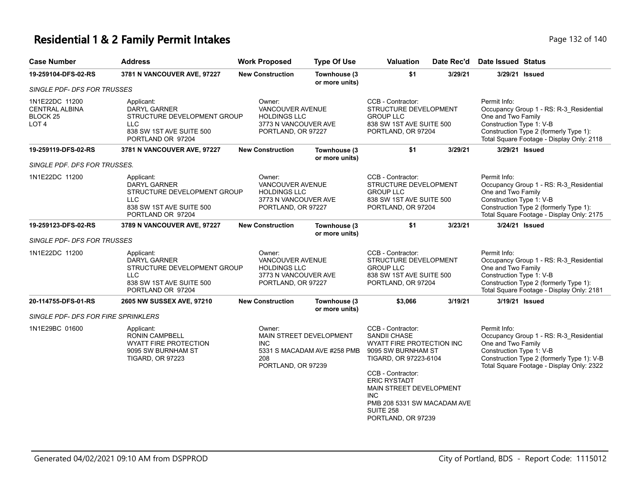# **Residential 1 & 2 Family Permit Intakes Page 132 of 140** Page 132 of 140

| <b>Case Number</b>                                                                 | <b>Address</b>                                                                                                                  | <b>Work Proposed</b>                                                                                   | <b>Type Of Use</b>                                     | Valuation                                                                                                                                                                                                                                                                   | Date Rec'd | <b>Date Issued Status</b>                                                                                                                                                                            |
|------------------------------------------------------------------------------------|---------------------------------------------------------------------------------------------------------------------------------|--------------------------------------------------------------------------------------------------------|--------------------------------------------------------|-----------------------------------------------------------------------------------------------------------------------------------------------------------------------------------------------------------------------------------------------------------------------------|------------|------------------------------------------------------------------------------------------------------------------------------------------------------------------------------------------------------|
| 19-259104-DFS-02-RS                                                                | 3781 N VANCOUVER AVE, 97227                                                                                                     | <b>New Construction</b>                                                                                | Townhouse (3<br>or more units)                         | \$1                                                                                                                                                                                                                                                                         | 3/29/21    | 3/29/21 Issued                                                                                                                                                                                       |
| SINGLE PDF- DFS FOR TRUSSES                                                        |                                                                                                                                 |                                                                                                        |                                                        |                                                                                                                                                                                                                                                                             |            |                                                                                                                                                                                                      |
| 1N1E22DC 11200<br><b>CENTRAL ALBINA</b><br>BLOCK <sub>25</sub><br>LOT <sub>4</sub> | Applicant:<br><b>DARYL GARNER</b><br>STRUCTURE DEVELOPMENT GROUP<br><b>LLC</b><br>838 SW 1ST AVE SUITE 500<br>PORTLAND OR 97204 | Owner:<br><b>VANCOUVER AVENUE</b><br><b>HOLDINGS LLC</b><br>3773 N VANCOUVER AVE<br>PORTLAND, OR 97227 |                                                        | CCB - Contractor:<br>STRUCTURE DEVELOPMENT<br><b>GROUP LLC</b><br>838 SW 1ST AVE SUITE 500<br>PORTLAND, OR 97204                                                                                                                                                            |            | Permit Info:<br>Occupancy Group 1 - RS: R-3_Residential<br>One and Two Family<br>Construction Type 1: V-B<br>Construction Type 2 (formerly Type 1):<br>Total Square Footage - Display Only: 2118     |
| 19-259119-DFS-02-RS                                                                | 3781 N VANCOUVER AVE, 97227                                                                                                     | <b>New Construction</b>                                                                                | Townhouse (3<br>or more units)                         | \$1                                                                                                                                                                                                                                                                         | 3/29/21    | 3/29/21 Issued                                                                                                                                                                                       |
| SINGLE PDF. DFS FOR TRUSSES.                                                       |                                                                                                                                 |                                                                                                        |                                                        |                                                                                                                                                                                                                                                                             |            |                                                                                                                                                                                                      |
| 1N1E22DC 11200                                                                     | Applicant:<br>DARYL GARNER<br>STRUCTURE DEVELOPMENT GROUP<br><b>LLC</b><br>838 SW 1ST AVE SUITE 500<br>PORTLAND OR 97204        | Owner:<br><b>VANCOUVER AVENUE</b><br><b>HOLDINGS LLC</b><br>3773 N VANCOUVER AVE<br>PORTLAND, OR 97227 |                                                        | CCB - Contractor:<br>STRUCTURE DEVELOPMENT<br><b>GROUP LLC</b><br>838 SW 1ST AVE SUITE 500<br>PORTLAND, OR 97204                                                                                                                                                            |            | Permit Info:<br>Occupancy Group 1 - RS: R-3 Residential<br>One and Two Family<br>Construction Type 1: V-B<br>Construction Type 2 (formerly Type 1):<br>Total Square Footage - Display Only: 2175     |
| 19-259123-DFS-02-RS                                                                | 3789 N VANCOUVER AVE, 97227                                                                                                     | <b>New Construction</b>                                                                                | Townhouse (3                                           | \$1                                                                                                                                                                                                                                                                         | 3/23/21    | 3/24/21 Issued                                                                                                                                                                                       |
| SINGLE PDF- DFS FOR TRUSSES                                                        |                                                                                                                                 |                                                                                                        | or more units)                                         |                                                                                                                                                                                                                                                                             |            |                                                                                                                                                                                                      |
| 1N1E22DC 11200                                                                     | Applicant:<br><b>DARYL GARNER</b><br>STRUCTURE DEVELOPMENT GROUP<br><b>LLC</b><br>838 SW 1ST AVE SUITE 500<br>PORTLAND OR 97204 | Owner:<br><b>VANCOUVER AVENUE</b><br><b>HOLDINGS LLC</b><br>3773 N VANCOUVER AVE<br>PORTLAND, OR 97227 |                                                        | CCB - Contractor:<br>STRUCTURE DEVELOPMENT<br><b>GROUP LLC</b><br>838 SW 1ST AVE SUITE 500<br>PORTLAND, OR 97204                                                                                                                                                            |            | Permit Info:<br>Occupancy Group 1 - RS: R-3 Residential<br>One and Two Family<br>Construction Type 1: V-B<br>Construction Type 2 (formerly Type 1):<br>Total Square Footage - Display Only: 2181     |
| 20-114755-DFS-01-RS                                                                | 2605 NW SUSSEX AVE, 97210                                                                                                       | <b>New Construction</b>                                                                                | Townhouse (3<br>or more units)                         | \$3,066                                                                                                                                                                                                                                                                     | 3/19/21    | 3/19/21 Issued                                                                                                                                                                                       |
| SINGLE PDF- DFS FOR FIRE SPRINKLERS                                                |                                                                                                                                 |                                                                                                        |                                                        |                                                                                                                                                                                                                                                                             |            |                                                                                                                                                                                                      |
| 1N1E29BC 01600                                                                     | Applicant:<br><b>RONIN CAMPBELL</b><br><b>WYATT FIRE PROTECTION</b><br>9095 SW BURNHAM ST<br><b>TIGARD, OR 97223</b>            | Owner:<br><b>INC</b><br>208<br>PORTLAND, OR 97239                                                      | MAIN STREET DEVELOPMENT<br>5331 S MACADAM AVE #258 PMB | CCB - Contractor:<br>SANDII CHASE<br>WYATT FIRE PROTECTION INC<br>9095 SW BURNHAM ST<br>TIGARD, OR 97223-6104<br>CCB - Contractor:<br><b>ERIC RYSTADT</b><br>MAIN STREET DEVELOPMENT<br><b>INC</b><br>PMB 208 5331 SW MACADAM AVE<br><b>SUITE 258</b><br>PORTLAND, OR 97239 |            | Permit Info:<br>Occupancy Group 1 - RS: R-3_Residential<br>One and Two Family<br>Construction Type 1: V-B<br>Construction Type 2 (formerly Type 1): V-B<br>Total Square Footage - Display Only: 2322 |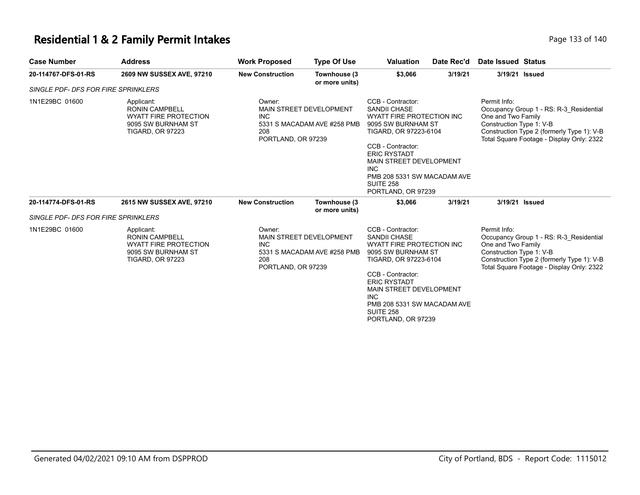# **Residential 1 & 2 Family Permit Intakes Page 133 of 140** Page 133 of 140

|                          |   |  |  |   |  | r aye iss of t |  |
|--------------------------|---|--|--|---|--|----------------|--|
|                          |   |  |  |   |  |                |  |
| $\overline{\phantom{0}}$ | . |  |  | . |  |                |  |

| <b>Case Number</b>                  | <b>Address</b>                                                                                                       | <b>Work Proposed</b>                                                                                        | <b>Type Of Use</b>                                     | Valuation                                                                                                                                                                                                                                                                          | Date Rec'd | Date Issued Status                                                                                                                                                                                   |
|-------------------------------------|----------------------------------------------------------------------------------------------------------------------|-------------------------------------------------------------------------------------------------------------|--------------------------------------------------------|------------------------------------------------------------------------------------------------------------------------------------------------------------------------------------------------------------------------------------------------------------------------------------|------------|------------------------------------------------------------------------------------------------------------------------------------------------------------------------------------------------------|
| 20-114767-DFS-01-RS                 | 2609 NW SUSSEX AVE, 97210                                                                                            | <b>New Construction</b>                                                                                     | Townhouse (3<br>or more units)                         | \$3,066                                                                                                                                                                                                                                                                            | 3/19/21    | 3/19/21 Issued                                                                                                                                                                                       |
| SINGLE PDF- DFS FOR FIRE SPRINKLERS |                                                                                                                      |                                                                                                             |                                                        |                                                                                                                                                                                                                                                                                    |            |                                                                                                                                                                                                      |
| 1N1E29BC 01600                      | Applicant:<br><b>RONIN CAMPBELL</b><br><b>WYATT FIRE PROTECTION</b><br>9095 SW BURNHAM ST<br><b>TIGARD, OR 97223</b> | Owner:<br>MAIN STREET DEVELOPMENT<br><b>INC</b><br>5331 S MACADAM AVE #258 PMB<br>208<br>PORTLAND, OR 97239 |                                                        | CCB - Contractor:<br><b>SANDII CHASE</b><br><b>WYATT FIRE PROTECTION INC</b><br>9095 SW BURNHAM ST<br>TIGARD, OR 97223-6104<br>CCB - Contractor:<br><b>ERIC RYSTADT</b><br>MAIN STREET DEVELOPMENT<br><b>INC</b><br>PMB 208 5331 SW MACADAM AVE<br>SUITE 258<br>PORTLAND, OR 97239 |            | Permit Info:<br>Occupancy Group 1 - RS: R-3 Residential<br>One and Two Family<br>Construction Type 1: V-B<br>Construction Type 2 (formerly Type 1): V-B<br>Total Square Footage - Display Only: 2322 |
| 20-114774-DFS-01-RS                 | 2615 NW SUSSEX AVE, 97210                                                                                            | <b>New Construction</b>                                                                                     | Townhouse (3                                           | \$3,066                                                                                                                                                                                                                                                                            | 3/19/21    | 3/19/21 Issued                                                                                                                                                                                       |
| SINGLE PDF- DFS FOR FIRE SPRINKLERS |                                                                                                                      |                                                                                                             | or more units)                                         |                                                                                                                                                                                                                                                                                    |            |                                                                                                                                                                                                      |
| 1N1E29BC 01600                      | Applicant:<br><b>RONIN CAMPBELL</b><br><b>WYATT FIRE PROTECTION</b><br>9095 SW BURNHAM ST<br><b>TIGARD, OR 97223</b> | Owner:<br><b>INC</b><br>208<br>PORTLAND, OR 97239                                                           | MAIN STREET DEVELOPMENT<br>5331 S MACADAM AVE #258 PMB | CCB - Contractor:<br><b>SANDII CHASE</b><br>WYATT FIRE PROTECTION INC<br>9095 SW BURNHAM ST<br>TIGARD, OR 97223-6104<br>CCB - Contractor:<br><b>ERIC RYSTADT</b><br>MAIN STREET DEVELOPMENT<br>INC.<br>PMB 208 5331 SW MACADAM AVE<br>SUITE 258<br>PORTLAND, OR 97239              |            | Permit Info:<br>Occupancy Group 1 - RS: R-3 Residential<br>One and Two Family<br>Construction Type 1: V-B<br>Construction Type 2 (formerly Type 1): V-B<br>Total Square Footage - Display Only: 2322 |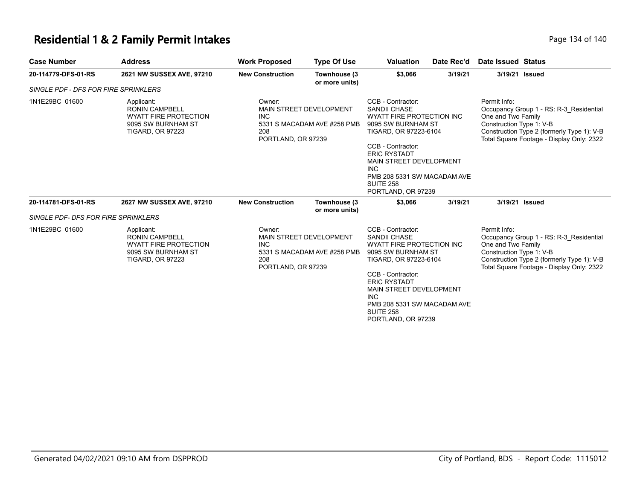### **Residential 1 & 2 Family Permit Intakes Page 134 of 140** Page 134 of 140

| <b>Case Number</b>                         | <b>Address</b>                                                                                                       | <b>Work Proposed</b>                                                                                               | <b>Type Of Use</b>                                                           | <b>Valuation</b>                                                                                                                                                                                                                                                             | Date Rec'd                                                                                                                                               | Date Issued Status                                                                                                                                                                                   |
|--------------------------------------------|----------------------------------------------------------------------------------------------------------------------|--------------------------------------------------------------------------------------------------------------------|------------------------------------------------------------------------------|------------------------------------------------------------------------------------------------------------------------------------------------------------------------------------------------------------------------------------------------------------------------------|----------------------------------------------------------------------------------------------------------------------------------------------------------|------------------------------------------------------------------------------------------------------------------------------------------------------------------------------------------------------|
| 20-114779-DFS-01-RS                        | 2621 NW SUSSEX AVE, 97210                                                                                            | <b>New Construction</b>                                                                                            | Townhouse (3<br>or more units)                                               | \$3,066                                                                                                                                                                                                                                                                      | 3/19/21                                                                                                                                                  | 3/19/21 Issued                                                                                                                                                                                       |
| SINGLE PDF - DFS FOR FIRE SPRINKLERS       |                                                                                                                      |                                                                                                                    |                                                                              |                                                                                                                                                                                                                                                                              |                                                                                                                                                          |                                                                                                                                                                                                      |
| 1N1E29BC 01600                             | Applicant:<br><b>RONIN CAMPBELL</b><br><b>WYATT FIRE PROTECTION</b><br>9095 SW BURNHAM ST<br><b>TIGARD, OR 97223</b> | Owner:<br><b>MAIN STREET DEVELOPMENT</b><br><b>INC</b><br>5331 S MACADAM AVE #258 PMB<br>208<br>PORTLAND, OR 97239 |                                                                              | CCB - Contractor:<br><b>SANDII CHASE</b><br>WYATT FIRE PROTECTION INC<br>9095 SW BURNHAM ST<br>TIGARD, OR 97223-6104<br>CCB - Contractor:<br><b>ERIC RYSTADT</b><br>MAIN STREET DEVELOPMENT<br>INC.<br>PMB 208 5331 SW MACADAM AVE<br><b>SUITE 258</b><br>PORTLAND, OR 97239 |                                                                                                                                                          | Permit Info:<br>Occupancy Group 1 - RS: R-3 Residential<br>One and Two Family<br>Construction Type 1: V-B<br>Construction Type 2 (formerly Type 1): V-B<br>Total Square Footage - Display Only: 2322 |
| 20-114781-DFS-01-RS                        | 2627 NW SUSSEX AVE, 97210                                                                                            | <b>New Construction</b>                                                                                            | Townhouse (3<br>or more units)                                               | \$3,066                                                                                                                                                                                                                                                                      | 3/19/21                                                                                                                                                  | 3/19/21 Issued                                                                                                                                                                                       |
| <b>SINGLE PDF- DFS FOR FIRE SPRINKLERS</b> |                                                                                                                      |                                                                                                                    |                                                                              |                                                                                                                                                                                                                                                                              |                                                                                                                                                          |                                                                                                                                                                                                      |
| 1N1E29BC 01600                             | Applicant:<br><b>RONIN CAMPBELL</b><br><b>WYATT FIRE PROTECTION</b><br>9095 SW BURNHAM ST<br><b>TIGARD, OR 97223</b> | Owner:<br><b>INC</b><br>208                                                                                        | MAIN STREET DEVELOPMENT<br>5331 S MACADAM AVE #258 PMB<br>PORTLAND, OR 97239 |                                                                                                                                                                                                                                                                              | WYATT FIRE PROTECTION INC<br>9095 SW BURNHAM ST<br>TIGARD, OR 97223-6104<br>MAIN STREET DEVELOPMENT<br>PMB 208 5331 SW MACADAM AVE<br>PORTLAND, OR 97239 | Permit Info:<br>Occupancy Group 1 - RS: R-3 Residential<br>One and Two Family<br>Construction Type 1: V-B<br>Construction Type 2 (formerly Type 1): V-B<br>Total Square Footage - Display Only: 2322 |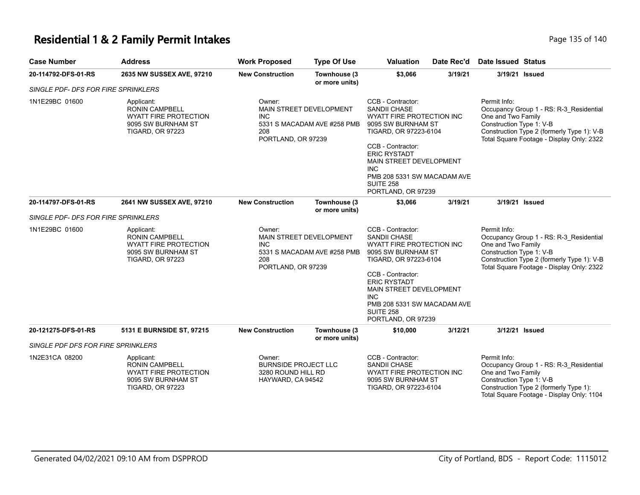#### **Residential 1 & 2 Family Permit Intakes Page 135 of 140** Page 135 of 140

| <b>Case Number</b>                  | <b>Address</b>                                                                                                       | <b>Work Proposed</b>                              | <b>Type Of Use</b>                                     | <b>Valuation</b>                                                                                                                                                                                                                                                                   | Date Rec'd | Date Issued Status                                             |                                                                                                                                    |
|-------------------------------------|----------------------------------------------------------------------------------------------------------------------|---------------------------------------------------|--------------------------------------------------------|------------------------------------------------------------------------------------------------------------------------------------------------------------------------------------------------------------------------------------------------------------------------------------|------------|----------------------------------------------------------------|------------------------------------------------------------------------------------------------------------------------------------|
| 20-114792-DFS-01-RS                 | 2635 NW SUSSEX AVE, 97210                                                                                            | <b>New Construction</b>                           | Townhouse (3<br>or more units)                         | \$3,066                                                                                                                                                                                                                                                                            | 3/19/21    | 3/19/21                                                        | Issued                                                                                                                             |
| SINGLE PDF- DFS FOR FIRE SPRINKLERS |                                                                                                                      |                                                   |                                                        |                                                                                                                                                                                                                                                                                    |            |                                                                |                                                                                                                                    |
| 1N1E29BC 01600                      | Applicant:<br><b>RONIN CAMPBELL</b><br><b>WYATT FIRE PROTECTION</b><br>9095 SW BURNHAM ST<br><b>TIGARD, OR 97223</b> | Owner:<br><b>INC</b><br>208<br>PORTLAND, OR 97239 | MAIN STREET DEVELOPMENT<br>5331 S MACADAM AVE #258 PMB | CCB - Contractor:<br><b>SANDII CHASE</b><br>WYATT FIRE PROTECTION INC<br>9095 SW BURNHAM ST<br>TIGARD, OR 97223-6104<br>CCB - Contractor:<br><b>ERIC RYSTADT</b><br>MAIN STREET DEVELOPMENT<br><b>INC</b><br>PMB 208 5331 SW MACADAM AVE<br><b>SUITE 258</b><br>PORTLAND, OR 97239 |            | Permit Info:<br>One and Two Family<br>Construction Type 1: V-B | Occupancy Group 1 - RS: R-3_Residential<br>Construction Type 2 (formerly Type 1): V-B<br>Total Square Footage - Display Only: 2322 |
| 20-114797-DFS-01-RS                 | 2641 NW SUSSEX AVE, 97210                                                                                            | <b>New Construction</b>                           | Townhouse (3<br>or more units)                         | \$3,066                                                                                                                                                                                                                                                                            | 3/19/21    | 3/19/21                                                        | Issued                                                                                                                             |
| SINGLE PDF- DFS FOR FIRE SPRINKLERS |                                                                                                                      |                                                   |                                                        |                                                                                                                                                                                                                                                                                    |            |                                                                |                                                                                                                                    |
| 1N1E29BC 01600                      | Applicant:<br><b>RONIN CAMPBELL</b><br><b>WYATT FIRE PROTECTION</b><br>9095 SW BURNHAM ST<br><b>TIGARD, OR 97223</b> | Owner:<br><b>INC</b><br>208<br>PORTLAND, OR 97239 | MAIN STREET DEVELOPMENT<br>5331 S MACADAM AVE #258 PMB | CCB - Contractor:<br>SANDII CHASE<br>WYATT FIRE PROTECTION INC<br>9095 SW BURNHAM ST<br>TIGARD, OR 97223-6104<br>CCB - Contractor:                                                                                                                                                 |            | Permit Info:<br>One and Two Family<br>Construction Type 1: V-B | Occupancy Group 1 - RS: R-3 Residential<br>Construction Type 2 (formerly Type 1): V-B<br>Total Square Footage - Display Only: 2322 |

|                                    |                                                                                                        |                                                                                  |                                 | <b>ERIC RYSTADT</b><br>MAIN STREET DEVELOPMENT<br>INC.<br>PMB 208 5331 SW MACADAM AVE<br>SUITE 258<br>PORTLAND, OR 97239 |         |                                                                                                                                                                                                  |
|------------------------------------|--------------------------------------------------------------------------------------------------------|----------------------------------------------------------------------------------|---------------------------------|--------------------------------------------------------------------------------------------------------------------------|---------|--------------------------------------------------------------------------------------------------------------------------------------------------------------------------------------------------|
| 20-121275-DFS-01-RS                | 5131 E BURNSIDE ST. 97215                                                                              | <b>New Construction</b>                                                          | Townhouse (3)<br>or more units) | \$10,000                                                                                                                 | 3/12/21 | 3/12/21 Issued                                                                                                                                                                                   |
| SINGLE PDF DFS FOR FIRE SPRINKLERS |                                                                                                        |                                                                                  |                                 |                                                                                                                          |         |                                                                                                                                                                                                  |
| 1N2E31CA 08200                     | Applicant:<br><b>RONIN CAMPBELL</b><br>WYATT FIRE PROTECTION<br>9095 SW BURNHAM ST<br>TIGARD, OR 97223 | Owner:<br><b>BURNSIDE PROJECT LLC</b><br>3280 ROUND HILL RD<br>HAYWARD. CA 94542 |                                 | CCB - Contractor:<br>SANDII CHASE<br>WYATT FIRE PROTECTION INC<br>9095 SW BURNHAM ST<br>TIGARD. OR 97223-6104            |         | Permit Info:<br>Occupancy Group 1 - RS: R-3 Residential<br>One and Two Family<br>Construction Type 1: V-B<br>Construction Type 2 (formerly Type 1):<br>Total Square Footage - Display Only: 1104 |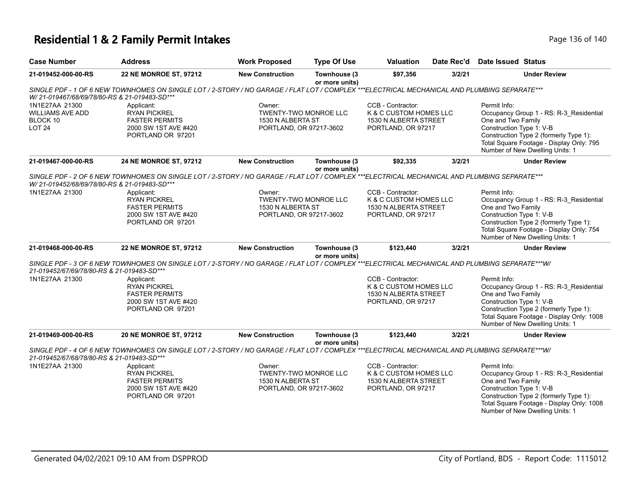# **Residential 1 & 2 Family Permit Intakes Page 136 of 140** Page 136 of 140

| <b>Case Number</b>                                                     | <b>Address</b>                                                                                                                                 | <b>Work Proposed</b>                                                                   | <b>Type Of Use</b>             | <b>Valuation</b>                                                                           | Date Rec'd | <b>Date Issued Status</b>                                                                                                                                                                                                           |
|------------------------------------------------------------------------|------------------------------------------------------------------------------------------------------------------------------------------------|----------------------------------------------------------------------------------------|--------------------------------|--------------------------------------------------------------------------------------------|------------|-------------------------------------------------------------------------------------------------------------------------------------------------------------------------------------------------------------------------------------|
| 21-019452-000-00-RS                                                    | 22 NE MONROE ST, 97212                                                                                                                         | <b>New Construction</b>                                                                | Townhouse (3<br>or more units) | \$97,356                                                                                   | 3/2/21     | <b>Under Review</b>                                                                                                                                                                                                                 |
| W/21-019467/68/69/78/80-RS & 21-019483-SD***                           | SINGLE PDF - 1 OF 6 NEW TOWNHOMES ON SINGLE LOT / 2-STORY / NO GARAGE / FLAT LOT / COMPLEX ***ELECTRICAL MECHANICAL AND PLUMBING SEPARATE***   |                                                                                        |                                |                                                                                            |            |                                                                                                                                                                                                                                     |
| 1N1E27AA 21300<br><b>WILLIAMS AVE ADD</b><br>BLOCK 10<br><b>LOT 24</b> | Applicant:<br><b>RYAN PICKREL</b><br><b>FASTER PERMITS</b><br>2000 SW 1ST AVE #420<br>PORTLAND OR 97201                                        | Owner:<br><b>TWENTY-TWO MONROE LLC</b><br>1530 N ALBERTA ST<br>PORTLAND, OR 97217-3602 |                                | CCB - Contractor:<br>K & C CUSTOM HOMES LLC<br>1530 N ALBERTA STREET<br>PORTLAND, OR 97217 |            | Permit Info:<br>Occupancy Group 1 - RS: R-3 Residential<br>One and Two Family<br>Construction Type 1: V-B<br>Construction Type 2 (formerly Type 1):<br>Total Square Footage - Display Only: 795<br>Number of New Dwelling Units: 1  |
| 21-019467-000-00-RS                                                    | 24 NE MONROE ST, 97212                                                                                                                         | <b>New Construction</b>                                                                | Townhouse (3<br>or more units) | \$92,335                                                                                   | 3/2/21     | <b>Under Review</b>                                                                                                                                                                                                                 |
| W/ 21-019452/68/69/78/80-RS & 21-019483-SD***                          | SINGLE PDF - 2 OF 6 NEW TOWNHOMES ON SINGLE LOT / 2-STORY / NO GARAGE / FLAT LOT / COMPLEX ***ELECTRICAL MECHANICAL AND PLUMBING SEPARATE***   |                                                                                        |                                |                                                                                            |            |                                                                                                                                                                                                                                     |
| 1N1E27AA 21300                                                         | Applicant:<br><b>RYAN PICKREL</b><br><b>FASTER PERMITS</b><br>2000 SW 1ST AVE #420<br>PORTLAND OR 97201                                        | Owner:<br>TWENTY-TWO MONROE LLC<br>1530 N ALBERTA ST<br>PORTLAND, OR 97217-3602        |                                | CCB - Contractor:<br>K & C CUSTOM HOMES LLC<br>1530 N ALBERTA STREET<br>PORTLAND, OR 97217 |            | Permit Info:<br>Occupancy Group 1 - RS: R-3_Residential<br>One and Two Family<br>Construction Type 1: V-B<br>Construction Type 2 (formerly Type 1):<br>Total Square Footage - Display Only: 754<br>Number of New Dwelling Units: 1  |
| 21-019468-000-00-RS                                                    | 22 NE MONROE ST, 97212                                                                                                                         | <b>New Construction</b>                                                                | Townhouse (3<br>or more units) | \$123,440                                                                                  | 3/2/21     | <b>Under Review</b>                                                                                                                                                                                                                 |
| 21-019452/67/69/78/80-RS & 21-019483-SD***                             | SINGLE PDF - 3 OF 6 NEW TOWNHOMES ON SINGLE LOT / 2-STORY / NO GARAGE / FLAT LOT / COMPLEX ***ELECTRICAL MECHANICAL AND PLUMBING SEPARATE***W/ |                                                                                        |                                |                                                                                            |            |                                                                                                                                                                                                                                     |
| 1N1E27AA 21300                                                         | Applicant:<br><b>RYAN PICKREL</b><br><b>FASTER PERMITS</b><br>2000 SW 1ST AVE #420<br>PORTLAND OR 97201                                        |                                                                                        |                                | CCB - Contractor:<br>K & C CUSTOM HOMES LLC<br>1530 N ALBERTA STREET<br>PORTLAND, OR 97217 |            | Permit Info:<br>Occupancy Group 1 - RS: R-3_Residential<br>One and Two Family<br>Construction Type 1: V-B<br>Construction Type 2 (formerly Type 1):<br>Total Square Footage - Display Only: 1008<br>Number of New Dwelling Units: 1 |
| 21-019469-000-00-RS                                                    | 20 NE MONROE ST, 97212                                                                                                                         | <b>New Construction</b>                                                                | Townhouse (3<br>or more units) | \$123,440                                                                                  | 3/2/21     | <b>Under Review</b>                                                                                                                                                                                                                 |
| 21-019452/67/68/78/80-RS & 21-019483-SD***                             | SINGLE PDF - 4 OF 6 NEW TOWNHOMES ON SINGLE LOT / 2-STORY / NO GARAGE / FLAT LOT / COMPLEX ***ELECTRICAL MECHANICAL AND PLUMBING SEPARATE***W/ |                                                                                        |                                |                                                                                            |            |                                                                                                                                                                                                                                     |
| 1N1E27AA 21300                                                         | Applicant:<br><b>RYAN PICKREL</b><br><b>FASTER PERMITS</b><br>2000 SW 1ST AVE #420<br>PORTLAND OR 97201                                        | Owner:<br>TWENTY-TWO MONROE LLC<br>1530 N ALBERTA ST<br>PORTLAND, OR 97217-3602        |                                | CCB - Contractor:<br>K & C CUSTOM HOMES LLC<br>1530 N ALBERTA STREET<br>PORTLAND, OR 97217 |            | Permit Info:<br>Occupancy Group 1 - RS: R-3_Residential<br>One and Two Family<br>Construction Type 1: V-B<br>Construction Type 2 (formerly Type 1):<br>Total Square Footage - Display Only: 1008<br>Number of New Dwelling Units: 1 |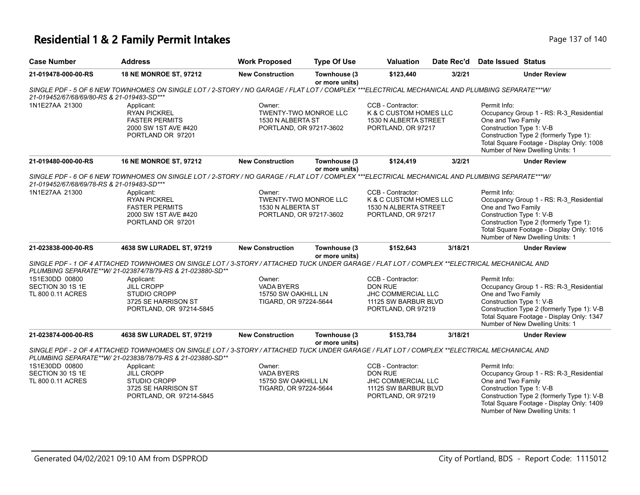# **Residential 1 & 2 Family Permit Intakes Page 137 of 140** Page 137 of 140

| <b>Case Number</b>                                      | <b>Address</b>                                                                                                                                                                                            | <b>Work Proposed</b>                                                                   | <b>Type Of Use</b>             | <b>Valuation</b>                                                                                        | Date Rec'd | Date Issued Status                                             |                                                                                                                                                                       |
|---------------------------------------------------------|-----------------------------------------------------------------------------------------------------------------------------------------------------------------------------------------------------------|----------------------------------------------------------------------------------------|--------------------------------|---------------------------------------------------------------------------------------------------------|------------|----------------------------------------------------------------|-----------------------------------------------------------------------------------------------------------------------------------------------------------------------|
| 21-019478-000-00-RS                                     | 18 NE MONROE ST, 97212                                                                                                                                                                                    | <b>New Construction</b>                                                                | Townhouse (3<br>or more units) | \$123,440                                                                                               | 3/2/21     |                                                                | <b>Under Review</b>                                                                                                                                                   |
| 21-019452/67/68/69/80-RS & 21-019483-SD***              | SINGLE PDF - 5 OF 6 NEW TOWNHOMES ON SINGLE LOT / 2-STORY / NO GARAGE / FLAT LOT / COMPLEX ***ELECTRICAL MECHANICAL AND PLUMBING SEPARATE***W/                                                            |                                                                                        |                                |                                                                                                         |            |                                                                |                                                                                                                                                                       |
| 1N1E27AA 21300                                          | Applicant:<br><b>RYAN PICKREL</b><br><b>FASTER PERMITS</b><br>2000 SW 1ST AVE #420<br>PORTLAND OR 97201                                                                                                   | Owner:<br><b>TWENTY-TWO MONROE LLC</b><br>1530 N ALBERTA ST<br>PORTLAND, OR 97217-3602 |                                | CCB - Contractor:<br>K & C CUSTOM HOMES LLC<br>1530 N ALBERTA STREET<br>PORTLAND, OR 97217              |            | Permit Info:<br>One and Two Family<br>Construction Type 1: V-B | Occupancy Group 1 - RS: R-3 Residential<br>Construction Type 2 (formerly Type 1):<br>Total Square Footage - Display Only: 1008<br>Number of New Dwelling Units: 1     |
| 21-019480-000-00-RS                                     | <b>16 NE MONROE ST, 97212</b>                                                                                                                                                                             | <b>New Construction</b>                                                                | Townhouse (3<br>or more units) | \$124,419                                                                                               | 3/2/21     |                                                                | <b>Under Review</b>                                                                                                                                                   |
| 21-019452/67/68/69/78-RS & 21-019483-SD***              | SINGLE PDF - 6 OF 6 NEW TOWNHOMES ON SINGLE LOT / 2-STORY / NO GARAGE / FLAT LOT / COMPLEX ***ELECTRICAL MECHANICAL AND PLUMBING SEPARATE***W/                                                            |                                                                                        |                                |                                                                                                         |            |                                                                |                                                                                                                                                                       |
| 1N1E27AA 21300                                          | Applicant:<br><b>RYAN PICKREL</b><br><b>FASTER PERMITS</b><br>2000 SW 1ST AVE #420<br>PORTLAND OR 97201                                                                                                   | Owner:<br>TWENTY-TWO MONROE LLC<br>1530 N ALBERTA ST<br>PORTLAND, OR 97217-3602        |                                | CCB - Contractor:<br>K & C CUSTOM HOMES LLC<br>1530 N ALBERTA STREET<br>PORTLAND, OR 97217              |            | Permit Info:<br>One and Two Family<br>Construction Type 1: V-B | Occupancy Group 1 - RS: R-3_Residential<br>Construction Type 2 (formerly Type 1):<br>Total Square Footage - Display Only: 1016<br>Number of New Dwelling Units: 1     |
| 21-023838-000-00-RS                                     | 4638 SW LURADEL ST, 97219                                                                                                                                                                                 | <b>New Construction</b>                                                                | Townhouse (3<br>or more units) | \$152,643                                                                                               | 3/18/21    |                                                                | <b>Under Review</b>                                                                                                                                                   |
|                                                         | SINGLE PDF - 1 OF 4 ATTACHED TOWNHOMES ON SINGLE LOT / 3-STORY / ATTACHED TUCK UNDER GARAGE / FLAT LOT / COMPLEX **ELECTRICAL MECHANICAL AND<br>PLUMBING SEPARATE**W/ 21-023874/78/79-RS & 21-023880-SD** |                                                                                        |                                |                                                                                                         |            |                                                                |                                                                                                                                                                       |
| 1S1E30DD 00800<br>SECTION 30 1S 1E<br>TL 800 0.11 ACRES | Applicant:<br><b>JILL CROPP</b><br>STUDIO CROPP<br>3725 SE HARRISON ST<br>PORTLAND, OR 97214-5845                                                                                                         | Owner:<br><b>VADA BYERS</b><br>15750 SW OAKHILL LN<br>TIGARD, OR 97224-5644            |                                | CCB - Contractor:<br><b>DON RUE</b><br>JHC COMMERCIAL LLC<br>11125 SW BARBUR BLVD<br>PORTLAND, OR 97219 |            | Permit Info:<br>One and Two Family<br>Construction Type 1: V-B | Occupancy Group 1 - RS: R-3 Residential<br>Construction Type 2 (formerly Type 1): V-B<br>Total Square Footage - Display Only: 1347<br>Number of New Dwelling Units: 1 |
| 21-023874-000-00-RS                                     | 4638 SW LURADEL ST, 97219                                                                                                                                                                                 | <b>New Construction</b>                                                                | Townhouse (3<br>or more units) | \$153,784                                                                                               | 3/18/21    |                                                                | <b>Under Review</b>                                                                                                                                                   |
|                                                         | SINGLE PDF - 2 OF 4 ATTACHED TOWNHOMES ON SINGLE LOT / 3-STORY / ATTACHED TUCK UNDER GARAGE / FLAT LOT / COMPLEX **ELECTRICAL MECHANICAL AND<br>PLUMBING SEPARATE**W/ 21-023838/78/79-RS & 21-023880-SD** |                                                                                        |                                |                                                                                                         |            |                                                                |                                                                                                                                                                       |
| 1S1E30DD 00800                                          | Applicant:                                                                                                                                                                                                | Owner:                                                                                 |                                | CCB - Contractor:                                                                                       |            | Permit Info:                                                   |                                                                                                                                                                       |
| SECTION 30 1S 1E                                        | <b>JILL CROPP</b>                                                                                                                                                                                         | <b>VADA BYERS</b>                                                                      |                                | <b>DON RUE</b>                                                                                          |            |                                                                | Occupancy Group 1 - RS: R-3_Residential                                                                                                                               |
| TL 800 0.11 ACRES                                       | STUDIO CROPP<br>3725 SE HARRISON ST<br>PORTLAND, OR 97214-5845                                                                                                                                            | 15750 SW OAKHILL LN<br>TIGARD, OR 97224-5644                                           |                                | JHC COMMERCIAL LLC<br>11125 SW BARBUR BLVD<br>PORTLAND, OR 97219                                        |            | One and Two Family<br>Construction Type 1: V-B                 | Construction Type 2 (formerly Type 1): V-B<br>Total Square Footage - Display Only: 1409<br>Number of New Dwelling Units: 1                                            |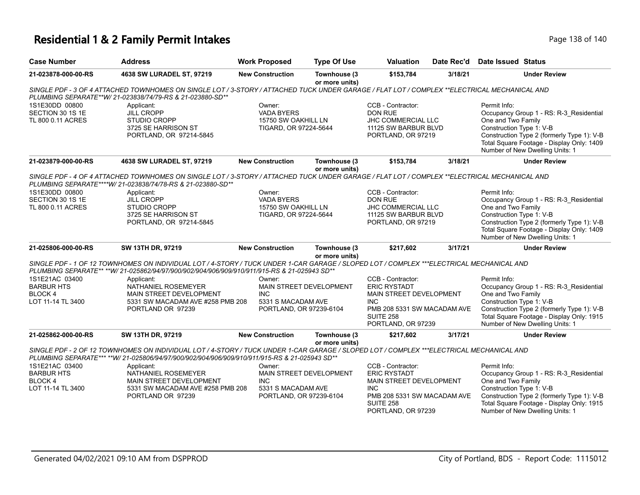# **Residential 1 & 2 Family Permit Intakes Page 138 of 140** Page 138 of 140

| <b>Case Number</b>                                                                                                                                                                                                                        | <b>Address</b>                                                                                                                                                                                                                            | <b>Work Proposed</b>                                                                                    | <b>Type Of Use</b>             | <b>Valuation</b>                                                                                                                                           | Date Rec'd | Date Issued Status                                                                                                                                                                                                                      |  |
|-------------------------------------------------------------------------------------------------------------------------------------------------------------------------------------------------------------------------------------------|-------------------------------------------------------------------------------------------------------------------------------------------------------------------------------------------------------------------------------------------|---------------------------------------------------------------------------------------------------------|--------------------------------|------------------------------------------------------------------------------------------------------------------------------------------------------------|------------|-----------------------------------------------------------------------------------------------------------------------------------------------------------------------------------------------------------------------------------------|--|
| 21-023878-000-00-RS                                                                                                                                                                                                                       | 4638 SW LURADEL ST, 97219                                                                                                                                                                                                                 | <b>New Construction</b>                                                                                 | Townhouse (3<br>or more units) | \$153,784                                                                                                                                                  | 3/18/21    | <b>Under Review</b>                                                                                                                                                                                                                     |  |
| SINGLE PDF - 3 OF 4 ATTACHED TOWNHOMES ON SINGLE LOT / 3-STORY / ATTACHED TUCK UNDER GARAGE / FLAT LOT / COMPLEX **ELECTRICAL MECHANICAL AND<br>PLUMBING SEPARATE**W/ 21-023838/74/79-RS & 21-023880-SD**                                 |                                                                                                                                                                                                                                           |                                                                                                         |                                |                                                                                                                                                            |            |                                                                                                                                                                                                                                         |  |
| 1S1E30DD 00800<br>SECTION 30 1S 1E<br>TL 800 0.11 ACRES                                                                                                                                                                                   | Applicant:<br><b>JILL CROPP</b><br><b>STUDIO CROPP</b><br>3725 SE HARRISON ST<br>PORTLAND, OR 97214-5845                                                                                                                                  | Owner:<br><b>VADA BYERS</b><br>15750 SW OAKHILL LN<br>TIGARD, OR 97224-5644                             |                                | CCB - Contractor:<br><b>DON RUE</b><br>JHC COMMERCIAL LLC<br>11125 SW BARBUR BLVD<br>PORTLAND, OR 97219                                                    |            | Permit Info:<br>Occupancy Group 1 - RS: R-3 Residential<br>One and Two Family<br>Construction Type 1: V-B<br>Construction Type 2 (formerly Type 1): V-B<br>Total Square Footage - Display Only: 1409<br>Number of New Dwelling Units: 1 |  |
| 21-023879-000-00-RS                                                                                                                                                                                                                       | 4638 SW LURADEL ST, 97219                                                                                                                                                                                                                 | <b>New Construction</b>                                                                                 | Townhouse (3<br>or more units) | \$153,784                                                                                                                                                  | 3/18/21    | <b>Under Review</b>                                                                                                                                                                                                                     |  |
| SINGLE PDF - 4 OF 4 ATTACHED TOWNHOMES ON SINGLE LOT / 3-STORY / ATTACHED TUCK UNDER GARAGE / FLAT LOT / COMPLEX **ELECTRICAL MECHANICAL AND<br>PLUMBING SEPARATE****W/ 21-023838/74/78-RS & 21-023880-SD**                               |                                                                                                                                                                                                                                           |                                                                                                         |                                |                                                                                                                                                            |            |                                                                                                                                                                                                                                         |  |
| 1S1E30DD 00800<br>SECTION 30 1S 1E<br>TL 800 0.11 ACRES                                                                                                                                                                                   | Applicant:<br><b>JILL CROPP</b><br>STUDIO CROPP<br>3725 SE HARRISON ST<br>PORTLAND, OR 97214-5845                                                                                                                                         | Owner:<br><b>VADA BYERS</b><br>15750 SW OAKHILL LN<br>TIGARD, OR 97224-5644                             |                                | CCB - Contractor:<br><b>DON RUE</b><br>JHC COMMERCIAL LLC<br>11125 SW BARBUR BLVD<br>PORTLAND, OR 97219                                                    |            | Permit Info:<br>Occupancy Group 1 - RS: R-3_Residential<br>One and Two Family<br>Construction Type 1: V-B<br>Construction Type 2 (formerly Type 1): V-B<br>Total Square Footage - Display Only: 1409<br>Number of New Dwelling Units: 1 |  |
| 21-025806-000-00-RS                                                                                                                                                                                                                       | SW 13TH DR, 97219                                                                                                                                                                                                                         | <b>New Construction</b>                                                                                 | Townhouse (3<br>or more units) | \$217,602                                                                                                                                                  | 3/17/21    | <b>Under Review</b>                                                                                                                                                                                                                     |  |
|                                                                                                                                                                                                                                           | SINGLE PDF - 1 OF 12 TOWNHOMES ON INDIVIDUAL LOT / 4-STORY / TUCK UNDER 1-CAR GARAGE / SLOPED LOT / COMPLEX ***ELECTRICAL MECHANICAL AND<br>PLUMBING SEPARATE** ** W/ 21-025862/94/97/900/902/904/906/909/910/911/915-RS & 21-025943 SD** |                                                                                                         |                                |                                                                                                                                                            |            |                                                                                                                                                                                                                                         |  |
| 1S1E21AC 03400<br><b>BARBUR HTS</b><br>BLOCK 4<br>LOT 11-14 TL 3400                                                                                                                                                                       | Applicant:<br>NATHANIEL ROSEMEYER<br>MAIN STREET DEVELOPMENT<br>5331 SW MACADAM AVE #258 PMB 208<br>PORTLAND OR 97239                                                                                                                     | Owner:<br><b>MAIN STREET DEVELOPMENT</b><br><b>INC</b><br>5331 S MACADAM AVE<br>PORTLAND, OR 97239-6104 |                                | CCB - Contractor:<br><b>ERIC RYSTADT</b><br>MAIN STREET DEVELOPMENT<br><b>INC</b><br>PMB 208 5331 SW MACADAM AVE<br><b>SUITE 258</b><br>PORTLAND, OR 97239 |            | Permit Info:<br>Occupancy Group 1 - RS: R-3 Residential<br>One and Two Family<br>Construction Type 1: V-B<br>Construction Type 2 (formerly Type 1): V-B<br>Total Square Footage - Display Only: 1915<br>Number of New Dwelling Units: 1 |  |
| 21-025862-000-00-RS                                                                                                                                                                                                                       | SW 13TH DR, 97219                                                                                                                                                                                                                         | <b>New Construction</b>                                                                                 | Townhouse (3<br>or more units) | \$217,602                                                                                                                                                  | 3/17/21    | <b>Under Review</b>                                                                                                                                                                                                                     |  |
| SINGLE PDF - 2 OF 12 TOWNHOMES ON INDIVIDUAL LOT / 4-STORY / TUCK UNDER 1-CAR GARAGE / SLOPED LOT / COMPLEX ***ELECTRICAL MECHANICAL AND<br>PLUMBING SEPARATE*** **W/ 21-025806/94/97/900/902/904/906/909/910/911/915-RS & 21-025943 SD** |                                                                                                                                                                                                                                           |                                                                                                         |                                |                                                                                                                                                            |            |                                                                                                                                                                                                                                         |  |
| 1S1E21AC 03400<br><b>BARBUR HTS</b><br>BLOCK 4<br>LOT 11-14 TL 3400                                                                                                                                                                       | Applicant:<br>NATHANIEL ROSEMEYER<br><b>MAIN STREET DEVELOPMENT</b><br>5331 SW MACADAM AVE #258 PMB 208<br>PORTLAND OR 97239                                                                                                              | Owner:<br>MAIN STREET DEVELOPMENT<br><b>INC</b><br>5331 S MACADAM AVE<br>PORTLAND, OR 97239-6104        |                                | CCB - Contractor:<br><b>ERIC RYSTADT</b><br>MAIN STREET DEVELOPMENT<br><b>INC</b><br>PMB 208 5331 SW MACADAM AVE<br><b>SUITE 258</b><br>PORTLAND, OR 97239 |            | Permit Info:<br>Occupancy Group 1 - RS: R-3_Residential<br>One and Two Family<br>Construction Type 1: V-B<br>Construction Type 2 (formerly Type 1): V-B<br>Total Square Footage - Display Only: 1915<br>Number of New Dwelling Units: 1 |  |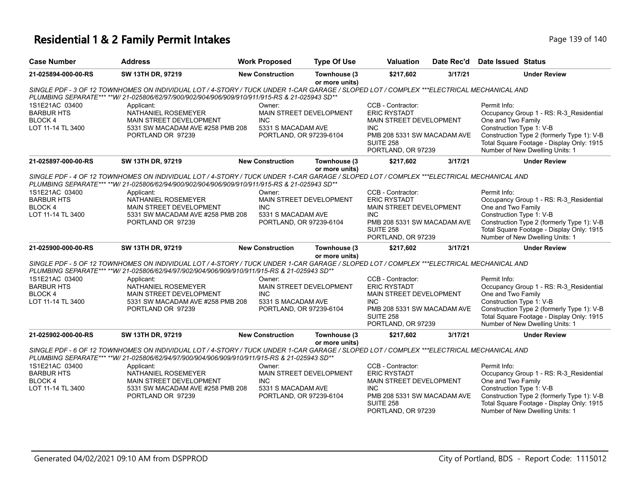# **Residential 1 & 2 Family Permit Intakes Page 139 of 140** Page 139 of 140

| <b>Case Number</b>                                                                                                                                                                                                                                         | <b>Address</b>                                                                                                        | <b>Work Proposed</b>                                                                                    | <b>Type Of Use</b>             | <b>Valuation</b>                                                                                                                                           | Date Rec'd | Date Issued Status                                                                                                                                                                                                                      |  |
|------------------------------------------------------------------------------------------------------------------------------------------------------------------------------------------------------------------------------------------------------------|-----------------------------------------------------------------------------------------------------------------------|---------------------------------------------------------------------------------------------------------|--------------------------------|------------------------------------------------------------------------------------------------------------------------------------------------------------|------------|-----------------------------------------------------------------------------------------------------------------------------------------------------------------------------------------------------------------------------------------|--|
| 21-025894-000-00-RS                                                                                                                                                                                                                                        | SW 13TH DR, 97219                                                                                                     | <b>New Construction</b>                                                                                 | Townhouse (3<br>or more units) | \$217,602                                                                                                                                                  | 3/17/21    | <b>Under Review</b>                                                                                                                                                                                                                     |  |
| SINGLE PDF - 3 OF 12 TOWNHOMES ON INDIVIDUAL LOT / 4-STORY / TUCK UNDER 1-CAR GARAGE / SLOPED LOT / COMPLEX ***ELECTRICAL MECHANICAL AND<br>PLUMBING SEPARATE*** **W/ 21-025806/62/97/900/902/904/906/909/910/911/915-RS & 21-025943 SD**                  |                                                                                                                       |                                                                                                         |                                |                                                                                                                                                            |            |                                                                                                                                                                                                                                         |  |
| 1S1E21AC 03400<br><b>BARBUR HTS</b><br><b>BLOCK4</b><br>LOT 11-14 TL 3400                                                                                                                                                                                  | Applicant:<br>NATHANIEL ROSEMEYER<br>MAIN STREET DEVELOPMENT<br>5331 SW MACADAM AVE #258 PMB 208<br>PORTLAND OR 97239 | Owner:<br><b>MAIN STREET DEVELOPMENT</b><br>INC.<br>5331 S MACADAM AVE<br>PORTLAND, OR 97239-6104       |                                | CCB - Contractor:<br><b>ERIC RYSTADT</b><br>MAIN STREET DEVELOPMENT<br><b>INC</b><br>PMB 208 5331 SW MACADAM AVE<br><b>SUITE 258</b><br>PORTLAND, OR 97239 |            | Permit Info:<br>Occupancy Group 1 - RS: R-3 Residential<br>One and Two Family<br>Construction Type 1: V-B<br>Construction Type 2 (formerly Type 1): V-B<br>Total Square Footage - Display Only: 1915<br>Number of New Dwelling Units: 1 |  |
| 21-025897-000-00-RS                                                                                                                                                                                                                                        | SW 13TH DR, 97219                                                                                                     | <b>New Construction</b>                                                                                 | Townhouse (3<br>or more units) | \$217,602                                                                                                                                                  | 3/17/21    | <b>Under Review</b>                                                                                                                                                                                                                     |  |
| SINGLE PDF - 4 OF 12 TOWNHOMES ON INDIVIDUAL LOT / 4-STORY / TUCK UNDER 1-CAR GARAGE / SLOPED LOT / COMPLEX ***ELECTRICAL MECHANICAL AND<br>PLUMBING SEPARATE*** **W/ 21-025806/62/94/900/902/904/906/909/910/911/915-RS & 21-025943 SD**                  |                                                                                                                       |                                                                                                         |                                |                                                                                                                                                            |            |                                                                                                                                                                                                                                         |  |
| 1S1E21AC 03400<br><b>BARBUR HTS</b><br><b>BLOCK4</b><br>LOT 11-14 TL 3400                                                                                                                                                                                  | Applicant:<br>NATHANIEL ROSEMEYER<br>MAIN STREET DEVELOPMENT<br>5331 SW MACADAM AVE #258 PMB 208<br>PORTLAND OR 97239 | Owner:<br>MAIN STREET DEVELOPMENT<br><b>INC</b><br>5331 S MACADAM AVE<br>PORTLAND, OR 97239-6104        |                                | CCB - Contractor:<br><b>ERIC RYSTADT</b><br>MAIN STREET DEVELOPMENT<br>INC.<br>PMB 208 5331 SW MACADAM AVE<br><b>SUITE 258</b><br>PORTLAND, OR 97239       |            | Permit Info:<br>Occupancy Group 1 - RS: R-3_Residential<br>One and Two Family<br>Construction Type 1: V-B<br>Construction Type 2 (formerly Type 1): V-B<br>Total Square Footage - Display Only: 1915<br>Number of New Dwelling Units: 1 |  |
| 21-025900-000-00-RS                                                                                                                                                                                                                                        | SW 13TH DR, 97219                                                                                                     | <b>New Construction</b>                                                                                 | Townhouse (3                   | \$217,602                                                                                                                                                  | 3/17/21    | <b>Under Review</b>                                                                                                                                                                                                                     |  |
| or more units)<br>SINGLE PDF - 5 OF 12 TOWNHOMES ON INDIVIDUAL LOT / 4-STORY / TUCK UNDER 1-CAR GARAGE / SLOPED LOT / COMPLEX ***ELECTRICAL MECHANICAL AND<br>PLUMBING SEPARATE*** **W/ 21-025806/62/94/97/902/904/906/909/910/911/915-RS & 21-025943 SD** |                                                                                                                       |                                                                                                         |                                |                                                                                                                                                            |            |                                                                                                                                                                                                                                         |  |
| 1S1E21AC 03400<br><b>BARBUR HTS</b><br><b>BLOCK4</b><br>LOT 11-14 TL 3400                                                                                                                                                                                  | Applicant:<br>NATHANIEL ROSEMEYER<br>MAIN STREET DEVELOPMENT<br>5331 SW MACADAM AVE #258 PMB 208<br>PORTLAND OR 97239 | Owner:<br><b>MAIN STREET DEVELOPMENT</b><br><b>INC</b><br>5331 S MACADAM AVE<br>PORTLAND, OR 97239-6104 |                                | CCB - Contractor:<br><b>ERIC RYSTADT</b><br>MAIN STREET DEVELOPMENT<br>INC.<br>PMB 208 5331 SW MACADAM AVE<br><b>SUITE 258</b><br>PORTLAND, OR 97239       |            | Permit Info:<br>Occupancy Group 1 - RS: R-3 Residential<br>One and Two Family<br>Construction Type 1: V-B<br>Construction Type 2 (formerly Type 1): V-B<br>Total Square Footage - Display Only: 1915<br>Number of New Dwelling Units: 1 |  |
| 21-025902-000-00-RS                                                                                                                                                                                                                                        | SW 13TH DR, 97219                                                                                                     | <b>New Construction</b>                                                                                 | Townhouse (3<br>or more units) | \$217,602                                                                                                                                                  | 3/17/21    | <b>Under Review</b>                                                                                                                                                                                                                     |  |
| SINGLE PDF - 6 OF 12 TOWNHOMES ON INDIVIDUAL LOT / 4-STORY / TUCK UNDER 1-CAR GARAGE / SLOPED LOT / COMPLEX ***ELECTRICAL MECHANICAL AND<br>PLUMBING SEPARATE*** **W/ 21-025806/62/94/97/900/904/906/909/910/911/915-RS & 21-025943 SD**                   |                                                                                                                       |                                                                                                         |                                |                                                                                                                                                            |            |                                                                                                                                                                                                                                         |  |
| 1S1E21AC 03400<br><b>BARBUR HTS</b><br><b>BLOCK4</b><br>LOT 11-14 TL 3400                                                                                                                                                                                  | Applicant:<br>NATHANIEL ROSEMEYER<br>MAIN STREET DEVELOPMENT<br>5331 SW MACADAM AVE #258 PMB 208<br>PORTLAND OR 97239 | Owner:<br>MAIN STREET DEVELOPMENT<br><b>INC</b><br>5331 S MACADAM AVE<br>PORTLAND, OR 97239-6104        |                                | CCB - Contractor:<br><b>ERIC RYSTADT</b><br>MAIN STREET DEVELOPMENT<br><b>INC</b><br>PMB 208 5331 SW MACADAM AVE<br><b>SUITE 258</b><br>PORTLAND, OR 97239 |            | Permit Info:<br>Occupancy Group 1 - RS: R-3_Residential<br>One and Two Family<br>Construction Type 1: V-B<br>Construction Type 2 (formerly Type 1): V-B<br>Total Square Footage - Display Only: 1915<br>Number of New Dwelling Units: 1 |  |